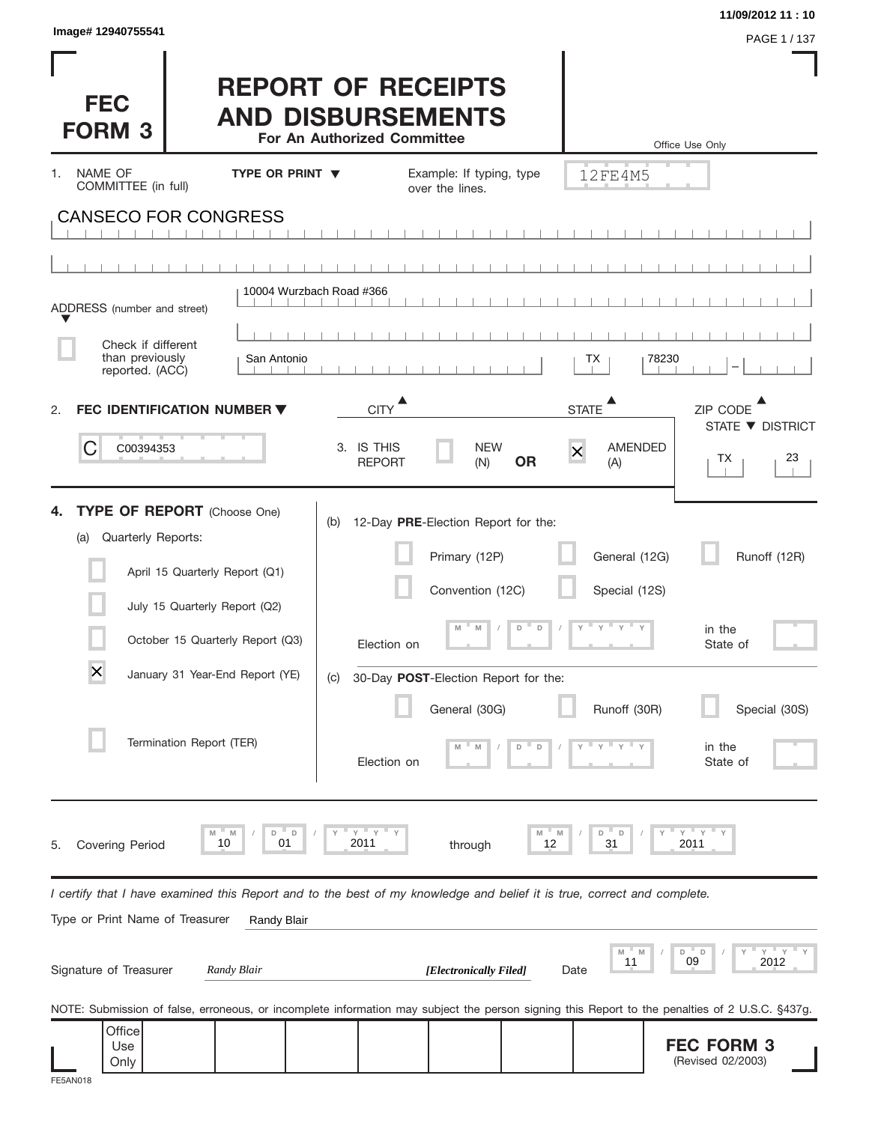| Image# 12940755541                                                                                                                                                                                                                                               |                                                                                      |                                                                                                                                                                                                    |                                                          | 11/09/2012 11:10<br>PAGE 1 / 137                                          |
|------------------------------------------------------------------------------------------------------------------------------------------------------------------------------------------------------------------------------------------------------------------|--------------------------------------------------------------------------------------|----------------------------------------------------------------------------------------------------------------------------------------------------------------------------------------------------|----------------------------------------------------------|---------------------------------------------------------------------------|
| <b>FEC</b><br><b>FORM 3</b>                                                                                                                                                                                                                                      | <b>REPORT OF RECEIPTS</b><br><b>AND DISBURSEMENTS</b><br>For An Authorized Committee |                                                                                                                                                                                                    |                                                          | Office Use Only                                                           |
| NAME OF<br>1.<br>COMMITTEE (in full)                                                                                                                                                                                                                             | <b>TYPE OR PRINT ▼</b>                                                               | Example: If typing, type<br>over the lines.                                                                                                                                                        | 12FE4M5                                                  |                                                                           |
| <b>CANSECO FOR CONGRESS</b>                                                                                                                                                                                                                                      |                                                                                      |                                                                                                                                                                                                    |                                                          |                                                                           |
|                                                                                                                                                                                                                                                                  |                                                                                      |                                                                                                                                                                                                    |                                                          |                                                                           |
| ADDRESS (number and street)                                                                                                                                                                                                                                      | 10004 Wurzbach Road #366                                                             |                                                                                                                                                                                                    |                                                          |                                                                           |
| Check if different                                                                                                                                                                                                                                               |                                                                                      |                                                                                                                                                                                                    |                                                          |                                                                           |
| than previously<br>reported. (ACC)                                                                                                                                                                                                                               | San Antonio                                                                          |                                                                                                                                                                                                    | ТX                                                       | 78230                                                                     |
| <b>FEC IDENTIFICATION NUMBER ▼</b><br>2.                                                                                                                                                                                                                         |                                                                                      | <b>CITY</b>                                                                                                                                                                                        | ▲<br><b>STATE</b>                                        | ZIP CODE                                                                  |
| С<br>C00394353                                                                                                                                                                                                                                                   | 3. IS THIS                                                                           | <b>NEW</b>                                                                                                                                                                                         | <b>AMENDED</b>                                           | STATE ▼ DISTRICT                                                          |
|                                                                                                                                                                                                                                                                  |                                                                                      | <b>OR</b><br><b>REPORT</b><br>(N)                                                                                                                                                                  | $\overline{\mathsf{x}}$<br>(A)                           | 23<br>ТX                                                                  |
| <b>TYPE OF REPORT</b> (Choose One)<br>Quarterly Reports:<br>(a)<br>April 15 Quarterly Report (Q1)<br>July 15 Quarterly Report (Q2)<br>October 15 Quarterly Report (Q3)<br>$\overline{\mathsf{x}}$<br>January 31 Year-End Report (YE)<br>Termination Report (TER) | (b)<br>(C)                                                                           | 12-Day PRE-Election Report for the:<br>Primary (12P)<br>Convention (12C)<br>D<br>$\mathsf D$<br>M<br>M<br>Election on<br>30-Day POST-Election Report for the:<br>General (30G)<br>D<br>Election on | General (12G)<br>Special (12S)<br>ү≡ү≡ү≡<br>Runoff (30R) | Runoff (12R)<br>in the<br>State of<br>Special (30S)<br>in the<br>State of |
| M<br>M<br>10<br>Covering Period<br>5.                                                                                                                                                                                                                            | $Y$ $Y$<br>D<br>D<br>01<br>2011                                                      | M<br>through                                                                                                                                                                                       | M<br>D<br>$\Box$<br>31<br>12                             | <b>T</b> Y<br>Υ<br>2011                                                   |
| I certify that I have examined this Report and to the best of my knowledge and belief it is true, correct and complete.<br>Type or Print Name of Treasurer                                                                                                       | Randy Blair                                                                          |                                                                                                                                                                                                    |                                                          |                                                                           |
| Signature of Treasurer<br>Randy Blair                                                                                                                                                                                                                            |                                                                                      | [Electronically Filed]                                                                                                                                                                             | M<br>11<br>Date                                          | $Y$ $Y$<br>" D<br>D<br>09<br>2012                                         |
| NOTE: Submission of false, erroneous, or incomplete information may subject the person signing this Report to the penalties of 2 U.S.C. §437g.                                                                                                                   |                                                                                      |                                                                                                                                                                                                    |                                                          |                                                                           |
| Office<br>Use<br>Only<br>FE5AN0                                                                                                                                                                                                                                  |                                                                                      |                                                                                                                                                                                                    |                                                          | <b>FEC FORM 3</b><br>(Revised 02/2003)                                    |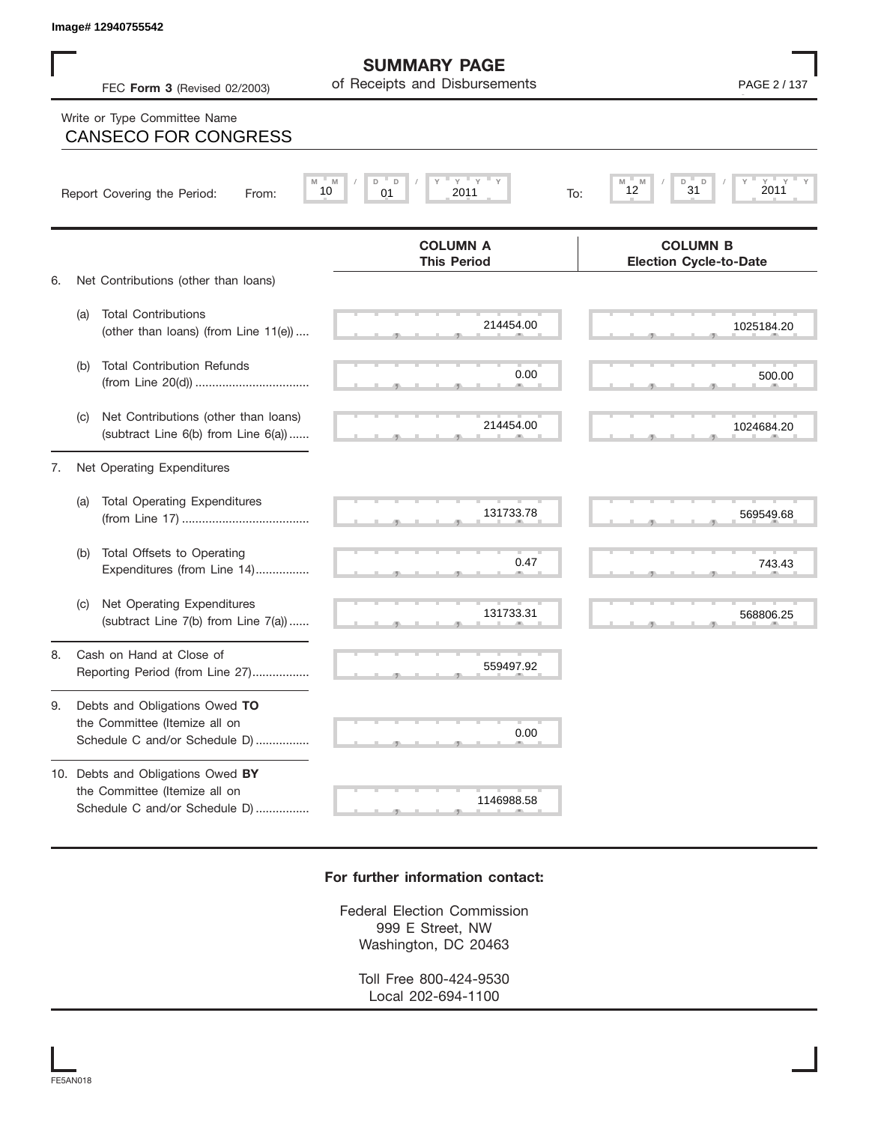## Write or Type Committee Name<br>CANSECO FOR CONGRESS

|    |     | Image# 12940755542                                                                                  |                                                      |                                                  |
|----|-----|-----------------------------------------------------------------------------------------------------|------------------------------------------------------|--------------------------------------------------|
|    |     | FEC Form 3 (Revised 02/2003)                                                                        | <b>SUMMARY PAGE</b><br>of Receipts and Disbursements | PAGE 2 / 137                                     |
|    |     | Write or Type Committee Name<br><b>CANSECO FOR CONGRESS</b>                                         |                                                      |                                                  |
|    |     | Report Covering the Period:<br>From:                                                                | Y<br>Y<br>M<br>D<br>D<br>10<br>2011<br>01<br>To:     | $Y =$<br>Y<br>D<br>D<br>31<br>2011<br>12         |
|    |     |                                                                                                     | <b>COLUMN A</b><br><b>This Period</b>                | <b>COLUMN B</b><br><b>Election Cycle-to-Date</b> |
| 6. |     | Net Contributions (other than loans)                                                                |                                                      |                                                  |
|    | (a) | <b>Total Contributions</b><br>(other than loans) (from Line 11(e))                                  | 214454.00                                            | 1025184.20                                       |
|    | (b) | <b>Total Contribution Refunds</b>                                                                   | 0.00                                                 | 500.00                                           |
|    | (C) | Net Contributions (other than loans)<br>(subtract Line 6(b) from Line 6(a))                         | 214454.00                                            | 1024684.20                                       |
| 7. |     | Net Operating Expenditures                                                                          |                                                      |                                                  |
|    | (a) | <b>Total Operating Expenditures</b>                                                                 | 131733.78                                            | 569549.68                                        |
|    | (b) | Total Offsets to Operating<br>Expenditures (from Line 14)                                           | 0.47                                                 | 743.43                                           |
|    | (C) | Net Operating Expenditures<br>(subtract Line 7(b) from Line 7(a))                                   | 131733.31                                            | 568806.25                                        |
| 8. |     | Cash on Hand at Close of<br>Reporting Period (from Line 27)                                         | 559497.92                                            |                                                  |
| 9. |     | Debts and Obligations Owed TO<br>the Committee (Itemize all on<br>Schedule C and/or Schedule D)     | 0.00                                                 |                                                  |
|    |     | 10. Debts and Obligations Owed BY<br>the Committee (Itemize all on<br>Schedule C and/or Schedule D) | 1146988.58                                           |                                                  |

## **For further information contact:**

Federal Election Commission 999 E Street, NW Washington, DC 20463

> Toll Free 800-424-9530 Local 202-694-1100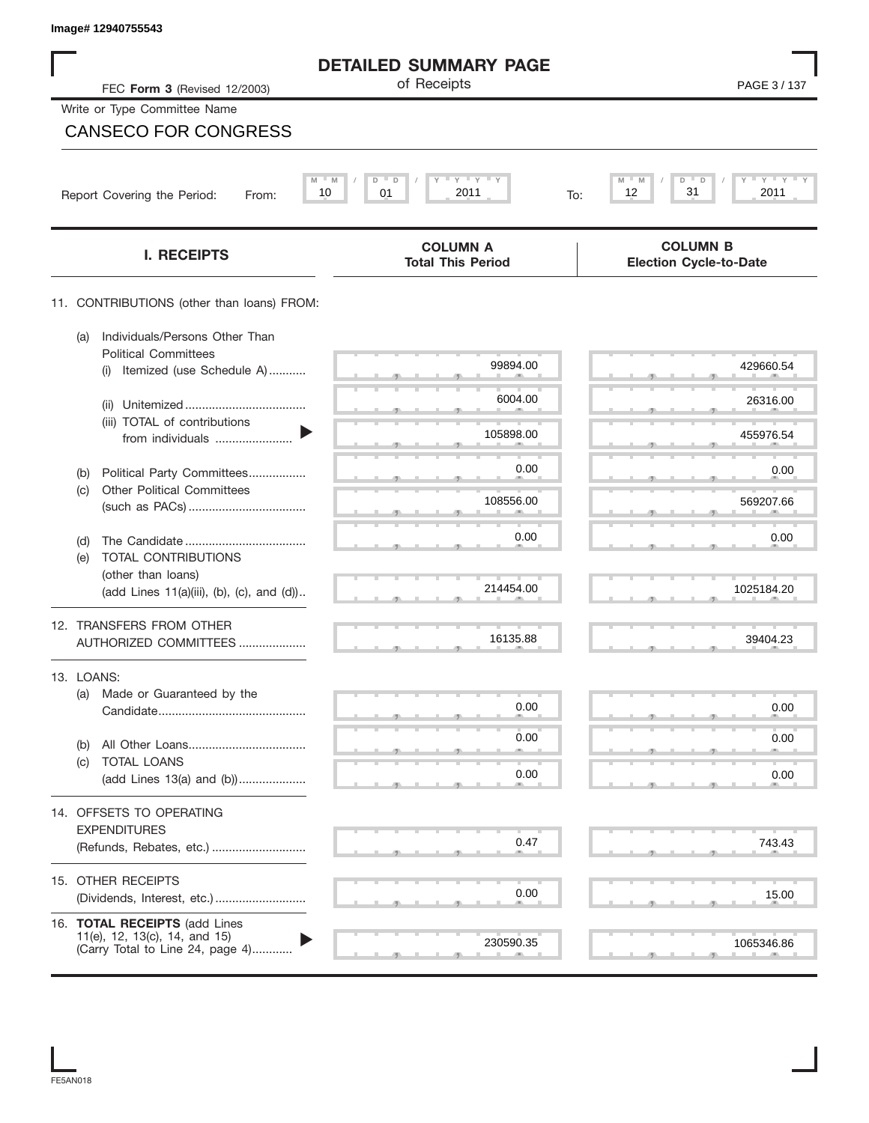| Image# 12940755543                                                   |                                                             |                                                  |
|----------------------------------------------------------------------|-------------------------------------------------------------|--------------------------------------------------|
|                                                                      | <b>DETAILED SUMMARY PAGE</b>                                |                                                  |
| FEC Form 3 (Revised 12/2003)                                         | of Receipts                                                 | PAGE 3/137                                       |
| Write or Type Committee Name                                         |                                                             |                                                  |
| <b>CANSECO FOR CONGRESS</b>                                          |                                                             |                                                  |
|                                                                      |                                                             |                                                  |
| Report Covering the Period:<br>From:                                 | $Y$ $Y$ $Y$<br>$M = M$<br>D<br>D<br>01<br>2011<br>10<br>To: | $Y = Y = Y$<br>M<br>D<br>31<br>12<br>2011        |
|                                                                      |                                                             |                                                  |
| <b>I. RECEIPTS</b>                                                   | <b>COLUMN A</b><br><b>Total This Period</b>                 | <b>COLUMN B</b><br><b>Election Cycle-to-Date</b> |
| 11. CONTRIBUTIONS (other than loans) FROM:                           |                                                             |                                                  |
| Individuals/Persons Other Than<br>(a)<br><b>Political Committees</b> |                                                             |                                                  |
| Itemized (use Schedule A)<br>(i)                                     | 99894.00                                                    | 429660.54                                        |
| (ii)                                                                 | 6004.00                                                     | 26316.00                                         |
| (iii) TOTAL of contributions<br>from individuals                     | 105898.00                                                   | 455976.54                                        |
| Political Party Committees<br>(b)                                    | 0.00                                                        | 0.00                                             |
| <b>Other Political Committees</b><br>(c)                             | 108556.00                                                   | 569207.66                                        |
|                                                                      | 0.00                                                        | 0.00                                             |
| (d)<br>TOTAL CONTRIBUTIONS<br>(e)                                    |                                                             |                                                  |
| (other than loans)<br>(add Lines 11(a)(iii), (b), (c), and (d))      | 214454.00                                                   | 1025184.20                                       |
|                                                                      |                                                             |                                                  |
| 12. TRANSFERS FROM OTHER<br>AUTHORIZED COMMITTEES                    | 16135.88                                                    | 39404.23                                         |
| 13. LOANS:                                                           |                                                             |                                                  |
| (a) Made or Guaranteed by the                                        | 0.00                                                        | 0.00                                             |
|                                                                      | 0.00                                                        | 0.00                                             |
| (b)<br><b>TOTAL LOANS</b><br>(C)                                     |                                                             |                                                  |
| (add Lines 13(a) and (b))                                            | 0.00                                                        | 0.00                                             |
| 14. OFFSETS TO OPERATING                                             |                                                             |                                                  |
| <b>EXPENDITURES</b><br>(Refunds, Rebates, etc.)                      | 0.47                                                        | 743.43                                           |
|                                                                      |                                                             |                                                  |
| 15. OTHER RECEIPTS                                                   | 0.00                                                        | 15.00                                            |
| 16. TOTAL RECEIPTS (add Lines                                        |                                                             |                                                  |
| 11(e), 12, 13(c), 14, and 15)<br>(Carry Total to Line 24, page 4)    | 230590.35                                                   | 1065346.86                                       |

FE5AN018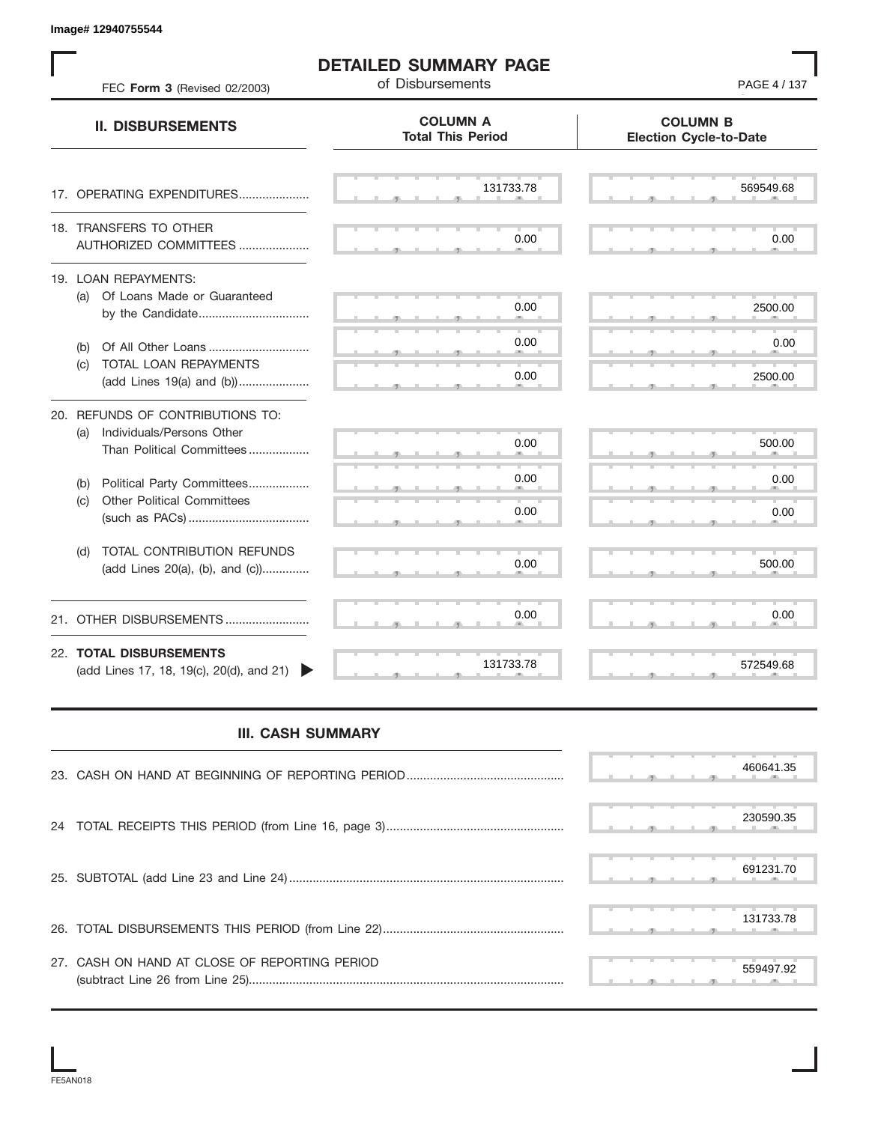S S S , , . S S S , , . S S S , , . S S S , , . S S S , , . S S S , , .  $\overline{S}$  s  $\overline{S}$  ,  $\overline{S}$  ,  $\overline{S}$  ,  $\overline{S}$  ,  $\overline{S}$  ,  $\overline{S}$  ,  $\overline{S}$  ,  $\overline{S}$  ,  $\overline{S}$  ,  $\overline{S}$  ,  $\overline{S}$  ,  $\overline{S}$  ,  $\overline{S}$  ,  $\overline{S}$  ,  $\overline{S}$  ,  $\overline{S}$  ,  $\overline{S}$  ,  $\overline{S}$  ,  $\overline{S}$  , S S S , , . S S S , , . S S S , , . S S S , , . S S S , , . S S S , , . S S S , , . S S S , , . S S S , , . S S S , , . S S S , , . S S S , , . S S S S S S **COLUMN B Election Cycle-to-Date COLUMN A Total This Period** 17. OPERATING EXPENDITURES.................... 18. TRANSFERS TO OTHER AUTHORIZED COMMITTEES ..................... 19. LOAN REPAYMENTS: (a) Of Loans Made or Guaranteed by the Candidate ................................. (b) Of All Other Loans .............................. (c) TOTAL LOAN REPAYMENTS (add Lines 19(a) and (b)) ..................... 20. REFUNDS OF CONTRIBUTIONS TO: (a) Individuals/Persons Other Than Political Committees ................. (b) Political Party Committees.................. (c) Other Political Committees (such as PACs) .................................... (d) TOTAL CONTRIBUTION REFUNDS (add Lines 20(a), (b), and (c)).............. 21. OTHER DISBURSEMENTS ......................... 22. **TOTAL DISBURSEMENTS**   $(\text{add Lines 17}, 18, 19(c), 20(d), \text{and } 21)$ **II. DISBURSEMENTS DETAILED SUMMARY PAGE** FEC **Form 3** (Revised 02/2003) **Disbursements PAGE 4** / 137 , , . , , . Example 1260 Missions and Social Accords of DeTAILED SUMMARY PAGE<br>
FROM EN ARTISTS IN A COLUMN ANY PAGE<br>
THE FROM ENTREMENTS<br>
10. DISSURSEMENTS<br>
10. OPPARTING PAPPINTUM PRESS.<br>
10. OPPARTING PAPPINTUM PRESS.<br>
10. OPPARTIN

## **III. CASH SUMMARY**

|                                               | 460641.35 |
|-----------------------------------------------|-----------|
|                                               | 230590.35 |
|                                               | 691231.70 |
|                                               | 131733.78 |
| 27. CASH ON HAND AT CLOSE OF REPORTING PERIOD | 559497.92 |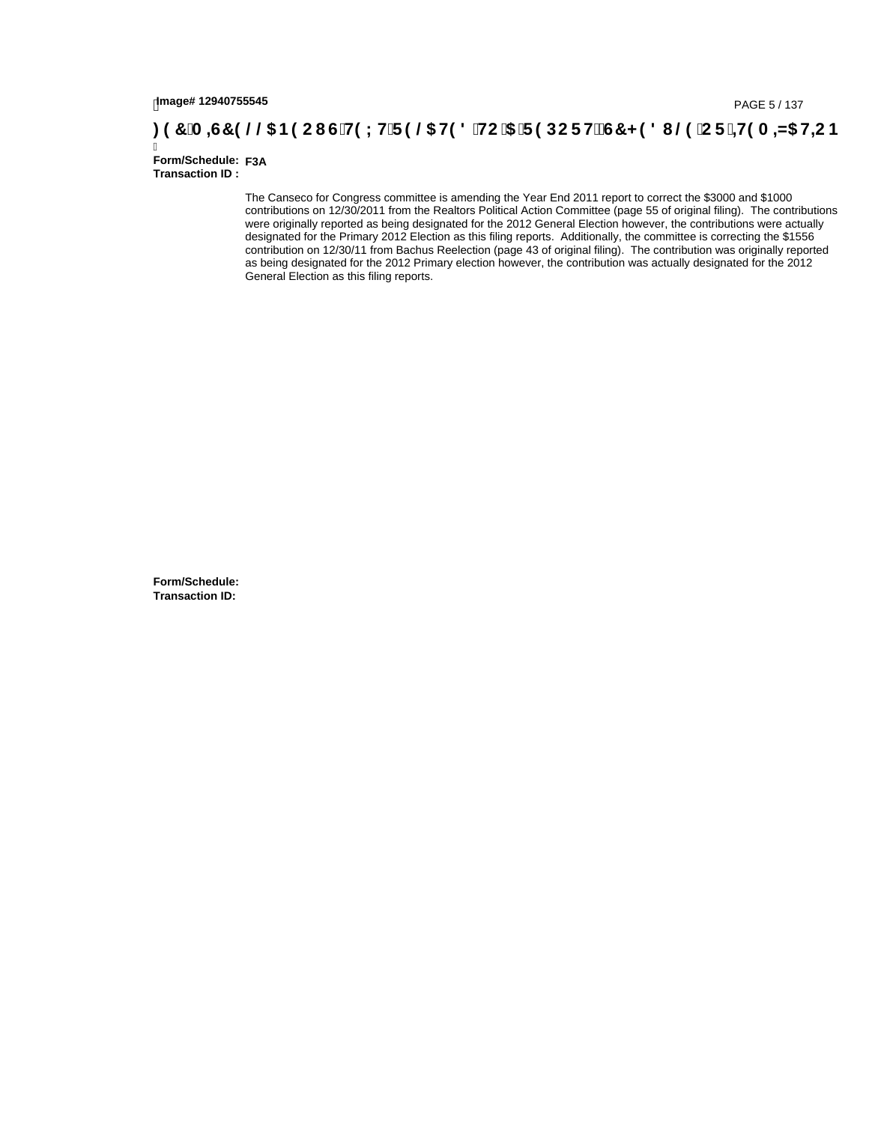## tmage#12940755545<br>DAGE 5/137 (PAGE 5/137<br>**DAGE 5/137 (A ⊨G7 9 @@ B9 CI G`H9 L H`F 9 @ H9 8 `HC `5 `F 9 DC F Hž G7 < 9 8 I @ `C F `<del>I I</del>9 A ⊨N5 H=C B**

Ī **Form/Schedule: F3ATransaction ID :** 

> The Canseco for Congress committee is amending the Year End 2011 report to correct the \$3000 and \$1000 contributions on 12/30/2011 from the Realtors Political Action Committee (page 55 of original filing). The contributions were originally reported as being designated for the 2012 General Election however, the contributions were actually designated for the Primary 2012 Election as this filing reports. Additionally, the committee is correcting the \$1556 contribution on 12/30/11 from Bachus Reelection (page 43 of original filing). The contribution was originally reported as being designated for the 2012 Primary election however, the contribution was actually designated for the 2012 General Election as this filing reports.

**Form/Schedule: Transaction ID:**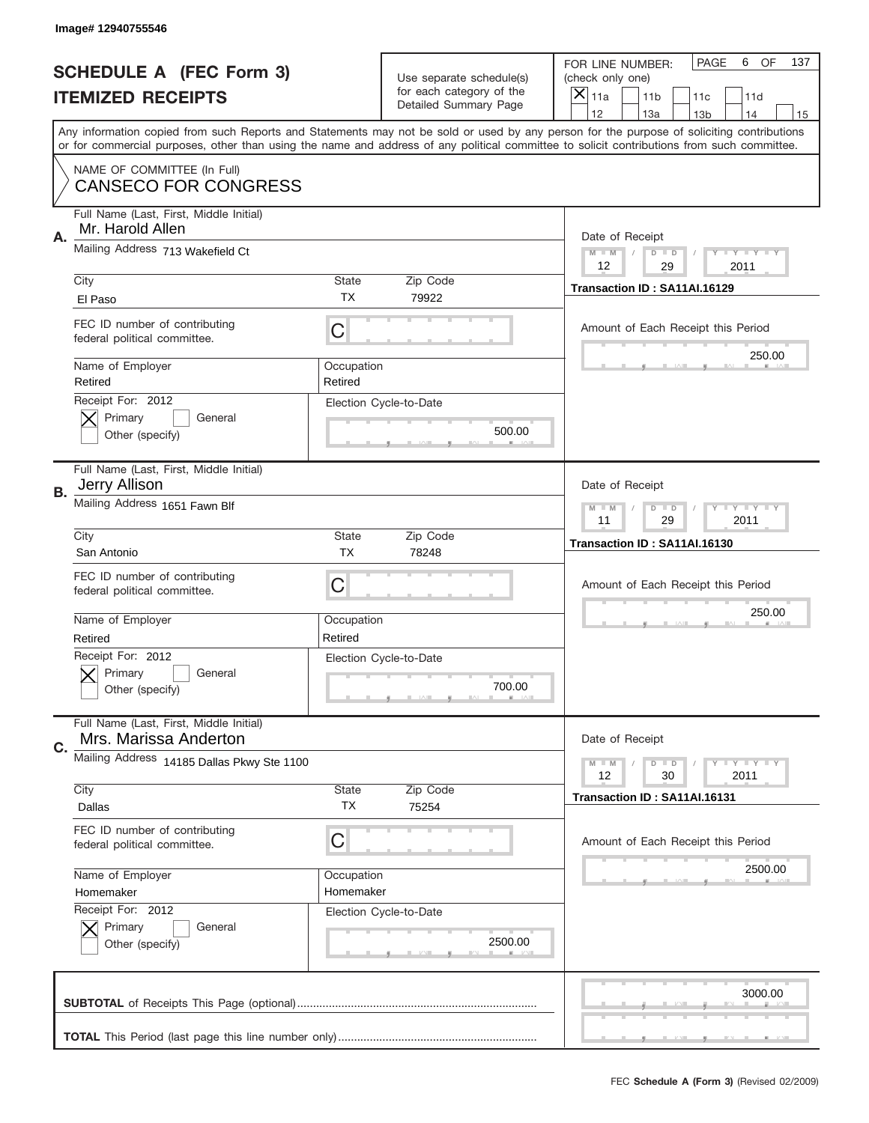|    | Image# 12940755546                                               |                         |                                                   |                                                                                                                                                                                                                                                                                                                                     |
|----|------------------------------------------------------------------|-------------------------|---------------------------------------------------|-------------------------------------------------------------------------------------------------------------------------------------------------------------------------------------------------------------------------------------------------------------------------------------------------------------------------------------|
|    | <b>SCHEDULE A (FEC Form 3)</b>                                   |                         | Use separate schedule(s)                          | PAGE<br>OF<br>6<br>137<br>FOR LINE NUMBER:<br>(check only one)                                                                                                                                                                                                                                                                      |
|    | <b>ITEMIZED RECEIPTS</b>                                         |                         | for each category of the<br>Detailed Summary Page | ×<br>11a<br>11 <sub>b</sub><br>11c<br>11d                                                                                                                                                                                                                                                                                           |
|    |                                                                  |                         |                                                   | 12<br>13a<br>14<br>13 <sub>b</sub><br>15<br>Any information copied from such Reports and Statements may not be sold or used by any person for the purpose of soliciting contributions<br>or for commercial purposes, other than using the name and address of any political committee to solicit contributions from such committee. |
|    | NAME OF COMMITTEE (In Full)<br><b>CANSECO FOR CONGRESS</b>       |                         |                                                   |                                                                                                                                                                                                                                                                                                                                     |
| Α. | Full Name (Last, First, Middle Initial)<br>Mr. Harold Allen      |                         |                                                   | Date of Receipt                                                                                                                                                                                                                                                                                                                     |
|    | Mailing Address 713 Wakefield Ct                                 |                         |                                                   | $M - M$<br><b>LY LY LY</b><br>$D$ $D$<br>12<br>29<br>2011                                                                                                                                                                                                                                                                           |
|    | City<br>El Paso                                                  | State<br>TX             | Zip Code<br>79922                                 | Transaction ID: SA11AI.16129                                                                                                                                                                                                                                                                                                        |
|    | FEC ID number of contributing<br>federal political committee.    | C                       |                                                   | Amount of Each Receipt this Period<br>250.00                                                                                                                                                                                                                                                                                        |
|    | Name of Employer<br>Retired                                      | Occupation<br>Retired   |                                                   |                                                                                                                                                                                                                                                                                                                                     |
|    | Receipt For: 2012<br>Primary<br>General<br>Other (specify)       |                         | Election Cycle-to-Date<br>500.00                  |                                                                                                                                                                                                                                                                                                                                     |
| В. | Full Name (Last, First, Middle Initial)<br><b>Jerry Allison</b>  |                         |                                                   | Date of Receipt                                                                                                                                                                                                                                                                                                                     |
|    | Mailing Address 1651 Fawn Blf                                    |                         |                                                   | $M$ M<br>$D$ $D$<br><b>LYLYLY</b><br>11<br>29<br>2011                                                                                                                                                                                                                                                                               |
|    | City<br>San Antonio                                              | State<br><b>TX</b>      | Zip Code<br>78248                                 | Transaction ID: SA11AI.16130                                                                                                                                                                                                                                                                                                        |
|    | FEC ID number of contributing<br>federal political committee.    | C                       |                                                   | Amount of Each Receipt this Period                                                                                                                                                                                                                                                                                                  |
|    | Name of Employer<br>Retired                                      | Occupation<br>Retired   |                                                   | 250.00                                                                                                                                                                                                                                                                                                                              |
|    | Receipt For: 2012<br>General<br>Primary<br>Other (specify)       |                         | Election Cycle-to-Date<br>700.00                  |                                                                                                                                                                                                                                                                                                                                     |
| C. | Full Name (Last, First, Middle Initial)<br>Mrs. Marissa Anderton |                         |                                                   | Date of Receipt                                                                                                                                                                                                                                                                                                                     |
|    | Mailing Address 14185 Dallas Pkwy Ste 1100                       |                         |                                                   | <b>LYLYLY</b><br>$M - M$<br>$D$ $D$                                                                                                                                                                                                                                                                                                 |
|    |                                                                  |                         |                                                   | 12<br>2011<br>30                                                                                                                                                                                                                                                                                                                    |
|    | City<br>Dallas                                                   | State<br>TX             | Zip Code<br>75254                                 | Transaction ID: SA11AI.16131                                                                                                                                                                                                                                                                                                        |
|    | FEC ID number of contributing<br>federal political committee.    | C                       |                                                   | Amount of Each Receipt this Period                                                                                                                                                                                                                                                                                                  |
|    | Name of Employer<br>Homemaker                                    | Occupation<br>Homemaker |                                                   | 2500.00                                                                                                                                                                                                                                                                                                                             |
|    | Receipt For: 2012<br>Primary<br>General<br>Other (specify)       |                         | Election Cycle-to-Date<br>2500.00                 |                                                                                                                                                                                                                                                                                                                                     |
|    |                                                                  |                         |                                                   | 3000.00                                                                                                                                                                                                                                                                                                                             |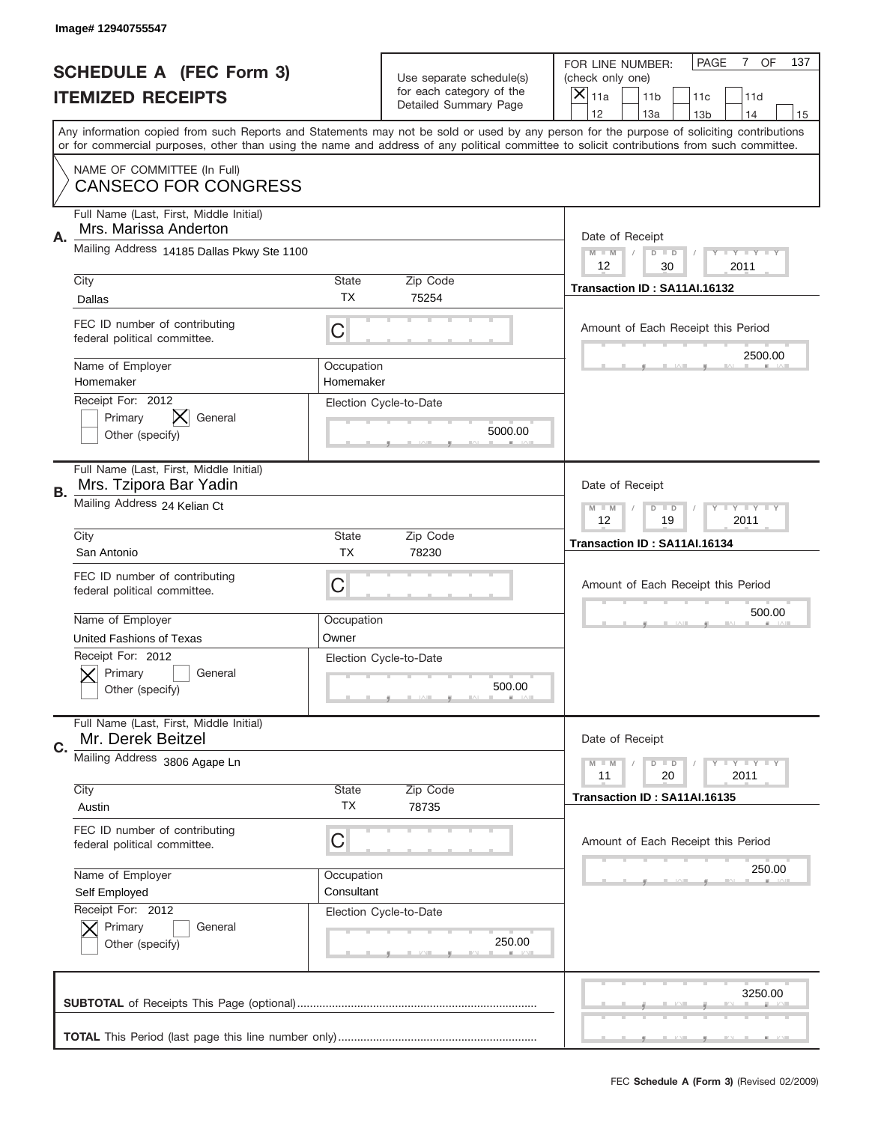|    | Image# 12940755547                                                |                         |                                                   |                                                                                                                                                                                                                                                                                         |
|----|-------------------------------------------------------------------|-------------------------|---------------------------------------------------|-----------------------------------------------------------------------------------------------------------------------------------------------------------------------------------------------------------------------------------------------------------------------------------------|
|    | <b>SCHEDULE A (FEC Form 3)</b>                                    |                         | Use separate schedule(s)                          | PAGE<br>7 OF<br>137<br>FOR LINE NUMBER:<br>(check only one)                                                                                                                                                                                                                             |
|    | <b>ITEMIZED RECEIPTS</b>                                          |                         | for each category of the<br>Detailed Summary Page | $\times$<br>11a<br>11 <sub>b</sub><br>11c<br>11d                                                                                                                                                                                                                                        |
|    |                                                                   |                         |                                                   | 12<br>13a<br>14<br>13 <sub>b</sub><br>15                                                                                                                                                                                                                                                |
|    |                                                                   |                         |                                                   | Any information copied from such Reports and Statements may not be sold or used by any person for the purpose of soliciting contributions<br>or for commercial purposes, other than using the name and address of any political committee to solicit contributions from such committee. |
|    | NAME OF COMMITTEE (In Full)<br><b>CANSECO FOR CONGRESS</b>        |                         |                                                   |                                                                                                                                                                                                                                                                                         |
| Α. | Full Name (Last, First, Middle Initial)<br>Mrs. Marissa Anderton  |                         |                                                   | Date of Receipt                                                                                                                                                                                                                                                                         |
|    | Mailing Address 14185 Dallas Pkwy Ste 1100                        |                         |                                                   | $M$ $M$<br>Y TY TY TY<br>$D$ $D$<br>12<br>30<br>2011                                                                                                                                                                                                                                    |
|    | City                                                              | State                   | Zip Code                                          | Transaction ID: SA11AI.16132                                                                                                                                                                                                                                                            |
|    | Dallas                                                            | ТX                      | 75254                                             |                                                                                                                                                                                                                                                                                         |
|    | FEC ID number of contributing<br>federal political committee.     | C                       |                                                   | Amount of Each Receipt this Period<br>2500.00                                                                                                                                                                                                                                           |
|    | Name of Employer<br>Homemaker                                     | Occupation<br>Homemaker |                                                   |                                                                                                                                                                                                                                                                                         |
|    | Receipt For: 2012<br>General<br>Primary<br>Other (specify)        |                         | Election Cycle-to-Date<br>5000.00                 |                                                                                                                                                                                                                                                                                         |
|    | Full Name (Last, First, Middle Initial)<br>Mrs. Tzipora Bar Yadin |                         |                                                   | Date of Receipt                                                                                                                                                                                                                                                                         |
| В. | Mailing Address 24 Kelian Ct                                      |                         |                                                   | $T$ $Y$ $Y$ $Y$ $Y$<br>$M - M$<br>$D$ $D$<br>12<br>19<br>2011                                                                                                                                                                                                                           |
|    | City                                                              | State                   | Zip Code                                          | Transaction ID: SA11AI.16134                                                                                                                                                                                                                                                            |
|    | San Antonio                                                       | <b>TX</b>               | 78230                                             |                                                                                                                                                                                                                                                                                         |
|    | FEC ID number of contributing<br>federal political committee.     | C                       |                                                   | Amount of Each Receipt this Period                                                                                                                                                                                                                                                      |
|    | Name of Employer                                                  | Occupation              |                                                   | 500.00                                                                                                                                                                                                                                                                                  |
|    | United Fashions of Texas                                          | Owner                   |                                                   |                                                                                                                                                                                                                                                                                         |
|    | Receipt For: 2012<br>Primary<br>General<br>Other (specify)        |                         | Election Cycle-to-Date<br>500.00                  |                                                                                                                                                                                                                                                                                         |
| C. | Full Name (Last, First, Middle Initial)<br>Mr. Derek Beitzel      |                         |                                                   | Date of Receipt                                                                                                                                                                                                                                                                         |
|    | Mailing Address 3806 Agape Ln                                     |                         |                                                   | $T$ $Y$ $Y$ $Y$ $Y$<br>$M - M$<br>$D$ $D$<br>2011<br>11<br>20                                                                                                                                                                                                                           |
|    | City                                                              | State<br><b>TX</b>      | Zip Code                                          | Transaction ID: SA11AI.16135                                                                                                                                                                                                                                                            |
|    | Austin                                                            |                         | 78735                                             |                                                                                                                                                                                                                                                                                         |
|    | FEC ID number of contributing<br>federal political committee.     | C                       |                                                   | Amount of Each Receipt this Period                                                                                                                                                                                                                                                      |
|    | Name of Employer                                                  | Occupation              |                                                   | 250.00                                                                                                                                                                                                                                                                                  |
|    | Self Employed                                                     | Consultant              |                                                   |                                                                                                                                                                                                                                                                                         |
|    | Receipt For: 2012<br>Primary<br>General<br>Other (specify)        |                         | Election Cycle-to-Date<br>250.00                  |                                                                                                                                                                                                                                                                                         |
|    |                                                                   |                         |                                                   | 3250.00                                                                                                                                                                                                                                                                                 |
|    |                                                                   |                         |                                                   |                                                                                                                                                                                                                                                                                         |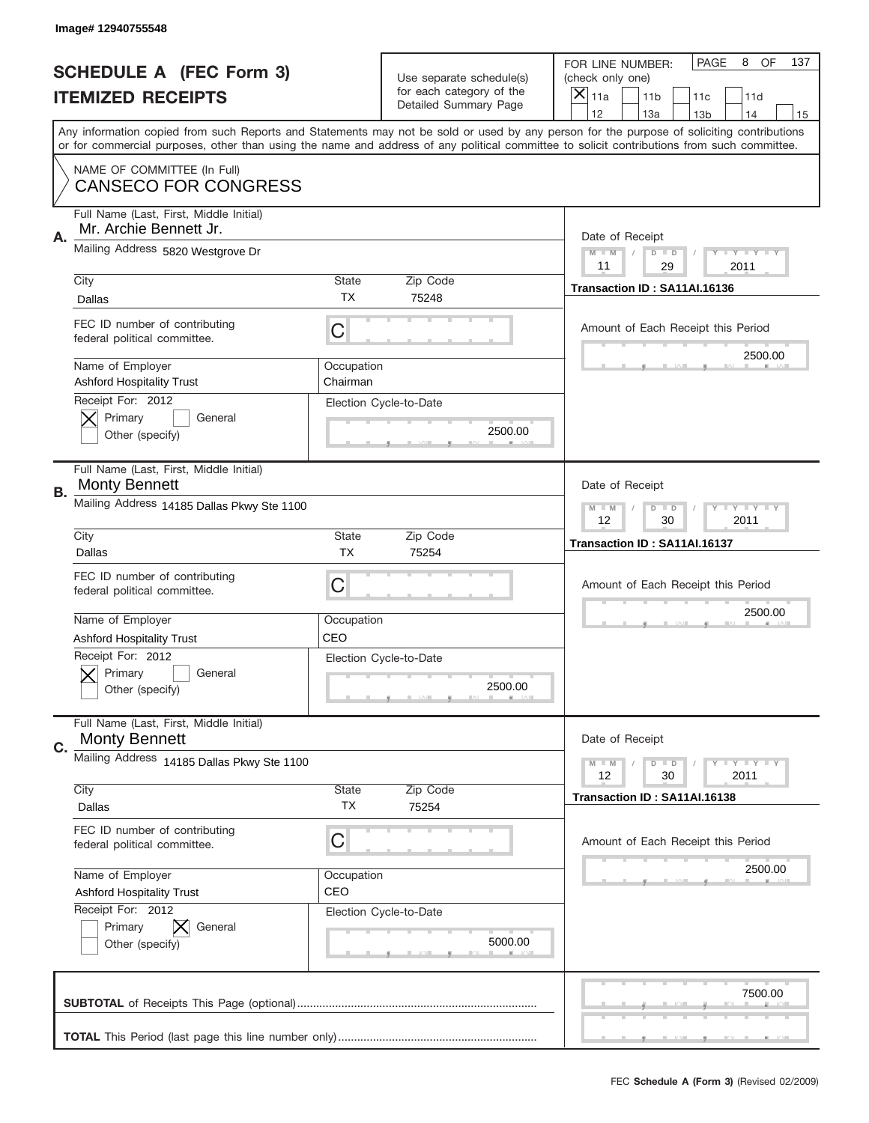|    | Image# 12940755548                                                |                           |                                                   |                                                                                                                                                                                       |
|----|-------------------------------------------------------------------|---------------------------|---------------------------------------------------|---------------------------------------------------------------------------------------------------------------------------------------------------------------------------------------|
|    | <b>SCHEDULE A (FEC Form 3)</b>                                    |                           | Use separate schedule(s)                          | PAGE<br>8<br><b>OF</b><br>137<br>FOR LINE NUMBER:<br>(check only one)                                                                                                                 |
|    | <b>ITEMIZED RECEIPTS</b>                                          |                           | for each category of the<br>Detailed Summary Page | $\boldsymbol{\times}$<br>11a<br>11 <sub>b</sub><br>11c<br>11d                                                                                                                         |
|    |                                                                   |                           |                                                   | 12<br>13a<br>14<br>13 <sub>b</sub><br>15<br>Any information copied from such Reports and Statements may not be sold or used by any person for the purpose of soliciting contributions |
|    |                                                                   |                           |                                                   | or for commercial purposes, other than using the name and address of any political committee to solicit contributions from such committee.                                            |
|    | NAME OF COMMITTEE (In Full)<br><b>CANSECO FOR CONGRESS</b>        |                           |                                                   |                                                                                                                                                                                       |
| Α. | Full Name (Last, First, Middle Initial)<br>Mr. Archie Bennett Jr. |                           |                                                   | Date of Receipt                                                                                                                                                                       |
|    | Mailing Address 5820 Westgrove Dr                                 |                           |                                                   | <b>LYLYLY</b><br>$M - M$<br>$D$ $D$<br>11<br>29<br>2011                                                                                                                               |
|    | City                                                              | <b>State</b>              | Zip Code                                          | Transaction ID: SA11AI.16136                                                                                                                                                          |
|    | Dallas                                                            | TX.                       | 75248                                             |                                                                                                                                                                                       |
|    | FEC ID number of contributing<br>federal political committee.     | C                         |                                                   | Amount of Each Receipt this Period<br>2500.00                                                                                                                                         |
|    | Name of Employer<br><b>Ashford Hospitality Trust</b>              | Occupation<br>Chairman    |                                                   |                                                                                                                                                                                       |
|    | Receipt For: 2012<br>Primary<br>General<br>Other (specify)        |                           | Election Cycle-to-Date<br>2500.00                 |                                                                                                                                                                                       |
| В. | Full Name (Last, First, Middle Initial)<br><b>Monty Bennett</b>   |                           |                                                   | Date of Receipt                                                                                                                                                                       |
|    | Mailing Address 14185 Dallas Pkwy Ste 1100                        |                           |                                                   | $M - M$<br>$D$ $D$<br><b>LYLYLY</b><br>12<br>30<br>2011                                                                                                                               |
|    | City<br>Dallas                                                    | <b>State</b><br><b>TX</b> | Zip Code<br>75254                                 | Transaction ID: SA11AI.16137                                                                                                                                                          |
|    | FEC ID number of contributing<br>federal political committee.     | С                         |                                                   | Amount of Each Receipt this Period                                                                                                                                                    |
|    | Name of Employer                                                  | Occupation                |                                                   | 2500.00                                                                                                                                                                               |
|    | <b>Ashford Hospitality Trust</b>                                  | CEO                       |                                                   |                                                                                                                                                                                       |
|    | Receipt For: 2012<br>General<br>Primary<br>Other (specify)        |                           | Election Cycle-to-Date<br>2500.00                 |                                                                                                                                                                                       |
| C. | Full Name (Last, First, Middle Initial)<br><b>Monty Bennett</b>   |                           |                                                   | Date of Receipt                                                                                                                                                                       |
|    | Mailing Address 14185 Dallas Pkwy Ste 1100                        |                           |                                                   | <b>LYLYLY</b><br>$M - M$<br>$D$ $D$<br>12<br>2011<br>30                                                                                                                               |
|    | City                                                              | State                     | Zip Code                                          | Transaction ID: SA11AI.16138                                                                                                                                                          |
|    | Dallas                                                            | ТX                        | 75254                                             |                                                                                                                                                                                       |
|    | FEC ID number of contributing<br>federal political committee.     | С                         |                                                   | Amount of Each Receipt this Period                                                                                                                                                    |
|    | Name of Employer                                                  | Occupation                |                                                   | 2500.00                                                                                                                                                                               |
|    | <b>Ashford Hospitality Trust</b>                                  | CEO                       |                                                   |                                                                                                                                                                                       |
|    | Receipt For: 2012<br>Primary<br>General<br>Other (specify)        |                           | Election Cycle-to-Date<br>5000.00                 |                                                                                                                                                                                       |
|    |                                                                   |                           |                                                   | 7500.00                                                                                                                                                                               |
|    |                                                                   |                           |                                                   |                                                                                                                                                                                       |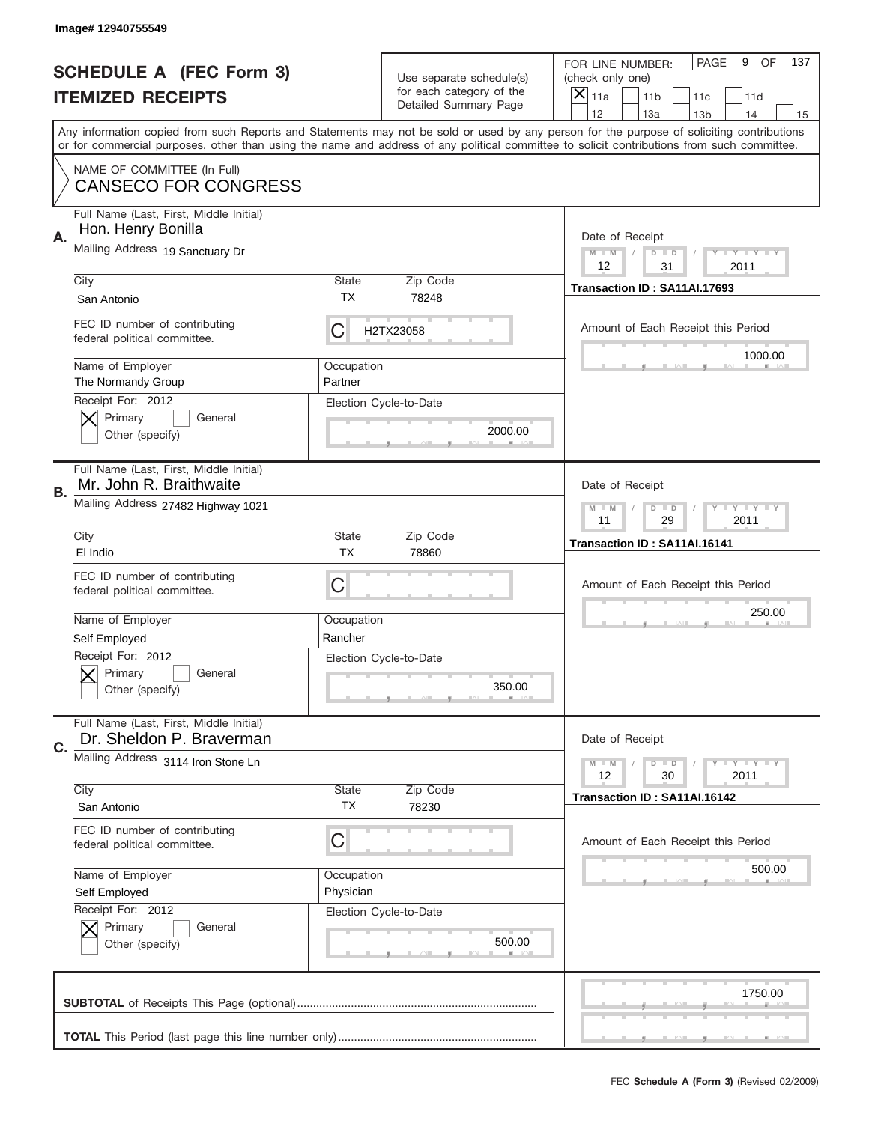|           | Image# 12940755549                                                          |                                                         |                                                   |                                                                                                                                                                                                                                                                                                                                     |
|-----------|-----------------------------------------------------------------------------|---------------------------------------------------------|---------------------------------------------------|-------------------------------------------------------------------------------------------------------------------------------------------------------------------------------------------------------------------------------------------------------------------------------------------------------------------------------------|
|           | <b>SCHEDULE A (FEC Form 3)</b>                                              |                                                         | Use separate schedule(s)                          | PAGE<br>OF<br>9<br>137<br>FOR LINE NUMBER:<br>(check only one)                                                                                                                                                                                                                                                                      |
|           | <b>ITEMIZED RECEIPTS</b>                                                    |                                                         | for each category of the<br>Detailed Summary Page | ×<br>11a<br>11 <sub>b</sub><br>11c<br>11d                                                                                                                                                                                                                                                                                           |
|           |                                                                             |                                                         |                                                   | 12<br>13a<br>14<br>13 <sub>b</sub><br>15<br>Any information copied from such Reports and Statements may not be sold or used by any person for the purpose of soliciting contributions<br>or for commercial purposes, other than using the name and address of any political committee to solicit contributions from such committee. |
|           | NAME OF COMMITTEE (In Full)<br><b>CANSECO FOR CONGRESS</b>                  |                                                         |                                                   |                                                                                                                                                                                                                                                                                                                                     |
| Α.        | Full Name (Last, First, Middle Initial)<br>Hon. Henry Bonilla               |                                                         |                                                   | Date of Receipt                                                                                                                                                                                                                                                                                                                     |
|           | Mailing Address 19 Sanctuary Dr                                             |                                                         |                                                   | $M - M$<br><b>LEY LEY LEY</b><br>$D$ $D$<br>12<br>31<br>2011                                                                                                                                                                                                                                                                        |
|           | City<br>San Antonio                                                         | State<br>ТX                                             | Zip Code<br>78248                                 | Transaction ID: SA11AI.17693                                                                                                                                                                                                                                                                                                        |
|           | FEC ID number of contributing<br>federal political committee.               | С                                                       | H2TX23058                                         | Amount of Each Receipt this Period<br>1000.00                                                                                                                                                                                                                                                                                       |
|           | Name of Employer<br>The Normandy Group<br>Receipt For: 2012                 | Occupation<br>Partner                                   |                                                   |                                                                                                                                                                                                                                                                                                                                     |
|           | Primary<br>General<br>Other (specify)                                       |                                                         | Election Cycle-to-Date<br>2000.00                 |                                                                                                                                                                                                                                                                                                                                     |
| <b>B.</b> | Full Name (Last, First, Middle Initial)<br>Mr. John R. Braithwaite          |                                                         |                                                   | Date of Receipt                                                                                                                                                                                                                                                                                                                     |
|           | Mailing Address 27482 Highway 1021                                          | <b>LYLYLY</b><br>$M - M$<br>$D$ $D$<br>11<br>29<br>2011 |                                                   |                                                                                                                                                                                                                                                                                                                                     |
|           | City<br>El Indio                                                            | State<br>ТX                                             | Zip Code<br>78860                                 | Transaction ID: SA11AI.16141                                                                                                                                                                                                                                                                                                        |
|           | FEC ID number of contributing<br>federal political committee.               | C                                                       |                                                   | Amount of Each Receipt this Period                                                                                                                                                                                                                                                                                                  |
|           |                                                                             | Occupation                                              |                                                   | 250.00                                                                                                                                                                                                                                                                                                                              |
|           | Name of Employer                                                            |                                                         |                                                   |                                                                                                                                                                                                                                                                                                                                     |
|           | Self Employed<br>Receipt For: 2012<br>General<br>Primary<br>Other (specify) | Rancher                                                 | Election Cycle-to-Date<br>350.00                  |                                                                                                                                                                                                                                                                                                                                     |
|           | Full Name (Last, First, Middle Initial)<br>Dr. Sheldon P. Braverman         |                                                         |                                                   | Date of Receipt                                                                                                                                                                                                                                                                                                                     |
| C.        | Mailing Address 3114 Iron Stone Ln                                          |                                                         |                                                   | <b>LYLYLY</b><br>$M - M$<br>$D$ $D$<br>12<br>2011<br>30                                                                                                                                                                                                                                                                             |
|           | City<br>San Antonio                                                         | State<br><b>TX</b>                                      | Zip Code<br>78230                                 | Transaction ID: SA11AI.16142                                                                                                                                                                                                                                                                                                        |
|           | FEC ID number of contributing<br>federal political committee.               | С                                                       |                                                   | Amount of Each Receipt this Period                                                                                                                                                                                                                                                                                                  |
|           | Name of Employer<br>Self Employed                                           | Occupation<br>Physician                                 |                                                   | 500.00                                                                                                                                                                                                                                                                                                                              |
|           | Receipt For: 2012<br>Primary<br>General<br>Other (specify)                  |                                                         | Election Cycle-to-Date<br>500.00                  |                                                                                                                                                                                                                                                                                                                                     |
|           |                                                                             |                                                         |                                                   | 1750.00                                                                                                                                                                                                                                                                                                                             |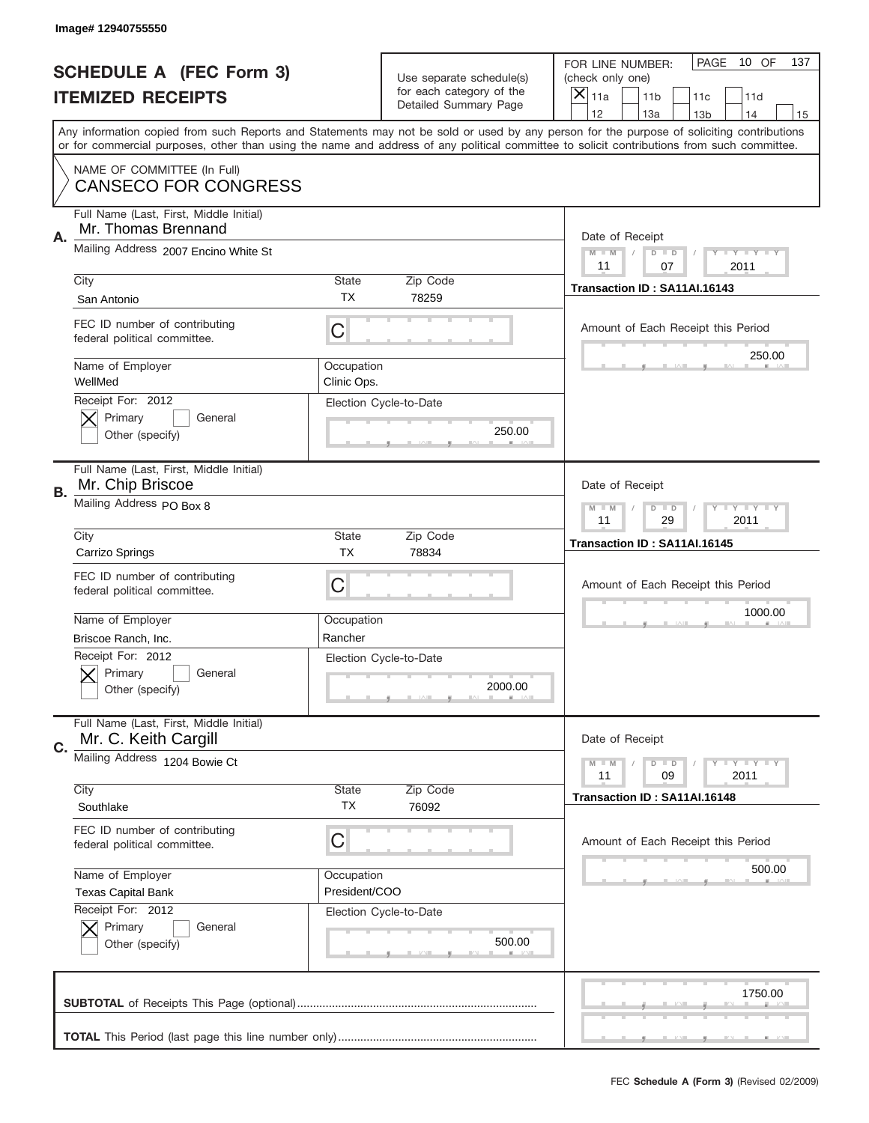|    | Image# 12940755550                                              |                             |                                                   |                                                                                                                                                                                                                                                                                                                                     |
|----|-----------------------------------------------------------------|-----------------------------|---------------------------------------------------|-------------------------------------------------------------------------------------------------------------------------------------------------------------------------------------------------------------------------------------------------------------------------------------------------------------------------------------|
|    | <b>SCHEDULE A (FEC Form 3)</b>                                  |                             | Use separate schedule(s)                          | PAGE<br>10 OF<br>137<br>FOR LINE NUMBER:<br>(check only one)                                                                                                                                                                                                                                                                        |
|    | <b>ITEMIZED RECEIPTS</b>                                        |                             | for each category of the<br>Detailed Summary Page | ×<br>11a<br>11 <sub>b</sub><br>11c<br>11d                                                                                                                                                                                                                                                                                           |
|    |                                                                 |                             |                                                   | 12<br>13a<br>14<br>13 <sub>b</sub><br>15<br>Any information copied from such Reports and Statements may not be sold or used by any person for the purpose of soliciting contributions<br>or for commercial purposes, other than using the name and address of any political committee to solicit contributions from such committee. |
|    | NAME OF COMMITTEE (In Full)<br><b>CANSECO FOR CONGRESS</b>      |                             |                                                   |                                                                                                                                                                                                                                                                                                                                     |
| Α. | Full Name (Last, First, Middle Initial)<br>Mr. Thomas Brennand  |                             |                                                   | Date of Receipt                                                                                                                                                                                                                                                                                                                     |
|    | Mailing Address 2007 Encino White St                            |                             |                                                   | $M - M$<br><b>LEY LEY LEY</b><br>$D$ $D$<br>11<br>07<br>2011                                                                                                                                                                                                                                                                        |
|    | City<br>San Antonio                                             | State<br><b>TX</b>          | Zip Code<br>78259                                 | Transaction ID: SA11AI.16143                                                                                                                                                                                                                                                                                                        |
|    | FEC ID number of contributing<br>federal political committee.   | C                           |                                                   | Amount of Each Receipt this Period<br>250.00                                                                                                                                                                                                                                                                                        |
|    | Name of Employer<br>WellMed                                     | Occupation<br>Clinic Ops.   |                                                   |                                                                                                                                                                                                                                                                                                                                     |
|    | Receipt For: 2012<br>Primary<br>General<br>Other (specify)      |                             | Election Cycle-to-Date<br>250.00                  |                                                                                                                                                                                                                                                                                                                                     |
| В. | Full Name (Last, First, Middle Initial)<br>Mr. Chip Briscoe     |                             |                                                   | Date of Receipt                                                                                                                                                                                                                                                                                                                     |
|    | Mailing Address PO Box 8                                        |                             |                                                   | $M$ M<br>$D$ $D$<br><b>LYLYLY</b><br>11<br>29<br>2011                                                                                                                                                                                                                                                                               |
|    | City<br>Carrizo Springs                                         | State<br><b>TX</b>          | Zip Code<br>78834                                 | Transaction ID: SA11AI.16145                                                                                                                                                                                                                                                                                                        |
|    | FEC ID number of contributing<br>federal political committee.   | C                           |                                                   | Amount of Each Receipt this Period                                                                                                                                                                                                                                                                                                  |
|    | Name of Employer<br>Briscoe Ranch, Inc.                         | Occupation<br>Rancher       |                                                   | 1000.00                                                                                                                                                                                                                                                                                                                             |
|    | Receipt For: 2012<br>General<br>Primary                         |                             | Election Cycle-to-Date                            |                                                                                                                                                                                                                                                                                                                                     |
|    | Other (specify)                                                 |                             | 2000.00                                           |                                                                                                                                                                                                                                                                                                                                     |
| C. | Full Name (Last, First, Middle Initial)<br>Mr. C. Keith Cargill |                             |                                                   | Date of Receipt                                                                                                                                                                                                                                                                                                                     |
|    | Mailing Address 1204 Bowie Ct                                   |                             |                                                   | <b>LYLYLY</b><br>$M - M$<br>$D$ $D$<br>09<br>2011<br>11                                                                                                                                                                                                                                                                             |
|    | City<br>Southlake                                               | <b>State</b><br>TX          | Zip Code<br>76092                                 | Transaction ID: SA11AI.16148                                                                                                                                                                                                                                                                                                        |
|    | FEC ID number of contributing<br>federal political committee.   | C                           |                                                   | Amount of Each Receipt this Period                                                                                                                                                                                                                                                                                                  |
|    | Name of Employer<br><b>Texas Capital Bank</b>                   | Occupation<br>President/COO |                                                   | 500.00                                                                                                                                                                                                                                                                                                                              |
|    | Receipt For: 2012<br>Primary<br>General<br>Other (specify)      |                             | Election Cycle-to-Date<br>500.00                  |                                                                                                                                                                                                                                                                                                                                     |
|    |                                                                 |                             |                                                   | 1750.00                                                                                                                                                                                                                                                                                                                             |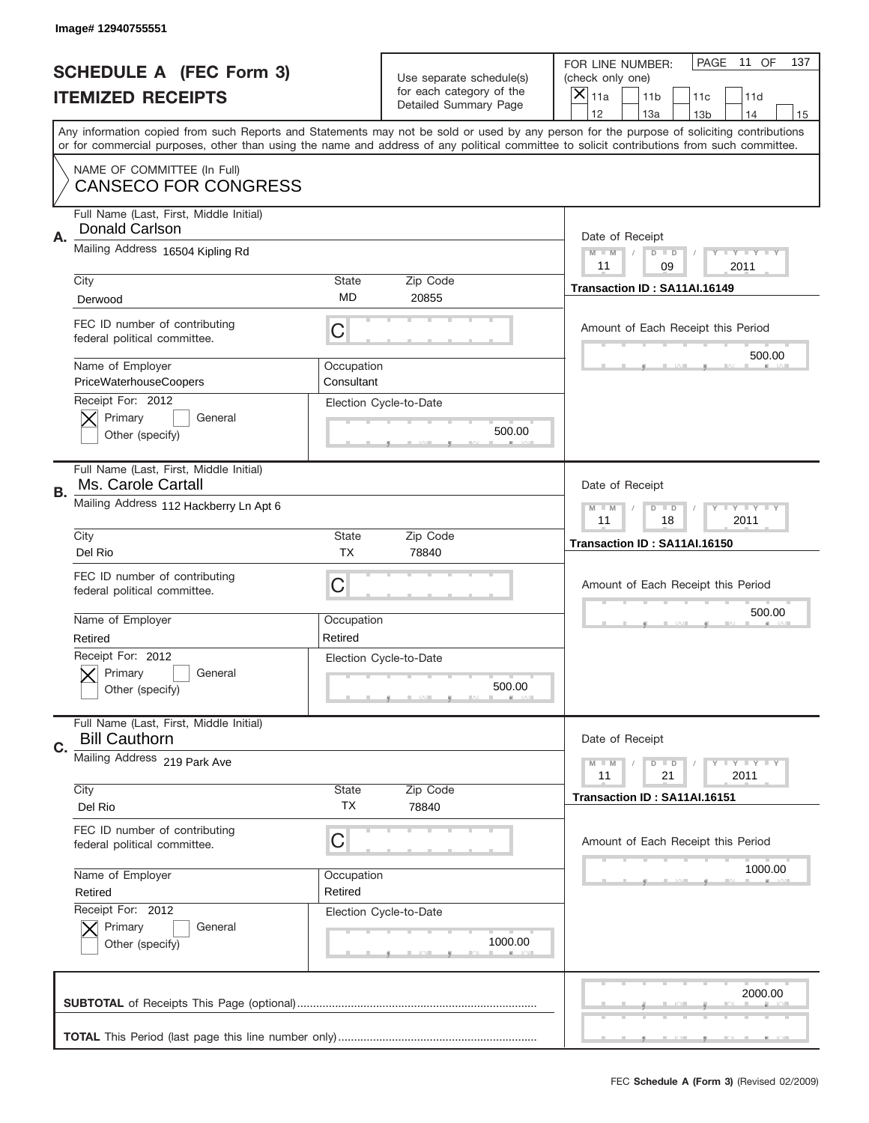|    | Image# 12940755551                                              |                          |                                                      |                                                                                                                                                                                                                                                                                                                               |
|----|-----------------------------------------------------------------|--------------------------|------------------------------------------------------|-------------------------------------------------------------------------------------------------------------------------------------------------------------------------------------------------------------------------------------------------------------------------------------------------------------------------------|
|    | <b>SCHEDULE A (FEC Form 3)</b>                                  |                          | Use separate schedule(s)<br>for each category of the | PAGE<br>11 OF<br>137<br>FOR LINE NUMBER:<br>(check only one)                                                                                                                                                                                                                                                                  |
|    | <b>ITEMIZED RECEIPTS</b>                                        |                          | Detailed Summary Page                                | ×<br>11a<br>11 <sub>b</sub><br>11c<br>11d<br>12                                                                                                                                                                                                                                                                               |
|    |                                                                 |                          |                                                      | 13a<br>14<br>13 <sub>b</sub><br>15<br>Any information copied from such Reports and Statements may not be sold or used by any person for the purpose of soliciting contributions<br>or for commercial purposes, other than using the name and address of any political committee to solicit contributions from such committee. |
|    | NAME OF COMMITTEE (In Full)<br><b>CANSECO FOR CONGRESS</b>      |                          |                                                      |                                                                                                                                                                                                                                                                                                                               |
| Α. | Full Name (Last, First, Middle Initial)<br>Donald Carlson       |                          |                                                      | Date of Receipt                                                                                                                                                                                                                                                                                                               |
|    | Mailing Address 16504 Kipling Rd                                |                          |                                                      | $M$ M<br>Y FY FY FY<br>$D$ $D$<br>11<br>09<br>2011                                                                                                                                                                                                                                                                            |
|    | City<br>Derwood                                                 | State<br><b>MD</b>       | Zip Code<br>20855                                    | Transaction ID: SA11AI.16149                                                                                                                                                                                                                                                                                                  |
|    | FEC ID number of contributing<br>federal political committee.   | C                        |                                                      | Amount of Each Receipt this Period                                                                                                                                                                                                                                                                                            |
|    | Name of Employer<br>PriceWaterhouseCoopers                      | Occupation<br>Consultant |                                                      | 500.00                                                                                                                                                                                                                                                                                                                        |
|    | Receipt For: 2012<br>Primary<br>General<br>Other (specify)      |                          | Election Cycle-to-Date<br>500.00                     |                                                                                                                                                                                                                                                                                                                               |
| В. | Full Name (Last, First, Middle Initial)<br>Ms. Carole Cartall   |                          |                                                      | Date of Receipt                                                                                                                                                                                                                                                                                                               |
|    | Mailing Address 112 Hackberry Ln Apt 6                          |                          |                                                      | $T$ $Y$ $T$ $Y$ $T$ $Y$<br>$M - M$<br>$D$ $D$<br>18<br>2011<br>11                                                                                                                                                                                                                                                             |
|    | City<br>Del Rio                                                 | State<br><b>TX</b>       | Zip Code<br>78840                                    | Transaction ID: SA11AI.16150                                                                                                                                                                                                                                                                                                  |
|    | FEC ID number of contributing<br>federal political committee.   | C                        |                                                      | Amount of Each Receipt this Period                                                                                                                                                                                                                                                                                            |
|    | Name of Employer<br>Retired                                     | Occupation<br>Retired    |                                                      | 500.00                                                                                                                                                                                                                                                                                                                        |
|    | Receipt For: 2012<br>General<br>Primary<br>Other (specify)      |                          | Election Cycle-to-Date<br>500.00                     |                                                                                                                                                                                                                                                                                                                               |
| C. | Full Name (Last, First, Middle Initial)<br><b>Bill Cauthorn</b> |                          |                                                      | Date of Receipt                                                                                                                                                                                                                                                                                                               |
|    | Mailing Address 219 Park Ave<br>City<br>Zip Code<br>State       |                          |                                                      | Y I Y I Y I Y<br>$M - M$<br>$D$ $D$<br>21<br>2011<br>11                                                                                                                                                                                                                                                                       |
|    | Del Rio                                                         | ТX                       | 78840                                                | Transaction ID: SA11AI.16151                                                                                                                                                                                                                                                                                                  |
|    | FEC ID number of contributing<br>federal political committee.   | C                        |                                                      | Amount of Each Receipt this Period                                                                                                                                                                                                                                                                                            |
|    | Name of Employer<br>Retired                                     | Occupation<br>Retired    |                                                      | 1000.00                                                                                                                                                                                                                                                                                                                       |
|    | Receipt For: 2012<br>Primary<br>General<br>Other (specify)      |                          | Election Cycle-to-Date<br>1000.00                    |                                                                                                                                                                                                                                                                                                                               |
|    |                                                                 |                          |                                                      | 2000.00                                                                                                                                                                                                                                                                                                                       |
|    |                                                                 |                          |                                                      |                                                                                                                                                                                                                                                                                                                               |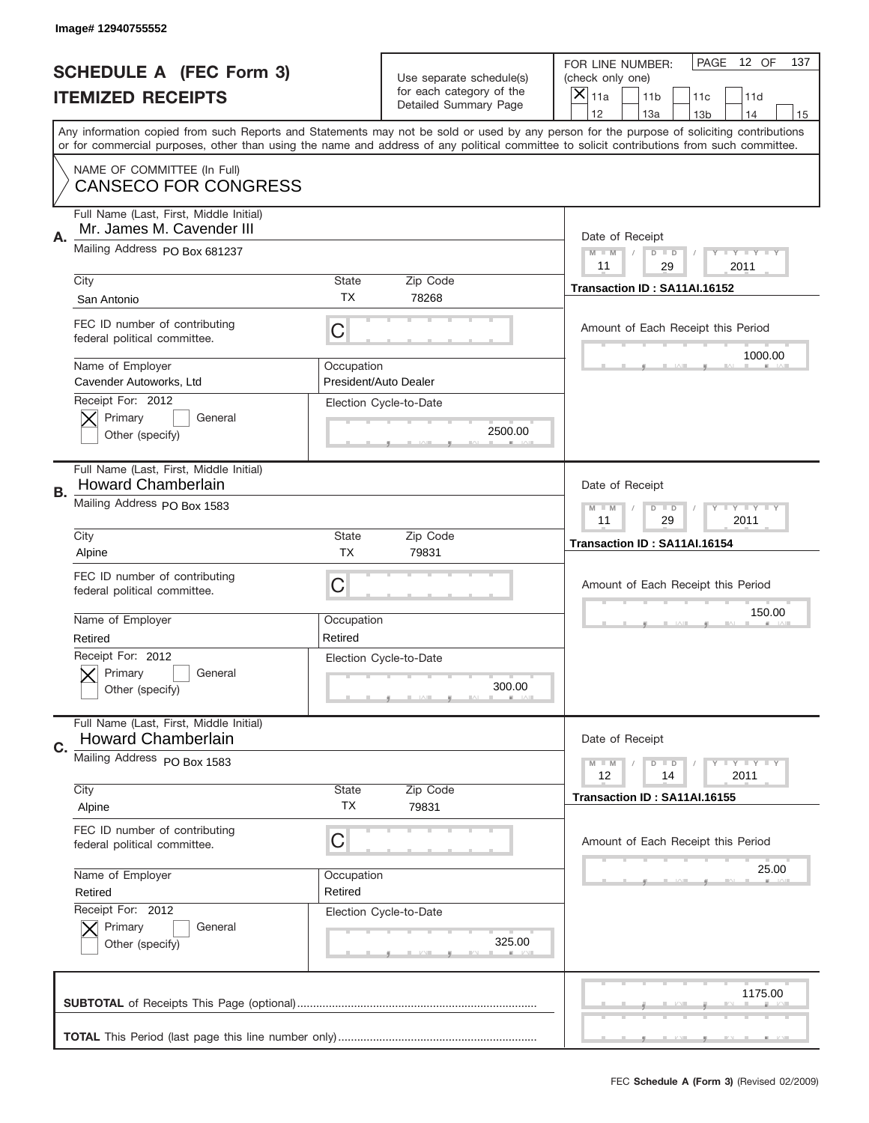|           | Image# 12940755552                                                   |                           |                                                   |                                                                                                                                                                                       |
|-----------|----------------------------------------------------------------------|---------------------------|---------------------------------------------------|---------------------------------------------------------------------------------------------------------------------------------------------------------------------------------------|
|           | <b>SCHEDULE A (FEC Form 3)</b>                                       |                           | Use separate schedule(s)                          | PAGE<br>12 OF<br>137<br>FOR LINE NUMBER:<br>(check only one)                                                                                                                          |
|           | <b>ITEMIZED RECEIPTS</b>                                             |                           | for each category of the<br>Detailed Summary Page | $\overline{X} _{11a}$<br>11 <sub>b</sub><br>11c<br>11d                                                                                                                                |
|           |                                                                      |                           |                                                   | 12<br>13a<br>14<br>13 <sub>b</sub><br>15<br>Any information copied from such Reports and Statements may not be sold or used by any person for the purpose of soliciting contributions |
|           |                                                                      |                           |                                                   | or for commercial purposes, other than using the name and address of any political committee to solicit contributions from such committee.                                            |
|           | NAME OF COMMITTEE (In Full)<br><b>CANSECO FOR CONGRESS</b>           |                           |                                                   |                                                                                                                                                                                       |
| Α.        | Full Name (Last, First, Middle Initial)<br>Mr. James M. Cavender III |                           |                                                   | Date of Receipt                                                                                                                                                                       |
|           | Mailing Address PO Box 681237                                        |                           |                                                   | <b>LYLYLY</b><br>$M - M$<br>$D$ $D$<br>11<br>29<br>2011                                                                                                                               |
|           | City                                                                 | <b>State</b>              | Zip Code                                          | Transaction ID: SA11AI.16152                                                                                                                                                          |
|           | San Antonio                                                          | <b>TX</b>                 | 78268                                             |                                                                                                                                                                                       |
|           | FEC ID number of contributing<br>federal political committee.        | C                         |                                                   | Amount of Each Receipt this Period<br>1000.00                                                                                                                                         |
|           | Name of Employer<br>Cavender Autoworks, Ltd                          | Occupation                | President/Auto Dealer                             |                                                                                                                                                                                       |
|           | Receipt For: 2012<br>Primary<br>General<br>Other (specify)           |                           | Election Cycle-to-Date<br>2500.00                 |                                                                                                                                                                                       |
|           | Full Name (Last, First, Middle Initial)<br><b>Howard Chamberlain</b> |                           |                                                   | Date of Receipt                                                                                                                                                                       |
| <b>B.</b> | Mailing Address PO Box 1583                                          |                           |                                                   | $M - M$<br>$D$ $D$<br><b>LYLYLY</b><br>11<br>29<br>2011                                                                                                                               |
|           | City<br>Alpine                                                       | <b>State</b><br><b>TX</b> | Zip Code<br>79831                                 | Transaction ID: SA11AI.16154                                                                                                                                                          |
|           | FEC ID number of contributing<br>federal political committee.        | С                         |                                                   | Amount of Each Receipt this Period                                                                                                                                                    |
|           | Name of Employer<br>Retired                                          | Occupation<br>Retired     |                                                   | 150.00                                                                                                                                                                                |
|           | Receipt For: 2012<br>General<br>Primary<br>Other (specify)           |                           | Election Cycle-to-Date<br>300.00                  |                                                                                                                                                                                       |
| C.        | Full Name (Last, First, Middle Initial)<br><b>Howard Chamberlain</b> |                           |                                                   | Date of Receipt                                                                                                                                                                       |
|           | Mailing Address PO Box 1583                                          |                           |                                                   | <b>LYLYLY</b><br>$M - M$<br>$D$ $D$<br>12<br>2011<br>14                                                                                                                               |
|           | City<br>Alpine                                                       | <b>State</b><br>ТX        | Zip Code<br>79831                                 | Transaction ID: SA11AI.16155                                                                                                                                                          |
|           | FEC ID number of contributing<br>federal political committee.        | С                         |                                                   | Amount of Each Receipt this Period                                                                                                                                                    |
|           | Name of Employer                                                     | Occupation                |                                                   | 25.00                                                                                                                                                                                 |
|           | Retired                                                              | Retired                   |                                                   |                                                                                                                                                                                       |
|           | Receipt For: 2012<br>Primary<br>General<br>Other (specify)           |                           | Election Cycle-to-Date<br>325.00                  |                                                                                                                                                                                       |
|           |                                                                      |                           |                                                   | 1175.00                                                                                                                                                                               |
|           |                                                                      |                           |                                                   |                                                                                                                                                                                       |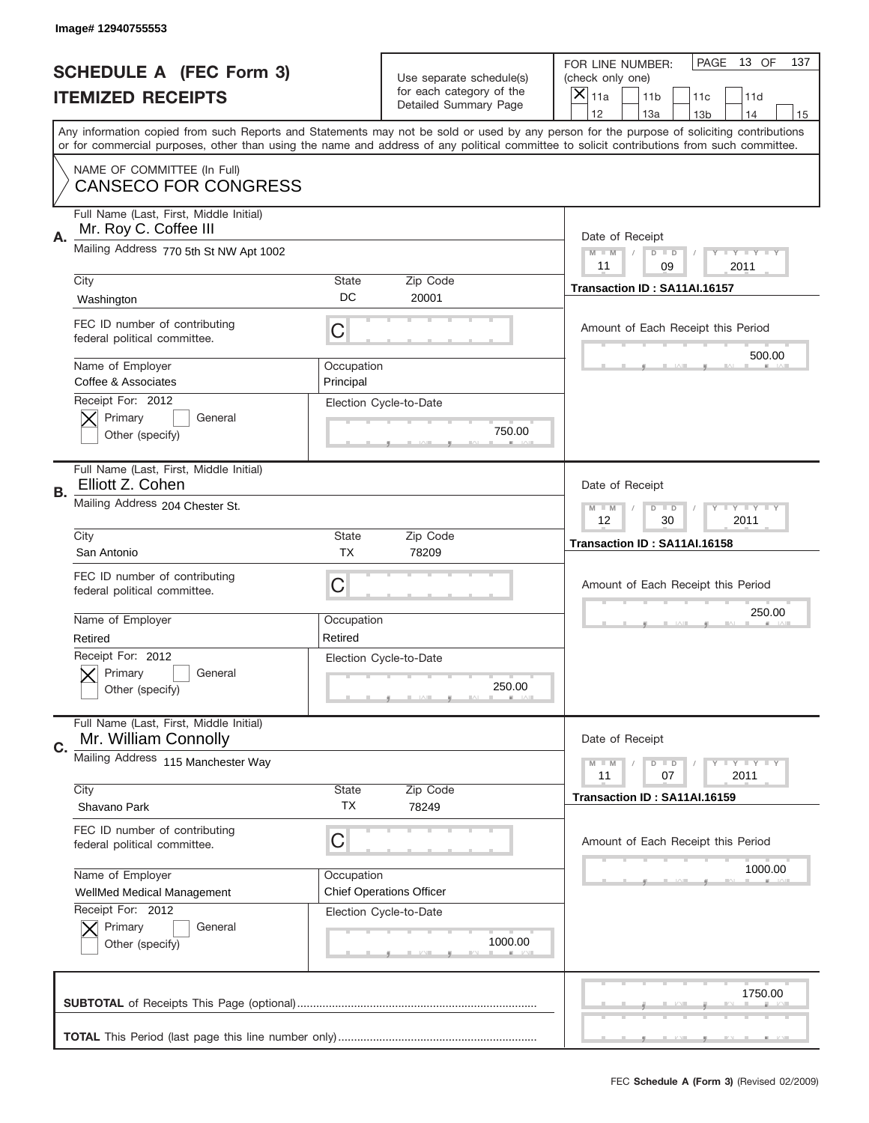|    | Image#12940755553                                                |                         |                                                   |                                                                                                                                                                                                                                                                                                                                     |
|----|------------------------------------------------------------------|-------------------------|---------------------------------------------------|-------------------------------------------------------------------------------------------------------------------------------------------------------------------------------------------------------------------------------------------------------------------------------------------------------------------------------------|
|    | <b>SCHEDULE A (FEC Form 3)</b>                                   |                         | Use separate schedule(s)                          | PAGE<br>13 OF<br>137<br>FOR LINE NUMBER:<br>(check only one)                                                                                                                                                                                                                                                                        |
|    | <b>ITEMIZED RECEIPTS</b>                                         |                         | for each category of the<br>Detailed Summary Page | ×<br>11a<br>11 <sub>b</sub><br>11c<br>11d                                                                                                                                                                                                                                                                                           |
|    |                                                                  |                         |                                                   | 12<br>13a<br>14<br>13 <sub>b</sub><br>15<br>Any information copied from such Reports and Statements may not be sold or used by any person for the purpose of soliciting contributions<br>or for commercial purposes, other than using the name and address of any political committee to solicit contributions from such committee. |
|    | NAME OF COMMITTEE (In Full)<br><b>CANSECO FOR CONGRESS</b>       |                         |                                                   |                                                                                                                                                                                                                                                                                                                                     |
| Α. | Full Name (Last, First, Middle Initial)<br>Mr. Roy C. Coffee III |                         |                                                   | Date of Receipt                                                                                                                                                                                                                                                                                                                     |
|    | Mailing Address 770 5th St NW Apt 1002                           |                         |                                                   | $M - M$<br><b>LEY LEY LEY</b><br>$D$ $D$<br>11<br>09<br>2011                                                                                                                                                                                                                                                                        |
|    | City<br>Washington                                               | State<br>DC             | Zip Code<br>20001                                 | Transaction ID: SA11AI.16157                                                                                                                                                                                                                                                                                                        |
|    | FEC ID number of contributing<br>federal political committee.    | C                       |                                                   | Amount of Each Receipt this Period<br>500.00                                                                                                                                                                                                                                                                                        |
|    | Name of Employer<br>Coffee & Associates                          | Occupation<br>Principal |                                                   |                                                                                                                                                                                                                                                                                                                                     |
|    | Receipt For: 2012<br>Primary<br>General<br>Other (specify)       |                         | Election Cycle-to-Date<br>750.00                  |                                                                                                                                                                                                                                                                                                                                     |
| В. | Full Name (Last, First, Middle Initial)<br>Elliott Z. Cohen      |                         |                                                   | Date of Receipt                                                                                                                                                                                                                                                                                                                     |
|    | Mailing Address 204 Chester St.                                  |                         |                                                   | $M$ M<br>$D$ $D$<br><b>LYLYLY</b><br>12<br>30<br>2011                                                                                                                                                                                                                                                                               |
|    | City<br>San Antonio                                              | State<br><b>TX</b>      | Zip Code<br>78209                                 | Transaction ID: SA11AI.16158                                                                                                                                                                                                                                                                                                        |
|    | FEC ID number of contributing<br>federal political committee.    | C                       |                                                   | Amount of Each Receipt this Period                                                                                                                                                                                                                                                                                                  |
|    | Name of Employer<br>Retired                                      | Occupation<br>Retired   |                                                   | 250.00                                                                                                                                                                                                                                                                                                                              |
|    | Receipt For: 2012<br>General<br>Primary<br>Other (specify)       |                         | Election Cycle-to-Date<br>250.00                  |                                                                                                                                                                                                                                                                                                                                     |
| C. | Full Name (Last, First, Middle Initial)<br>Mr. William Connolly  |                         |                                                   | Date of Receipt                                                                                                                                                                                                                                                                                                                     |
|    | Mailing Address 115 Manchester Way                               |                         |                                                   | <b>LYLYLY</b><br>$M - M$<br>$D$ $D$<br>07<br>2011<br>11                                                                                                                                                                                                                                                                             |
|    | City<br>Shavano Park                                             | <b>State</b><br>TX      | Zip Code<br>78249                                 | Transaction ID: SA11AI.16159                                                                                                                                                                                                                                                                                                        |
|    | FEC ID number of contributing                                    | C                       |                                                   | Amount of Each Receipt this Period                                                                                                                                                                                                                                                                                                  |
|    | federal political committee.                                     |                         |                                                   |                                                                                                                                                                                                                                                                                                                                     |
|    | Name of Employer<br>WellMed Medical Management                   | Occupation              | <b>Chief Operations Officer</b>                   | 1000.00                                                                                                                                                                                                                                                                                                                             |
|    | Receipt For: 2012<br>Primary<br>General<br>Other (specify)       |                         | Election Cycle-to-Date<br>1000.00                 |                                                                                                                                                                                                                                                                                                                                     |
|    |                                                                  |                         |                                                   | 1750.00                                                                                                                                                                                                                                                                                                                             |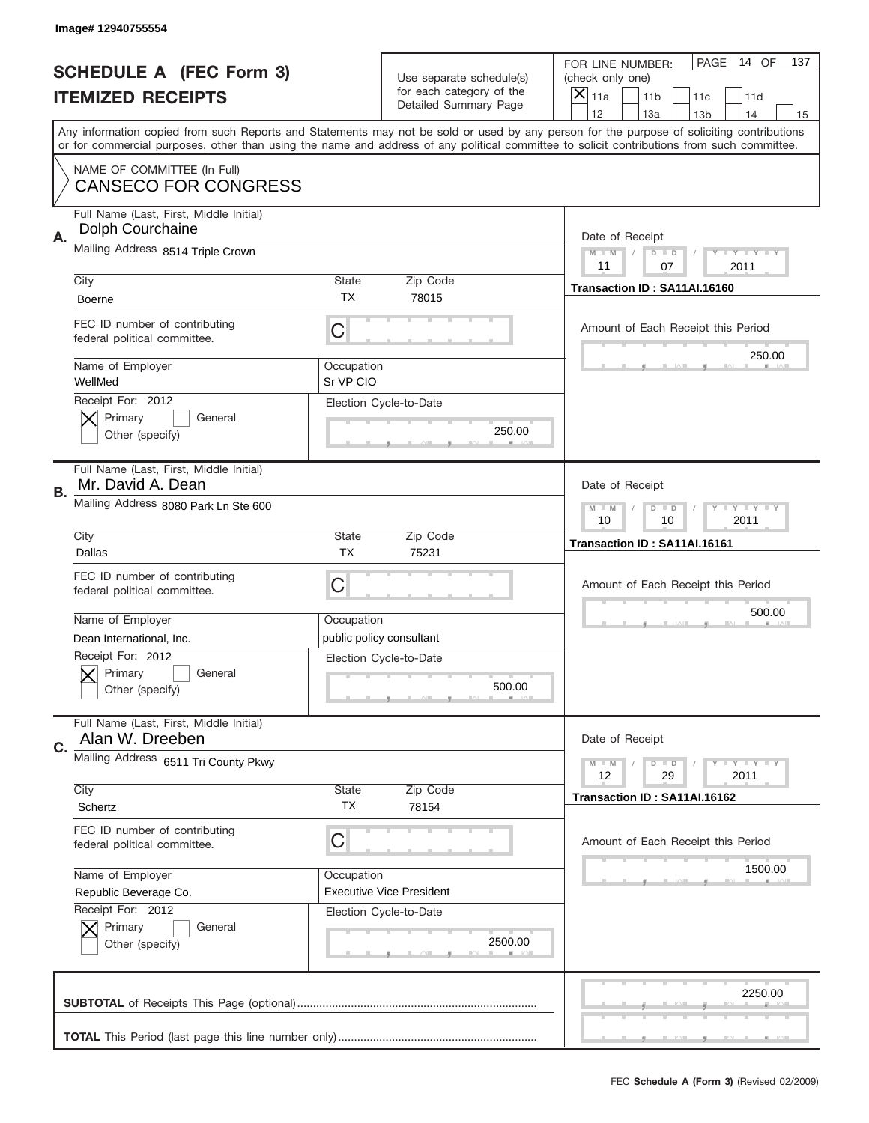|    | Image# 12940755554                                            |                         |                                                      |                                                                                                                                                                                                                                                                                                                                     |
|----|---------------------------------------------------------------|-------------------------|------------------------------------------------------|-------------------------------------------------------------------------------------------------------------------------------------------------------------------------------------------------------------------------------------------------------------------------------------------------------------------------------------|
|    | <b>SCHEDULE A (FEC Form 3)</b>                                |                         | Use separate schedule(s)<br>for each category of the | PAGE<br>14 OF<br>137<br>FOR LINE NUMBER:<br>(check only one)                                                                                                                                                                                                                                                                        |
|    | <b>ITEMIZED RECEIPTS</b>                                      |                         | Detailed Summary Page                                | ×<br>11a<br>11 <sub>b</sub><br>11c<br>11d                                                                                                                                                                                                                                                                                           |
|    |                                                               |                         |                                                      | 12<br>13a<br>14<br>13 <sub>b</sub><br>15<br>Any information copied from such Reports and Statements may not be sold or used by any person for the purpose of soliciting contributions<br>or for commercial purposes, other than using the name and address of any political committee to solicit contributions from such committee. |
|    | NAME OF COMMITTEE (In Full)<br><b>CANSECO FOR CONGRESS</b>    |                         |                                                      |                                                                                                                                                                                                                                                                                                                                     |
| Α. | Full Name (Last, First, Middle Initial)<br>Dolph Courchaine   |                         |                                                      | Date of Receipt                                                                                                                                                                                                                                                                                                                     |
|    | Mailing Address 8514 Triple Crown                             |                         |                                                      | $M - M$<br><b>LEY LEY LEY</b><br>$D$ $D$<br>11<br>07<br>2011                                                                                                                                                                                                                                                                        |
|    | City<br><b>Boerne</b>                                         | State<br><b>TX</b>      | Zip Code<br>78015                                    | Transaction ID: SA11AI.16160                                                                                                                                                                                                                                                                                                        |
|    | FEC ID number of contributing<br>federal political committee. | C                       |                                                      | Amount of Each Receipt this Period<br>250.00                                                                                                                                                                                                                                                                                        |
|    | Name of Employer<br>WellMed                                   | Occupation<br>Sr VP CIO |                                                      |                                                                                                                                                                                                                                                                                                                                     |
|    | Receipt For: 2012<br>Primary<br>General<br>Other (specify)    |                         | Election Cycle-to-Date<br>250.00                     |                                                                                                                                                                                                                                                                                                                                     |
| В. | Full Name (Last, First, Middle Initial)<br>Mr. David A. Dean  |                         |                                                      | Date of Receipt                                                                                                                                                                                                                                                                                                                     |
|    | Mailing Address 8080 Park Ln Ste 600                          |                         |                                                      | $M - M$<br>$D$ $D$<br><b>LYLYLY</b><br>10<br>10<br>2011                                                                                                                                                                                                                                                                             |
|    | City<br>Dallas                                                | State<br><b>TX</b>      | Zip Code<br>75231                                    | Transaction ID: SA11AI.16161                                                                                                                                                                                                                                                                                                        |
|    |                                                               |                         |                                                      |                                                                                                                                                                                                                                                                                                                                     |
|    | FEC ID number of contributing<br>federal political committee. | C                       |                                                      | Amount of Each Receipt this Period                                                                                                                                                                                                                                                                                                  |
|    | Name of Employer                                              | Occupation              |                                                      | 500.00                                                                                                                                                                                                                                                                                                                              |
|    | Dean International, Inc.                                      |                         | public policy consultant                             |                                                                                                                                                                                                                                                                                                                                     |
|    | Receipt For: 2012<br>General<br>Primary<br>Other (specify)    |                         | Election Cycle-to-Date<br>500.00                     |                                                                                                                                                                                                                                                                                                                                     |
| C. | Full Name (Last, First, Middle Initial)<br>Alan W. Dreeben    |                         |                                                      | Date of Receipt                                                                                                                                                                                                                                                                                                                     |
|    | Mailing Address 6511 Tri County Pkwy                          |                         |                                                      | <b>LY LY LY</b><br>$M - M$<br>$D$ $D$<br>12<br>29<br>2011                                                                                                                                                                                                                                                                           |
|    | City<br>Schertz                                               | <b>State</b><br>TX      | Zip Code<br>78154                                    | Transaction ID: SA11AI.16162                                                                                                                                                                                                                                                                                                        |
|    | FEC ID number of contributing<br>federal political committee. | C                       |                                                      | Amount of Each Receipt this Period                                                                                                                                                                                                                                                                                                  |
|    | Name of Employer<br>Republic Beverage Co.                     | Occupation              | <b>Executive Vice President</b>                      | 1500.00                                                                                                                                                                                                                                                                                                                             |
|    | Receipt For: 2012<br>Primary<br>General<br>Other (specify)    |                         | Election Cycle-to-Date<br>2500.00                    |                                                                                                                                                                                                                                                                                                                                     |
|    |                                                               |                         |                                                      | 2250.00                                                                                                                                                                                                                                                                                                                             |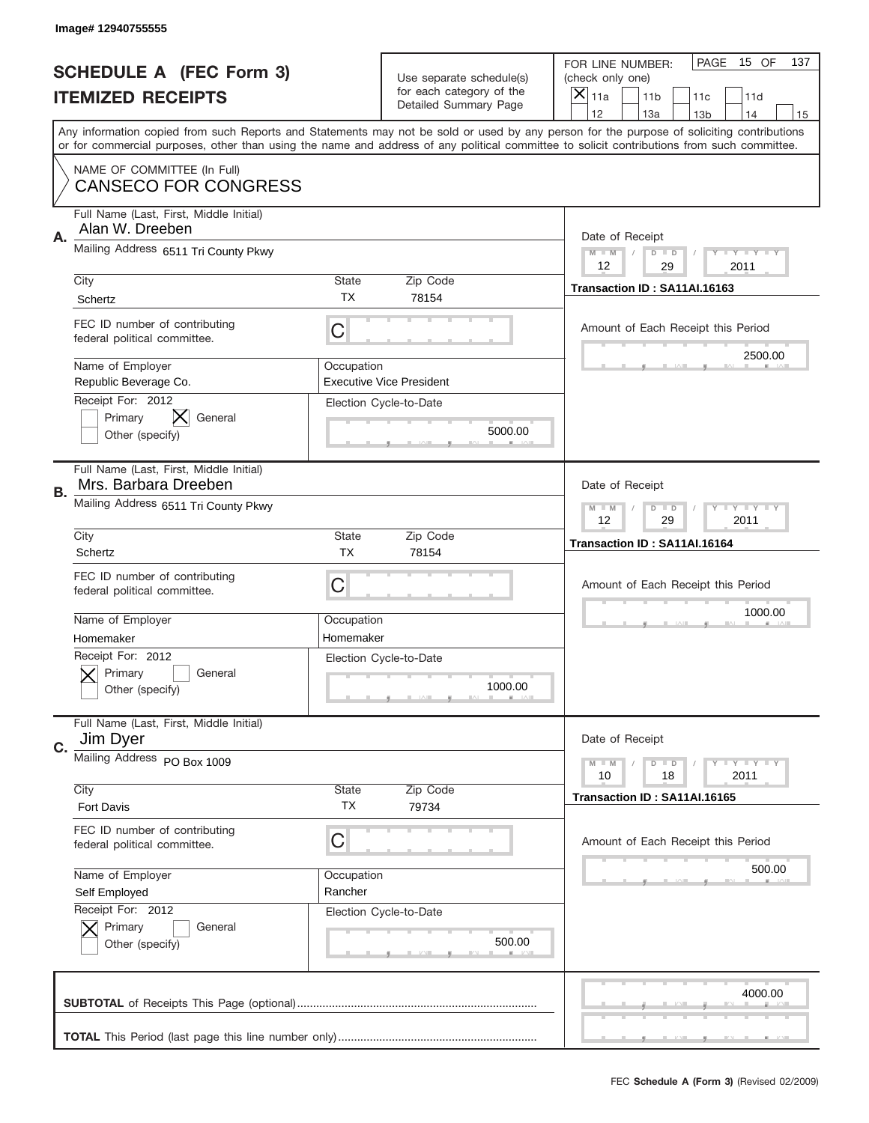| PAGE<br>15 OF<br>137<br>FOR LINE NUMBER:<br><b>SCHEDULE A (FEC Form 3)</b><br>Use separate schedule(s)<br>(check only one)<br>for each category of the<br>×<br><b>ITEMIZED RECEIPTS</b><br>11a<br>11 <sub>b</sub><br>11c<br>11d<br>Detailed Summary Page<br>12<br>13a<br>14<br>13 <sub>b</sub><br>15<br>Any information copied from such Reports and Statements may not be sold or used by any person for the purpose of soliciting contributions<br>or for commercial purposes, other than using the name and address of any political committee to solicit contributions from such committee.<br>NAME OF COMMITTEE (In Full)<br><b>CANSECO FOR CONGRESS</b><br>Full Name (Last, First, Middle Initial)<br>Alan W. Dreeben<br>Α.<br>Date of Receipt<br>Mailing Address 6511 Tri County Pkwy<br>$M - M$<br>Y FY FY FY<br>$D$ $D$<br>12<br>29<br>2011<br>City<br><b>State</b><br>Zip Code<br>Transaction ID: SA11AI.16163<br>TX<br>78154<br>Schertz<br>FEC ID number of contributing<br>C<br>Amount of Each Receipt this Period<br>federal political committee.<br>2500.00<br>Name of Employer<br>Occupation<br>Republic Beverage Co.<br><b>Executive Vice President</b><br>Receipt For: 2012<br>Election Cycle-to-Date<br>IX<br>Primary<br>General<br>5000.00<br>Other (specify)<br>Full Name (Last, First, Middle Initial)<br>Mrs. Barbara Dreeben<br>Date of Receipt<br>В.<br>Mailing Address 6511 Tri County Pkwy<br><b>LY LY LY</b><br>$M - M$<br>$D$ $D$<br>12<br>29<br>2011<br>City<br><b>State</b><br>Zip Code<br>Transaction ID: SA11AI.16164<br><b>TX</b><br>Schertz<br>78154<br>FEC ID number of contributing<br>C<br>Amount of Each Receipt this Period<br>federal political committee.<br>1000.00<br>Name of Employer<br>Occupation<br>Homemaker<br>Homemaker<br>Receipt For: 2012<br>Election Cycle-to-Date<br>General<br>Primary<br>1000.00<br>Other (specify)<br>Full Name (Last, First, Middle Initial)<br>Jim Dyer<br>Date of Receipt<br>C.<br>Mailing Address PO Box 1009<br>Y FY FY FY<br>$M - M$<br>$D$ $D$<br>18<br>2011<br>10<br>City<br>Zip Code<br>State<br>Transaction ID: SA11AI.16165<br>ТX<br><b>Fort Davis</b><br>79734<br>FEC ID number of contributing<br>C<br>Amount of Each Receipt this Period<br>federal political committee.<br>500.00<br>Name of Employer<br>Occupation<br>Rancher<br>Self Employed<br>Receipt For: 2012<br>Election Cycle-to-Date<br>Primary<br>General<br>500.00<br>Other (specify)<br>4000.00 | Image# 12940755555 |  |  |
|-------------------------------------------------------------------------------------------------------------------------------------------------------------------------------------------------------------------------------------------------------------------------------------------------------------------------------------------------------------------------------------------------------------------------------------------------------------------------------------------------------------------------------------------------------------------------------------------------------------------------------------------------------------------------------------------------------------------------------------------------------------------------------------------------------------------------------------------------------------------------------------------------------------------------------------------------------------------------------------------------------------------------------------------------------------------------------------------------------------------------------------------------------------------------------------------------------------------------------------------------------------------------------------------------------------------------------------------------------------------------------------------------------------------------------------------------------------------------------------------------------------------------------------------------------------------------------------------------------------------------------------------------------------------------------------------------------------------------------------------------------------------------------------------------------------------------------------------------------------------------------------------------------------------------------------------------------------------------------------------------------------------------------------------------------------------------------------------------------------------------------------------------------------------------------------------------------------------------------------------------------------------------------------------------------------------------------------------------------------------------------------------------------------------------------------------------------|--------------------|--|--|
|                                                                                                                                                                                                                                                                                                                                                                                                                                                                                                                                                                                                                                                                                                                                                                                                                                                                                                                                                                                                                                                                                                                                                                                                                                                                                                                                                                                                                                                                                                                                                                                                                                                                                                                                                                                                                                                                                                                                                                                                                                                                                                                                                                                                                                                                                                                                                                                                                                                       |                    |  |  |
|                                                                                                                                                                                                                                                                                                                                                                                                                                                                                                                                                                                                                                                                                                                                                                                                                                                                                                                                                                                                                                                                                                                                                                                                                                                                                                                                                                                                                                                                                                                                                                                                                                                                                                                                                                                                                                                                                                                                                                                                                                                                                                                                                                                                                                                                                                                                                                                                                                                       |                    |  |  |
|                                                                                                                                                                                                                                                                                                                                                                                                                                                                                                                                                                                                                                                                                                                                                                                                                                                                                                                                                                                                                                                                                                                                                                                                                                                                                                                                                                                                                                                                                                                                                                                                                                                                                                                                                                                                                                                                                                                                                                                                                                                                                                                                                                                                                                                                                                                                                                                                                                                       |                    |  |  |
|                                                                                                                                                                                                                                                                                                                                                                                                                                                                                                                                                                                                                                                                                                                                                                                                                                                                                                                                                                                                                                                                                                                                                                                                                                                                                                                                                                                                                                                                                                                                                                                                                                                                                                                                                                                                                                                                                                                                                                                                                                                                                                                                                                                                                                                                                                                                                                                                                                                       |                    |  |  |
|                                                                                                                                                                                                                                                                                                                                                                                                                                                                                                                                                                                                                                                                                                                                                                                                                                                                                                                                                                                                                                                                                                                                                                                                                                                                                                                                                                                                                                                                                                                                                                                                                                                                                                                                                                                                                                                                                                                                                                                                                                                                                                                                                                                                                                                                                                                                                                                                                                                       |                    |  |  |
|                                                                                                                                                                                                                                                                                                                                                                                                                                                                                                                                                                                                                                                                                                                                                                                                                                                                                                                                                                                                                                                                                                                                                                                                                                                                                                                                                                                                                                                                                                                                                                                                                                                                                                                                                                                                                                                                                                                                                                                                                                                                                                                                                                                                                                                                                                                                                                                                                                                       |                    |  |  |
|                                                                                                                                                                                                                                                                                                                                                                                                                                                                                                                                                                                                                                                                                                                                                                                                                                                                                                                                                                                                                                                                                                                                                                                                                                                                                                                                                                                                                                                                                                                                                                                                                                                                                                                                                                                                                                                                                                                                                                                                                                                                                                                                                                                                                                                                                                                                                                                                                                                       |                    |  |  |
|                                                                                                                                                                                                                                                                                                                                                                                                                                                                                                                                                                                                                                                                                                                                                                                                                                                                                                                                                                                                                                                                                                                                                                                                                                                                                                                                                                                                                                                                                                                                                                                                                                                                                                                                                                                                                                                                                                                                                                                                                                                                                                                                                                                                                                                                                                                                                                                                                                                       |                    |  |  |
|                                                                                                                                                                                                                                                                                                                                                                                                                                                                                                                                                                                                                                                                                                                                                                                                                                                                                                                                                                                                                                                                                                                                                                                                                                                                                                                                                                                                                                                                                                                                                                                                                                                                                                                                                                                                                                                                                                                                                                                                                                                                                                                                                                                                                                                                                                                                                                                                                                                       |                    |  |  |
|                                                                                                                                                                                                                                                                                                                                                                                                                                                                                                                                                                                                                                                                                                                                                                                                                                                                                                                                                                                                                                                                                                                                                                                                                                                                                                                                                                                                                                                                                                                                                                                                                                                                                                                                                                                                                                                                                                                                                                                                                                                                                                                                                                                                                                                                                                                                                                                                                                                       |                    |  |  |
|                                                                                                                                                                                                                                                                                                                                                                                                                                                                                                                                                                                                                                                                                                                                                                                                                                                                                                                                                                                                                                                                                                                                                                                                                                                                                                                                                                                                                                                                                                                                                                                                                                                                                                                                                                                                                                                                                                                                                                                                                                                                                                                                                                                                                                                                                                                                                                                                                                                       |                    |  |  |
|                                                                                                                                                                                                                                                                                                                                                                                                                                                                                                                                                                                                                                                                                                                                                                                                                                                                                                                                                                                                                                                                                                                                                                                                                                                                                                                                                                                                                                                                                                                                                                                                                                                                                                                                                                                                                                                                                                                                                                                                                                                                                                                                                                                                                                                                                                                                                                                                                                                       |                    |  |  |
|                                                                                                                                                                                                                                                                                                                                                                                                                                                                                                                                                                                                                                                                                                                                                                                                                                                                                                                                                                                                                                                                                                                                                                                                                                                                                                                                                                                                                                                                                                                                                                                                                                                                                                                                                                                                                                                                                                                                                                                                                                                                                                                                                                                                                                                                                                                                                                                                                                                       |                    |  |  |
|                                                                                                                                                                                                                                                                                                                                                                                                                                                                                                                                                                                                                                                                                                                                                                                                                                                                                                                                                                                                                                                                                                                                                                                                                                                                                                                                                                                                                                                                                                                                                                                                                                                                                                                                                                                                                                                                                                                                                                                                                                                                                                                                                                                                                                                                                                                                                                                                                                                       |                    |  |  |
|                                                                                                                                                                                                                                                                                                                                                                                                                                                                                                                                                                                                                                                                                                                                                                                                                                                                                                                                                                                                                                                                                                                                                                                                                                                                                                                                                                                                                                                                                                                                                                                                                                                                                                                                                                                                                                                                                                                                                                                                                                                                                                                                                                                                                                                                                                                                                                                                                                                       |                    |  |  |
|                                                                                                                                                                                                                                                                                                                                                                                                                                                                                                                                                                                                                                                                                                                                                                                                                                                                                                                                                                                                                                                                                                                                                                                                                                                                                                                                                                                                                                                                                                                                                                                                                                                                                                                                                                                                                                                                                                                                                                                                                                                                                                                                                                                                                                                                                                                                                                                                                                                       |                    |  |  |
|                                                                                                                                                                                                                                                                                                                                                                                                                                                                                                                                                                                                                                                                                                                                                                                                                                                                                                                                                                                                                                                                                                                                                                                                                                                                                                                                                                                                                                                                                                                                                                                                                                                                                                                                                                                                                                                                                                                                                                                                                                                                                                                                                                                                                                                                                                                                                                                                                                                       |                    |  |  |
|                                                                                                                                                                                                                                                                                                                                                                                                                                                                                                                                                                                                                                                                                                                                                                                                                                                                                                                                                                                                                                                                                                                                                                                                                                                                                                                                                                                                                                                                                                                                                                                                                                                                                                                                                                                                                                                                                                                                                                                                                                                                                                                                                                                                                                                                                                                                                                                                                                                       |                    |  |  |
|                                                                                                                                                                                                                                                                                                                                                                                                                                                                                                                                                                                                                                                                                                                                                                                                                                                                                                                                                                                                                                                                                                                                                                                                                                                                                                                                                                                                                                                                                                                                                                                                                                                                                                                                                                                                                                                                                                                                                                                                                                                                                                                                                                                                                                                                                                                                                                                                                                                       |                    |  |  |
|                                                                                                                                                                                                                                                                                                                                                                                                                                                                                                                                                                                                                                                                                                                                                                                                                                                                                                                                                                                                                                                                                                                                                                                                                                                                                                                                                                                                                                                                                                                                                                                                                                                                                                                                                                                                                                                                                                                                                                                                                                                                                                                                                                                                                                                                                                                                                                                                                                                       |                    |  |  |
|                                                                                                                                                                                                                                                                                                                                                                                                                                                                                                                                                                                                                                                                                                                                                                                                                                                                                                                                                                                                                                                                                                                                                                                                                                                                                                                                                                                                                                                                                                                                                                                                                                                                                                                                                                                                                                                                                                                                                                                                                                                                                                                                                                                                                                                                                                                                                                                                                                                       |                    |  |  |
|                                                                                                                                                                                                                                                                                                                                                                                                                                                                                                                                                                                                                                                                                                                                                                                                                                                                                                                                                                                                                                                                                                                                                                                                                                                                                                                                                                                                                                                                                                                                                                                                                                                                                                                                                                                                                                                                                                                                                                                                                                                                                                                                                                                                                                                                                                                                                                                                                                                       |                    |  |  |
|                                                                                                                                                                                                                                                                                                                                                                                                                                                                                                                                                                                                                                                                                                                                                                                                                                                                                                                                                                                                                                                                                                                                                                                                                                                                                                                                                                                                                                                                                                                                                                                                                                                                                                                                                                                                                                                                                                                                                                                                                                                                                                                                                                                                                                                                                                                                                                                                                                                       |                    |  |  |
|                                                                                                                                                                                                                                                                                                                                                                                                                                                                                                                                                                                                                                                                                                                                                                                                                                                                                                                                                                                                                                                                                                                                                                                                                                                                                                                                                                                                                                                                                                                                                                                                                                                                                                                                                                                                                                                                                                                                                                                                                                                                                                                                                                                                                                                                                                                                                                                                                                                       |                    |  |  |
|                                                                                                                                                                                                                                                                                                                                                                                                                                                                                                                                                                                                                                                                                                                                                                                                                                                                                                                                                                                                                                                                                                                                                                                                                                                                                                                                                                                                                                                                                                                                                                                                                                                                                                                                                                                                                                                                                                                                                                                                                                                                                                                                                                                                                                                                                                                                                                                                                                                       |                    |  |  |
|                                                                                                                                                                                                                                                                                                                                                                                                                                                                                                                                                                                                                                                                                                                                                                                                                                                                                                                                                                                                                                                                                                                                                                                                                                                                                                                                                                                                                                                                                                                                                                                                                                                                                                                                                                                                                                                                                                                                                                                                                                                                                                                                                                                                                                                                                                                                                                                                                                                       |                    |  |  |
|                                                                                                                                                                                                                                                                                                                                                                                                                                                                                                                                                                                                                                                                                                                                                                                                                                                                                                                                                                                                                                                                                                                                                                                                                                                                                                                                                                                                                                                                                                                                                                                                                                                                                                                                                                                                                                                                                                                                                                                                                                                                                                                                                                                                                                                                                                                                                                                                                                                       |                    |  |  |
|                                                                                                                                                                                                                                                                                                                                                                                                                                                                                                                                                                                                                                                                                                                                                                                                                                                                                                                                                                                                                                                                                                                                                                                                                                                                                                                                                                                                                                                                                                                                                                                                                                                                                                                                                                                                                                                                                                                                                                                                                                                                                                                                                                                                                                                                                                                                                                                                                                                       |                    |  |  |
|                                                                                                                                                                                                                                                                                                                                                                                                                                                                                                                                                                                                                                                                                                                                                                                                                                                                                                                                                                                                                                                                                                                                                                                                                                                                                                                                                                                                                                                                                                                                                                                                                                                                                                                                                                                                                                                                                                                                                                                                                                                                                                                                                                                                                                                                                                                                                                                                                                                       |                    |  |  |
|                                                                                                                                                                                                                                                                                                                                                                                                                                                                                                                                                                                                                                                                                                                                                                                                                                                                                                                                                                                                                                                                                                                                                                                                                                                                                                                                                                                                                                                                                                                                                                                                                                                                                                                                                                                                                                                                                                                                                                                                                                                                                                                                                                                                                                                                                                                                                                                                                                                       |                    |  |  |
|                                                                                                                                                                                                                                                                                                                                                                                                                                                                                                                                                                                                                                                                                                                                                                                                                                                                                                                                                                                                                                                                                                                                                                                                                                                                                                                                                                                                                                                                                                                                                                                                                                                                                                                                                                                                                                                                                                                                                                                                                                                                                                                                                                                                                                                                                                                                                                                                                                                       |                    |  |  |
|                                                                                                                                                                                                                                                                                                                                                                                                                                                                                                                                                                                                                                                                                                                                                                                                                                                                                                                                                                                                                                                                                                                                                                                                                                                                                                                                                                                                                                                                                                                                                                                                                                                                                                                                                                                                                                                                                                                                                                                                                                                                                                                                                                                                                                                                                                                                                                                                                                                       |                    |  |  |
|                                                                                                                                                                                                                                                                                                                                                                                                                                                                                                                                                                                                                                                                                                                                                                                                                                                                                                                                                                                                                                                                                                                                                                                                                                                                                                                                                                                                                                                                                                                                                                                                                                                                                                                                                                                                                                                                                                                                                                                                                                                                                                                                                                                                                                                                                                                                                                                                                                                       |                    |  |  |
|                                                                                                                                                                                                                                                                                                                                                                                                                                                                                                                                                                                                                                                                                                                                                                                                                                                                                                                                                                                                                                                                                                                                                                                                                                                                                                                                                                                                                                                                                                                                                                                                                                                                                                                                                                                                                                                                                                                                                                                                                                                                                                                                                                                                                                                                                                                                                                                                                                                       |                    |  |  |
|                                                                                                                                                                                                                                                                                                                                                                                                                                                                                                                                                                                                                                                                                                                                                                                                                                                                                                                                                                                                                                                                                                                                                                                                                                                                                                                                                                                                                                                                                                                                                                                                                                                                                                                                                                                                                                                                                                                                                                                                                                                                                                                                                                                                                                                                                                                                                                                                                                                       |                    |  |  |
|                                                                                                                                                                                                                                                                                                                                                                                                                                                                                                                                                                                                                                                                                                                                                                                                                                                                                                                                                                                                                                                                                                                                                                                                                                                                                                                                                                                                                                                                                                                                                                                                                                                                                                                                                                                                                                                                                                                                                                                                                                                                                                                                                                                                                                                                                                                                                                                                                                                       |                    |  |  |
|                                                                                                                                                                                                                                                                                                                                                                                                                                                                                                                                                                                                                                                                                                                                                                                                                                                                                                                                                                                                                                                                                                                                                                                                                                                                                                                                                                                                                                                                                                                                                                                                                                                                                                                                                                                                                                                                                                                                                                                                                                                                                                                                                                                                                                                                                                                                                                                                                                                       |                    |  |  |
|                                                                                                                                                                                                                                                                                                                                                                                                                                                                                                                                                                                                                                                                                                                                                                                                                                                                                                                                                                                                                                                                                                                                                                                                                                                                                                                                                                                                                                                                                                                                                                                                                                                                                                                                                                                                                                                                                                                                                                                                                                                                                                                                                                                                                                                                                                                                                                                                                                                       |                    |  |  |
|                                                                                                                                                                                                                                                                                                                                                                                                                                                                                                                                                                                                                                                                                                                                                                                                                                                                                                                                                                                                                                                                                                                                                                                                                                                                                                                                                                                                                                                                                                                                                                                                                                                                                                                                                                                                                                                                                                                                                                                                                                                                                                                                                                                                                                                                                                                                                                                                                                                       |                    |  |  |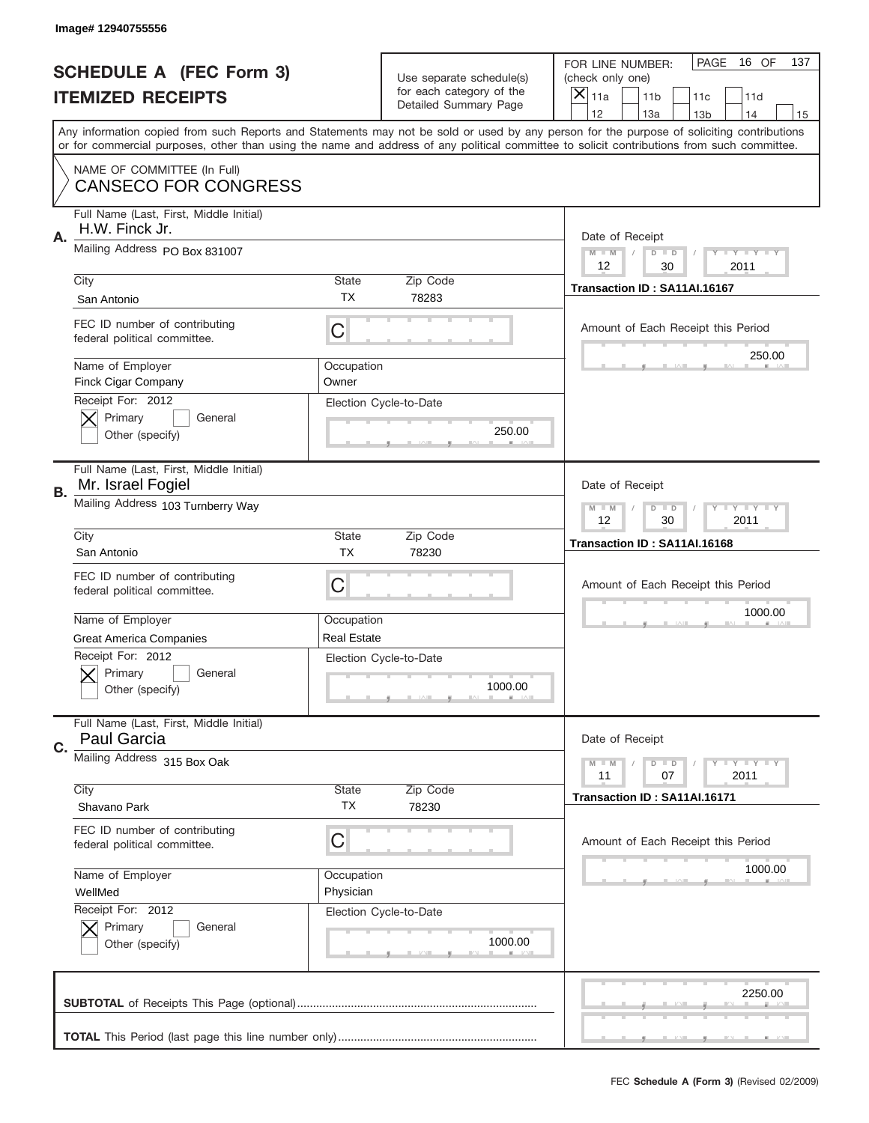|    | Image# 12940755556                                            |                                  |                                                      |                                                                                                                                                                                                                                                                                                                                     |
|----|---------------------------------------------------------------|----------------------------------|------------------------------------------------------|-------------------------------------------------------------------------------------------------------------------------------------------------------------------------------------------------------------------------------------------------------------------------------------------------------------------------------------|
|    | <b>SCHEDULE A (FEC Form 3)</b>                                |                                  | Use separate schedule(s)<br>for each category of the | PAGE<br>16 OF<br>137<br>FOR LINE NUMBER:<br>(check only one)                                                                                                                                                                                                                                                                        |
|    | <b>ITEMIZED RECEIPTS</b>                                      |                                  | Detailed Summary Page                                | ×<br>11a<br>11 <sub>b</sub><br>11c<br>11d                                                                                                                                                                                                                                                                                           |
|    |                                                               |                                  |                                                      | 12<br>13a<br>14<br>13 <sub>b</sub><br>15<br>Any information copied from such Reports and Statements may not be sold or used by any person for the purpose of soliciting contributions<br>or for commercial purposes, other than using the name and address of any political committee to solicit contributions from such committee. |
|    | NAME OF COMMITTEE (In Full)<br><b>CANSECO FOR CONGRESS</b>    |                                  |                                                      |                                                                                                                                                                                                                                                                                                                                     |
| Α. | Full Name (Last, First, Middle Initial)<br>H.W. Finck Jr.     |                                  |                                                      | Date of Receipt                                                                                                                                                                                                                                                                                                                     |
|    | Mailing Address PO Box 831007                                 |                                  |                                                      | $M$ M<br>Y FY FY FY<br>$D$ $D$<br>12<br>30<br>2011                                                                                                                                                                                                                                                                                  |
|    | City<br>San Antonio                                           | State<br><b>TX</b>               | Zip Code<br>78283                                    | Transaction ID: SA11AI.16167                                                                                                                                                                                                                                                                                                        |
|    | FEC ID number of contributing<br>federal political committee. | C                                |                                                      | Amount of Each Receipt this Period<br>250.00                                                                                                                                                                                                                                                                                        |
|    | Name of Employer<br>Finck Cigar Company<br>Receipt For: 2012  | Occupation<br>Owner              |                                                      |                                                                                                                                                                                                                                                                                                                                     |
|    | Primary<br>General<br>Other (specify)                         |                                  | Election Cycle-to-Date<br>250.00                     |                                                                                                                                                                                                                                                                                                                                     |
| В. | Full Name (Last, First, Middle Initial)<br>Mr. Israel Fogiel  |                                  |                                                      | Date of Receipt                                                                                                                                                                                                                                                                                                                     |
|    | Mailing Address 103 Turnberry Way                             |                                  |                                                      | $T$ $Y$ $T$ $Y$ $T$ $Y$<br>$M - M$<br>$D$ $D$<br>12<br>30<br>2011                                                                                                                                                                                                                                                                   |
|    | City<br>San Antonio                                           | State<br><b>TX</b>               | Zip Code<br>78230                                    | Transaction ID: SA11AI.16168                                                                                                                                                                                                                                                                                                        |
|    | FEC ID number of contributing<br>federal political committee. | C                                |                                                      | Amount of Each Receipt this Period                                                                                                                                                                                                                                                                                                  |
|    | Name of Employer<br><b>Great America Companies</b>            | Occupation<br><b>Real Estate</b> |                                                      | 1000.00                                                                                                                                                                                                                                                                                                                             |
|    | Receipt For: 2012<br>General<br>Primary<br>Other (specify)    |                                  | Election Cycle-to-Date<br>1000.00                    |                                                                                                                                                                                                                                                                                                                                     |
| C. | Full Name (Last, First, Middle Initial)<br>Paul Garcia        |                                  |                                                      | Date of Receipt                                                                                                                                                                                                                                                                                                                     |
|    | Mailing Address 315 Box Oak                                   |                                  |                                                      | Y I Y I Y I Y<br>$M - M$<br>$D$ $D$<br>2011<br>11<br>07                                                                                                                                                                                                                                                                             |
|    | City<br>Shavano Park                                          | State<br>ТX                      | Zip Code<br>78230                                    | Transaction ID: SA11AI.16171                                                                                                                                                                                                                                                                                                        |
|    | FEC ID number of contributing<br>federal political committee. | C                                |                                                      | Amount of Each Receipt this Period                                                                                                                                                                                                                                                                                                  |
|    | Name of Employer<br>WellMed                                   | Occupation<br>Physician          |                                                      | 1000.00                                                                                                                                                                                                                                                                                                                             |
|    | Receipt For: 2012<br>Primary<br>General<br>Other (specify)    |                                  | Election Cycle-to-Date<br>1000.00                    |                                                                                                                                                                                                                                                                                                                                     |
|    |                                                               |                                  |                                                      |                                                                                                                                                                                                                                                                                                                                     |
|    |                                                               |                                  |                                                      | 2250.00                                                                                                                                                                                                                                                                                                                             |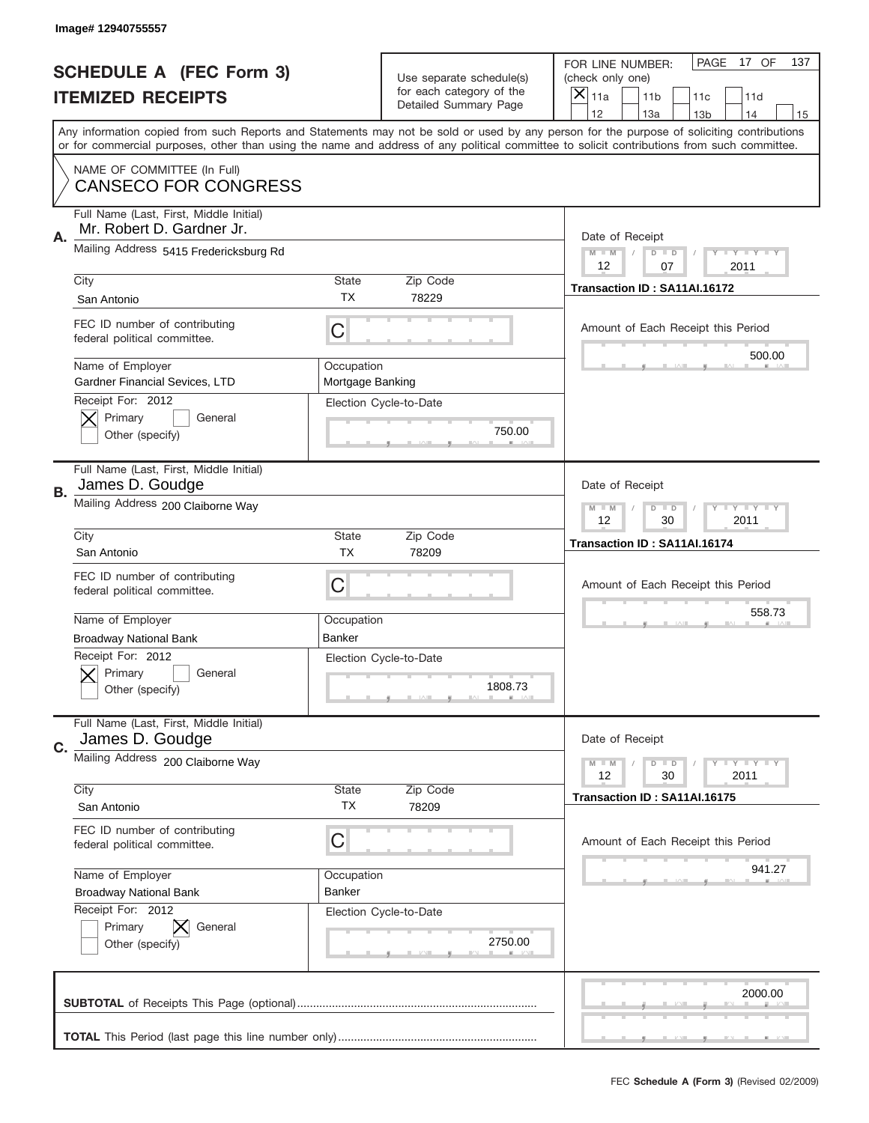|    | Image# 12940755557                                                      |                                |                                                   |                                                                                                                                                                                                                                                                                                                                     |
|----|-------------------------------------------------------------------------|--------------------------------|---------------------------------------------------|-------------------------------------------------------------------------------------------------------------------------------------------------------------------------------------------------------------------------------------------------------------------------------------------------------------------------------------|
|    | <b>SCHEDULE A (FEC Form 3)</b>                                          |                                | Use separate schedule(s)                          | PAGE<br>17 OF<br>137<br>FOR LINE NUMBER:<br>(check only one)                                                                                                                                                                                                                                                                        |
|    | <b>ITEMIZED RECEIPTS</b>                                                |                                | for each category of the<br>Detailed Summary Page | $\boldsymbol{\times}$<br>11a<br>11 <sub>b</sub><br>11c<br>11d                                                                                                                                                                                                                                                                       |
|    |                                                                         |                                |                                                   | 12<br>13a<br>14<br>13 <sub>b</sub><br>15<br>Any information copied from such Reports and Statements may not be sold or used by any person for the purpose of soliciting contributions<br>or for commercial purposes, other than using the name and address of any political committee to solicit contributions from such committee. |
|    | NAME OF COMMITTEE (In Full)<br><b>CANSECO FOR CONGRESS</b>              |                                |                                                   |                                                                                                                                                                                                                                                                                                                                     |
| Α. | Full Name (Last, First, Middle Initial)<br>Mr. Robert D. Gardner Jr.    |                                |                                                   | Date of Receipt                                                                                                                                                                                                                                                                                                                     |
|    | Mailing Address 5415 Fredericksburg Rd                                  |                                |                                                   | <b>LYLYLY</b><br>$M - M$<br>$D$ $D$<br>12<br>07<br>2011                                                                                                                                                                                                                                                                             |
|    | City<br>San Antonio                                                     | <b>State</b><br>TX.            | Zip Code<br>78229                                 | Transaction ID: SA11AI.16172                                                                                                                                                                                                                                                                                                        |
|    | FEC ID number of contributing<br>federal political committee.           | C                              |                                                   | Amount of Each Receipt this Period<br>500.00                                                                                                                                                                                                                                                                                        |
|    | Name of Employer<br>Gardner Financial Sevices, LTD<br>Receipt For: 2012 | Occupation<br>Mortgage Banking |                                                   |                                                                                                                                                                                                                                                                                                                                     |
|    | Primary<br>General<br>Other (specify)                                   |                                | Election Cycle-to-Date<br>750.00                  |                                                                                                                                                                                                                                                                                                                                     |
| В. | Full Name (Last, First, Middle Initial)<br>James D. Goudge              |                                |                                                   | Date of Receipt                                                                                                                                                                                                                                                                                                                     |
|    | Mailing Address 200 Claiborne Way                                       |                                |                                                   | $M - M$<br>$D$ $D$<br><b>LYLYLY</b><br>12<br>30<br>2011                                                                                                                                                                                                                                                                             |
|    | City<br>San Antonio                                                     | <b>State</b><br><b>TX</b>      | Zip Code<br>78209                                 | Transaction ID: SA11AI.16174                                                                                                                                                                                                                                                                                                        |
|    |                                                                         |                                |                                                   |                                                                                                                                                                                                                                                                                                                                     |
|    | FEC ID number of contributing<br>federal political committee.           | С                              |                                                   | Amount of Each Receipt this Period                                                                                                                                                                                                                                                                                                  |
|    | Name of Employer                                                        | Occupation                     |                                                   | 558.73                                                                                                                                                                                                                                                                                                                              |
|    | <b>Broadway National Bank</b>                                           | Banker                         |                                                   |                                                                                                                                                                                                                                                                                                                                     |
|    | Receipt For: 2012<br>General<br>Primary<br>Other (specify)              |                                | Election Cycle-to-Date<br>1808.73                 |                                                                                                                                                                                                                                                                                                                                     |
| C. | Full Name (Last, First, Middle Initial)<br>James D. Goudge              |                                |                                                   | Date of Receipt                                                                                                                                                                                                                                                                                                                     |
|    | Mailing Address 200 Claiborne Way                                       |                                |                                                   | <b>LYLYLY</b><br>$M - M$<br>$D$ $D$<br>12<br>30<br>2011                                                                                                                                                                                                                                                                             |
|    | City<br>San Antonio                                                     | <b>State</b><br>ТX             | Zip Code<br>78209                                 | Transaction ID: SA11AI.16175                                                                                                                                                                                                                                                                                                        |
|    | FEC ID number of contributing<br>federal political committee.           | С                              |                                                   | Amount of Each Receipt this Period                                                                                                                                                                                                                                                                                                  |
|    | Name of Employer<br><b>Broadway National Bank</b>                       | Occupation<br>Banker           |                                                   | 941.27                                                                                                                                                                                                                                                                                                                              |
|    | Receipt For: 2012<br>Primary<br>General<br>Other (specify)              |                                | Election Cycle-to-Date<br>2750.00                 |                                                                                                                                                                                                                                                                                                                                     |
|    |                                                                         |                                |                                                   | 2000.00                                                                                                                                                                                                                                                                                                                             |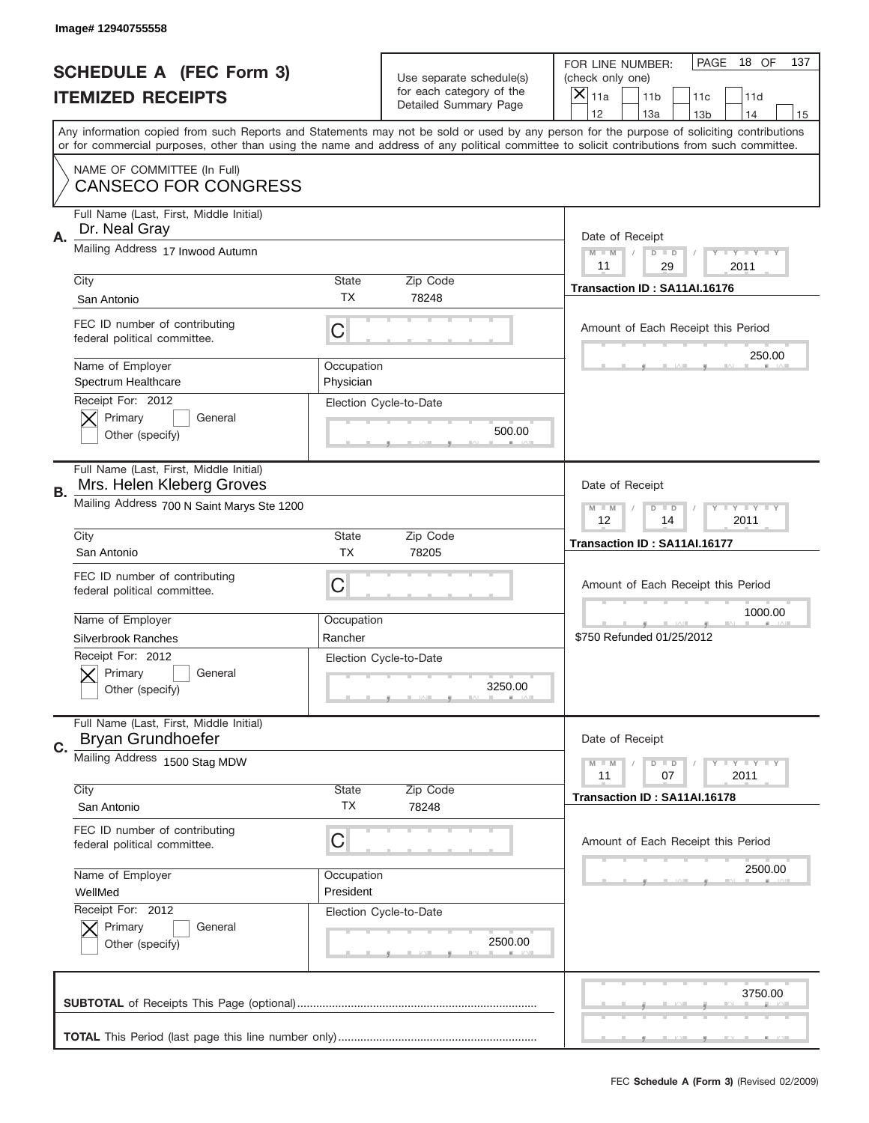|    | Image# 12940755558                                                                       |                         |                                                   |                                                                                                                                                                                                                                                                                                                                     |
|----|------------------------------------------------------------------------------------------|-------------------------|---------------------------------------------------|-------------------------------------------------------------------------------------------------------------------------------------------------------------------------------------------------------------------------------------------------------------------------------------------------------------------------------------|
|    | <b>SCHEDULE A (FEC Form 3)</b>                                                           |                         | Use separate schedule(s)                          | PAGE<br>18 OF<br>137<br>FOR LINE NUMBER:<br>(check only one)                                                                                                                                                                                                                                                                        |
|    | <b>ITEMIZED RECEIPTS</b>                                                                 |                         | for each category of the<br>Detailed Summary Page | ×<br>11a<br>11 <sub>b</sub><br>11d<br>11c                                                                                                                                                                                                                                                                                           |
|    |                                                                                          |                         |                                                   | 12<br>13a<br>14<br>13 <sub>b</sub><br>15<br>Any information copied from such Reports and Statements may not be sold or used by any person for the purpose of soliciting contributions<br>or for commercial purposes, other than using the name and address of any political committee to solicit contributions from such committee. |
|    | NAME OF COMMITTEE (In Full)<br><b>CANSECO FOR CONGRESS</b>                               |                         |                                                   |                                                                                                                                                                                                                                                                                                                                     |
| Α. | Full Name (Last, First, Middle Initial)<br>Dr. Neal Gray                                 |                         |                                                   | Date of Receipt                                                                                                                                                                                                                                                                                                                     |
|    | Mailing Address 17 Inwood Autumn                                                         |                         |                                                   | $M$ M<br>Y FY FY FY<br>$D$ $D$<br>11<br>29<br>2011                                                                                                                                                                                                                                                                                  |
|    | City<br>San Antonio                                                                      | State<br><b>TX</b>      | Zip Code<br>78248                                 | Transaction ID: SA11AI.16176                                                                                                                                                                                                                                                                                                        |
|    | FEC ID number of contributing<br>federal political committee.                            | C                       |                                                   | Amount of Each Receipt this Period<br>250.00                                                                                                                                                                                                                                                                                        |
|    | Name of Employer<br>Spectrum Healthcare<br>Receipt For: 2012                             | Occupation<br>Physician |                                                   |                                                                                                                                                                                                                                                                                                                                     |
|    | Primary<br>General<br>Other (specify)                                                    |                         | Election Cycle-to-Date<br>500.00                  |                                                                                                                                                                                                                                                                                                                                     |
| В. | Full Name (Last, First, Middle Initial)<br>Mrs. Helen Kleberg Groves                     |                         |                                                   | Date of Receipt                                                                                                                                                                                                                                                                                                                     |
|    | Mailing Address 700 N Saint Marys Ste 1200                                               |                         |                                                   | $T$ $Y$ $T$ $Y$ $T$ $Y$<br>$M - M$<br>$D$ $D$<br>12<br>14<br>2011                                                                                                                                                                                                                                                                   |
|    | City<br>San Antonio                                                                      | State<br><b>TX</b>      | Zip Code<br>78205                                 | Transaction ID: SA11AI.16177                                                                                                                                                                                                                                                                                                        |
|    | FEC ID number of contributing<br>federal political committee.                            | C                       |                                                   | Amount of Each Receipt this Period                                                                                                                                                                                                                                                                                                  |
|    | Name of Employer                                                                         | Occupation              |                                                   | 1000.00                                                                                                                                                                                                                                                                                                                             |
|    | <b>Silverbrook Ranches</b><br>Receipt For: 2012<br>General<br>Primary<br>Other (specify) | Rancher                 | Election Cycle-to-Date<br>3250.00                 | \$750 Refunded 01/25/2012                                                                                                                                                                                                                                                                                                           |
| C. | Full Name (Last, First, Middle Initial)<br>Bryan Grundhoefer                             |                         |                                                   | Date of Receipt                                                                                                                                                                                                                                                                                                                     |
|    | Mailing Address 1500 Stag MDW                                                            |                         |                                                   | <b>TEY LY LY</b><br>$M - M$<br>$D$ $D$<br>2011<br>11<br>07                                                                                                                                                                                                                                                                          |
|    | City<br>San Antonio                                                                      | State<br>ТX             | Zip Code<br>78248                                 | Transaction ID: SA11AI.16178                                                                                                                                                                                                                                                                                                        |
|    | FEC ID number of contributing<br>federal political committee.                            | C                       |                                                   | Amount of Each Receipt this Period                                                                                                                                                                                                                                                                                                  |
|    | Name of Employer<br>WellMed                                                              | Occupation<br>President |                                                   | 2500.00                                                                                                                                                                                                                                                                                                                             |
|    | Receipt For: 2012<br>Primary<br>General<br>Other (specify)                               |                         | Election Cycle-to-Date<br>2500.00                 |                                                                                                                                                                                                                                                                                                                                     |
|    |                                                                                          |                         |                                                   | 3750.00                                                                                                                                                                                                                                                                                                                             |
|    |                                                                                          |                         |                                                   |                                                                                                                                                                                                                                                                                                                                     |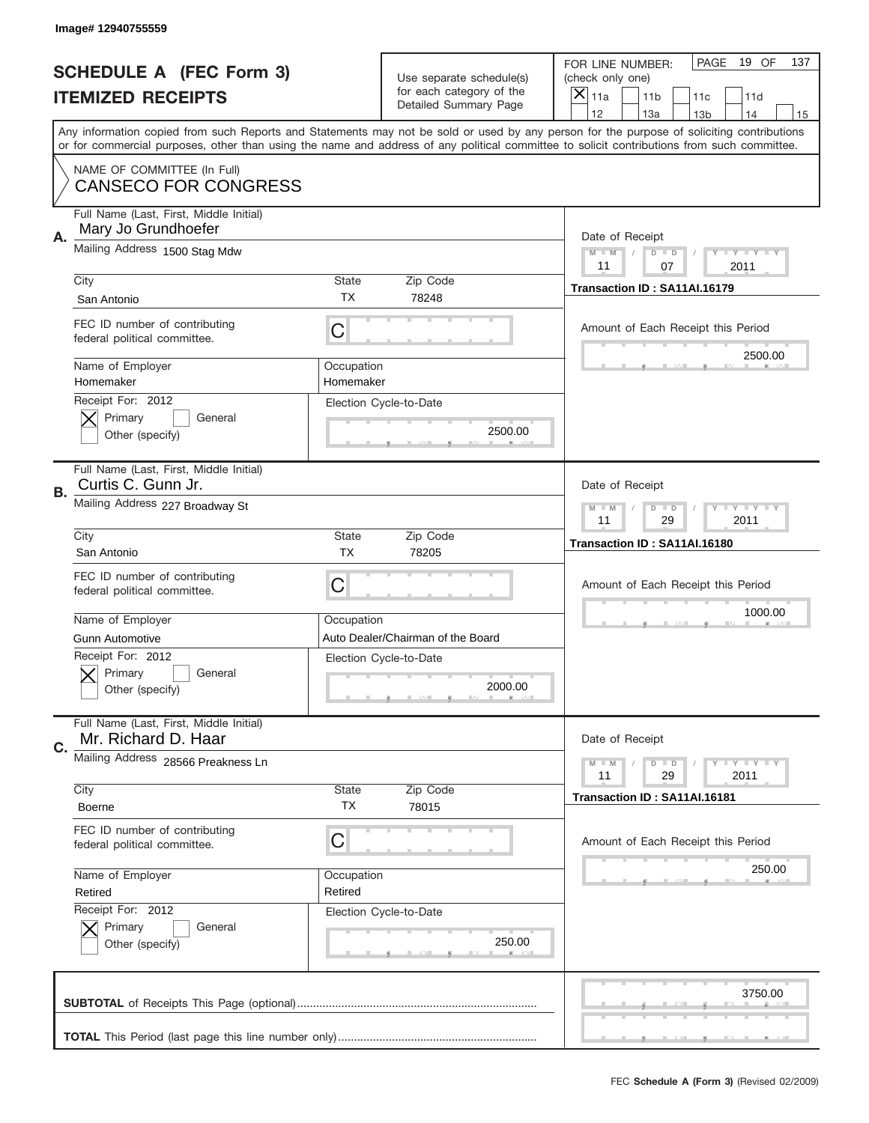|    | Image#12940755559                                              |                         |                                                   |                                                                                                                                                                                                                                                                                         |  |
|----|----------------------------------------------------------------|-------------------------|---------------------------------------------------|-----------------------------------------------------------------------------------------------------------------------------------------------------------------------------------------------------------------------------------------------------------------------------------------|--|
|    | <b>SCHEDULE A (FEC Form 3)</b>                                 |                         | Use separate schedule(s)                          | PAGE<br>19 OF<br>137<br>FOR LINE NUMBER:<br>(check only one)                                                                                                                                                                                                                            |  |
|    | <b>ITEMIZED RECEIPTS</b>                                       |                         | for each category of the<br>Detailed Summary Page | ×<br>11a<br>11 <sub>b</sub><br>11c<br>11d                                                                                                                                                                                                                                               |  |
|    |                                                                |                         |                                                   | 12<br>13a<br>14<br>13 <sub>b</sub><br>15                                                                                                                                                                                                                                                |  |
|    |                                                                |                         |                                                   | Any information copied from such Reports and Statements may not be sold or used by any person for the purpose of soliciting contributions<br>or for commercial purposes, other than using the name and address of any political committee to solicit contributions from such committee. |  |
|    | NAME OF COMMITTEE (In Full)<br><b>CANSECO FOR CONGRESS</b>     |                         |                                                   |                                                                                                                                                                                                                                                                                         |  |
|    |                                                                |                         |                                                   |                                                                                                                                                                                                                                                                                         |  |
| Α. | Full Name (Last, First, Middle Initial)<br>Mary Jo Grundhoefer |                         |                                                   | Date of Receipt                                                                                                                                                                                                                                                                         |  |
|    | Mailing Address 1500 Stag Mdw                                  |                         |                                                   | $M - M$<br><b>LEY LEY LEY</b><br>$D$ $D$<br>11<br>07<br>2011                                                                                                                                                                                                                            |  |
|    | City                                                           | State                   | Zip Code                                          |                                                                                                                                                                                                                                                                                         |  |
|    | San Antonio                                                    | <b>TX</b>               | 78248                                             | Transaction ID: SA11AI.16179                                                                                                                                                                                                                                                            |  |
|    | FEC ID number of contributing<br>federal political committee.  | C                       |                                                   | Amount of Each Receipt this Period                                                                                                                                                                                                                                                      |  |
|    | Name of Employer<br>Homemaker                                  | Occupation<br>Homemaker |                                                   | 2500.00                                                                                                                                                                                                                                                                                 |  |
|    | Receipt For: 2012<br>Primary<br>General<br>Other (specify)     |                         | Election Cycle-to-Date<br>2500.00                 |                                                                                                                                                                                                                                                                                         |  |
| В. | Full Name (Last, First, Middle Initial)<br>Curtis C. Gunn Jr.  |                         |                                                   | Date of Receipt                                                                                                                                                                                                                                                                         |  |
|    | Mailing Address 227 Broadway St                                |                         |                                                   | $M$ M<br>$D$ $D$<br><b>LYLYLY</b><br>11<br>29<br>2011                                                                                                                                                                                                                                   |  |
|    | City                                                           | State<br><b>TX</b>      | Zip Code                                          | Transaction ID: SA11AI.16180                                                                                                                                                                                                                                                            |  |
|    | San Antonio                                                    |                         | 78205                                             |                                                                                                                                                                                                                                                                                         |  |
|    | FEC ID number of contributing<br>federal political committee.  | C                       |                                                   | Amount of Each Receipt this Period                                                                                                                                                                                                                                                      |  |
|    | Name of Employer                                               | Occupation              |                                                   | 1000.00                                                                                                                                                                                                                                                                                 |  |
|    | Gunn Automotive                                                |                         | Auto Dealer/Chairman of the Board                 |                                                                                                                                                                                                                                                                                         |  |
|    | Receipt For: 2012<br>General<br>Primary<br>Other (specify)     |                         | Election Cycle-to-Date<br>2000.00                 |                                                                                                                                                                                                                                                                                         |  |
| C. | Full Name (Last, First, Middle Initial)<br>Mr. Richard D. Haar |                         |                                                   | Date of Receipt                                                                                                                                                                                                                                                                         |  |
|    | Mailing Address 28566 Preakness Ln                             |                         |                                                   | <b>LY LY LY</b><br>$M - M$<br>$D$ $D$<br>29<br>2011<br>11                                                                                                                                                                                                                               |  |
|    | City                                                           | <b>State</b>            | Zip Code                                          | Transaction ID: SA11AI.16181                                                                                                                                                                                                                                                            |  |
|    | <b>Boerne</b>                                                  | TX                      | 78015                                             |                                                                                                                                                                                                                                                                                         |  |
|    | FEC ID number of contributing<br>federal political committee.  | C                       |                                                   | Amount of Each Receipt this Period                                                                                                                                                                                                                                                      |  |
|    | Name of Employer                                               | Occupation              |                                                   | 250.00                                                                                                                                                                                                                                                                                  |  |
|    | Retired                                                        | Retired                 |                                                   |                                                                                                                                                                                                                                                                                         |  |
|    | Receipt For: 2012<br>Primary<br>General<br>Other (specify)     |                         | Election Cycle-to-Date<br>250.00                  |                                                                                                                                                                                                                                                                                         |  |
|    |                                                                |                         |                                                   | 3750.00                                                                                                                                                                                                                                                                                 |  |
|    |                                                                |                         |                                                   |                                                                                                                                                                                                                                                                                         |  |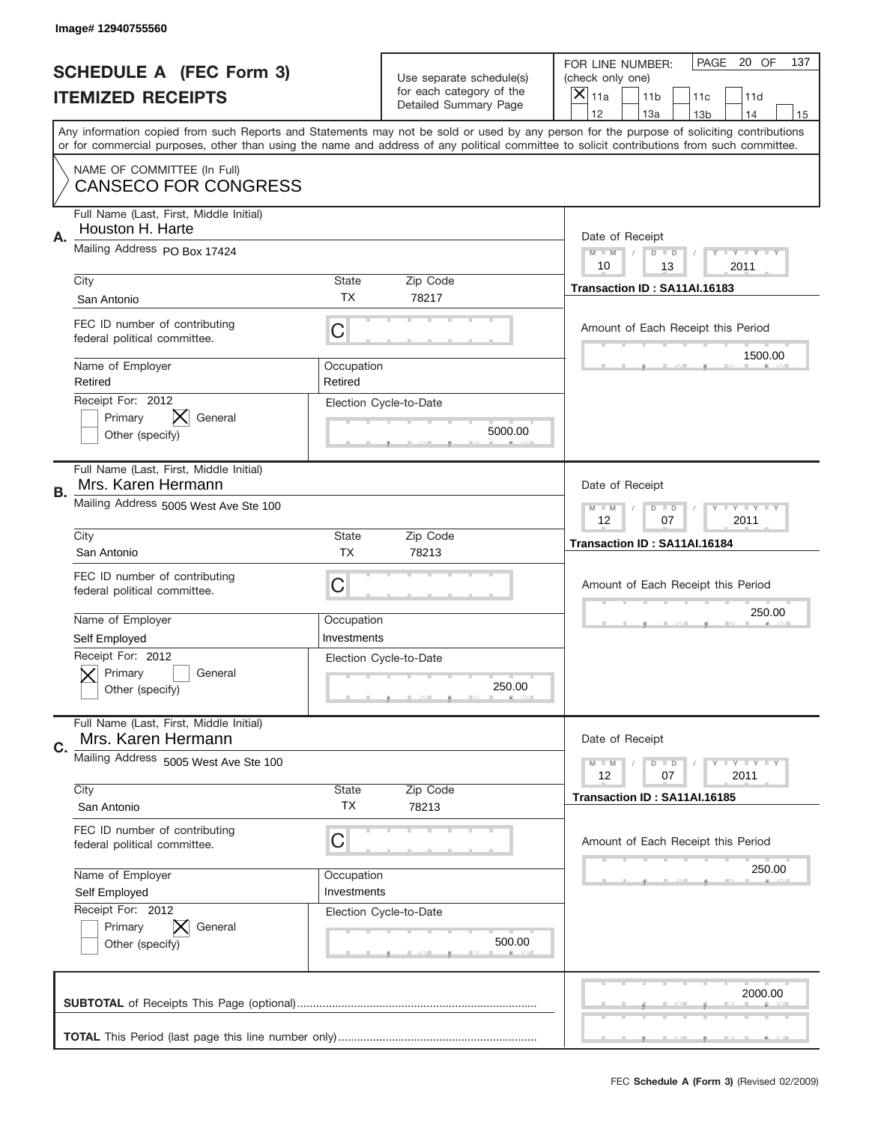|    | Image# 12940755560                                            |                           |                                                   |                                                                                                                                                                                                                                                                                                                                     |
|----|---------------------------------------------------------------|---------------------------|---------------------------------------------------|-------------------------------------------------------------------------------------------------------------------------------------------------------------------------------------------------------------------------------------------------------------------------------------------------------------------------------------|
|    | <b>SCHEDULE A (FEC Form 3)</b>                                |                           | Use separate schedule(s)                          | PAGE 20 OF<br>137<br>FOR LINE NUMBER:<br>(check only one)                                                                                                                                                                                                                                                                           |
|    | <b>ITEMIZED RECEIPTS</b>                                      |                           | for each category of the<br>Detailed Summary Page | ×<br>11a<br>11 <sub>b</sub><br>11c<br>11d                                                                                                                                                                                                                                                                                           |
|    |                                                               |                           |                                                   | 12<br>13a<br>14<br>13 <sub>b</sub><br>15<br>Any information copied from such Reports and Statements may not be sold or used by any person for the purpose of soliciting contributions<br>or for commercial purposes, other than using the name and address of any political committee to solicit contributions from such committee. |
|    | NAME OF COMMITTEE (In Full)<br><b>CANSECO FOR CONGRESS</b>    |                           |                                                   |                                                                                                                                                                                                                                                                                                                                     |
| Α. | Full Name (Last, First, Middle Initial)<br>Houston H. Harte   |                           |                                                   | Date of Receipt                                                                                                                                                                                                                                                                                                                     |
|    | Mailing Address PO Box 17424                                  |                           |                                                   | $M - M$<br><b>LEY LEY LEY</b><br>$D$ $D$<br>10<br>13<br>2011                                                                                                                                                                                                                                                                        |
|    | City<br>San Antonio                                           | State<br><b>TX</b>        | Zip Code<br>78217                                 | Transaction ID: SA11AI.16183                                                                                                                                                                                                                                                                                                        |
|    | FEC ID number of contributing<br>federal political committee. | C                         |                                                   | Amount of Each Receipt this Period<br>1500.00                                                                                                                                                                                                                                                                                       |
|    | Name of Employer<br>Retired                                   | Occupation<br>Retired     |                                                   |                                                                                                                                                                                                                                                                                                                                     |
|    | Receipt For: 2012<br>Primary<br>General<br>Other (specify)    |                           | Election Cycle-to-Date<br>5000.00                 |                                                                                                                                                                                                                                                                                                                                     |
| В. | Full Name (Last, First, Middle Initial)<br>Mrs. Karen Hermann |                           |                                                   | Date of Receipt                                                                                                                                                                                                                                                                                                                     |
|    | Mailing Address 5005 West Ave Ste 100                         |                           |                                                   | $M - M$<br>$D$ $D$<br><b>LYLYLY</b><br>12<br>07<br>2011                                                                                                                                                                                                                                                                             |
|    | City<br>San Antonio                                           | State<br><b>TX</b>        | Zip Code<br>78213                                 | Transaction ID: SA11AI.16184                                                                                                                                                                                                                                                                                                        |
|    | FEC ID number of contributing<br>federal political committee. | C                         |                                                   | Amount of Each Receipt this Period                                                                                                                                                                                                                                                                                                  |
|    |                                                               |                           |                                                   | 250.00                                                                                                                                                                                                                                                                                                                              |
|    | Name of Employer<br>Self Employed                             | Occupation<br>Investments |                                                   |                                                                                                                                                                                                                                                                                                                                     |
|    | Receipt For: 2012<br>General<br>Primary<br>Other (specify)    |                           | Election Cycle-to-Date<br>250.00                  |                                                                                                                                                                                                                                                                                                                                     |
| C. | Full Name (Last, First, Middle Initial)<br>Mrs. Karen Hermann |                           |                                                   | Date of Receipt                                                                                                                                                                                                                                                                                                                     |
|    | Mailing Address 5005 West Ave Ste 100                         |                           |                                                   | $D$ $D$<br><b>LY LY LY</b><br>$M - M$<br>12<br>07<br>2011                                                                                                                                                                                                                                                                           |
|    | City<br>San Antonio                                           | <b>State</b><br>TX        | Zip Code<br>78213                                 | Transaction ID: SA11AI.16185                                                                                                                                                                                                                                                                                                        |
|    | FEC ID number of contributing<br>federal political committee. | C                         |                                                   | Amount of Each Receipt this Period                                                                                                                                                                                                                                                                                                  |
|    | Name of Employer<br>Self Employed                             | Occupation<br>Investments |                                                   | 250.00                                                                                                                                                                                                                                                                                                                              |
|    | Receipt For: 2012<br>Primary<br>General<br>Other (specify)    |                           | Election Cycle-to-Date<br>500.00                  |                                                                                                                                                                                                                                                                                                                                     |
|    |                                                               |                           |                                                   | 2000.00                                                                                                                                                                                                                                                                                                                             |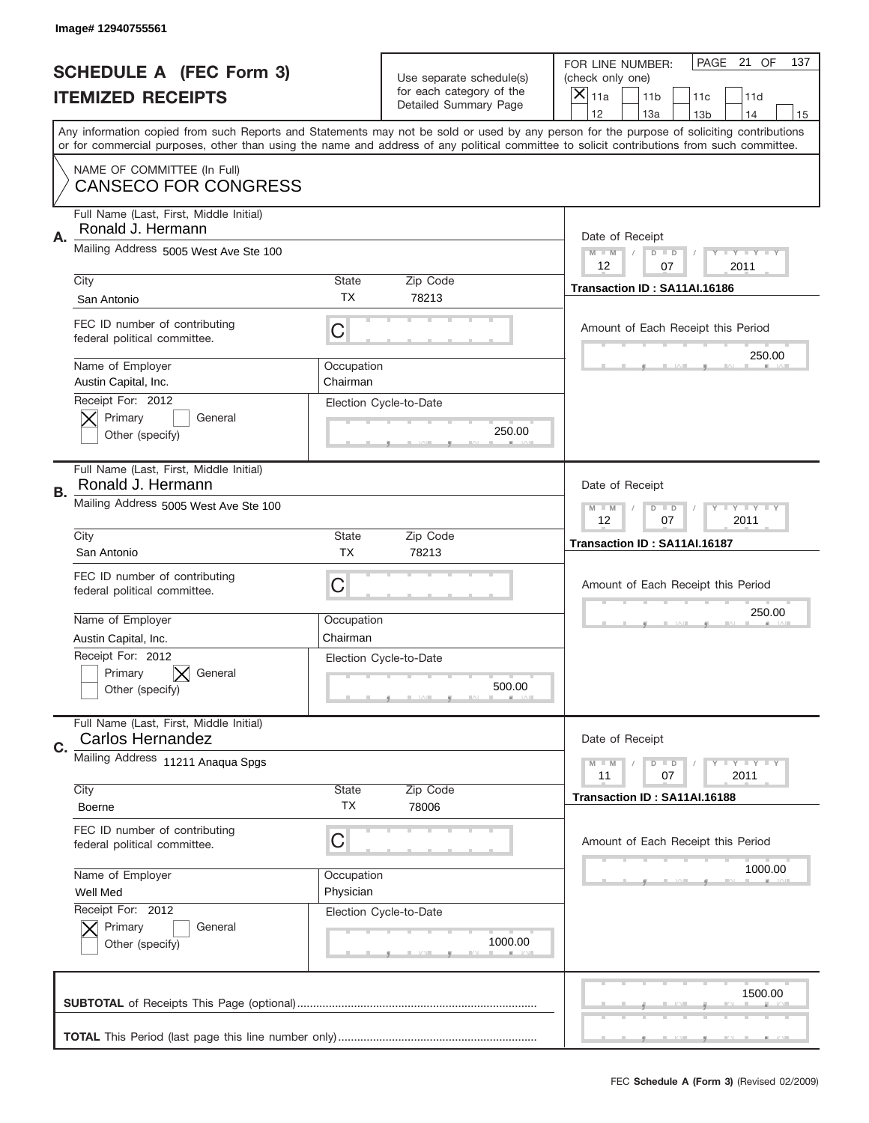|    | Image# 12940755561                                                          |                         |                                                      |                                                                                                                                                                                                                                                                                                                  |
|----|-----------------------------------------------------------------------------|-------------------------|------------------------------------------------------|------------------------------------------------------------------------------------------------------------------------------------------------------------------------------------------------------------------------------------------------------------------------------------------------------------------|
|    | <b>SCHEDULE A (FEC Form 3)</b>                                              |                         | Use separate schedule(s)<br>for each category of the | PAGE<br>21 OF<br>137<br>FOR LINE NUMBER:<br>(check only one)                                                                                                                                                                                                                                                     |
|    | <b>ITEMIZED RECEIPTS</b>                                                    |                         | Detailed Summary Page                                | ×<br>11a<br>11 <sub>b</sub><br>11c<br>11d<br>12<br>13a<br>14                                                                                                                                                                                                                                                     |
|    |                                                                             |                         |                                                      | 13 <sub>b</sub><br>15<br>Any information copied from such Reports and Statements may not be sold or used by any person for the purpose of soliciting contributions<br>or for commercial purposes, other than using the name and address of any political committee to solicit contributions from such committee. |
|    | NAME OF COMMITTEE (In Full)<br><b>CANSECO FOR CONGRESS</b>                  |                         |                                                      |                                                                                                                                                                                                                                                                                                                  |
| Α. | Full Name (Last, First, Middle Initial)<br>Ronald J. Hermann                |                         |                                                      | Date of Receipt                                                                                                                                                                                                                                                                                                  |
|    | Mailing Address 5005 West Ave Ste 100                                       |                         |                                                      | $M$ M<br>Y FY FY FY<br>$D$ $D$<br>12<br>07<br>2011                                                                                                                                                                                                                                                               |
|    | City<br>San Antonio                                                         | State<br><b>TX</b>      | Zip Code<br>78213                                    | Transaction ID: SA11AI.16186                                                                                                                                                                                                                                                                                     |
|    | FEC ID number of contributing<br>federal political committee.               | C                       |                                                      | Amount of Each Receipt this Period<br>250.00                                                                                                                                                                                                                                                                     |
|    | Name of Employer<br>Austin Capital, Inc.                                    | Occupation<br>Chairman  |                                                      |                                                                                                                                                                                                                                                                                                                  |
|    | Receipt For: 2012<br>Primary<br>General<br>Other (specify)                  |                         | Election Cycle-to-Date<br>250.00                     |                                                                                                                                                                                                                                                                                                                  |
| В. | Full Name (Last, First, Middle Initial)<br>Ronald J. Hermann                |                         |                                                      | Date of Receipt                                                                                                                                                                                                                                                                                                  |
|    | Mailing Address 5005 West Ave Ste 100                                       |                         |                                                      | $T$ $Y$ $T$ $Y$ $T$ $Y$<br>$M - M$<br>$D$ $D$<br>12<br>07<br>2011                                                                                                                                                                                                                                                |
|    | City<br>San Antonio                                                         | State<br><b>TX</b>      | Zip Code<br>78213                                    | Transaction ID: SA11AI.16187                                                                                                                                                                                                                                                                                     |
|    | FEC ID number of contributing<br>federal political committee.               | C                       |                                                      | Amount of Each Receipt this Period                                                                                                                                                                                                                                                                               |
|    | Name of Employer<br>Austin Capital, Inc.                                    | Occupation<br>Chairman  |                                                      | 250.00                                                                                                                                                                                                                                                                                                           |
|    | Receipt For: 2012<br>General<br>Primary<br>Other (specify)                  |                         | Election Cycle-to-Date<br>500.00                     |                                                                                                                                                                                                                                                                                                                  |
| C. | Full Name (Last, First, Middle Initial)<br><b>Carlos Hernandez</b>          |                         |                                                      | Date of Receipt                                                                                                                                                                                                                                                                                                  |
|    | Mailing Address 11211 Anaqua Spgs                                           |                         | Zip Code                                             | Y I Y I Y I Y<br>$M - M$<br>$D$ $D$<br>2011<br>11<br>07                                                                                                                                                                                                                                                          |
|    | City<br><b>Boerne</b>                                                       | State<br>ТX             | 78006                                                | Transaction ID: SA11AI.16188                                                                                                                                                                                                                                                                                     |
|    | FEC ID number of contributing<br>federal political committee.               | C                       |                                                      | Amount of Each Receipt this Period                                                                                                                                                                                                                                                                               |
|    | Name of Employer<br>Well Med                                                | Occupation<br>Physician |                                                      | 1000.00                                                                                                                                                                                                                                                                                                          |
|    | Receipt For: 2012<br>Primary<br>General<br>$\bm{\times}$<br>Other (specify) |                         | Election Cycle-to-Date<br>1000.00                    |                                                                                                                                                                                                                                                                                                                  |
|    |                                                                             |                         |                                                      | 1500.00                                                                                                                                                                                                                                                                                                          |
|    |                                                                             |                         |                                                      |                                                                                                                                                                                                                                                                                                                  |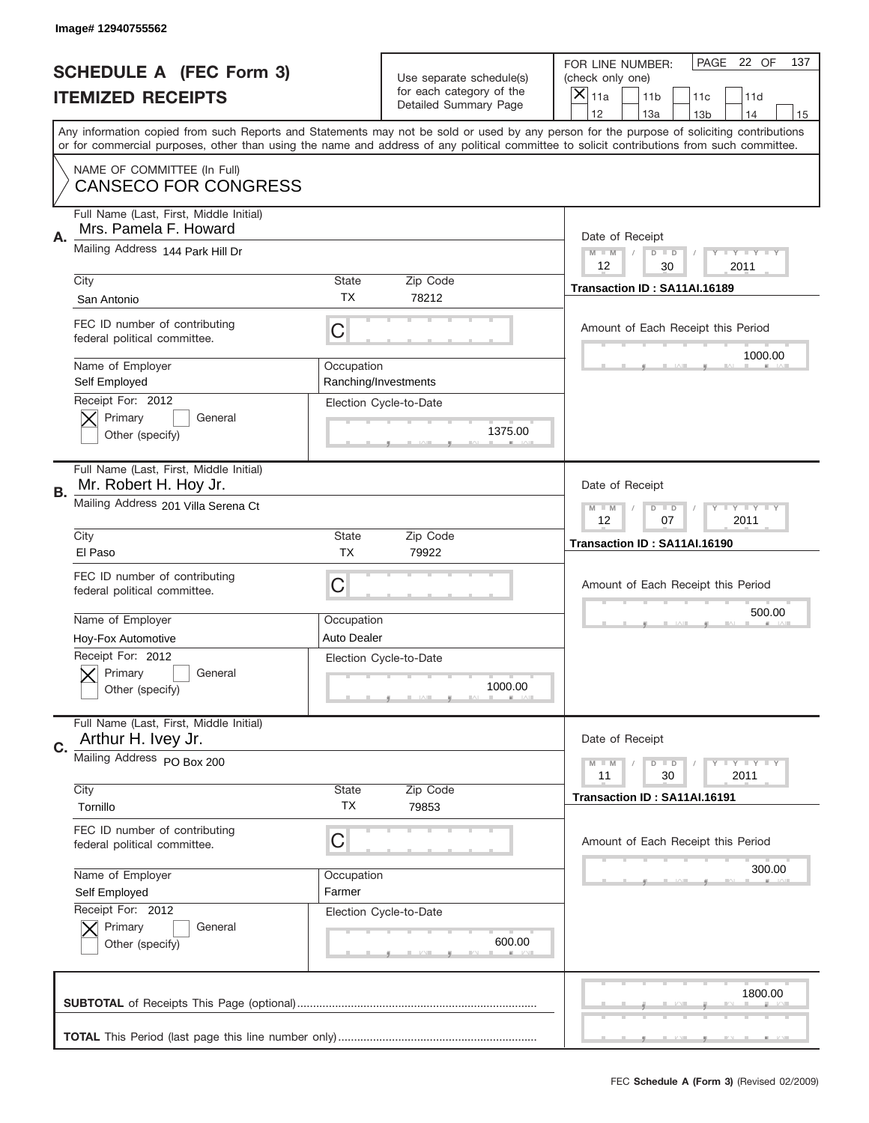|    | Image# 12940755562                                               |                           |                                                   |                                                                                                                                                                                                                                                                                                                                     |
|----|------------------------------------------------------------------|---------------------------|---------------------------------------------------|-------------------------------------------------------------------------------------------------------------------------------------------------------------------------------------------------------------------------------------------------------------------------------------------------------------------------------------|
|    | <b>SCHEDULE A (FEC Form 3)</b>                                   |                           | Use separate schedule(s)                          | PAGE<br>22 OF<br>137<br>FOR LINE NUMBER:<br>(check only one)                                                                                                                                                                                                                                                                        |
|    | <b>ITEMIZED RECEIPTS</b>                                         |                           | for each category of the<br>Detailed Summary Page | ×<br>11a<br>11 <sub>b</sub><br>11c<br>11d                                                                                                                                                                                                                                                                                           |
|    |                                                                  |                           |                                                   | 12<br>13a<br>14<br>13 <sub>b</sub><br>15<br>Any information copied from such Reports and Statements may not be sold or used by any person for the purpose of soliciting contributions<br>or for commercial purposes, other than using the name and address of any political committee to solicit contributions from such committee. |
|    | NAME OF COMMITTEE (In Full)<br><b>CANSECO FOR CONGRESS</b>       |                           |                                                   |                                                                                                                                                                                                                                                                                                                                     |
| Α. | Full Name (Last, First, Middle Initial)<br>Mrs. Pamela F. Howard |                           |                                                   | Date of Receipt                                                                                                                                                                                                                                                                                                                     |
|    | Mailing Address 144 Park Hill Dr                                 |                           |                                                   | $M$ M<br>Y FY FY FY<br>$D$ $D$<br>12<br>30<br>2011                                                                                                                                                                                                                                                                                  |
|    | City<br>San Antonio                                              | State<br><b>TX</b>        | Zip Code<br>78212                                 | Transaction ID: SA11AI.16189                                                                                                                                                                                                                                                                                                        |
|    | FEC ID number of contributing<br>federal political committee.    | C                         |                                                   | Amount of Each Receipt this Period<br>1000.00                                                                                                                                                                                                                                                                                       |
|    | Name of Employer<br>Self Employed                                | Occupation                | Ranching/Investments                              |                                                                                                                                                                                                                                                                                                                                     |
|    | Receipt For: 2012<br>Primary<br>General<br>Other (specify)       |                           | Election Cycle-to-Date<br>1375.00                 |                                                                                                                                                                                                                                                                                                                                     |
| В. | Full Name (Last, First, Middle Initial)<br>Mr. Robert H. Hoy Jr. |                           |                                                   | Date of Receipt                                                                                                                                                                                                                                                                                                                     |
|    | Mailing Address 201 Villa Serena Ct                              |                           |                                                   | $T$ $Y$ $T$ $Y$ $T$ $Y$<br>$M - M$<br>$D$ $D$<br>12<br>07<br>2011                                                                                                                                                                                                                                                                   |
|    | City<br>El Paso                                                  | State<br><b>TX</b>        | Zip Code<br>79922                                 | Transaction ID: SA11AI.16190                                                                                                                                                                                                                                                                                                        |
|    | FEC ID number of contributing<br>federal political committee.    | C                         |                                                   | Amount of Each Receipt this Period                                                                                                                                                                                                                                                                                                  |
|    | Name of Employer<br>Hoy-Fox Automotive                           | Occupation<br>Auto Dealer |                                                   | 500.00                                                                                                                                                                                                                                                                                                                              |
|    | Receipt For: 2012<br>General<br>Primary<br>Other (specify)       |                           | Election Cycle-to-Date<br>1000.00                 |                                                                                                                                                                                                                                                                                                                                     |
| C. | Full Name (Last, First, Middle Initial)<br>Arthur H. Ivey Jr.    |                           |                                                   | Date of Receipt                                                                                                                                                                                                                                                                                                                     |
|    | Mailing Address PO Box 200                                       |                           |                                                   | <b>TEY LY LY</b><br>$M - M$<br>$D$ $D$<br>30<br>2011<br>11                                                                                                                                                                                                                                                                          |
|    | City<br>Tornillo                                                 | State<br>ТX               | Zip Code<br>79853                                 | Transaction ID: SA11AI.16191                                                                                                                                                                                                                                                                                                        |
|    | FEC ID number of contributing<br>federal political committee.    | C                         |                                                   | Amount of Each Receipt this Period                                                                                                                                                                                                                                                                                                  |
|    | Name of Employer<br>Self Employed                                | Occupation<br>Farmer      |                                                   | 300.00                                                                                                                                                                                                                                                                                                                              |
|    | Receipt For: 2012<br>Primary<br>General<br>Other (specify)       |                           | Election Cycle-to-Date<br>600.00                  |                                                                                                                                                                                                                                                                                                                                     |
|    |                                                                  |                           |                                                   | 1800.00                                                                                                                                                                                                                                                                                                                             |
|    |                                                                  |                           |                                                   |                                                                                                                                                                                                                                                                                                                                     |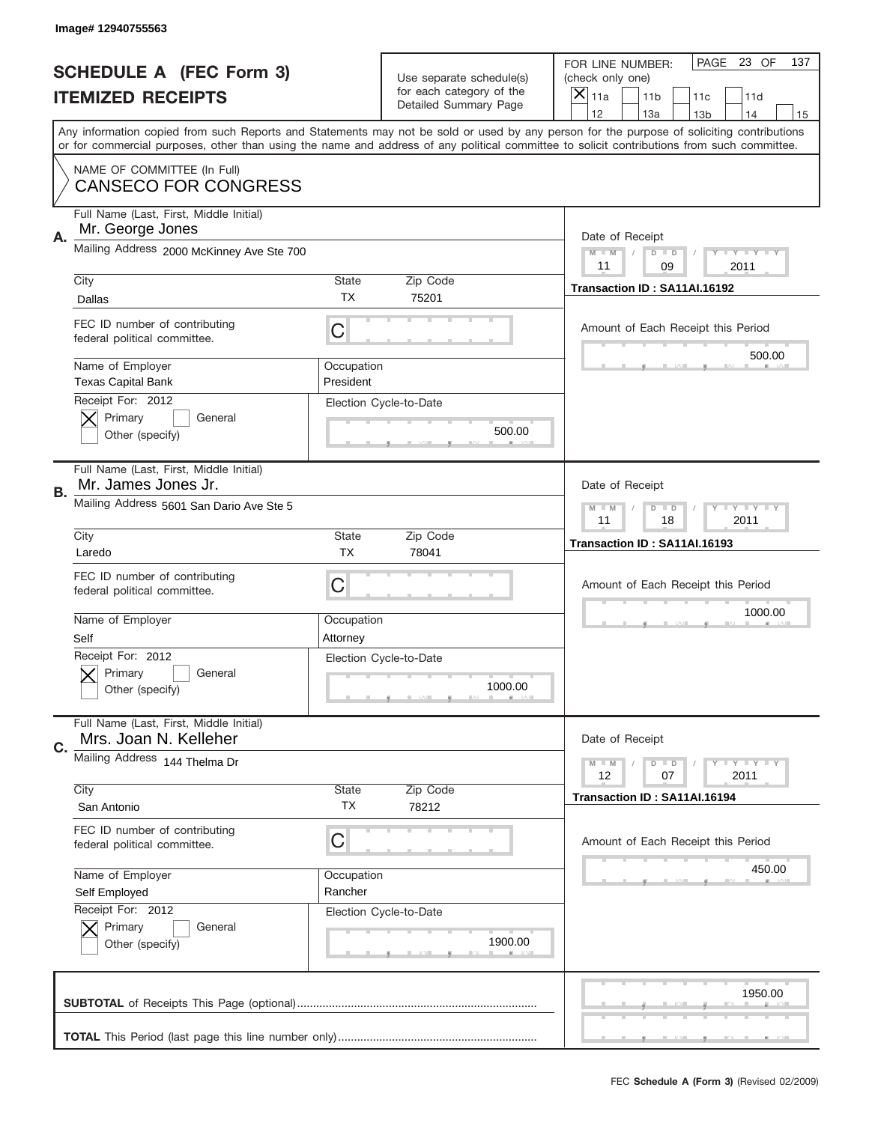|    | Image# 12940755563                                                          |                         |                                                      |                                                                                                                                                                                                                                                                                                                                     |
|----|-----------------------------------------------------------------------------|-------------------------|------------------------------------------------------|-------------------------------------------------------------------------------------------------------------------------------------------------------------------------------------------------------------------------------------------------------------------------------------------------------------------------------------|
|    | <b>SCHEDULE A (FEC Form 3)</b>                                              |                         | Use separate schedule(s)<br>for each category of the | PAGE<br>23 OF<br>137<br>FOR LINE NUMBER:<br>(check only one)                                                                                                                                                                                                                                                                        |
|    | <b>ITEMIZED RECEIPTS</b>                                                    |                         | Detailed Summary Page                                | ×<br>11a<br>11 <sub>b</sub><br>11c<br>11d                                                                                                                                                                                                                                                                                           |
|    |                                                                             |                         |                                                      | 12<br>13a<br>14<br>13 <sub>b</sub><br>15<br>Any information copied from such Reports and Statements may not be sold or used by any person for the purpose of soliciting contributions<br>or for commercial purposes, other than using the name and address of any political committee to solicit contributions from such committee. |
|    | NAME OF COMMITTEE (In Full)<br><b>CANSECO FOR CONGRESS</b>                  |                         |                                                      |                                                                                                                                                                                                                                                                                                                                     |
| А. | Full Name (Last, First, Middle Initial)<br>Mr. George Jones                 |                         |                                                      | Date of Receipt                                                                                                                                                                                                                                                                                                                     |
|    | Mailing Address 2000 McKinney Ave Ste 700                                   |                         |                                                      | $M - M$<br>Y FY FY FY<br>$D$ $D$<br>11<br>09<br>2011                                                                                                                                                                                                                                                                                |
|    | City<br>Dallas                                                              | State<br><b>TX</b>      | Zip Code<br>75201                                    | Transaction ID: SA11AI.16192                                                                                                                                                                                                                                                                                                        |
|    | FEC ID number of contributing<br>federal political committee.               | C                       |                                                      | Amount of Each Receipt this Period                                                                                                                                                                                                                                                                                                  |
|    | Name of Employer<br><b>Texas Capital Bank</b>                               | Occupation<br>President |                                                      | 500.00                                                                                                                                                                                                                                                                                                                              |
|    | Receipt For: 2012<br>Primary<br>General<br>Other (specify)                  |                         | Election Cycle-to-Date<br>500.00                     |                                                                                                                                                                                                                                                                                                                                     |
| В. | Full Name (Last, First, Middle Initial)<br>Mr. James Jones Jr.              |                         |                                                      | Date of Receipt                                                                                                                                                                                                                                                                                                                     |
|    | Mailing Address 5601 San Dario Ave Ste 5                                    |                         |                                                      | $T$ $Y$ $T$ $Y$ $T$ $Y$<br>$M - M$<br>$D$ $D$<br>18<br>2011<br>11                                                                                                                                                                                                                                                                   |
|    | City<br>Laredo                                                              | State<br><b>TX</b>      | Zip Code<br>78041                                    | Transaction ID: SA11AI.16193                                                                                                                                                                                                                                                                                                        |
|    | FEC ID number of contributing<br>federal political committee.               | C                       |                                                      | Amount of Each Receipt this Period                                                                                                                                                                                                                                                                                                  |
|    | Name of Employer<br>Self                                                    | Occupation<br>Attorney  |                                                      | 1000.00                                                                                                                                                                                                                                                                                                                             |
|    | Receipt For: 2012<br>General<br>Primary<br>Other (specify)                  |                         | Election Cycle-to-Date<br>1000.00                    |                                                                                                                                                                                                                                                                                                                                     |
| C. | Full Name (Last, First, Middle Initial)<br>Mrs. Joan N. Kelleher            |                         |                                                      | Date of Receipt                                                                                                                                                                                                                                                                                                                     |
|    | Mailing Address 144 Thelma Dr<br>City                                       | State                   | Zip Code                                             | <b>TEY LY LY</b><br>$M - M$<br>$D$ $D$<br>2011<br>12<br>07                                                                                                                                                                                                                                                                          |
|    | San Antonio                                                                 | ТX                      | 78212                                                | Transaction ID: SA11AI.16194                                                                                                                                                                                                                                                                                                        |
|    | FEC ID number of contributing<br>federal political committee.               | C                       |                                                      | Amount of Each Receipt this Period                                                                                                                                                                                                                                                                                                  |
|    | Name of Employer                                                            | Occupation<br>Rancher   |                                                      | 450.00                                                                                                                                                                                                                                                                                                                              |
|    | Self Employed<br>Receipt For: 2012<br>Primary<br>General<br>Other (specify) |                         | Election Cycle-to-Date<br>1900.00                    |                                                                                                                                                                                                                                                                                                                                     |
|    |                                                                             |                         |                                                      | 1950.00                                                                                                                                                                                                                                                                                                                             |
|    |                                                                             |                         |                                                      |                                                                                                                                                                                                                                                                                                                                     |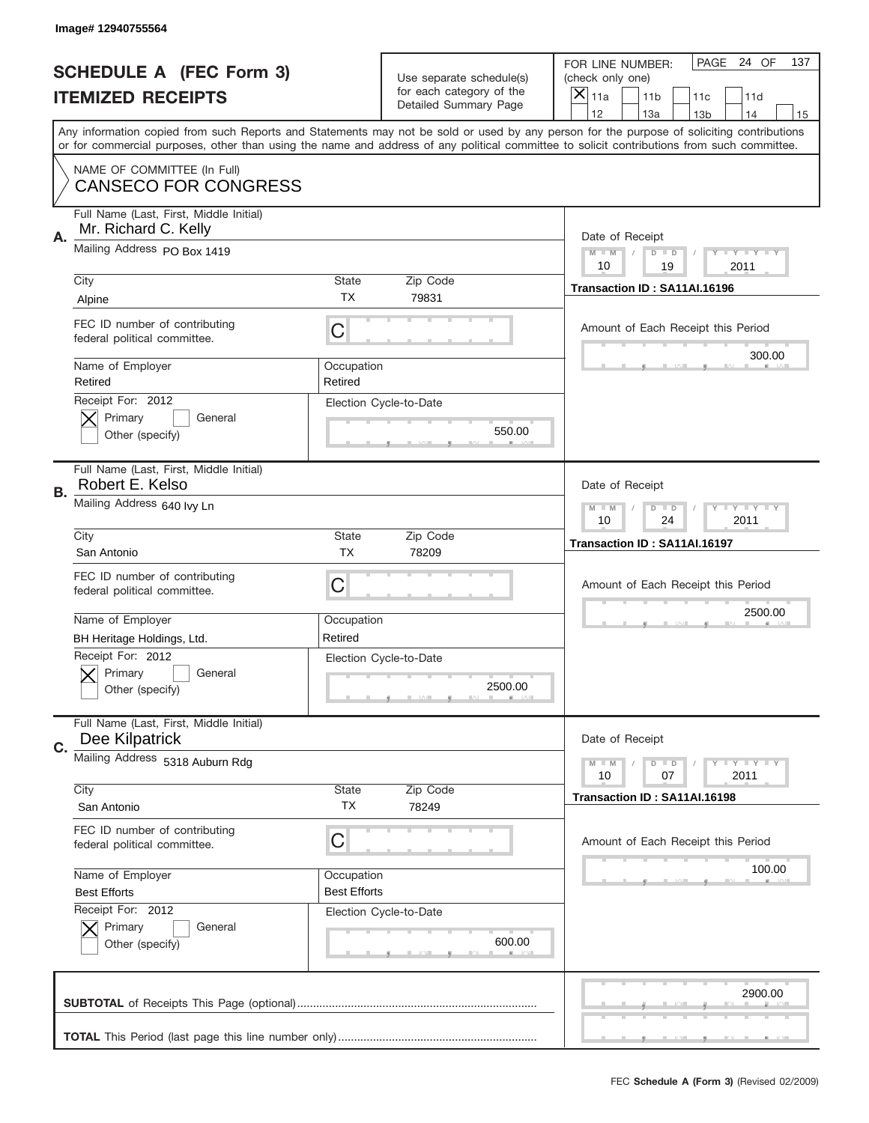|           | Image# 12940755564                                              |                           |                                                   |                                                                                                                                                                                       |  |
|-----------|-----------------------------------------------------------------|---------------------------|---------------------------------------------------|---------------------------------------------------------------------------------------------------------------------------------------------------------------------------------------|--|
|           | <b>SCHEDULE A (FEC Form 3)</b>                                  |                           | Use separate schedule(s)                          | PAGE 24 OF<br>137<br>FOR LINE NUMBER:<br>(check only one)                                                                                                                             |  |
|           | <b>ITEMIZED RECEIPTS</b>                                        |                           | for each category of the<br>Detailed Summary Page | $\overline{X} _{11a}$<br>11 <sub>b</sub><br>11c<br>11d                                                                                                                                |  |
|           |                                                                 |                           |                                                   | 12<br>13a<br>14<br>13 <sub>b</sub><br>15<br>Any information copied from such Reports and Statements may not be sold or used by any person for the purpose of soliciting contributions |  |
|           |                                                                 |                           |                                                   | or for commercial purposes, other than using the name and address of any political committee to solicit contributions from such committee.                                            |  |
|           | NAME OF COMMITTEE (In Full)<br><b>CANSECO FOR CONGRESS</b>      |                           |                                                   |                                                                                                                                                                                       |  |
| Α.        | Full Name (Last, First, Middle Initial)<br>Mr. Richard C. Kelly |                           |                                                   | Date of Receipt                                                                                                                                                                       |  |
|           | Mailing Address PO Box 1419                                     |                           |                                                   | $M - M$<br><b>LY LY LY</b><br>$D$ $D$<br>10<br>19<br>2011                                                                                                                             |  |
|           | City                                                            | <b>State</b>              | Zip Code                                          | Transaction ID: SA11AI.16196                                                                                                                                                          |  |
|           | Alpine                                                          | <b>TX</b>                 | 79831                                             |                                                                                                                                                                                       |  |
|           | FEC ID number of contributing<br>federal political committee.   | C                         |                                                   | Amount of Each Receipt this Period                                                                                                                                                    |  |
|           | Name of Employer<br>Retired                                     | Occupation<br>Retired     |                                                   | 300.00                                                                                                                                                                                |  |
|           | Receipt For: 2012<br>Primary<br>General<br>Other (specify)      |                           | Election Cycle-to-Date<br>550.00                  |                                                                                                                                                                                       |  |
| <b>B.</b> | Full Name (Last, First, Middle Initial)<br>Robert E. Kelso      |                           |                                                   | Date of Receipt                                                                                                                                                                       |  |
|           | Mailing Address 640 lvy Ln                                      |                           |                                                   | <b>LY LY LY</b><br>$M - M$<br>$D$ $D$<br>10<br>24<br>2011                                                                                                                             |  |
|           | City<br>San Antonio                                             | <b>State</b><br><b>TX</b> | Zip Code<br>78209                                 | Transaction ID: SA11AI.16197                                                                                                                                                          |  |
|           | FEC ID number of contributing<br>federal political committee.   | C                         |                                                   | Amount of Each Receipt this Period                                                                                                                                                    |  |
|           | Name of Employer                                                | Occupation                |                                                   | 2500.00                                                                                                                                                                               |  |
|           | BH Heritage Holdings, Ltd.                                      | Retired                   |                                                   |                                                                                                                                                                                       |  |
|           | Receipt For: 2012<br>General<br>Primary<br>Other (specify)      |                           | Election Cycle-to-Date<br>2500.00                 |                                                                                                                                                                                       |  |
| C.        | Full Name (Last, First, Middle Initial)<br>Dee Kilpatrick       |                           |                                                   | Date of Receipt                                                                                                                                                                       |  |
|           | Mailing Address 5318 Auburn Rdg<br>City                         | <b>State</b>              | Zip Code                                          | <b>LYLYLY</b><br>$M - M$<br>$D$ $D$<br>07<br>2011<br>10                                                                                                                               |  |
|           | San Antonio                                                     | TX                        | 78249                                             | Transaction ID: SA11AI.16198                                                                                                                                                          |  |
|           | FEC ID number of contributing<br>federal political committee.   | С                         |                                                   | Amount of Each Receipt this Period                                                                                                                                                    |  |
|           | Name of Employer                                                | Occupation                |                                                   | 100.00                                                                                                                                                                                |  |
|           | <b>Best Efforts</b>                                             | <b>Best Efforts</b>       |                                                   |                                                                                                                                                                                       |  |
|           | Receipt For: 2012<br>Primary<br>General<br>Other (specify)      |                           | Election Cycle-to-Date<br>600.00                  |                                                                                                                                                                                       |  |
|           |                                                                 |                           |                                                   | 2900.00                                                                                                                                                                               |  |
|           |                                                                 |                           |                                                   |                                                                                                                                                                                       |  |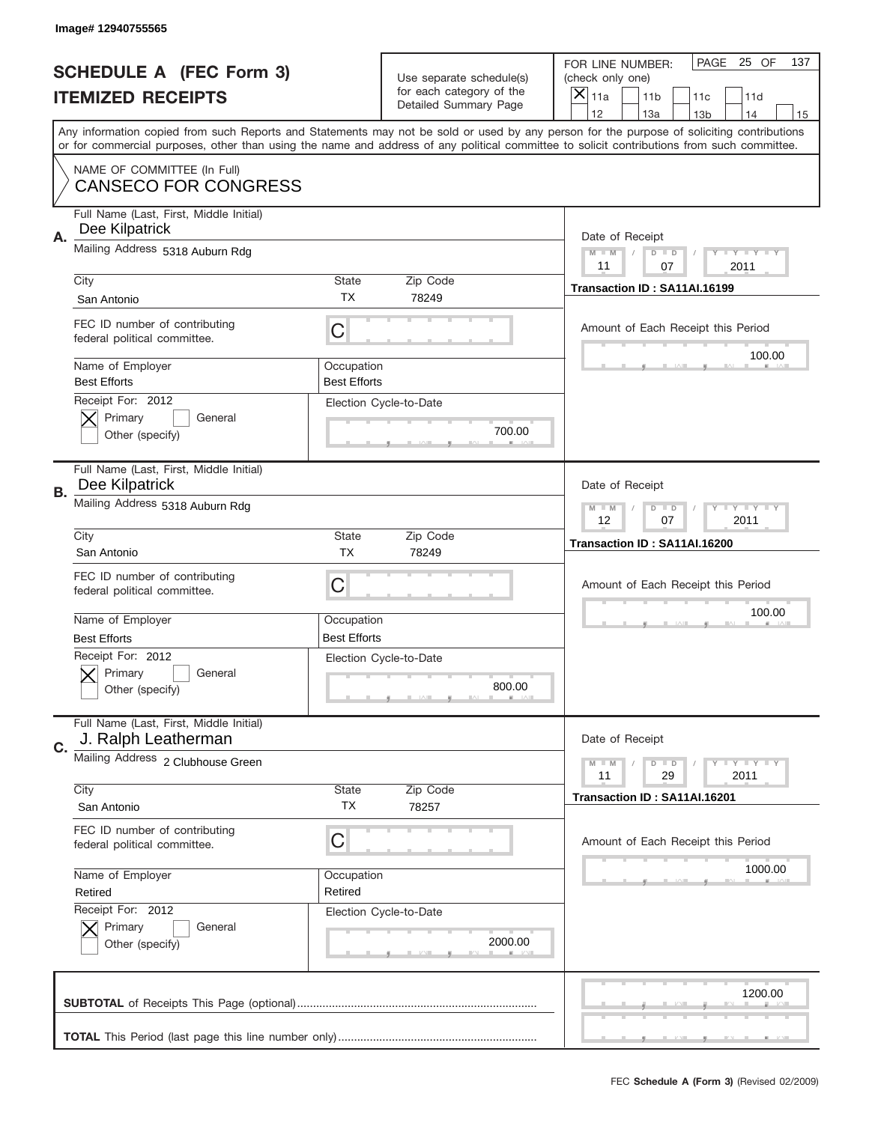|    | Image#12940755565                                              |                                   |                                                   |                                                                                                                                                                                       |
|----|----------------------------------------------------------------|-----------------------------------|---------------------------------------------------|---------------------------------------------------------------------------------------------------------------------------------------------------------------------------------------|
|    | <b>SCHEDULE A (FEC Form 3)</b>                                 |                                   | Use separate schedule(s)                          | PAGE<br>25 OF<br>137<br>FOR LINE NUMBER:<br>(check only one)                                                                                                                          |
|    | <b>ITEMIZED RECEIPTS</b>                                       |                                   | for each category of the<br>Detailed Summary Page | ×<br>11a<br>11 <sub>b</sub><br>11c<br>11d                                                                                                                                             |
|    |                                                                |                                   |                                                   | 12<br>13a<br>14<br>13 <sub>b</sub><br>15<br>Any information copied from such Reports and Statements may not be sold or used by any person for the purpose of soliciting contributions |
|    |                                                                |                                   |                                                   | or for commercial purposes, other than using the name and address of any political committee to solicit contributions from such committee.                                            |
|    | NAME OF COMMITTEE (In Full)<br><b>CANSECO FOR CONGRESS</b>     |                                   |                                                   |                                                                                                                                                                                       |
| Α. | Full Name (Last, First, Middle Initial)<br>Dee Kilpatrick      |                                   |                                                   | Date of Receipt                                                                                                                                                                       |
|    | Mailing Address 5318 Auburn Rdg                                |                                   |                                                   | $M - M$<br>Y FY FY FY<br>$D$ $D$<br>11<br>07<br>2011                                                                                                                                  |
|    | City                                                           | <b>State</b>                      | Zip Code                                          | Transaction ID: SA11AI.16199                                                                                                                                                          |
|    | San Antonio                                                    | TX                                | 78249                                             |                                                                                                                                                                                       |
|    | FEC ID number of contributing<br>federal political committee.  | C                                 |                                                   | Amount of Each Receipt this Period<br>100.00                                                                                                                                          |
|    | Name of Employer<br><b>Best Efforts</b>                        | Occupation<br><b>Best Efforts</b> |                                                   |                                                                                                                                                                                       |
|    | Receipt For: 2012<br>Primary<br>General<br>Other (specify)     |                                   | Election Cycle-to-Date<br>700.00                  |                                                                                                                                                                                       |
| В. | Full Name (Last, First, Middle Initial)<br>Dee Kilpatrick      |                                   |                                                   | Date of Receipt                                                                                                                                                                       |
|    | Mailing Address 5318 Auburn Rdg                                |                                   |                                                   | $T$ $Y$ $T$ $Y$ $T$ $Y$<br>$M - M$<br>$D$ $D$<br>12<br>07<br>2011                                                                                                                     |
|    | City<br>San Antonio                                            | <b>State</b><br><b>TX</b>         | Zip Code<br>78249                                 | Transaction ID: SA11AI.16200                                                                                                                                                          |
|    |                                                                |                                   |                                                   |                                                                                                                                                                                       |
|    | FEC ID number of contributing<br>federal political committee.  | C                                 |                                                   | Amount of Each Receipt this Period                                                                                                                                                    |
|    | Name of Employer                                               | Occupation                        |                                                   | 100.00                                                                                                                                                                                |
|    | <b>Best Efforts</b>                                            | <b>Best Efforts</b>               |                                                   |                                                                                                                                                                                       |
|    | Receipt For: 2012<br>Primary<br>General<br>Other (specify)     |                                   | Election Cycle-to-Date<br>800.00                  |                                                                                                                                                                                       |
| C. | Full Name (Last, First, Middle Initial)<br>J. Ralph Leatherman |                                   |                                                   | Date of Receipt                                                                                                                                                                       |
|    | Mailing Address 2 Clubhouse Green                              |                                   |                                                   | Y FY FY FY<br>$M - M$<br>$D$ $D$<br>29<br>2011<br>11                                                                                                                                  |
|    | City<br>San Antonio                                            | State<br>ТX                       | Zip Code<br>78257                                 | Transaction ID: SA11AI.16201                                                                                                                                                          |
|    | FEC ID number of contributing<br>federal political committee.  | C                                 |                                                   | Amount of Each Receipt this Period                                                                                                                                                    |
|    | Name of Employer                                               | Occupation                        |                                                   | 1000.00                                                                                                                                                                               |
|    | Retired<br>Receipt For: 2012<br>Primary<br>General             | Retired                           | Election Cycle-to-Date                            |                                                                                                                                                                                       |
|    | Other (specify)                                                |                                   | 2000.00                                           |                                                                                                                                                                                       |
|    |                                                                |                                   |                                                   | 1200.00                                                                                                                                                                               |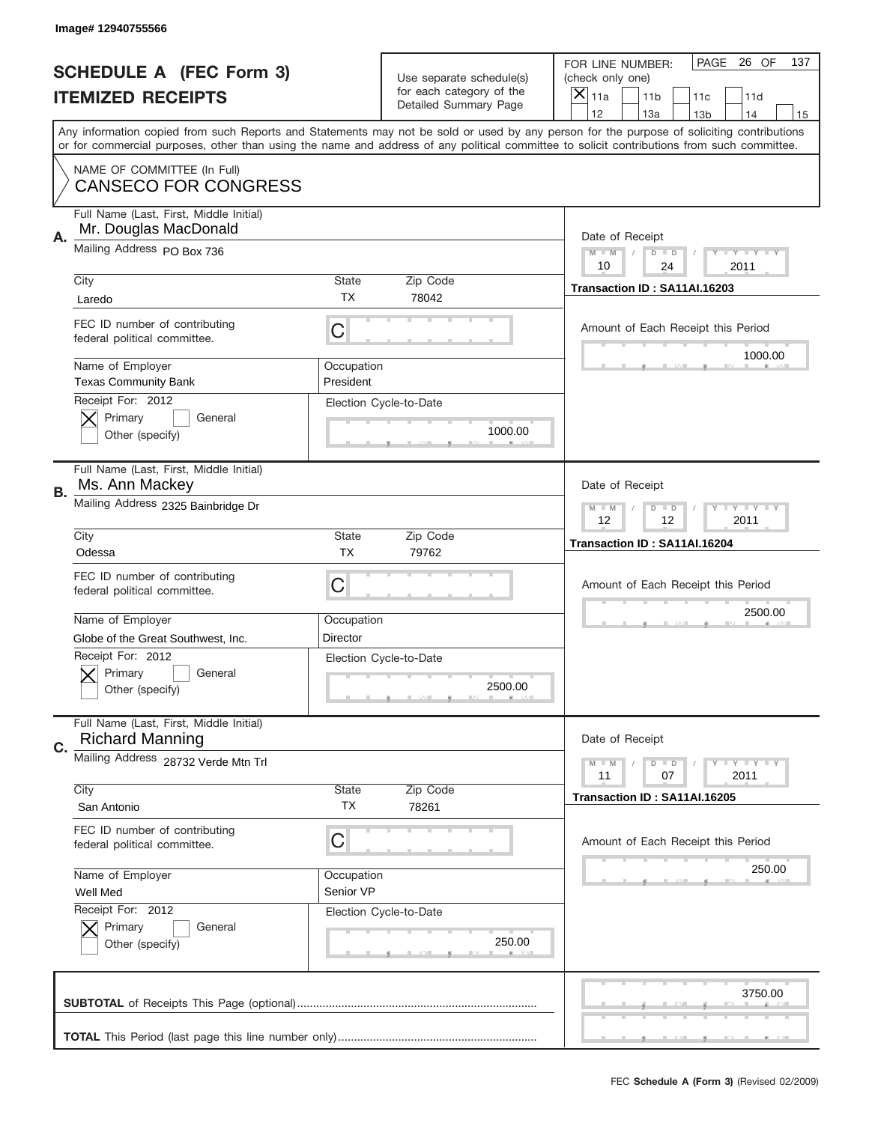|    | Image# 12940755566                                                   |                         |                                                   |                                                                                                                                                                                                                                                                                                                                     |
|----|----------------------------------------------------------------------|-------------------------|---------------------------------------------------|-------------------------------------------------------------------------------------------------------------------------------------------------------------------------------------------------------------------------------------------------------------------------------------------------------------------------------------|
|    | <b>SCHEDULE A (FEC Form 3)</b>                                       |                         | Use separate schedule(s)                          | PAGE<br>26 OF<br>137<br>FOR LINE NUMBER:<br>(check only one)                                                                                                                                                                                                                                                                        |
|    | <b>ITEMIZED RECEIPTS</b>                                             |                         | for each category of the<br>Detailed Summary Page | ×<br>11a<br>11 <sub>b</sub><br>11d<br>11c                                                                                                                                                                                                                                                                                           |
|    |                                                                      |                         |                                                   | 12<br>13a<br>14<br>13 <sub>b</sub><br>15<br>Any information copied from such Reports and Statements may not be sold or used by any person for the purpose of soliciting contributions<br>or for commercial purposes, other than using the name and address of any political committee to solicit contributions from such committee. |
|    | NAME OF COMMITTEE (In Full)<br><b>CANSECO FOR CONGRESS</b>           |                         |                                                   |                                                                                                                                                                                                                                                                                                                                     |
| А. | Full Name (Last, First, Middle Initial)<br>Mr. Douglas MacDonald     |                         |                                                   | Date of Receipt                                                                                                                                                                                                                                                                                                                     |
|    | Mailing Address PO Box 736                                           |                         |                                                   | $M$ M<br>Y FY FY FY<br>$D$ $D$<br>10<br>24<br>2011                                                                                                                                                                                                                                                                                  |
|    | City<br>Laredo                                                       | State<br><b>TX</b>      | Zip Code<br>78042                                 | Transaction ID: SA11AI.16203                                                                                                                                                                                                                                                                                                        |
|    | FEC ID number of contributing<br>federal political committee.        | C                       |                                                   | Amount of Each Receipt this Period<br>1000.00                                                                                                                                                                                                                                                                                       |
|    | Name of Employer<br><b>Texas Community Bank</b><br>Receipt For: 2012 | Occupation<br>President |                                                   |                                                                                                                                                                                                                                                                                                                                     |
|    | Primary<br>General<br>Other (specify)                                |                         | Election Cycle-to-Date<br>1000.00                 |                                                                                                                                                                                                                                                                                                                                     |
| В. | Full Name (Last, First, Middle Initial)<br>Ms. Ann Mackey            |                         |                                                   | Date of Receipt                                                                                                                                                                                                                                                                                                                     |
|    | Mailing Address 2325 Bainbridge Dr                                   |                         |                                                   | $T$ $T$ $T$ $T$ $T$ $T$ $T$ $T$<br>$M - M$<br>$D$ $D$<br>12<br>12<br>2011                                                                                                                                                                                                                                                           |
|    | City<br>Odessa                                                       | State<br><b>TX</b>      | Zip Code<br>79762                                 | Transaction ID: SA11AI.16204                                                                                                                                                                                                                                                                                                        |
|    | FEC ID number of contributing<br>federal political committee.        | C                       |                                                   | Amount of Each Receipt this Period                                                                                                                                                                                                                                                                                                  |
|    | Name of Employer<br>Globe of the Great Southwest, Inc.               | Occupation<br>Director  |                                                   | 2500.00                                                                                                                                                                                                                                                                                                                             |
|    | Receipt For: 2012<br>General<br>Primary<br>Other (specify)           |                         | Election Cycle-to-Date<br>2500.00                 |                                                                                                                                                                                                                                                                                                                                     |
| C. | Full Name (Last, First, Middle Initial)<br><b>Richard Manning</b>    |                         |                                                   | Date of Receipt                                                                                                                                                                                                                                                                                                                     |
|    | Mailing Address 28732 Verde Mtn Trl                                  |                         |                                                   | Y I Y I Y I Y<br>$M - M$<br>$D$ $D$<br>2011<br>11<br>07                                                                                                                                                                                                                                                                             |
|    | City<br>San Antonio                                                  | State<br>ТX             | Zip Code<br>78261                                 | Transaction ID: SA11AI.16205                                                                                                                                                                                                                                                                                                        |
|    | FEC ID number of contributing<br>federal political committee.        | C                       |                                                   | Amount of Each Receipt this Period                                                                                                                                                                                                                                                                                                  |
|    | Name of Employer<br>Well Med                                         | Occupation<br>Senior VP |                                                   | 250.00                                                                                                                                                                                                                                                                                                                              |
|    | Receipt For: 2012<br>Primary<br>General<br>Other (specify)           |                         | Election Cycle-to-Date<br>250.00                  |                                                                                                                                                                                                                                                                                                                                     |
|    |                                                                      |                         |                                                   | 3750.00                                                                                                                                                                                                                                                                                                                             |
|    |                                                                      |                         |                                                   |                                                                                                                                                                                                                                                                                                                                     |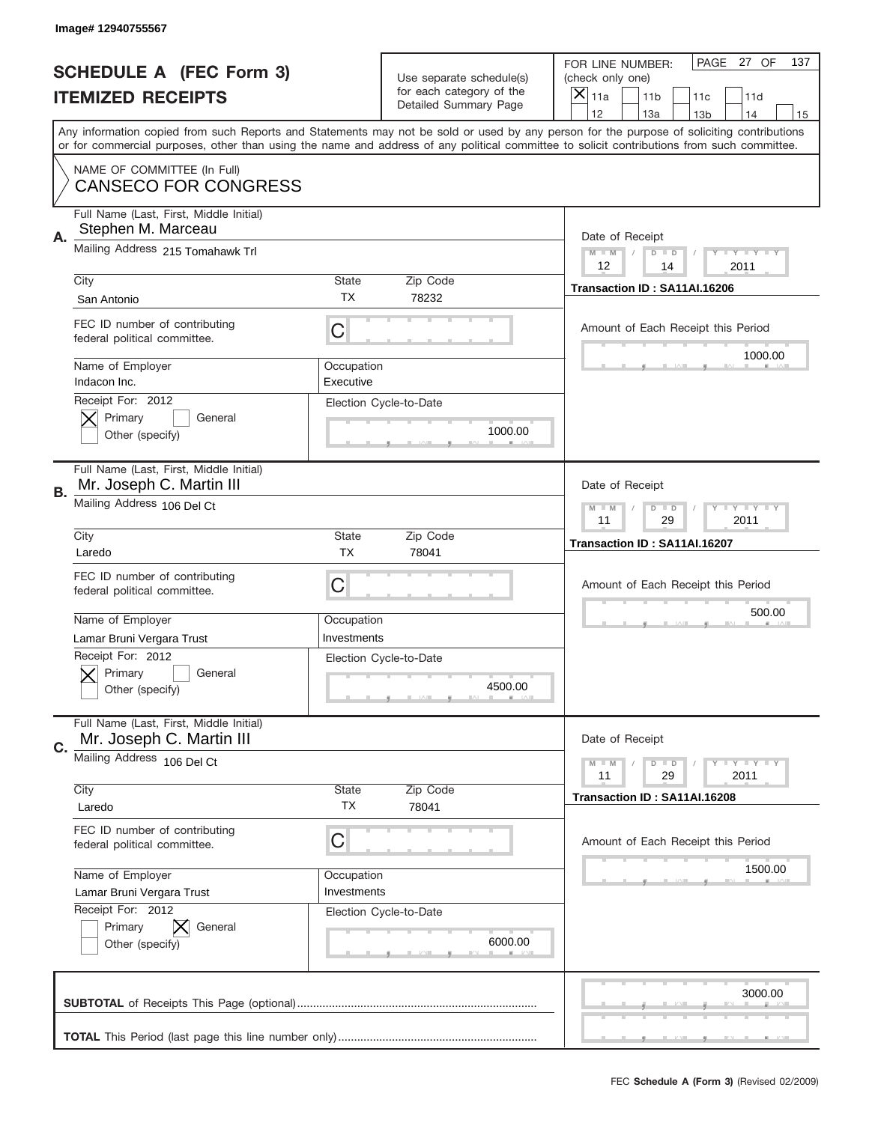|    | Image# 12940755567                                                                      |                           |                                                      |                                                                                                                                                                                                                                                                                                                                     |
|----|-----------------------------------------------------------------------------------------|---------------------------|------------------------------------------------------|-------------------------------------------------------------------------------------------------------------------------------------------------------------------------------------------------------------------------------------------------------------------------------------------------------------------------------------|
|    | <b>SCHEDULE A (FEC Form 3)</b>                                                          |                           | Use separate schedule(s)<br>for each category of the | PAGE<br>27 OF<br>137<br>FOR LINE NUMBER:<br>(check only one)                                                                                                                                                                                                                                                                        |
|    | <b>ITEMIZED RECEIPTS</b>                                                                |                           | Detailed Summary Page                                | $\times$<br>11a<br>11 <sub>b</sub><br>11c<br>11d                                                                                                                                                                                                                                                                                    |
|    |                                                                                         |                           |                                                      | 12<br>13a<br>14<br>13 <sub>b</sub><br>15<br>Any information copied from such Reports and Statements may not be sold or used by any person for the purpose of soliciting contributions<br>or for commercial purposes, other than using the name and address of any political committee to solicit contributions from such committee. |
|    | NAME OF COMMITTEE (In Full)<br><b>CANSECO FOR CONGRESS</b>                              |                           |                                                      |                                                                                                                                                                                                                                                                                                                                     |
| А. | Full Name (Last, First, Middle Initial)<br>Stephen M. Marceau                           |                           |                                                      | Date of Receipt                                                                                                                                                                                                                                                                                                                     |
|    | Mailing Address 215 Tomahawk Trl                                                        |                           |                                                      | $M$ $M$<br>Y TY TY TY<br>$D$ $D$<br>12<br>14<br>2011                                                                                                                                                                                                                                                                                |
|    | City<br>San Antonio                                                                     | State<br>ТX               | Zip Code<br>78232                                    | Transaction ID: SA11AI.16206                                                                                                                                                                                                                                                                                                        |
|    | FEC ID number of contributing<br>federal political committee.                           | C                         |                                                      | Amount of Each Receipt this Period<br>1000.00                                                                                                                                                                                                                                                                                       |
|    | Name of Employer<br>Indacon Inc.<br>Receipt For: 2012                                   | Occupation<br>Executive   |                                                      |                                                                                                                                                                                                                                                                                                                                     |
|    | Primary<br>General<br>Other (specify)                                                   |                           | Election Cycle-to-Date<br>1000.00                    |                                                                                                                                                                                                                                                                                                                                     |
| В. | Full Name (Last, First, Middle Initial)<br>Mr. Joseph C. Martin III                     |                           |                                                      | Date of Receipt                                                                                                                                                                                                                                                                                                                     |
|    | Mailing Address 106 Del Ct                                                              |                           |                                                      | $T$ $Y$ $Y$ $Y$ $Y$<br>$M - M$<br>$D$ $D$<br>11<br>29<br>2011                                                                                                                                                                                                                                                                       |
|    | City<br>Laredo                                                                          | State<br><b>TX</b>        | Zip Code<br>78041                                    | Transaction ID: SA11AI.16207                                                                                                                                                                                                                                                                                                        |
|    |                                                                                         |                           |                                                      |                                                                                                                                                                                                                                                                                                                                     |
|    | FEC ID number of contributing<br>federal political committee.                           | C                         |                                                      | Amount of Each Receipt this Period                                                                                                                                                                                                                                                                                                  |
|    | Name of Employer                                                                        | Occupation<br>Investments |                                                      | 500.00                                                                                                                                                                                                                                                                                                                              |
|    | Lamar Bruni Vergara Trust<br>Receipt For: 2012<br>Primary<br>General<br>Other (specify) |                           | Election Cycle-to-Date<br>4500.00                    |                                                                                                                                                                                                                                                                                                                                     |
| C. | Full Name (Last, First, Middle Initial)<br>Mr. Joseph C. Martin III                     |                           |                                                      | Date of Receipt                                                                                                                                                                                                                                                                                                                     |
|    | Mailing Address 106 Del Ct                                                              | State                     |                                                      | Y LY LY LY<br>$M$ M<br>$D$ $D$<br>29<br>2011<br>11                                                                                                                                                                                                                                                                                  |
|    | City<br>Laredo                                                                          | <b>TX</b>                 | Zip Code<br>78041                                    | Transaction ID: SA11AI.16208                                                                                                                                                                                                                                                                                                        |
|    | FEC ID number of contributing<br>federal political committee.                           | C                         |                                                      | Amount of Each Receipt this Period                                                                                                                                                                                                                                                                                                  |
|    | Name of Employer<br>Lamar Bruni Vergara Trust                                           | Occupation<br>Investments |                                                      | 1500.00                                                                                                                                                                                                                                                                                                                             |
|    | Receipt For: 2012<br>Primary<br>General<br>Other (specify)                              |                           | Election Cycle-to-Date<br>6000.00                    |                                                                                                                                                                                                                                                                                                                                     |
|    |                                                                                         |                           |                                                      | 3000.00                                                                                                                                                                                                                                                                                                                             |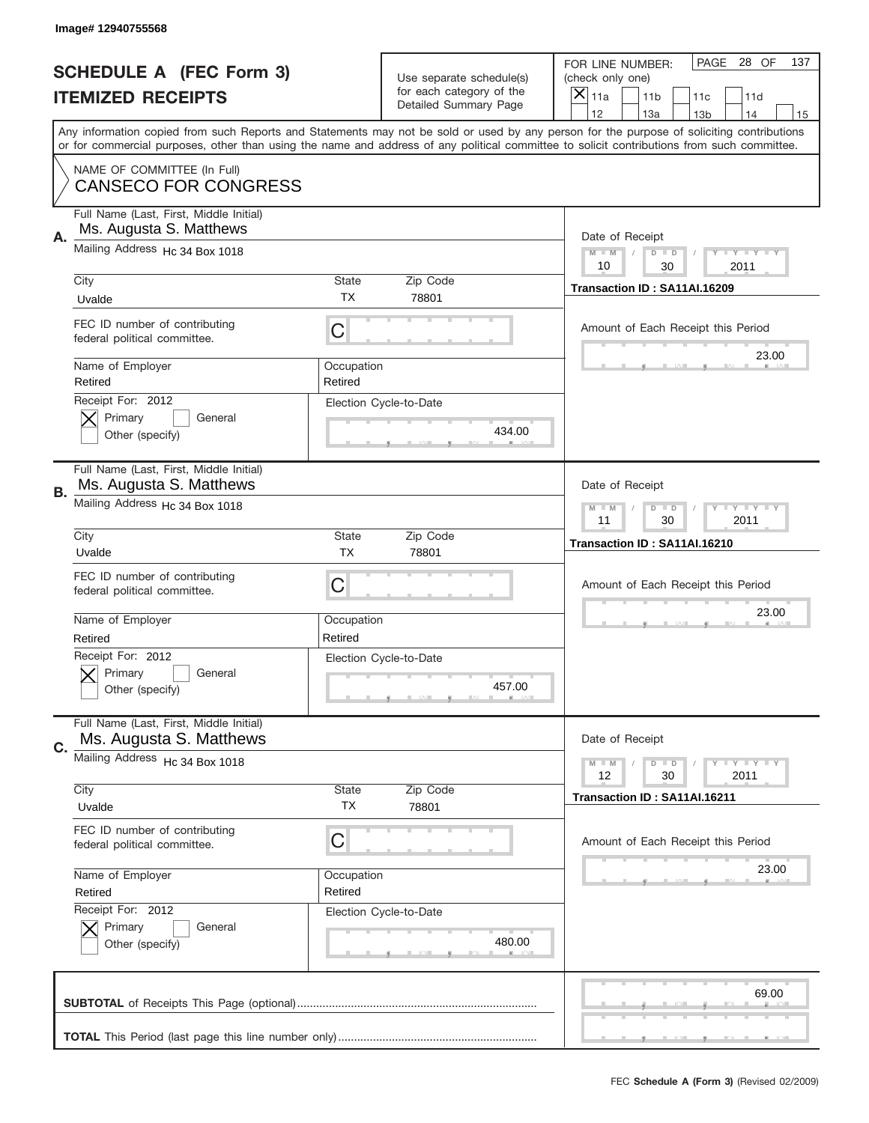|    | Image# 12940755568                                                 |                       |                                                      |                                                                                                                                                                                                                                                                                                                  |
|----|--------------------------------------------------------------------|-----------------------|------------------------------------------------------|------------------------------------------------------------------------------------------------------------------------------------------------------------------------------------------------------------------------------------------------------------------------------------------------------------------|
|    | <b>SCHEDULE A (FEC Form 3)</b>                                     |                       | Use separate schedule(s)<br>for each category of the | PAGE<br>28 OF<br>137<br>FOR LINE NUMBER:<br>(check only one)                                                                                                                                                                                                                                                     |
|    | <b>ITEMIZED RECEIPTS</b>                                           |                       | Detailed Summary Page                                | ×<br>11a<br>11 <sub>b</sub><br>11d<br>11c<br>12<br>13a<br>14                                                                                                                                                                                                                                                     |
|    |                                                                    |                       |                                                      | 13 <sub>b</sub><br>15<br>Any information copied from such Reports and Statements may not be sold or used by any person for the purpose of soliciting contributions<br>or for commercial purposes, other than using the name and address of any political committee to solicit contributions from such committee. |
|    | NAME OF COMMITTEE (In Full)<br><b>CANSECO FOR CONGRESS</b>         |                       |                                                      |                                                                                                                                                                                                                                                                                                                  |
| А. | Full Name (Last, First, Middle Initial)<br>Ms. Augusta S. Matthews |                       |                                                      | Date of Receipt                                                                                                                                                                                                                                                                                                  |
|    | Mailing Address Hc 34 Box 1018                                     |                       |                                                      | $M$ M<br>Y FY FY FY<br>$D$ $D$<br>10<br>30<br>2011                                                                                                                                                                                                                                                               |
|    | City<br>Uvalde                                                     | State<br><b>TX</b>    | Zip Code<br>78801                                    | Transaction ID: SA11AI.16209                                                                                                                                                                                                                                                                                     |
|    | FEC ID number of contributing<br>federal political committee.      | C                     |                                                      | Amount of Each Receipt this Period                                                                                                                                                                                                                                                                               |
|    | Name of Employer<br>Retired                                        | Occupation<br>Retired |                                                      | 23.00                                                                                                                                                                                                                                                                                                            |
|    | Receipt For: 2012<br>Primary<br>General<br>Other (specify)         |                       | Election Cycle-to-Date<br>434.00                     |                                                                                                                                                                                                                                                                                                                  |
| В. | Full Name (Last, First, Middle Initial)<br>Ms. Augusta S. Matthews |                       |                                                      | Date of Receipt                                                                                                                                                                                                                                                                                                  |
|    | Mailing Address Hc 34 Box 1018                                     |                       |                                                      | $T$ $Y$ $T$ $Y$ $T$ $Y$<br>$M - M$<br>$D$ $D$<br>11<br>30<br>2011                                                                                                                                                                                                                                                |
|    | City<br>Uvalde                                                     | State<br><b>TX</b>    | Zip Code<br>78801                                    | Transaction ID: SA11AI.16210                                                                                                                                                                                                                                                                                     |
|    | FEC ID number of contributing<br>federal political committee.      | C                     |                                                      | Amount of Each Receipt this Period                                                                                                                                                                                                                                                                               |
|    | Name of Employer<br>Retired                                        | Occupation<br>Retired |                                                      | 23.00                                                                                                                                                                                                                                                                                                            |
|    | Receipt For: 2012<br>General<br>Primary<br>Other (specify)         |                       | Election Cycle-to-Date<br>457.00                     |                                                                                                                                                                                                                                                                                                                  |
| C. | Full Name (Last, First, Middle Initial)<br>Ms. Augusta S. Matthews |                       |                                                      | Date of Receipt                                                                                                                                                                                                                                                                                                  |
|    | Mailing Address Hc 34 Box 1018                                     |                       |                                                      | <b>TEY LY LY</b><br>$M - M$<br>$D$ $D$<br>30<br>2011<br>12                                                                                                                                                                                                                                                       |
|    | City<br>Uvalde                                                     | State<br>ТX           | Zip Code<br>78801                                    | Transaction ID: SA11AI.16211                                                                                                                                                                                                                                                                                     |
|    | FEC ID number of contributing<br>federal political committee.      | C                     |                                                      | Amount of Each Receipt this Period                                                                                                                                                                                                                                                                               |
|    | Name of Employer<br>Retired                                        | Occupation<br>Retired |                                                      | 23.00                                                                                                                                                                                                                                                                                                            |
|    | Receipt For: 2012<br>Primary<br>General<br>Other (specify)         |                       | Election Cycle-to-Date<br>480.00                     |                                                                                                                                                                                                                                                                                                                  |
|    |                                                                    |                       |                                                      | 69.00                                                                                                                                                                                                                                                                                                            |
|    |                                                                    |                       |                                                      |                                                                                                                                                                                                                                                                                                                  |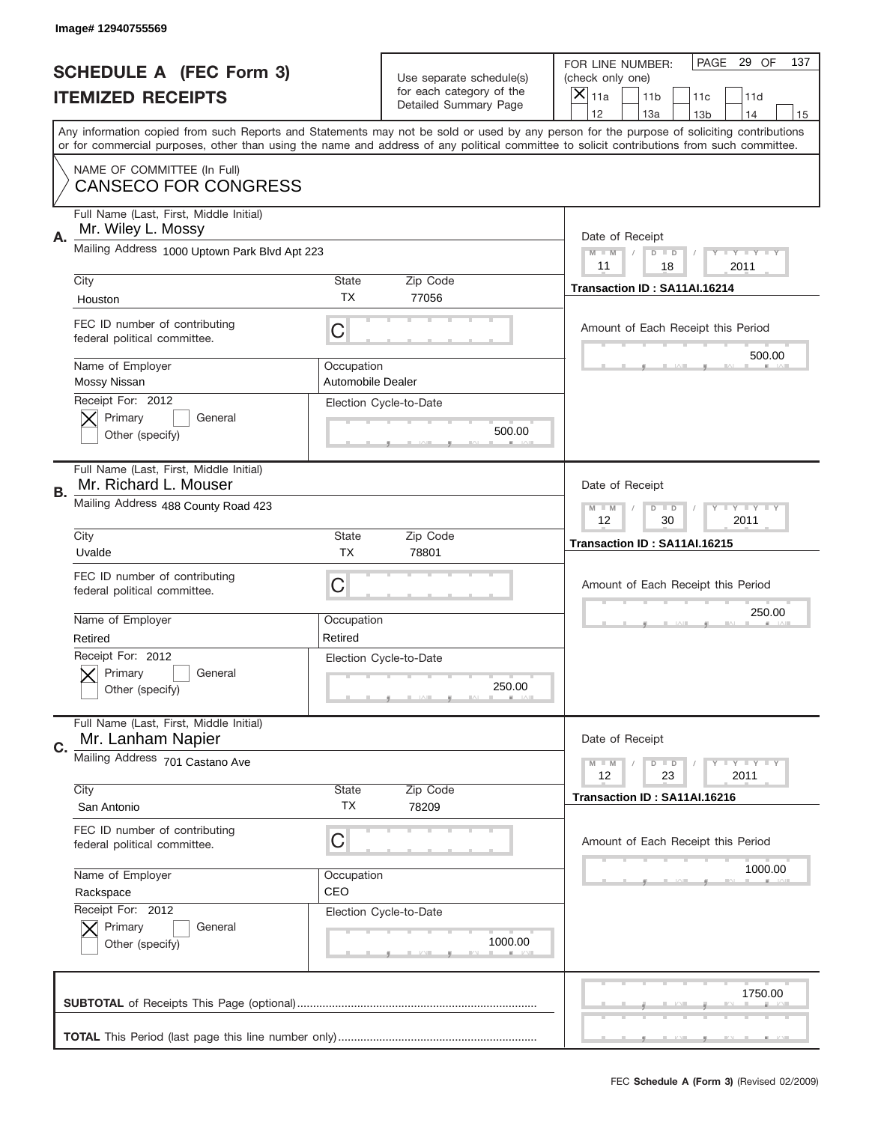|    | Image# 12940755569                                               |                                 |                                                   |                                                                                                                                                                                                                                                                                                                                     |
|----|------------------------------------------------------------------|---------------------------------|---------------------------------------------------|-------------------------------------------------------------------------------------------------------------------------------------------------------------------------------------------------------------------------------------------------------------------------------------------------------------------------------------|
|    | <b>SCHEDULE A (FEC Form 3)</b>                                   |                                 | Use separate schedule(s)                          | PAGE 29 OF<br>137<br>FOR LINE NUMBER:<br>(check only one)                                                                                                                                                                                                                                                                           |
|    | <b>ITEMIZED RECEIPTS</b>                                         |                                 | for each category of the<br>Detailed Summary Page | ×<br>11a<br>11 <sub>b</sub><br>11c<br>11d                                                                                                                                                                                                                                                                                           |
|    |                                                                  |                                 |                                                   | 12<br>13a<br>14<br>13 <sub>b</sub><br>15<br>Any information copied from such Reports and Statements may not be sold or used by any person for the purpose of soliciting contributions<br>or for commercial purposes, other than using the name and address of any political committee to solicit contributions from such committee. |
|    | NAME OF COMMITTEE (In Full)<br><b>CANSECO FOR CONGRESS</b>       |                                 |                                                   |                                                                                                                                                                                                                                                                                                                                     |
| Α. | Full Name (Last, First, Middle Initial)<br>Mr. Wiley L. Mossy    |                                 |                                                   | Date of Receipt                                                                                                                                                                                                                                                                                                                     |
|    | Mailing Address 1000 Uptown Park Blvd Apt 223                    |                                 |                                                   | $M - M$<br><b>LEY LEY LEY</b><br>$D$ $D$<br>11<br>18<br>2011                                                                                                                                                                                                                                                                        |
|    | City<br>Houston                                                  | State<br><b>TX</b>              | Zip Code<br>77056                                 | Transaction ID: SA11AI.16214                                                                                                                                                                                                                                                                                                        |
|    | FEC ID number of contributing<br>federal political committee.    | C                               |                                                   | Amount of Each Receipt this Period<br>500.00                                                                                                                                                                                                                                                                                        |
|    | Name of Employer<br>Mossy Nissan                                 | Occupation<br>Automobile Dealer |                                                   |                                                                                                                                                                                                                                                                                                                                     |
|    | Receipt For: 2012<br>Primary<br>General<br>Other (specify)       |                                 | Election Cycle-to-Date<br>500.00                  |                                                                                                                                                                                                                                                                                                                                     |
| В. | Full Name (Last, First, Middle Initial)<br>Mr. Richard L. Mouser |                                 |                                                   | Date of Receipt                                                                                                                                                                                                                                                                                                                     |
|    | Mailing Address 488 County Road 423                              |                                 |                                                   | $M$ M<br>$D$ $D$<br><b>LYLYLY</b><br>12<br>30<br>2011                                                                                                                                                                                                                                                                               |
|    | City<br>Uvalde                                                   | State<br><b>TX</b>              | Zip Code<br>78801                                 | Transaction ID: SA11AI.16215                                                                                                                                                                                                                                                                                                        |
|    | FEC ID number of contributing<br>federal political committee.    | C                               |                                                   | Amount of Each Receipt this Period                                                                                                                                                                                                                                                                                                  |
|    | Name of Employer<br>Retired                                      | Occupation<br>Retired           |                                                   | 250.00                                                                                                                                                                                                                                                                                                                              |
|    | Receipt For: 2012<br>General<br>Primary<br>Other (specify)       |                                 | Election Cycle-to-Date<br>250.00                  |                                                                                                                                                                                                                                                                                                                                     |
| C. | Full Name (Last, First, Middle Initial)<br>Mr. Lanham Napier     |                                 |                                                   | Date of Receipt                                                                                                                                                                                                                                                                                                                     |
|    | Mailing Address 701 Castano Ave<br>City                          | State                           | Zip Code                                          | <b>LY LY LY</b><br>$M - M$<br>$D$ $D$<br>12<br>2011<br>23                                                                                                                                                                                                                                                                           |
|    | San Antonio                                                      | TX                              | 78209                                             | Transaction ID: SA11AI.16216                                                                                                                                                                                                                                                                                                        |
|    | FEC ID number of contributing<br>federal political committee.    | C                               |                                                   | Amount of Each Receipt this Period                                                                                                                                                                                                                                                                                                  |
|    | Name of Employer<br>Rackspace                                    | Occupation<br>CEO               |                                                   | 1000.00                                                                                                                                                                                                                                                                                                                             |
|    | Receipt For: 2012<br>Primary<br>General<br>Other (specify)       |                                 | Election Cycle-to-Date<br>1000.00                 |                                                                                                                                                                                                                                                                                                                                     |
|    |                                                                  |                                 |                                                   | 1750.00                                                                                                                                                                                                                                                                                                                             |
|    |                                                                  |                                 |                                                   |                                                                                                                                                                                                                                                                                                                                     |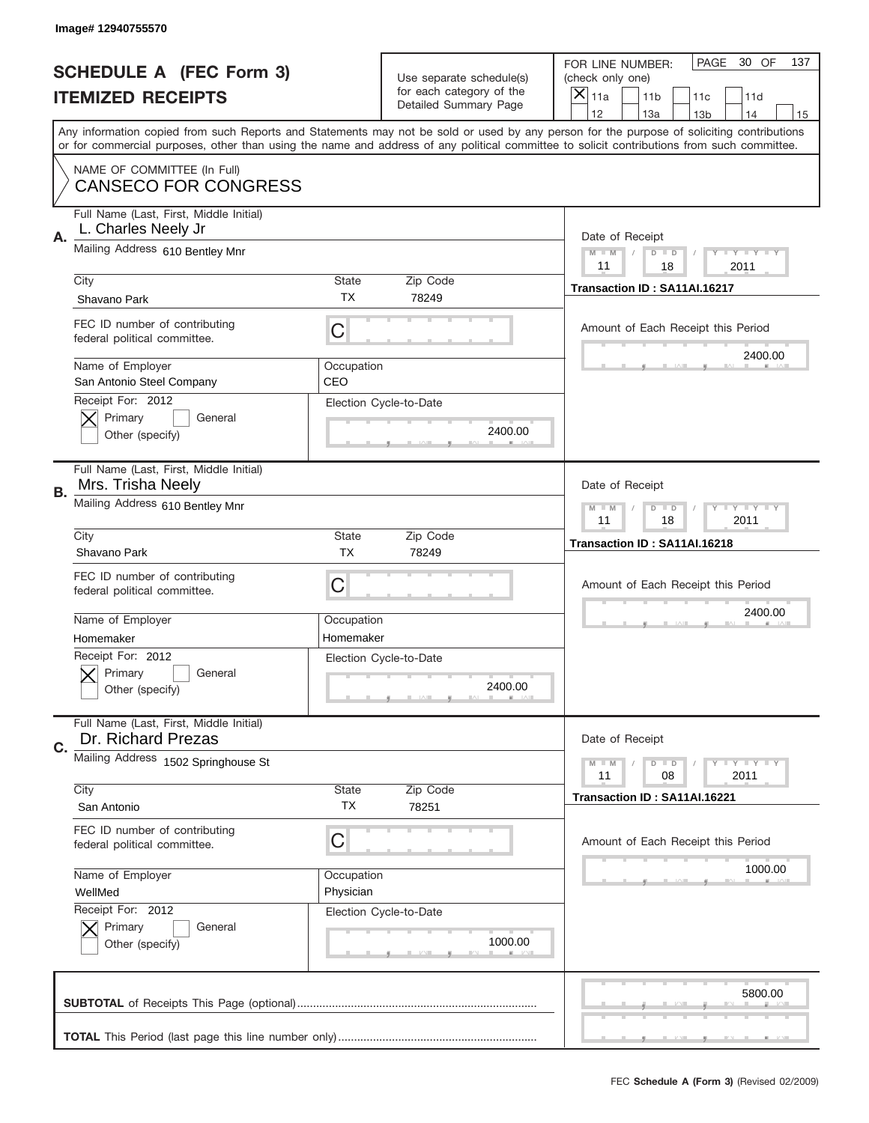|    | Image# 12940755570                                             |                           |                                                   |                                                                                                                                                                                                                                                                                                                                     |
|----|----------------------------------------------------------------|---------------------------|---------------------------------------------------|-------------------------------------------------------------------------------------------------------------------------------------------------------------------------------------------------------------------------------------------------------------------------------------------------------------------------------------|
|    | <b>SCHEDULE A (FEC Form 3)</b>                                 |                           | Use separate schedule(s)                          | PAGE<br>30 OF<br>137<br>FOR LINE NUMBER:<br>(check only one)                                                                                                                                                                                                                                                                        |
|    | <b>ITEMIZED RECEIPTS</b>                                       |                           | for each category of the<br>Detailed Summary Page | $\overline{X} _{11a}$<br>11 <sub>b</sub><br>11c<br>11d                                                                                                                                                                                                                                                                              |
|    |                                                                |                           |                                                   | 12<br>13a<br>14<br>13 <sub>b</sub><br>15<br>Any information copied from such Reports and Statements may not be sold or used by any person for the purpose of soliciting contributions<br>or for commercial purposes, other than using the name and address of any political committee to solicit contributions from such committee. |
|    | NAME OF COMMITTEE (In Full)<br><b>CANSECO FOR CONGRESS</b>     |                           |                                                   |                                                                                                                                                                                                                                                                                                                                     |
| Α. | Full Name (Last, First, Middle Initial)<br>L. Charles Neely Jr |                           |                                                   | Date of Receipt                                                                                                                                                                                                                                                                                                                     |
|    | Mailing Address 610 Bentley Mnr<br>City                        | <b>State</b>              | Zip Code                                          | <b>LY LY LY</b><br>$M - M$<br>$D$ $D$<br>11<br>18<br>2011                                                                                                                                                                                                                                                                           |
|    | Shavano Park                                                   | TX.                       | 78249                                             | Transaction ID: SA11AI.16217                                                                                                                                                                                                                                                                                                        |
|    | FEC ID number of contributing<br>federal political committee.  | C                         |                                                   | Amount of Each Receipt this Period                                                                                                                                                                                                                                                                                                  |
|    | Name of Employer<br>San Antonio Steel Company                  | Occupation<br>CEO         |                                                   | 2400.00                                                                                                                                                                                                                                                                                                                             |
|    | Receipt For: 2012<br>Primary<br>General<br>Other (specify)     |                           | Election Cycle-to-Date<br>2400.00                 |                                                                                                                                                                                                                                                                                                                                     |
| В. | Full Name (Last, First, Middle Initial)<br>Mrs. Trisha Neely   |                           |                                                   | Date of Receipt                                                                                                                                                                                                                                                                                                                     |
|    | Mailing Address 610 Bentley Mnr                                |                           |                                                   | $T$ $Y$ $T$ $Y$ $T$ $Y$<br>$D$ $D$<br>$M - M$<br>11<br>18<br>2011                                                                                                                                                                                                                                                                   |
|    | City<br>Shavano Park                                           | <b>State</b><br><b>TX</b> | Zip Code<br>78249                                 | Transaction ID: SA11AI.16218                                                                                                                                                                                                                                                                                                        |
|    | FEC ID number of contributing<br>federal political committee.  | С                         |                                                   | Amount of Each Receipt this Period                                                                                                                                                                                                                                                                                                  |
|    | Name of Employer                                               | Occupation                |                                                   | 2400.00                                                                                                                                                                                                                                                                                                                             |
|    | Homemaker                                                      | Homemaker                 |                                                   |                                                                                                                                                                                                                                                                                                                                     |
|    | Receipt For: 2012<br>General<br>Primary<br>Other (specify)     |                           | Election Cycle-to-Date<br>2400.00                 |                                                                                                                                                                                                                                                                                                                                     |
| C. | Full Name (Last, First, Middle Initial)<br>Dr. Richard Prezas  |                           |                                                   | Date of Receipt                                                                                                                                                                                                                                                                                                                     |
|    | Mailing Address 1502 Springhouse St                            |                           |                                                   | <b>LY LY LY</b><br>$M - M$<br>$D$ $D$<br>08<br>2011<br>11                                                                                                                                                                                                                                                                           |
|    | City<br>San Antonio                                            | <b>State</b><br>ТX        | Zip Code<br>78251                                 | Transaction ID: SA11AI.16221                                                                                                                                                                                                                                                                                                        |
|    | FEC ID number of contributing<br>federal political committee.  | С                         |                                                   | Amount of Each Receipt this Period                                                                                                                                                                                                                                                                                                  |
|    | Name of Employer<br>WellMed                                    | Occupation<br>Physician   |                                                   | 1000.00                                                                                                                                                                                                                                                                                                                             |
|    | Receipt For: 2012<br>Primary<br>General<br>Other (specify)     |                           | Election Cycle-to-Date<br>1000.00                 |                                                                                                                                                                                                                                                                                                                                     |
|    |                                                                |                           |                                                   | 5800.00                                                                                                                                                                                                                                                                                                                             |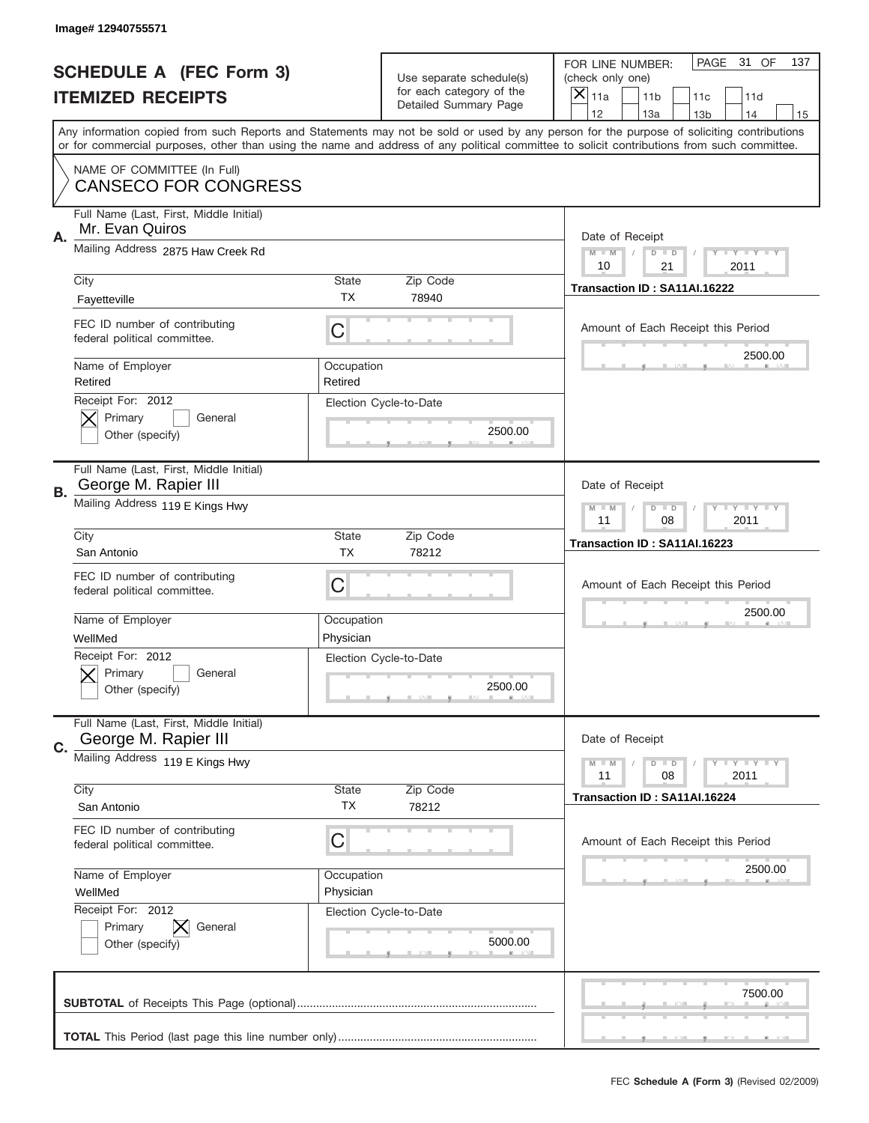|           | Image# 12940755571                                              |                         |                                                   |                                                                                                                                                                                                                                                                                                                                     |
|-----------|-----------------------------------------------------------------|-------------------------|---------------------------------------------------|-------------------------------------------------------------------------------------------------------------------------------------------------------------------------------------------------------------------------------------------------------------------------------------------------------------------------------------|
|           | <b>SCHEDULE A (FEC Form 3)</b>                                  |                         | Use separate schedule(s)                          | PAGE<br>31 OF<br>137<br>FOR LINE NUMBER:<br>(check only one)                                                                                                                                                                                                                                                                        |
|           | <b>ITEMIZED RECEIPTS</b>                                        |                         | for each category of the<br>Detailed Summary Page | ×<br>11a<br>11 <sub>b</sub><br>11c<br>11d                                                                                                                                                                                                                                                                                           |
|           |                                                                 |                         |                                                   | 12<br>13a<br>14<br>13 <sub>b</sub><br>15<br>Any information copied from such Reports and Statements may not be sold or used by any person for the purpose of soliciting contributions<br>or for commercial purposes, other than using the name and address of any political committee to solicit contributions from such committee. |
|           | NAME OF COMMITTEE (In Full)<br><b>CANSECO FOR CONGRESS</b>      |                         |                                                   |                                                                                                                                                                                                                                                                                                                                     |
| Α.        | Full Name (Last, First, Middle Initial)<br>Mr. Evan Quiros      |                         |                                                   | Date of Receipt                                                                                                                                                                                                                                                                                                                     |
|           | Mailing Address 2875 Haw Creek Rd                               |                         |                                                   | $M - M$<br><b>LEY LEY LEY</b><br>$D$ $D$<br>10<br>21<br>2011                                                                                                                                                                                                                                                                        |
|           | City<br>Fayetteville                                            | State<br><b>TX</b>      | Zip Code<br>78940                                 | Transaction ID: SA11AI.16222                                                                                                                                                                                                                                                                                                        |
|           | FEC ID number of contributing<br>federal political committee.   | C                       |                                                   | Amount of Each Receipt this Period<br>2500.00                                                                                                                                                                                                                                                                                       |
|           | Name of Employer<br>Retired<br>Receipt For: 2012                | Occupation<br>Retired   |                                                   |                                                                                                                                                                                                                                                                                                                                     |
|           | Primary<br>General<br>Other (specify)                           |                         | Election Cycle-to-Date<br>2500.00                 |                                                                                                                                                                                                                                                                                                                                     |
| <b>B.</b> | Full Name (Last, First, Middle Initial)<br>George M. Rapier III |                         |                                                   | Date of Receipt                                                                                                                                                                                                                                                                                                                     |
|           | Mailing Address 119 E Kings Hwy                                 |                         |                                                   | $D$ $D$<br><b>LYLYLY</b><br>$M - M$<br>11<br>08<br>2011                                                                                                                                                                                                                                                                             |
|           | City<br>San Antonio                                             | State<br><b>TX</b>      | Zip Code<br>78212                                 | Transaction ID: SA11AI.16223                                                                                                                                                                                                                                                                                                        |
|           | FEC ID number of contributing<br>federal political committee.   | C                       |                                                   | Amount of Each Receipt this Period                                                                                                                                                                                                                                                                                                  |
|           | Name of Employer<br>WellMed                                     | Occupation<br>Physician |                                                   | 2500.00                                                                                                                                                                                                                                                                                                                             |
|           | Receipt For: 2012                                               |                         | Election Cycle-to-Date                            |                                                                                                                                                                                                                                                                                                                                     |
|           | General<br>Primary<br>Other (specify)                           |                         | 2500.00                                           |                                                                                                                                                                                                                                                                                                                                     |
| C.        | Full Name (Last, First, Middle Initial)<br>George M. Rapier III |                         |                                                   | Date of Receipt                                                                                                                                                                                                                                                                                                                     |
|           | Mailing Address 119 E Kings Hwy                                 |                         |                                                   | <b>LYLYLY</b><br>$M - M$<br>$D$ $D$<br>11<br>2011<br>08                                                                                                                                                                                                                                                                             |
|           | City<br>San Antonio                                             | State<br><b>TX</b>      | Zip Code<br>78212                                 | Transaction ID: SA11AI.16224                                                                                                                                                                                                                                                                                                        |
|           | FEC ID number of contributing<br>federal political committee.   | С                       |                                                   | Amount of Each Receipt this Period                                                                                                                                                                                                                                                                                                  |
|           | Name of Employer<br>WellMed                                     | Occupation<br>Physician |                                                   | 2500.00                                                                                                                                                                                                                                                                                                                             |
|           | Receipt For: 2012<br>Primary<br>General<br>Other (specify)      |                         | Election Cycle-to-Date<br>5000.00                 |                                                                                                                                                                                                                                                                                                                                     |
|           |                                                                 |                         |                                                   | 7500.00                                                                                                                                                                                                                                                                                                                             |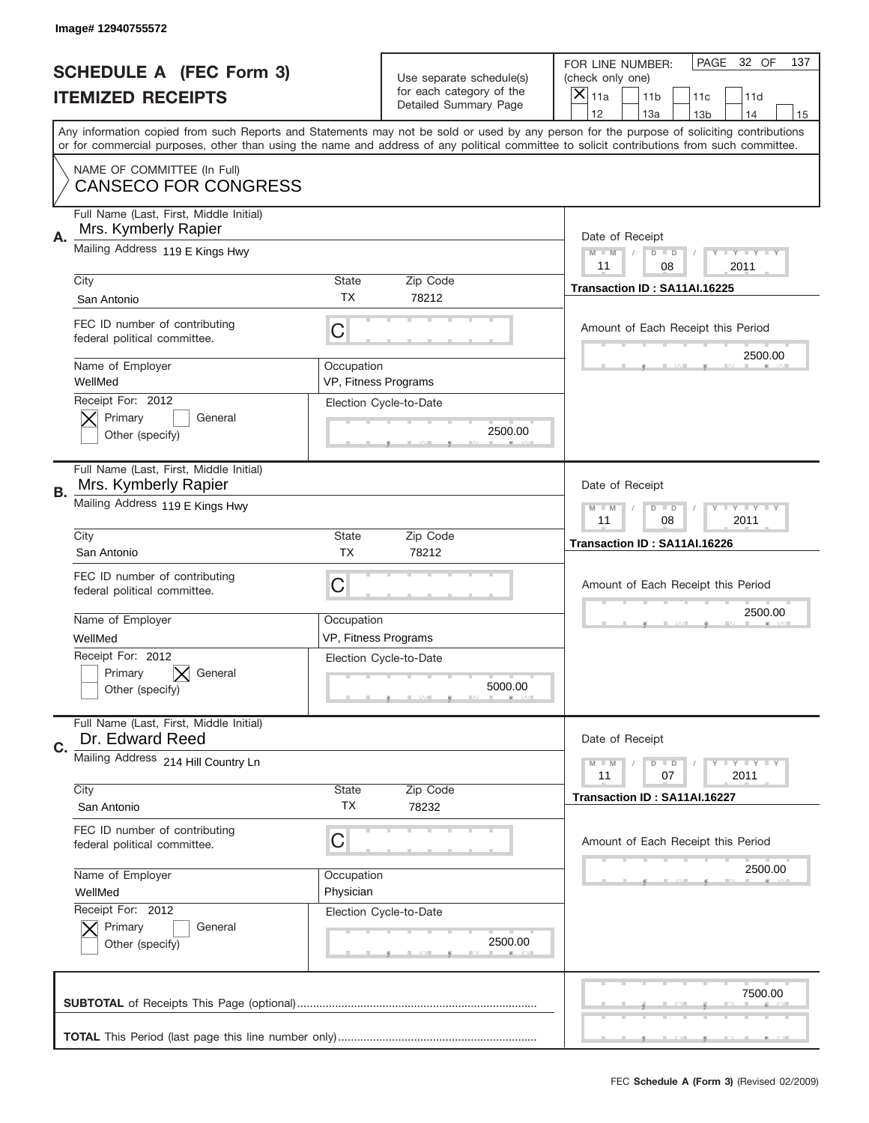|    | Image# 12940755572                                              |                         |                                                   |                                                                                                                                                                                                                                                                                                                                     |
|----|-----------------------------------------------------------------|-------------------------|---------------------------------------------------|-------------------------------------------------------------------------------------------------------------------------------------------------------------------------------------------------------------------------------------------------------------------------------------------------------------------------------------|
|    | <b>SCHEDULE A (FEC Form 3)</b>                                  |                         | Use separate schedule(s)                          | PAGE<br>32 OF<br>137<br>FOR LINE NUMBER:<br>(check only one)                                                                                                                                                                                                                                                                        |
|    | <b>ITEMIZED RECEIPTS</b>                                        |                         | for each category of the<br>Detailed Summary Page | ×<br>11a<br>11 <sub>b</sub><br>11c<br>11d                                                                                                                                                                                                                                                                                           |
|    |                                                                 |                         |                                                   | 12<br>13a<br>14<br>13 <sub>b</sub><br>15<br>Any information copied from such Reports and Statements may not be sold or used by any person for the purpose of soliciting contributions<br>or for commercial purposes, other than using the name and address of any political committee to solicit contributions from such committee. |
|    | NAME OF COMMITTEE (In Full)<br><b>CANSECO FOR CONGRESS</b>      |                         |                                                   |                                                                                                                                                                                                                                                                                                                                     |
| Α. | Full Name (Last, First, Middle Initial)<br>Mrs. Kymberly Rapier |                         |                                                   | Date of Receipt                                                                                                                                                                                                                                                                                                                     |
|    | Mailing Address 119 E Kings Hwy                                 |                         |                                                   | $M - M$<br><b>LEY LEY LEY</b><br>$D$ $D$<br>11<br>08<br>2011                                                                                                                                                                                                                                                                        |
|    | City<br>San Antonio                                             | State<br>ТX             | Zip Code<br>78212                                 | Transaction ID: SA11AI.16225                                                                                                                                                                                                                                                                                                        |
|    | FEC ID number of contributing<br>federal political committee.   | C                       |                                                   | Amount of Each Receipt this Period<br>2500.00                                                                                                                                                                                                                                                                                       |
|    | Name of Employer<br>WellMed                                     | Occupation              | VP, Fitness Programs                              |                                                                                                                                                                                                                                                                                                                                     |
|    | Receipt For: 2012<br>Primary<br>General<br>Other (specify)      |                         | Election Cycle-to-Date<br>2500.00                 |                                                                                                                                                                                                                                                                                                                                     |
| В. | Full Name (Last, First, Middle Initial)<br>Mrs. Kymberly Rapier |                         |                                                   | Date of Receipt                                                                                                                                                                                                                                                                                                                     |
|    | Mailing Address 119 E Kings Hwy                                 |                         |                                                   | <b>LEYTEY LEY</b><br>$M - M$<br>$D$ $D$<br>11<br>08<br>2011                                                                                                                                                                                                                                                                         |
|    | City<br>San Antonio                                             | State<br><b>TX</b>      | Zip Code<br>78212                                 | Transaction ID: SA11AI.16226                                                                                                                                                                                                                                                                                                        |
|    | FEC ID number of contributing                                   |                         |                                                   | Amount of Each Receipt this Period                                                                                                                                                                                                                                                                                                  |
|    | federal political committee.                                    | C                       |                                                   |                                                                                                                                                                                                                                                                                                                                     |
|    | Name of Employer<br>WellMed                                     | Occupation              | VP, Fitness Programs                              | 2500.00                                                                                                                                                                                                                                                                                                                             |
|    | Receipt For: 2012<br>General<br>Primary<br>Other (specify)      |                         | Election Cycle-to-Date<br>5000.00                 |                                                                                                                                                                                                                                                                                                                                     |
| C. | Full Name (Last, First, Middle Initial)<br>Dr. Edward Reed      |                         |                                                   | Date of Receipt                                                                                                                                                                                                                                                                                                                     |
|    | Mailing Address 214 Hill Country Ln                             |                         |                                                   | <b>LY LY LY</b><br>$M - M$<br>$D$ $D$<br>07<br>2011<br>11                                                                                                                                                                                                                                                                           |
|    | City<br>San Antonio                                             | State<br>TX             | Zip Code<br>78232                                 | Transaction ID: SA11AI.16227                                                                                                                                                                                                                                                                                                        |
|    | FEC ID number of contributing<br>federal political committee.   | C                       |                                                   | Amount of Each Receipt this Period                                                                                                                                                                                                                                                                                                  |
|    | Name of Employer<br>WellMed                                     | Occupation<br>Physician |                                                   | 2500.00                                                                                                                                                                                                                                                                                                                             |
|    | Receipt For: 2012<br>Primary<br>General<br>Other (specify)      |                         | Election Cycle-to-Date<br>2500.00                 |                                                                                                                                                                                                                                                                                                                                     |
|    |                                                                 |                         |                                                   | 7500.00                                                                                                                                                                                                                                                                                                                             |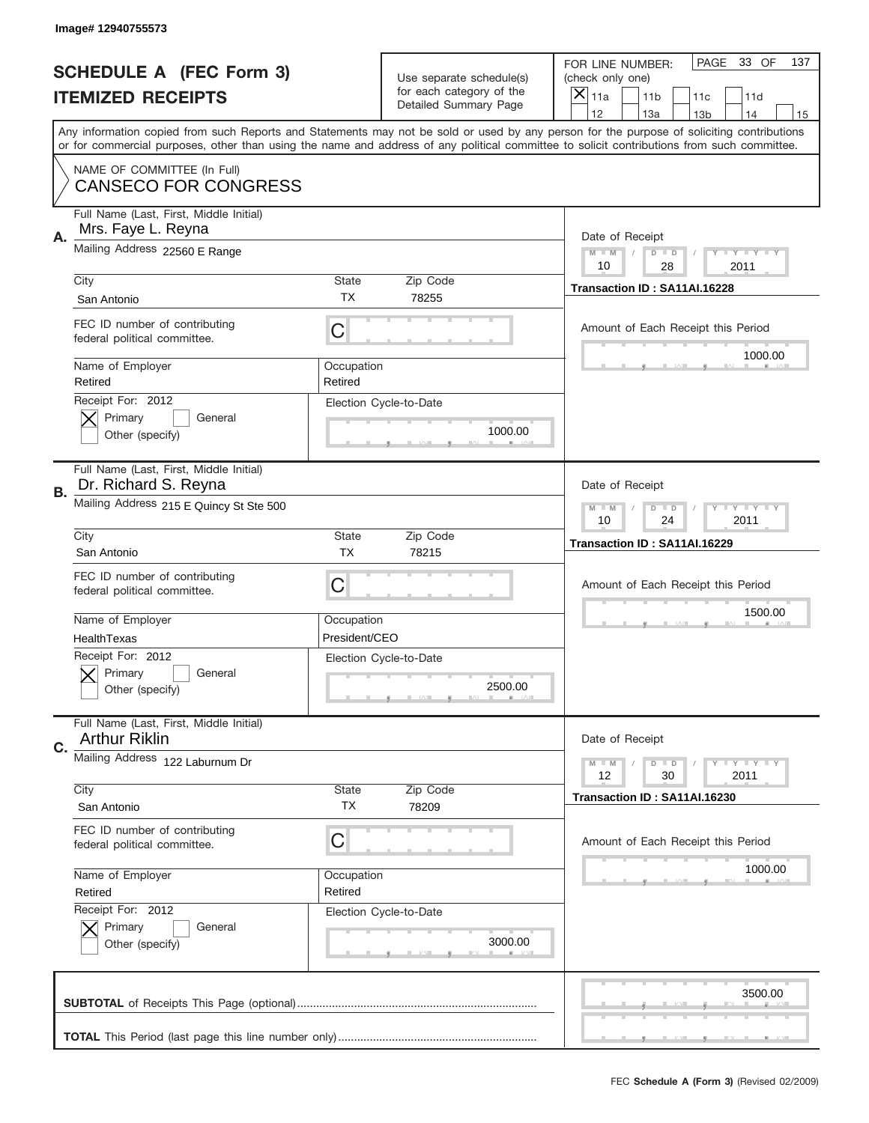|    | Image# 12940755573                                              |                             |                                                   |                                                                                                                                                                                                                                                                                                                                     |
|----|-----------------------------------------------------------------|-----------------------------|---------------------------------------------------|-------------------------------------------------------------------------------------------------------------------------------------------------------------------------------------------------------------------------------------------------------------------------------------------------------------------------------------|
|    | <b>SCHEDULE A (FEC Form 3)</b>                                  |                             | Use separate schedule(s)                          | PAGE<br>33 OF<br>137<br>FOR LINE NUMBER:<br>(check only one)                                                                                                                                                                                                                                                                        |
|    | <b>ITEMIZED RECEIPTS</b>                                        |                             | for each category of the<br>Detailed Summary Page | ×<br>11a<br>11 <sub>b</sub><br>11c<br>11d                                                                                                                                                                                                                                                                                           |
|    |                                                                 |                             |                                                   | 12<br>13a<br>14<br>13 <sub>b</sub><br>15<br>Any information copied from such Reports and Statements may not be sold or used by any person for the purpose of soliciting contributions<br>or for commercial purposes, other than using the name and address of any political committee to solicit contributions from such committee. |
|    | NAME OF COMMITTEE (In Full)<br><b>CANSECO FOR CONGRESS</b>      |                             |                                                   |                                                                                                                                                                                                                                                                                                                                     |
| Α. | Full Name (Last, First, Middle Initial)<br>Mrs. Faye L. Reyna   |                             |                                                   | Date of Receipt                                                                                                                                                                                                                                                                                                                     |
|    | Mailing Address 22560 E Range                                   |                             |                                                   | $M$ M<br>Y FY FY FY<br>$D$ $D$<br>10<br>28<br>2011                                                                                                                                                                                                                                                                                  |
|    | City<br>San Antonio                                             | State<br><b>TX</b>          | Zip Code<br>78255                                 | Transaction ID: SA11AI.16228                                                                                                                                                                                                                                                                                                        |
|    | FEC ID number of contributing<br>federal political committee.   | C                           |                                                   | Amount of Each Receipt this Period<br>1000.00                                                                                                                                                                                                                                                                                       |
|    | Name of Employer<br>Retired                                     | Occupation<br>Retired       |                                                   |                                                                                                                                                                                                                                                                                                                                     |
|    | Receipt For: 2012<br>Primary<br>General<br>Other (specify)      |                             | Election Cycle-to-Date<br>1000.00                 |                                                                                                                                                                                                                                                                                                                                     |
| В. | Full Name (Last, First, Middle Initial)<br>Dr. Richard S. Reyna |                             |                                                   | Date of Receipt                                                                                                                                                                                                                                                                                                                     |
|    | Mailing Address 215 E Quincy St Ste 500                         |                             |                                                   | $T$ $Y$ $T$ $Y$ $T$ $Y$<br>$M - M$<br>$D$ $D$<br>10<br>24<br>2011                                                                                                                                                                                                                                                                   |
|    | City<br>San Antonio                                             | State<br><b>TX</b>          | Zip Code<br>78215                                 | Transaction ID: SA11AI.16229                                                                                                                                                                                                                                                                                                        |
|    | FEC ID number of contributing<br>federal political committee.   | C                           |                                                   | Amount of Each Receipt this Period                                                                                                                                                                                                                                                                                                  |
|    | Name of Employer<br>HealthTexas                                 | Occupation<br>President/CEO |                                                   | 1500.00                                                                                                                                                                                                                                                                                                                             |
|    | Receipt For: 2012<br>General<br>Primary<br>Other (specify)      |                             | Election Cycle-to-Date<br>2500.00                 |                                                                                                                                                                                                                                                                                                                                     |
| C. | Full Name (Last, First, Middle Initial)<br><b>Arthur Riklin</b> |                             |                                                   | Date of Receipt                                                                                                                                                                                                                                                                                                                     |
|    | Mailing Address 122 Laburnum Dr<br>City                         | State                       | Zip Code                                          | Y I Y I Y I Y<br>$M - M$<br>$D$ $D$<br>30<br>2011<br>12                                                                                                                                                                                                                                                                             |
|    | San Antonio                                                     | ТX                          | 78209                                             | Transaction ID: SA11AI.16230                                                                                                                                                                                                                                                                                                        |
|    | FEC ID number of contributing<br>federal political committee.   | C                           |                                                   | Amount of Each Receipt this Period                                                                                                                                                                                                                                                                                                  |
|    | Name of Employer<br>Retired                                     | Occupation<br>Retired       |                                                   | 1000.00                                                                                                                                                                                                                                                                                                                             |
|    | Receipt For: 2012<br>Primary<br>General<br>Other (specify)      |                             | Election Cycle-to-Date<br>3000.00                 |                                                                                                                                                                                                                                                                                                                                     |
|    |                                                                 |                             |                                                   | 3500.00                                                                                                                                                                                                                                                                                                                             |
|    |                                                                 |                             |                                                   |                                                                                                                                                                                                                                                                                                                                     |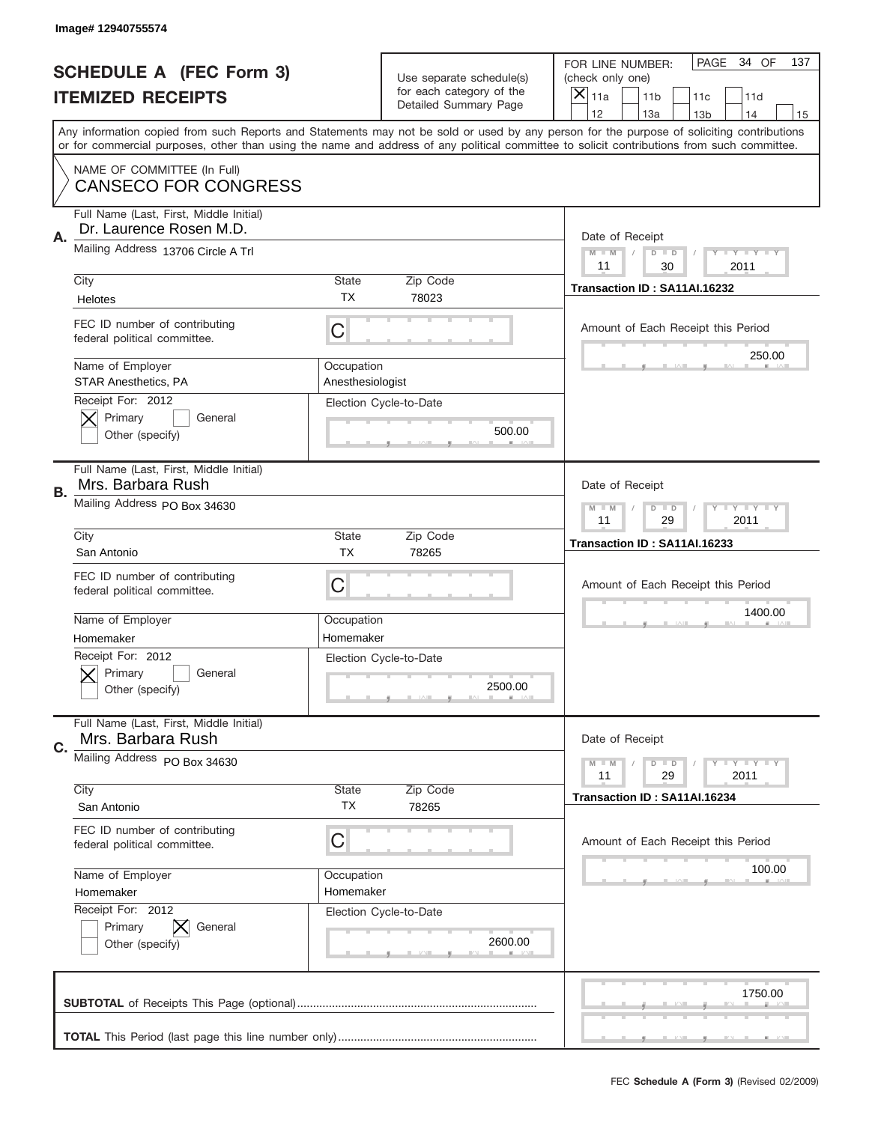|    | Image# 12940755574                                                 |                           |                                                   |                                                                                                                                                                                                                                                                                                                                     |
|----|--------------------------------------------------------------------|---------------------------|---------------------------------------------------|-------------------------------------------------------------------------------------------------------------------------------------------------------------------------------------------------------------------------------------------------------------------------------------------------------------------------------------|
|    | <b>SCHEDULE A (FEC Form 3)</b>                                     |                           | Use separate schedule(s)                          | PAGE<br>34 OF<br>137<br>FOR LINE NUMBER:<br>(check only one)                                                                                                                                                                                                                                                                        |
|    | <b>ITEMIZED RECEIPTS</b>                                           |                           | for each category of the<br>Detailed Summary Page | $\boldsymbol{\times}$<br>11a<br>11 <sub>b</sub><br>11c<br>11d                                                                                                                                                                                                                                                                       |
|    |                                                                    |                           |                                                   | 12<br>13a<br>14<br>13 <sub>b</sub><br>15<br>Any information copied from such Reports and Statements may not be sold or used by any person for the purpose of soliciting contributions<br>or for commercial purposes, other than using the name and address of any political committee to solicit contributions from such committee. |
|    |                                                                    |                           |                                                   |                                                                                                                                                                                                                                                                                                                                     |
|    | NAME OF COMMITTEE (In Full)<br><b>CANSECO FOR CONGRESS</b>         |                           |                                                   |                                                                                                                                                                                                                                                                                                                                     |
| Α. | Full Name (Last, First, Middle Initial)<br>Dr. Laurence Rosen M.D. |                           |                                                   | Date of Receipt                                                                                                                                                                                                                                                                                                                     |
|    | Mailing Address 13706 Circle A Trl                                 |                           |                                                   | <b>LY LY LY</b><br>$M - M$<br>$D$ $D$<br>11<br>30<br>2011                                                                                                                                                                                                                                                                           |
|    | City<br>Helotes                                                    | <b>State</b><br>TX.       | Zip Code<br>78023                                 | Transaction ID: SA11AI.16232                                                                                                                                                                                                                                                                                                        |
|    | FEC ID number of contributing<br>federal political committee.      | C                         |                                                   | Amount of Each Receipt this Period                                                                                                                                                                                                                                                                                                  |
|    | Name of Employer<br><b>STAR Anesthetics, PA</b>                    | Occupation                |                                                   | 250.00                                                                                                                                                                                                                                                                                                                              |
|    | Receipt For: 2012<br>Primary<br>General<br>Other (specify)         | Anesthesiologist          | Election Cycle-to-Date<br>500.00                  |                                                                                                                                                                                                                                                                                                                                     |
|    | Full Name (Last, First, Middle Initial)<br>Mrs. Barbara Rush       |                           |                                                   | Date of Receipt                                                                                                                                                                                                                                                                                                                     |
| В. | Mailing Address PO Box 34630                                       |                           |                                                   | $M - M$<br>$D$ $D$<br><b>LYLYLY</b><br>11<br>29<br>2011                                                                                                                                                                                                                                                                             |
|    | City<br>San Antonio                                                | <b>State</b><br><b>TX</b> | Zip Code<br>78265                                 | Transaction ID: SA11AI.16233                                                                                                                                                                                                                                                                                                        |
|    | FEC ID number of contributing<br>federal political committee.      | С                         |                                                   | Amount of Each Receipt this Period                                                                                                                                                                                                                                                                                                  |
|    | Name of Employer                                                   | Occupation                |                                                   | 1400.00                                                                                                                                                                                                                                                                                                                             |
|    | Homemaker<br>Receipt For: 2012                                     | Homemaker                 |                                                   |                                                                                                                                                                                                                                                                                                                                     |
|    | General<br>Primary<br>Other (specify)                              |                           | Election Cycle-to-Date<br>2500.00                 |                                                                                                                                                                                                                                                                                                                                     |
| C. | Full Name (Last, First, Middle Initial)<br>Mrs. Barbara Rush       |                           |                                                   | Date of Receipt                                                                                                                                                                                                                                                                                                                     |
|    | Mailing Address PO Box 34630                                       |                           |                                                   | <b>LYLYLY</b><br>$M - M$<br>$D$ $D$<br>11<br>29<br>2011                                                                                                                                                                                                                                                                             |
|    | City<br>San Antonio                                                | <b>State</b><br>ТX        | Zip Code<br>78265                                 | Transaction ID: SA11AI.16234                                                                                                                                                                                                                                                                                                        |
|    | FEC ID number of contributing<br>federal political committee.      | С                         |                                                   | Amount of Each Receipt this Period                                                                                                                                                                                                                                                                                                  |
|    | Name of Employer                                                   | Occupation                |                                                   | 100.00                                                                                                                                                                                                                                                                                                                              |
|    | Homemaker                                                          | Homemaker                 |                                                   |                                                                                                                                                                                                                                                                                                                                     |
|    | Receipt For: 2012<br>Primary<br>General<br>Other (specify)         |                           | Election Cycle-to-Date<br>2600.00                 |                                                                                                                                                                                                                                                                                                                                     |
|    |                                                                    |                           |                                                   | 1750.00                                                                                                                                                                                                                                                                                                                             |
|    |                                                                    |                           |                                                   |                                                                                                                                                                                                                                                                                                                                     |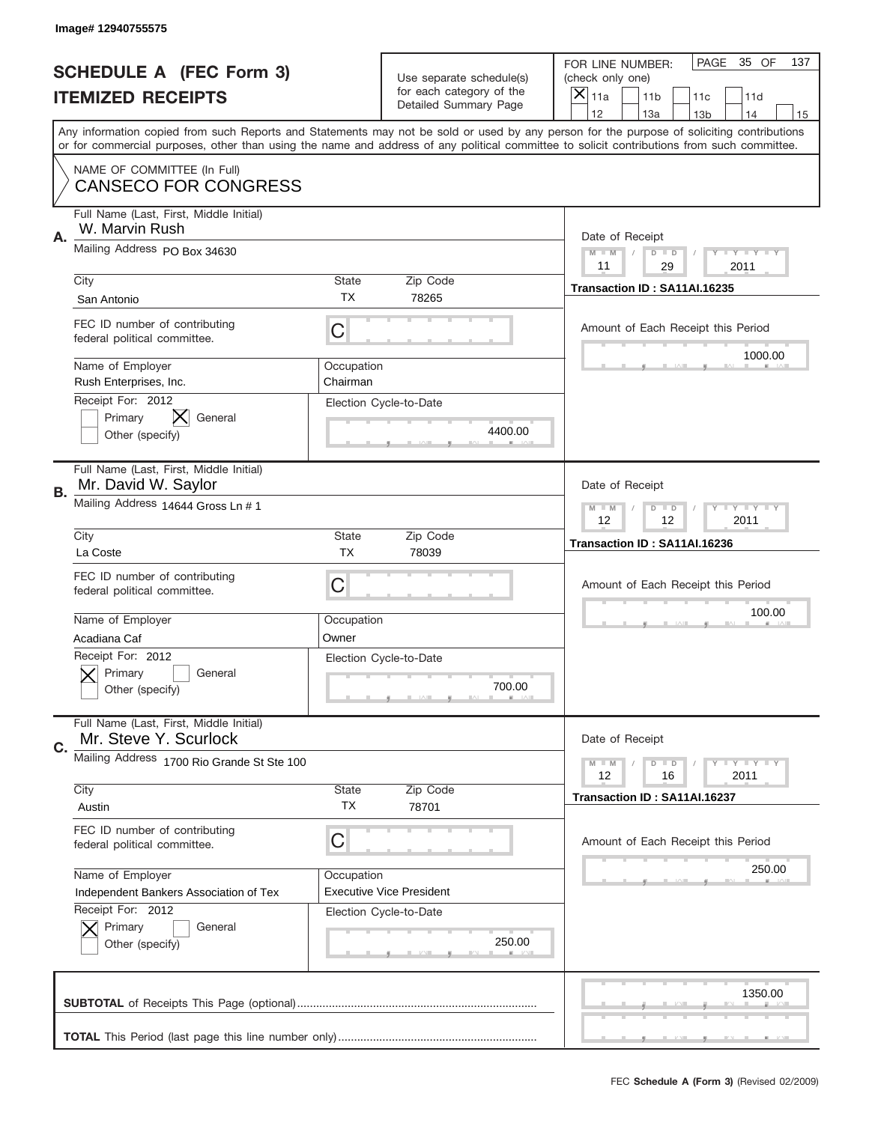|    | Image# 12940755575                                               |                        |                                                   |                                                                                                                                                                                                                                                                                                                                     |
|----|------------------------------------------------------------------|------------------------|---------------------------------------------------|-------------------------------------------------------------------------------------------------------------------------------------------------------------------------------------------------------------------------------------------------------------------------------------------------------------------------------------|
|    | <b>SCHEDULE A (FEC Form 3)</b>                                   |                        | Use separate schedule(s)                          | PAGE 35 OF<br>137<br>FOR LINE NUMBER:<br>(check only one)                                                                                                                                                                                                                                                                           |
|    | <b>ITEMIZED RECEIPTS</b>                                         |                        | for each category of the<br>Detailed Summary Page | ×<br>11a<br>11 <sub>b</sub><br>11c<br>11d                                                                                                                                                                                                                                                                                           |
|    |                                                                  |                        |                                                   | 12<br>13a<br>14<br>13 <sub>b</sub><br>15<br>Any information copied from such Reports and Statements may not be sold or used by any person for the purpose of soliciting contributions<br>or for commercial purposes, other than using the name and address of any political committee to solicit contributions from such committee. |
|    | NAME OF COMMITTEE (In Full)<br><b>CANSECO FOR CONGRESS</b>       |                        |                                                   |                                                                                                                                                                                                                                                                                                                                     |
| Α. | Full Name (Last, First, Middle Initial)<br>W. Marvin Rush        |                        |                                                   | Date of Receipt                                                                                                                                                                                                                                                                                                                     |
|    | Mailing Address PO Box 34630                                     |                        |                                                   | $M - M$<br><b>LY LY LY</b><br>$D$ $D$<br>11<br>29<br>2011                                                                                                                                                                                                                                                                           |
|    | City<br>San Antonio                                              | State<br><b>TX</b>     | Zip Code<br>78265                                 | Transaction ID: SA11AI.16235                                                                                                                                                                                                                                                                                                        |
|    | FEC ID number of contributing<br>federal political committee.    | C                      |                                                   | Amount of Each Receipt this Period<br>1000.00                                                                                                                                                                                                                                                                                       |
|    | Name of Employer<br>Rush Enterprises, Inc.                       | Occupation<br>Chairman |                                                   |                                                                                                                                                                                                                                                                                                                                     |
|    | Receipt For: 2012<br>IX<br>Primary<br>General<br>Other (specify) |                        | Election Cycle-to-Date<br>4400.00                 |                                                                                                                                                                                                                                                                                                                                     |
| В. | Full Name (Last, First, Middle Initial)<br>Mr. David W. Saylor   |                        |                                                   | Date of Receipt                                                                                                                                                                                                                                                                                                                     |
|    | Mailing Address 14644 Gross Ln # 1                               |                        |                                                   | $M - M$<br>$D$ $D$<br><b>THEY THEY</b><br>12<br>12<br>2011                                                                                                                                                                                                                                                                          |
|    | City<br>La Coste                                                 | State<br><b>TX</b>     | Zip Code<br>78039                                 | Transaction ID: SA11AI.16236                                                                                                                                                                                                                                                                                                        |
|    | FEC ID number of contributing<br>federal political committee.    | C                      |                                                   | Amount of Each Receipt this Period                                                                                                                                                                                                                                                                                                  |
|    | Name of Employer<br>Acadiana Caf                                 | Occupation<br>Owner    |                                                   | 100.00                                                                                                                                                                                                                                                                                                                              |
|    | Receipt For: 2012<br>Primary<br>General<br>Other (specify)       |                        | Election Cycle-to-Date<br>700.00                  |                                                                                                                                                                                                                                                                                                                                     |
| C. | Full Name (Last, First, Middle Initial)<br>Mr. Steve Y. Scurlock |                        |                                                   | Date of Receipt                                                                                                                                                                                                                                                                                                                     |
|    | Mailing Address 1700 Rio Grande St Ste 100                       |                        |                                                   | $I - Y - I - Y - I - Y$<br>$M - M$<br>$D$ $D$<br>12<br>2011<br>16                                                                                                                                                                                                                                                                   |
|    | City<br>Austin                                                   | <b>State</b><br>TX     | Zip Code<br>78701                                 | Transaction ID: SA11AI.16237                                                                                                                                                                                                                                                                                                        |
|    |                                                                  |                        |                                                   |                                                                                                                                                                                                                                                                                                                                     |
|    | FEC ID number of contributing<br>federal political committee.    | C                      |                                                   | Amount of Each Receipt this Period                                                                                                                                                                                                                                                                                                  |
|    | Name of Employer<br>Independent Bankers Association of Tex       | Occupation             | <b>Executive Vice President</b>                   | 250.00                                                                                                                                                                                                                                                                                                                              |
|    | Receipt For: 2012<br>Primary<br>General<br>Other (specify)       |                        | Election Cycle-to-Date<br>250.00                  |                                                                                                                                                                                                                                                                                                                                     |
|    |                                                                  |                        |                                                   | 1350.00                                                                                                                                                                                                                                                                                                                             |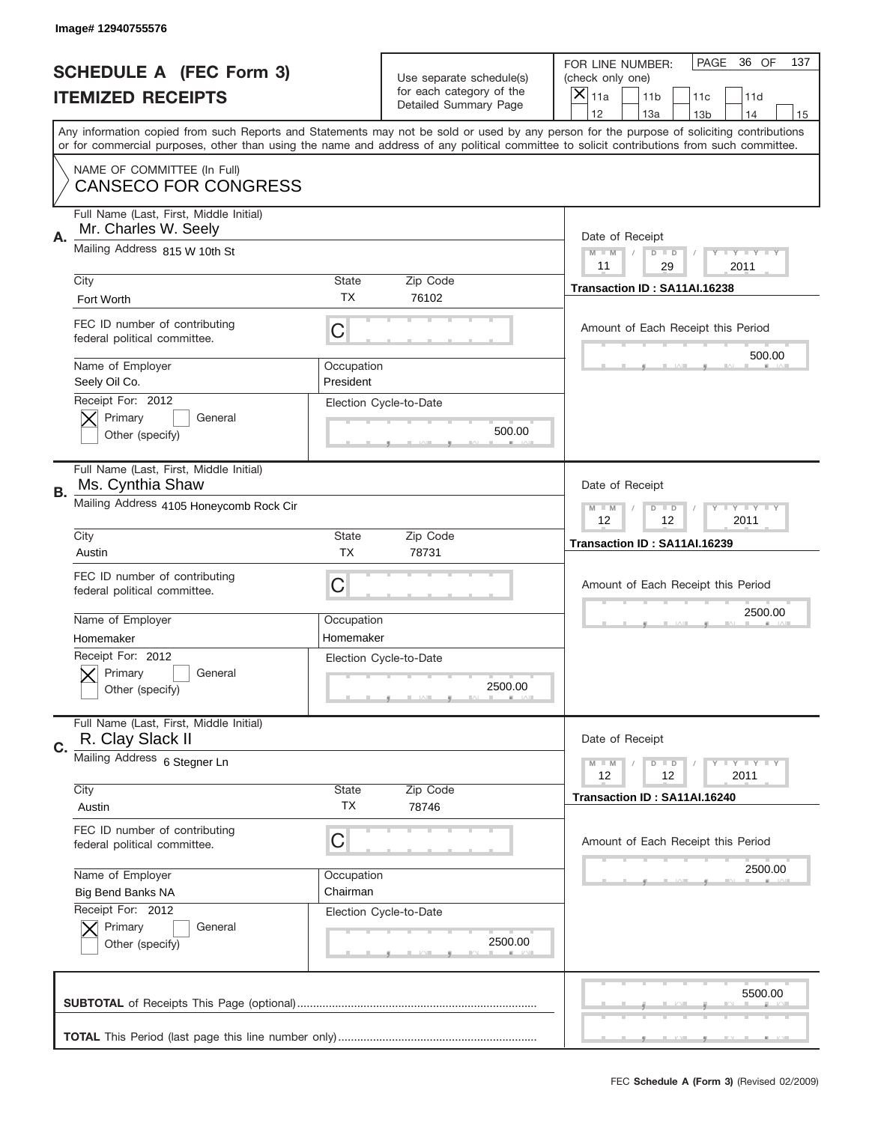|    | Image# 12940755576                                                              |                         |                                                      |                                                                                                                                                                                                                                                                                                                                     |
|----|---------------------------------------------------------------------------------|-------------------------|------------------------------------------------------|-------------------------------------------------------------------------------------------------------------------------------------------------------------------------------------------------------------------------------------------------------------------------------------------------------------------------------------|
|    | <b>SCHEDULE A (FEC Form 3)</b>                                                  |                         | Use separate schedule(s)<br>for each category of the | PAGE<br>36 OF<br>137<br>FOR LINE NUMBER:<br>(check only one)                                                                                                                                                                                                                                                                        |
|    | <b>ITEMIZED RECEIPTS</b>                                                        |                         | Detailed Summary Page                                | ×<br>11a<br>11 <sub>b</sub><br>11c<br>11d                                                                                                                                                                                                                                                                                           |
|    | NAME OF COMMITTEE (In Full)                                                     |                         |                                                      | 12<br>13a<br>13 <sub>b</sub><br>14<br>15<br>Any information copied from such Reports and Statements may not be sold or used by any person for the purpose of soliciting contributions<br>or for commercial purposes, other than using the name and address of any political committee to solicit contributions from such committee. |
|    | <b>CANSECO FOR CONGRESS</b>                                                     |                         |                                                      |                                                                                                                                                                                                                                                                                                                                     |
| Α. | Full Name (Last, First, Middle Initial)<br>Mr. Charles W. Seely                 |                         |                                                      | Date of Receipt                                                                                                                                                                                                                                                                                                                     |
|    | Mailing Address 815 W 10th St                                                   |                         |                                                      | $M - M$<br><b>LYLYLY</b><br>$D$ $D$<br>29<br>11<br>2011                                                                                                                                                                                                                                                                             |
|    | City<br>Fort Worth                                                              | State<br><b>TX</b>      | Zip Code<br>76102                                    | Transaction ID: SA11AI.16238                                                                                                                                                                                                                                                                                                        |
|    | FEC ID number of contributing<br>federal political committee.                   | C                       |                                                      | Amount of Each Receipt this Period<br>500.00                                                                                                                                                                                                                                                                                        |
|    | Name of Employer<br>Seely Oil Co.                                               | Occupation<br>President |                                                      |                                                                                                                                                                                                                                                                                                                                     |
|    | Receipt For: 2012<br>Primary<br>General<br>Other (specify)                      |                         | Election Cycle-to-Date<br>500.00                     |                                                                                                                                                                                                                                                                                                                                     |
| В. | Full Name (Last, First, Middle Initial)<br>Ms. Cynthia Shaw                     |                         |                                                      | Date of Receipt                                                                                                                                                                                                                                                                                                                     |
|    | Mailing Address 4105 Honeycomb Rock Cir                                         |                         |                                                      | $M - M$<br>$D$ $D$<br><b>LYLYLY</b><br>12<br>12<br>2011                                                                                                                                                                                                                                                                             |
|    | City<br>Austin                                                                  | State<br><b>TX</b>      | Zip Code<br>78731                                    | Transaction ID: SA11AI.16239                                                                                                                                                                                                                                                                                                        |
|    | FEC ID number of contributing<br>federal political committee.                   | C                       |                                                      | Amount of Each Receipt this Period                                                                                                                                                                                                                                                                                                  |
|    | Name of Employer<br>Homemaker                                                   | Occupation<br>Homemaker |                                                      | 2500.00                                                                                                                                                                                                                                                                                                                             |
|    | Receipt For: 2012<br>General<br>Primary<br>Other (specify)                      |                         | Election Cycle-to-Date<br>2500.00                    |                                                                                                                                                                                                                                                                                                                                     |
|    | Full Name (Last, First, Middle Initial)                                         |                         |                                                      |                                                                                                                                                                                                                                                                                                                                     |
| C. | R. Clay Slack II                                                                |                         |                                                      | Date of Receipt                                                                                                                                                                                                                                                                                                                     |
|    | Mailing Address 6 Stegner Ln                                                    |                         |                                                      | $M - M$<br>$D$ $D$<br><b>LY LY LY</b><br>12<br>12<br>2011                                                                                                                                                                                                                                                                           |
|    | City<br>Austin                                                                  | <b>State</b><br>TX      | Zip Code<br>78746                                    | Transaction ID: SA11AI.16240                                                                                                                                                                                                                                                                                                        |
|    | FEC ID number of contributing<br>federal political committee.                   | C                       |                                                      | Amount of Each Receipt this Period                                                                                                                                                                                                                                                                                                  |
|    | Name of Employer                                                                | Occupation              |                                                      | 2500.00                                                                                                                                                                                                                                                                                                                             |
|    | Big Bend Banks NA<br>Receipt For: 2012<br>Primary<br>General<br>Other (specify) | Chairman                | Election Cycle-to-Date<br>2500.00                    |                                                                                                                                                                                                                                                                                                                                     |
|    |                                                                                 |                         |                                                      | 5500.00                                                                                                                                                                                                                                                                                                                             |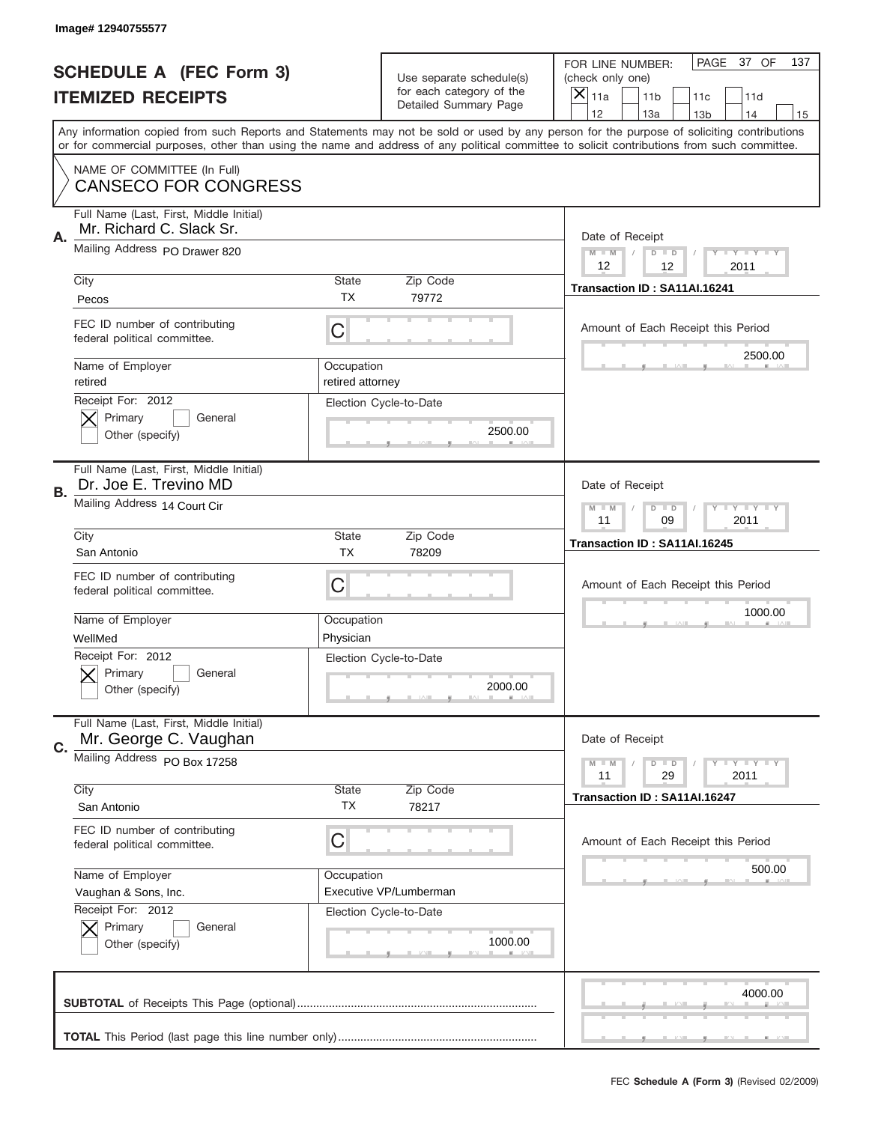|    | Image# 12940755577                                                  |                                |                                                      |                                                                                                                                                                                                                                                                                                                                     |
|----|---------------------------------------------------------------------|--------------------------------|------------------------------------------------------|-------------------------------------------------------------------------------------------------------------------------------------------------------------------------------------------------------------------------------------------------------------------------------------------------------------------------------------|
|    | <b>SCHEDULE A (FEC Form 3)</b>                                      |                                | Use separate schedule(s)<br>for each category of the | PAGE 37 OF<br>137<br>FOR LINE NUMBER:<br>(check only one)                                                                                                                                                                                                                                                                           |
|    | <b>ITEMIZED RECEIPTS</b>                                            |                                | Detailed Summary Page                                | ×<br>11a<br>11 <sub>b</sub><br>11c<br>11d                                                                                                                                                                                                                                                                                           |
|    |                                                                     |                                |                                                      | 12<br>13a<br>14<br>13 <sub>b</sub><br>15<br>Any information copied from such Reports and Statements may not be sold or used by any person for the purpose of soliciting contributions<br>or for commercial purposes, other than using the name and address of any political committee to solicit contributions from such committee. |
|    | NAME OF COMMITTEE (In Full)<br><b>CANSECO FOR CONGRESS</b>          |                                |                                                      |                                                                                                                                                                                                                                                                                                                                     |
| Α. | Full Name (Last, First, Middle Initial)<br>Mr. Richard C. Slack Sr. |                                |                                                      | Date of Receipt                                                                                                                                                                                                                                                                                                                     |
|    | Mailing Address PO Drawer 820                                       |                                |                                                      | $M$ M<br><b>LY LY LY</b><br>$D$ $D$<br>12<br>12<br>2011                                                                                                                                                                                                                                                                             |
|    | City<br>Pecos                                                       | State<br>TX                    | Zip Code<br>79772                                    | Transaction ID: SA11AI.16241                                                                                                                                                                                                                                                                                                        |
|    | FEC ID number of contributing<br>federal political committee.       | C                              |                                                      | Amount of Each Receipt this Period<br>2500.00                                                                                                                                                                                                                                                                                       |
|    | Name of Employer<br>retired                                         | Occupation<br>retired attorney |                                                      |                                                                                                                                                                                                                                                                                                                                     |
|    | Receipt For: 2012<br>Primary<br>General<br>Other (specify)          |                                | Election Cycle-to-Date<br>2500.00                    |                                                                                                                                                                                                                                                                                                                                     |
| В. | Full Name (Last, First, Middle Initial)<br>Dr. Joe E. Trevino MD    |                                |                                                      | Date of Receipt                                                                                                                                                                                                                                                                                                                     |
|    | Mailing Address 14 Court Cir                                        |                                |                                                      | <b>LYLYLY</b><br>$M - M$<br>$D$ $D$<br>11<br>09<br>2011                                                                                                                                                                                                                                                                             |
|    | City<br>San Antonio                                                 | State<br><b>TX</b>             | Zip Code<br>78209                                    | Transaction ID: SA11AI.16245                                                                                                                                                                                                                                                                                                        |
|    |                                                                     |                                |                                                      |                                                                                                                                                                                                                                                                                                                                     |
|    | FEC ID number of contributing<br>federal political committee.       | C                              |                                                      | Amount of Each Receipt this Period                                                                                                                                                                                                                                                                                                  |
|    | Name of Employer<br>WellMed                                         | Occupation<br>Physician        |                                                      | 1000.00                                                                                                                                                                                                                                                                                                                             |
|    | Receipt For: 2012<br>General<br>Primary<br>Other (specify)          |                                | Election Cycle-to-Date<br>2000.00                    |                                                                                                                                                                                                                                                                                                                                     |
| C. | Full Name (Last, First, Middle Initial)<br>Mr. George C. Vaughan    |                                |                                                      | Date of Receipt                                                                                                                                                                                                                                                                                                                     |
|    | Mailing Address PO Box 17258                                        |                                |                                                      | <b>LYLYLY</b><br>$M - M$<br>$D$ $D$<br>11<br>29<br>2011                                                                                                                                                                                                                                                                             |
|    | City<br>San Antonio                                                 | <b>State</b><br>TX             | Zip Code<br>78217                                    | Transaction ID: SA11AI.16247                                                                                                                                                                                                                                                                                                        |
|    | FEC ID number of contributing<br>federal political committee.       | C                              |                                                      | Amount of Each Receipt this Period                                                                                                                                                                                                                                                                                                  |
|    | Name of Employer<br>Vaughan & Sons, Inc.                            | Occupation                     | Executive VP/Lumberman                               | 500.00                                                                                                                                                                                                                                                                                                                              |
|    | Receipt For: 2012<br>Primary<br>General<br>Other (specify)          |                                | Election Cycle-to-Date<br>1000.00                    |                                                                                                                                                                                                                                                                                                                                     |
|    |                                                                     |                                |                                                      | 4000.00                                                                                                                                                                                                                                                                                                                             |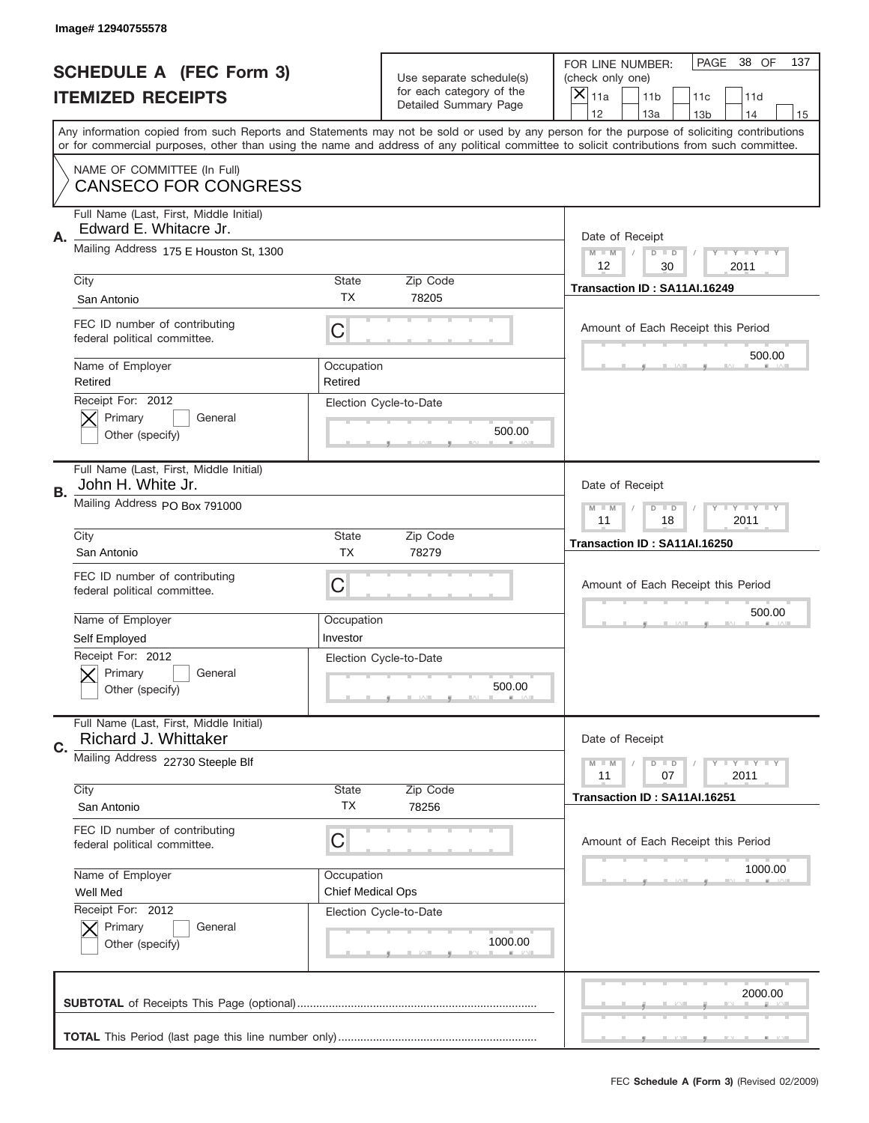|    | Image# 12940755578                                                          |                                        |                                                   |                                                                                                                                                                                                                                                                                                                                     |
|----|-----------------------------------------------------------------------------|----------------------------------------|---------------------------------------------------|-------------------------------------------------------------------------------------------------------------------------------------------------------------------------------------------------------------------------------------------------------------------------------------------------------------------------------------|
|    | <b>SCHEDULE A (FEC Form 3)</b>                                              |                                        | Use separate schedule(s)                          | PAGE<br>38 OF<br>137<br>FOR LINE NUMBER:<br>(check only one)                                                                                                                                                                                                                                                                        |
|    | <b>ITEMIZED RECEIPTS</b>                                                    |                                        | for each category of the<br>Detailed Summary Page | ×<br>11a<br>11 <sub>b</sub><br>11c<br>11d                                                                                                                                                                                                                                                                                           |
|    |                                                                             |                                        |                                                   | 12<br>13a<br>14<br>13 <sub>b</sub><br>15<br>Any information copied from such Reports and Statements may not be sold or used by any person for the purpose of soliciting contributions<br>or for commercial purposes, other than using the name and address of any political committee to solicit contributions from such committee. |
|    | NAME OF COMMITTEE (In Full)<br><b>CANSECO FOR CONGRESS</b>                  |                                        |                                                   |                                                                                                                                                                                                                                                                                                                                     |
| Α. | Full Name (Last, First, Middle Initial)<br>Edward E. Whitacre Jr.           |                                        |                                                   | Date of Receipt                                                                                                                                                                                                                                                                                                                     |
|    | Mailing Address 175 E Houston St, 1300                                      |                                        |                                                   | $M - M$<br><b>LEY LEY LEY</b><br>$D$ $D$<br>12<br>30<br>2011                                                                                                                                                                                                                                                                        |
|    | City<br>San Antonio                                                         | State<br><b>TX</b>                     | Zip Code<br>78205                                 | Transaction ID: SA11AI.16249                                                                                                                                                                                                                                                                                                        |
|    | FEC ID number of contributing<br>federal political committee.               | C                                      |                                                   | Amount of Each Receipt this Period<br>500.00                                                                                                                                                                                                                                                                                        |
|    | Name of Employer<br>Retired<br>Receipt For: 2012                            | Occupation<br>Retired                  |                                                   |                                                                                                                                                                                                                                                                                                                                     |
|    | Primary<br>General<br>Other (specify)                                       |                                        | Election Cycle-to-Date<br>500.00                  |                                                                                                                                                                                                                                                                                                                                     |
| В. | Full Name (Last, First, Middle Initial)<br>John H. White Jr.                |                                        |                                                   | Date of Receipt                                                                                                                                                                                                                                                                                                                     |
|    | Mailing Address PO Box 791000                                               |                                        |                                                   | $M$ M<br>$D$ $D$<br><b>LYLYLY</b><br>11<br>18<br>2011                                                                                                                                                                                                                                                                               |
|    | City<br>San Antonio                                                         | State<br><b>TX</b>                     | Zip Code<br>78279                                 | Transaction ID: SA11AI.16250                                                                                                                                                                                                                                                                                                        |
|    | FEC ID number of contributing<br>federal political committee.               | C                                      |                                                   | Amount of Each Receipt this Period                                                                                                                                                                                                                                                                                                  |
|    |                                                                             |                                        |                                                   | 500.00                                                                                                                                                                                                                                                                                                                              |
|    | Name of Employer                                                            | Occupation<br>Investor                 |                                                   |                                                                                                                                                                                                                                                                                                                                     |
|    | Self Employed<br>Receipt For: 2012<br>General<br>Primary<br>Other (specify) |                                        | Election Cycle-to-Date<br>500.00                  |                                                                                                                                                                                                                                                                                                                                     |
| C. | Full Name (Last, First, Middle Initial)<br>Richard J. Whittaker             |                                        |                                                   | Date of Receipt                                                                                                                                                                                                                                                                                                                     |
|    | Mailing Address 22730 Steeple Blf                                           |                                        |                                                   | <b>LYLYLY</b><br>$M - M$<br>$D$ $D$<br>07<br>2011<br>11                                                                                                                                                                                                                                                                             |
|    | City<br>San Antonio                                                         | State<br>TX                            | Zip Code<br>78256                                 | Transaction ID: SA11AI.16251                                                                                                                                                                                                                                                                                                        |
|    | FEC ID number of contributing<br>federal political committee.               | C                                      |                                                   | Amount of Each Receipt this Period                                                                                                                                                                                                                                                                                                  |
|    | Name of Employer<br>Well Med                                                | Occupation<br><b>Chief Medical Ops</b> |                                                   | 1000.00                                                                                                                                                                                                                                                                                                                             |
|    | Receipt For: 2012<br>Primary<br>General<br>Other (specify)                  |                                        | Election Cycle-to-Date<br>1000.00                 |                                                                                                                                                                                                                                                                                                                                     |
|    |                                                                             |                                        |                                                   | 2000.00                                                                                                                                                                                                                                                                                                                             |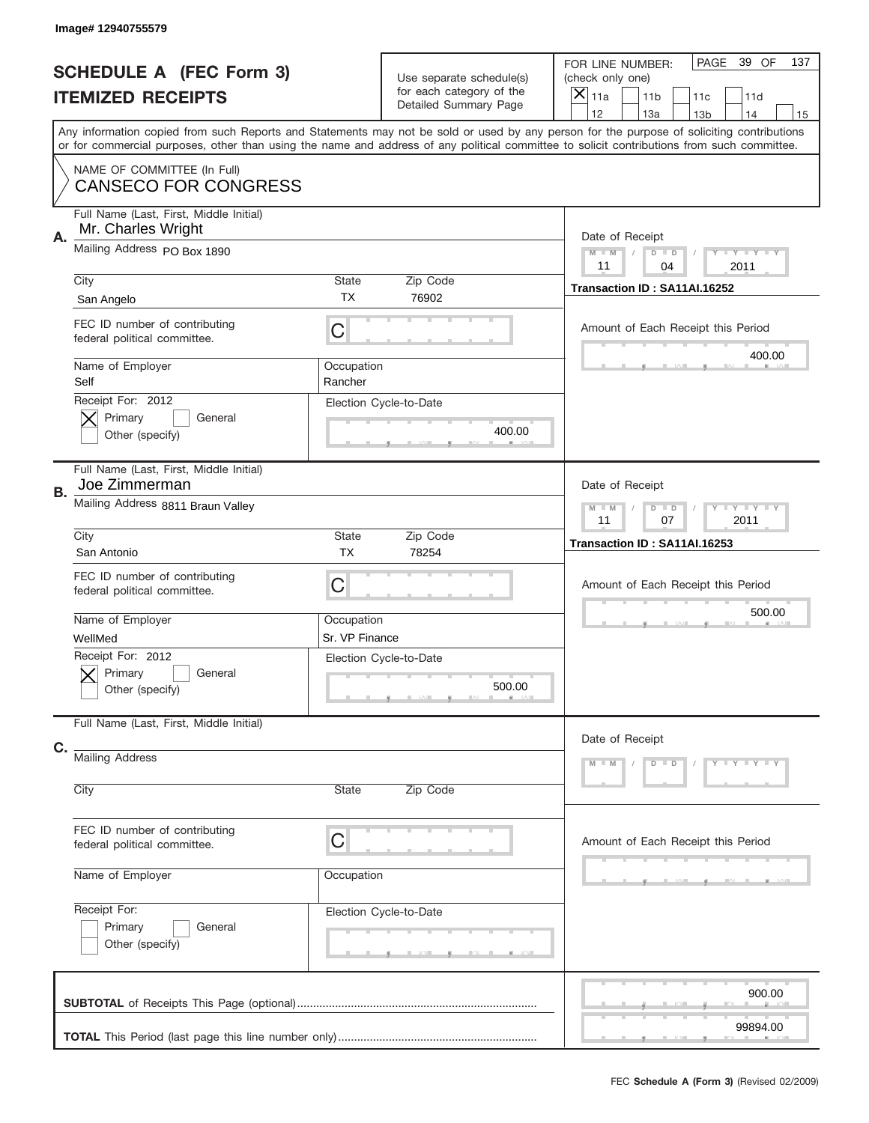|    | Image# 12940755579                                            |                              |                                                                               |                                                                                                                                                                                                                                                                                         |
|----|---------------------------------------------------------------|------------------------------|-------------------------------------------------------------------------------|-----------------------------------------------------------------------------------------------------------------------------------------------------------------------------------------------------------------------------------------------------------------------------------------|
|    | <b>SCHEDULE A (FEC Form 3)</b><br><b>ITEMIZED RECEIPTS</b>    |                              | Use separate schedule(s)<br>for each category of the<br>Detailed Summary Page | PAGE<br>39 OF<br>137<br>FOR LINE NUMBER:<br>(check only one)<br>$\times$<br>11a<br>11 <sub>b</sub><br>11c<br>11d<br>12<br>13a<br>14<br>13 <sub>b</sub><br>15                                                                                                                            |
|    |                                                               |                              |                                                                               | Any information copied from such Reports and Statements may not be sold or used by any person for the purpose of soliciting contributions<br>or for commercial purposes, other than using the name and address of any political committee to solicit contributions from such committee. |
|    | NAME OF COMMITTEE (In Full)<br><b>CANSECO FOR CONGRESS</b>    |                              |                                                                               |                                                                                                                                                                                                                                                                                         |
| Α. | Full Name (Last, First, Middle Initial)<br>Mr. Charles Wright |                              |                                                                               | Date of Receipt                                                                                                                                                                                                                                                                         |
|    | Mailing Address PO Box 1890                                   |                              |                                                                               | Y TY TY TY<br>$M - M$<br>$D$ $D$<br>11<br>04<br>2011                                                                                                                                                                                                                                    |
|    | City<br>San Angelo                                            | State<br><b>TX</b>           | Zip Code<br>76902                                                             | Transaction ID: SA11AI.16252                                                                                                                                                                                                                                                            |
|    | FEC ID number of contributing<br>federal political committee. | C                            |                                                                               | Amount of Each Receipt this Period                                                                                                                                                                                                                                                      |
|    | Name of Employer<br>Self                                      | Occupation<br>Rancher        |                                                                               | 400.00                                                                                                                                                                                                                                                                                  |
|    | Receipt For: 2012<br>Primary<br>General<br>Other (specify)    |                              | Election Cycle-to-Date<br>400.00                                              |                                                                                                                                                                                                                                                                                         |
| В. | Full Name (Last, First, Middle Initial)<br>Joe Zimmerman      |                              |                                                                               | Date of Receipt                                                                                                                                                                                                                                                                         |
|    | Mailing Address 8811 Braun Valley                             |                              |                                                                               | Y TY TY TY<br>$M - M$<br>$D$ $D$<br>11<br>07<br>2011                                                                                                                                                                                                                                    |
|    | City<br>San Antonio                                           | State<br><b>TX</b>           | Zip Code<br>78254                                                             | Transaction ID: SA11AI.16253                                                                                                                                                                                                                                                            |
|    | FEC ID number of contributing<br>federal political committee. | C                            |                                                                               | Amount of Each Receipt this Period                                                                                                                                                                                                                                                      |
|    |                                                               |                              |                                                                               |                                                                                                                                                                                                                                                                                         |
|    | Name of Employer<br>WellMed                                   | Occupation<br>Sr. VP Finance |                                                                               | 500.00                                                                                                                                                                                                                                                                                  |
|    | Receipt For: 2012<br>General<br>Primary<br>Other (specify)    |                              | Election Cycle-to-Date<br>500.00                                              |                                                                                                                                                                                                                                                                                         |
|    | Full Name (Last, First, Middle Initial)                       |                              |                                                                               | Date of Receipt                                                                                                                                                                                                                                                                         |
| C. | <b>Mailing Address</b>                                        |                              |                                                                               | Y LY LY LY<br>$M - M$<br>$D$ $D$                                                                                                                                                                                                                                                        |
|    | City                                                          | State                        | Zip Code                                                                      |                                                                                                                                                                                                                                                                                         |
|    | FEC ID number of contributing<br>federal political committee. | C                            |                                                                               | Amount of Each Receipt this Period                                                                                                                                                                                                                                                      |
|    | Name of Employer                                              | Occupation                   |                                                                               |                                                                                                                                                                                                                                                                                         |
|    | Receipt For:<br>Primary<br>General<br>Other (specify)         |                              | Election Cycle-to-Date                                                        |                                                                                                                                                                                                                                                                                         |
|    |                                                               |                              |                                                                               | 900.00<br>99894.00                                                                                                                                                                                                                                                                      |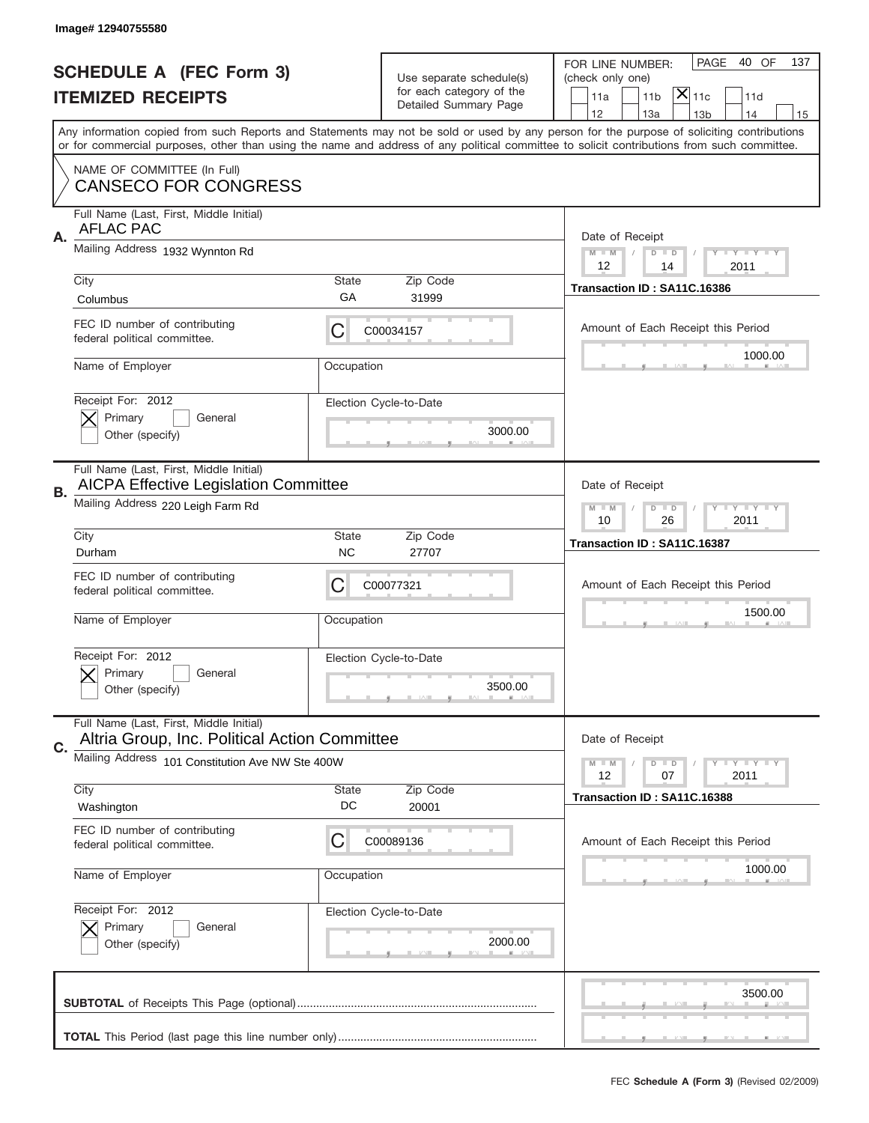|    | Image# 12940755580                                                                       |                    |                                                   |                                                                                                                                                                                                                                                                                                                                     |
|----|------------------------------------------------------------------------------------------|--------------------|---------------------------------------------------|-------------------------------------------------------------------------------------------------------------------------------------------------------------------------------------------------------------------------------------------------------------------------------------------------------------------------------------|
|    | <b>SCHEDULE A (FEC Form 3)</b>                                                           |                    | Use separate schedule(s)                          | PAGE<br>40 OF<br>137<br>FOR LINE NUMBER:<br>(check only one)                                                                                                                                                                                                                                                                        |
|    | <b>ITEMIZED RECEIPTS</b>                                                                 |                    | for each category of the<br>Detailed Summary Page | $ \overline{\mathsf{X}} _{\mathsf{11c}}$<br>11d<br>11a<br>11 <sub>b</sub>                                                                                                                                                                                                                                                           |
|    |                                                                                          |                    |                                                   | 12<br>13a<br>14<br>13 <sub>b</sub><br>15<br>Any information copied from such Reports and Statements may not be sold or used by any person for the purpose of soliciting contributions<br>or for commercial purposes, other than using the name and address of any political committee to solicit contributions from such committee. |
|    | NAME OF COMMITTEE (In Full)<br><b>CANSECO FOR CONGRESS</b>                               |                    |                                                   |                                                                                                                                                                                                                                                                                                                                     |
| Α. | Full Name (Last, First, Middle Initial)<br><b>AFLAC PAC</b>                              |                    |                                                   | Date of Receipt                                                                                                                                                                                                                                                                                                                     |
|    | Mailing Address 1932 Wynnton Rd                                                          |                    |                                                   | $M - M$<br><b>LEY LEY LEY</b><br>$D$ $D$<br>12<br>2011<br>14                                                                                                                                                                                                                                                                        |
|    | City<br>Columbus                                                                         | State<br>GА        | Zip Code<br>31999                                 | Transaction ID: SA11C.16386                                                                                                                                                                                                                                                                                                         |
|    | FEC ID number of contributing<br>federal political committee.                            | C                  | C00034157                                         | Amount of Each Receipt this Period<br>1000.00                                                                                                                                                                                                                                                                                       |
|    | Name of Employer                                                                         | Occupation         |                                                   |                                                                                                                                                                                                                                                                                                                                     |
|    | Receipt For: 2012<br>Primary<br>General<br>Other (specify)                               |                    | Election Cycle-to-Date<br>3000.00                 |                                                                                                                                                                                                                                                                                                                                     |
| В. | Full Name (Last, First, Middle Initial)<br><b>AICPA Effective Legislation Committee</b>  |                    |                                                   | Date of Receipt                                                                                                                                                                                                                                                                                                                     |
|    | Mailing Address 220 Leigh Farm Rd                                                        |                    |                                                   | $D$ $D$<br><b>LYLYLY</b><br>$M - M$<br>10<br>26<br>2011                                                                                                                                                                                                                                                                             |
|    | City<br>Durham                                                                           | State<br><b>NC</b> | Zip Code<br>27707                                 | Transaction ID: SA11C.16387                                                                                                                                                                                                                                                                                                         |
|    | FEC ID number of contributing<br>federal political committee.                            | C                  | C00077321                                         | Amount of Each Receipt this Period                                                                                                                                                                                                                                                                                                  |
|    | Name of Employer                                                                         | Occupation         |                                                   | 1500.00                                                                                                                                                                                                                                                                                                                             |
|    | Receipt For: 2012                                                                        |                    | Election Cycle-to-Date                            |                                                                                                                                                                                                                                                                                                                                     |
|    | Primary<br>General<br>Other (specify)                                                    |                    | 3500.00                                           |                                                                                                                                                                                                                                                                                                                                     |
| C. | Full Name (Last, First, Middle Initial)<br>Altria Group, Inc. Political Action Committee |                    |                                                   | Date of Receipt                                                                                                                                                                                                                                                                                                                     |
|    | Mailing Address 101 Constitution Ave NW Ste 400W                                         |                    |                                                   | <b>LY LY LY</b><br>$M - M$<br>$D$ $D$                                                                                                                                                                                                                                                                                               |
|    | City<br>Washington                                                                       | State<br>DC        | Zip Code<br>20001                                 | 12<br>2011<br>07<br>Transaction ID: SA11C.16388                                                                                                                                                                                                                                                                                     |
|    | FEC ID number of contributing<br>federal political committee.                            | C                  | C00089136                                         | Amount of Each Receipt this Period                                                                                                                                                                                                                                                                                                  |
|    | Name of Employer                                                                         | Occupation         |                                                   | 1000.00                                                                                                                                                                                                                                                                                                                             |
|    | Receipt For: 2012<br>Primary<br>General<br>Other (specify)                               |                    | Election Cycle-to-Date<br>2000.00                 |                                                                                                                                                                                                                                                                                                                                     |
|    |                                                                                          |                    |                                                   | 3500.00                                                                                                                                                                                                                                                                                                                             |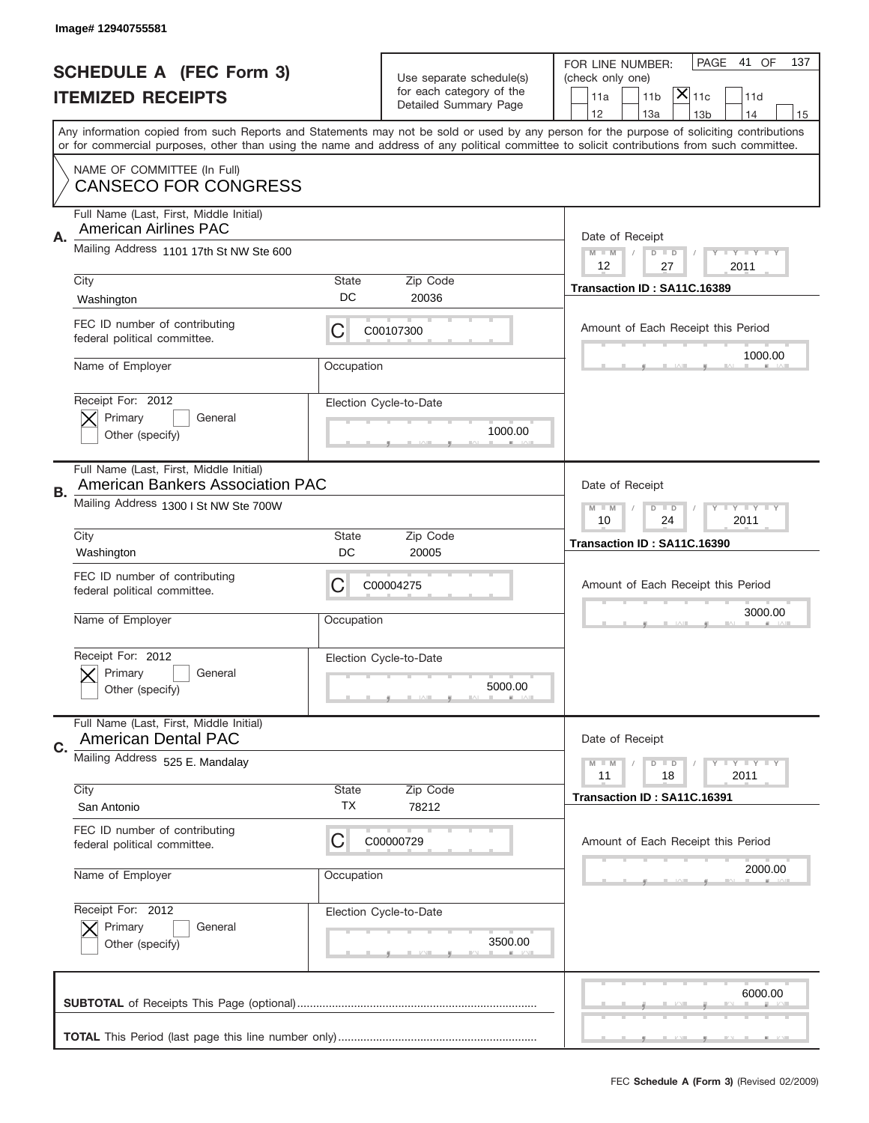|    | Image# 12940755581                                                                 |             |                                                   |                                                                                                                                                                                       |
|----|------------------------------------------------------------------------------------|-------------|---------------------------------------------------|---------------------------------------------------------------------------------------------------------------------------------------------------------------------------------------|
|    | <b>SCHEDULE A (FEC Form 3)</b>                                                     |             | Use separate schedule(s)                          | PAGE<br>41 OF<br>137<br>FOR LINE NUMBER:<br>(check only one)                                                                                                                          |
|    | <b>ITEMIZED RECEIPTS</b>                                                           |             | for each category of the<br>Detailed Summary Page | $ \mathsf{X} _{\mathsf{11c}}$<br>11 <sub>b</sub><br>11a<br>11d                                                                                                                        |
|    |                                                                                    |             |                                                   | 12<br>13a<br>14<br>13 <sub>b</sub><br>15<br>Any information copied from such Reports and Statements may not be sold or used by any person for the purpose of soliciting contributions |
|    |                                                                                    |             |                                                   | or for commercial purposes, other than using the name and address of any political committee to solicit contributions from such committee.                                            |
|    | NAME OF COMMITTEE (In Full)<br><b>CANSECO FOR CONGRESS</b>                         |             |                                                   |                                                                                                                                                                                       |
| Α. | Full Name (Last, First, Middle Initial)<br><b>American Airlines PAC</b>            |             |                                                   | Date of Receipt                                                                                                                                                                       |
|    | Mailing Address 1101 17th St NW Ste 600                                            |             |                                                   | $M$ M<br>Y I Y I Y I Y<br>$D$ $D$<br>12<br>27<br>2011                                                                                                                                 |
|    | City<br>Washington                                                                 | State<br>DC | Zip Code<br>20036                                 | Transaction ID: SA11C.16389                                                                                                                                                           |
|    | FEC ID number of contributing<br>federal political committee.                      | C           | C00107300                                         | Amount of Each Receipt this Period                                                                                                                                                    |
|    | Name of Employer                                                                   | Occupation  |                                                   | 1000.00                                                                                                                                                                               |
|    | Receipt For: 2012<br>Primary<br>General<br>Other (specify)                         |             | Election Cycle-to-Date<br>1000.00                 |                                                                                                                                                                                       |
| В. | Full Name (Last, First, Middle Initial)<br><b>American Bankers Association PAC</b> |             |                                                   | Date of Receipt                                                                                                                                                                       |
|    | Mailing Address 1300 I St NW Ste 700W                                              |             |                                                   | <b>LY LY LY</b><br>$M - M$<br>$D$ $D$<br>10<br>24<br>2011                                                                                                                             |
|    | City<br>Washington                                                                 | State<br>DC | Zip Code<br>20005                                 | Transaction ID: SA11C.16390                                                                                                                                                           |
|    | FEC ID number of contributing<br>federal political committee.                      | C           | C00004275                                         | Amount of Each Receipt this Period                                                                                                                                                    |
|    | Name of Employer                                                                   | Occupation  |                                                   | 3000.00                                                                                                                                                                               |
|    | Receipt For: 2012<br>General<br>Primary<br>Other (specify)                         |             | Election Cycle-to-Date<br>5000.00                 |                                                                                                                                                                                       |
| C. | Full Name (Last, First, Middle Initial)<br><b>American Dental PAC</b>              |             |                                                   | Date of Receipt                                                                                                                                                                       |
|    | Mailing Address 525 E. Mandalay                                                    |             |                                                   | <b>TEY LY LY</b><br>$M - M$<br>$D$ $D$<br>18<br>2011<br>11                                                                                                                            |
|    | City<br>San Antonio                                                                | State<br>ТX | Zip Code<br>78212                                 | Transaction ID: SA11C.16391                                                                                                                                                           |
|    | FEC ID number of contributing<br>federal political committee.                      | C           | C00000729                                         | Amount of Each Receipt this Period                                                                                                                                                    |
|    | Name of Employer                                                                   | Occupation  |                                                   | 2000.00                                                                                                                                                                               |
|    | Receipt For: 2012<br>Primary<br>General<br>Other (specify)                         |             | Election Cycle-to-Date<br>3500.00                 |                                                                                                                                                                                       |
|    |                                                                                    |             |                                                   | 6000.00                                                                                                                                                                               |
|    |                                                                                    |             |                                                   |                                                                                                                                                                                       |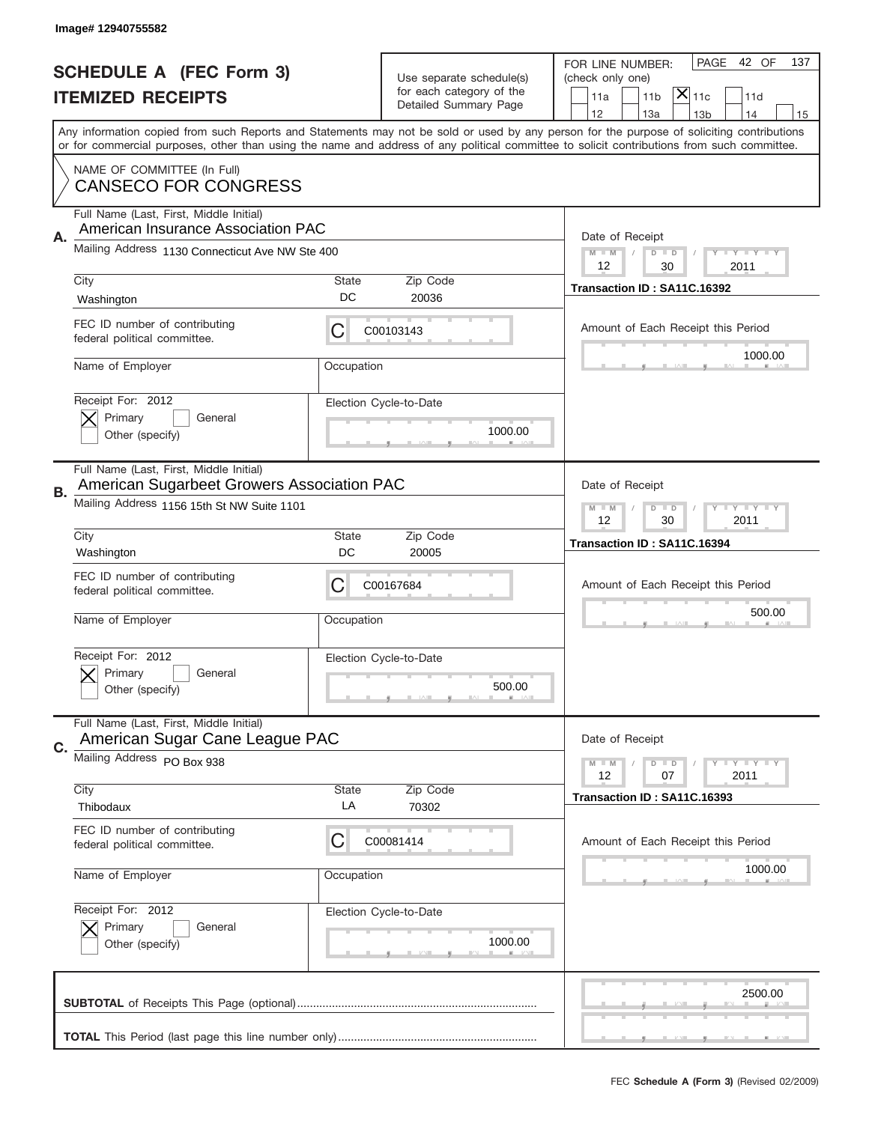|    | Image# 12940755582                                                                    |            |                                                   |                                                                                                                                                                                                                                                                                         |
|----|---------------------------------------------------------------------------------------|------------|---------------------------------------------------|-----------------------------------------------------------------------------------------------------------------------------------------------------------------------------------------------------------------------------------------------------------------------------------------|
|    | <b>SCHEDULE A (FEC Form 3)</b>                                                        |            | Use separate schedule(s)                          | PAGE<br>42 OF<br>137<br>FOR LINE NUMBER:<br>(check only one)                                                                                                                                                                                                                            |
|    | <b>ITEMIZED RECEIPTS</b>                                                              |            | for each category of the<br>Detailed Summary Page | $ \mathsf{\overline{X}} _{\mathsf{11c}}$<br>11a<br>11 <sub>b</sub><br>11d                                                                                                                                                                                                               |
|    |                                                                                       |            |                                                   | 12<br>13a<br>13 <sub>b</sub><br>14<br>15                                                                                                                                                                                                                                                |
|    |                                                                                       |            |                                                   | Any information copied from such Reports and Statements may not be sold or used by any person for the purpose of soliciting contributions<br>or for commercial purposes, other than using the name and address of any political committee to solicit contributions from such committee. |
|    | NAME OF COMMITTEE (In Full)<br><b>CANSECO FOR CONGRESS</b>                            |            |                                                   |                                                                                                                                                                                                                                                                                         |
|    | Full Name (Last, First, Middle Initial)                                               |            |                                                   |                                                                                                                                                                                                                                                                                         |
| А. | American Insurance Association PAC                                                    |            |                                                   | Date of Receipt                                                                                                                                                                                                                                                                         |
|    | Mailing Address 1130 Connecticut Ave NW Ste 400                                       |            |                                                   | $M - M$<br><b>LY LY LY</b><br>$D$ $D$<br>12<br>30<br>2011                                                                                                                                                                                                                               |
|    | City                                                                                  | State      | Zip Code                                          | Transaction ID: SA11C.16392                                                                                                                                                                                                                                                             |
|    | Washington                                                                            | DC         | 20036                                             |                                                                                                                                                                                                                                                                                         |
|    | FEC ID number of contributing<br>federal political committee.                         | С          | C00103143                                         | Amount of Each Receipt this Period                                                                                                                                                                                                                                                      |
|    | Name of Employer                                                                      | Occupation |                                                   | 1000.00                                                                                                                                                                                                                                                                                 |
|    | Receipt For: 2012                                                                     |            | Election Cycle-to-Date                            |                                                                                                                                                                                                                                                                                         |
|    | Primary<br>General<br>Other (specify)                                                 |            | 1000.00                                           |                                                                                                                                                                                                                                                                                         |
|    |                                                                                       |            |                                                   |                                                                                                                                                                                                                                                                                         |
| В. | Full Name (Last, First, Middle Initial)<br>American Sugarbeet Growers Association PAC |            |                                                   | Date of Receipt                                                                                                                                                                                                                                                                         |
|    | Mailing Address 1156 15th St NW Suite 1101                                            |            |                                                   | <b>LY LY LY</b><br>$M - M$<br>$D$ $D$                                                                                                                                                                                                                                                   |
|    | City                                                                                  | State      | Zip Code                                          | 12<br>2011<br>30                                                                                                                                                                                                                                                                        |
|    |                                                                                       | DC         | 20005                                             | Transaction ID: SA11C.16394                                                                                                                                                                                                                                                             |
|    | Washington                                                                            |            |                                                   |                                                                                                                                                                                                                                                                                         |
|    | FEC ID number of contributing<br>federal political committee.                         | C          | C00167684                                         | Amount of Each Receipt this Period                                                                                                                                                                                                                                                      |
|    | Name of Employer                                                                      | Occupation |                                                   | 500.00                                                                                                                                                                                                                                                                                  |
|    |                                                                                       |            |                                                   |                                                                                                                                                                                                                                                                                         |
|    | Receipt For: 2012<br>Primary<br>General                                               |            | Election Cycle-to-Date                            |                                                                                                                                                                                                                                                                                         |
|    | Other (specify)                                                                       |            | 500.00                                            |                                                                                                                                                                                                                                                                                         |
| C. | Full Name (Last, First, Middle Initial)<br>American Sugar Cane League PAC             |            |                                                   | Date of Receipt                                                                                                                                                                                                                                                                         |
|    | Mailing Address PO Box 938                                                            |            |                                                   | <b>LYLYLY</b><br>$M - M$<br>$D$ $D$                                                                                                                                                                                                                                                     |
|    | City                                                                                  | State      | Zip Code                                          | 12<br>2011<br>07                                                                                                                                                                                                                                                                        |
|    | Thibodaux                                                                             | LA         | 70302                                             | Transaction ID: SA11C.16393                                                                                                                                                                                                                                                             |
|    | FEC ID number of contributing<br>federal political committee.                         | С          | C00081414                                         | Amount of Each Receipt this Period                                                                                                                                                                                                                                                      |
|    | Name of Employer                                                                      | Occupation |                                                   | 1000.00                                                                                                                                                                                                                                                                                 |
|    | Receipt For: 2012                                                                     |            | Election Cycle-to-Date                            |                                                                                                                                                                                                                                                                                         |
|    | Primary<br>General                                                                    |            |                                                   |                                                                                                                                                                                                                                                                                         |
|    | Other (specify)                                                                       |            | 1000.00                                           |                                                                                                                                                                                                                                                                                         |
|    |                                                                                       |            |                                                   | 2500.00                                                                                                                                                                                                                                                                                 |
|    |                                                                                       |            |                                                   |                                                                                                                                                                                                                                                                                         |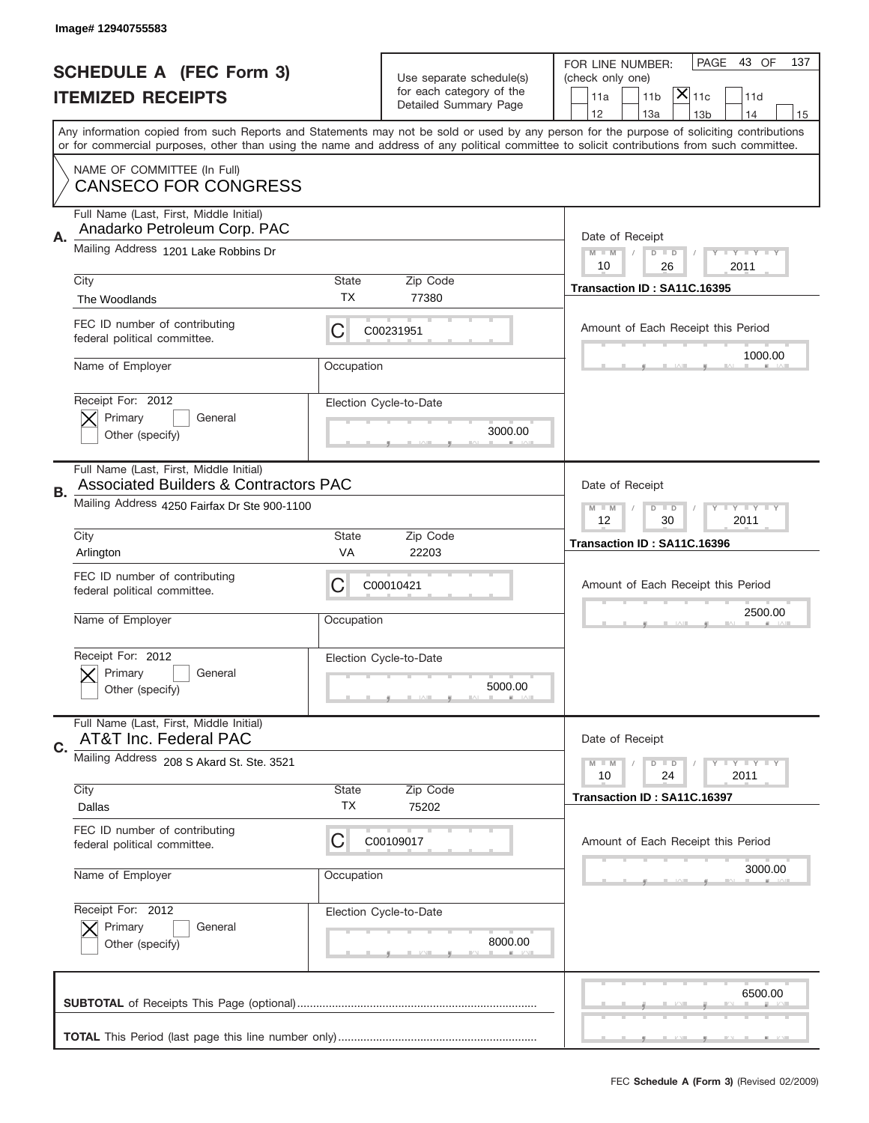|    | Image# 12940755583                                                                          |                    |                                                   |                                                                                                                                                                                                                                                                                                                                     |
|----|---------------------------------------------------------------------------------------------|--------------------|---------------------------------------------------|-------------------------------------------------------------------------------------------------------------------------------------------------------------------------------------------------------------------------------------------------------------------------------------------------------------------------------------|
|    | <b>SCHEDULE A (FEC Form 3)</b>                                                              |                    | Use separate schedule(s)                          | PAGE 43 OF<br>137<br>FOR LINE NUMBER:<br>(check only one)                                                                                                                                                                                                                                                                           |
|    | <b>ITEMIZED RECEIPTS</b>                                                                    |                    | for each category of the<br>Detailed Summary Page | $ \overline{\mathsf{X}} _{\mathsf{11c}}$<br>11d<br>11a<br>11 <sub>b</sub>                                                                                                                                                                                                                                                           |
|    |                                                                                             |                    |                                                   | 12<br>13a<br>13 <sub>b</sub><br>14<br>15<br>Any information copied from such Reports and Statements may not be sold or used by any person for the purpose of soliciting contributions<br>or for commercial purposes, other than using the name and address of any political committee to solicit contributions from such committee. |
|    | NAME OF COMMITTEE (In Full)<br><b>CANSECO FOR CONGRESS</b>                                  |                    |                                                   |                                                                                                                                                                                                                                                                                                                                     |
| Α. | Full Name (Last, First, Middle Initial)<br>Anadarko Petroleum Corp. PAC                     |                    |                                                   | Date of Receipt                                                                                                                                                                                                                                                                                                                     |
|    | Mailing Address 1201 Lake Robbins Dr                                                        |                    |                                                   | $M - M$<br><b>LEY LEY LEY</b><br>$D$ $D$<br>10<br>26<br>2011                                                                                                                                                                                                                                                                        |
|    | City<br>The Woodlands                                                                       | State<br>TX        | Zip Code<br>77380                                 | Transaction ID: SA11C.16395                                                                                                                                                                                                                                                                                                         |
|    | FEC ID number of contributing<br>federal political committee.                               | C                  | C00231951                                         | Amount of Each Receipt this Period<br>1000.00                                                                                                                                                                                                                                                                                       |
|    | Name of Employer                                                                            | Occupation         |                                                   |                                                                                                                                                                                                                                                                                                                                     |
|    | Receipt For: 2012<br>Primary<br>General<br>Other (specify)                                  |                    | Election Cycle-to-Date<br>3000.00                 |                                                                                                                                                                                                                                                                                                                                     |
| В. | Full Name (Last, First, Middle Initial)<br><b>Associated Builders &amp; Contractors PAC</b> |                    |                                                   | Date of Receipt                                                                                                                                                                                                                                                                                                                     |
|    | Mailing Address 4250 Fairfax Dr Ste 900-1100                                                |                    |                                                   | $M$ M<br>$D$ $D$<br><b>LYLYLY</b><br>12<br>30<br>2011                                                                                                                                                                                                                                                                               |
|    | City<br>Arlington                                                                           | State<br>VA        | Zip Code<br>22203                                 | Transaction ID: SA11C.16396                                                                                                                                                                                                                                                                                                         |
|    | FEC ID number of contributing<br>federal political committee.                               | C                  | C00010421                                         | Amount of Each Receipt this Period                                                                                                                                                                                                                                                                                                  |
|    | Name of Employer                                                                            | Occupation         |                                                   | 2500.00                                                                                                                                                                                                                                                                                                                             |
|    | Receipt For: 2012<br>Primary<br>General<br>Other (specify)                                  |                    | Election Cycle-to-Date<br>5000.00                 |                                                                                                                                                                                                                                                                                                                                     |
|    | Full Name (Last, First, Middle Initial)<br>AT&T Inc. Federal PAC                            |                    |                                                   | Date of Receipt                                                                                                                                                                                                                                                                                                                     |
|    |                                                                                             |                    |                                                   |                                                                                                                                                                                                                                                                                                                                     |
| C. | Mailing Address 208 S Akard St. Ste. 3521                                                   |                    |                                                   | <b>LYLYLY</b><br>$M - M$<br>$D$ $D$<br>2011<br>10<br>24                                                                                                                                                                                                                                                                             |
|    | City<br>Dallas                                                                              | <b>State</b><br>TX | Zip Code<br>75202                                 | Transaction ID: SA11C.16397                                                                                                                                                                                                                                                                                                         |
|    | FEC ID number of contributing<br>federal political committee.                               | C                  | C00109017                                         | Amount of Each Receipt this Period                                                                                                                                                                                                                                                                                                  |
|    | Name of Employer                                                                            | Occupation         |                                                   | 3000.00                                                                                                                                                                                                                                                                                                                             |
|    | Receipt For: 2012<br>Primary<br>General<br>Other (specify)                                  |                    | Election Cycle-to-Date<br>8000.00                 |                                                                                                                                                                                                                                                                                                                                     |
|    |                                                                                             |                    |                                                   | 6500.00                                                                                                                                                                                                                                                                                                                             |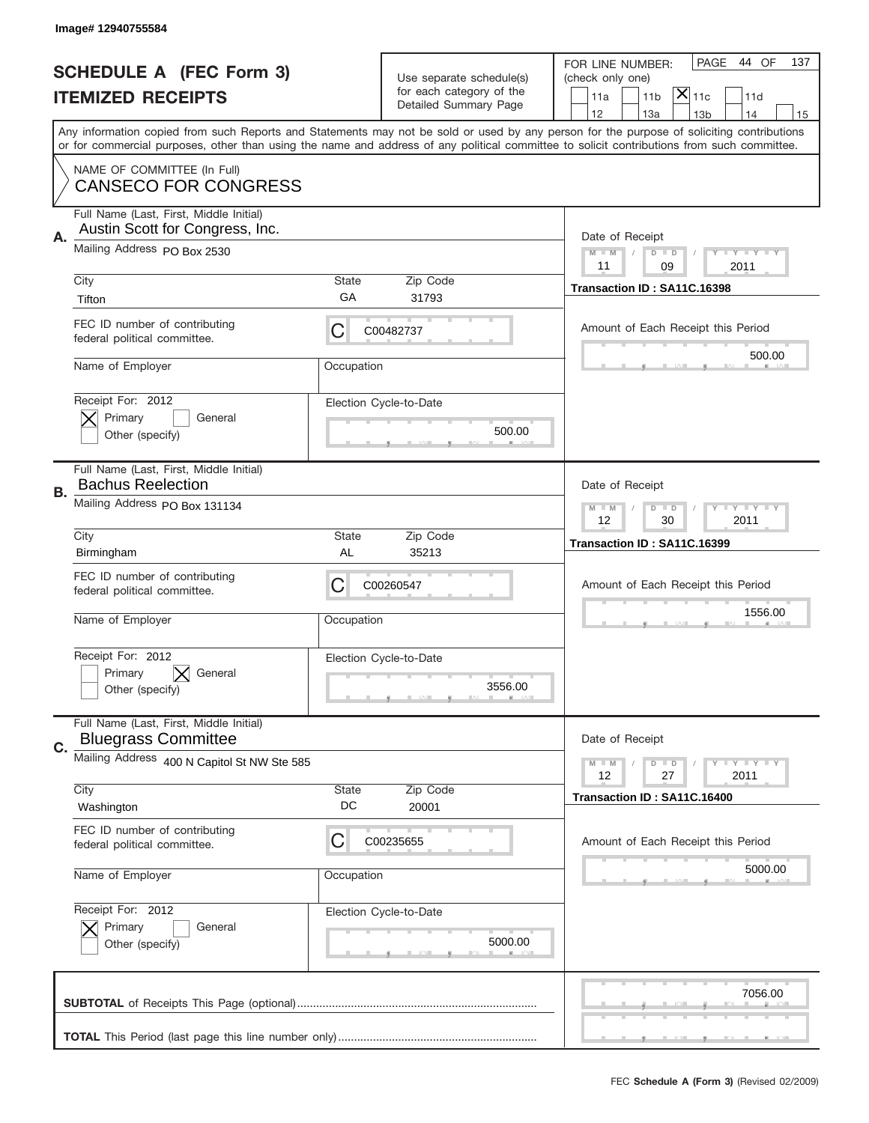|    | Image# 12940755584                                                         |                    |                                   |                                                                                                                                                                                                                                                                                         |
|----|----------------------------------------------------------------------------|--------------------|-----------------------------------|-----------------------------------------------------------------------------------------------------------------------------------------------------------------------------------------------------------------------------------------------------------------------------------------|
|    | <b>SCHEDULE A (FEC Form 3)</b>                                             |                    | Use separate schedule(s)          | PAGE<br>44 OF<br>137<br>FOR LINE NUMBER:<br>(check only one)                                                                                                                                                                                                                            |
|    | <b>ITEMIZED RECEIPTS</b>                                                   |                    | for each category of the          | $ \mathsf{X} _{\mathsf{11c}}$<br>11 <sub>b</sub><br>11d<br>11a                                                                                                                                                                                                                          |
|    |                                                                            |                    | Detailed Summary Page             | 12<br>13a<br>13 <sub>b</sub><br>14<br>15                                                                                                                                                                                                                                                |
|    |                                                                            |                    |                                   | Any information copied from such Reports and Statements may not be sold or used by any person for the purpose of soliciting contributions<br>or for commercial purposes, other than using the name and address of any political committee to solicit contributions from such committee. |
|    | NAME OF COMMITTEE (In Full)<br><b>CANSECO FOR CONGRESS</b>                 |                    |                                   |                                                                                                                                                                                                                                                                                         |
|    | Full Name (Last, First, Middle Initial)<br>Austin Scott for Congress, Inc. |                    |                                   |                                                                                                                                                                                                                                                                                         |
| Α. | Mailing Address PO Box 2530                                                |                    |                                   | Date of Receipt<br><b>LYLYLY</b><br>$M - M$<br>$D$ $D$<br>11<br>09<br>2011                                                                                                                                                                                                              |
|    | City<br>Tifton                                                             | <b>State</b><br>GA | Zip Code<br>31793                 | Transaction ID: SA11C.16398                                                                                                                                                                                                                                                             |
|    | FEC ID number of contributing<br>federal political committee.              | С                  | C00482737                         | Amount of Each Receipt this Period                                                                                                                                                                                                                                                      |
|    | Name of Employer                                                           | Occupation         |                                   | 500.00                                                                                                                                                                                                                                                                                  |
|    | Receipt For: 2012<br>Primary<br>General<br>Other (specify)                 |                    | Election Cycle-to-Date<br>500.00  |                                                                                                                                                                                                                                                                                         |
| В. | Full Name (Last, First, Middle Initial)<br><b>Bachus Reelection</b>        |                    |                                   | Date of Receipt                                                                                                                                                                                                                                                                         |
|    | Mailing Address PO Box 131134                                              |                    |                                   | <b>LY LY LY</b><br>$M - M$<br>$D$ $D$<br>12<br>30<br>2011                                                                                                                                                                                                                               |
|    | City<br>Birmingham                                                         | <b>State</b><br>AL | Zip Code<br>35213                 | Transaction ID: SA11C.16399                                                                                                                                                                                                                                                             |
|    | FEC ID number of contributing<br>federal political committee.              | С                  | C00260547                         | Amount of Each Receipt this Period                                                                                                                                                                                                                                                      |
|    | Name of Employer                                                           | Occupation         |                                   | 1556.00                                                                                                                                                                                                                                                                                 |
|    | Receipt For: 2012<br>Primary<br>General<br>Other (specify)                 |                    | Election Cycle-to-Date<br>3556.00 |                                                                                                                                                                                                                                                                                         |
| C. | Full Name (Last, First, Middle Initial)<br><b>Bluegrass Committee</b>      |                    |                                   | Date of Receipt                                                                                                                                                                                                                                                                         |
|    | Mailing Address 400 N Capitol St NW Ste 585                                |                    |                                   | <b>LY LY LY</b><br>$M - M$<br>$D$ $D$<br>12<br>27<br>2011                                                                                                                                                                                                                               |
|    | City<br>Washington                                                         | State<br>DC        | Zip Code<br>20001                 | Transaction ID: SA11C.16400                                                                                                                                                                                                                                                             |
|    | FEC ID number of contributing<br>federal political committee.              | C                  | C00235655                         | Amount of Each Receipt this Period                                                                                                                                                                                                                                                      |
|    | Name of Employer                                                           | Occupation         |                                   | 5000.00                                                                                                                                                                                                                                                                                 |
|    | Receipt For: 2012<br>Primary<br>General<br>Other (specify)                 |                    | Election Cycle-to-Date<br>5000.00 |                                                                                                                                                                                                                                                                                         |
|    |                                                                            |                    |                                   | 7056.00                                                                                                                                                                                                                                                                                 |
|    |                                                                            |                    |                                   |                                                                                                                                                                                                                                                                                         |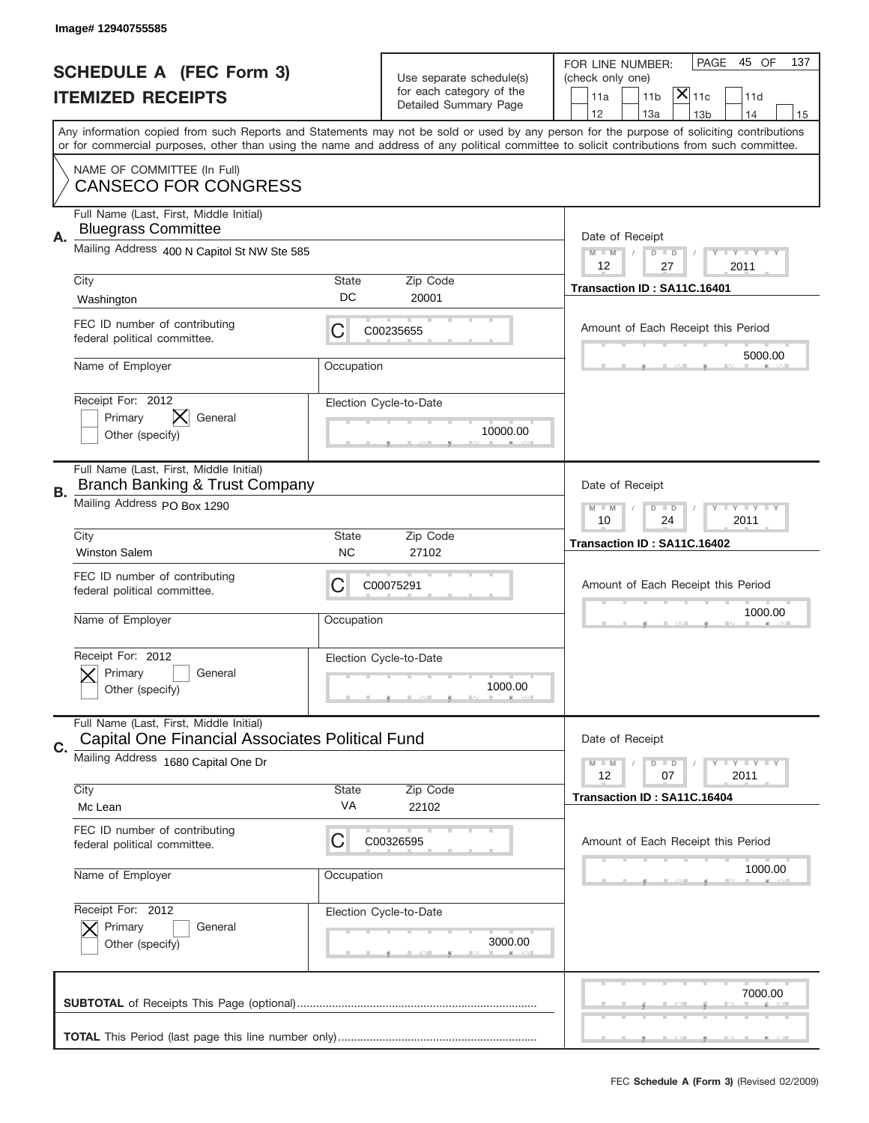|    | Image#12940755585                                                                          |                    |                                                   |                                                                                                                                                                                                                                                                                         |
|----|--------------------------------------------------------------------------------------------|--------------------|---------------------------------------------------|-----------------------------------------------------------------------------------------------------------------------------------------------------------------------------------------------------------------------------------------------------------------------------------------|
|    | <b>SCHEDULE A (FEC Form 3)</b>                                                             |                    | Use separate schedule(s)                          | PAGE<br>45 OF<br>137<br>FOR LINE NUMBER:<br>(check only one)                                                                                                                                                                                                                            |
|    | <b>ITEMIZED RECEIPTS</b>                                                                   |                    | for each category of the<br>Detailed Summary Page | $ \overline{\mathsf{X}} _{\mathsf{11c}}$<br>11d<br>11a<br>11 <sub>b</sub>                                                                                                                                                                                                               |
|    |                                                                                            |                    |                                                   | 12<br>13a<br>14<br>13 <sub>b</sub><br>15                                                                                                                                                                                                                                                |
|    |                                                                                            |                    |                                                   | Any information copied from such Reports and Statements may not be sold or used by any person for the purpose of soliciting contributions<br>or for commercial purposes, other than using the name and address of any political committee to solicit contributions from such committee. |
|    | NAME OF COMMITTEE (In Full)<br><b>CANSECO FOR CONGRESS</b>                                 |                    |                                                   |                                                                                                                                                                                                                                                                                         |
| Α. | Full Name (Last, First, Middle Initial)<br><b>Bluegrass Committee</b>                      |                    |                                                   | Date of Receipt                                                                                                                                                                                                                                                                         |
|    | Mailing Address 400 N Capitol St NW Ste 585                                                |                    |                                                   | $M - M$<br><b>LY LY LY</b><br>$D$ $D$<br>12<br>27<br>2011                                                                                                                                                                                                                               |
|    | City                                                                                       | State              | Zip Code                                          | Transaction ID: SA11C.16401                                                                                                                                                                                                                                                             |
|    | Washington                                                                                 | DC                 | 20001                                             |                                                                                                                                                                                                                                                                                         |
|    | FEC ID number of contributing<br>federal political committee.                              | C                  | C00235655                                         | Amount of Each Receipt this Period                                                                                                                                                                                                                                                      |
|    | Name of Employer                                                                           | Occupation         |                                                   | 5000.00                                                                                                                                                                                                                                                                                 |
|    | Receipt For: 2012<br>X<br>Primary<br>General                                               |                    | Election Cycle-to-Date                            |                                                                                                                                                                                                                                                                                         |
|    | Other (specify)                                                                            |                    | 10000.00                                          |                                                                                                                                                                                                                                                                                         |
| В. | Full Name (Last, First, Middle Initial)<br>Branch Banking & Trust Company                  |                    |                                                   | Date of Receipt                                                                                                                                                                                                                                                                         |
|    | Mailing Address PO Box 1290                                                                |                    |                                                   | <b>LYLYLY</b><br>$M - M$<br>$D$ $D$<br>10<br>24<br>2011                                                                                                                                                                                                                                 |
|    | City<br><b>Winston Salem</b>                                                               | State<br><b>NC</b> | Zip Code<br>27102                                 | Transaction ID: SA11C.16402                                                                                                                                                                                                                                                             |
|    | FEC ID number of contributing<br>federal political committee.                              | C                  | C00075291                                         | Amount of Each Receipt this Period                                                                                                                                                                                                                                                      |
|    | Name of Employer                                                                           | Occupation         |                                                   | 1000.00                                                                                                                                                                                                                                                                                 |
|    | Receipt For: 2012                                                                          |                    | Election Cycle-to-Date                            |                                                                                                                                                                                                                                                                                         |
|    | Primary<br>General<br>Other (specify)                                                      |                    | 1000.00                                           |                                                                                                                                                                                                                                                                                         |
| C. | Full Name (Last, First, Middle Initial)<br>Capital One Financial Associates Political Fund |                    |                                                   | Date of Receipt                                                                                                                                                                                                                                                                         |
|    | Mailing Address 1680 Capital One Dr                                                        |                    |                                                   | $I - Y - I - Y - I - Y$<br>$M - M$<br>$D$ $D$<br>12<br>2011<br>07                                                                                                                                                                                                                       |
|    | City<br>Mc Lean                                                                            | <b>State</b><br>VA | Zip Code<br>22102                                 | Transaction ID: SA11C.16404                                                                                                                                                                                                                                                             |
|    | FEC ID number of contributing<br>federal political committee.                              | C                  | C00326595                                         | Amount of Each Receipt this Period                                                                                                                                                                                                                                                      |
|    |                                                                                            |                    |                                                   |                                                                                                                                                                                                                                                                                         |
|    | Name of Employer                                                                           | Occupation         |                                                   | 1000.00                                                                                                                                                                                                                                                                                 |
|    | Receipt For: 2012                                                                          |                    | Election Cycle-to-Date                            |                                                                                                                                                                                                                                                                                         |
|    | Primary<br>General<br>Other (specify)                                                      |                    | 3000.00                                           |                                                                                                                                                                                                                                                                                         |
|    |                                                                                            |                    |                                                   | 7000.00                                                                                                                                                                                                                                                                                 |
|    |                                                                                            |                    |                                                   |                                                                                                                                                                                                                                                                                         |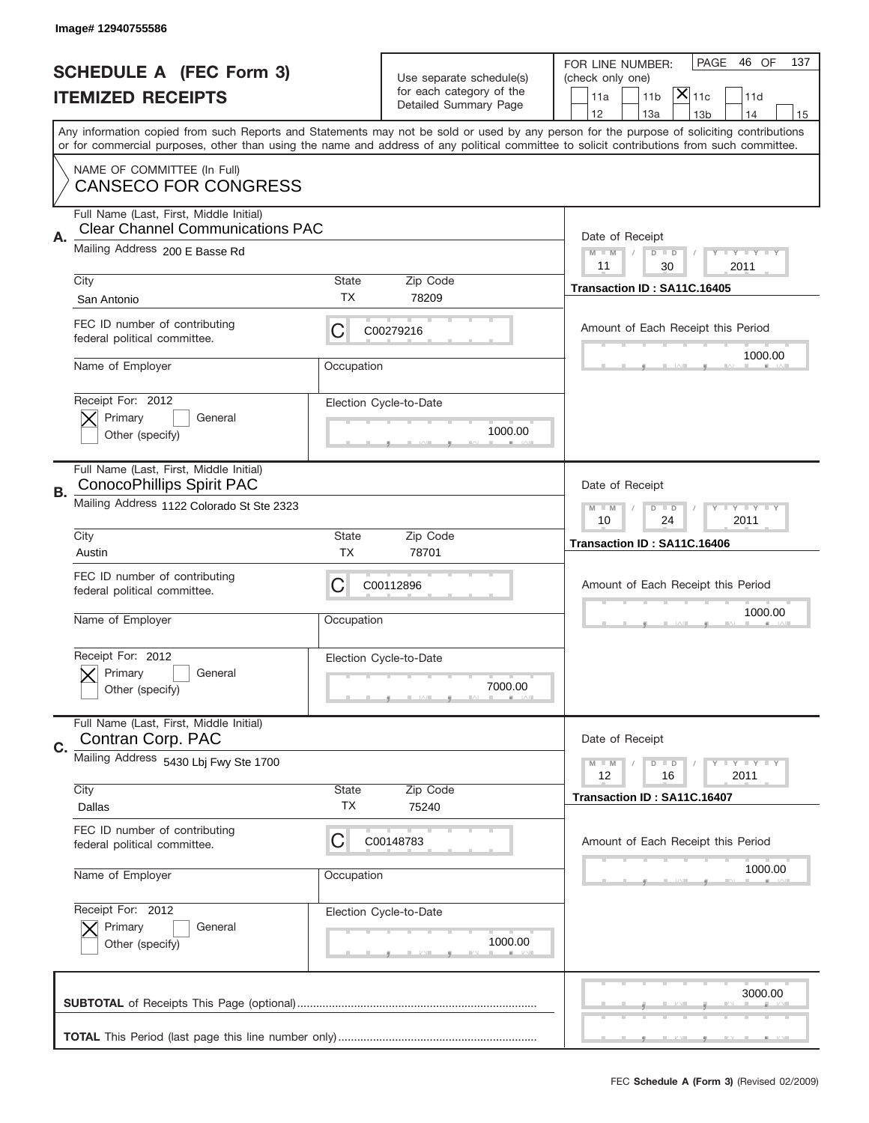|    | Image# 12940755586                                                                 |                    |                                                      |                                                                                                                                                                                                                                                                                         |
|----|------------------------------------------------------------------------------------|--------------------|------------------------------------------------------|-----------------------------------------------------------------------------------------------------------------------------------------------------------------------------------------------------------------------------------------------------------------------------------------|
|    | <b>SCHEDULE A (FEC Form 3)</b>                                                     |                    |                                                      | PAGE<br>46 OF<br>137<br>FOR LINE NUMBER:                                                                                                                                                                                                                                                |
|    | <b>ITEMIZED RECEIPTS</b>                                                           |                    | Use separate schedule(s)<br>for each category of the | (check only one)<br>$ \overline{\mathsf{X}} _{\mathsf{11c}}$<br>11d<br>11a<br>11 <sub>b</sub>                                                                                                                                                                                           |
|    |                                                                                    |                    | Detailed Summary Page                                | 12<br>13a<br>14<br>13 <sub>b</sub><br>15                                                                                                                                                                                                                                                |
|    |                                                                                    |                    |                                                      | Any information copied from such Reports and Statements may not be sold or used by any person for the purpose of soliciting contributions<br>or for commercial purposes, other than using the name and address of any political committee to solicit contributions from such committee. |
|    | NAME OF COMMITTEE (In Full)<br><b>CANSECO FOR CONGRESS</b>                         |                    |                                                      |                                                                                                                                                                                                                                                                                         |
| Α. | Full Name (Last, First, Middle Initial)<br><b>Clear Channel Communications PAC</b> |                    |                                                      | Date of Receipt                                                                                                                                                                                                                                                                         |
|    | Mailing Address 200 E Basse Rd                                                     |                    |                                                      | $M - M$<br><b>LEY LEY LEY</b><br>$D$ $D$<br>11<br>30<br>2011                                                                                                                                                                                                                            |
|    | City<br>San Antonio                                                                | State<br><b>TX</b> | Zip Code<br>78209                                    | Transaction ID: SA11C.16405                                                                                                                                                                                                                                                             |
|    | FEC ID number of contributing<br>federal political committee.                      | C                  | C00279216                                            | Amount of Each Receipt this Period                                                                                                                                                                                                                                                      |
|    | Name of Employer                                                                   | Occupation         |                                                      | 1000.00                                                                                                                                                                                                                                                                                 |
|    | Receipt For: 2012<br>Primary<br>General<br>Other (specify)                         |                    | Election Cycle-to-Date<br>1000.00                    |                                                                                                                                                                                                                                                                                         |
| В. | Full Name (Last, First, Middle Initial)<br><b>ConocoPhillips Spirit PAC</b>        |                    |                                                      | Date of Receipt                                                                                                                                                                                                                                                                         |
|    | Mailing Address 1122 Colorado St Ste 2323                                          |                    |                                                      | <b>LYLYLY</b><br>$M - M$<br>$D$ $D$<br>10<br>24<br>2011                                                                                                                                                                                                                                 |
|    | City<br>Austin                                                                     | State<br><b>TX</b> | Zip Code<br>78701                                    | Transaction ID: SA11C.16406                                                                                                                                                                                                                                                             |
|    | FEC ID number of contributing<br>federal political committee.                      | C                  | C00112896                                            | Amount of Each Receipt this Period                                                                                                                                                                                                                                                      |
|    | Name of Employer                                                                   | Occupation         |                                                      | 1000.00                                                                                                                                                                                                                                                                                 |
|    | Receipt For: 2012<br>General<br>Primary<br>Other (specify)                         |                    | Election Cycle-to-Date<br>7000.00                    |                                                                                                                                                                                                                                                                                         |
| C. | Full Name (Last, First, Middle Initial)<br>Contran Corp. PAC                       |                    |                                                      | Date of Receipt                                                                                                                                                                                                                                                                         |
|    | Mailing Address 5430 Lbj Fwy Ste 1700                                              |                    |                                                      | <b>LYLYLY</b><br>$M - M$<br>$D$ $D$<br>12<br>2011<br>16                                                                                                                                                                                                                                 |
|    | City<br>Dallas                                                                     | <b>State</b><br>TX | Zip Code<br>75240                                    | Transaction ID: SA11C.16407                                                                                                                                                                                                                                                             |
|    | FEC ID number of contributing<br>federal political committee.                      | C                  | C00148783                                            | Amount of Each Receipt this Period                                                                                                                                                                                                                                                      |
|    | Name of Employer                                                                   | Occupation         |                                                      | 1000.00                                                                                                                                                                                                                                                                                 |
|    | Receipt For: 2012<br>Primary<br>General<br>Other (specify)                         |                    | Election Cycle-to-Date<br>1000.00                    |                                                                                                                                                                                                                                                                                         |
|    |                                                                                    |                    |                                                      |                                                                                                                                                                                                                                                                                         |
|    |                                                                                    |                    |                                                      | 3000.00                                                                                                                                                                                                                                                                                 |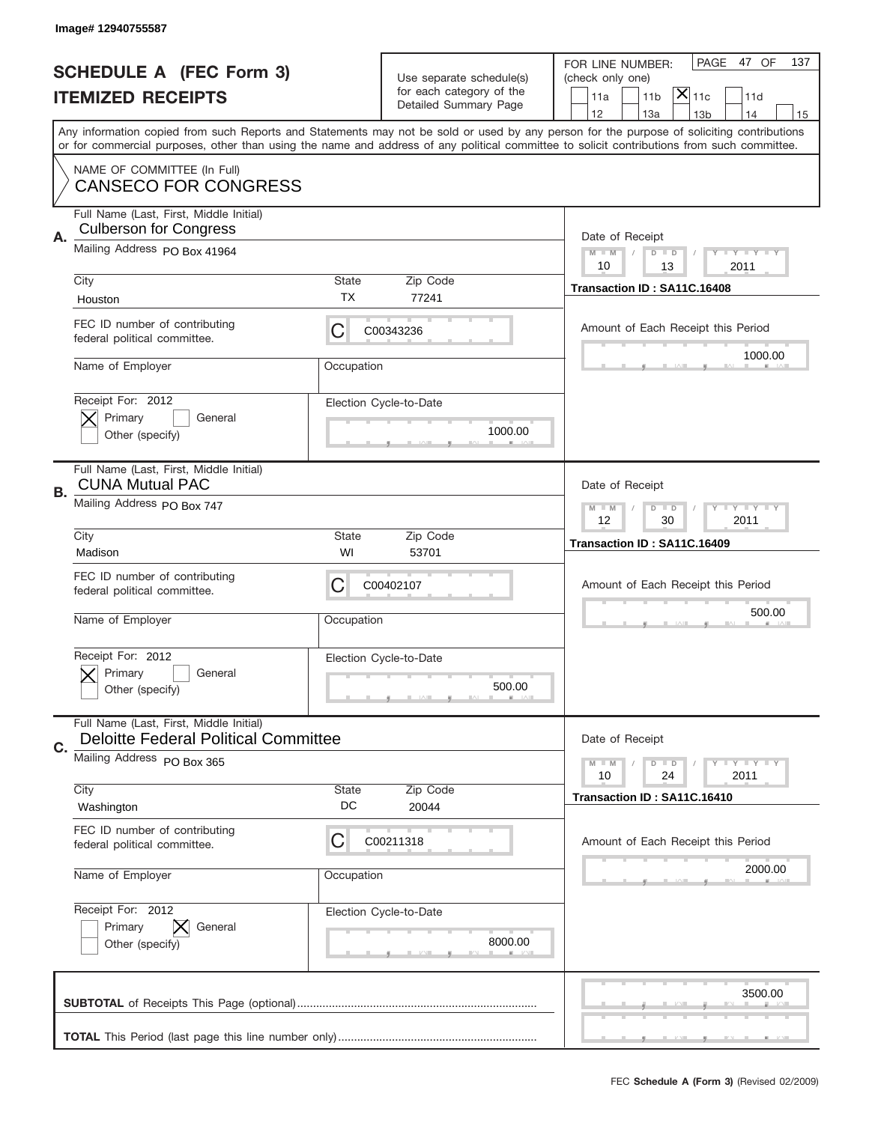|    | Image# 12940755587                                                                     |              |                                                      |                                                                                                                                                                                                                                                                                         |
|----|----------------------------------------------------------------------------------------|--------------|------------------------------------------------------|-----------------------------------------------------------------------------------------------------------------------------------------------------------------------------------------------------------------------------------------------------------------------------------------|
|    | <b>SCHEDULE A (FEC Form 3)</b><br><b>ITEMIZED RECEIPTS</b>                             |              | Use separate schedule(s)<br>for each category of the | PAGE<br>47 OF<br>137<br>FOR LINE NUMBER:<br>(check only one)<br>$ \mathsf{X} _{\mathsf{11c}}$<br>11 <sub>b</sub><br>11d<br>11a                                                                                                                                                          |
|    |                                                                                        |              | Detailed Summary Page                                | 12<br>13a<br>13 <sub>b</sub><br>14<br>15                                                                                                                                                                                                                                                |
|    |                                                                                        |              |                                                      | Any information copied from such Reports and Statements may not be sold or used by any person for the purpose of soliciting contributions<br>or for commercial purposes, other than using the name and address of any political committee to solicit contributions from such committee. |
|    | NAME OF COMMITTEE (In Full)<br><b>CANSECO FOR CONGRESS</b>                             |              |                                                      |                                                                                                                                                                                                                                                                                         |
| Α. | Full Name (Last, First, Middle Initial)<br><b>Culberson for Congress</b>               |              |                                                      | Date of Receipt                                                                                                                                                                                                                                                                         |
|    | Mailing Address PO Box 41964                                                           |              |                                                      | <b>LYLYLY</b><br>$M - M$<br>$D$ $D$<br>10<br>13<br>2011                                                                                                                                                                                                                                 |
|    | City                                                                                   | <b>State</b> | Zip Code                                             | Transaction ID: SA11C.16408                                                                                                                                                                                                                                                             |
|    | Houston                                                                                | TX.          | 77241                                                |                                                                                                                                                                                                                                                                                         |
|    | FEC ID number of contributing<br>federal political committee.                          | С            | C00343236                                            | Amount of Each Receipt this Period                                                                                                                                                                                                                                                      |
|    | Name of Employer                                                                       | Occupation   |                                                      | 1000.00                                                                                                                                                                                                                                                                                 |
|    | Receipt For: 2012                                                                      |              | Election Cycle-to-Date                               |                                                                                                                                                                                                                                                                                         |
|    | Primary<br>General                                                                     |              |                                                      |                                                                                                                                                                                                                                                                                         |
|    | Other (specify)                                                                        |              | 1000.00                                              |                                                                                                                                                                                                                                                                                         |
| В. | Full Name (Last, First, Middle Initial)<br><b>CUNA Mutual PAC</b>                      |              |                                                      | Date of Receipt                                                                                                                                                                                                                                                                         |
|    | Mailing Address PO Box 747                                                             |              |                                                      | $M - M$<br>$D$ $D$<br><b>LY LY LY</b><br>12<br>30<br>2011                                                                                                                                                                                                                               |
|    | City                                                                                   | <b>State</b> | Zip Code                                             | Transaction ID: SA11C.16409                                                                                                                                                                                                                                                             |
|    | Madison                                                                                | WI           | 53701                                                |                                                                                                                                                                                                                                                                                         |
|    |                                                                                        |              |                                                      |                                                                                                                                                                                                                                                                                         |
|    | FEC ID number of contributing<br>federal political committee.                          | С            | C00402107                                            | Amount of Each Receipt this Period                                                                                                                                                                                                                                                      |
|    | Name of Employer                                                                       | Occupation   |                                                      | 500.00                                                                                                                                                                                                                                                                                  |
|    | Receipt For: 2012                                                                      |              |                                                      |                                                                                                                                                                                                                                                                                         |
|    | General<br>Primary                                                                     |              | Election Cycle-to-Date                               |                                                                                                                                                                                                                                                                                         |
|    | Other (specify)                                                                        |              | 500.00                                               |                                                                                                                                                                                                                                                                                         |
|    | Full Name (Last, First, Middle Initial)<br><b>Deloitte Federal Political Committee</b> |              |                                                      | Date of Receipt                                                                                                                                                                                                                                                                         |
| C. | Mailing Address PO Box 365                                                             |              |                                                      | <b>LY LY LY</b><br>$M - M$<br>$D$ $D$                                                                                                                                                                                                                                                   |
|    |                                                                                        |              |                                                      | 24<br>2011<br>10                                                                                                                                                                                                                                                                        |
|    | City<br>Washington                                                                     | State<br>DC  | Zip Code<br>20044                                    | Transaction ID: SA11C.16410                                                                                                                                                                                                                                                             |
|    | FEC ID number of contributing<br>federal political committee.                          | С            | C00211318                                            | Amount of Each Receipt this Period                                                                                                                                                                                                                                                      |
|    | Name of Employer                                                                       | Occupation   |                                                      | 2000.00                                                                                                                                                                                                                                                                                 |
|    | Receipt For: 2012                                                                      |              |                                                      |                                                                                                                                                                                                                                                                                         |
|    | Primary<br>General                                                                     |              | Election Cycle-to-Date                               |                                                                                                                                                                                                                                                                                         |
|    | Other (specify)                                                                        |              | 8000.00                                              |                                                                                                                                                                                                                                                                                         |
|    |                                                                                        |              |                                                      | 3500.00                                                                                                                                                                                                                                                                                 |
|    |                                                                                        |              |                                                      |                                                                                                                                                                                                                                                                                         |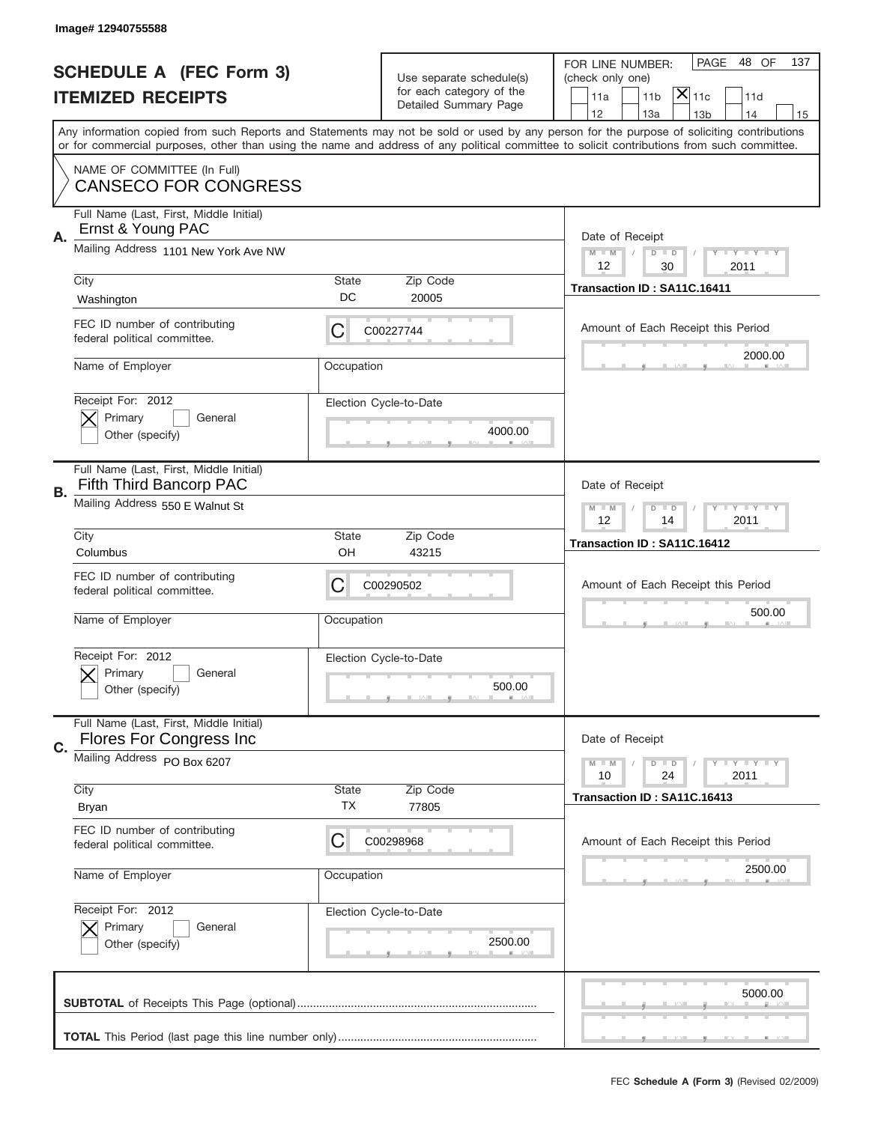|    | Image# 12940755588                                                 |                    |                                                                               |                                                                                                                                                                                                                                                                                         |
|----|--------------------------------------------------------------------|--------------------|-------------------------------------------------------------------------------|-----------------------------------------------------------------------------------------------------------------------------------------------------------------------------------------------------------------------------------------------------------------------------------------|
|    | <b>SCHEDULE A (FEC Form 3)</b><br><b>ITEMIZED RECEIPTS</b>         |                    | Use separate schedule(s)<br>for each category of the<br>Detailed Summary Page | PAGE<br>48 OF<br>137<br>FOR LINE NUMBER:<br>(check only one)<br>$ \overline{\mathsf{X}} _{\mathsf{11c}}$<br>11 <sub>b</sub><br>11d<br>11a<br>12<br>13a<br>13 <sub>b</sub><br>14<br>15                                                                                                   |
|    |                                                                    |                    |                                                                               | Any information copied from such Reports and Statements may not be sold or used by any person for the purpose of soliciting contributions<br>or for commercial purposes, other than using the name and address of any political committee to solicit contributions from such committee. |
|    | NAME OF COMMITTEE (In Full)<br><b>CANSECO FOR CONGRESS</b>         |                    |                                                                               |                                                                                                                                                                                                                                                                                         |
| Α. | Full Name (Last, First, Middle Initial)<br>Ernst & Young PAC       |                    |                                                                               | Date of Receipt                                                                                                                                                                                                                                                                         |
|    | Mailing Address 1101 New York Ave NW                               |                    |                                                                               | $M - M$<br><b>LEY LEY LEY</b><br>$D$ $D$<br>12<br>30<br>2011                                                                                                                                                                                                                            |
|    | City<br>Washington                                                 | State<br>DC        | Zip Code<br>20005                                                             | Transaction ID: SA11C.16411                                                                                                                                                                                                                                                             |
|    | FEC ID number of contributing<br>federal political committee.      | C                  | C00227744                                                                     | Amount of Each Receipt this Period                                                                                                                                                                                                                                                      |
|    | Name of Employer                                                   | Occupation         |                                                                               | 2000.00                                                                                                                                                                                                                                                                                 |
|    | Receipt For: 2012<br>Primary<br>General<br>Other (specify)         |                    | Election Cycle-to-Date<br>4000.00                                             |                                                                                                                                                                                                                                                                                         |
| В. | Full Name (Last, First, Middle Initial)<br>Fifth Third Bancorp PAC |                    |                                                                               | Date of Receipt                                                                                                                                                                                                                                                                         |
|    | Mailing Address 550 E Walnut St                                    |                    |                                                                               | $M$ M<br>$D$ $D$<br><b>LYLYLY</b><br>12<br>14<br>2011                                                                                                                                                                                                                                   |
|    | City<br>Columbus                                                   | State<br>OH        | Zip Code<br>43215                                                             | Transaction ID: SA11C.16412                                                                                                                                                                                                                                                             |
|    | FEC ID number of contributing                                      |                    |                                                                               |                                                                                                                                                                                                                                                                                         |
|    | federal political committee.                                       | C                  | C00290502                                                                     | Amount of Each Receipt this Period                                                                                                                                                                                                                                                      |
|    | Name of Employer                                                   | Occupation         |                                                                               | 500.00                                                                                                                                                                                                                                                                                  |
|    | Receipt For: 2012<br>General<br>Primary<br>Other (specify)         |                    | Election Cycle-to-Date<br>500.00                                              |                                                                                                                                                                                                                                                                                         |
|    | Full Name (Last, First, Middle Initial)<br>Flores For Congress Inc |                    |                                                                               | Date of Receipt                                                                                                                                                                                                                                                                         |
| C. | Mailing Address PO Box 6207                                        |                    |                                                                               | <b>LYLYLY</b><br>$M - M$<br>$D$ $D$<br>10<br>2011<br>24                                                                                                                                                                                                                                 |
|    | City<br><b>Bryan</b>                                               | <b>State</b><br>TX | Zip Code<br>77805                                                             | Transaction ID: SA11C.16413                                                                                                                                                                                                                                                             |
|    | FEC ID number of contributing<br>federal political committee.      | C                  | C00298968                                                                     | Amount of Each Receipt this Period                                                                                                                                                                                                                                                      |
|    | Name of Employer                                                   | Occupation         |                                                                               | 2500.00                                                                                                                                                                                                                                                                                 |
|    | Receipt For: 2012<br>Primary<br>General<br>Other (specify)         |                    | Election Cycle-to-Date<br>2500.00                                             |                                                                                                                                                                                                                                                                                         |
|    |                                                                    |                    |                                                                               | 5000.00                                                                                                                                                                                                                                                                                 |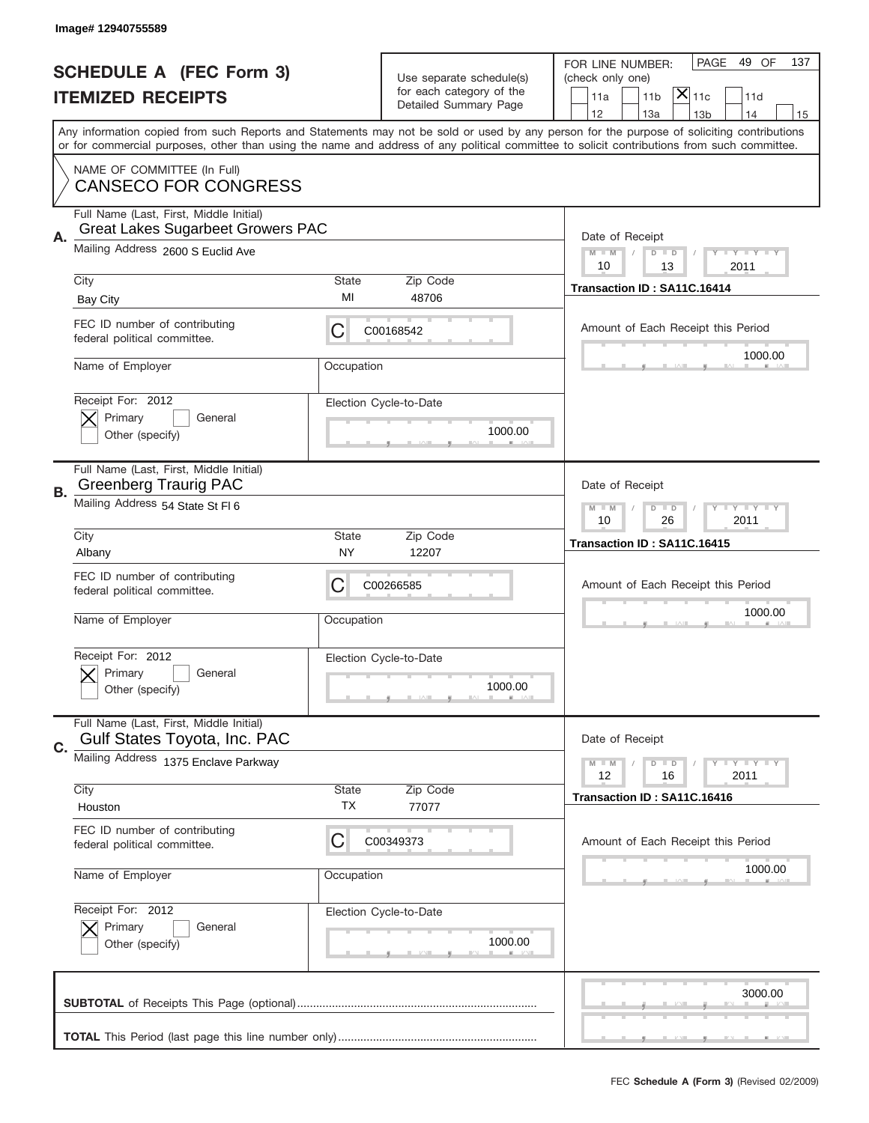|    | Image# 12940755589                                                                  |                    |                                                                               |                                                                                                                                                                                                                                                                                         |
|----|-------------------------------------------------------------------------------------|--------------------|-------------------------------------------------------------------------------|-----------------------------------------------------------------------------------------------------------------------------------------------------------------------------------------------------------------------------------------------------------------------------------------|
|    | <b>SCHEDULE A (FEC Form 3)</b><br><b>ITEMIZED RECEIPTS</b>                          |                    | Use separate schedule(s)<br>for each category of the<br>Detailed Summary Page | PAGE<br>49 OF<br>137<br>FOR LINE NUMBER:<br>(check only one)<br>$ \overline{\mathsf{X}} _{\mathsf{11c}}$<br>11 <sub>b</sub><br>11d<br>11a<br>12<br>13a<br>13 <sub>b</sub><br>14<br>15                                                                                                   |
|    |                                                                                     |                    |                                                                               | Any information copied from such Reports and Statements may not be sold or used by any person for the purpose of soliciting contributions<br>or for commercial purposes, other than using the name and address of any political committee to solicit contributions from such committee. |
|    | NAME OF COMMITTEE (In Full)<br><b>CANSECO FOR CONGRESS</b>                          |                    |                                                                               |                                                                                                                                                                                                                                                                                         |
| Α. | Full Name (Last, First, Middle Initial)<br><b>Great Lakes Sugarbeet Growers PAC</b> |                    |                                                                               | Date of Receipt                                                                                                                                                                                                                                                                         |
|    | Mailing Address 2600 S Euclid Ave                                                   |                    |                                                                               | $M - M$<br><b>LEY LEY LEY</b><br>$D$ $D$<br>10<br>13<br>2011                                                                                                                                                                                                                            |
|    | City<br><b>Bay City</b>                                                             | State<br>MI        | Zip Code<br>48706                                                             | Transaction ID: SA11C.16414                                                                                                                                                                                                                                                             |
|    | FEC ID number of contributing<br>federal political committee.                       | C                  | C00168542                                                                     | Amount of Each Receipt this Period                                                                                                                                                                                                                                                      |
|    | Name of Employer                                                                    | Occupation         |                                                                               | 1000.00                                                                                                                                                                                                                                                                                 |
|    | Receipt For: 2012<br>Primary<br>General<br>Other (specify)                          |                    | Election Cycle-to-Date<br>1000.00                                             |                                                                                                                                                                                                                                                                                         |
| В. | Full Name (Last, First, Middle Initial)<br><b>Greenberg Traurig PAC</b>             |                    |                                                                               | Date of Receipt                                                                                                                                                                                                                                                                         |
|    | Mailing Address 54 State St FI 6                                                    |                    |                                                                               | $D$ $D$<br><b>LYLYLY</b><br>$M - M$<br>10<br>26<br>2011                                                                                                                                                                                                                                 |
|    | City<br>Albany                                                                      | State<br>NY.       | Zip Code<br>12207                                                             | Transaction ID: SA11C.16415                                                                                                                                                                                                                                                             |
|    |                                                                                     |                    |                                                                               |                                                                                                                                                                                                                                                                                         |
|    | FEC ID number of contributing<br>federal political committee.                       | C                  | C00266585                                                                     | Amount of Each Receipt this Period                                                                                                                                                                                                                                                      |
|    | Name of Employer                                                                    | Occupation         |                                                                               | 1000.00                                                                                                                                                                                                                                                                                 |
|    | Receipt For: 2012<br>Primary<br>General<br>Other (specify)                          |                    | Election Cycle-to-Date<br>1000.00                                             |                                                                                                                                                                                                                                                                                         |
|    | Full Name (Last, First, Middle Initial)<br>Gulf States Toyota, Inc. PAC             |                    |                                                                               | Date of Receipt                                                                                                                                                                                                                                                                         |
| C. | Mailing Address 1375 Enclave Parkway                                                |                    |                                                                               | <b>LYLYLY</b><br>$M - M$<br>$D$ $D$<br>12<br>2011<br>16                                                                                                                                                                                                                                 |
|    | City<br>Houston                                                                     | <b>State</b><br>TX | Zip Code<br>77077                                                             | Transaction ID: SA11C.16416                                                                                                                                                                                                                                                             |
|    | FEC ID number of contributing<br>federal political committee.                       | C                  | C00349373                                                                     | Amount of Each Receipt this Period                                                                                                                                                                                                                                                      |
|    | Name of Employer                                                                    | Occupation         |                                                                               | 1000.00                                                                                                                                                                                                                                                                                 |
|    | Receipt For: 2012<br>Primary<br>General<br>Other (specify)                          |                    | Election Cycle-to-Date<br>1000.00                                             |                                                                                                                                                                                                                                                                                         |
|    |                                                                                     |                    |                                                                               | 3000.00                                                                                                                                                                                                                                                                                 |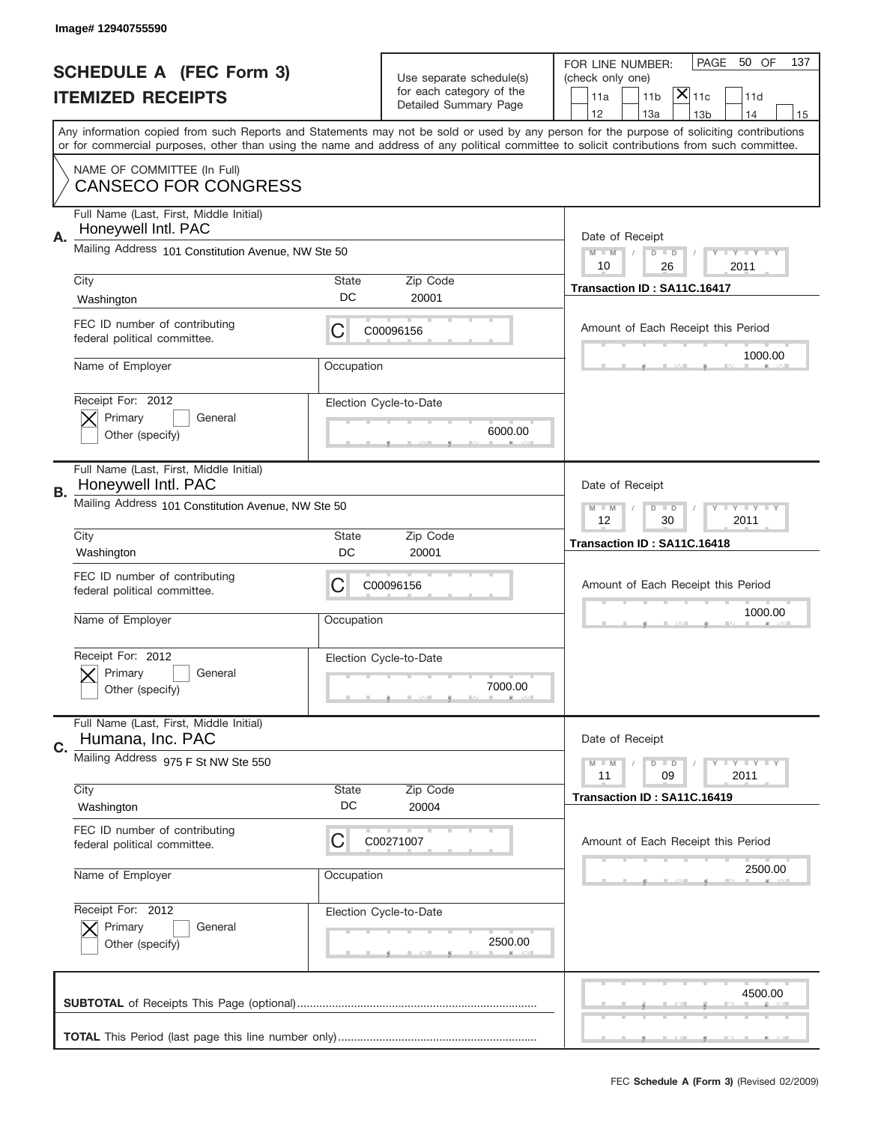|    | Image#12940755590                                              |                    |                                                                               |                                                                                                                                                                                                                                                                                         |
|----|----------------------------------------------------------------|--------------------|-------------------------------------------------------------------------------|-----------------------------------------------------------------------------------------------------------------------------------------------------------------------------------------------------------------------------------------------------------------------------------------|
|    | <b>SCHEDULE A (FEC Form 3)</b><br><b>ITEMIZED RECEIPTS</b>     |                    | Use separate schedule(s)<br>for each category of the<br>Detailed Summary Page | PAGE<br>50 OF<br>137<br>FOR LINE NUMBER:<br>(check only one)<br>$ \overline{\mathsf{X}} _{\mathsf{11c}}$<br>11d<br>11a<br>11 <sub>b</sub><br>12<br>13a<br>14<br>13 <sub>b</sub><br>15                                                                                                   |
|    |                                                                |                    |                                                                               | Any information copied from such Reports and Statements may not be sold or used by any person for the purpose of soliciting contributions<br>or for commercial purposes, other than using the name and address of any political committee to solicit contributions from such committee. |
|    | NAME OF COMMITTEE (In Full)<br><b>CANSECO FOR CONGRESS</b>     |                    |                                                                               |                                                                                                                                                                                                                                                                                         |
| Α. | Full Name (Last, First, Middle Initial)<br>Honeywell Intl. PAC |                    |                                                                               | Date of Receipt                                                                                                                                                                                                                                                                         |
|    | Mailing Address 101 Constitution Avenue, NW Ste 50             |                    |                                                                               | $M - M$<br><b>LY LY LY</b><br>$D$ $D$<br>10<br>26<br>2011                                                                                                                                                                                                                               |
|    | City<br>Washington                                             | State<br>DC        | Zip Code<br>20001                                                             | Transaction ID: SA11C.16417                                                                                                                                                                                                                                                             |
|    | FEC ID number of contributing<br>federal political committee.  | C                  | C00096156                                                                     | Amount of Each Receipt this Period                                                                                                                                                                                                                                                      |
|    | Name of Employer                                               | Occupation         |                                                                               | 1000.00                                                                                                                                                                                                                                                                                 |
|    | Receipt For: 2012<br>Primary<br>General<br>Other (specify)     |                    | Election Cycle-to-Date<br>6000.00                                             |                                                                                                                                                                                                                                                                                         |
| В. | Full Name (Last, First, Middle Initial)<br>Honeywell Intl. PAC |                    |                                                                               | Date of Receipt                                                                                                                                                                                                                                                                         |
|    | Mailing Address 101 Constitution Avenue, NW Ste 50             |                    |                                                                               | $M$ M<br>$D$ $D$<br><b>LYLYLY</b><br>12<br>30<br>2011                                                                                                                                                                                                                                   |
|    | City<br>Washington                                             | State<br>DC        | Zip Code<br>20001                                                             | Transaction ID: SA11C.16418                                                                                                                                                                                                                                                             |
|    |                                                                |                    |                                                                               |                                                                                                                                                                                                                                                                                         |
|    | FEC ID number of contributing<br>federal political committee.  | C                  | C00096156                                                                     | Amount of Each Receipt this Period                                                                                                                                                                                                                                                      |
|    | Name of Employer                                               | Occupation         |                                                                               | 1000.00                                                                                                                                                                                                                                                                                 |
|    | Receipt For: 2012<br>General<br>Primary<br>Other (specify)     |                    | Election Cycle-to-Date<br>7000.00                                             |                                                                                                                                                                                                                                                                                         |
|    | Full Name (Last, First, Middle Initial)<br>Humana, Inc. PAC    |                    |                                                                               | Date of Receipt                                                                                                                                                                                                                                                                         |
|    | Mailing Address 975 F St NW Ste 550                            |                    |                                                                               | <b>LYLYLY</b><br>$M - M$<br>$D$ $D$<br>09<br>2011<br>11                                                                                                                                                                                                                                 |
| C. | City<br>Washington                                             | <b>State</b><br>DC | Zip Code<br>20004                                                             | Transaction ID: SA11C.16419                                                                                                                                                                                                                                                             |
|    | FEC ID number of contributing<br>federal political committee.  | C                  | C00271007                                                                     | Amount of Each Receipt this Period                                                                                                                                                                                                                                                      |
|    | Name of Employer                                               | Occupation         |                                                                               | 2500.00                                                                                                                                                                                                                                                                                 |
|    | Receipt For: 2012<br>Primary<br>General<br>Other (specify)     |                    | Election Cycle-to-Date<br>2500.00                                             |                                                                                                                                                                                                                                                                                         |
|    |                                                                |                    |                                                                               | 4500.00                                                                                                                                                                                                                                                                                 |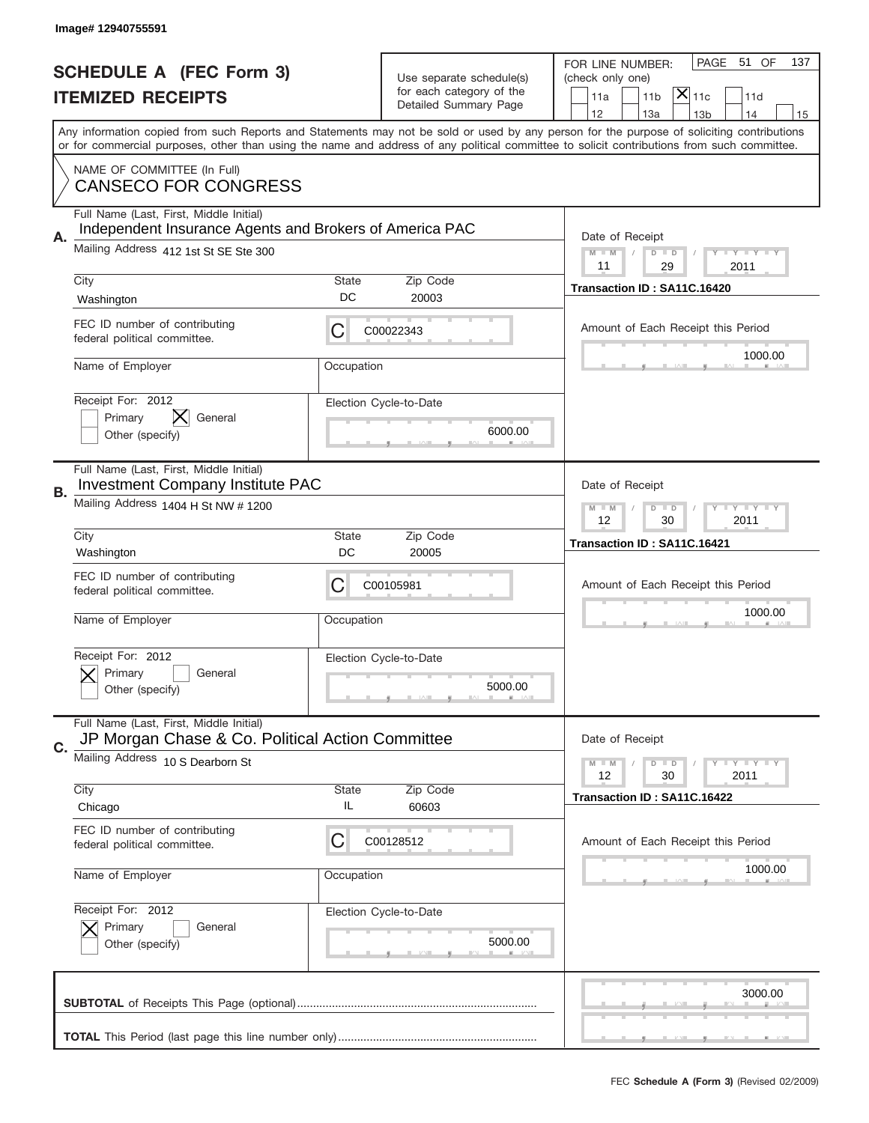|    | Image# 12940755591                                                                                 |              |                                                      |                                                                                                                                                                                                                                                                                         |
|----|----------------------------------------------------------------------------------------------------|--------------|------------------------------------------------------|-----------------------------------------------------------------------------------------------------------------------------------------------------------------------------------------------------------------------------------------------------------------------------------------|
|    | <b>SCHEDULE A (FEC Form 3)</b>                                                                     |              |                                                      | PAGE<br>51 OF<br>137<br>FOR LINE NUMBER:                                                                                                                                                                                                                                                |
|    | <b>ITEMIZED RECEIPTS</b>                                                                           |              | Use separate schedule(s)<br>for each category of the | (check only one)<br>$ \mathsf{X} _{\mathsf{11c}}$<br>11 <sub>b</sub><br>11d<br>11a                                                                                                                                                                                                      |
|    |                                                                                                    |              | Detailed Summary Page                                | 12<br>13a<br>14<br>13 <sub>b</sub><br>15                                                                                                                                                                                                                                                |
|    |                                                                                                    |              |                                                      | Any information copied from such Reports and Statements may not be sold or used by any person for the purpose of soliciting contributions<br>or for commercial purposes, other than using the name and address of any political committee to solicit contributions from such committee. |
|    | NAME OF COMMITTEE (In Full)                                                                        |              |                                                      |                                                                                                                                                                                                                                                                                         |
|    | <b>CANSECO FOR CONGRESS</b>                                                                        |              |                                                      |                                                                                                                                                                                                                                                                                         |
|    | Full Name (Last, First, Middle Initial)<br>Independent Insurance Agents and Brokers of America PAC |              |                                                      |                                                                                                                                                                                                                                                                                         |
| Α. | Mailing Address 412 1st St SE Ste 300                                                              |              |                                                      | Date of Receipt<br><b>LYLYLY</b><br>$M - M$<br>$D$ $D$                                                                                                                                                                                                                                  |
|    | City                                                                                               | <b>State</b> | Zip Code                                             | 11<br>29<br>2011                                                                                                                                                                                                                                                                        |
|    | Washington                                                                                         | DC           | 20003                                                | Transaction ID: SA11C.16420                                                                                                                                                                                                                                                             |
|    | FEC ID number of contributing<br>federal political committee.                                      | С            | C00022343                                            | Amount of Each Receipt this Period                                                                                                                                                                                                                                                      |
|    | Name of Employer                                                                                   | Occupation   |                                                      | 1000.00                                                                                                                                                                                                                                                                                 |
|    | Receipt For: 2012                                                                                  |              | Election Cycle-to-Date                               |                                                                                                                                                                                                                                                                                         |
|    | IХ<br>General<br>Primary<br>Other (specify)                                                        |              | 6000.00                                              |                                                                                                                                                                                                                                                                                         |
|    |                                                                                                    |              |                                                      |                                                                                                                                                                                                                                                                                         |
| В. | Full Name (Last, First, Middle Initial)<br><b>Investment Company Institute PAC</b>                 |              |                                                      | Date of Receipt                                                                                                                                                                                                                                                                         |
|    | Mailing Address 1404 H St NW # 1200                                                                |              |                                                      | <b>LYLYLY</b><br>$M - M$<br>$D$ $D$<br>12<br>30<br>2011                                                                                                                                                                                                                                 |
|    | City                                                                                               | <b>State</b> | Zip Code                                             | Transaction ID: SA11C.16421                                                                                                                                                                                                                                                             |
|    | Washington                                                                                         | DC           | 20005                                                |                                                                                                                                                                                                                                                                                         |
|    | FEC ID number of contributing<br>federal political committee.                                      | C            | C00105981                                            | Amount of Each Receipt this Period                                                                                                                                                                                                                                                      |
|    | Name of Employer                                                                                   | Occupation   |                                                      | 1000.00                                                                                                                                                                                                                                                                                 |
|    |                                                                                                    |              |                                                      |                                                                                                                                                                                                                                                                                         |
|    | Receipt For: 2012                                                                                  |              | Election Cycle-to-Date                               |                                                                                                                                                                                                                                                                                         |
|    | Primary<br>General<br>Other (specify)                                                              |              | 5000.00                                              |                                                                                                                                                                                                                                                                                         |
|    |                                                                                                    |              |                                                      |                                                                                                                                                                                                                                                                                         |
| C. | Full Name (Last, First, Middle Initial)<br>JP Morgan Chase & Co. Political Action Committee        |              |                                                      | Date of Receipt                                                                                                                                                                                                                                                                         |
|    | Mailing Address 10 S Dearborn St                                                                   |              |                                                      | <b>LEY LEY LEY</b><br>$M - M$<br>$D$ $D$<br>12<br>30<br>2011                                                                                                                                                                                                                            |
|    | City                                                                                               | <b>State</b> | Zip Code                                             | Transaction ID: SA11C.16422                                                                                                                                                                                                                                                             |
|    | Chicago                                                                                            | IL           | 60603                                                |                                                                                                                                                                                                                                                                                         |
|    | FEC ID number of contributing<br>federal political committee.                                      | С            | C00128512                                            | Amount of Each Receipt this Period                                                                                                                                                                                                                                                      |
|    | Name of Employer                                                                                   | Occupation   |                                                      | 1000.00                                                                                                                                                                                                                                                                                 |
|    | Receipt For: 2012                                                                                  |              | Election Cycle-to-Date                               |                                                                                                                                                                                                                                                                                         |
|    | Primary<br>General<br>Other (specify)                                                              |              | 5000.00                                              |                                                                                                                                                                                                                                                                                         |
|    |                                                                                                    |              |                                                      |                                                                                                                                                                                                                                                                                         |
|    |                                                                                                    |              |                                                      | 3000.00                                                                                                                                                                                                                                                                                 |
|    |                                                                                                    |              |                                                      |                                                                                                                                                                                                                                                                                         |
|    |                                                                                                    |              |                                                      |                                                                                                                                                                                                                                                                                         |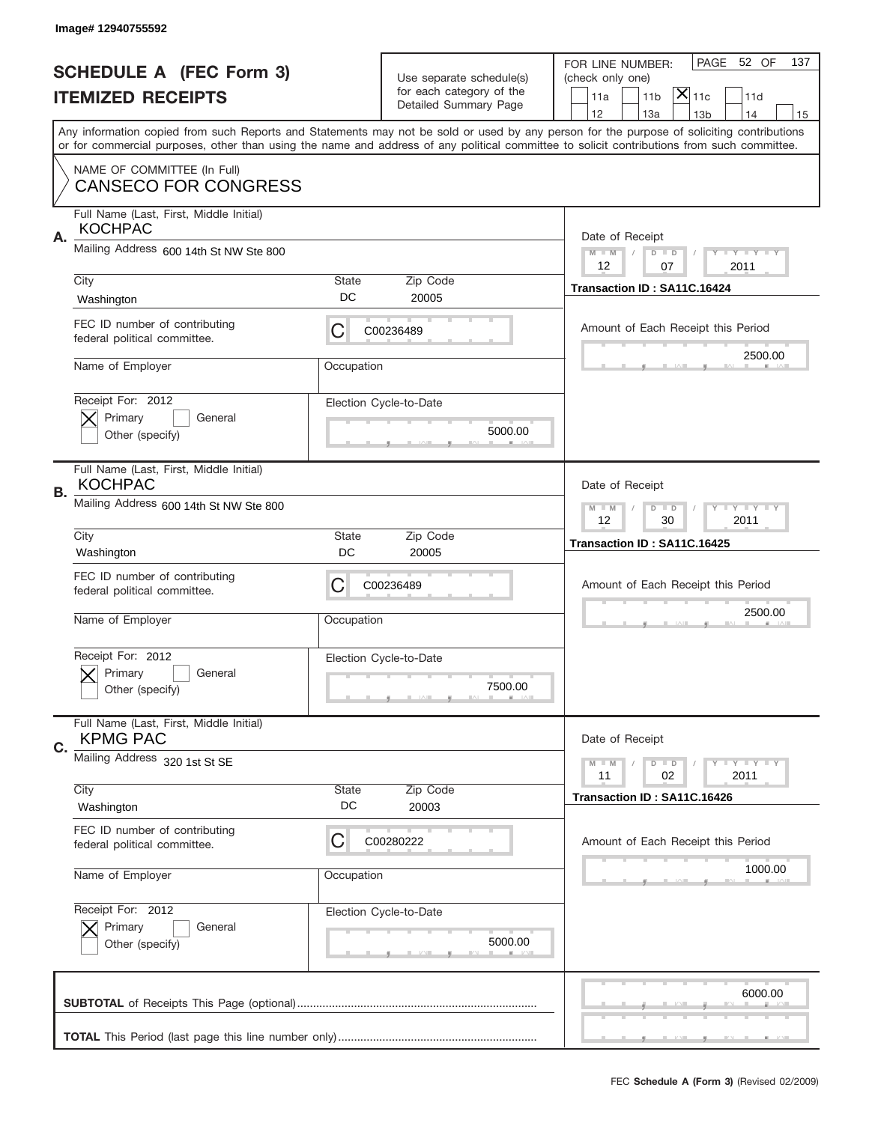|    | Image# 12940755592                                            |             |                                                   |                                                                                                                                                                                                                                                                                                                                     |
|----|---------------------------------------------------------------|-------------|---------------------------------------------------|-------------------------------------------------------------------------------------------------------------------------------------------------------------------------------------------------------------------------------------------------------------------------------------------------------------------------------------|
|    | <b>SCHEDULE A (FEC Form 3)</b>                                |             | Use separate schedule(s)                          | PAGE 52 OF<br>137<br>FOR LINE NUMBER:<br>(check only one)                                                                                                                                                                                                                                                                           |
|    | <b>ITEMIZED RECEIPTS</b>                                      |             | for each category of the<br>Detailed Summary Page | $ \overline{\mathsf{X}} _{\mathsf{11c}}$<br>11 <sub>b</sub><br>11d<br>11a                                                                                                                                                                                                                                                           |
|    |                                                               |             |                                                   | 12<br>13a<br>13 <sub>b</sub><br>14<br>15<br>Any information copied from such Reports and Statements may not be sold or used by any person for the purpose of soliciting contributions<br>or for commercial purposes, other than using the name and address of any political committee to solicit contributions from such committee. |
|    | NAME OF COMMITTEE (In Full)<br><b>CANSECO FOR CONGRESS</b>    |             |                                                   |                                                                                                                                                                                                                                                                                                                                     |
| Α. | Full Name (Last, First, Middle Initial)<br><b>KOCHPAC</b>     |             |                                                   | Date of Receipt                                                                                                                                                                                                                                                                                                                     |
|    | Mailing Address 600 14th St NW Ste 800                        |             |                                                   | $M - M$<br><b>LEY LEY LEY</b><br>$D$ $D$<br>12<br>2011<br>07                                                                                                                                                                                                                                                                        |
|    | City<br>Washington                                            | State<br>DC | Zip Code<br>20005                                 | Transaction ID: SA11C.16424                                                                                                                                                                                                                                                                                                         |
|    | FEC ID number of contributing<br>federal political committee. | C           | C00236489                                         | Amount of Each Receipt this Period<br>2500.00                                                                                                                                                                                                                                                                                       |
|    | Name of Employer                                              | Occupation  |                                                   |                                                                                                                                                                                                                                                                                                                                     |
|    | Receipt For: 2012<br>Primary<br>General<br>Other (specify)    |             | Election Cycle-to-Date<br>5000.00                 |                                                                                                                                                                                                                                                                                                                                     |
| В. | Full Name (Last, First, Middle Initial)<br><b>KOCHPAC</b>     |             |                                                   | Date of Receipt                                                                                                                                                                                                                                                                                                                     |
|    | Mailing Address 600 14th St NW Ste 800                        |             |                                                   | $M$ M<br>$D$ $D$<br><b>LYLYLY</b><br>12<br>30<br>2011                                                                                                                                                                                                                                                                               |
|    | City<br>Washington                                            | State<br>DC | Zip Code<br>20005                                 | Transaction ID: SA11C.16425                                                                                                                                                                                                                                                                                                         |
|    | FEC ID number of contributing<br>federal political committee. | C           | C00236489                                         | Amount of Each Receipt this Period                                                                                                                                                                                                                                                                                                  |
|    |                                                               |             |                                                   | 2500.00                                                                                                                                                                                                                                                                                                                             |
|    | Name of Employer                                              | Occupation  |                                                   |                                                                                                                                                                                                                                                                                                                                     |
|    | Receipt For: 2012<br>General<br>Primary<br>Other (specify)    |             | Election Cycle-to-Date<br>7500.00                 |                                                                                                                                                                                                                                                                                                                                     |
| C. | Full Name (Last, First, Middle Initial)<br><b>KPMG PAC</b>    |             |                                                   | Date of Receipt                                                                                                                                                                                                                                                                                                                     |
|    | Mailing Address 320 1st St SE                                 |             |                                                   | $D$ $D$<br><b>LY LY LY</b><br>$M - M$<br>02<br>2011<br>11                                                                                                                                                                                                                                                                           |
|    | City<br>Washington                                            | State<br>DC | Zip Code<br>20003                                 | Transaction ID: SA11C.16426                                                                                                                                                                                                                                                                                                         |
|    | FEC ID number of contributing<br>federal political committee. | C           | C00280222                                         | Amount of Each Receipt this Period                                                                                                                                                                                                                                                                                                  |
|    | Name of Employer                                              | Occupation  |                                                   | 1000.00                                                                                                                                                                                                                                                                                                                             |
|    | Receipt For: 2012<br>Primary<br>General<br>Other (specify)    |             | Election Cycle-to-Date<br>5000.00                 |                                                                                                                                                                                                                                                                                                                                     |
|    |                                                               |             |                                                   | 6000.00                                                                                                                                                                                                                                                                                                                             |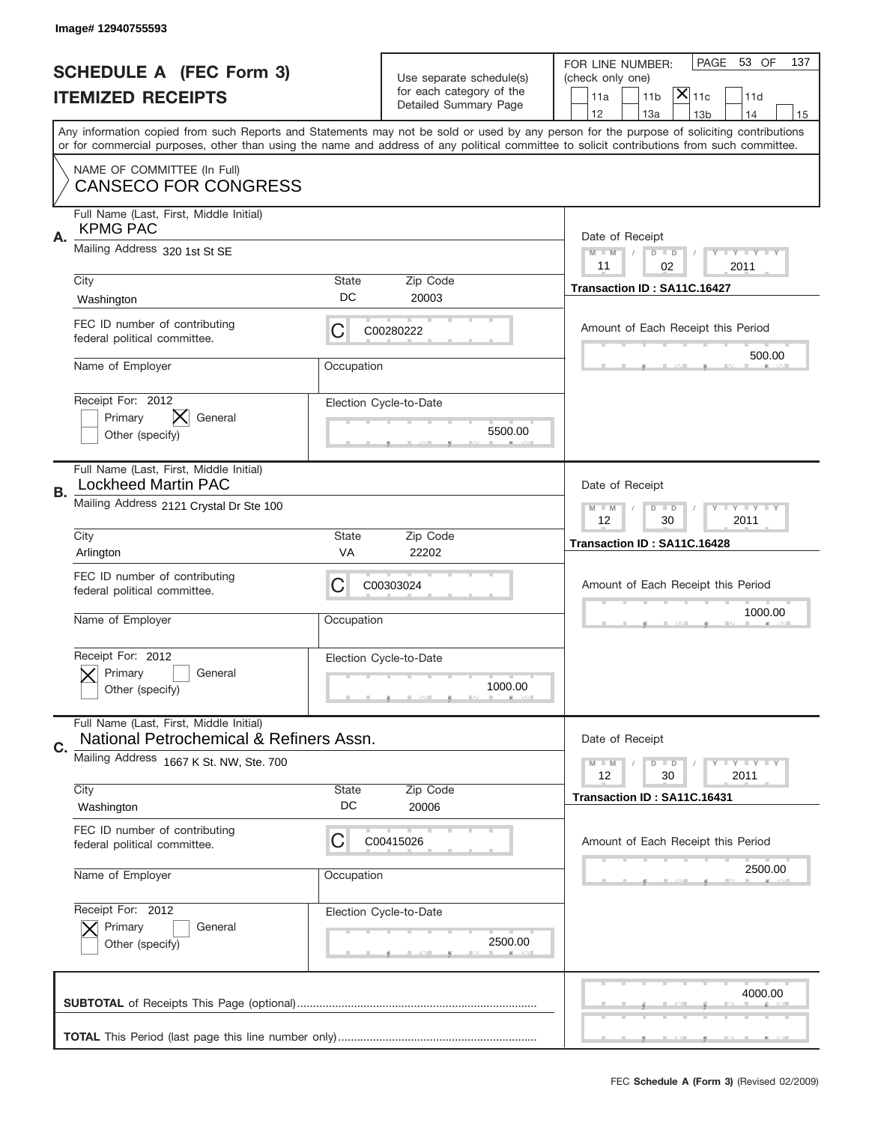|    | Image#12940755593                                                                  |                    |                                                   |                                                                                                                                                                                                                                                                                                                                     |
|----|------------------------------------------------------------------------------------|--------------------|---------------------------------------------------|-------------------------------------------------------------------------------------------------------------------------------------------------------------------------------------------------------------------------------------------------------------------------------------------------------------------------------------|
|    | <b>SCHEDULE A (FEC Form 3)</b>                                                     |                    | Use separate schedule(s)                          | PAGE 53 OF<br>137<br>FOR LINE NUMBER:<br>(check only one)                                                                                                                                                                                                                                                                           |
|    | <b>ITEMIZED RECEIPTS</b>                                                           |                    | for each category of the<br>Detailed Summary Page | $ \overline{\mathsf{X}} _{\mathsf{11c}}$<br>11 <sub>b</sub><br>11d<br>11a                                                                                                                                                                                                                                                           |
|    |                                                                                    |                    |                                                   | 12<br>13a<br>13 <sub>b</sub><br>14<br>15<br>Any information copied from such Reports and Statements may not be sold or used by any person for the purpose of soliciting contributions<br>or for commercial purposes, other than using the name and address of any political committee to solicit contributions from such committee. |
|    | NAME OF COMMITTEE (In Full)<br><b>CANSECO FOR CONGRESS</b>                         |                    |                                                   |                                                                                                                                                                                                                                                                                                                                     |
| Α. | Full Name (Last, First, Middle Initial)<br><b>KPMG PAC</b>                         |                    |                                                   | Date of Receipt                                                                                                                                                                                                                                                                                                                     |
|    | Mailing Address 320 1st St SE                                                      |                    |                                                   | $M - M$<br><b>LEY LEY LEY</b><br>$D$ $D$<br>02<br>11<br>2011                                                                                                                                                                                                                                                                        |
|    | City<br>Washington                                                                 | State<br>DC        | Zip Code<br>20003                                 | Transaction ID: SA11C.16427                                                                                                                                                                                                                                                                                                         |
|    | FEC ID number of contributing<br>federal political committee.                      | C                  | C00280222                                         | Amount of Each Receipt this Period                                                                                                                                                                                                                                                                                                  |
|    | Name of Employer                                                                   | Occupation         |                                                   | 500.00                                                                                                                                                                                                                                                                                                                              |
|    | Receipt For: 2012<br>X<br>Primary<br>General<br>Other (specify)                    |                    | Election Cycle-to-Date<br>5500.00                 |                                                                                                                                                                                                                                                                                                                                     |
| В. | Full Name (Last, First, Middle Initial)<br><b>Lockheed Martin PAC</b>              |                    |                                                   | Date of Receipt                                                                                                                                                                                                                                                                                                                     |
|    | Mailing Address 2121 Crystal Dr Ste 100                                            |                    |                                                   | $M$ M<br>$D$ $D$<br><b>LYLYLY</b><br>12<br>30<br>2011                                                                                                                                                                                                                                                                               |
|    | City<br>Arlington                                                                  | State<br>VA        | Zip Code<br>22202                                 | Transaction ID: SA11C.16428                                                                                                                                                                                                                                                                                                         |
|    | FEC ID number of contributing<br>federal political committee.                      | C                  | C00303024                                         | Amount of Each Receipt this Period                                                                                                                                                                                                                                                                                                  |
|    | Name of Employer                                                                   | Occupation         |                                                   | 1000.00                                                                                                                                                                                                                                                                                                                             |
|    | Receipt For: 2012<br>Primary<br>General<br>Other (specify)                         |                    | Election Cycle-to-Date<br>1000.00                 |                                                                                                                                                                                                                                                                                                                                     |
| C. | Full Name (Last, First, Middle Initial)<br>National Petrochemical & Refiners Assn. |                    |                                                   | Date of Receipt                                                                                                                                                                                                                                                                                                                     |
|    | Mailing Address 1667 K St. NW, Ste. 700                                            |                    |                                                   | $I - Y - I - Y - I - Y$<br>$M - M$<br>$D$ $D$<br>12<br>2011<br>30                                                                                                                                                                                                                                                                   |
|    | City<br>Washington                                                                 | <b>State</b><br>DC | Zip Code<br>20006                                 | Transaction ID: SA11C.16431                                                                                                                                                                                                                                                                                                         |
|    |                                                                                    |                    |                                                   |                                                                                                                                                                                                                                                                                                                                     |
|    | FEC ID number of contributing<br>federal political committee.                      | C                  | C00415026                                         | Amount of Each Receipt this Period                                                                                                                                                                                                                                                                                                  |
|    | Name of Employer                                                                   | Occupation         |                                                   | 2500.00                                                                                                                                                                                                                                                                                                                             |
|    | Receipt For: 2012<br>Primary<br>General<br>Other (specify)                         |                    | Election Cycle-to-Date<br>2500.00                 |                                                                                                                                                                                                                                                                                                                                     |
|    |                                                                                    |                    |                                                   | 4000.00                                                                                                                                                                                                                                                                                                                             |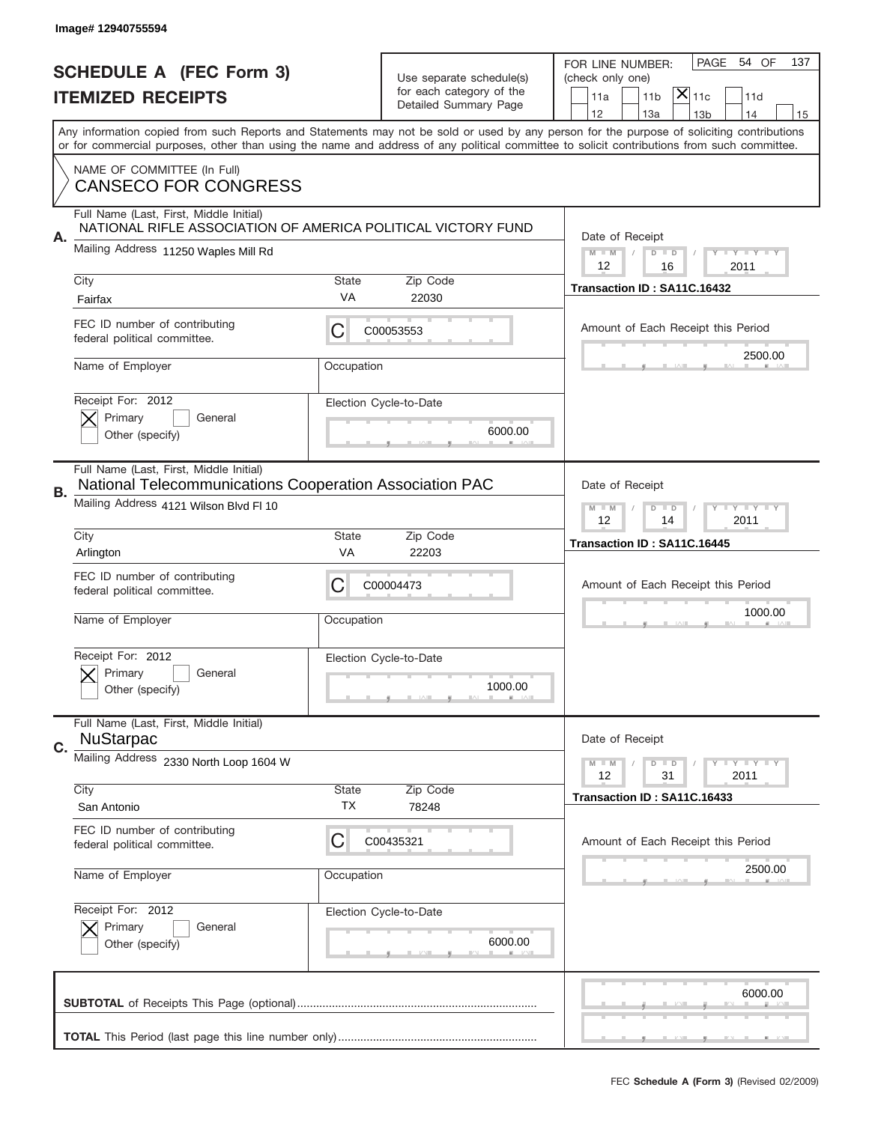| Image# 12940755594                                                                      |                                                              |                                                                               |                                                                                                                                                                                                                                                                                         |
|-----------------------------------------------------------------------------------------|--------------------------------------------------------------|-------------------------------------------------------------------------------|-----------------------------------------------------------------------------------------------------------------------------------------------------------------------------------------------------------------------------------------------------------------------------------------|
| <b>SCHEDULE A (FEC Form 3)</b><br><b>ITEMIZED RECEIPTS</b>                              |                                                              | Use separate schedule(s)<br>for each category of the<br>Detailed Summary Page | PAGE<br>54 OF<br>137<br>FOR LINE NUMBER:<br>(check only one)<br>$ \overline{\mathsf{X}} _{\mathsf{11c}}$<br>11 <sub>b</sub><br>11a<br>11d<br>12<br>13a<br>13 <sub>b</sub><br>14<br>15                                                                                                   |
|                                                                                         |                                                              |                                                                               | Any information copied from such Reports and Statements may not be sold or used by any person for the purpose of soliciting contributions<br>or for commercial purposes, other than using the name and address of any political committee to solicit contributions from such committee. |
| NAME OF COMMITTEE (In Full)<br><b>CANSECO FOR CONGRESS</b>                              |                                                              |                                                                               |                                                                                                                                                                                                                                                                                         |
| Full Name (Last, First, Middle Initial)<br>А.                                           | NATIONAL RIFLE ASSOCIATION OF AMERICA POLITICAL VICTORY FUND |                                                                               | Date of Receipt                                                                                                                                                                                                                                                                         |
| Mailing Address 11250 Waples Mill Rd                                                    |                                                              |                                                                               | $M - M$<br><b>LY LY LY</b><br>$D$ $D$<br>12<br>16<br>2011                                                                                                                                                                                                                               |
| City<br>Fairfax                                                                         | State<br>VA                                                  | Zip Code<br>22030                                                             | Transaction ID: SA11C.16432                                                                                                                                                                                                                                                             |
| FEC ID number of contributing<br>federal political committee.                           | C                                                            | C00053553                                                                     | Amount of Each Receipt this Period                                                                                                                                                                                                                                                      |
| Name of Employer                                                                        | Occupation                                                   |                                                                               | 2500.00                                                                                                                                                                                                                                                                                 |
| Receipt For: 2012<br>Primary<br>Other (specify)                                         | General                                                      | Election Cycle-to-Date<br>6000.00                                             |                                                                                                                                                                                                                                                                                         |
| Full Name (Last, First, Middle Initial)<br>В.<br>Mailing Address 4121 Wilson Blvd Fl 10 | National Telecommunications Cooperation Association PAC      |                                                                               | Date of Receipt<br>$M$ M<br>$D$ $D$<br><b>LY LY LY</b>                                                                                                                                                                                                                                  |
| City<br>Arlington                                                                       | State<br>VA                                                  | Zip Code<br>22203                                                             | 12<br>2011<br>14<br>Transaction ID: SA11C.16445                                                                                                                                                                                                                                         |
| FEC ID number of contributing<br>federal political committee.                           | C                                                            | C00004473                                                                     | Amount of Each Receipt this Period                                                                                                                                                                                                                                                      |
| Name of Employer                                                                        | Occupation                                                   |                                                                               | 1000.00                                                                                                                                                                                                                                                                                 |
| Receipt For: 2012<br>Primary<br>Other (specify)                                         | General                                                      | Election Cycle-to-Date<br>1000.00                                             |                                                                                                                                                                                                                                                                                         |
| Full Name (Last, First, Middle Initial)<br><b>NuStarpac</b><br>C.                       |                                                              |                                                                               | Date of Receipt                                                                                                                                                                                                                                                                         |
| Mailing Address 2330 North Loop 1604 W                                                  |                                                              |                                                                               | $M - M$<br>$D$ $D$<br><b>LY LY LY</b><br>2011<br>12<br>31                                                                                                                                                                                                                               |
| City<br>San Antonio                                                                     | <b>State</b><br>ТX                                           | Zip Code<br>78248                                                             | Transaction ID: SA11C.16433                                                                                                                                                                                                                                                             |
| FEC ID number of contributing<br>federal political committee.                           | C                                                            | C00435321                                                                     | Amount of Each Receipt this Period                                                                                                                                                                                                                                                      |
| Name of Employer                                                                        | Occupation                                                   |                                                                               | 2500.00                                                                                                                                                                                                                                                                                 |
|                                                                                         |                                                              |                                                                               |                                                                                                                                                                                                                                                                                         |
| Receipt For: 2012<br>Primary<br>Other (specify)                                         | General                                                      | Election Cycle-to-Date<br>6000.00                                             |                                                                                                                                                                                                                                                                                         |
|                                                                                         |                                                              |                                                                               | 6000.00                                                                                                                                                                                                                                                                                 |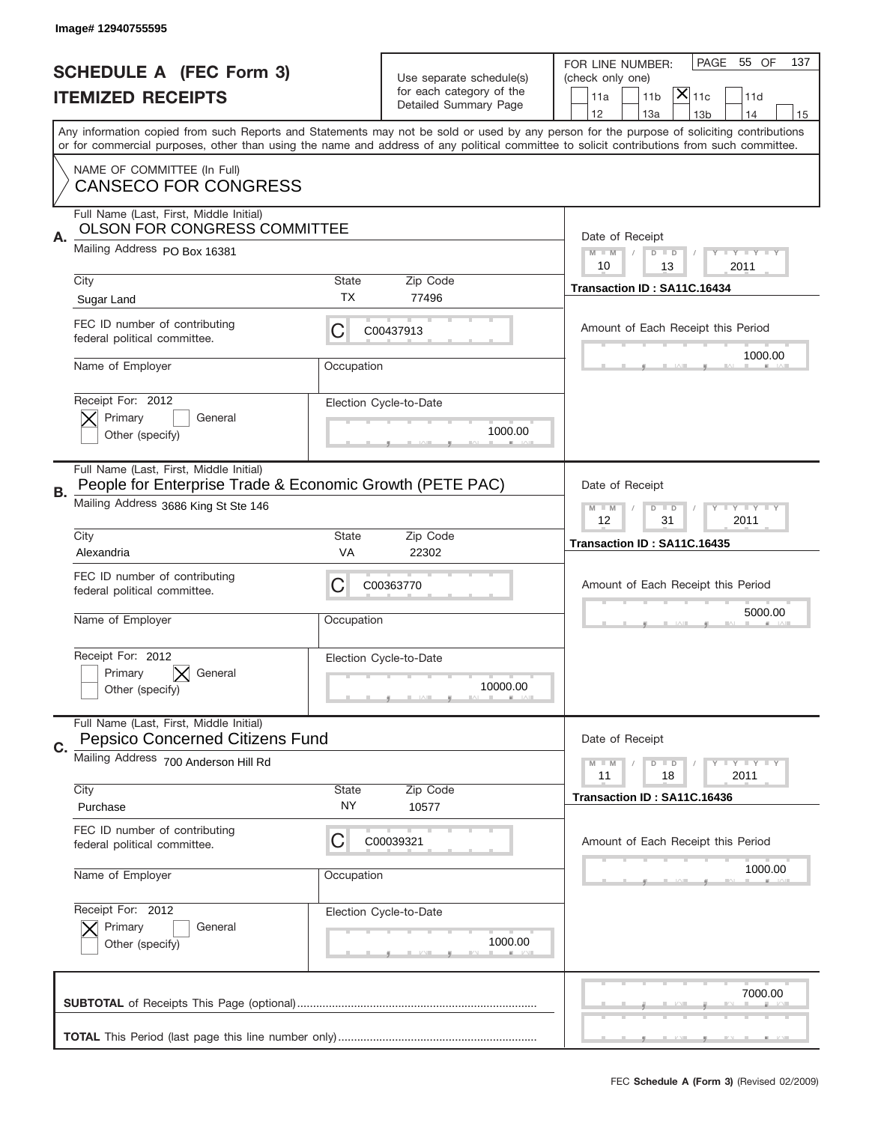|    | Image# 12940755595                                                                                                                          |                    |                                                   |                                                                                                                                                                                                                                                                                                                                     |
|----|---------------------------------------------------------------------------------------------------------------------------------------------|--------------------|---------------------------------------------------|-------------------------------------------------------------------------------------------------------------------------------------------------------------------------------------------------------------------------------------------------------------------------------------------------------------------------------------|
|    | <b>SCHEDULE A (FEC Form 3)</b>                                                                                                              |                    | Use separate schedule(s)                          | PAGE<br>55 OF<br>137<br>FOR LINE NUMBER:<br>(check only one)                                                                                                                                                                                                                                                                        |
|    | <b>ITEMIZED RECEIPTS</b>                                                                                                                    |                    | for each category of the<br>Detailed Summary Page | $ \mathsf{\overline{X}} _{\mathsf{11c}}$<br>11a<br>11 <sub>b</sub><br>11d                                                                                                                                                                                                                                                           |
|    |                                                                                                                                             |                    |                                                   | 12<br>13a<br>13 <sub>b</sub><br>14<br>15<br>Any information copied from such Reports and Statements may not be sold or used by any person for the purpose of soliciting contributions<br>or for commercial purposes, other than using the name and address of any political committee to solicit contributions from such committee. |
|    | NAME OF COMMITTEE (In Full)<br><b>CANSECO FOR CONGRESS</b>                                                                                  |                    |                                                   |                                                                                                                                                                                                                                                                                                                                     |
| Α. | Full Name (Last, First, Middle Initial)<br><b>OLSON FOR CONGRESS COMMITTEE</b>                                                              |                    |                                                   | Date of Receipt                                                                                                                                                                                                                                                                                                                     |
|    | Mailing Address PO Box 16381                                                                                                                |                    |                                                   | $M - M$<br><b>LEY LEY LEY</b><br>$D$ $D$<br>10<br>13<br>2011                                                                                                                                                                                                                                                                        |
|    | City<br>Sugar Land                                                                                                                          | State<br><b>TX</b> | Zip Code<br>77496                                 | Transaction ID: SA11C.16434                                                                                                                                                                                                                                                                                                         |
|    | FEC ID number of contributing<br>federal political committee.                                                                               | С                  | C00437913                                         | Amount of Each Receipt this Period                                                                                                                                                                                                                                                                                                  |
|    | Name of Employer                                                                                                                            | Occupation         |                                                   | 1000.00                                                                                                                                                                                                                                                                                                                             |
|    | Receipt For: 2012<br>Primary<br>General<br>Other (specify)                                                                                  |                    | Election Cycle-to-Date<br>1000.00                 |                                                                                                                                                                                                                                                                                                                                     |
| В. | Full Name (Last, First, Middle Initial)<br>People for Enterprise Trade & Economic Growth (PETE PAC)<br>Mailing Address 3686 King St Ste 146 |                    |                                                   | Date of Receipt<br>$D$ $D$<br><b>LY LY LY</b><br>$M - M$                                                                                                                                                                                                                                                                            |
|    | City                                                                                                                                        | State              | Zip Code                                          | 12<br>31<br>2011                                                                                                                                                                                                                                                                                                                    |
|    | Alexandria                                                                                                                                  | VA                 | 22302                                             | Transaction ID: SA11C.16435                                                                                                                                                                                                                                                                                                         |
|    | FEC ID number of contributing<br>federal political committee.                                                                               | C                  | C00363770                                         | Amount of Each Receipt this Period<br>5000.00                                                                                                                                                                                                                                                                                       |
|    |                                                                                                                                             |                    |                                                   |                                                                                                                                                                                                                                                                                                                                     |
|    | Name of Employer                                                                                                                            | Occupation         |                                                   |                                                                                                                                                                                                                                                                                                                                     |
|    | Receipt For: 2012<br>General<br>Primary<br>Other (specify)                                                                                  |                    | Election Cycle-to-Date<br>10000.00                |                                                                                                                                                                                                                                                                                                                                     |
|    | Full Name (Last, First, Middle Initial)<br><b>Pepsico Concerned Citizens Fund</b>                                                           |                    |                                                   | Date of Receipt                                                                                                                                                                                                                                                                                                                     |
| C. | Mailing Address 700 Anderson Hill Rd                                                                                                        |                    |                                                   | <b>LYLYLY</b><br>$M - M$<br>$D$ $D$<br>2011<br>11<br>18                                                                                                                                                                                                                                                                             |
|    | City<br>Purchase                                                                                                                            | State<br>NY.       | Zip Code<br>10577                                 | Transaction ID: SA11C.16436                                                                                                                                                                                                                                                                                                         |
|    | FEC ID number of contributing<br>federal political committee.                                                                               | С                  | C00039321                                         | Amount of Each Receipt this Period                                                                                                                                                                                                                                                                                                  |
|    | Name of Employer                                                                                                                            | Occupation         |                                                   | 1000.00                                                                                                                                                                                                                                                                                                                             |
|    | Receipt For: 2012<br>Primary<br>General<br>Other (specify)                                                                                  |                    | Election Cycle-to-Date<br>1000.00                 |                                                                                                                                                                                                                                                                                                                                     |
|    |                                                                                                                                             |                    |                                                   | 7000.00                                                                                                                                                                                                                                                                                                                             |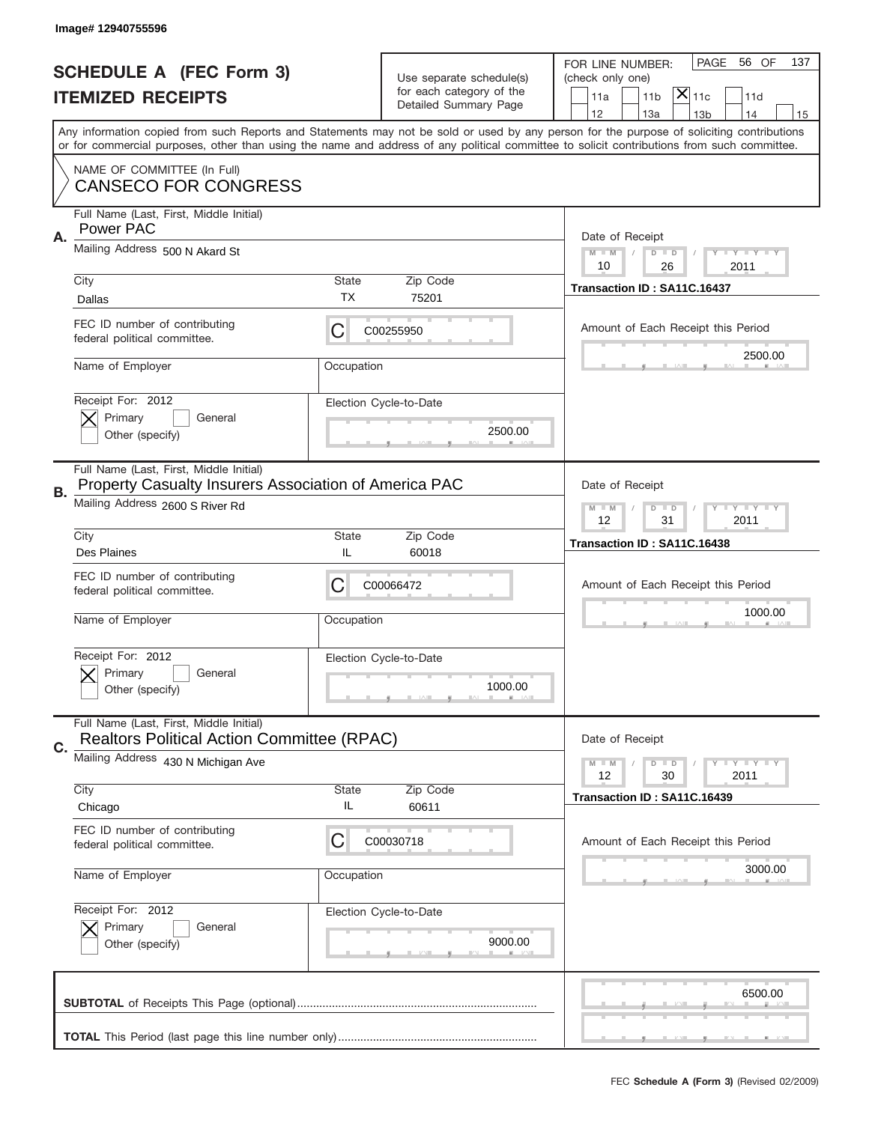|    | Image# 12940755596                                                                               |             |                          |                                                                                                                                                                                                                                                                                         |
|----|--------------------------------------------------------------------------------------------------|-------------|--------------------------|-----------------------------------------------------------------------------------------------------------------------------------------------------------------------------------------------------------------------------------------------------------------------------------------|
|    | <b>SCHEDULE A (FEC Form 3)</b>                                                                   |             | Use separate schedule(s) | PAGE<br>56 OF<br>137<br>FOR LINE NUMBER:<br>(check only one)                                                                                                                                                                                                                            |
|    | <b>ITEMIZED RECEIPTS</b>                                                                         |             | for each category of the | $ \overline{\mathsf{X}} _{\mathsf{11c}}$<br>11d<br>11a<br>11 <sub>b</sub>                                                                                                                                                                                                               |
|    |                                                                                                  |             | Detailed Summary Page    | 12<br>13a<br>14<br>13 <sub>b</sub><br>15                                                                                                                                                                                                                                                |
|    |                                                                                                  |             |                          | Any information copied from such Reports and Statements may not be sold or used by any person for the purpose of soliciting contributions<br>or for commercial purposes, other than using the name and address of any political committee to solicit contributions from such committee. |
|    | NAME OF COMMITTEE (In Full)<br><b>CANSECO FOR CONGRESS</b>                                       |             |                          |                                                                                                                                                                                                                                                                                         |
|    | Full Name (Last, First, Middle Initial)<br>Power PAC                                             |             |                          | Date of Receipt                                                                                                                                                                                                                                                                         |
| Α. | Mailing Address 500 N Akard St                                                                   |             |                          | $M - M$<br><b>LEY LEY LEY</b><br>$D$ $D$<br>10<br>26<br>2011                                                                                                                                                                                                                            |
|    | City                                                                                             | State       | Zip Code                 | Transaction ID: SA11C.16437                                                                                                                                                                                                                                                             |
|    | Dallas                                                                                           | ТX          | 75201                    |                                                                                                                                                                                                                                                                                         |
|    | FEC ID number of contributing<br>federal political committee.                                    | C           | C00255950                | Amount of Each Receipt this Period                                                                                                                                                                                                                                                      |
|    | Name of Employer                                                                                 | Occupation  |                          | 2500.00                                                                                                                                                                                                                                                                                 |
|    | Receipt For: 2012                                                                                |             | Election Cycle-to-Date   |                                                                                                                                                                                                                                                                                         |
|    | Primary<br>General                                                                               |             | 2500.00                  |                                                                                                                                                                                                                                                                                         |
|    | Other (specify)                                                                                  |             |                          |                                                                                                                                                                                                                                                                                         |
|    | Full Name (Last, First, Middle Initial)<br>Property Casualty Insurers Association of America PAC |             |                          | Date of Receipt                                                                                                                                                                                                                                                                         |
| В. | Mailing Address 2600 S River Rd                                                                  |             |                          | $M - M$<br>$D$ $D$<br><b>LYLYLY</b>                                                                                                                                                                                                                                                     |
|    |                                                                                                  |             |                          | 12<br>31<br>2011                                                                                                                                                                                                                                                                        |
|    | City<br>Des Plaines                                                                              | State<br>IL | Zip Code<br>60018        | Transaction ID: SA11C.16438                                                                                                                                                                                                                                                             |
|    | FEC ID number of contributing                                                                    |             |                          |                                                                                                                                                                                                                                                                                         |
|    | federal political committee.                                                                     | C           | C00066472                | Amount of Each Receipt this Period                                                                                                                                                                                                                                                      |
|    | Name of Employer                                                                                 | Occupation  |                          | 1000.00                                                                                                                                                                                                                                                                                 |
|    |                                                                                                  |             |                          |                                                                                                                                                                                                                                                                                         |
|    | Receipt For: 2012                                                                                |             | Election Cycle-to-Date   |                                                                                                                                                                                                                                                                                         |
|    | Primary<br>General                                                                               |             | 1000.00                  |                                                                                                                                                                                                                                                                                         |
|    | Other (specify)                                                                                  |             |                          |                                                                                                                                                                                                                                                                                         |
|    | Full Name (Last, First, Middle Initial)<br><b>Realtors Political Action Committee (RPAC)</b>     |             |                          | Date of Receipt                                                                                                                                                                                                                                                                         |
| C. | Mailing Address 430 N Michigan Ave                                                               |             |                          | <b>LYLYLY</b><br>$M - M$<br>$D$ $D$                                                                                                                                                                                                                                                     |
|    |                                                                                                  |             | Zip Code                 | 12<br>2011<br>30                                                                                                                                                                                                                                                                        |
|    | City<br>Chicago                                                                                  | State<br>IL | 60611                    | Transaction ID: SA11C.16439                                                                                                                                                                                                                                                             |
|    | FEC ID number of contributing                                                                    |             |                          |                                                                                                                                                                                                                                                                                         |
|    | federal political committee.                                                                     | C           | C00030718                | Amount of Each Receipt this Period                                                                                                                                                                                                                                                      |
|    | Name of Employer                                                                                 | Occupation  |                          | 3000.00                                                                                                                                                                                                                                                                                 |
|    |                                                                                                  |             |                          |                                                                                                                                                                                                                                                                                         |
|    | Receipt For: 2012                                                                                |             | Election Cycle-to-Date   |                                                                                                                                                                                                                                                                                         |
|    | Primary<br>General                                                                               |             |                          |                                                                                                                                                                                                                                                                                         |
|    | Other (specify)                                                                                  |             | 9000.00                  |                                                                                                                                                                                                                                                                                         |
|    |                                                                                                  |             |                          |                                                                                                                                                                                                                                                                                         |
|    |                                                                                                  |             |                          | 6500.00                                                                                                                                                                                                                                                                                 |
|    |                                                                                                  |             |                          |                                                                                                                                                                                                                                                                                         |
|    |                                                                                                  |             |                          |                                                                                                                                                                                                                                                                                         |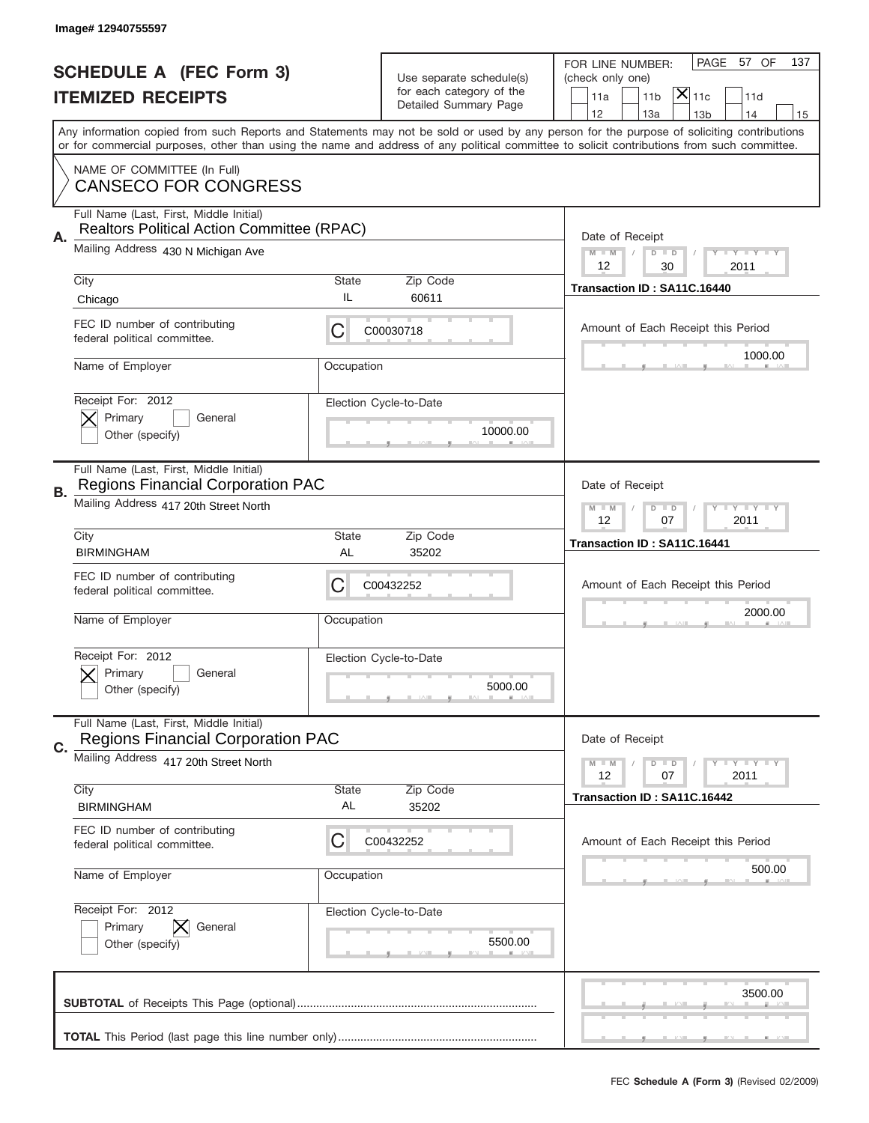|    | Image# 12940755597                                                                    |             |                                                      |                                                                                                                                                                                                                                                                                         |
|----|---------------------------------------------------------------------------------------|-------------|------------------------------------------------------|-----------------------------------------------------------------------------------------------------------------------------------------------------------------------------------------------------------------------------------------------------------------------------------------|
|    | <b>SCHEDULE A (FEC Form 3)</b>                                                        |             | Use separate schedule(s)<br>for each category of the | PAGE 57 OF<br>137<br>FOR LINE NUMBER:<br>(check only one)                                                                                                                                                                                                                               |
|    | <b>ITEMIZED RECEIPTS</b>                                                              |             | Detailed Summary Page                                | $ \overline{\mathsf{X}} _{\mathsf{11c}}$<br>11d<br>11a<br>11 <sub>b</sub><br>12<br>13a<br>14<br>13 <sub>b</sub><br>15                                                                                                                                                                   |
|    |                                                                                       |             |                                                      | Any information copied from such Reports and Statements may not be sold or used by any person for the purpose of soliciting contributions<br>or for commercial purposes, other than using the name and address of any political committee to solicit contributions from such committee. |
|    | NAME OF COMMITTEE (In Full)<br><b>CANSECO FOR CONGRESS</b>                            |             |                                                      |                                                                                                                                                                                                                                                                                         |
| Α. | Full Name (Last, First, Middle Initial)<br>Realtors Political Action Committee (RPAC) |             |                                                      | Date of Receipt                                                                                                                                                                                                                                                                         |
|    | Mailing Address 430 N Michigan Ave                                                    |             |                                                      | $M - M$<br><b>LY LY LY</b><br>$D$ $D$<br>12<br>30<br>2011                                                                                                                                                                                                                               |
|    | City<br>Chicago                                                                       | State<br>IL | Zip Code<br>60611                                    | Transaction ID: SA11C.16440                                                                                                                                                                                                                                                             |
|    | FEC ID number of contributing<br>federal political committee.                         | C           | C00030718                                            | Amount of Each Receipt this Period<br>1000.00                                                                                                                                                                                                                                           |
|    | Name of Employer                                                                      | Occupation  |                                                      |                                                                                                                                                                                                                                                                                         |
|    | Receipt For: 2012<br>Primary<br>General<br>Other (specify)                            |             | Election Cycle-to-Date<br>10000.00                   |                                                                                                                                                                                                                                                                                         |
| В. | Full Name (Last, First, Middle Initial)<br><b>Regions Financial Corporation PAC</b>   |             |                                                      | Date of Receipt                                                                                                                                                                                                                                                                         |
|    | Mailing Address 417 20th Street North                                                 |             |                                                      | $D$ $D$<br><b>LEYTEY LEY</b><br>$M - M$<br>12<br>07<br>2011                                                                                                                                                                                                                             |
|    | City<br><b>BIRMINGHAM</b>                                                             | State<br>AL | Zip Code<br>35202                                    | Transaction ID: SA11C.16441                                                                                                                                                                                                                                                             |
|    | FEC ID number of contributing<br>federal political committee.                         | C           | C00432252                                            | Amount of Each Receipt this Period                                                                                                                                                                                                                                                      |
|    | Name of Employer                                                                      | Occupation  |                                                      | 2000.00                                                                                                                                                                                                                                                                                 |
|    |                                                                                       |             |                                                      |                                                                                                                                                                                                                                                                                         |
|    | Receipt For: 2012<br>General<br>Primary<br>Other (specify)                            |             | Election Cycle-to-Date<br>5000.00                    |                                                                                                                                                                                                                                                                                         |
|    | Full Name (Last, First, Middle Initial)<br><b>Regions Financial Corporation PAC</b>   |             |                                                      | Date of Receipt                                                                                                                                                                                                                                                                         |
| C. | Mailing Address 417 20th Street North                                                 |             |                                                      | <b>LYLYLY</b><br>$M - M$<br>$D$ $D$<br>12<br>2011<br>07                                                                                                                                                                                                                                 |
|    | City<br><b>BIRMINGHAM</b>                                                             | State<br>AL | Zip Code<br>35202                                    | Transaction ID: SA11C.16442                                                                                                                                                                                                                                                             |
|    | FEC ID number of contributing<br>federal political committee.                         | C           | C00432252                                            | Amount of Each Receipt this Period                                                                                                                                                                                                                                                      |
|    | Name of Employer                                                                      | Occupation  |                                                      | 500.00                                                                                                                                                                                                                                                                                  |
|    | Receipt For: 2012<br>Primary<br>General<br>Other (specify)                            |             | Election Cycle-to-Date<br>5500.00                    |                                                                                                                                                                                                                                                                                         |
|    |                                                                                       |             |                                                      | 3500.00                                                                                                                                                                                                                                                                                 |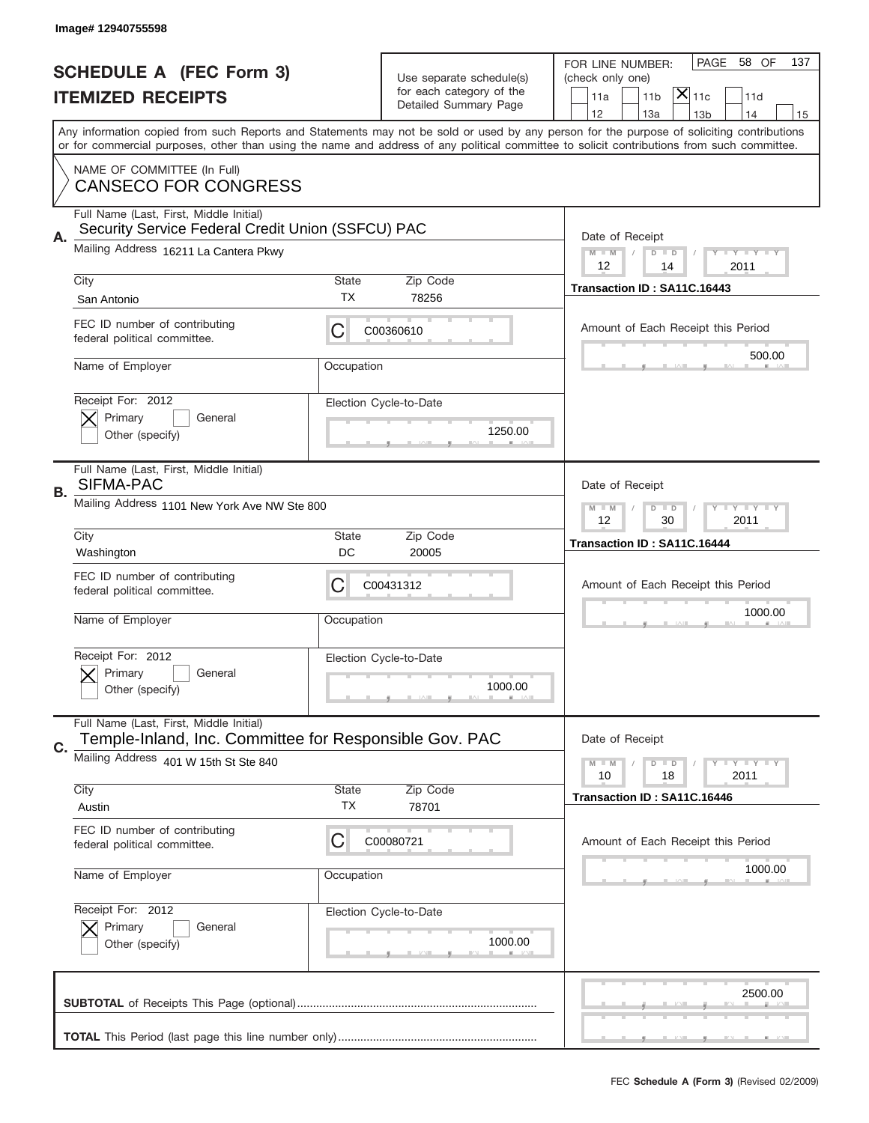|    | Image# 12940755598                                                                                |             |                          |                                                                                                                                                                                                                                                                                         |
|----|---------------------------------------------------------------------------------------------------|-------------|--------------------------|-----------------------------------------------------------------------------------------------------------------------------------------------------------------------------------------------------------------------------------------------------------------------------------------|
|    | <b>SCHEDULE A (FEC Form 3)</b>                                                                    |             | Use separate schedule(s) | PAGE<br>58 OF<br>137<br>FOR LINE NUMBER:<br>(check only one)                                                                                                                                                                                                                            |
|    | <b>ITEMIZED RECEIPTS</b>                                                                          |             | for each category of the | $ \mathsf{\overline{X}} _{\mathsf{11c}}$<br>11 <sub>b</sub><br>11a<br>11d                                                                                                                                                                                                               |
|    |                                                                                                   |             | Detailed Summary Page    | 12<br>13a<br>13 <sub>b</sub><br>14<br>15                                                                                                                                                                                                                                                |
|    |                                                                                                   |             |                          | Any information copied from such Reports and Statements may not be sold or used by any person for the purpose of soliciting contributions<br>or for commercial purposes, other than using the name and address of any political committee to solicit contributions from such committee. |
|    | NAME OF COMMITTEE (In Full)<br><b>CANSECO FOR CONGRESS</b>                                        |             |                          |                                                                                                                                                                                                                                                                                         |
|    | Full Name (Last, First, Middle Initial)<br>Security Service Federal Credit Union (SSFCU) PAC      |             |                          |                                                                                                                                                                                                                                                                                         |
| Α. | Mailing Address 16211 La Cantera Pkwy                                                             |             |                          | Date of Receipt<br>$M$ $M$<br>Y I Y I Y I Y<br>$D$ $D$<br>12<br>2011<br>14                                                                                                                                                                                                              |
|    | City                                                                                              | State<br>ТX | Zip Code<br>78256        | Transaction ID: SA11C.16443                                                                                                                                                                                                                                                             |
|    | San Antonio                                                                                       |             |                          |                                                                                                                                                                                                                                                                                         |
|    | FEC ID number of contributing<br>federal political committee.                                     | C           | C00360610                | Amount of Each Receipt this Period                                                                                                                                                                                                                                                      |
|    | Name of Employer                                                                                  | Occupation  |                          | 500.00                                                                                                                                                                                                                                                                                  |
|    | Receipt For: 2012                                                                                 |             | Election Cycle-to-Date   |                                                                                                                                                                                                                                                                                         |
|    | Primary<br>General<br>Other (specify)                                                             |             | 1250.00                  |                                                                                                                                                                                                                                                                                         |
|    | Full Name (Last, First, Middle Initial)<br>SIFMA-PAC                                              |             |                          | Date of Receipt                                                                                                                                                                                                                                                                         |
| В. | Mailing Address 1101 New York Ave NW Ste 800                                                      |             |                          | <b>THEY THEY</b><br>$M - M$<br>$D$ $D$                                                                                                                                                                                                                                                  |
|    |                                                                                                   |             |                          | 12<br>30<br>2011                                                                                                                                                                                                                                                                        |
|    | City                                                                                              | State       | Zip Code                 | Transaction ID: SA11C.16444                                                                                                                                                                                                                                                             |
|    |                                                                                                   |             |                          |                                                                                                                                                                                                                                                                                         |
|    | Washington                                                                                        | DC          | 20005                    |                                                                                                                                                                                                                                                                                         |
|    | FEC ID number of contributing<br>federal political committee.                                     | C           | C00431312                | Amount of Each Receipt this Period                                                                                                                                                                                                                                                      |
|    | Name of Employer                                                                                  | Occupation  |                          | 1000.00                                                                                                                                                                                                                                                                                 |
|    | Receipt For: 2012                                                                                 |             | Election Cycle-to-Date   |                                                                                                                                                                                                                                                                                         |
|    | Primary<br>General                                                                                |             |                          |                                                                                                                                                                                                                                                                                         |
|    | Other (specify)                                                                                   |             | 1000.00                  |                                                                                                                                                                                                                                                                                         |
|    | Full Name (Last, First, Middle Initial)<br>Temple-Inland, Inc. Committee for Responsible Gov. PAC |             |                          | Date of Receipt                                                                                                                                                                                                                                                                         |
| C. | Mailing Address 401 W 15th St Ste 840                                                             |             |                          | <b>LEY LEY LEY</b><br>$M$ $M$<br>$D$ $D$<br>2011<br>10<br>18                                                                                                                                                                                                                            |
|    | City                                                                                              | State       | Zip Code                 | Transaction ID: SA11C.16446                                                                                                                                                                                                                                                             |
|    | Austin                                                                                            | <b>TX</b>   | 78701                    |                                                                                                                                                                                                                                                                                         |
|    | FEC ID number of contributing<br>federal political committee.                                     | C           | C00080721                | Amount of Each Receipt this Period                                                                                                                                                                                                                                                      |
|    | Name of Employer                                                                                  | Occupation  |                          | 1000.00                                                                                                                                                                                                                                                                                 |
|    | Receipt For: 2012                                                                                 |             | Election Cycle-to-Date   |                                                                                                                                                                                                                                                                                         |
|    | Primary<br>General                                                                                |             |                          |                                                                                                                                                                                                                                                                                         |
|    | Other (specify)                                                                                   |             | 1000.00                  |                                                                                                                                                                                                                                                                                         |
|    |                                                                                                   |             |                          | 2500.00                                                                                                                                                                                                                                                                                 |
|    |                                                                                                   |             |                          |                                                                                                                                                                                                                                                                                         |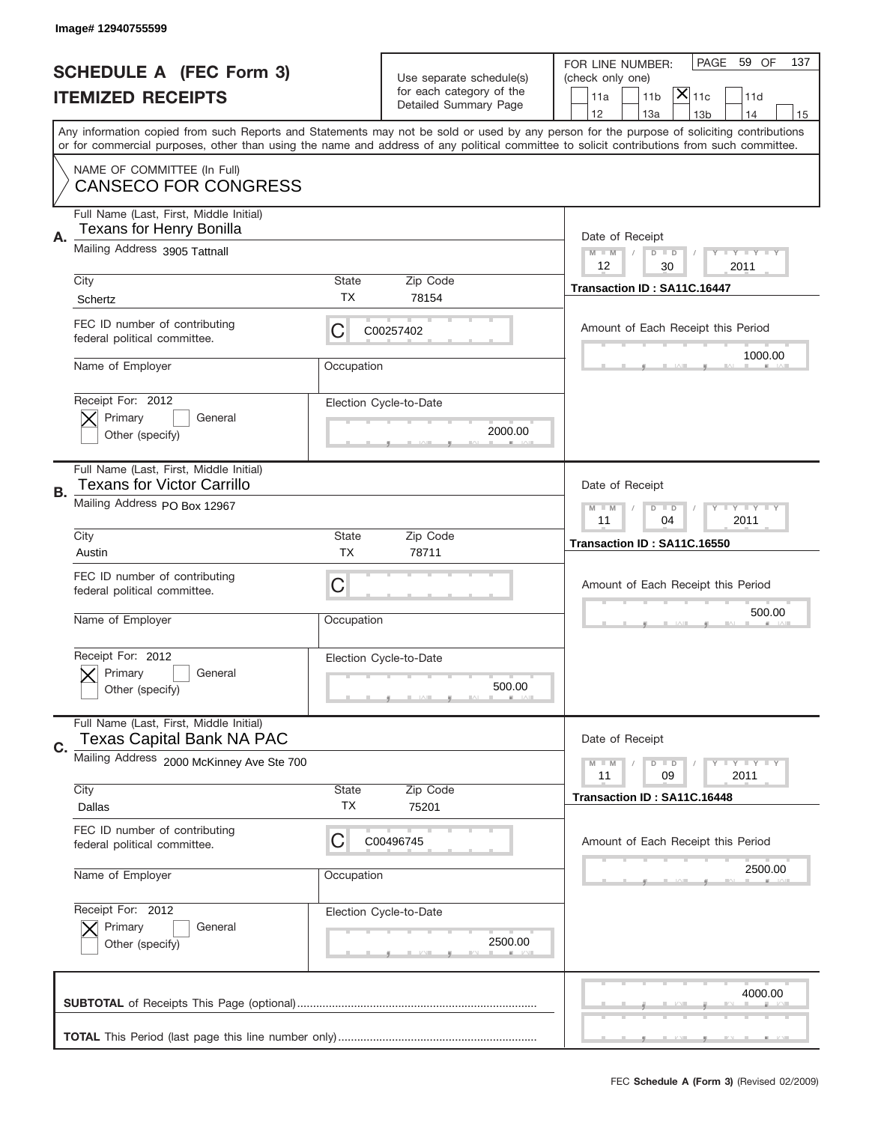|    | Image#12940755599                                                            |                    |                                                   |                                                                                                                                                                                       |
|----|------------------------------------------------------------------------------|--------------------|---------------------------------------------------|---------------------------------------------------------------------------------------------------------------------------------------------------------------------------------------|
|    | <b>SCHEDULE A (FEC Form 3)</b>                                               |                    | Use separate schedule(s)                          | PAGE 59 OF<br>137<br>FOR LINE NUMBER:<br>(check only one)                                                                                                                             |
|    | <b>ITEMIZED RECEIPTS</b>                                                     |                    | for each category of the<br>Detailed Summary Page | $ \overline{\mathsf{X}} _{\mathsf{11c}}$<br>11 <sub>b</sub><br>11d<br>11a                                                                                                             |
|    |                                                                              |                    |                                                   | 12<br>13a<br>13 <sub>b</sub><br>14<br>15<br>Any information copied from such Reports and Statements may not be sold or used by any person for the purpose of soliciting contributions |
|    |                                                                              |                    |                                                   | or for commercial purposes, other than using the name and address of any political committee to solicit contributions from such committee.                                            |
|    | NAME OF COMMITTEE (In Full)<br><b>CANSECO FOR CONGRESS</b>                   |                    |                                                   |                                                                                                                                                                                       |
| Α. | Full Name (Last, First, Middle Initial)<br><b>Texans for Henry Bonilla</b>   |                    |                                                   | Date of Receipt                                                                                                                                                                       |
|    | Mailing Address 3905 Tattnall                                                |                    |                                                   | $M - M$<br><b>LY LY LY</b><br>$D$ $D$<br>12<br>30<br>2011                                                                                                                             |
|    | City<br>Schertz                                                              | State<br><b>TX</b> | Zip Code<br>78154                                 | Transaction ID: SA11C.16447                                                                                                                                                           |
|    | FEC ID number of contributing<br>federal political committee.                | C                  | C00257402                                         | Amount of Each Receipt this Period                                                                                                                                                    |
|    | Name of Employer                                                             | Occupation         |                                                   | 1000.00                                                                                                                                                                               |
|    | Receipt For: 2012<br>Primary<br>General<br>Other (specify)                   |                    | Election Cycle-to-Date<br>2000.00                 |                                                                                                                                                                                       |
|    | Full Name (Last, First, Middle Initial)<br><b>Texans for Victor Carrillo</b> |                    |                                                   | Date of Receipt                                                                                                                                                                       |
| В. | Mailing Address PO Box 12967                                                 |                    |                                                   | <b>LYLYLY</b><br>$M - M$<br>$D$ $D$<br>11<br>04<br>2011                                                                                                                               |
|    | City<br>Austin                                                               | State<br><b>TX</b> | Zip Code<br>78711                                 | Transaction ID: SA11C.16550                                                                                                                                                           |
|    | FEC ID number of contributing<br>federal political committee.                | C                  |                                                   | Amount of Each Receipt this Period                                                                                                                                                    |
|    | Name of Employer                                                             | Occupation         |                                                   | 500.00                                                                                                                                                                                |
|    | Receipt For: 2012<br>Primary<br>General<br>Other (specify)                   |                    | Election Cycle-to-Date<br>500.00                  |                                                                                                                                                                                       |
| C. | Full Name (Last, First, Middle Initial)<br><b>Texas Capital Bank NA PAC</b>  |                    |                                                   | Date of Receipt                                                                                                                                                                       |
|    | Mailing Address 2000 McKinney Ave Ste 700                                    |                    |                                                   | <b>LYLYLY</b><br>$M - M$<br>$D$ $D$<br>09<br>2011<br>11                                                                                                                               |
|    | City<br>Dallas                                                               | State<br>TX        | Zip Code<br>75201                                 | Transaction ID: SA11C.16448                                                                                                                                                           |
|    | FEC ID number of contributing<br>federal political committee.                | C                  | C00496745                                         | Amount of Each Receipt this Period                                                                                                                                                    |
|    | Name of Employer                                                             | Occupation         |                                                   | 2500.00                                                                                                                                                                               |
|    | Receipt For: 2012<br>Primary<br>General<br>Other (specify)                   |                    | Election Cycle-to-Date<br>2500.00                 |                                                                                                                                                                                       |
|    |                                                                              |                    |                                                   | 4000.00                                                                                                                                                                               |
|    |                                                                              |                    |                                                   |                                                                                                                                                                                       |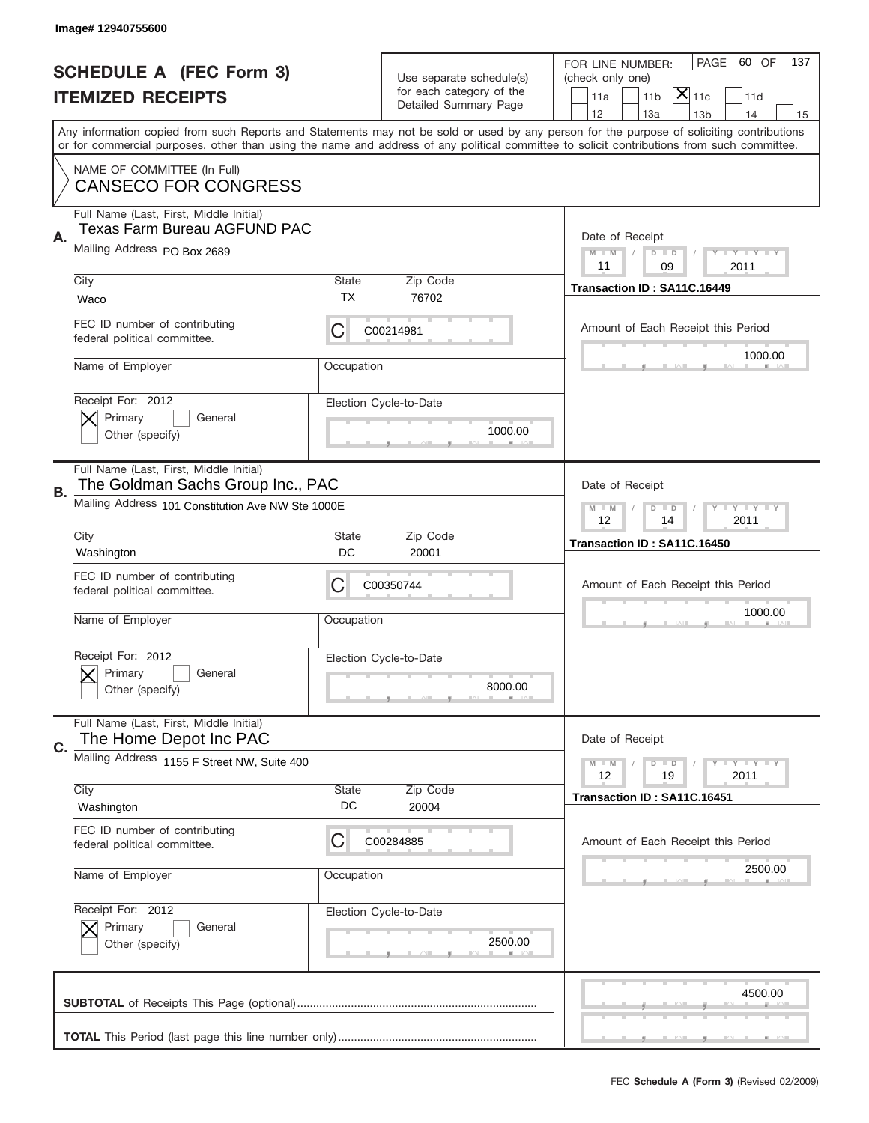|      | Image# 12940755600                                                                                                                |                    |                                                                               |                                                                                                                                                                                                                                                                                         |
|------|-----------------------------------------------------------------------------------------------------------------------------------|--------------------|-------------------------------------------------------------------------------|-----------------------------------------------------------------------------------------------------------------------------------------------------------------------------------------------------------------------------------------------------------------------------------------|
|      | <b>SCHEDULE A (FEC Form 3)</b><br><b>ITEMIZED RECEIPTS</b>                                                                        |                    | Use separate schedule(s)<br>for each category of the<br>Detailed Summary Page | PAGE<br>60 OF<br>137<br>FOR LINE NUMBER:<br>(check only one)<br>$ \overline{\mathsf{X}} _{\mathsf{11c}}$<br>11d<br>11a<br>11 <sub>b</sub><br>12<br>13a<br>14<br>13 <sub>b</sub><br>15                                                                                                   |
|      |                                                                                                                                   |                    |                                                                               | Any information copied from such Reports and Statements may not be sold or used by any person for the purpose of soliciting contributions<br>or for commercial purposes, other than using the name and address of any political committee to solicit contributions from such committee. |
|      | NAME OF COMMITTEE (In Full)<br><b>CANSECO FOR CONGRESS</b>                                                                        |                    |                                                                               |                                                                                                                                                                                                                                                                                         |
|      | Full Name (Last, First, Middle Initial)<br>Texas Farm Bureau AGFUND PAC                                                           |                    |                                                                               |                                                                                                                                                                                                                                                                                         |
| Α.   | Mailing Address PO Box 2689                                                                                                       |                    |                                                                               | Date of Receipt<br>$M - M$<br><b>LY LY LY</b><br>$D$ $D$<br>11<br>09<br>2011                                                                                                                                                                                                            |
| City | Waco                                                                                                                              | State<br><b>TX</b> | Zip Code<br>76702                                                             | Transaction ID: SA11C.16449                                                                                                                                                                                                                                                             |
|      | FEC ID number of contributing<br>federal political committee.                                                                     | C                  | C00214981                                                                     | Amount of Each Receipt this Period                                                                                                                                                                                                                                                      |
|      | Name of Employer                                                                                                                  | Occupation         |                                                                               | 1000.00                                                                                                                                                                                                                                                                                 |
|      | Receipt For: 2012<br>Primary<br>General<br>Other (specify)                                                                        |                    | Election Cycle-to-Date<br>1000.00                                             |                                                                                                                                                                                                                                                                                         |
| В.   | Full Name (Last, First, Middle Initial)<br>The Goldman Sachs Group Inc., PAC<br>Mailing Address 101 Constitution Ave NW Ste 1000E |                    |                                                                               | Date of Receipt                                                                                                                                                                                                                                                                         |
| City |                                                                                                                                   | State              | Zip Code                                                                      | $M$ M<br><b>LYLYLY</b><br>$D$ $D$<br>12<br>14<br>2011                                                                                                                                                                                                                                   |
|      | Washington                                                                                                                        | DC                 | 20001                                                                         | Transaction ID: SA11C.16450                                                                                                                                                                                                                                                             |
|      |                                                                                                                                   |                    |                                                                               |                                                                                                                                                                                                                                                                                         |
|      | FEC ID number of contributing<br>federal political committee.                                                                     | C                  | C00350744                                                                     | Amount of Each Receipt this Period                                                                                                                                                                                                                                                      |
|      | Name of Employer                                                                                                                  | Occupation         |                                                                               | 1000.00                                                                                                                                                                                                                                                                                 |
|      | Receipt For: 2012<br>General<br>Primary<br>Other (specify)                                                                        |                    | Election Cycle-to-Date<br>8000.00                                             |                                                                                                                                                                                                                                                                                         |
|      | Full Name (Last, First, Middle Initial)<br>The Home Depot Inc PAC                                                                 |                    |                                                                               | Date of Receipt                                                                                                                                                                                                                                                                         |
|      | Mailing Address 1155 F Street NW, Suite 400                                                                                       |                    |                                                                               | <b>LYLYLY</b><br>$M - M$<br>$D$ $D$<br>12<br>2011<br>19                                                                                                                                                                                                                                 |
| City | Washington                                                                                                                        | State<br>DC        | Zip Code<br>20004                                                             | Transaction ID: SA11C.16451                                                                                                                                                                                                                                                             |
|      | FEC ID number of contributing<br>federal political committee.                                                                     | C                  | C00284885                                                                     | Amount of Each Receipt this Period                                                                                                                                                                                                                                                      |
|      | Name of Employer                                                                                                                  | Occupation         |                                                                               | 2500.00                                                                                                                                                                                                                                                                                 |
|      | Receipt For: 2012<br>Primary<br>General<br>Other (specify)                                                                        |                    | Election Cycle-to-Date<br>2500.00                                             |                                                                                                                                                                                                                                                                                         |
| C.   |                                                                                                                                   |                    |                                                                               | 4500.00                                                                                                                                                                                                                                                                                 |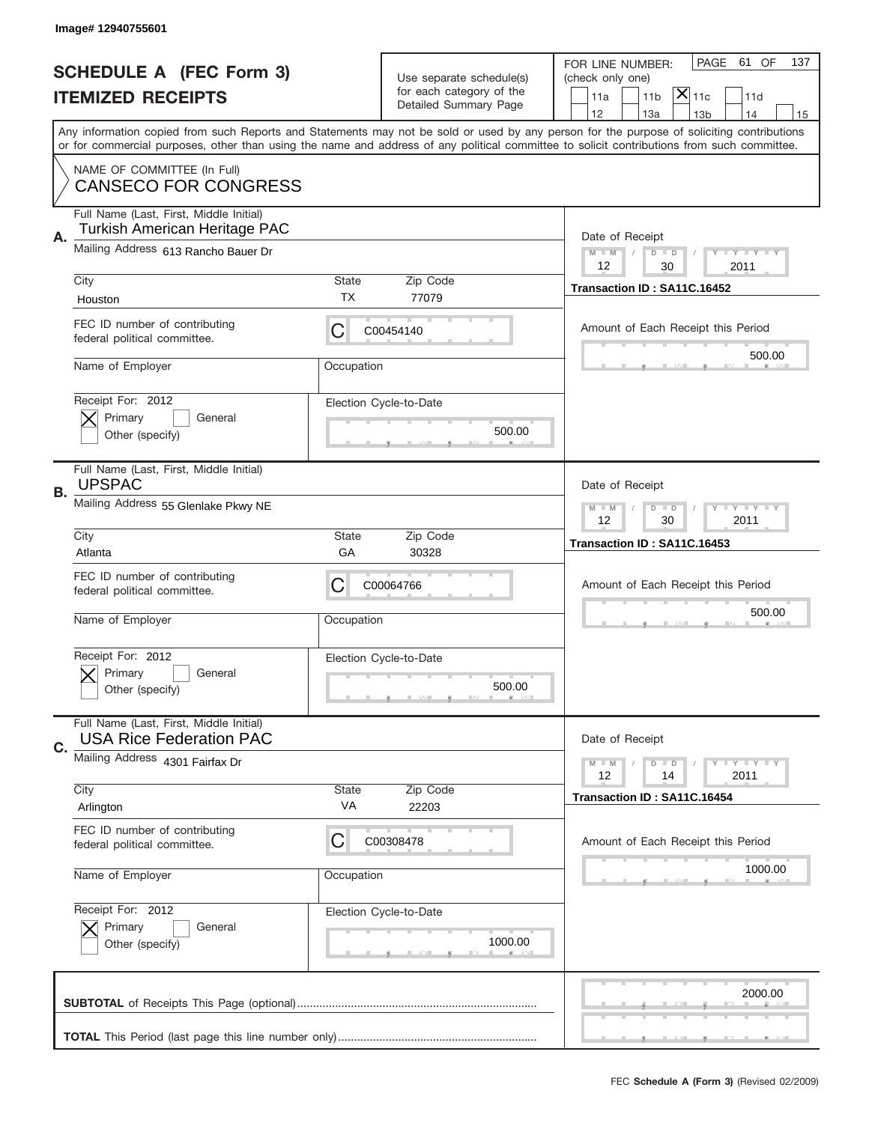|    | Image# 12940755601                                                        |                    |                                                   |                                                                                                                                                                                                                                                                                         |
|----|---------------------------------------------------------------------------|--------------------|---------------------------------------------------|-----------------------------------------------------------------------------------------------------------------------------------------------------------------------------------------------------------------------------------------------------------------------------------------|
|    | <b>SCHEDULE A (FEC Form 3)</b>                                            |                    | Use separate schedule(s)                          | PAGE<br>61 OF<br>137<br>FOR LINE NUMBER:<br>(check only one)                                                                                                                                                                                                                            |
|    | <b>ITEMIZED RECEIPTS</b>                                                  |                    | for each category of the<br>Detailed Summary Page | $ \mathsf{X} _{\mathsf{11c}}$<br>11 <sub>b</sub><br>11d<br>11a                                                                                                                                                                                                                          |
|    |                                                                           |                    |                                                   | 12<br>13a<br>13 <sub>b</sub><br>14<br>15                                                                                                                                                                                                                                                |
|    |                                                                           |                    |                                                   | Any information copied from such Reports and Statements may not be sold or used by any person for the purpose of soliciting contributions<br>or for commercial purposes, other than using the name and address of any political committee to solicit contributions from such committee. |
|    | NAME OF COMMITTEE (In Full)<br><b>CANSECO FOR CONGRESS</b>                |                    |                                                   |                                                                                                                                                                                                                                                                                         |
| Α. | Full Name (Last, First, Middle Initial)<br>Turkish American Heritage PAC  |                    |                                                   | Date of Receipt                                                                                                                                                                                                                                                                         |
|    | Mailing Address 613 Rancho Bauer Dr                                       |                    |                                                   | $M - M$<br>Y I Y I Y I Y<br>$D$ $D$<br>12<br>30<br>2011                                                                                                                                                                                                                                 |
|    | City<br>Houston                                                           | <b>State</b><br>TX | Zip Code<br>77079                                 | Transaction ID: SA11C.16452                                                                                                                                                                                                                                                             |
|    | FEC ID number of contributing<br>federal political committee.             | С                  | C00454140                                         | Amount of Each Receipt this Period                                                                                                                                                                                                                                                      |
|    | Name of Employer                                                          | Occupation         |                                                   | 500.00                                                                                                                                                                                                                                                                                  |
|    | Receipt For: 2012<br>Primary<br>General<br>Other (specify)                |                    | Election Cycle-to-Date<br>500.00                  |                                                                                                                                                                                                                                                                                         |
| В. | Full Name (Last, First, Middle Initial)<br><b>UPSPAC</b>                  |                    |                                                   | Date of Receipt                                                                                                                                                                                                                                                                         |
|    | Mailing Address 55 Glenlake Pkwy NE                                       |                    |                                                   | $T$ $Y$ $T$ $Y$ $T$ $Y$<br>$M - M$<br>$D$ $D$<br>12<br>30<br>2011                                                                                                                                                                                                                       |
|    | City<br>Atlanta                                                           | <b>State</b><br>GА | Zip Code<br>30328                                 | Transaction ID: SA11C.16453                                                                                                                                                                                                                                                             |
|    | FEC ID number of contributing<br>federal political committee.             | C                  | C00064766                                         | Amount of Each Receipt this Period                                                                                                                                                                                                                                                      |
|    |                                                                           |                    |                                                   | 500.00                                                                                                                                                                                                                                                                                  |
|    | Name of Employer                                                          | Occupation         |                                                   |                                                                                                                                                                                                                                                                                         |
|    | Receipt For: 2012<br>General<br>Primary<br>Other (specify)                |                    | Election Cycle-to-Date<br>500.00                  |                                                                                                                                                                                                                                                                                         |
|    | Full Name (Last, First, Middle Initial)<br><b>USA Rice Federation PAC</b> |                    |                                                   | Date of Receipt                                                                                                                                                                                                                                                                         |
| C. | Mailing Address 4301 Fairfax Dr                                           |                    |                                                   | $T - Y = Y - T Y$<br>$M - M$<br>$D$ $D$<br>12<br>2011<br>14                                                                                                                                                                                                                             |
|    | City<br>Arlington                                                         | State<br>VA        | Zip Code<br>22203                                 | Transaction ID: SA11C.16454                                                                                                                                                                                                                                                             |
|    | FEC ID number of contributing<br>federal political committee.             | С                  | C00308478                                         | Amount of Each Receipt this Period                                                                                                                                                                                                                                                      |
|    | Name of Employer                                                          | Occupation         |                                                   | 1000.00                                                                                                                                                                                                                                                                                 |
|    | Receipt For: 2012<br>Primary<br>General<br>Other (specify)                |                    | Election Cycle-to-Date<br>1000.00                 |                                                                                                                                                                                                                                                                                         |
|    |                                                                           |                    |                                                   | 2000.00                                                                                                                                                                                                                                                                                 |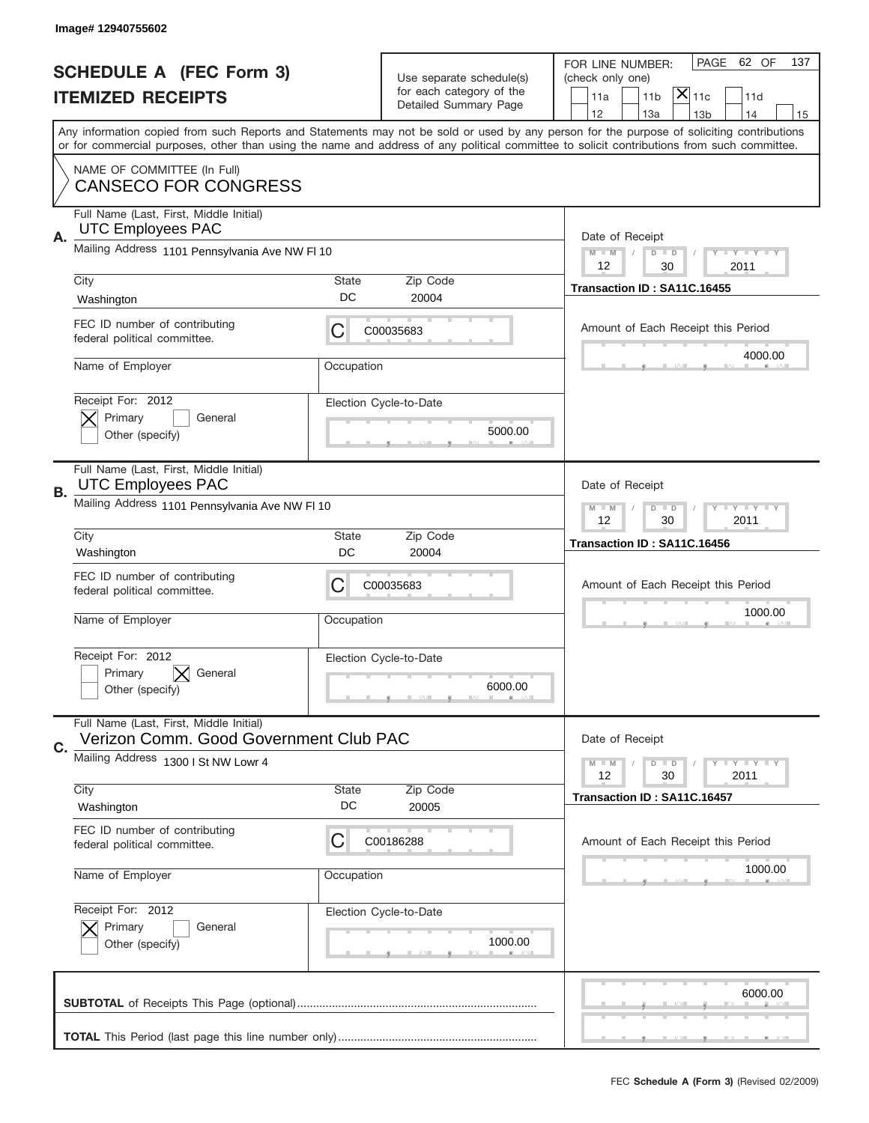|    | Image# 12940755602                                                            |                    |                                                      |                                                                                                                                                                                                                                                                                         |
|----|-------------------------------------------------------------------------------|--------------------|------------------------------------------------------|-----------------------------------------------------------------------------------------------------------------------------------------------------------------------------------------------------------------------------------------------------------------------------------------|
|    |                                                                               |                    |                                                      | PAGE<br>62 OF<br>137<br>FOR LINE NUMBER:                                                                                                                                                                                                                                                |
|    | <b>SCHEDULE A (FEC Form 3)</b>                                                |                    | Use separate schedule(s)<br>for each category of the | (check only one)<br>$ \overline{\mathsf{x}} _{\text{11c}}$                                                                                                                                                                                                                              |
|    | <b>ITEMIZED RECEIPTS</b>                                                      |                    | Detailed Summary Page                                | 11 <sub>b</sub><br>11a<br>11d<br>12<br>13a<br>14<br>13 <sub>b</sub><br>15                                                                                                                                                                                                               |
|    |                                                                               |                    |                                                      | Any information copied from such Reports and Statements may not be sold or used by any person for the purpose of soliciting contributions<br>or for commercial purposes, other than using the name and address of any political committee to solicit contributions from such committee. |
|    | NAME OF COMMITTEE (In Full)<br><b>CANSECO FOR CONGRESS</b>                    |                    |                                                      |                                                                                                                                                                                                                                                                                         |
| Α. | Full Name (Last, First, Middle Initial)<br><b>UTC Employees PAC</b>           |                    |                                                      | Date of Receipt                                                                                                                                                                                                                                                                         |
|    | Mailing Address 1101 Pennsylvania Ave NW FI 10                                |                    |                                                      | <b>LY LY LY</b><br>$M - M$<br>$D$ $D$<br>12<br>30<br>2011                                                                                                                                                                                                                               |
|    | City<br>Washington                                                            | <b>State</b><br>DC | Zip Code<br>20004                                    | Transaction ID: SA11C.16455                                                                                                                                                                                                                                                             |
|    | FEC ID number of contributing<br>federal political committee.                 | С                  | C00035683                                            | Amount of Each Receipt this Period                                                                                                                                                                                                                                                      |
|    | Name of Employer                                                              | Occupation         |                                                      | 4000.00                                                                                                                                                                                                                                                                                 |
|    | Receipt For: 2012<br>Primary<br>General<br>Other (specify)                    |                    | Election Cycle-to-Date<br>5000.00                    |                                                                                                                                                                                                                                                                                         |
| В. | Full Name (Last, First, Middle Initial)<br><b>UTC Employees PAC</b>           |                    |                                                      | Date of Receipt                                                                                                                                                                                                                                                                         |
|    | Mailing Address 1101 Pennsylvania Ave NW FI 10                                |                    |                                                      | <b>LYLYLY</b><br>$M$ M<br>$D$ $D$<br>12<br>30<br>2011                                                                                                                                                                                                                                   |
|    | City<br>Washington                                                            | State<br>DC        | Zip Code<br>20004                                    | Transaction ID: SA11C.16456                                                                                                                                                                                                                                                             |
|    | FEC ID number of contributing<br>federal political committee.                 | С                  | C00035683                                            | Amount of Each Receipt this Period                                                                                                                                                                                                                                                      |
|    | Name of Employer                                                              | Occupation         |                                                      | 1000.00                                                                                                                                                                                                                                                                                 |
|    |                                                                               |                    |                                                      |                                                                                                                                                                                                                                                                                         |
|    | Receipt For: 2012<br>$ \times $ General<br>Primary<br>Other (specify)         |                    | Election Cycle-to-Date<br>6000.00                    |                                                                                                                                                                                                                                                                                         |
|    | Full Name (Last, First, Middle Initial)                                       |                    |                                                      |                                                                                                                                                                                                                                                                                         |
| C. | Verizon Comm. Good Government Club PAC<br>Mailing Address 1300 I St NW Lowr 4 |                    |                                                      | Date of Receipt<br><b>LY LY LY</b><br>$M - M$<br>$D$ $D$                                                                                                                                                                                                                                |
|    | City<br>Washington                                                            | <b>State</b><br>DC | Zip Code<br>20005                                    | 30<br>2011<br>12<br>Transaction ID: SA11C.16457                                                                                                                                                                                                                                         |
|    | FEC ID number of contributing<br>federal political committee.                 | С                  | C00186288                                            | Amount of Each Receipt this Period                                                                                                                                                                                                                                                      |
|    | Name of Employer                                                              | Occupation         |                                                      | 1000.00                                                                                                                                                                                                                                                                                 |
|    | Receipt For: 2012<br>Primary<br>General<br>Other (specify)                    |                    | Election Cycle-to-Date<br>1000.00                    |                                                                                                                                                                                                                                                                                         |
|    |                                                                               |                    |                                                      | 6000.00                                                                                                                                                                                                                                                                                 |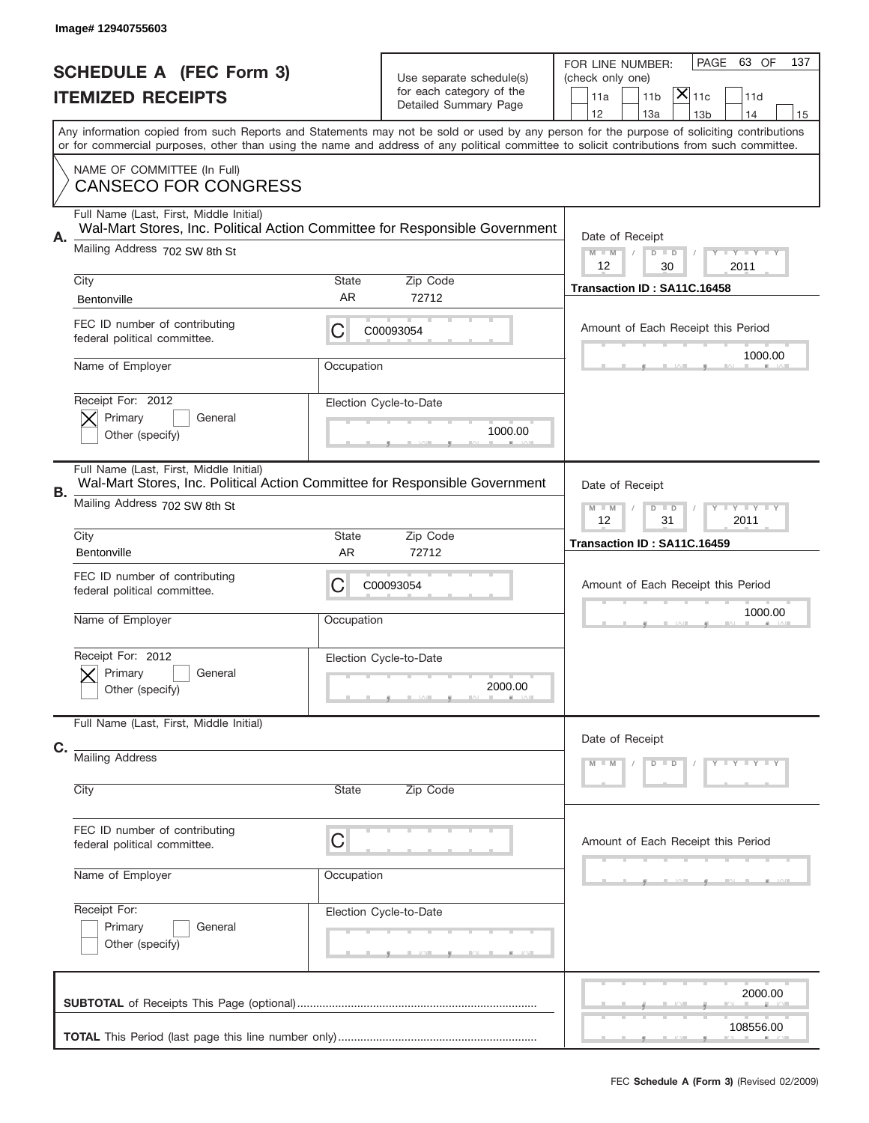|    | Image# 12940755603                                                                                                                                      |                    |                                                                               |                                                                                                                                                                                                                                                                                         |
|----|---------------------------------------------------------------------------------------------------------------------------------------------------------|--------------------|-------------------------------------------------------------------------------|-----------------------------------------------------------------------------------------------------------------------------------------------------------------------------------------------------------------------------------------------------------------------------------------|
|    | <b>SCHEDULE A (FEC Form 3)</b><br><b>ITEMIZED RECEIPTS</b>                                                                                              |                    | Use separate schedule(s)<br>for each category of the<br>Detailed Summary Page | PAGE<br>63 OF<br>137<br>FOR LINE NUMBER:<br>(check only one)<br>$ \mathsf{X} _{\mathsf{11c}}$<br>11 <sub>b</sub><br>11a<br>11d<br>12<br>13a<br>14<br>13 <sub>b</sub><br>15                                                                                                              |
|    |                                                                                                                                                         |                    |                                                                               | Any information copied from such Reports and Statements may not be sold or used by any person for the purpose of soliciting contributions<br>or for commercial purposes, other than using the name and address of any political committee to solicit contributions from such committee. |
|    | NAME OF COMMITTEE (In Full)<br><b>CANSECO FOR CONGRESS</b>                                                                                              |                    |                                                                               |                                                                                                                                                                                                                                                                                         |
| А. | Full Name (Last, First, Middle Initial)<br>Wal-Mart Stores, Inc. Political Action Committee for Responsible Government<br>Mailing Address 702 SW 8th St |                    |                                                                               | Date of Receipt<br>$M$ M<br>Y FY FY FY<br>$D$ $D$                                                                                                                                                                                                                                       |
|    | City<br>Bentonville                                                                                                                                     | State<br><b>AR</b> | Zip Code<br>72712                                                             | 12<br>30<br>2011<br>Transaction ID: SA11C.16458                                                                                                                                                                                                                                         |
|    | FEC ID number of contributing<br>federal political committee.                                                                                           | С                  | C00093054                                                                     | Amount of Each Receipt this Period<br>1000.00                                                                                                                                                                                                                                           |
|    | Name of Employer<br>Receipt For: 2012                                                                                                                   | Occupation         | Election Cycle-to-Date                                                        |                                                                                                                                                                                                                                                                                         |
|    | Primary<br>General<br>Other (specify)                                                                                                                   |                    | 1000.00                                                                       |                                                                                                                                                                                                                                                                                         |
| В. | Full Name (Last, First, Middle Initial)<br>Wal-Mart Stores, Inc. Political Action Committee for Responsible Government<br>Mailing Address 702 SW 8th St |                    |                                                                               | Date of Receipt<br>Y I Y I Y I Y<br>$M - M$<br>$D$ $D$                                                                                                                                                                                                                                  |
|    | City<br>Bentonville                                                                                                                                     | State<br><b>AR</b> | Zip Code<br>72712                                                             | 12<br>31<br>2011<br>Transaction ID: SA11C.16459                                                                                                                                                                                                                                         |
|    | FEC ID number of contributing<br>federal political committee.                                                                                           | С                  | C00093054                                                                     | Amount of Each Receipt this Period<br>1000.00                                                                                                                                                                                                                                           |
|    | Name of Employer<br>Receipt For: 2012                                                                                                                   | Occupation         |                                                                               |                                                                                                                                                                                                                                                                                         |
|    | General<br>Primary<br>Other (specify)                                                                                                                   |                    | Election Cycle-to-Date<br>2000.00                                             |                                                                                                                                                                                                                                                                                         |
| C. | Full Name (Last, First, Middle Initial)                                                                                                                 |                    |                                                                               | Date of Receipt                                                                                                                                                                                                                                                                         |
|    | <b>Mailing Address</b><br>City                                                                                                                          | State              | Zip Code                                                                      | Y LY LY LY<br>$M - M$<br>$D$ $D$                                                                                                                                                                                                                                                        |
|    | FEC ID number of contributing<br>federal political committee.                                                                                           | C                  |                                                                               | Amount of Each Receipt this Period                                                                                                                                                                                                                                                      |
|    | Name of Employer                                                                                                                                        | Occupation         |                                                                               |                                                                                                                                                                                                                                                                                         |
|    | Receipt For:<br>Primary<br>General<br>Other (specify)                                                                                                   |                    | Election Cycle-to-Date                                                        |                                                                                                                                                                                                                                                                                         |
|    |                                                                                                                                                         |                    |                                                                               | 2000.00                                                                                                                                                                                                                                                                                 |
|    |                                                                                                                                                         |                    |                                                                               | 108556.00                                                                                                                                                                                                                                                                               |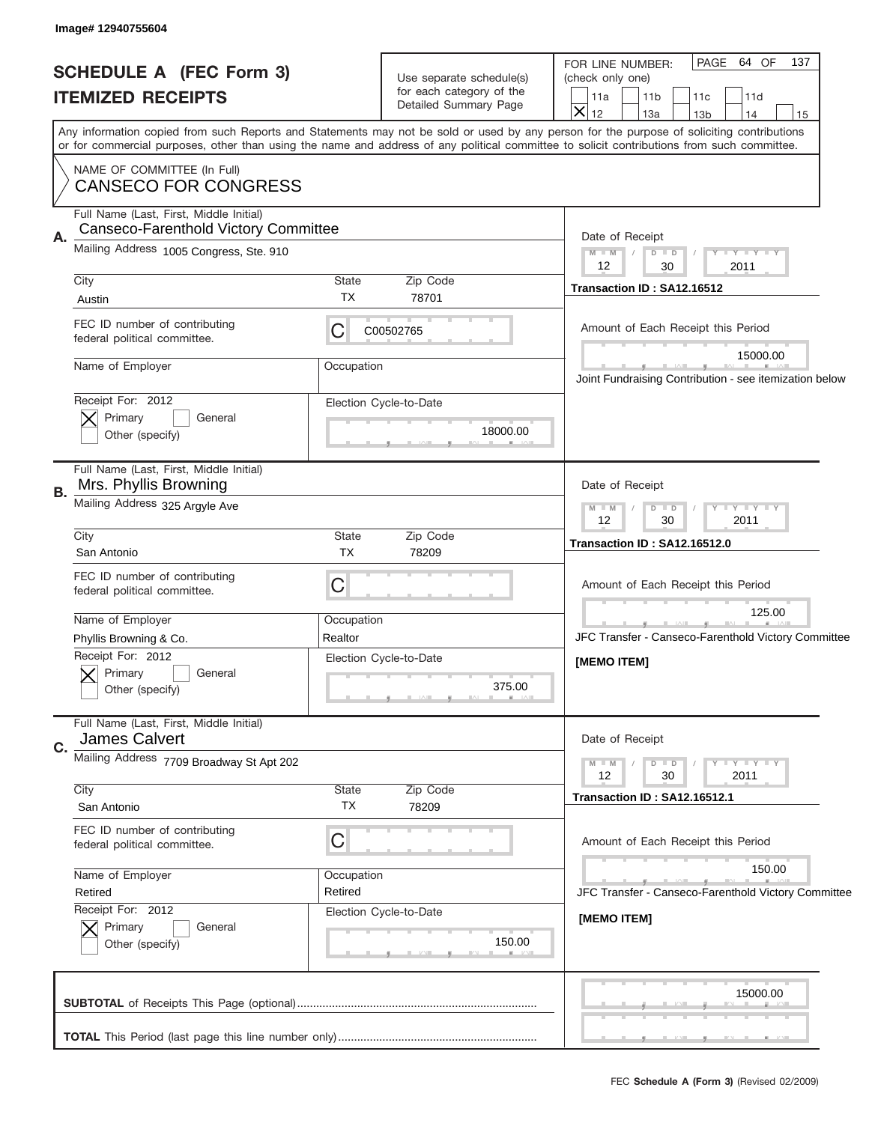| Image# 12940755604                                                                    |                                                                               |                                                                                                                                                                                                                                                                                         |
|---------------------------------------------------------------------------------------|-------------------------------------------------------------------------------|-----------------------------------------------------------------------------------------------------------------------------------------------------------------------------------------------------------------------------------------------------------------------------------------|
| <b>SCHEDULE A (FEC Form 3)</b><br><b>ITEMIZED RECEIPTS</b>                            | Use separate schedule(s)<br>for each category of the<br>Detailed Summary Page | PAGE 64 OF<br>137<br>FOR LINE NUMBER:<br>(check only one)<br>11a<br>11 <sub>b</sub><br>11c<br>11d<br>$\overline{\mathsf{x}}$<br>12<br>13a<br>13 <sub>b</sub><br>14<br>15                                                                                                                |
| NAME OF COMMITTEE (In Full)                                                           |                                                                               | Any information copied from such Reports and Statements may not be sold or used by any person for the purpose of soliciting contributions<br>or for commercial purposes, other than using the name and address of any political committee to solicit contributions from such committee. |
| <b>CANSECO FOR CONGRESS</b><br>Full Name (Last, First, Middle Initial)                |                                                                               |                                                                                                                                                                                                                                                                                         |
| Canseco-Farenthold Victory Committee<br>Α.<br>Mailing Address 1005 Congress, Ste. 910 |                                                                               | Date of Receipt<br>$M$ M<br>Y FY FY FY<br>$D$ $D$                                                                                                                                                                                                                                       |
| City<br>Austin                                                                        | State<br>Zip Code<br><b>TX</b><br>78701                                       | 12<br>30<br>2011<br>Transaction ID: SA12.16512                                                                                                                                                                                                                                          |
| FEC ID number of contributing<br>federal political committee.                         | C<br>C00502765                                                                | Amount of Each Receipt this Period                                                                                                                                                                                                                                                      |
| Name of Employer                                                                      | Occupation                                                                    | 15000.00<br>Joint Fundraising Contribution - see itemization below                                                                                                                                                                                                                      |
| Receipt For: 2012<br>Primary<br>General<br>Other (specify)                            | Election Cycle-to-Date<br>18000.00                                            |                                                                                                                                                                                                                                                                                         |
| Full Name (Last, First, Middle Initial)<br>Mrs. Phyllis Browning<br>В.                | Date of Receipt                                                               |                                                                                                                                                                                                                                                                                         |
| Mailing Address 325 Argyle Ave                                                        |                                                                               | Y FY FY FY<br>$M - M$<br>$D$ $D$<br>12<br>30<br>2011                                                                                                                                                                                                                                    |
| City<br>San Antonio                                                                   | State<br>Zip Code<br>TX<br>78209                                              | Transaction ID: SA12.16512.0                                                                                                                                                                                                                                                            |
| FEC ID number of contributing<br>federal political committee.                         | C                                                                             | Amount of Each Receipt this Period                                                                                                                                                                                                                                                      |
| Name of Employer<br>Phyllis Browning & Co.                                            | Occupation<br>Realtor                                                         | 125.00<br>JFC Transfer - Canseco-Farenthold Victory Committee                                                                                                                                                                                                                           |
| Receipt For: 2012<br>General<br>Primary<br>Other (specify)                            | Election Cycle-to-Date<br>375.00                                              | [MEMO ITEM]                                                                                                                                                                                                                                                                             |
| Full Name (Last, First, Middle Initial)<br><b>James Calvert</b><br>C.                 |                                                                               | Date of Receipt                                                                                                                                                                                                                                                                         |
| Mailing Address 7709 Broadway St Apt 202<br>City                                      | Y FY FY FY<br>$M - M$<br>$D$ $D$<br>2011<br>12<br>30                          |                                                                                                                                                                                                                                                                                         |
| San Antonio                                                                           | <b>State</b><br>Zip Code<br>ТX<br>78209                                       | <b>Transaction ID: SA12.16512.1</b>                                                                                                                                                                                                                                                     |
| FEC ID number of contributing<br>federal political committee.                         | C                                                                             | Amount of Each Receipt this Period<br>150.00                                                                                                                                                                                                                                            |
| Name of Employer<br>Retired<br>Receipt For: 2012                                      | Occupation<br>Retired<br>Election Cycle-to-Date                               | JFC Transfer - Canseco-Farenthold Victory Committee                                                                                                                                                                                                                                     |
| Primary<br>General<br>Other (specify)                                                 | 150.00                                                                        | [MEMO ITEM]                                                                                                                                                                                                                                                                             |
|                                                                                       |                                                                               | 15000.00                                                                                                                                                                                                                                                                                |
|                                                                                       |                                                                               |                                                                                                                                                                                                                                                                                         |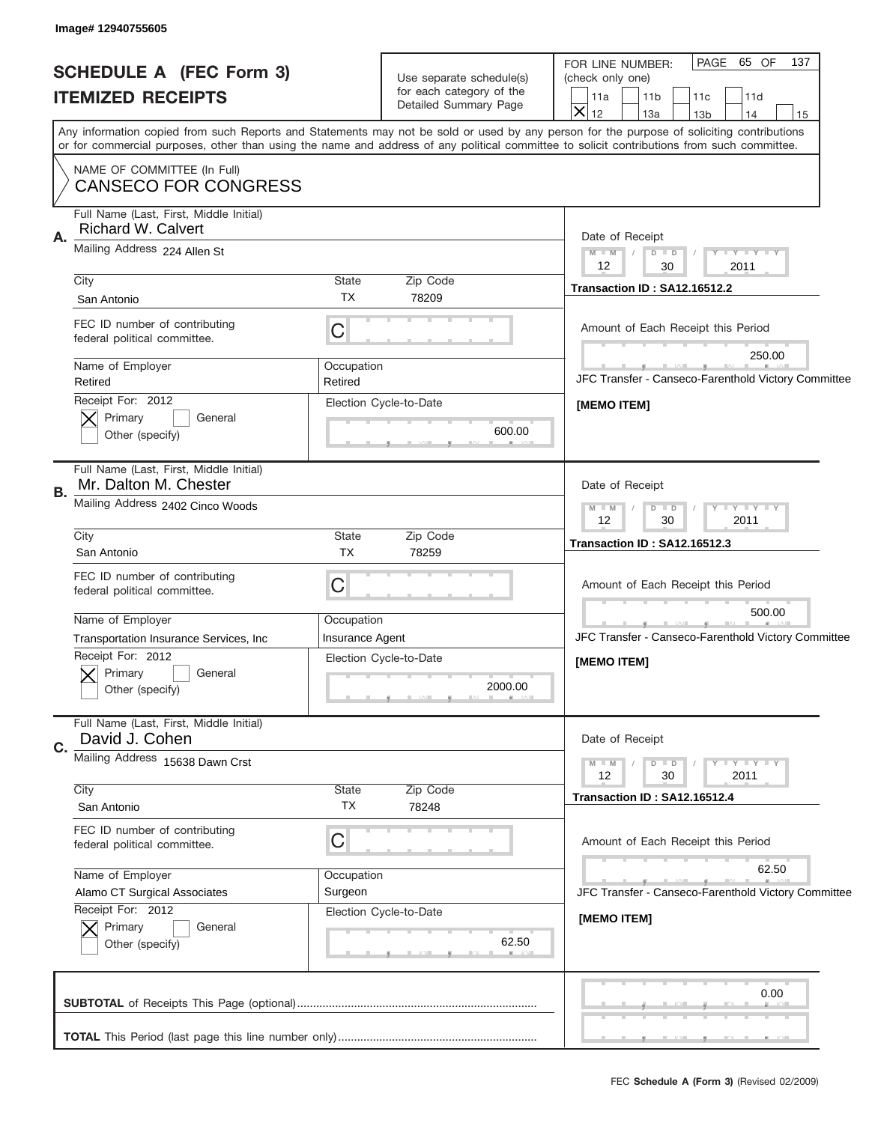J

| Image# 12940755605                                                         |                                                                    |                                                                                                                                                                                                                                                                                         |  |  |
|----------------------------------------------------------------------------|--------------------------------------------------------------------|-----------------------------------------------------------------------------------------------------------------------------------------------------------------------------------------------------------------------------------------------------------------------------------------|--|--|
| <b>SCHEDULE A (FEC Form 3)</b>                                             | Use separate schedule(s)                                           | PAGE 65 OF<br>137<br>FOR LINE NUMBER:<br>(check only one)                                                                                                                                                                                                                               |  |  |
| <b>ITEMIZED RECEIPTS</b>                                                   | for each category of the                                           | 11a<br>11 <sub>b</sub><br>11c<br>11d                                                                                                                                                                                                                                                    |  |  |
|                                                                            | Detailed Summary Page                                              | $\overline{\mathsf{x}}$<br>12<br>13a<br>13 <sub>b</sub><br>14<br>15                                                                                                                                                                                                                     |  |  |
|                                                                            |                                                                    | Any information copied from such Reports and Statements may not be sold or used by any person for the purpose of soliciting contributions<br>or for commercial purposes, other than using the name and address of any political committee to solicit contributions from such committee. |  |  |
| NAME OF COMMITTEE (In Full)                                                |                                                                    |                                                                                                                                                                                                                                                                                         |  |  |
| <b>CANSECO FOR CONGRESS</b>                                                |                                                                    |                                                                                                                                                                                                                                                                                         |  |  |
| Full Name (Last, First, Middle Initial)<br><b>Richard W. Calvert</b><br>Α. |                                                                    | Date of Receipt                                                                                                                                                                                                                                                                         |  |  |
| Mailing Address 224 Allen St                                               | $M$ $M$<br>Y FY FY FY<br>$D$ $D$<br>$\sqrt{2}$<br>12<br>30<br>2011 |                                                                                                                                                                                                                                                                                         |  |  |
| City                                                                       | State<br>Zip Code                                                  | Transaction ID: SA12.16512.2                                                                                                                                                                                                                                                            |  |  |
| San Antonio                                                                | <b>TX</b><br>78209                                                 |                                                                                                                                                                                                                                                                                         |  |  |
| FEC ID number of contributing<br>federal political committee.              | $\mathsf C$                                                        | Amount of Each Receipt this Period                                                                                                                                                                                                                                                      |  |  |
| Name of Employer                                                           | Occupation                                                         | 250.00                                                                                                                                                                                                                                                                                  |  |  |
| Retired                                                                    | Retired                                                            | JFC Transfer - Canseco-Farenthold Victory Committee                                                                                                                                                                                                                                     |  |  |
| Receipt For: 2012                                                          | Election Cycle-to-Date                                             | [MEMO ITEM]                                                                                                                                                                                                                                                                             |  |  |
| Primary<br>General<br>Other (specify)                                      | 600.00                                                             |                                                                                                                                                                                                                                                                                         |  |  |
|                                                                            |                                                                    |                                                                                                                                                                                                                                                                                         |  |  |
| Full Name (Last, First, Middle Initial)<br>Mr. Dalton M. Chester<br>В.     | Date of Receipt                                                    |                                                                                                                                                                                                                                                                                         |  |  |
| Mailing Address 2402 Cinco Woods                                           | Y - Y - Y - Y<br>$M - M$<br>$D$ $D$<br>2011<br>12<br>30            |                                                                                                                                                                                                                                                                                         |  |  |
| City                                                                       | State<br>Zip Code                                                  | Transaction ID: SA12.16512.3                                                                                                                                                                                                                                                            |  |  |
| San Antonio                                                                | <b>TX</b><br>78259                                                 |                                                                                                                                                                                                                                                                                         |  |  |
| FEC ID number of contributing<br>federal political committee.              | C                                                                  | Amount of Each Receipt this Period                                                                                                                                                                                                                                                      |  |  |
|                                                                            |                                                                    | 500.00                                                                                                                                                                                                                                                                                  |  |  |
| Name of Employer<br>Transportation Insurance Services, Inc.                | Occupation<br><b>Insurance Agent</b>                               | JFC Transfer - Canseco-Farenthold Victory Committee                                                                                                                                                                                                                                     |  |  |
| Receipt For: 2012                                                          | Election Cycle-to-Date                                             | [MEMO ITEM]                                                                                                                                                                                                                                                                             |  |  |
| Primary<br>General                                                         | 2000.00                                                            |                                                                                                                                                                                                                                                                                         |  |  |
| Other (specify)                                                            |                                                                    |                                                                                                                                                                                                                                                                                         |  |  |
| Full Name (Last, First, Middle Initial)<br>David J. Cohen<br>C.            |                                                                    | Date of Receipt                                                                                                                                                                                                                                                                         |  |  |
| Mailing Address 15638 Dawn Crst                                            |                                                                    |                                                                                                                                                                                                                                                                                         |  |  |
| City                                                                       | State<br>Zip Code                                                  | 12<br>30<br>2011<br>Transaction ID: SA12.16512.4                                                                                                                                                                                                                                        |  |  |
| San Antonio                                                                | ТX<br>78248                                                        |                                                                                                                                                                                                                                                                                         |  |  |
| FEC ID number of contributing<br>federal political committee.              | C                                                                  | Amount of Each Receipt this Period                                                                                                                                                                                                                                                      |  |  |
| Name of Employer                                                           | Occupation                                                         | 62.50                                                                                                                                                                                                                                                                                   |  |  |
| Alamo CT Surgical Associates                                               | Surgeon                                                            | JFC Transfer - Canseco-Farenthold Victory Committee                                                                                                                                                                                                                                     |  |  |
| Receipt For: 2012                                                          | Election Cycle-to-Date                                             | [MEMO ITEM]                                                                                                                                                                                                                                                                             |  |  |
| Primary<br>General<br>Other (specify)                                      | 62.50                                                              |                                                                                                                                                                                                                                                                                         |  |  |
|                                                                            |                                                                    |                                                                                                                                                                                                                                                                                         |  |  |
|                                                                            |                                                                    | 0.00                                                                                                                                                                                                                                                                                    |  |  |
|                                                                            |                                                                    |                                                                                                                                                                                                                                                                                         |  |  |
|                                                                            |                                                                    | ___                                                                                                                                                                                                                                                                                     |  |  |
|                                                                            |                                                                    |                                                                                                                                                                                                                                                                                         |  |  |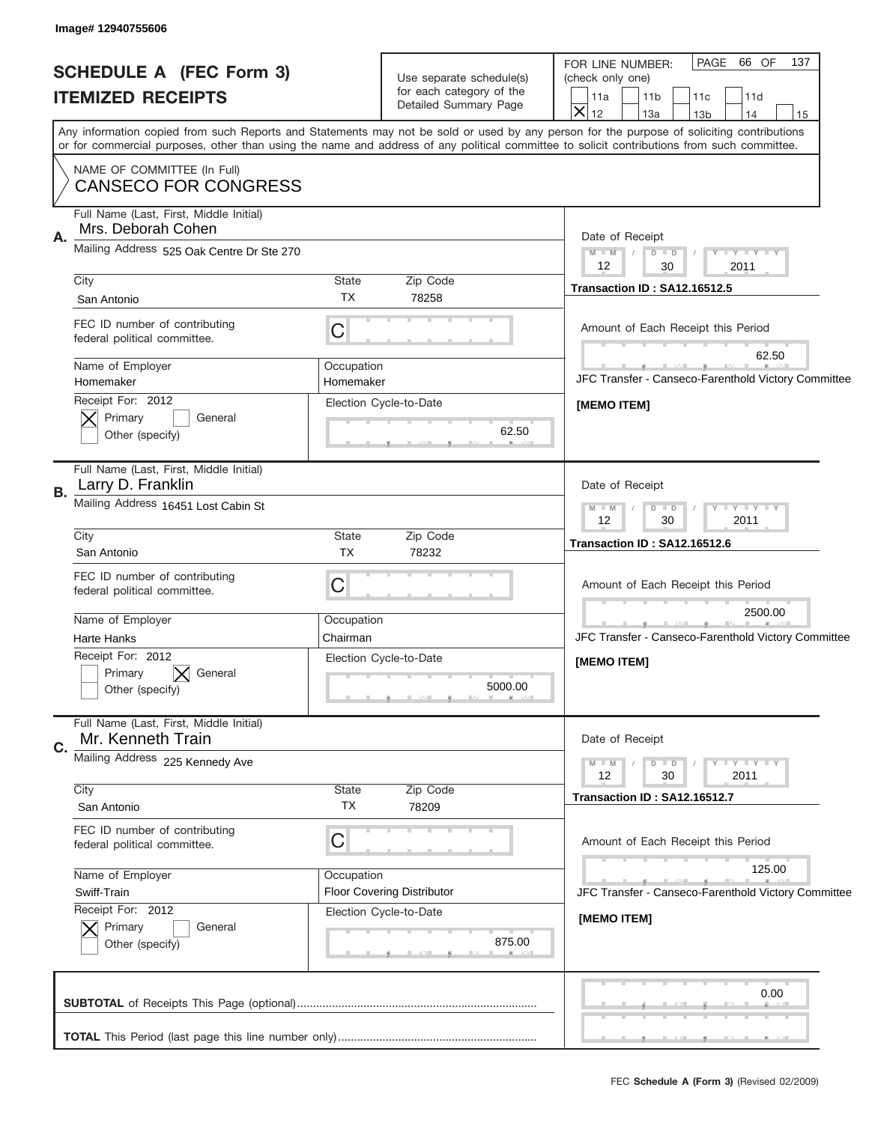J

| Image# 12940755606                                                  |                                                                    |                                                                                                                                                                                                                                                                                         |
|---------------------------------------------------------------------|--------------------------------------------------------------------|-----------------------------------------------------------------------------------------------------------------------------------------------------------------------------------------------------------------------------------------------------------------------------------------|
| <b>SCHEDULE A (FEC Form 3)</b>                                      | Use separate schedule(s)                                           | PAGE 66 OF<br>137<br>FOR LINE NUMBER:<br>(check only one)                                                                                                                                                                                                                               |
| <b>ITEMIZED RECEIPTS</b>                                            | for each category of the                                           | 11a<br>11 <sub>b</sub><br>11c<br>11d                                                                                                                                                                                                                                                    |
|                                                                     | Detailed Summary Page                                              | $\overline{\mathsf{x}}$<br>12<br>13a<br>13 <sub>b</sub><br>14<br>15                                                                                                                                                                                                                     |
|                                                                     |                                                                    | Any information copied from such Reports and Statements may not be sold or used by any person for the purpose of soliciting contributions<br>or for commercial purposes, other than using the name and address of any political committee to solicit contributions from such committee. |
| NAME OF COMMITTEE (In Full)<br><b>CANSECO FOR CONGRESS</b>          |                                                                    |                                                                                                                                                                                                                                                                                         |
| Full Name (Last, First, Middle Initial)<br>Mrs. Deborah Cohen<br>Α. |                                                                    | Date of Receipt                                                                                                                                                                                                                                                                         |
| Mailing Address 525 Oak Centre Dr Ste 270                           | $M$ $M$<br>Y FY FY FY<br>$D$ $D$<br>$\sqrt{2}$<br>12<br>30<br>2011 |                                                                                                                                                                                                                                                                                         |
| City                                                                | State<br>Zip Code                                                  | <b>Transaction ID: SA12.16512.5</b>                                                                                                                                                                                                                                                     |
| San Antonio                                                         | <b>TX</b><br>78258                                                 |                                                                                                                                                                                                                                                                                         |
| FEC ID number of contributing<br>federal political committee.       | C                                                                  | Amount of Each Receipt this Period                                                                                                                                                                                                                                                      |
| Name of Employer                                                    | Occupation                                                         | 62.50                                                                                                                                                                                                                                                                                   |
| Homemaker                                                           | Homemaker                                                          | JFC Transfer - Canseco-Farenthold Victory Committee                                                                                                                                                                                                                                     |
| Receipt For: 2012<br>Primary<br>General<br>Other (specify)          | Election Cycle-to-Date<br>62.50                                    | [MEMO ITEM]                                                                                                                                                                                                                                                                             |
| Full Name (Last, First, Middle Initial)<br>Larry D. Franklin<br>В.  | Date of Receipt                                                    |                                                                                                                                                                                                                                                                                         |
| Mailing Address 16451 Lost Cabin St                                 | Y - Y - Y - Y<br>$M - M$<br>$D$ $D$<br>2011<br>12<br>30            |                                                                                                                                                                                                                                                                                         |
| City                                                                | State<br>Zip Code                                                  | Transaction ID: SA12.16512.6                                                                                                                                                                                                                                                            |
| San Antonio                                                         | <b>TX</b><br>78232                                                 |                                                                                                                                                                                                                                                                                         |
| FEC ID number of contributing<br>federal political committee.       | C                                                                  | Amount of Each Receipt this Period                                                                                                                                                                                                                                                      |
| Name of Employer                                                    | Occupation                                                         | 2500.00                                                                                                                                                                                                                                                                                 |
| Harte Hanks                                                         | Chairman                                                           | JFC Transfer - Canseco-Farenthold Victory Committee                                                                                                                                                                                                                                     |
| Receipt For: 2012<br>General<br>Primary<br>Other (specify)          | Election Cycle-to-Date<br>5000.00                                  | [MEMO ITEM]                                                                                                                                                                                                                                                                             |
| Full Name (Last, First, Middle Initial)<br>Mr. Kenneth Train<br>C.  |                                                                    | Date of Receipt                                                                                                                                                                                                                                                                         |
| Mailing Address 225 Kennedy Ave                                     | Y FY FY FY<br>$M - M$<br>$D$ $D$<br>12<br>30<br>2011               |                                                                                                                                                                                                                                                                                         |
| City<br>San Antonio                                                 | Zip Code<br>State<br>ТX<br>78209                                   | Transaction ID: SA12.16512.7                                                                                                                                                                                                                                                            |
| FEC ID number of contributing<br>federal political committee.       | C                                                                  | Amount of Each Receipt this Period                                                                                                                                                                                                                                                      |
| Name of Employer                                                    | Occupation                                                         | 125.00                                                                                                                                                                                                                                                                                  |
| Swiff-Train                                                         | <b>Floor Covering Distributor</b>                                  | JFC Transfer - Canseco-Farenthold Victory Committee                                                                                                                                                                                                                                     |
| Receipt For: 2012<br>Primary<br>General<br>Other (specify)          | Election Cycle-to-Date<br>875.00                                   | [MEMO ITEM]                                                                                                                                                                                                                                                                             |
|                                                                     |                                                                    | 0.00                                                                                                                                                                                                                                                                                    |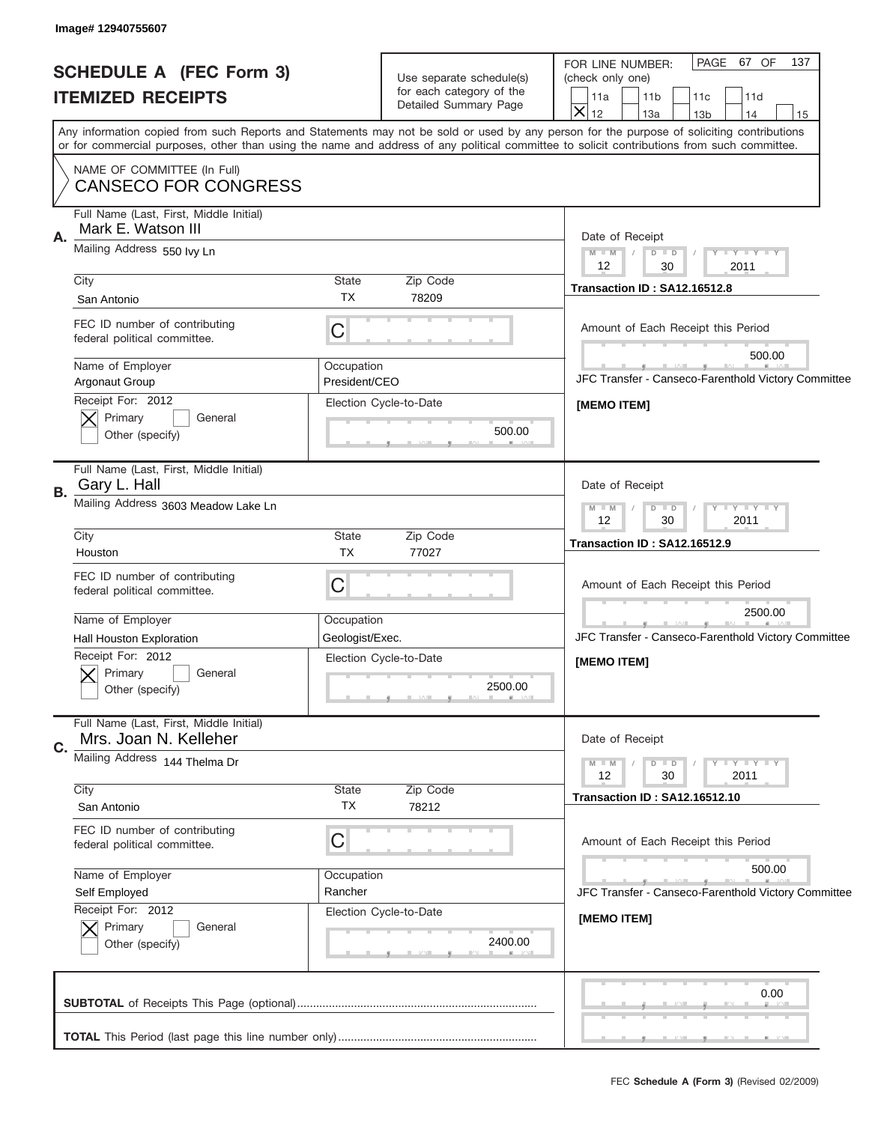| Image# 12940755607                                                     |                                                      |                                                                                                                                            |  |  |
|------------------------------------------------------------------------|------------------------------------------------------|--------------------------------------------------------------------------------------------------------------------------------------------|--|--|
| <b>SCHEDULE A (FEC Form 3)</b>                                         | Use separate schedule(s)                             | PAGE 67 OF<br>137<br>FOR LINE NUMBER:<br>(check only one)                                                                                  |  |  |
| <b>ITEMIZED RECEIPTS</b>                                               | for each category of the                             | 11a<br>11 <sub>b</sub><br>11c<br>11d                                                                                                       |  |  |
|                                                                        | Detailed Summary Page                                | $\overline{\mathsf{x}}$<br>12<br>13a<br>13 <sub>b</sub><br>14<br>15                                                                        |  |  |
|                                                                        |                                                      | Any information copied from such Reports and Statements may not be sold or used by any person for the purpose of soliciting contributions  |  |  |
|                                                                        |                                                      | or for commercial purposes, other than using the name and address of any political committee to solicit contributions from such committee. |  |  |
| NAME OF COMMITTEE (In Full)<br><b>CANSECO FOR CONGRESS</b>             |                                                      |                                                                                                                                            |  |  |
| Full Name (Last, First, Middle Initial)<br>Mark E. Watson III<br>Α.    |                                                      | Date of Receipt                                                                                                                            |  |  |
| Mailing Address 550 lvy Ln                                             | $M$ $M$<br>Y FY FY FY<br>$D$ $D$<br>$\sqrt{2}$       |                                                                                                                                            |  |  |
| City                                                                   | State<br>Zip Code                                    | 12<br>30<br>2011                                                                                                                           |  |  |
| San Antonio                                                            | <b>TX</b><br>78209                                   | Transaction ID: SA12.16512.8                                                                                                               |  |  |
| FEC ID number of contributing<br>federal political committee.          | $\mathsf C$                                          | Amount of Each Receipt this Period                                                                                                         |  |  |
| Name of Employer                                                       | Occupation                                           | 500.00                                                                                                                                     |  |  |
| Argonaut Group                                                         | President/CEO                                        | JFC Transfer - Canseco-Farenthold Victory Committee                                                                                        |  |  |
| Receipt For: 2012                                                      | Election Cycle-to-Date                               | [MEMO ITEM]                                                                                                                                |  |  |
| Primary<br>General                                                     | 500.00                                               |                                                                                                                                            |  |  |
| Other (specify)                                                        |                                                      |                                                                                                                                            |  |  |
| Full Name (Last, First, Middle Initial)<br>Gary L. Hall<br>В.          | Date of Receipt                                      |                                                                                                                                            |  |  |
| Mailing Address 3603 Meadow Lake Ln                                    | Y - Y - Y - Y<br>$M - M$<br>$D$ $D$                  |                                                                                                                                            |  |  |
| City                                                                   | State<br>Zip Code                                    | 30<br>2011<br>12                                                                                                                           |  |  |
| Houston                                                                | <b>TX</b><br>77027                                   | Transaction ID: SA12.16512.9                                                                                                               |  |  |
| FEC ID number of contributing                                          |                                                      |                                                                                                                                            |  |  |
| federal political committee.                                           | C                                                    | Amount of Each Receipt this Period                                                                                                         |  |  |
| Name of Employer                                                       | Occupation                                           | 2500.00                                                                                                                                    |  |  |
| Hall Houston Exploration                                               | Geologist/Exec.                                      | JFC Transfer - Canseco-Farenthold Victory Committee                                                                                        |  |  |
| Receipt For: 2012                                                      | Election Cycle-to-Date                               | [MEMO ITEM]                                                                                                                                |  |  |
| Primary<br>General<br>Other (specify)                                  | 2500.00                                              |                                                                                                                                            |  |  |
|                                                                        |                                                      |                                                                                                                                            |  |  |
| Full Name (Last, First, Middle Initial)<br>Mrs. Joan N. Kelleher<br>C. |                                                      | Date of Receipt                                                                                                                            |  |  |
| Mailing Address 144 Thelma Dr                                          | Y FY FY FY<br>$M - M$<br>$D$ $D$<br>12<br>30<br>2011 |                                                                                                                                            |  |  |
| City                                                                   | State<br>Zip Code                                    | <b>Transaction ID: SA12.16512.10</b>                                                                                                       |  |  |
| San Antonio                                                            | ТX<br>78212                                          |                                                                                                                                            |  |  |
| FEC ID number of contributing                                          | C                                                    | Amount of Each Receipt this Period                                                                                                         |  |  |
| federal political committee.                                           |                                                      |                                                                                                                                            |  |  |
| Name of Employer                                                       | Occupation                                           | 500.00                                                                                                                                     |  |  |
| Self Employed                                                          | Rancher                                              | JFC Transfer - Canseco-Farenthold Victory Committee                                                                                        |  |  |
| Receipt For: 2012<br>Primary<br>General                                | Election Cycle-to-Date                               | [MEMO ITEM]                                                                                                                                |  |  |
| Other (specify)                                                        | 2400.00                                              |                                                                                                                                            |  |  |
|                                                                        |                                                      |                                                                                                                                            |  |  |
|                                                                        |                                                      | 0.00                                                                                                                                       |  |  |
|                                                                        |                                                      |                                                                                                                                            |  |  |
|                                                                        |                                                      | , , ,                                                                                                                                      |  |  |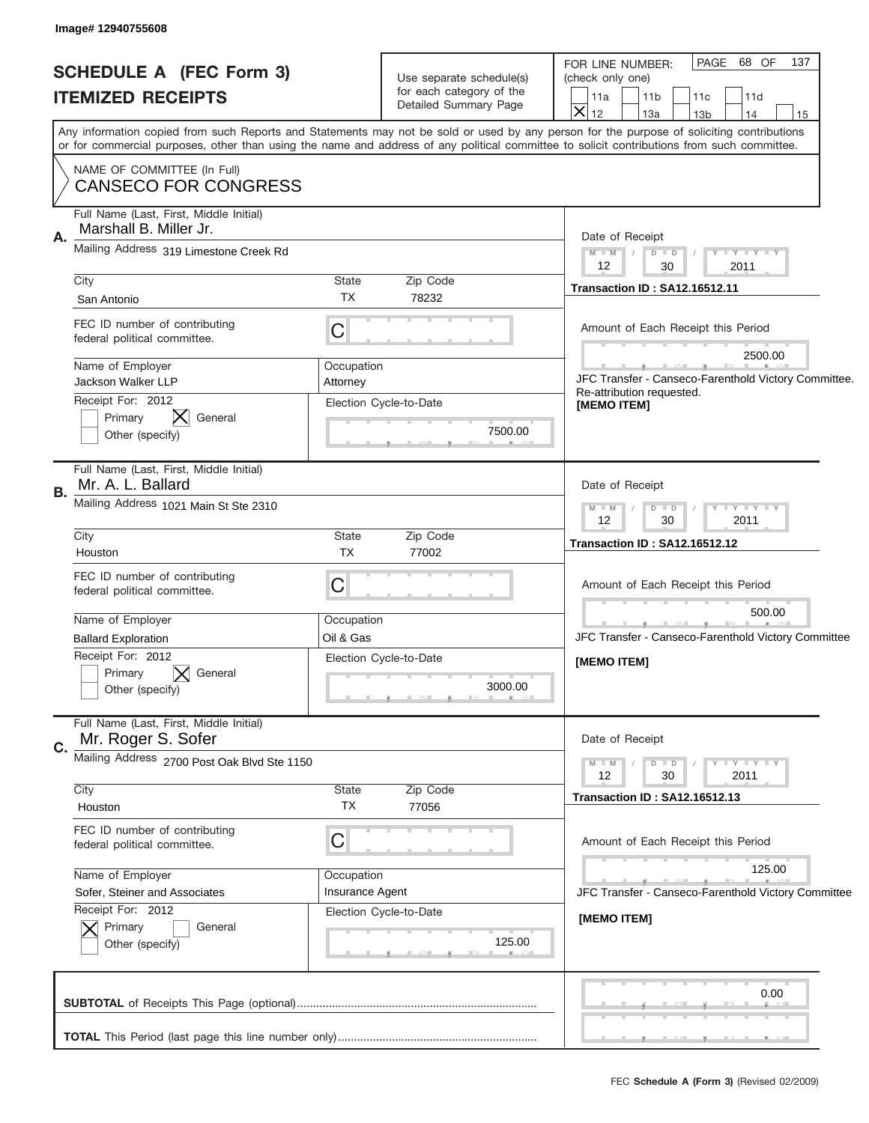| Image# 12940755608                                                           |                                                                                                                                                                                                                                                                                         |                                                                                                                                                                          |  |  |
|------------------------------------------------------------------------------|-----------------------------------------------------------------------------------------------------------------------------------------------------------------------------------------------------------------------------------------------------------------------------------------|--------------------------------------------------------------------------------------------------------------------------------------------------------------------------|--|--|
| <b>SCHEDULE A (FEC Form 3)</b><br><b>ITEMIZED RECEIPTS</b>                   | Use separate schedule(s)<br>for each category of the<br>Detailed Summary Page                                                                                                                                                                                                           | PAGE 68 OF<br>137<br>FOR LINE NUMBER:<br>(check only one)<br>11 <sub>b</sub><br>11a<br>11c<br>11d<br>$\overline{\mathsf{x}}$<br>12<br>13a<br>14<br>13 <sub>b</sub><br>15 |  |  |
| NAME OF COMMITTEE (In Full)                                                  | Any information copied from such Reports and Statements may not be sold or used by any person for the purpose of soliciting contributions<br>or for commercial purposes, other than using the name and address of any political committee to solicit contributions from such committee. |                                                                                                                                                                          |  |  |
| <b>CANSECO FOR CONGRESS</b>                                                  |                                                                                                                                                                                                                                                                                         |                                                                                                                                                                          |  |  |
| Full Name (Last, First, Middle Initial)<br>Marshall B. Miller Jr.<br>Α.      |                                                                                                                                                                                                                                                                                         | Date of Receipt                                                                                                                                                          |  |  |
| Mailing Address 319 Limestone Creek Rd                                       | $M$ $M$ $N$<br>Y FY FY FY<br>$D$ $D$<br>12<br>30<br>2011                                                                                                                                                                                                                                |                                                                                                                                                                          |  |  |
| City                                                                         | State<br>Zip Code<br><b>TX</b><br>78232                                                                                                                                                                                                                                                 | <b>Transaction ID: SA12.16512.11</b>                                                                                                                                     |  |  |
| San Antonio<br>FEC ID number of contributing<br>federal political committee. | $\mathsf C$                                                                                                                                                                                                                                                                             | Amount of Each Receipt this Period                                                                                                                                       |  |  |
| Name of Employer<br><b>Jackson Walker LLP</b>                                | Occupation<br>Attorney                                                                                                                                                                                                                                                                  | 2500.00<br>JFC Transfer - Canseco-Farenthold Victory Committee.<br>Re-attribution requested.                                                                             |  |  |
| Receipt For: 2012<br>Primary<br>General<br>Other (specify)                   | Election Cycle-to-Date<br>7500.00                                                                                                                                                                                                                                                       | [MEMO ITEM]                                                                                                                                                              |  |  |
| Full Name (Last, First, Middle Initial)<br>Mr. A. L. Ballard<br>В.           |                                                                                                                                                                                                                                                                                         | Date of Receipt                                                                                                                                                          |  |  |
| Mailing Address 1021 Main St Ste 2310                                        |                                                                                                                                                                                                                                                                                         |                                                                                                                                                                          |  |  |
| City<br>Houston                                                              | State<br>Zip Code<br><b>TX</b><br>77002                                                                                                                                                                                                                                                 | <b>Transaction ID: SA12.16512.12</b>                                                                                                                                     |  |  |
| FEC ID number of contributing<br>federal political committee.                | C                                                                                                                                                                                                                                                                                       | Amount of Each Receipt this Period                                                                                                                                       |  |  |
| Name of Employer                                                             | Occupation                                                                                                                                                                                                                                                                              | 500.00                                                                                                                                                                   |  |  |
| <b>Ballard Exploration</b>                                                   | Oil & Gas                                                                                                                                                                                                                                                                               | JFC Transfer - Canseco-Farenthold Victory Committee                                                                                                                      |  |  |
| Receipt For: 2012<br>Primary<br>General<br>Other (specify)                   | Election Cycle-to-Date<br>3000.00                                                                                                                                                                                                                                                       | [MEMO ITEM]                                                                                                                                                              |  |  |
| Full Name (Last, First, Middle Initial)<br>Mr. Roger S. Sofer<br>C.          |                                                                                                                                                                                                                                                                                         | Date of Receipt                                                                                                                                                          |  |  |
| Mailing Address 2700 Post Oak Blvd Ste 1150                                  |                                                                                                                                                                                                                                                                                         | $M - M$<br>$D$ $D$<br>Y FY FY FY<br>2011<br>12<br>30                                                                                                                     |  |  |
| City<br>Houston                                                              | Zip Code<br>State<br>ТX<br>77056                                                                                                                                                                                                                                                        | <b>Transaction ID: SA12.16512.13</b>                                                                                                                                     |  |  |
| FEC ID number of contributing<br>federal political committee.                | C                                                                                                                                                                                                                                                                                       | Amount of Each Receipt this Period                                                                                                                                       |  |  |
| Name of Employer                                                             | Occupation                                                                                                                                                                                                                                                                              | 125.00                                                                                                                                                                   |  |  |
| Sofer, Steiner and Associates                                                | Insurance Agent                                                                                                                                                                                                                                                                         | JFC Transfer - Canseco-Farenthold Victory Committee                                                                                                                      |  |  |
| Receipt For: 2012<br>Primary<br>General<br>Other (specify)                   | Election Cycle-to-Date<br>125.00                                                                                                                                                                                                                                                        | [MEMO ITEM]                                                                                                                                                              |  |  |
|                                                                              |                                                                                                                                                                                                                                                                                         | 0.00                                                                                                                                                                     |  |  |
|                                                                              |                                                                                                                                                                                                                                                                                         |                                                                                                                                                                          |  |  |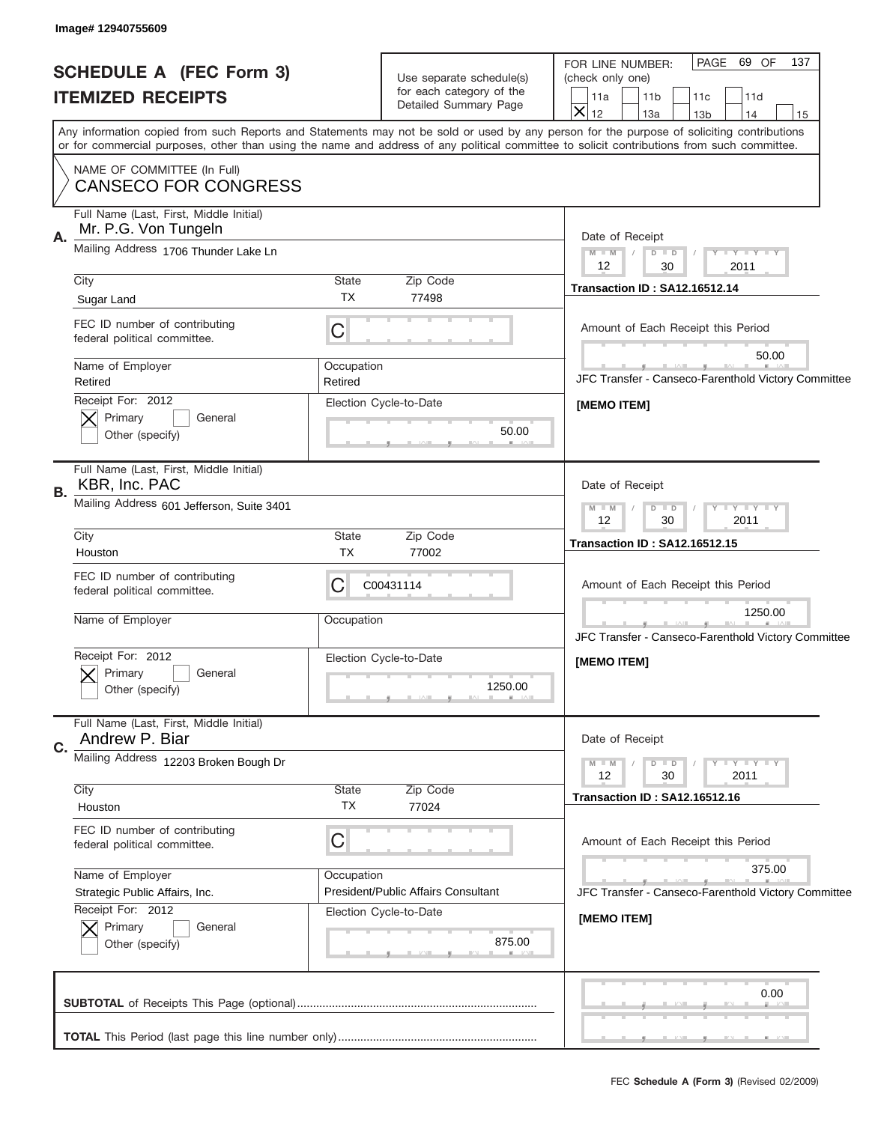ı

| Image# 12940755609                                                    |                                                                               |                                                                                                                                                                                                                                                                                         |
|-----------------------------------------------------------------------|-------------------------------------------------------------------------------|-----------------------------------------------------------------------------------------------------------------------------------------------------------------------------------------------------------------------------------------------------------------------------------------|
| <b>SCHEDULE A (FEC Form 3)</b><br><b>ITEMIZED RECEIPTS</b>            | Use separate schedule(s)<br>for each category of the<br>Detailed Summary Page | PAGE 69 OF<br>137<br>FOR LINE NUMBER:<br>(check only one)<br>11a<br>11 <sub>b</sub><br>11c<br>11d<br>$\overline{\mathsf{x}}$<br>12<br>13a<br>13 <sub>b</sub><br>14<br>15                                                                                                                |
|                                                                       |                                                                               | Any information copied from such Reports and Statements may not be sold or used by any person for the purpose of soliciting contributions<br>or for commercial purposes, other than using the name and address of any political committee to solicit contributions from such committee. |
| NAME OF COMMITTEE (In Full)<br><b>CANSECO FOR CONGRESS</b>            |                                                                               |                                                                                                                                                                                                                                                                                         |
| Full Name (Last, First, Middle Initial)<br>Mr. P.G. Von Tungeln<br>Α. |                                                                               | Date of Receipt                                                                                                                                                                                                                                                                         |
| Mailing Address 1706 Thunder Lake Ln                                  | $M - M$<br>Y FY FY FY<br>$D$ $D$<br>12<br>2011<br>30                          |                                                                                                                                                                                                                                                                                         |
| City<br>Sugar Land                                                    | State<br>Zip Code<br><b>TX</b><br>77498                                       | <b>Transaction ID: SA12.16512.14</b>                                                                                                                                                                                                                                                    |
| FEC ID number of contributing<br>federal political committee.         | C                                                                             | Amount of Each Receipt this Period                                                                                                                                                                                                                                                      |
| Name of Employer                                                      | Occupation                                                                    | 50.00                                                                                                                                                                                                                                                                                   |
| Retired                                                               | Retired                                                                       | JFC Transfer - Canseco-Farenthold Victory Committee                                                                                                                                                                                                                                     |
| Receipt For: 2012<br>Primary<br>General<br>Other (specify)            | Election Cycle-to-Date<br>50.00                                               | [MEMO ITEM]                                                                                                                                                                                                                                                                             |
| Full Name (Last, First, Middle Initial)<br>KBR, Inc. PAC<br>В.        | Date of Receipt                                                               |                                                                                                                                                                                                                                                                                         |
| Mailing Address 601 Jefferson, Suite 3401                             |                                                                               | $Y - Y - Y - Y - Y$<br>$M$ M<br>$D$ $D$<br>2011<br>12<br>30                                                                                                                                                                                                                             |
| City<br>Houston                                                       | State<br>Zip Code<br><b>TX</b><br>77002                                       | <b>Transaction ID: SA12.16512.15</b>                                                                                                                                                                                                                                                    |
| FEC ID number of contributing<br>federal political committee.         | C<br>C00431114                                                                | Amount of Each Receipt this Period                                                                                                                                                                                                                                                      |
| Name of Employer                                                      | Occupation                                                                    | 1250.00<br>JFC Transfer - Canseco-Farenthold Victory Committee                                                                                                                                                                                                                          |
| Receipt For: 2012<br>General<br>Primary<br>Other (specifv)            | Election Cycle-to-Date<br>1250.00                                             | [MEMO ITEM]                                                                                                                                                                                                                                                                             |
| Full Name (Last, First, Middle Initial)<br>Andrew P. Biar<br>C.       |                                                                               | Date of Receipt                                                                                                                                                                                                                                                                         |
| Mailing Address 12203 Broken Bough Dr                                 | Y FY FY FY<br>$M - M$<br>$D$ $D$<br>2011<br>12<br>30                          |                                                                                                                                                                                                                                                                                         |
| City<br>Houston                                                       | State<br>Zip Code<br>ТX<br>77024                                              | <b>Transaction ID: SA12.16512.16</b>                                                                                                                                                                                                                                                    |
| FEC ID number of contributing<br>federal political committee.         | C                                                                             | Amount of Each Receipt this Period                                                                                                                                                                                                                                                      |
| Name of Employer<br>Strategic Public Affairs, Inc.                    | Occupation<br>President/Public Affairs Consultant                             | 375.00<br>JFC Transfer - Canseco-Farenthold Victory Committee                                                                                                                                                                                                                           |
| Receipt For: 2012<br>Primary<br>General<br>Other (specify)            | Election Cycle-to-Date<br>875.00                                              | [MEMO ITEM]                                                                                                                                                                                                                                                                             |
|                                                                       |                                                                               | 0.00                                                                                                                                                                                                                                                                                    |
|                                                                       |                                                                               | , , ,                                                                                                                                                                                                                                                                                   |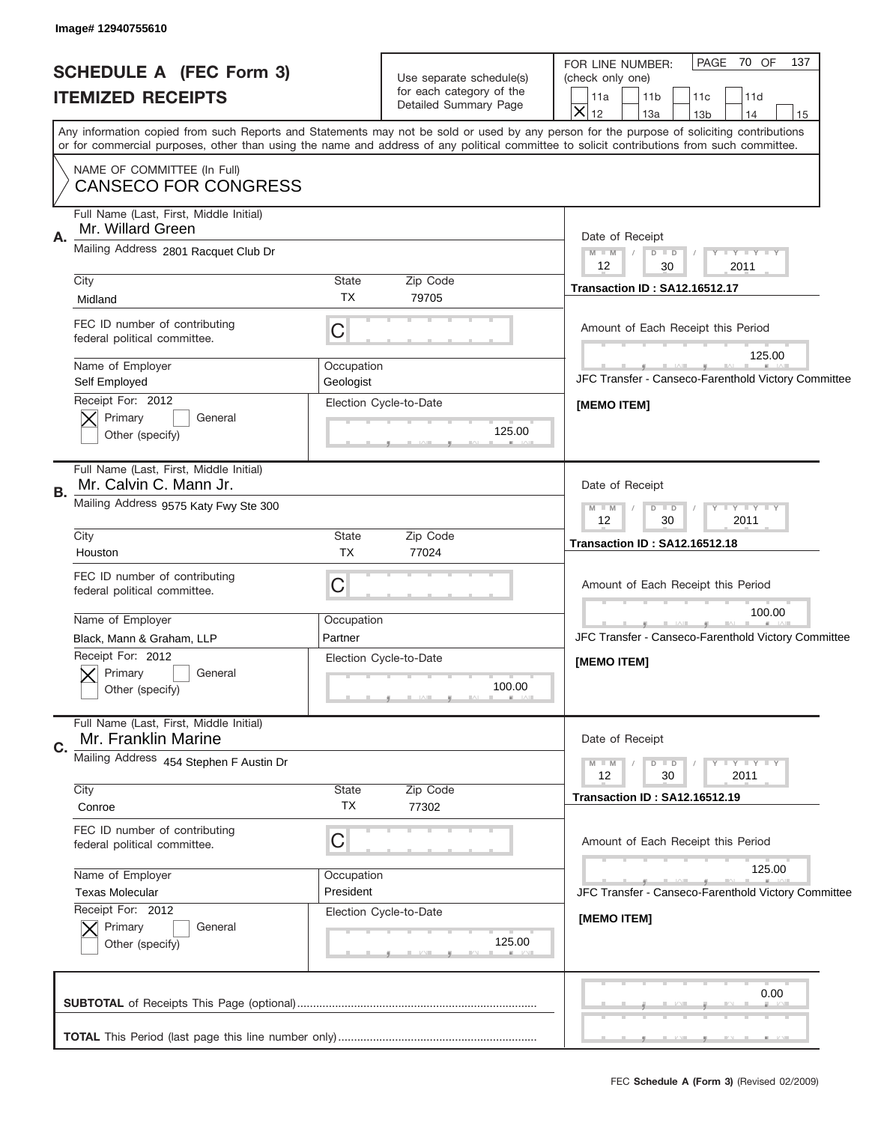| Image# 12940755610                                                                                                                                                                                                                                                                      |                                                                               |                                                                                                                                                                          |  |
|-----------------------------------------------------------------------------------------------------------------------------------------------------------------------------------------------------------------------------------------------------------------------------------------|-------------------------------------------------------------------------------|--------------------------------------------------------------------------------------------------------------------------------------------------------------------------|--|
| <b>SCHEDULE A (FEC Form 3)</b><br><b>ITEMIZED RECEIPTS</b>                                                                                                                                                                                                                              | Use separate schedule(s)<br>for each category of the<br>Detailed Summary Page | PAGE 70 OF<br>137<br>FOR LINE NUMBER:<br>(check only one)<br>11a<br>11 <sub>b</sub><br>11c<br>11d<br>$\overline{\mathsf{x}}$<br>12<br>13a<br>13 <sub>b</sub><br>14<br>15 |  |
| Any information copied from such Reports and Statements may not be sold or used by any person for the purpose of soliciting contributions<br>or for commercial purposes, other than using the name and address of any political committee to solicit contributions from such committee. |                                                                               |                                                                                                                                                                          |  |
| NAME OF COMMITTEE (In Full)<br><b>CANSECO FOR CONGRESS</b>                                                                                                                                                                                                                              |                                                                               |                                                                                                                                                                          |  |
| Full Name (Last, First, Middle Initial)<br>Mr. Willard Green<br>Α.<br>Mailing Address 2801 Racquet Club Dr                                                                                                                                                                              |                                                                               | Date of Receipt<br>$M$ $M$<br>Y FY FY FY<br>$D$ $D$                                                                                                                      |  |
| City                                                                                                                                                                                                                                                                                    | State<br>Zip Code                                                             | 12<br>2011<br>30<br><b>Transaction ID: SA12.16512.17</b>                                                                                                                 |  |
| Midland<br>FEC ID number of contributing<br>federal political committee.                                                                                                                                                                                                                | <b>TX</b><br>79705<br>C                                                       | Amount of Each Receipt this Period                                                                                                                                       |  |
| Name of Employer<br>Self Employed<br>Receipt For: 2012                                                                                                                                                                                                                                  | Occupation<br>Geologist                                                       | 125.00<br>JFC Transfer - Canseco-Farenthold Victory Committee                                                                                                            |  |
| Primary<br>General<br>Other (specify)                                                                                                                                                                                                                                                   | Election Cycle-to-Date<br>125.00                                              | [MEMO ITEM]                                                                                                                                                              |  |
| Full Name (Last, First, Middle Initial)<br>Mr. Calvin C. Mann Jr.<br>В.                                                                                                                                                                                                                 |                                                                               | Date of Receipt                                                                                                                                                          |  |
| Mailing Address 9575 Katy Fwy Ste 300                                                                                                                                                                                                                                                   | $Y - Y - Y - Y - Y$<br>$M$ M<br>$D$ $D$<br>30<br>2011<br>12                   |                                                                                                                                                                          |  |
| City<br>Houston                                                                                                                                                                                                                                                                         | State<br>Zip Code<br><b>TX</b><br>77024                                       | <b>Transaction ID: SA12.16512.18</b>                                                                                                                                     |  |
| FEC ID number of contributing<br>federal political committee.                                                                                                                                                                                                                           | C                                                                             | Amount of Each Receipt this Period                                                                                                                                       |  |
| Name of Employer<br>Black, Mann & Graham, LLP                                                                                                                                                                                                                                           | Occupation<br>Partner                                                         | 100.00<br>JFC Transfer - Canseco-Farenthold Victory Committee                                                                                                            |  |
| Receipt For: 2012<br>General<br>Primary<br>Other (specify)                                                                                                                                                                                                                              | Election Cycle-to-Date<br>100.00                                              | [MEMO ITEM]                                                                                                                                                              |  |
| Full Name (Last, First, Middle Initial)<br>Mr. Franklin Marine<br>C.                                                                                                                                                                                                                    |                                                                               | Date of Receipt                                                                                                                                                          |  |
| Mailing Address 454 Stephen F Austin Dr                                                                                                                                                                                                                                                 |                                                                               | Y FY FY FY<br>$M - M$<br>$D$ $D$<br>30<br>2011<br>12                                                                                                                     |  |
| City<br>Conroe                                                                                                                                                                                                                                                                          | State<br>Zip Code<br>ТX<br>77302                                              | <b>Transaction ID: SA12.16512.19</b>                                                                                                                                     |  |
| FEC ID number of contributing<br>federal political committee.                                                                                                                                                                                                                           | C                                                                             | Amount of Each Receipt this Period                                                                                                                                       |  |
| Name of Employer<br><b>Texas Molecular</b>                                                                                                                                                                                                                                              | Occupation<br>President                                                       | 125.00<br>JFC Transfer - Canseco-Farenthold Victory Committee                                                                                                            |  |
| Receipt For: 2012<br>Primary<br>General<br>Other (specify)                                                                                                                                                                                                                              | Election Cycle-to-Date<br>125.00                                              | [MEMO ITEM]                                                                                                                                                              |  |
|                                                                                                                                                                                                                                                                                         |                                                                               | 0.00                                                                                                                                                                     |  |
|                                                                                                                                                                                                                                                                                         |                                                                               | $y = 1 - 1 - y$                                                                                                                                                          |  |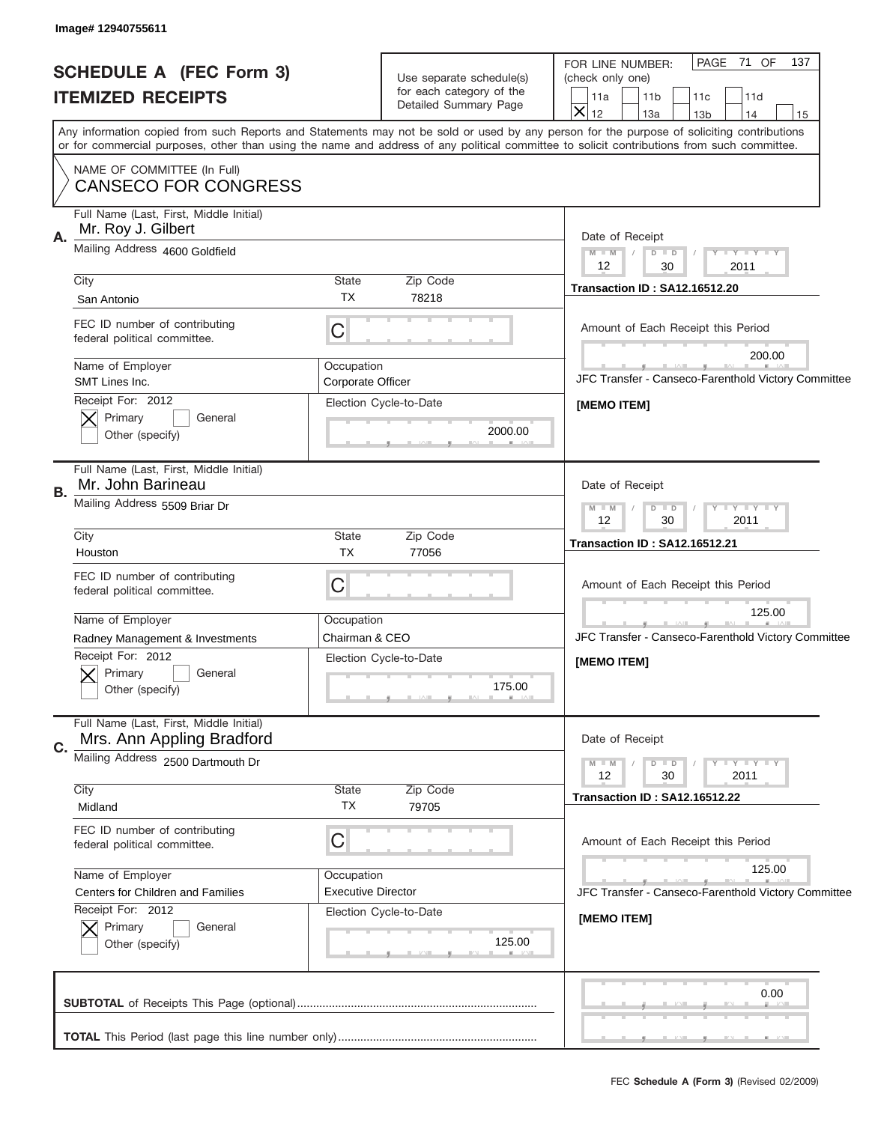| Image# 12940755611                                                                                    |                                                                                                                                                                                                                                                                                         |                                                                                                                                                                          |  |  |
|-------------------------------------------------------------------------------------------------------|-----------------------------------------------------------------------------------------------------------------------------------------------------------------------------------------------------------------------------------------------------------------------------------------|--------------------------------------------------------------------------------------------------------------------------------------------------------------------------|--|--|
| <b>SCHEDULE A (FEC Form 3)</b><br><b>ITEMIZED RECEIPTS</b>                                            | Use separate schedule(s)<br>for each category of the<br>Detailed Summary Page                                                                                                                                                                                                           | PAGE 71 OF<br>137<br>FOR LINE NUMBER:<br>(check only one)<br>11 <sub>b</sub><br>11a<br>11c<br>11d<br>$\overline{\mathsf{x}}$<br>12<br>13a<br>13 <sub>b</sub><br>14<br>15 |  |  |
|                                                                                                       | Any information copied from such Reports and Statements may not be sold or used by any person for the purpose of soliciting contributions<br>or for commercial purposes, other than using the name and address of any political committee to solicit contributions from such committee. |                                                                                                                                                                          |  |  |
| NAME OF COMMITTEE (In Full)<br><b>CANSECO FOR CONGRESS</b>                                            |                                                                                                                                                                                                                                                                                         |                                                                                                                                                                          |  |  |
| Full Name (Last, First, Middle Initial)<br>Mr. Roy J. Gilbert<br>А.<br>Mailing Address 4600 Goldfield |                                                                                                                                                                                                                                                                                         | Date of Receipt<br>$M$ $M$<br>Y FY FY FY<br>$D$ $D$<br>$\sqrt{2}$                                                                                                        |  |  |
|                                                                                                       |                                                                                                                                                                                                                                                                                         |                                                                                                                                                                          |  |  |
| City<br>San Antonio                                                                                   | State<br>Zip Code<br><b>TX</b><br>78218                                                                                                                                                                                                                                                 | <b>Transaction ID: SA12.16512.20</b>                                                                                                                                     |  |  |
| FEC ID number of contributing<br>federal political committee.                                         | $\mathsf C$                                                                                                                                                                                                                                                                             | Amount of Each Receipt this Period                                                                                                                                       |  |  |
| Name of Employer<br>SMT Lines Inc.                                                                    | Occupation<br>Corporate Officer                                                                                                                                                                                                                                                         | 200.00<br>JFC Transfer - Canseco-Farenthold Victory Committee                                                                                                            |  |  |
| Receipt For: 2012<br>Primary<br>General<br>Other (specify)                                            | Election Cycle-to-Date<br>2000.00                                                                                                                                                                                                                                                       | [MEMO ITEM]                                                                                                                                                              |  |  |
| Full Name (Last, First, Middle Initial)<br>Mr. John Barineau                                          |                                                                                                                                                                                                                                                                                         | Date of Receipt                                                                                                                                                          |  |  |
| В.<br>Mailing Address 5509 Briar Dr                                                                   |                                                                                                                                                                                                                                                                                         | Y - Y - Y - Y<br>$M - M$<br>$D$ $D$<br>2011<br>12<br>30                                                                                                                  |  |  |
| City<br>Houston                                                                                       | State<br>Zip Code<br><b>TX</b><br>77056                                                                                                                                                                                                                                                 | <b>Transaction ID: SA12.16512.21</b>                                                                                                                                     |  |  |
| FEC ID number of contributing<br>federal political committee.                                         | C                                                                                                                                                                                                                                                                                       | Amount of Each Receipt this Period                                                                                                                                       |  |  |
| Name of Employer                                                                                      | Occupation                                                                                                                                                                                                                                                                              | 125.00                                                                                                                                                                   |  |  |
| Radney Management & Investments<br>Receipt For: 2012<br>General<br>Primary<br>Other (specify)         | Chairman & CEO<br>Election Cycle-to-Date<br>175.00                                                                                                                                                                                                                                      | JFC Transfer - Canseco-Farenthold Victory Committee<br>[MEMO ITEM]                                                                                                       |  |  |
| Full Name (Last, First, Middle Initial)<br>Mrs. Ann Appling Bradford<br>C.                            |                                                                                                                                                                                                                                                                                         | Date of Receipt                                                                                                                                                          |  |  |
| Mailing Address 2500 Dartmouth Dr                                                                     |                                                                                                                                                                                                                                                                                         | Y FY FY FY<br>$M - M$<br>$D$ $D$<br>12<br>30<br>2011                                                                                                                     |  |  |
| City<br>Midland                                                                                       | Zip Code<br>State<br>ТX<br>79705                                                                                                                                                                                                                                                        | <b>Transaction ID: SA12.16512.22</b>                                                                                                                                     |  |  |
| FEC ID number of contributing<br>federal political committee.                                         | C                                                                                                                                                                                                                                                                                       | Amount of Each Receipt this Period                                                                                                                                       |  |  |
| Name of Employer                                                                                      | Occupation                                                                                                                                                                                                                                                                              | 125.00                                                                                                                                                                   |  |  |
| Centers for Children and Families<br>Receipt For: 2012                                                | <b>Executive Director</b>                                                                                                                                                                                                                                                               | JFC Transfer - Canseco-Farenthold Victory Committee                                                                                                                      |  |  |
| Primary<br>General<br>Other (specify)                                                                 | Election Cycle-to-Date<br>125.00                                                                                                                                                                                                                                                        | [MEMO ITEM]                                                                                                                                                              |  |  |
|                                                                                                       |                                                                                                                                                                                                                                                                                         | 0.00                                                                                                                                                                     |  |  |
|                                                                                                       |                                                                                                                                                                                                                                                                                         |                                                                                                                                                                          |  |  |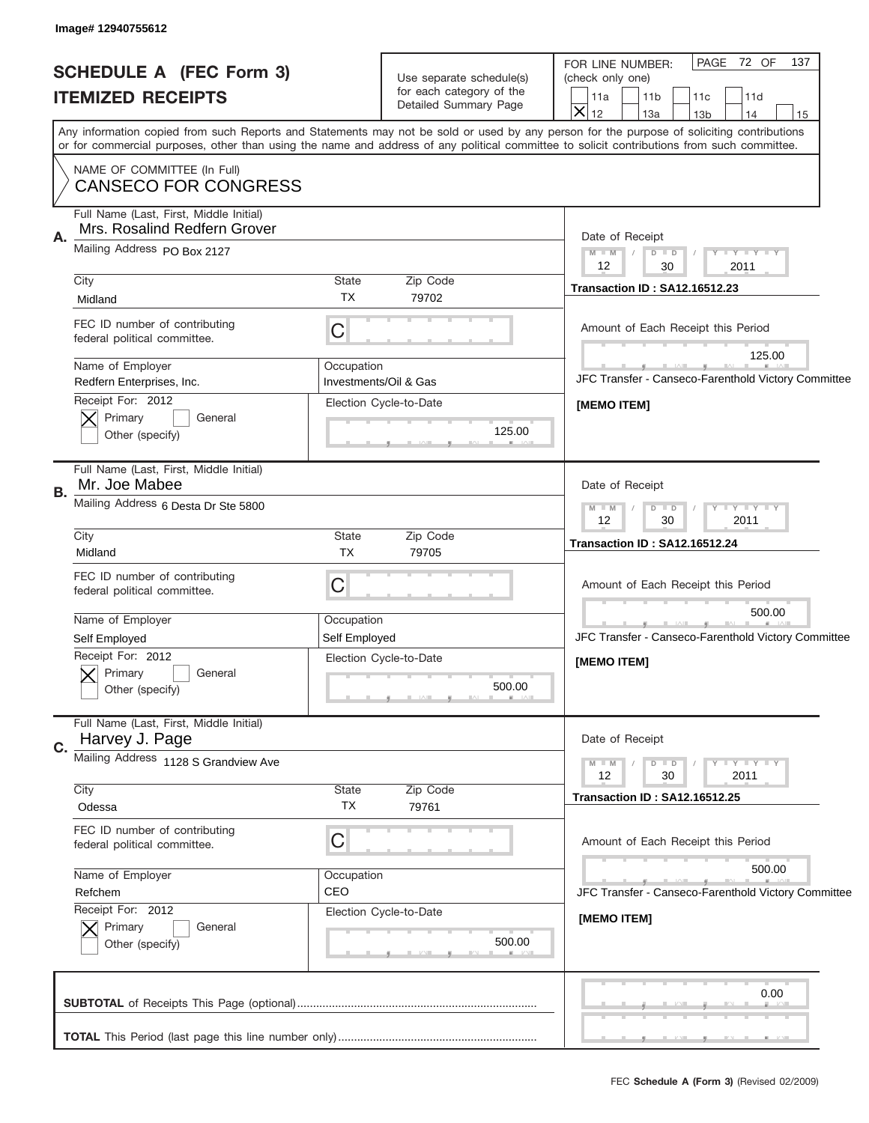J

|                                              | PAGE 72 OF<br>137                                                                                                                                                                                                                                                                       |  |
|----------------------------------------------|-----------------------------------------------------------------------------------------------------------------------------------------------------------------------------------------------------------------------------------------------------------------------------------------|--|
| FOR LINE NUMBER:<br>(check only one)         |                                                                                                                                                                                                                                                                                         |  |
| 11a<br>11 <sub>b</sub>                       | 11c<br>11d                                                                                                                                                                                                                                                                              |  |
| 13a                                          | 13 <sub>b</sub><br>14<br>15                                                                                                                                                                                                                                                             |  |
|                                              | Any information copied from such Reports and Statements may not be sold or used by any person for the purpose of soliciting contributions<br>or for commercial purposes, other than using the name and address of any political committee to solicit contributions from such committee. |  |
|                                              |                                                                                                                                                                                                                                                                                         |  |
| Date of Receipt                              |                                                                                                                                                                                                                                                                                         |  |
| $M$ $M$<br>$D$ $D$<br>$\sqrt{2}$<br>12<br>30 | Y FY FY FY<br>2011                                                                                                                                                                                                                                                                      |  |
| <b>Transaction ID: SA12.16512.23</b>         |                                                                                                                                                                                                                                                                                         |  |
|                                              |                                                                                                                                                                                                                                                                                         |  |
| Amount of Each Receipt this Period           |                                                                                                                                                                                                                                                                                         |  |
|                                              | 125.00                                                                                                                                                                                                                                                                                  |  |
|                                              | JFC Transfer - Canseco-Farenthold Victory Committee                                                                                                                                                                                                                                     |  |
| [MEMO ITEM]                                  |                                                                                                                                                                                                                                                                                         |  |
|                                              |                                                                                                                                                                                                                                                                                         |  |
|                                              |                                                                                                                                                                                                                                                                                         |  |
| Date of Receipt                              |                                                                                                                                                                                                                                                                                         |  |
| $M - M$<br>$D$ $D$<br>12<br>30               | Y - Y - Y - Y<br>2011                                                                                                                                                                                                                                                                   |  |
|                                              |                                                                                                                                                                                                                                                                                         |  |
| <b>Transaction ID: SA12.16512.24</b>         |                                                                                                                                                                                                                                                                                         |  |
|                                              |                                                                                                                                                                                                                                                                                         |  |
| Amount of Each Receipt this Period           |                                                                                                                                                                                                                                                                                         |  |
|                                              | 500.00                                                                                                                                                                                                                                                                                  |  |
|                                              | JFC Transfer - Canseco-Farenthold Victory Committee                                                                                                                                                                                                                                     |  |
|                                              |                                                                                                                                                                                                                                                                                         |  |
| [MEMO ITEM]                                  |                                                                                                                                                                                                                                                                                         |  |
|                                              |                                                                                                                                                                                                                                                                                         |  |
| Date of Receipt                              |                                                                                                                                                                                                                                                                                         |  |
| $M - M$<br>$D$ $D$<br>12<br>30               | Y FY FY FY<br>2011                                                                                                                                                                                                                                                                      |  |
| <b>Transaction ID: SA12.16512.25</b>         |                                                                                                                                                                                                                                                                                         |  |
|                                              |                                                                                                                                                                                                                                                                                         |  |
| Amount of Each Receipt this Period           |                                                                                                                                                                                                                                                                                         |  |
|                                              |                                                                                                                                                                                                                                                                                         |  |
|                                              | 500.00                                                                                                                                                                                                                                                                                  |  |
|                                              | JFC Transfer - Canseco-Farenthold Victory Committee                                                                                                                                                                                                                                     |  |
| [MEMO ITEM]                                  |                                                                                                                                                                                                                                                                                         |  |
|                                              |                                                                                                                                                                                                                                                                                         |  |
|                                              |                                                                                                                                                                                                                                                                                         |  |
|                                              |                                                                                                                                                                                                                                                                                         |  |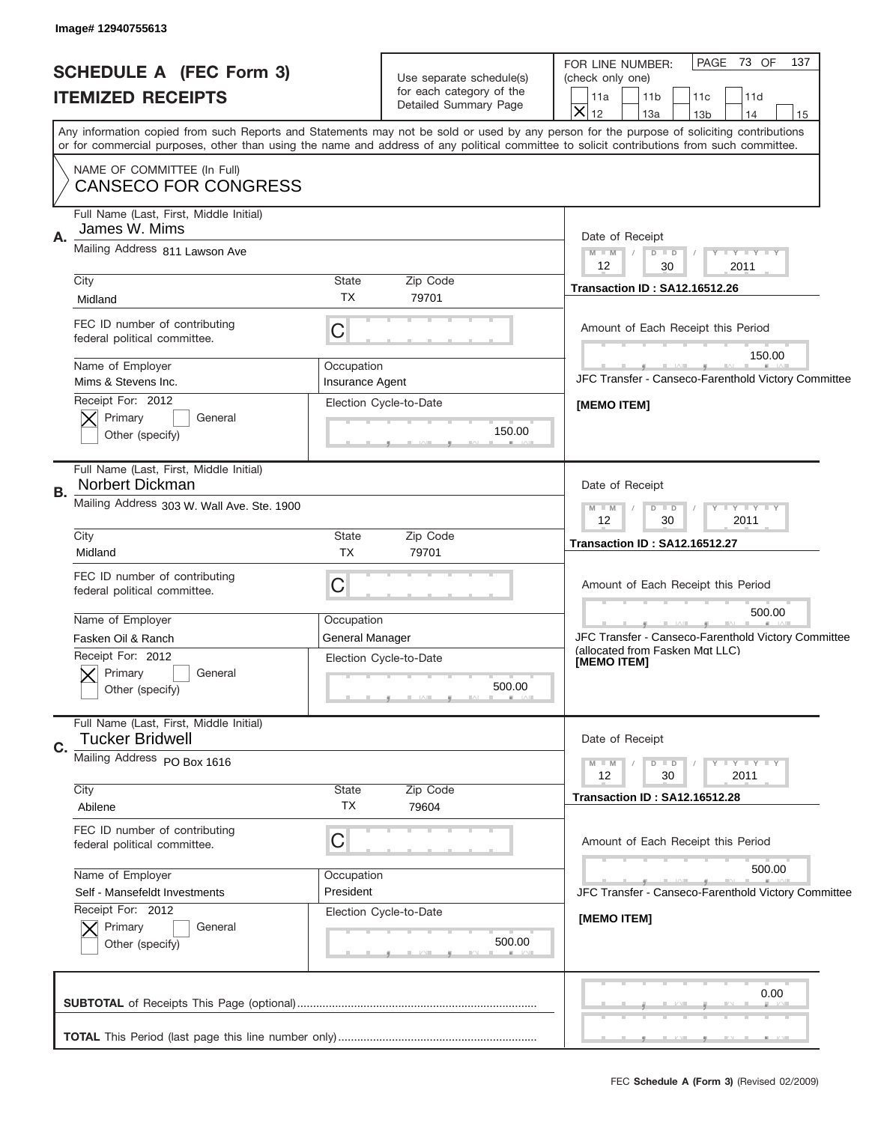| Image# 12940755613                                                |                                           |                                                                                                                                            |  |  |
|-------------------------------------------------------------------|-------------------------------------------|--------------------------------------------------------------------------------------------------------------------------------------------|--|--|
| <b>SCHEDULE A (FEC Form 3)</b>                                    | Use separate schedule(s)                  | PAGE 73 OF<br>137<br>FOR LINE NUMBER:<br>(check only one)                                                                                  |  |  |
| <b>ITEMIZED RECEIPTS</b>                                          | for each category of the                  | 11a<br>11 <sub>b</sub><br>11c<br>11d                                                                                                       |  |  |
|                                                                   | Detailed Summary Page                     | $\overline{\mathsf{x}}$<br>12<br>13a<br>13 <sub>b</sub><br>14<br>15                                                                        |  |  |
|                                                                   |                                           | Any information copied from such Reports and Statements may not be sold or used by any person for the purpose of soliciting contributions  |  |  |
|                                                                   |                                           | or for commercial purposes, other than using the name and address of any political committee to solicit contributions from such committee. |  |  |
| NAME OF COMMITTEE (In Full)<br><b>CANSECO FOR CONGRESS</b>        |                                           |                                                                                                                                            |  |  |
| Full Name (Last, First, Middle Initial)<br>James W. Mims<br>Α.    |                                           | Date of Receipt                                                                                                                            |  |  |
|                                                                   | Mailing Address 811 Lawson Ave            |                                                                                                                                            |  |  |
| City                                                              | State<br>Zip Code                         | 12<br>30<br>2011<br><b>Transaction ID: SA12.16512.26</b>                                                                                   |  |  |
| Midland                                                           | <b>TX</b><br>79701                        |                                                                                                                                            |  |  |
| FEC ID number of contributing<br>federal political committee.     | $\mathsf C$                               | Amount of Each Receipt this Period                                                                                                         |  |  |
|                                                                   |                                           | 150.00                                                                                                                                     |  |  |
| Name of Employer<br>Mims & Stevens Inc.                           | Occupation<br><b>Insurance Agent</b>      | JFC Transfer - Canseco-Farenthold Victory Committee                                                                                        |  |  |
| Receipt For: 2012                                                 | Election Cycle-to-Date                    | [MEMO ITEM]                                                                                                                                |  |  |
| Primary<br>General                                                |                                           |                                                                                                                                            |  |  |
| Other (specify)                                                   | 150.00                                    |                                                                                                                                            |  |  |
| Full Name (Last, First, Middle Initial)<br>Norbert Dickman<br>В.  | Date of Receipt                           |                                                                                                                                            |  |  |
| Mailing Address 303 W. Wall Ave. Ste. 1900                        | $Y - Y - Y - Y - Y$<br>$M - M$<br>$D$ $D$ |                                                                                                                                            |  |  |
|                                                                   |                                           | 2011<br>12<br>30                                                                                                                           |  |  |
| City<br>Midland                                                   | State<br>Zip Code<br><b>TX</b><br>79701   | <b>Transaction ID: SA12.16512.27</b>                                                                                                       |  |  |
| FEC ID number of contributing                                     |                                           |                                                                                                                                            |  |  |
| federal political committee.                                      | C                                         | Amount of Each Receipt this Period                                                                                                         |  |  |
|                                                                   |                                           | 500.00                                                                                                                                     |  |  |
| Name of Employer<br>Fasken Oil & Ranch                            | Occupation<br>General Manager             | JFC Transfer - Canseco-Farenthold Victory Committee                                                                                        |  |  |
| Receipt For: 2012                                                 | Election Cycle-to-Date                    | (allocated from Fasken Mgt LLC)                                                                                                            |  |  |
| Primary<br>General                                                |                                           | [MEMO IIEM]                                                                                                                                |  |  |
| Other (specify)                                                   | 500.00                                    |                                                                                                                                            |  |  |
| Full Name (Last, First, Middle Initial)<br><b>Tucker Bridwell</b> |                                           | Date of Receipt                                                                                                                            |  |  |
| C.<br>Mailing Address PO Box 1616                                 |                                           |                                                                                                                                            |  |  |
|                                                                   |                                           | Y FY FY FY<br>$M - M$<br>$D$ $D$<br>12<br>30<br>2011                                                                                       |  |  |
| City<br>Abilene                                                   | <b>State</b><br>Zip Code<br>ТX<br>79604   | <b>Transaction ID: SA12.16512.28</b>                                                                                                       |  |  |
| FEC ID number of contributing                                     |                                           |                                                                                                                                            |  |  |
| federal political committee.                                      | C                                         | Amount of Each Receipt this Period                                                                                                         |  |  |
|                                                                   |                                           |                                                                                                                                            |  |  |
| Name of Employer<br>Self - Mansefeldt Investments                 | Occupation<br>President                   | 500.00                                                                                                                                     |  |  |
| Receipt For: 2012                                                 | Election Cycle-to-Date                    | JFC Transfer - Canseco-Farenthold Victory Committee                                                                                        |  |  |
| Primary<br>General                                                |                                           | [MEMO ITEM]                                                                                                                                |  |  |
| Other (specify)                                                   | 500.00                                    |                                                                                                                                            |  |  |
|                                                                   |                                           |                                                                                                                                            |  |  |
|                                                                   |                                           | 0.00                                                                                                                                       |  |  |
|                                                                   |                                           |                                                                                                                                            |  |  |
|                                                                   |                                           | ___                                                                                                                                        |  |  |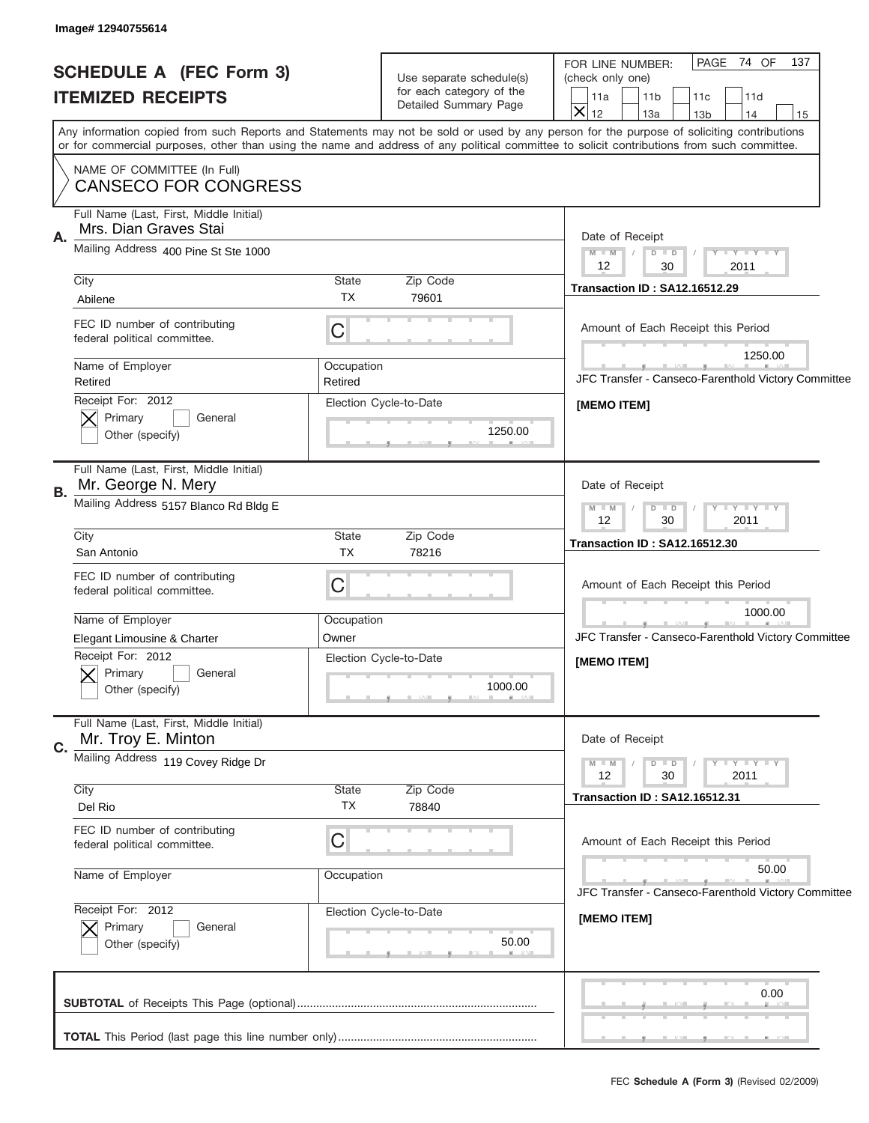| Image# 12940755614                                                                                                                                                        |                                                                               |                                                                                                                                                                          |  |  |
|---------------------------------------------------------------------------------------------------------------------------------------------------------------------------|-------------------------------------------------------------------------------|--------------------------------------------------------------------------------------------------------------------------------------------------------------------------|--|--|
| <b>SCHEDULE A (FEC Form 3)</b><br><b>ITEMIZED RECEIPTS</b>                                                                                                                | Use separate schedule(s)<br>for each category of the<br>Detailed Summary Page | PAGE 74 OF<br>137<br>FOR LINE NUMBER:<br>(check only one)<br>11a<br>11 <sub>b</sub><br>11c<br>11d<br>$\overline{\mathsf{x}}$<br>12<br>13a<br>13 <sub>b</sub><br>14<br>15 |  |  |
| or for commercial purposes, other than using the name and address of any political committee to solicit contributions from such committee.<br>NAME OF COMMITTEE (In Full) |                                                                               | Any information copied from such Reports and Statements may not be sold or used by any person for the purpose of soliciting contributions                                |  |  |
| <b>CANSECO FOR CONGRESS</b>                                                                                                                                               |                                                                               |                                                                                                                                                                          |  |  |
| Mrs. Dian Graves Stai<br>Α.                                                                                                                                               | Full Name (Last, First, Middle Initial)                                       |                                                                                                                                                                          |  |  |
| Mailing Address 400 Pine St Ste 1000                                                                                                                                      |                                                                               | $M$ $M$<br>Y FY FY FY<br>$D$ $D$<br>$\sqrt{2}$<br>12<br>30<br>2011                                                                                                       |  |  |
| City<br>Abilene                                                                                                                                                           | State<br>Zip Code<br><b>TX</b><br>79601                                       | <b>Transaction ID: SA12.16512.29</b>                                                                                                                                     |  |  |
| FEC ID number of contributing<br>federal political committee.                                                                                                             | C                                                                             | Amount of Each Receipt this Period<br>1250.00                                                                                                                            |  |  |
| Name of Employer<br>Retired                                                                                                                                               | Occupation<br>Retired                                                         | JFC Transfer - Canseco-Farenthold Victory Committee                                                                                                                      |  |  |
| Receipt For: 2012<br>Primary<br>General<br>Other (specify)                                                                                                                | Election Cycle-to-Date<br>1250.00                                             | [MEMO ITEM]                                                                                                                                                              |  |  |
| Full Name (Last, First, Middle Initial)<br>Mr. George N. Mery<br>В.                                                                                                       | Date of Receipt<br>Y - Y - Y - Y<br>$M - M$<br>$D$ $D$<br>2011<br>12<br>30    |                                                                                                                                                                          |  |  |
| Mailing Address 5157 Blanco Rd Bldg E                                                                                                                                     |                                                                               |                                                                                                                                                                          |  |  |
| City<br>San Antonio                                                                                                                                                       | State<br>Zip Code<br><b>TX</b><br>78216                                       | <b>Transaction ID: SA12.16512.30</b>                                                                                                                                     |  |  |
| FEC ID number of contributing<br>federal political committee.                                                                                                             | C                                                                             | Amount of Each Receipt this Period                                                                                                                                       |  |  |
| Name of Employer<br>Elegant Limousine & Charter                                                                                                                           | Occupation<br>Owner                                                           | 1000.00<br>JFC Transfer - Canseco-Farenthold Victory Committee                                                                                                           |  |  |
| Receipt For: 2012<br>Primary<br>General<br>Other (specify)                                                                                                                | Election Cycle-to-Date<br>1000.00                                             | [MEMO ITEM]                                                                                                                                                              |  |  |
| Full Name (Last, First, Middle Initial)<br>Mr. Troy E. Minton<br>C.                                                                                                       |                                                                               | Date of Receipt                                                                                                                                                          |  |  |
| Mailing Address 119 Covey Ridge Dr                                                                                                                                        |                                                                               | Y FY FY FY<br>$M - M$<br>$D$ $D$<br>12<br>30<br>2011                                                                                                                     |  |  |
| City<br>Del Rio                                                                                                                                                           | State<br>Zip Code<br>ТX<br>78840                                              | <b>Transaction ID: SA12.16512.31</b>                                                                                                                                     |  |  |
| FEC ID number of contributing<br>federal political committee.                                                                                                             | C                                                                             | Amount of Each Receipt this Period                                                                                                                                       |  |  |
| Name of Employer                                                                                                                                                          | Occupation                                                                    | 50.00<br>JFC Transfer - Canseco-Farenthold Victory Committee                                                                                                             |  |  |
| Receipt For: 2012<br>Primary<br>General<br>Other (specify)                                                                                                                | Election Cycle-to-Date<br>50.00                                               | [MEMO ITEM]                                                                                                                                                              |  |  |
|                                                                                                                                                                           |                                                                               | 0.00                                                                                                                                                                     |  |  |
|                                                                                                                                                                           |                                                                               |                                                                                                                                                                          |  |  |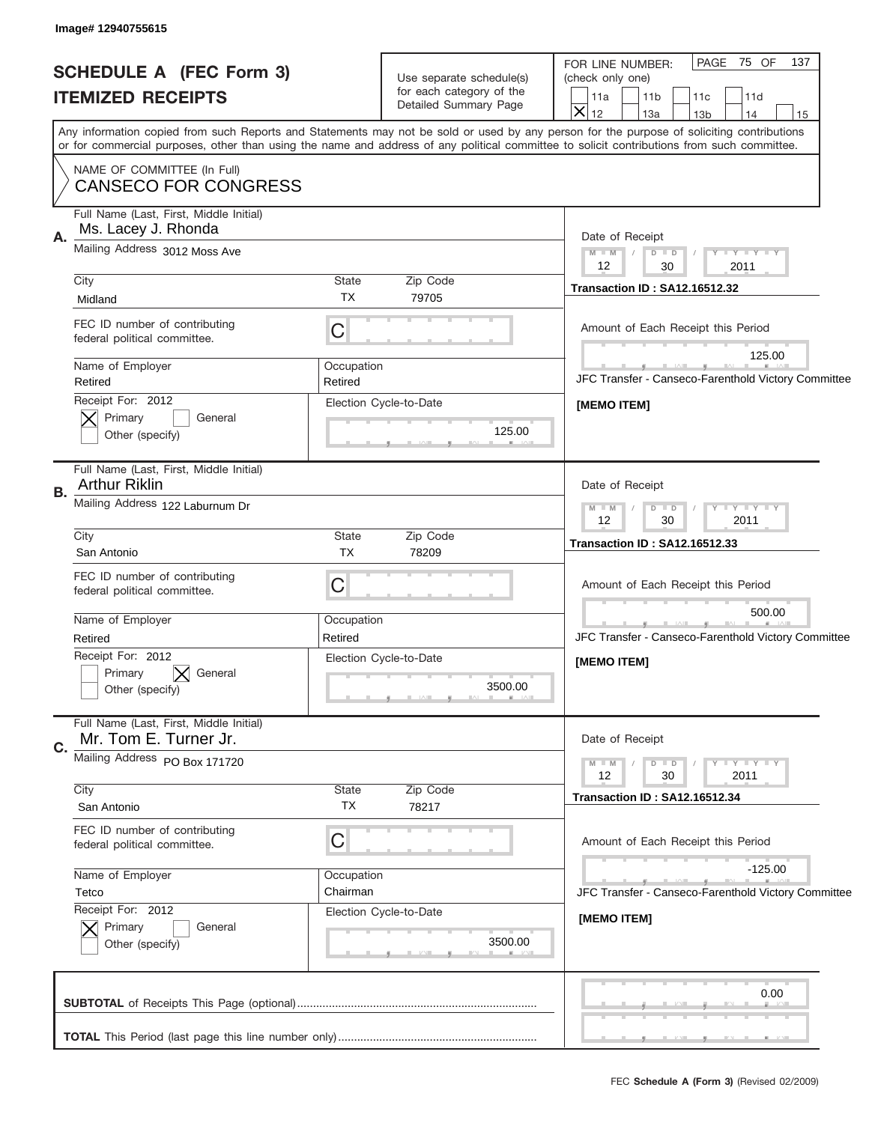J

| <b>SCHEDULE A (FEC Form 3)</b>                                         | Use separate schedule(s)                                      | 137<br>PAGE 75 OF<br>FOR LINE NUMBER:<br>(check only one)                                                                                                                                                                                                                               |  |  |
|------------------------------------------------------------------------|---------------------------------------------------------------|-----------------------------------------------------------------------------------------------------------------------------------------------------------------------------------------------------------------------------------------------------------------------------------------|--|--|
| <b>ITEMIZED RECEIPTS</b>                                               | for each category of the<br>Detailed Summary Page             | 11a<br>11 <sub>b</sub><br>11c<br>11d<br>$\overline{\mathsf{x}}$<br>12<br>13a<br>13 <sub>b</sub><br>14<br>15                                                                                                                                                                             |  |  |
|                                                                        |                                                               | Any information copied from such Reports and Statements may not be sold or used by any person for the purpose of soliciting contributions<br>or for commercial purposes, other than using the name and address of any political committee to solicit contributions from such committee. |  |  |
| NAME OF COMMITTEE (In Full)<br><b>CANSECO FOR CONGRESS</b>             |                                                               |                                                                                                                                                                                                                                                                                         |  |  |
| Full Name (Last, First, Middle Initial)<br>Ms. Lacey J. Rhonda<br>Α.   |                                                               | Date of Receipt                                                                                                                                                                                                                                                                         |  |  |
|                                                                        | Mailing Address 3012 Moss Ave                                 |                                                                                                                                                                                                                                                                                         |  |  |
| City<br>Midland                                                        | State<br>Zip Code<br><b>TX</b><br>79705                       | 12<br>30<br>2011<br><b>Transaction ID: SA12.16512.32</b>                                                                                                                                                                                                                                |  |  |
| FEC ID number of contributing<br>federal political committee.          | $\mathsf C$                                                   | Amount of Each Receipt this Period                                                                                                                                                                                                                                                      |  |  |
| Name of Employer                                                       | Occupation                                                    | 125.00                                                                                                                                                                                                                                                                                  |  |  |
| Retired                                                                | Retired                                                       | JFC Transfer - Canseco-Farenthold Victory Committee                                                                                                                                                                                                                                     |  |  |
| Receipt For: 2012<br>Primary<br>General<br>Other (specify)             | Election Cycle-to-Date<br>125.00                              | [MEMO ITEM]                                                                                                                                                                                                                                                                             |  |  |
| Full Name (Last, First, Middle Initial)<br><b>Arthur Riklin</b><br>В.  | Date of Receipt                                               |                                                                                                                                                                                                                                                                                         |  |  |
| Mailing Address 122 Laburnum Dr                                        | $Y - Y - Y - Y - Y$<br>$M - M$<br>$D$ $D$<br>2011<br>12<br>30 |                                                                                                                                                                                                                                                                                         |  |  |
| City<br>San Antonio                                                    | State<br>Zip Code<br><b>TX</b><br>78209                       | <b>Transaction ID: SA12.16512.33</b>                                                                                                                                                                                                                                                    |  |  |
| FEC ID number of contributing                                          |                                                               |                                                                                                                                                                                                                                                                                         |  |  |
| federal political committee.                                           | C                                                             | Amount of Each Receipt this Period                                                                                                                                                                                                                                                      |  |  |
| Name of Employer                                                       | Occupation                                                    | 500.00                                                                                                                                                                                                                                                                                  |  |  |
| Retired                                                                | Retired                                                       | JFC Transfer - Canseco-Farenthold Victory Committee                                                                                                                                                                                                                                     |  |  |
| Receipt For: 2012<br>General<br>Primary<br>Other (specify)             | Election Cycle-to-Date<br>3500.00                             | [MEMO ITEM]                                                                                                                                                                                                                                                                             |  |  |
| Full Name (Last, First, Middle Initial)<br>Mr. Tom E. Turner Jr.<br>C. |                                                               |                                                                                                                                                                                                                                                                                         |  |  |
| Mailing Address PO Box 171720                                          |                                                               | Y FY FY FY<br>$M - M$<br>$D$ $D$<br>12<br>30<br>2011                                                                                                                                                                                                                                    |  |  |
| City<br>San Antonio                                                    | Zip Code<br>State<br>ТX<br>78217                              | <b>Transaction ID: SA12.16512.34</b>                                                                                                                                                                                                                                                    |  |  |
| FEC ID number of contributing<br>federal political committee.          | C                                                             | Amount of Each Receipt this Period                                                                                                                                                                                                                                                      |  |  |
| Name of Employer                                                       | Occupation                                                    | $-125.00$                                                                                                                                                                                                                                                                               |  |  |
| Tetco<br>Receipt For: 2012                                             | Chairman                                                      | JFC Transfer - Canseco-Farenthold Victory Committee                                                                                                                                                                                                                                     |  |  |
| Primary<br>General<br>Other (specify)                                  | Election Cycle-to-Date<br>3500.00                             | [MEMO ITEM]                                                                                                                                                                                                                                                                             |  |  |
|                                                                        |                                                               | 0.00                                                                                                                                                                                                                                                                                    |  |  |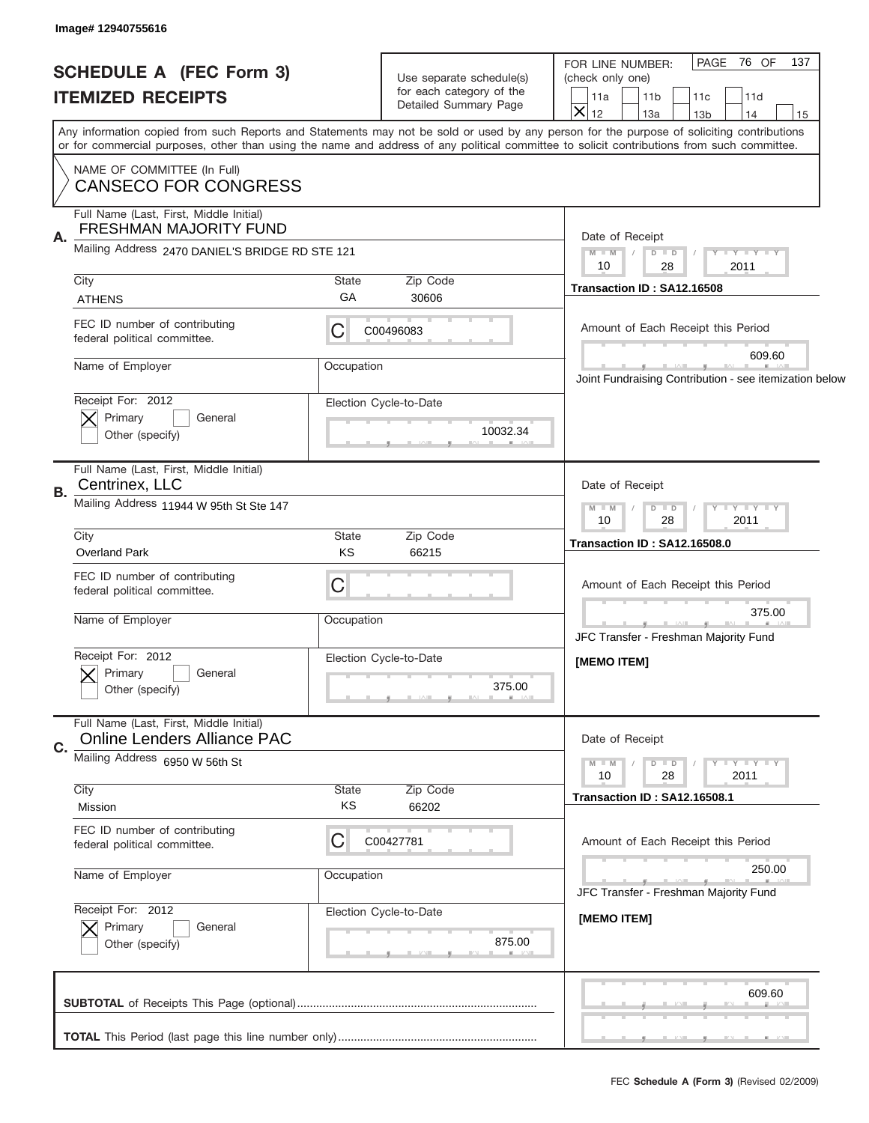| Image# 12940755616                                                                                                                                                                                                                                         |                                                                               |                                                                                                                                                                                                                                                                                         |
|------------------------------------------------------------------------------------------------------------------------------------------------------------------------------------------------------------------------------------------------------------|-------------------------------------------------------------------------------|-----------------------------------------------------------------------------------------------------------------------------------------------------------------------------------------------------------------------------------------------------------------------------------------|
| <b>SCHEDULE A (FEC Form 3)</b><br><b>ITEMIZED RECEIPTS</b>                                                                                                                                                                                                 | Use separate schedule(s)<br>for each category of the<br>Detailed Summary Page | PAGE 76 OF<br>137<br>FOR LINE NUMBER:<br>(check only one)<br>11 <sub>b</sub><br>11c<br>11d<br>11a<br>$\overline{\textsf{x}}$<br>12<br>13a<br>14<br>13 <sub>b</sub><br>15                                                                                                                |
| NAME OF COMMITTEE (In Full)                                                                                                                                                                                                                                |                                                                               | Any information copied from such Reports and Statements may not be sold or used by any person for the purpose of soliciting contributions<br>or for commercial purposes, other than using the name and address of any political committee to solicit contributions from such committee. |
| <b>CANSECO FOR CONGRESS</b><br>Full Name (Last, First, Middle Initial)<br><b>FRESHMAN MAJORITY FUND</b><br>Α.<br>Mailing Address 2470 DANIEL'S BRIDGE RD STE 121<br>City<br><b>ATHENS</b><br>FEC ID number of contributing<br>federal political committee. | State<br>Zip Code<br>GA<br>30606<br>C<br>C00496083                            | Date of Receipt<br>Y FY FY FY<br>$M - M$<br>$D$ $D$<br>10<br>28<br>2011<br>Transaction ID: SA12.16508<br>Amount of Each Receipt this Period                                                                                                                                             |
| Name of Employer<br>Receipt For: 2012<br>Primary<br>General<br>Other (specify)                                                                                                                                                                             | Occupation<br>Election Cycle-to-Date<br>10032.34                              | 609.60<br>Joint Fundraising Contribution - see itemization below                                                                                                                                                                                                                        |
| Full Name (Last, First, Middle Initial)<br>Centrinex, LLC<br>В.<br>Mailing Address 11944 W 95th St Ste 147<br>City                                                                                                                                         | State<br>Zip Code                                                             | Date of Receipt<br>Y - Y - Y - Y<br>$M$ M<br>$D$ $D$<br>10<br>28<br>2011<br>Transaction ID: SA12.16508.0                                                                                                                                                                                |
| <b>Overland Park</b><br>FEC ID number of contributing<br>federal political committee.<br>Name of Employer                                                                                                                                                  | KS<br>66215<br>C<br>Occupation                                                | Amount of Each Receipt this Period<br>375.00<br>JFC Transfer - Freshman Majority Fund                                                                                                                                                                                                   |
| Receipt For: 2012<br>General<br>Primary<br>Other (specify)                                                                                                                                                                                                 | Election Cycle-to-Date<br>375.00                                              | [MEMO ITEM]                                                                                                                                                                                                                                                                             |
| Full Name (Last, First, Middle Initial)<br><b>Online Lenders Alliance PAC</b><br>C.<br>Mailing Address 6950 W 56th St                                                                                                                                      |                                                                               | Date of Receipt<br><b>TEY TEY TEY</b><br>$M - M$<br>$D$ $D$<br>2011<br>10<br>28                                                                                                                                                                                                         |
| City<br>Mission                                                                                                                                                                                                                                            | Zip Code<br>State<br>KS<br>66202                                              | Transaction ID: SA12.16508.1                                                                                                                                                                                                                                                            |
| FEC ID number of contributing<br>federal political committee.<br>Name of Employer<br>Receipt For: 2012<br>Primary<br>General<br>Other (specify)                                                                                                            | C<br>C00427781<br>Occupation<br>Election Cycle-to-Date<br>875.00              | Amount of Each Receipt this Period<br>250.00<br>JFC Transfer - Freshman Majority Fund<br>[MEMO ITEM]                                                                                                                                                                                    |
|                                                                                                                                                                                                                                                            |                                                                               | 609.60<br>___                                                                                                                                                                                                                                                                           |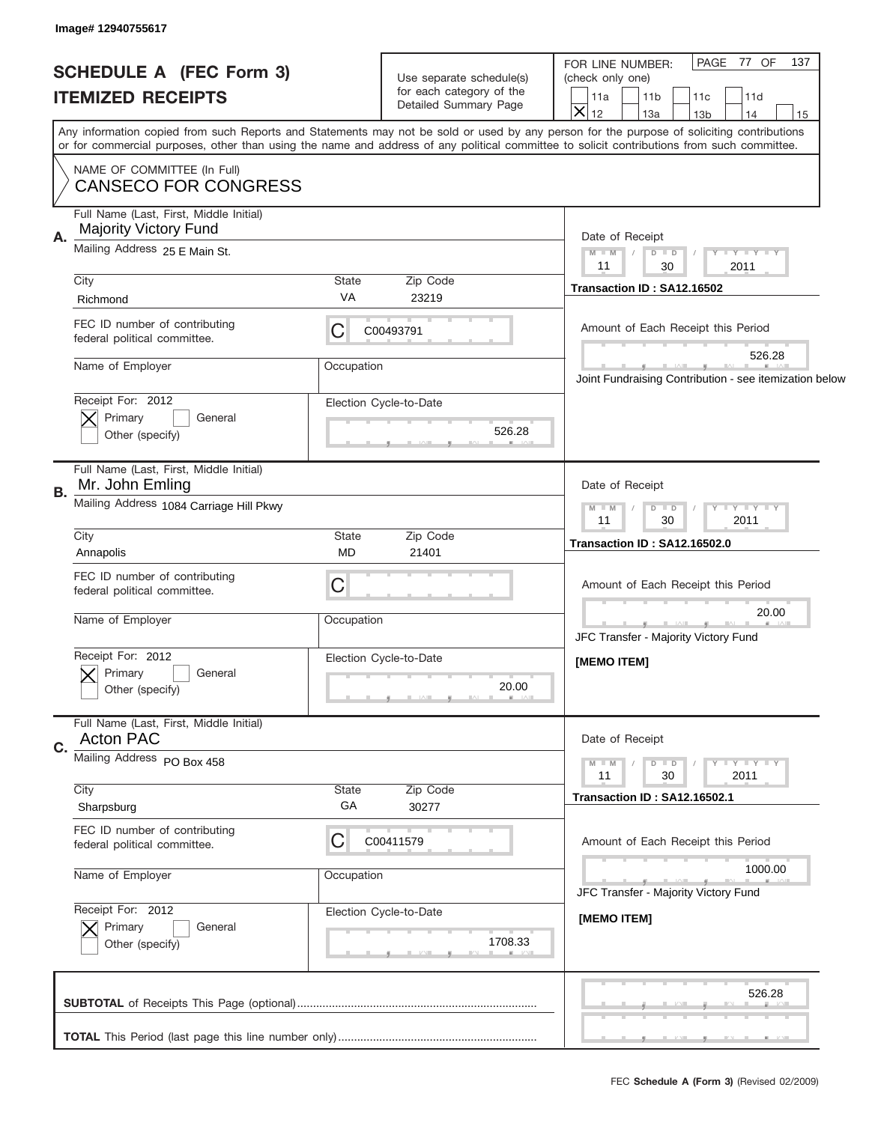| PAGE 77 OF<br>FOR LINE NUMBER:<br><b>SCHEDULE A (FEC Form 3)</b><br>Use separate schedule(s)<br>(check only one)<br>for each category of the<br><b>ITEMIZED RECEIPTS</b><br>11 <sub>b</sub><br>11d<br>11a<br>11c<br>Detailed Summary Page<br>$\overline{\mathsf{x}}$<br>12<br>13a<br>14<br>13 <sub>b</sub><br>Any information copied from such Reports and Statements may not be sold or used by any person for the purpose of soliciting contributions<br>or for commercial purposes, other than using the name and address of any political committee to solicit contributions from such committee.<br>NAME OF COMMITTEE (In Full)<br><b>CANSECO FOR CONGRESS</b><br>Full Name (Last, First, Middle Initial)<br><b>Majority Victory Fund</b><br>Α.<br>Date of Receipt<br>Mailing Address 25 E Main St.<br>Y FY FY FY<br>$M - M$<br>$D$ $D$<br>11<br>30<br>2011<br>City<br><b>State</b><br>Zip Code<br>Transaction ID: SA12.16502<br>VA<br>23219<br>Richmond<br>FEC ID number of contributing<br>С<br>Amount of Each Receipt this Period<br>C00493791<br>federal political committee.<br>526.28<br>Name of Employer<br>Occupation<br>Receipt For: 2012<br>Election Cycle-to-Date<br>Primary<br>General<br>526.28<br>Other (specify)<br>Full Name (Last, First, Middle Initial)<br>Mr. John Emling<br>Date of Receipt<br>В.<br>Mailing Address 1084 Carriage Hill Pkwy<br>$Y = Y = Y = Y$<br>$M$ M<br>$D$ $D$<br>2011<br>11<br>30<br>City<br><b>State</b><br>Zip Code<br>Transaction ID: SA12.16502.0<br><b>MD</b><br>21401<br>Annapolis<br>FEC ID number of contributing<br>C<br>Amount of Each Receipt this Period<br>federal political committee.<br>20.00<br>Name of Employer<br>Occupation<br>JFC Transfer - Majority Victory Fund<br>Receipt For: 2012<br>Election Cycle-to-Date<br>[MEMO ITEM]<br>General<br>Primary<br>20.00<br>Other (specify)<br>Full Name (Last, First, Middle Initial)<br><b>Acton PAC</b><br>Date of Receipt<br>C.<br>Mailing Address PO Box 458<br>Y I Y I Y I Y<br>$M - M$<br>$D$ $D$<br>2011<br>11<br>30<br>City<br>Zip Code<br>State<br>Transaction ID: SA12.16502.1<br>GA<br>Sharpsburg<br>30277<br>FEC ID number of contributing<br>С<br>Amount of Each Receipt this Period<br>C00411579<br>federal political committee.<br>1000.00<br>Name of Employer<br>Occupation<br>JFC Transfer - Majority Victory Fund<br>Receipt For: 2012<br>Election Cycle-to-Date<br>[MEMO ITEM]<br>Primary<br>General<br>1708.33<br>Other (specify) | Image# 12940755617 |  |                                                        |  |
|--------------------------------------------------------------------------------------------------------------------------------------------------------------------------------------------------------------------------------------------------------------------------------------------------------------------------------------------------------------------------------------------------------------------------------------------------------------------------------------------------------------------------------------------------------------------------------------------------------------------------------------------------------------------------------------------------------------------------------------------------------------------------------------------------------------------------------------------------------------------------------------------------------------------------------------------------------------------------------------------------------------------------------------------------------------------------------------------------------------------------------------------------------------------------------------------------------------------------------------------------------------------------------------------------------------------------------------------------------------------------------------------------------------------------------------------------------------------------------------------------------------------------------------------------------------------------------------------------------------------------------------------------------------------------------------------------------------------------------------------------------------------------------------------------------------------------------------------------------------------------------------------------------------------------------------------------------------------------------------------------------------------------------------------------------------------------------------------------------------------------------------------------------------------------------------------------------------------------------------------------------------------------------------------------------------------------------------------------------------------------------------------------------------------------------------------------------------------|--------------------|--|--------------------------------------------------------|--|
|                                                                                                                                                                                                                                                                                                                                                                                                                                                                                                                                                                                                                                                                                                                                                                                                                                                                                                                                                                                                                                                                                                                                                                                                                                                                                                                                                                                                                                                                                                                                                                                                                                                                                                                                                                                                                                                                                                                                                                                                                                                                                                                                                                                                                                                                                                                                                                                                                                                                    |                    |  | 137<br>15                                              |  |
|                                                                                                                                                                                                                                                                                                                                                                                                                                                                                                                                                                                                                                                                                                                                                                                                                                                                                                                                                                                                                                                                                                                                                                                                                                                                                                                                                                                                                                                                                                                                                                                                                                                                                                                                                                                                                                                                                                                                                                                                                                                                                                                                                                                                                                                                                                                                                                                                                                                                    |                    |  |                                                        |  |
|                                                                                                                                                                                                                                                                                                                                                                                                                                                                                                                                                                                                                                                                                                                                                                                                                                                                                                                                                                                                                                                                                                                                                                                                                                                                                                                                                                                                                                                                                                                                                                                                                                                                                                                                                                                                                                                                                                                                                                                                                                                                                                                                                                                                                                                                                                                                                                                                                                                                    |                    |  |                                                        |  |
|                                                                                                                                                                                                                                                                                                                                                                                                                                                                                                                                                                                                                                                                                                                                                                                                                                                                                                                                                                                                                                                                                                                                                                                                                                                                                                                                                                                                                                                                                                                                                                                                                                                                                                                                                                                                                                                                                                                                                                                                                                                                                                                                                                                                                                                                                                                                                                                                                                                                    |                    |  |                                                        |  |
|                                                                                                                                                                                                                                                                                                                                                                                                                                                                                                                                                                                                                                                                                                                                                                                                                                                                                                                                                                                                                                                                                                                                                                                                                                                                                                                                                                                                                                                                                                                                                                                                                                                                                                                                                                                                                                                                                                                                                                                                                                                                                                                                                                                                                                                                                                                                                                                                                                                                    |                    |  |                                                        |  |
|                                                                                                                                                                                                                                                                                                                                                                                                                                                                                                                                                                                                                                                                                                                                                                                                                                                                                                                                                                                                                                                                                                                                                                                                                                                                                                                                                                                                                                                                                                                                                                                                                                                                                                                                                                                                                                                                                                                                                                                                                                                                                                                                                                                                                                                                                                                                                                                                                                                                    |                    |  |                                                        |  |
|                                                                                                                                                                                                                                                                                                                                                                                                                                                                                                                                                                                                                                                                                                                                                                                                                                                                                                                                                                                                                                                                                                                                                                                                                                                                                                                                                                                                                                                                                                                                                                                                                                                                                                                                                                                                                                                                                                                                                                                                                                                                                                                                                                                                                                                                                                                                                                                                                                                                    |                    |  |                                                        |  |
|                                                                                                                                                                                                                                                                                                                                                                                                                                                                                                                                                                                                                                                                                                                                                                                                                                                                                                                                                                                                                                                                                                                                                                                                                                                                                                                                                                                                                                                                                                                                                                                                                                                                                                                                                                                                                                                                                                                                                                                                                                                                                                                                                                                                                                                                                                                                                                                                                                                                    |                    |  | Joint Fundraising Contribution - see itemization below |  |
|                                                                                                                                                                                                                                                                                                                                                                                                                                                                                                                                                                                                                                                                                                                                                                                                                                                                                                                                                                                                                                                                                                                                                                                                                                                                                                                                                                                                                                                                                                                                                                                                                                                                                                                                                                                                                                                                                                                                                                                                                                                                                                                                                                                                                                                                                                                                                                                                                                                                    |                    |  |                                                        |  |
|                                                                                                                                                                                                                                                                                                                                                                                                                                                                                                                                                                                                                                                                                                                                                                                                                                                                                                                                                                                                                                                                                                                                                                                                                                                                                                                                                                                                                                                                                                                                                                                                                                                                                                                                                                                                                                                                                                                                                                                                                                                                                                                                                                                                                                                                                                                                                                                                                                                                    |                    |  |                                                        |  |
|                                                                                                                                                                                                                                                                                                                                                                                                                                                                                                                                                                                                                                                                                                                                                                                                                                                                                                                                                                                                                                                                                                                                                                                                                                                                                                                                                                                                                                                                                                                                                                                                                                                                                                                                                                                                                                                                                                                                                                                                                                                                                                                                                                                                                                                                                                                                                                                                                                                                    |                    |  |                                                        |  |
|                                                                                                                                                                                                                                                                                                                                                                                                                                                                                                                                                                                                                                                                                                                                                                                                                                                                                                                                                                                                                                                                                                                                                                                                                                                                                                                                                                                                                                                                                                                                                                                                                                                                                                                                                                                                                                                                                                                                                                                                                                                                                                                                                                                                                                                                                                                                                                                                                                                                    |                    |  |                                                        |  |
|                                                                                                                                                                                                                                                                                                                                                                                                                                                                                                                                                                                                                                                                                                                                                                                                                                                                                                                                                                                                                                                                                                                                                                                                                                                                                                                                                                                                                                                                                                                                                                                                                                                                                                                                                                                                                                                                                                                                                                                                                                                                                                                                                                                                                                                                                                                                                                                                                                                                    |                    |  |                                                        |  |
|                                                                                                                                                                                                                                                                                                                                                                                                                                                                                                                                                                                                                                                                                                                                                                                                                                                                                                                                                                                                                                                                                                                                                                                                                                                                                                                                                                                                                                                                                                                                                                                                                                                                                                                                                                                                                                                                                                                                                                                                                                                                                                                                                                                                                                                                                                                                                                                                                                                                    |                    |  |                                                        |  |
|                                                                                                                                                                                                                                                                                                                                                                                                                                                                                                                                                                                                                                                                                                                                                                                                                                                                                                                                                                                                                                                                                                                                                                                                                                                                                                                                                                                                                                                                                                                                                                                                                                                                                                                                                                                                                                                                                                                                                                                                                                                                                                                                                                                                                                                                                                                                                                                                                                                                    |                    |  |                                                        |  |
|                                                                                                                                                                                                                                                                                                                                                                                                                                                                                                                                                                                                                                                                                                                                                                                                                                                                                                                                                                                                                                                                                                                                                                                                                                                                                                                                                                                                                                                                                                                                                                                                                                                                                                                                                                                                                                                                                                                                                                                                                                                                                                                                                                                                                                                                                                                                                                                                                                                                    |                    |  |                                                        |  |
|                                                                                                                                                                                                                                                                                                                                                                                                                                                                                                                                                                                                                                                                                                                                                                                                                                                                                                                                                                                                                                                                                                                                                                                                                                                                                                                                                                                                                                                                                                                                                                                                                                                                                                                                                                                                                                                                                                                                                                                                                                                                                                                                                                                                                                                                                                                                                                                                                                                                    |                    |  |                                                        |  |
|                                                                                                                                                                                                                                                                                                                                                                                                                                                                                                                                                                                                                                                                                                                                                                                                                                                                                                                                                                                                                                                                                                                                                                                                                                                                                                                                                                                                                                                                                                                                                                                                                                                                                                                                                                                                                                                                                                                                                                                                                                                                                                                                                                                                                                                                                                                                                                                                                                                                    |                    |  |                                                        |  |
|                                                                                                                                                                                                                                                                                                                                                                                                                                                                                                                                                                                                                                                                                                                                                                                                                                                                                                                                                                                                                                                                                                                                                                                                                                                                                                                                                                                                                                                                                                                                                                                                                                                                                                                                                                                                                                                                                                                                                                                                                                                                                                                                                                                                                                                                                                                                                                                                                                                                    |                    |  |                                                        |  |
|                                                                                                                                                                                                                                                                                                                                                                                                                                                                                                                                                                                                                                                                                                                                                                                                                                                                                                                                                                                                                                                                                                                                                                                                                                                                                                                                                                                                                                                                                                                                                                                                                                                                                                                                                                                                                                                                                                                                                                                                                                                                                                                                                                                                                                                                                                                                                                                                                                                                    |                    |  |                                                        |  |
|                                                                                                                                                                                                                                                                                                                                                                                                                                                                                                                                                                                                                                                                                                                                                                                                                                                                                                                                                                                                                                                                                                                                                                                                                                                                                                                                                                                                                                                                                                                                                                                                                                                                                                                                                                                                                                                                                                                                                                                                                                                                                                                                                                                                                                                                                                                                                                                                                                                                    |                    |  |                                                        |  |
| 526.28                                                                                                                                                                                                                                                                                                                                                                                                                                                                                                                                                                                                                                                                                                                                                                                                                                                                                                                                                                                                                                                                                                                                                                                                                                                                                                                                                                                                                                                                                                                                                                                                                                                                                                                                                                                                                                                                                                                                                                                                                                                                                                                                                                                                                                                                                                                                                                                                                                                             |                    |  |                                                        |  |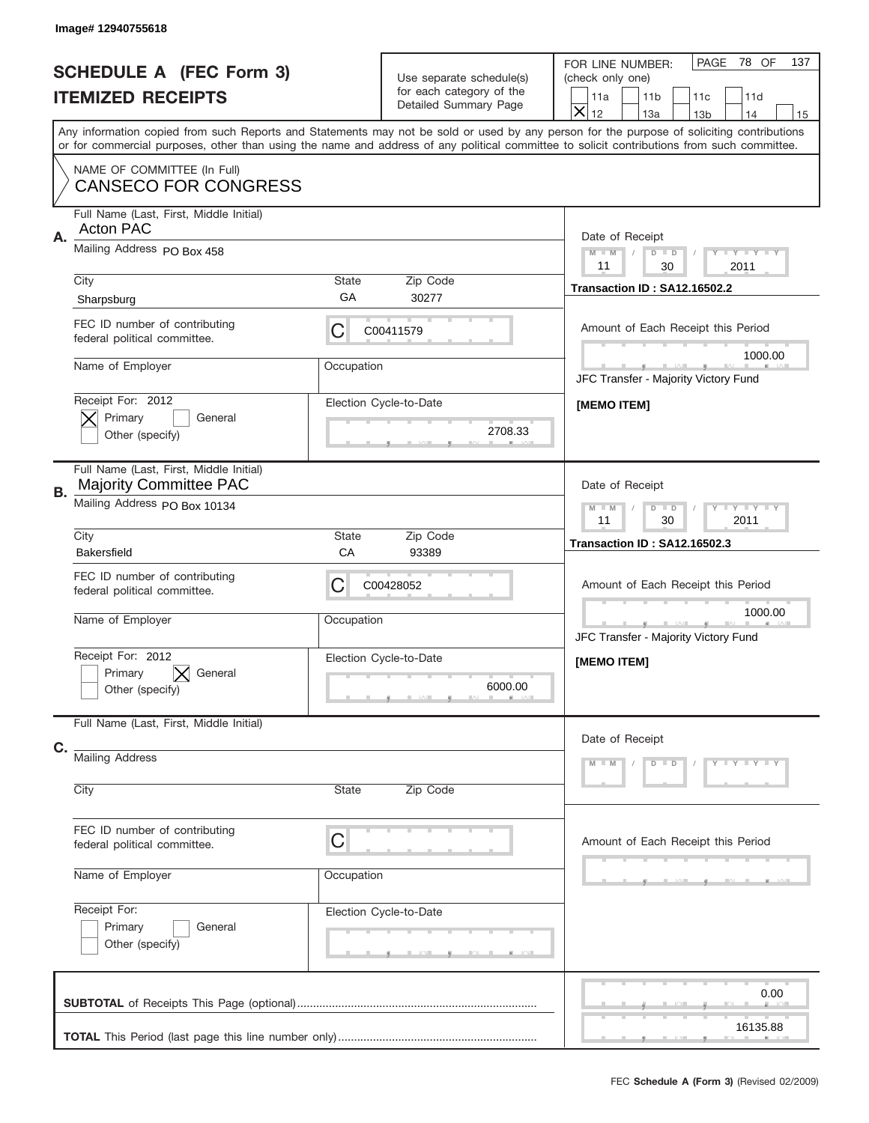|           | Image# 12940755618                                                                              |                                                              |                                                                               |                                                                                                                                                                                                                                                                                                                               |
|-----------|-------------------------------------------------------------------------------------------------|--------------------------------------------------------------|-------------------------------------------------------------------------------|-------------------------------------------------------------------------------------------------------------------------------------------------------------------------------------------------------------------------------------------------------------------------------------------------------------------------------|
|           | <b>SCHEDULE A (FEC Form 3)</b><br><b>ITEMIZED RECEIPTS</b>                                      |                                                              | Use separate schedule(s)<br>for each category of the<br>Detailed Summary Page | 78 OF<br>PAGE<br>137<br>FOR LINE NUMBER:<br>(check only one)<br>11 <sub>b</sub><br>11d<br>11a<br>11c<br>$\overline{\mathsf{x}}$<br>12                                                                                                                                                                                         |
|           |                                                                                                 |                                                              |                                                                               | 13a<br>14<br>13 <sub>b</sub><br>15<br>Any information copied from such Reports and Statements may not be sold or used by any person for the purpose of soliciting contributions<br>or for commercial purposes, other than using the name and address of any political committee to solicit contributions from such committee. |
|           | NAME OF COMMITTEE (In Full)<br><b>CANSECO FOR CONGRESS</b>                                      |                                                              |                                                                               |                                                                                                                                                                                                                                                                                                                               |
| Α.        | Full Name (Last, First, Middle Initial)<br><b>Acton PAC</b>                                     | Date of Receipt                                              |                                                                               |                                                                                                                                                                                                                                                                                                                               |
|           | Mailing Address PO Box 458                                                                      | $M - M$<br><b>LEY LEY LEY</b><br>$D$ $D$<br>11<br>30<br>2011 |                                                                               |                                                                                                                                                                                                                                                                                                                               |
|           | City<br>Sharpsburg                                                                              | State<br>GА                                                  | Zip Code<br>30277                                                             | Transaction ID: SA12.16502.2                                                                                                                                                                                                                                                                                                  |
|           | FEC ID number of contributing<br>federal political committee.                                   | С                                                            | C00411579                                                                     | Amount of Each Receipt this Period                                                                                                                                                                                                                                                                                            |
|           | Name of Employer                                                                                | Occupation                                                   |                                                                               | 1000.00<br>JFC Transfer - Majority Victory Fund                                                                                                                                                                                                                                                                               |
|           | Receipt For: 2012<br>Election Cycle-to-Date<br>Primary<br>General<br>2708.33<br>Other (specify) |                                                              | [MEMO ITEM]                                                                   |                                                                                                                                                                                                                                                                                                                               |
| <b>B.</b> | Full Name (Last, First, Middle Initial)<br><b>Majority Committee PAC</b>                        |                                                              |                                                                               | Date of Receipt                                                                                                                                                                                                                                                                                                               |
|           | Mailing Address PO Box 10134                                                                    | <b>LYLYLY</b><br>$M - M$<br>$D$ $D$<br>11<br>30<br>2011      |                                                                               |                                                                                                                                                                                                                                                                                                                               |
|           | City<br><b>Bakersfield</b>                                                                      | State<br>CA                                                  | Zip Code<br>93389                                                             | Transaction ID: SA12.16502.3                                                                                                                                                                                                                                                                                                  |
|           | FEC ID number of contributing<br>federal political committee.                                   | С                                                            | C00428052                                                                     | Amount of Each Receipt this Period                                                                                                                                                                                                                                                                                            |
|           | Name of Employer                                                                                | Occupation                                                   |                                                                               | 1000.00<br>JFC Transfer - Majority Victory Fund                                                                                                                                                                                                                                                                               |
|           | Receipt For: 2012<br>General<br>Primary<br>Other (specify)                                      |                                                              | Election Cycle-to-Date<br>6000.00                                             | [MEMO ITEM]                                                                                                                                                                                                                                                                                                                   |
| C.        | Full Name (Last, First, Middle Initial)                                                         |                                                              |                                                                               | Date of Receipt                                                                                                                                                                                                                                                                                                               |
|           | <b>Mailing Address</b><br>State                                                                 |                                                              |                                                                               | Y TY TY TY<br>$M - M$<br>$D$ $D$                                                                                                                                                                                                                                                                                              |
|           | City                                                                                            | Zip Code                                                     |                                                                               |                                                                                                                                                                                                                                                                                                                               |
|           | FEC ID number of contributing<br>federal political committee.                                   | C                                                            |                                                                               | Amount of Each Receipt this Period                                                                                                                                                                                                                                                                                            |
|           |                                                                                                 | Name of Employer<br>Occupation                               |                                                                               |                                                                                                                                                                                                                                                                                                                               |
|           | Receipt For:<br>Election Cycle-to-Date<br>Primary<br>General<br>Other (specify)                 |                                                              |                                                                               |                                                                                                                                                                                                                                                                                                                               |
|           |                                                                                                 |                                                              |                                                                               |                                                                                                                                                                                                                                                                                                                               |
|           |                                                                                                 |                                                              |                                                                               | 0.00                                                                                                                                                                                                                                                                                                                          |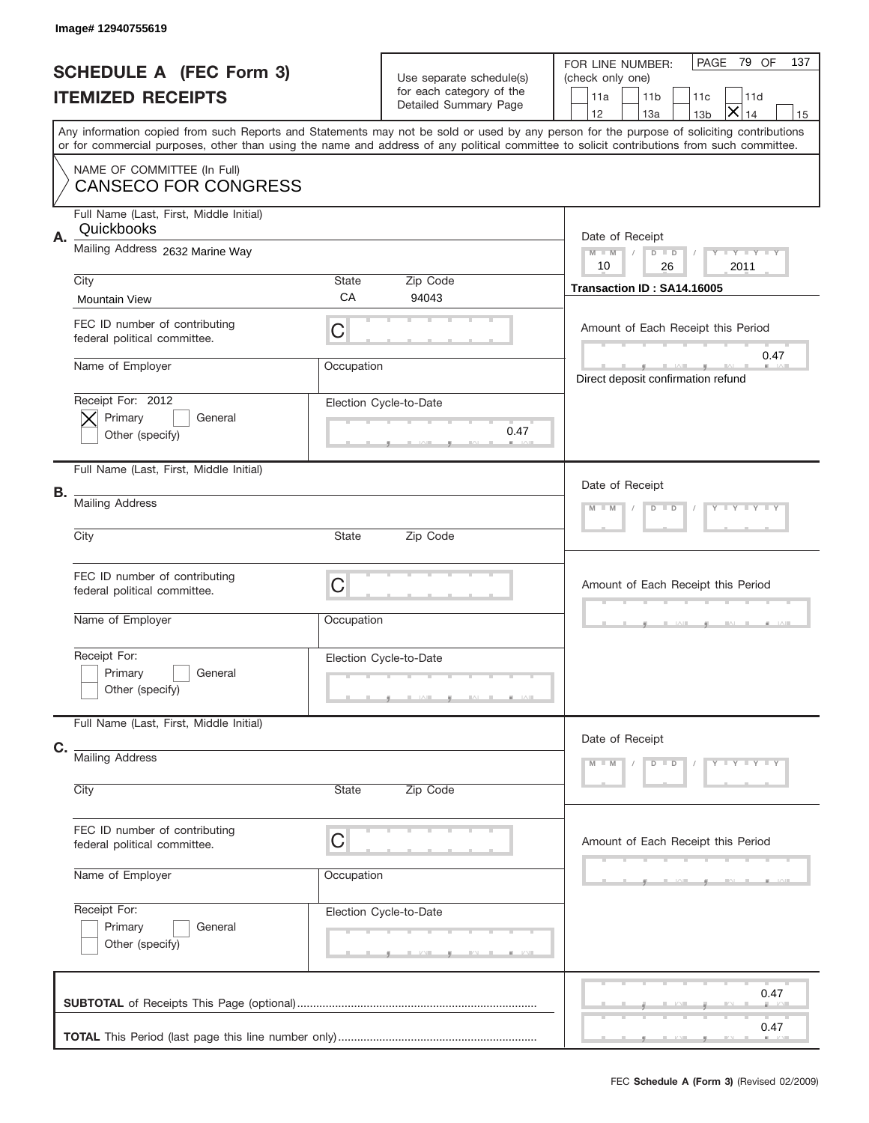|    | Image# 12940755619                                            |                   |                                                                               |                                                                                                                                                                                                                                                                                                                                                      |
|----|---------------------------------------------------------------|-------------------|-------------------------------------------------------------------------------|------------------------------------------------------------------------------------------------------------------------------------------------------------------------------------------------------------------------------------------------------------------------------------------------------------------------------------------------------|
|    | <b>SCHEDULE A (FEC Form 3)</b><br><b>ITEMIZED RECEIPTS</b>    |                   | Use separate schedule(s)<br>for each category of the<br>Detailed Summary Page | PAGE<br>79 OF<br>137<br>FOR LINE NUMBER:<br>(check only one)<br>11 <sub>b</sub><br>11a<br>11d<br>11c                                                                                                                                                                                                                                                 |
|    |                                                               |                   |                                                                               | $\bm{\times}$<br>12<br>13a<br>14<br>13 <sub>b</sub><br>15<br>Any information copied from such Reports and Statements may not be sold or used by any person for the purpose of soliciting contributions<br>or for commercial purposes, other than using the name and address of any political committee to solicit contributions from such committee. |
|    | NAME OF COMMITTEE (In Full)<br><b>CANSECO FOR CONGRESS</b>    |                   |                                                                               |                                                                                                                                                                                                                                                                                                                                                      |
| Α. | Full Name (Last, First, Middle Initial)<br>Quickbooks         |                   |                                                                               | Date of Receipt                                                                                                                                                                                                                                                                                                                                      |
|    | Mailing Address 2632 Marine Way                               |                   |                                                                               | Y TY TY TY<br>$M$ M<br>$D$ $D$<br>10<br>26<br>2011                                                                                                                                                                                                                                                                                                   |
|    | City<br><b>Mountain View</b>                                  | State<br>CA       | Zip Code<br>94043                                                             | Transaction ID: SA14.16005                                                                                                                                                                                                                                                                                                                           |
|    | FEC ID number of contributing<br>federal political committee. | C                 |                                                                               | Amount of Each Receipt this Period<br>0.47                                                                                                                                                                                                                                                                                                           |
|    | Name of Employer                                              | Occupation        |                                                                               | Direct deposit confirmation refund                                                                                                                                                                                                                                                                                                                   |
|    | Receipt For: 2012<br>Primary<br>General<br>Other (specify)    |                   | Election Cycle-to-Date<br>0.47                                                |                                                                                                                                                                                                                                                                                                                                                      |
|    | Full Name (Last, First, Middle Initial)                       |                   |                                                                               | Date of Receipt                                                                                                                                                                                                                                                                                                                                      |
| В. | <b>Mailing Address</b>                                        |                   |                                                                               | Y TY TY TY<br>$M - M$<br>$D$ $D$                                                                                                                                                                                                                                                                                                                     |
|    | City                                                          | State<br>Zip Code |                                                                               |                                                                                                                                                                                                                                                                                                                                                      |
|    | FEC ID number of contributing<br>federal political committee. | C                 |                                                                               | Amount of Each Receipt this Period                                                                                                                                                                                                                                                                                                                   |
|    | Name of Employer                                              | Occupation        |                                                                               |                                                                                                                                                                                                                                                                                                                                                      |
|    | Receipt For:<br>Primary<br>General<br>Other (specify)         |                   | Election Cycle-to-Date                                                        |                                                                                                                                                                                                                                                                                                                                                      |
|    | Full Name (Last, First, Middle Initial)                       |                   |                                                                               | Date of Receipt                                                                                                                                                                                                                                                                                                                                      |
| C. | <b>Mailing Address</b><br>City<br>Zip Code<br>State           |                   | $Y - Y - Y - Y - Y$<br>$M - M$<br>$D$ $D$                                     |                                                                                                                                                                                                                                                                                                                                                      |
|    |                                                               |                   |                                                                               |                                                                                                                                                                                                                                                                                                                                                      |
|    | FEC ID number of contributing<br>federal political committee. | C<br>Occupation   |                                                                               | Amount of Each Receipt this Period                                                                                                                                                                                                                                                                                                                   |
|    | Name of Employer                                              |                   |                                                                               |                                                                                                                                                                                                                                                                                                                                                      |
|    | Receipt For:<br>Primary<br>General<br>Other (specify)         |                   | Election Cycle-to-Date                                                        |                                                                                                                                                                                                                                                                                                                                                      |
|    |                                                               |                   |                                                                               | 0.47                                                                                                                                                                                                                                                                                                                                                 |
|    |                                                               |                   |                                                                               | 0.47                                                                                                                                                                                                                                                                                                                                                 |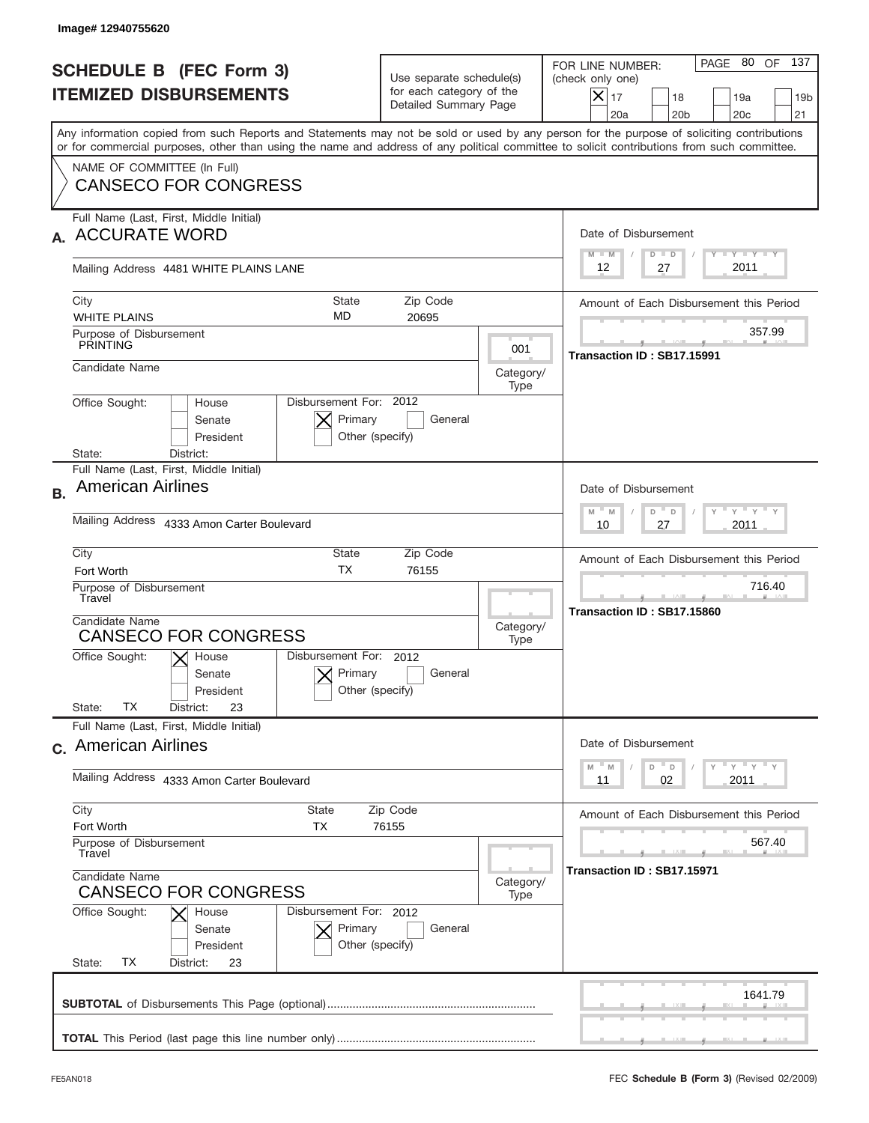|                                                                 | Image# 12940755620                                                                                                                                                                                                                                                                                                     |                                                                               |                   |                                                                                                                                                         |  |
|-----------------------------------------------------------------|------------------------------------------------------------------------------------------------------------------------------------------------------------------------------------------------------------------------------------------------------------------------------------------------------------------------|-------------------------------------------------------------------------------|-------------------|---------------------------------------------------------------------------------------------------------------------------------------------------------|--|
| <b>SCHEDULE B (FEC Form 3)</b><br><b>ITEMIZED DISBURSEMENTS</b> |                                                                                                                                                                                                                                                                                                                        | Use separate schedule(s)<br>for each category of the<br>Detailed Summary Page |                   | PAGE 80 OF<br>137<br>FOR LINE NUMBER:<br>(check only one)<br>$ \mathsf{X} _{17}$<br>18<br>19a<br>19 <sub>b</sub><br>20a<br>20 <sub>b</sub><br>20c<br>21 |  |
|                                                                 | Any information copied from such Reports and Statements may not be sold or used by any person for the purpose of soliciting contributions<br>or for commercial purposes, other than using the name and address of any political committee to solicit contributions from such committee.<br>NAME OF COMMITTEE (In Full) |                                                                               |                   |                                                                                                                                                         |  |
|                                                                 | <b>CANSECO FOR CONGRESS</b><br>Full Name (Last, First, Middle Initial)                                                                                                                                                                                                                                                 |                                                                               |                   |                                                                                                                                                         |  |
|                                                                 | <b>ACCURATE WORD</b>                                                                                                                                                                                                                                                                                                   |                                                                               |                   | Date of Disbursement<br>Y TY TY TY<br>$M - M$<br>$D$ $D$                                                                                                |  |
|                                                                 | Mailing Address 4481 WHITE PLAINS LANE                                                                                                                                                                                                                                                                                 |                                                                               |                   | 2011<br>12<br>27                                                                                                                                        |  |
|                                                                 | City<br><b>State</b><br><b>MD</b><br><b>WHITE PLAINS</b>                                                                                                                                                                                                                                                               | Zip Code<br>20695                                                             |                   | Amount of Each Disbursement this Period                                                                                                                 |  |
|                                                                 | Purpose of Disbursement<br><b>PRINTING</b>                                                                                                                                                                                                                                                                             |                                                                               | 001               | 357.99<br>Transaction ID: SB17.15991                                                                                                                    |  |
|                                                                 | Candidate Name                                                                                                                                                                                                                                                                                                         |                                                                               | Category/<br>Type |                                                                                                                                                         |  |
|                                                                 | Disbursement For: 2012<br>Office Sought:<br>House<br>Primary<br>Senate<br>President<br>Other (specify)<br>District:<br>State:                                                                                                                                                                                          | General                                                                       |                   |                                                                                                                                                         |  |
| <b>B.</b>                                                       | Full Name (Last, First, Middle Initial)<br><b>American Airlines</b>                                                                                                                                                                                                                                                    |                                                                               |                   | Date of Disbursement<br>ү " ү " ү " ү<br>$M - M$<br>D<br>$\Box$                                                                                         |  |
|                                                                 | Mailing Address 4333 Amon Carter Boulevard                                                                                                                                                                                                                                                                             |                                                                               |                   | 2011<br>10<br>27                                                                                                                                        |  |
|                                                                 | City<br>State<br><b>TX</b><br>Fort Worth                                                                                                                                                                                                                                                                               | Zip Code<br>76155                                                             |                   | Amount of Each Disbursement this Period                                                                                                                 |  |
|                                                                 | Purpose of Disbursement<br>Travel<br>Candidate Name<br><b>CANSECO FOR CONGRESS</b>                                                                                                                                                                                                                                     |                                                                               |                   | 716.40<br>Transaction ID: SB17.15860                                                                                                                    |  |
|                                                                 | Disbursement For: 2012<br>Office Sought:<br>$X$ House<br>Primary<br>Senate<br>Other (specify)<br>President<br>TX<br>State:<br>23<br>District:                                                                                                                                                                          | General                                                                       | Type              |                                                                                                                                                         |  |
|                                                                 | Full Name (Last, First, Middle Initial)<br>c. American Airlines                                                                                                                                                                                                                                                        |                                                                               |                   | Date of Disbursement                                                                                                                                    |  |
|                                                                 | Mailing Address 4333 Amon Carter Boulevard                                                                                                                                                                                                                                                                             |                                                                               |                   | $\gamma$ = $\gamma$ = $\gamma$ = $\gamma$<br>D<br>M<br>M<br>D<br>2011<br>02<br>11                                                                       |  |
|                                                                 | City<br>State<br>Zip Code<br>Fort Worth<br>ТX<br>76155<br>Purpose of Disbursement<br>Travel<br>Candidate Name<br>Category/<br><b>CANSECO FOR CONGRESS</b><br>Type                                                                                                                                                      |                                                                               |                   | Amount of Each Disbursement this Period<br>567.40                                                                                                       |  |
|                                                                 |                                                                                                                                                                                                                                                                                                                        |                                                                               |                   | Transaction ID: SB17.15971                                                                                                                              |  |
|                                                                 | Office Sought:<br>Disbursement For: 2012<br>House<br>Primary<br>Senate<br>Other (specify)<br>President<br>ТX<br>State:<br>District:<br>23                                                                                                                                                                              | General                                                                       |                   |                                                                                                                                                         |  |
|                                                                 |                                                                                                                                                                                                                                                                                                                        |                                                                               |                   | 1641.79                                                                                                                                                 |  |
|                                                                 |                                                                                                                                                                                                                                                                                                                        |                                                                               |                   |                                                                                                                                                         |  |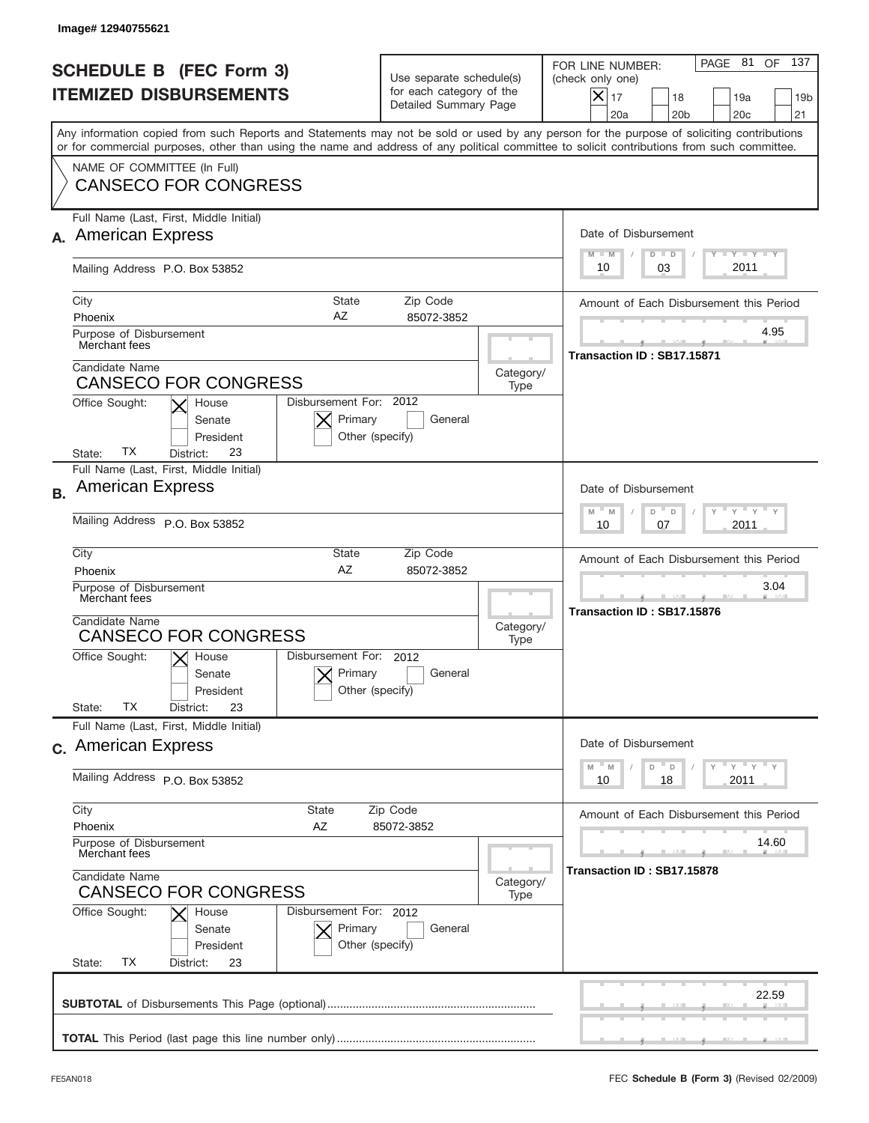|           | Image#12940755621                                                                                                                                                                                                                                                                       |                                                                               |                   |                                                                                                                                                                                 |
|-----------|-----------------------------------------------------------------------------------------------------------------------------------------------------------------------------------------------------------------------------------------------------------------------------------------|-------------------------------------------------------------------------------|-------------------|---------------------------------------------------------------------------------------------------------------------------------------------------------------------------------|
|           | <b>SCHEDULE B (FEC Form 3)</b><br><b>ITEMIZED DISBURSEMENTS</b>                                                                                                                                                                                                                         | Use separate schedule(s)<br>for each category of the<br>Detailed Summary Page |                   | 137<br>PAGE 81<br>OF<br>FOR LINE NUMBER:<br>(check only one)<br>$\vert\mathsf{X}\vert$<br>17<br>18<br>19a<br>19 <sub>b</sub><br>21<br>20a<br>20 <sub>b</sub><br>20 <sub>c</sub> |
|           | Any information copied from such Reports and Statements may not be sold or used by any person for the purpose of soliciting contributions<br>or for commercial purposes, other than using the name and address of any political committee to solicit contributions from such committee. |                                                                               |                   |                                                                                                                                                                                 |
|           | NAME OF COMMITTEE (In Full)<br><b>CANSECO FOR CONGRESS</b>                                                                                                                                                                                                                              |                                                                               |                   |                                                                                                                                                                                 |
|           | Full Name (Last, First, Middle Initial)<br><b>American Express</b>                                                                                                                                                                                                                      |                                                                               |                   | Date of Disbursement<br><b>TAYLY LY</b><br>$M - M$<br>$D$ $D$                                                                                                                   |
|           | Mailing Address P.O. Box 53852                                                                                                                                                                                                                                                          |                                                                               |                   | 2011<br>03<br>10                                                                                                                                                                |
|           | City<br><b>State</b><br>AZ<br>Phoenix                                                                                                                                                                                                                                                   | Zip Code<br>85072-3852                                                        |                   | Amount of Each Disbursement this Period<br>4.95                                                                                                                                 |
|           | Purpose of Disbursement<br>Merchant fees                                                                                                                                                                                                                                                |                                                                               |                   | Transaction ID: SB17.15871                                                                                                                                                      |
|           | Candidate Name<br><b>CANSECO FOR CONGRESS</b>                                                                                                                                                                                                                                           |                                                                               | Category/<br>Type |                                                                                                                                                                                 |
|           | Disbursement For: 2012<br>Office Sought:<br>House<br>Primary<br>Senate<br>President<br>Other (specify)<br>ТX<br>23<br>State:<br>District:                                                                                                                                               | General                                                                       |                   |                                                                                                                                                                                 |
| <b>B.</b> | Full Name (Last, First, Middle Initial)<br><b>American Express</b>                                                                                                                                                                                                                      |                                                                               |                   | Date of Disbursement                                                                                                                                                            |
|           | Mailing Address P.O. Box 53852                                                                                                                                                                                                                                                          |                                                                               |                   | $-\gamma + \gamma -$<br>$M - M$<br>D<br>$\Box$<br>2011<br>10<br>07                                                                                                              |
|           | City<br>State<br>AZ<br>Phoenix                                                                                                                                                                                                                                                          | Zip Code<br>85072-3852                                                        |                   | Amount of Each Disbursement this Period                                                                                                                                         |
|           | Purpose of Disbursement<br>Merchant fees                                                                                                                                                                                                                                                |                                                                               |                   | 3.04<br>Transaction ID: SB17.15876                                                                                                                                              |
|           | Candidate Name<br><b>CANSECO FOR CONGRESS</b>                                                                                                                                                                                                                                           | Category/<br>Type                                                             |                   |                                                                                                                                                                                 |
|           | Disbursement For: 2012<br>Office Sought:<br>$\times$ House<br>Primary<br>Senate<br>Other (specify)<br>President<br>ТX<br>State:<br>23<br>District:                                                                                                                                      | General                                                                       |                   |                                                                                                                                                                                 |
|           | Full Name (Last, First, Middle Initial)                                                                                                                                                                                                                                                 |                                                                               |                   |                                                                                                                                                                                 |
|           | c. American Express                                                                                                                                                                                                                                                                     |                                                                               |                   | Date of Disbursement<br>$\gamma$ = $\gamma$ = $\gamma$ = $\gamma$<br>M<br>D<br>M<br>D                                                                                           |
|           | Mailing Address P.O. Box 53852                                                                                                                                                                                                                                                          |                                                                               |                   | 2011<br>10<br>18                                                                                                                                                                |
|           | City<br>State<br>Phoenix<br>AZ                                                                                                                                                                                                                                                          | Zip Code<br>85072-3852                                                        |                   | Amount of Each Disbursement this Period                                                                                                                                         |
|           | Purpose of Disbursement<br>Merchant fees<br>Candidate Name<br>Category/<br><b>CANSECO FOR CONGRESS</b>                                                                                                                                                                                  |                                                                               |                   | 14.60<br>Transaction ID: SB17.15878                                                                                                                                             |
|           |                                                                                                                                                                                                                                                                                         |                                                                               |                   |                                                                                                                                                                                 |
|           | Office Sought:<br>Disbursement For: 2012<br>House<br>Primary<br>Senate<br>Other (specify)<br>President<br>ТX<br>State:<br>District:<br>23                                                                                                                                               | General                                                                       |                   |                                                                                                                                                                                 |
|           |                                                                                                                                                                                                                                                                                         |                                                                               |                   | 22.59                                                                                                                                                                           |
|           |                                                                                                                                                                                                                                                                                         |                                                                               |                   |                                                                                                                                                                                 |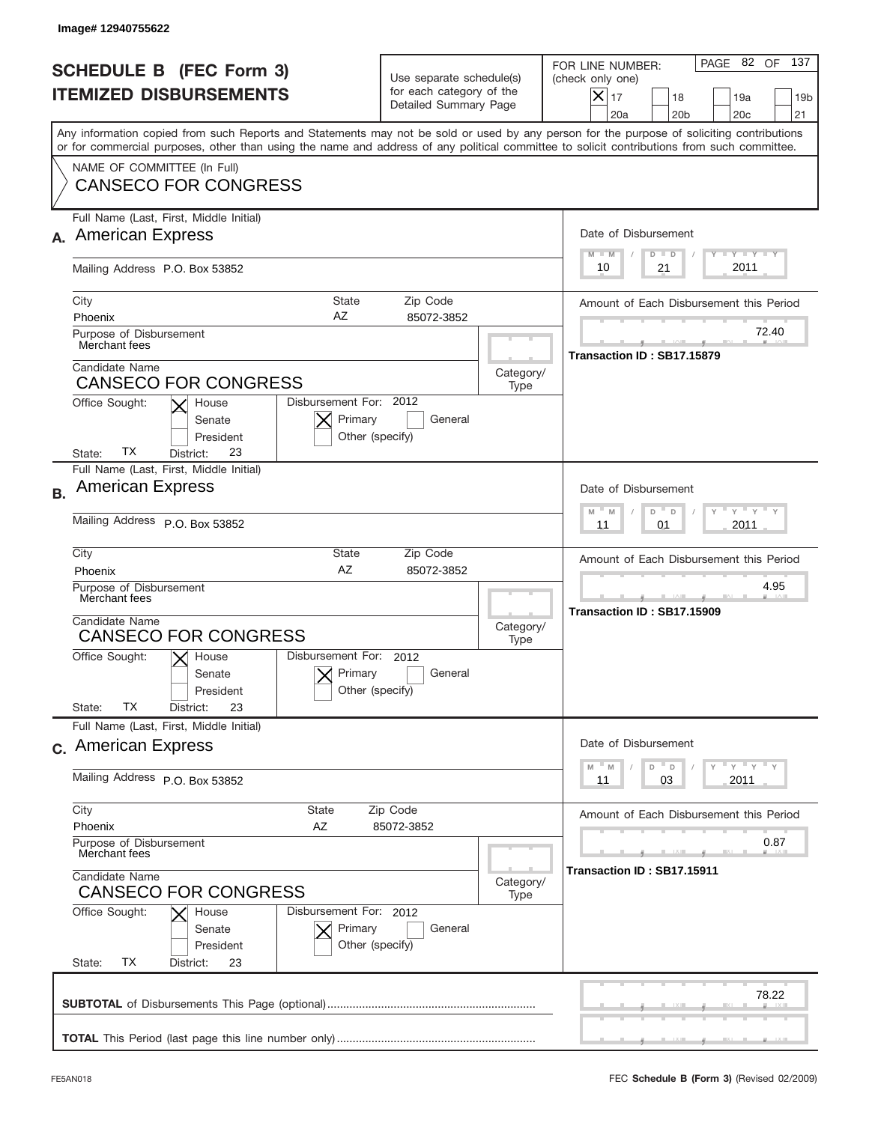|           | Image# 12940755622                                                                                                                                                                                                                                                                      |                                                                               |                   |                                                                                                                                                                |
|-----------|-----------------------------------------------------------------------------------------------------------------------------------------------------------------------------------------------------------------------------------------------------------------------------------------|-------------------------------------------------------------------------------|-------------------|----------------------------------------------------------------------------------------------------------------------------------------------------------------|
|           | <b>SCHEDULE B (FEC Form 3)</b><br><b>ITEMIZED DISBURSEMENTS</b>                                                                                                                                                                                                                         | Use separate schedule(s)<br>for each category of the<br>Detailed Summary Page |                   | 137<br>PAGE 82 OF<br>FOR LINE NUMBER:<br>(check only one)<br>$\times$<br>17<br>18<br>19a<br>19 <sub>b</sub><br>20 <sub>b</sub><br>20 <sub>c</sub><br>21<br>20a |
|           | Any information copied from such Reports and Statements may not be sold or used by any person for the purpose of soliciting contributions<br>or for commercial purposes, other than using the name and address of any political committee to solicit contributions from such committee. |                                                                               |                   |                                                                                                                                                                |
|           | NAME OF COMMITTEE (In Full)<br><b>CANSECO FOR CONGRESS</b>                                                                                                                                                                                                                              |                                                                               |                   |                                                                                                                                                                |
|           | Full Name (Last, First, Middle Initial)<br><b>American Express</b>                                                                                                                                                                                                                      |                                                                               |                   | Date of Disbursement<br>$T$ $Y$ $T$ $Y$ $T$ $Y$<br>$M - M$<br>$D$ $D$                                                                                          |
|           | Mailing Address P.O. Box 53852                                                                                                                                                                                                                                                          |                                                                               |                   | 2011<br>10<br>21                                                                                                                                               |
|           | City<br>State<br>AZ<br>Phoenix<br>Purpose of Disbursement                                                                                                                                                                                                                               | Zip Code<br>85072-3852                                                        |                   | Amount of Each Disbursement this Period<br>72.40                                                                                                               |
|           | Merchant fees<br>Candidate Name<br><b>CANSECO FOR CONGRESS</b>                                                                                                                                                                                                                          |                                                                               | Category/<br>Type | Transaction ID: SB17.15879                                                                                                                                     |
|           | Disbursement For: 2012<br>Office Sought:<br>House<br>Primary<br>Senate<br>Other (specify)<br>President<br>ТX<br>23<br>State:<br>District:                                                                                                                                               | General                                                                       |                   |                                                                                                                                                                |
| <b>B.</b> | Full Name (Last, First, Middle Initial)<br><b>American Express</b>                                                                                                                                                                                                                      |                                                                               |                   | Date of Disbursement<br>$M - M$<br>≡ γ ≡ γ =<br>D<br>$\Box$                                                                                                    |
|           | Mailing Address P.O. Box 53852                                                                                                                                                                                                                                                          |                                                                               |                   | 2011<br>11<br>01                                                                                                                                               |
|           | City<br>State<br>Zip Code<br>AZ<br>85072-3852<br>Phoenix<br>Purpose of Disbursement<br>Merchant fees<br>Candidate Name<br>Category/<br><b>CANSECO FOR CONGRESS</b><br>Type                                                                                                              |                                                                               |                   | Amount of Each Disbursement this Period<br>4.95                                                                                                                |
|           |                                                                                                                                                                                                                                                                                         |                                                                               |                   | Transaction ID: SB17.15909                                                                                                                                     |
|           | Disbursement For: 2012<br>Office Sought:<br>$\mathsf{X}$ House<br>Primary<br>Senate<br>Other (specify)<br>President<br>ТX<br>23<br>State:<br>District:                                                                                                                                  | General                                                                       |                   |                                                                                                                                                                |
|           | Full Name (Last, First, Middle Initial)<br>c. American Express                                                                                                                                                                                                                          |                                                                               |                   | Date of Disbursement                                                                                                                                           |
|           | Mailing Address P.O. Box 53852                                                                                                                                                                                                                                                          |                                                                               |                   | ү " ү " ү " ү<br>$-M$<br>D<br>M<br>D<br>2011<br>11<br>03                                                                                                       |
|           | City<br><b>State</b><br>Zip Code<br>Phoenix<br>AZ<br>85072-3852<br>Purpose of Disbursement<br>Merchant fees<br>Candidate Name<br>Category/<br><b>CANSECO FOR CONGRESS</b><br>Type                                                                                                       |                                                                               |                   | Amount of Each Disbursement this Period                                                                                                                        |
|           |                                                                                                                                                                                                                                                                                         |                                                                               |                   | 0.87<br>Transaction ID: SB17.15911                                                                                                                             |
|           | Office Sought:<br>Disbursement For: 2012<br>House<br>Primary<br>Senate<br>Other (specify)<br>President<br>ТX<br>State:<br>District:<br>23                                                                                                                                               | General                                                                       |                   |                                                                                                                                                                |
|           |                                                                                                                                                                                                                                                                                         |                                                                               |                   | 78.22                                                                                                                                                          |
|           |                                                                                                                                                                                                                                                                                         |                                                                               |                   |                                                                                                                                                                |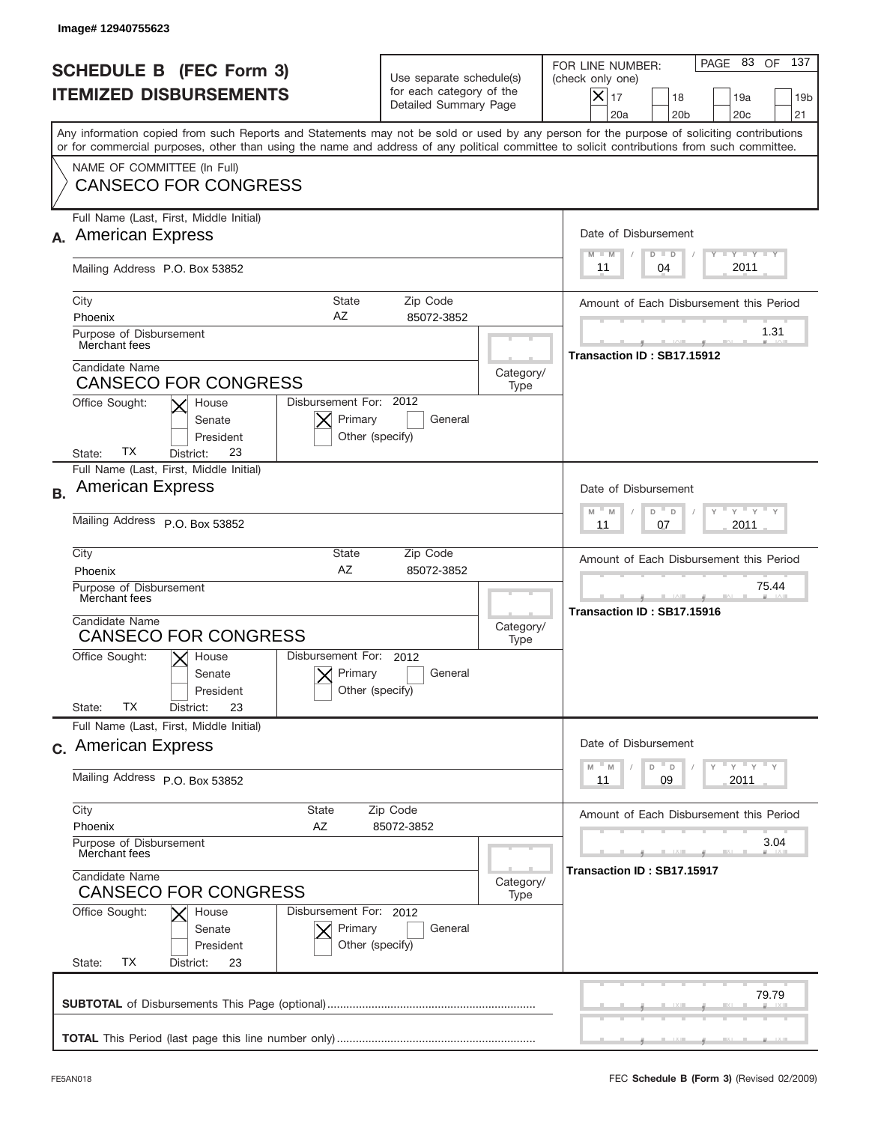|           | Image# 12940755623                                                                                                                                                                                                                                                                      |                                                                               |           |                                                                                                                                                                   |  |
|-----------|-----------------------------------------------------------------------------------------------------------------------------------------------------------------------------------------------------------------------------------------------------------------------------------------|-------------------------------------------------------------------------------|-----------|-------------------------------------------------------------------------------------------------------------------------------------------------------------------|--|
|           | <b>SCHEDULE B (FEC Form 3)</b><br><b>ITEMIZED DISBURSEMENTS</b>                                                                                                                                                                                                                         | Use separate schedule(s)<br>for each category of the<br>Detailed Summary Page |           | 137<br>PAGE 83<br>OF<br>FOR LINE NUMBER:<br>(check only one)<br>$\times$<br>17<br>18<br>19a<br>19 <sub>b</sub><br>20 <sub>b</sub><br>20 <sub>c</sub><br>21<br>20a |  |
|           | Any information copied from such Reports and Statements may not be sold or used by any person for the purpose of soliciting contributions<br>or for commercial purposes, other than using the name and address of any political committee to solicit contributions from such committee. |                                                                               |           |                                                                                                                                                                   |  |
|           | NAME OF COMMITTEE (In Full)<br><b>CANSECO FOR CONGRESS</b>                                                                                                                                                                                                                              |                                                                               |           |                                                                                                                                                                   |  |
|           | Full Name (Last, First, Middle Initial)                                                                                                                                                                                                                                                 |                                                                               |           |                                                                                                                                                                   |  |
|           | <b>American Express</b>                                                                                                                                                                                                                                                                 |                                                                               |           | Date of Disbursement                                                                                                                                              |  |
|           | Mailing Address P.O. Box 53852                                                                                                                                                                                                                                                          |                                                                               |           | $T - Y = T - Y$<br>$M - M$<br>$D$ $D$<br>2011<br>04<br>11                                                                                                         |  |
|           | City<br>State                                                                                                                                                                                                                                                                           | Zip Code                                                                      |           | Amount of Each Disbursement this Period                                                                                                                           |  |
|           | AZ<br>Phoenix<br>Purpose of Disbursement                                                                                                                                                                                                                                                | 85072-3852                                                                    |           | 1.31                                                                                                                                                              |  |
|           | Merchant fees                                                                                                                                                                                                                                                                           |                                                                               |           | Transaction ID: SB17.15912                                                                                                                                        |  |
|           | Candidate Name<br><b>CANSECO FOR CONGRESS</b>                                                                                                                                                                                                                                           |                                                                               | Category/ |                                                                                                                                                                   |  |
|           | Disbursement For: 2012<br>Office Sought:<br>House                                                                                                                                                                                                                                       |                                                                               | Type      |                                                                                                                                                                   |  |
|           | Primary<br>Senate<br>President<br>ТX<br>23<br>State:<br>District:                                                                                                                                                                                                                       | General<br>Other (specify)                                                    |           |                                                                                                                                                                   |  |
|           | Full Name (Last, First, Middle Initial)                                                                                                                                                                                                                                                 |                                                                               |           |                                                                                                                                                                   |  |
| <b>B.</b> | <b>American Express</b>                                                                                                                                                                                                                                                                 |                                                                               |           | Date of Disbursement                                                                                                                                              |  |
|           | Mailing Address P.O. Box 53852                                                                                                                                                                                                                                                          |                                                                               |           | $M - M$<br>≡ γ ≡ γ =<br>D<br>$\Box$<br>2011<br>11<br>07                                                                                                           |  |
|           | City<br>State                                                                                                                                                                                                                                                                           | Zip Code                                                                      |           | Amount of Each Disbursement this Period                                                                                                                           |  |
|           | AZ<br>85072-3852<br>Phoenix<br>Purpose of Disbursement<br>Merchant fees                                                                                                                                                                                                                 |                                                                               |           | 75.44                                                                                                                                                             |  |
|           |                                                                                                                                                                                                                                                                                         |                                                                               |           | Transaction ID: SB17.15916                                                                                                                                        |  |
|           | Candidate Name<br>Category/<br>Type                                                                                                                                                                                                                                                     |                                                                               |           |                                                                                                                                                                   |  |
|           | <b>CANSECO FOR CONGRESS</b><br>Disbursement For: 2012<br>Office Sought:<br>$\mathsf{X}$ House                                                                                                                                                                                           |                                                                               |           |                                                                                                                                                                   |  |
|           | Primary<br>Senate                                                                                                                                                                                                                                                                       | General                                                                       |           |                                                                                                                                                                   |  |
|           | Other (specify)<br>President<br>ТX                                                                                                                                                                                                                                                      |                                                                               |           |                                                                                                                                                                   |  |
|           | 23<br>State:<br>District:<br>Full Name (Last, First, Middle Initial)                                                                                                                                                                                                                    |                                                                               |           |                                                                                                                                                                   |  |
|           | c. American Express                                                                                                                                                                                                                                                                     |                                                                               |           | Date of Disbursement<br>ү " ү " ү " ү<br>$-M$<br>D<br>M                                                                                                           |  |
|           | Mailing Address P.O. Box 53852                                                                                                                                                                                                                                                          |                                                                               |           | D<br>2011<br>11<br>09                                                                                                                                             |  |
|           | City<br><b>State</b>                                                                                                                                                                                                                                                                    | Zip Code                                                                      |           | Amount of Each Disbursement this Period                                                                                                                           |  |
|           | Phoenix<br>AZ<br>Purpose of Disbursement                                                                                                                                                                                                                                                | 85072-3852                                                                    |           | 3.04                                                                                                                                                              |  |
|           | Merchant fees                                                                                                                                                                                                                                                                           |                                                                               |           | Transaction ID: SB17.15917                                                                                                                                        |  |
|           | Candidate Name<br>Category/<br><b>CANSECO FOR CONGRESS</b>                                                                                                                                                                                                                              |                                                                               |           |                                                                                                                                                                   |  |
|           | Type<br>Office Sought:<br>Disbursement For: 2012<br>House                                                                                                                                                                                                                               |                                                                               |           |                                                                                                                                                                   |  |
|           | Primary<br>Senate                                                                                                                                                                                                                                                                       | General                                                                       |           |                                                                                                                                                                   |  |
|           | Other (specify)<br>President<br>ТX<br>State:<br>District:<br>23                                                                                                                                                                                                                         |                                                                               |           |                                                                                                                                                                   |  |
|           |                                                                                                                                                                                                                                                                                         |                                                                               |           |                                                                                                                                                                   |  |
|           |                                                                                                                                                                                                                                                                                         |                                                                               |           | 79.79                                                                                                                                                             |  |
|           |                                                                                                                                                                                                                                                                                         |                                                                               |           |                                                                                                                                                                   |  |
|           |                                                                                                                                                                                                                                                                                         |                                                                               |           |                                                                                                                                                                   |  |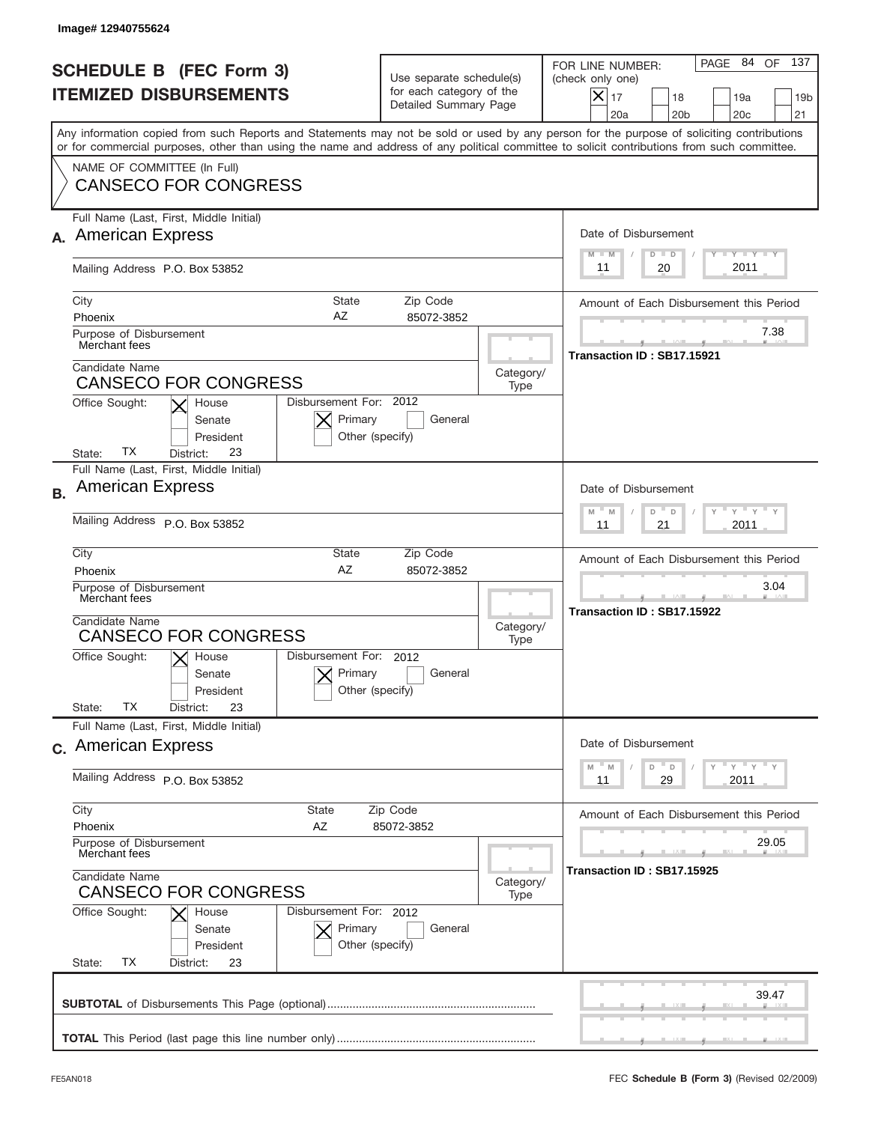|           | Image# 12940755624                                                                                                                                                                                                                                                                      |                                                                               |                   |                                                                                                                                                                   |
|-----------|-----------------------------------------------------------------------------------------------------------------------------------------------------------------------------------------------------------------------------------------------------------------------------------------|-------------------------------------------------------------------------------|-------------------|-------------------------------------------------------------------------------------------------------------------------------------------------------------------|
|           | <b>SCHEDULE B (FEC Form 3)</b><br><b>ITEMIZED DISBURSEMENTS</b>                                                                                                                                                                                                                         | Use separate schedule(s)<br>for each category of the<br>Detailed Summary Page |                   | 137<br>PAGE 84<br>OF<br>FOR LINE NUMBER:<br>(check only one)<br>$\times$<br>17<br>18<br>19a<br>19 <sub>b</sub><br>20 <sub>b</sub><br>20 <sub>c</sub><br>21<br>20a |
|           | Any information copied from such Reports and Statements may not be sold or used by any person for the purpose of soliciting contributions<br>or for commercial purposes, other than using the name and address of any political committee to solicit contributions from such committee. |                                                                               |                   |                                                                                                                                                                   |
|           | NAME OF COMMITTEE (In Full)<br><b>CANSECO FOR CONGRESS</b>                                                                                                                                                                                                                              |                                                                               |                   |                                                                                                                                                                   |
|           | Full Name (Last, First, Middle Initial)                                                                                                                                                                                                                                                 |                                                                               |                   |                                                                                                                                                                   |
|           | <b>American Express</b>                                                                                                                                                                                                                                                                 |                                                                               |                   | Date of Disbursement<br>$T$ $Y$ $T$ $Y$ $T$ $Y$<br>$M - M$<br>$D$ $D$                                                                                             |
|           | Mailing Address P.O. Box 53852                                                                                                                                                                                                                                                          |                                                                               |                   | 2011<br>20<br>11                                                                                                                                                  |
|           | City<br>State<br>AZ<br>Phoenix                                                                                                                                                                                                                                                          | Zip Code<br>85072-3852                                                        |                   | Amount of Each Disbursement this Period                                                                                                                           |
|           | Purpose of Disbursement<br>Merchant fees                                                                                                                                                                                                                                                |                                                                               |                   | 7.38                                                                                                                                                              |
|           | Candidate Name<br><b>CANSECO FOR CONGRESS</b>                                                                                                                                                                                                                                           |                                                                               | Category/<br>Type | Transaction ID: SB17.15921                                                                                                                                        |
|           | Disbursement For: 2012<br>Office Sought:<br>House<br>Primary<br>Senate<br>Other (specify)<br>President<br>ТX<br>23<br>State:<br>District:                                                                                                                                               | General                                                                       |                   |                                                                                                                                                                   |
| <b>B.</b> | Full Name (Last, First, Middle Initial)<br><b>American Express</b>                                                                                                                                                                                                                      |                                                                               |                   | Date of Disbursement                                                                                                                                              |
|           | Mailing Address P.O. Box 53852                                                                                                                                                                                                                                                          |                                                                               |                   | $M - M$<br>≡ γ ≡ γ =<br>D<br>$\Box$<br>2011<br>11<br>21                                                                                                           |
|           | City<br>State<br>AZ<br>Phoenix                                                                                                                                                                                                                                                          | Zip Code<br>85072-3852                                                        |                   | Amount of Each Disbursement this Period                                                                                                                           |
|           | Purpose of Disbursement<br>Merchant fees<br>Candidate Name                                                                                                                                                                                                                              |                                                                               |                   | 3.04<br>Transaction ID: SB17.15922                                                                                                                                |
|           | <b>CANSECO FOR CONGRESS</b>                                                                                                                                                                                                                                                             | Category/<br>Type                                                             |                   |                                                                                                                                                                   |
|           | Disbursement For: 2012<br>Office Sought:<br>$\mathsf{X}$ House<br>Primary<br>Senate<br>Other (specify)<br>President<br>ТX<br>23<br>State:<br>District:                                                                                                                                  | General                                                                       |                   |                                                                                                                                                                   |
|           | Full Name (Last, First, Middle Initial)                                                                                                                                                                                                                                                 |                                                                               |                   |                                                                                                                                                                   |
|           | c. American Express                                                                                                                                                                                                                                                                     |                                                                               |                   | Date of Disbursement<br>ү " ү " ү " ү<br>$-M$                                                                                                                     |
|           | Mailing Address P.O. Box 53852                                                                                                                                                                                                                                                          |                                                                               |                   | D<br>M<br>D<br>2011<br>11<br>29                                                                                                                                   |
|           | City<br><b>State</b><br>Phoenix<br>AZ                                                                                                                                                                                                                                                   | Zip Code<br>85072-3852                                                        |                   | Amount of Each Disbursement this Period                                                                                                                           |
|           | Purpose of Disbursement<br>Merchant fees                                                                                                                                                                                                                                                |                                                                               |                   | 29.05                                                                                                                                                             |
|           | Candidate Name<br>Category/<br><b>CANSECO FOR CONGRESS</b>                                                                                                                                                                                                                              |                                                                               |                   | Transaction ID: SB17.15925                                                                                                                                        |
|           | Office Sought:<br>Disbursement For: 2012<br>House<br>Primary<br>Senate<br>Other (specify)<br>President<br>ТX<br>State:<br>District:<br>23                                                                                                                                               | General                                                                       |                   |                                                                                                                                                                   |
|           |                                                                                                                                                                                                                                                                                         |                                                                               |                   | 39.47                                                                                                                                                             |
|           |                                                                                                                                                                                                                                                                                         |                                                                               |                   |                                                                                                                                                                   |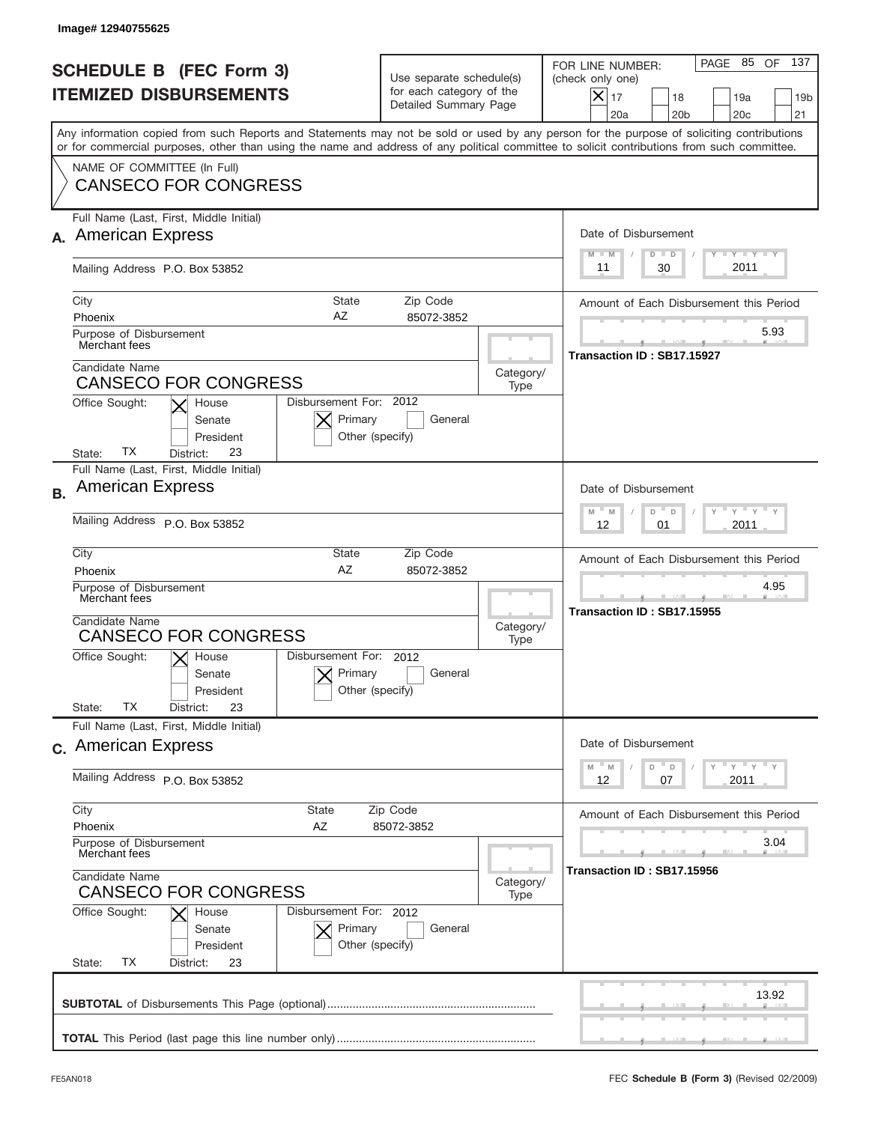|           | Image# 12940755625                                                                                                                                                                                                                                                                      |                                                                               |                   |                                                                                                                                                                   |
|-----------|-----------------------------------------------------------------------------------------------------------------------------------------------------------------------------------------------------------------------------------------------------------------------------------------|-------------------------------------------------------------------------------|-------------------|-------------------------------------------------------------------------------------------------------------------------------------------------------------------|
|           | <b>SCHEDULE B (FEC Form 3)</b><br><b>ITEMIZED DISBURSEMENTS</b>                                                                                                                                                                                                                         | Use separate schedule(s)<br>for each category of the<br>Detailed Summary Page |                   | 137<br>PAGE 85<br>OF<br>FOR LINE NUMBER:<br>(check only one)<br>$\times$<br>17<br>18<br>19a<br>19 <sub>b</sub><br>20 <sub>b</sub><br>20 <sub>c</sub><br>21<br>20a |
|           | Any information copied from such Reports and Statements may not be sold or used by any person for the purpose of soliciting contributions<br>or for commercial purposes, other than using the name and address of any political committee to solicit contributions from such committee. |                                                                               |                   |                                                                                                                                                                   |
|           | NAME OF COMMITTEE (In Full)<br><b>CANSECO FOR CONGRESS</b>                                                                                                                                                                                                                              |                                                                               |                   |                                                                                                                                                                   |
|           | Full Name (Last, First, Middle Initial)                                                                                                                                                                                                                                                 |                                                                               |                   |                                                                                                                                                                   |
|           | <b>American Express</b>                                                                                                                                                                                                                                                                 |                                                                               |                   | Date of Disbursement<br>$T$ $Y$ $T$ $Y$ $T$ $Y$<br>$M - M$<br>$D$ $D$                                                                                             |
|           | Mailing Address P.O. Box 53852                                                                                                                                                                                                                                                          |                                                                               |                   | 2011<br>30<br>11                                                                                                                                                  |
|           | City<br>State<br>AZ<br>Phoenix                                                                                                                                                                                                                                                          | Zip Code<br>85072-3852                                                        |                   | Amount of Each Disbursement this Period                                                                                                                           |
|           | Purpose of Disbursement<br>Merchant fees                                                                                                                                                                                                                                                |                                                                               |                   | 5.93<br>Transaction ID: SB17.15927                                                                                                                                |
|           | Candidate Name<br><b>CANSECO FOR CONGRESS</b>                                                                                                                                                                                                                                           |                                                                               | Category/<br>Type |                                                                                                                                                                   |
|           | Disbursement For: 2012<br>Office Sought:<br>House<br>Primary<br>Senate<br>Other (specify)<br>President<br>ТX<br>23<br>State:<br>District:                                                                                                                                               | General                                                                       |                   |                                                                                                                                                                   |
| <b>B.</b> | Full Name (Last, First, Middle Initial)<br><b>American Express</b>                                                                                                                                                                                                                      |                                                                               |                   | Date of Disbursement                                                                                                                                              |
|           | Mailing Address P.O. Box 53852                                                                                                                                                                                                                                                          |                                                                               |                   | $M - M$<br>≡ γ ≡ γ =<br>D<br>$\Box$<br>2011<br>12<br>01                                                                                                           |
|           | City<br>State<br>AZ<br>Phoenix                                                                                                                                                                                                                                                          | Zip Code<br>85072-3852                                                        |                   | Amount of Each Disbursement this Period                                                                                                                           |
|           | Purpose of Disbursement<br>Merchant fees<br>Candidate Name                                                                                                                                                                                                                              |                                                                               |                   | 4.95<br>Transaction ID: SB17.15955                                                                                                                                |
|           | <b>CANSECO FOR CONGRESS</b>                                                                                                                                                                                                                                                             |                                                                               | Category/<br>Type |                                                                                                                                                                   |
|           | Disbursement For: 2012<br>Office Sought:<br>$\mathsf{X}$ House<br>Primary<br>Senate<br>Other (specify)<br>President<br>ТX<br>23<br>State:<br>District:                                                                                                                                  | General                                                                       |                   |                                                                                                                                                                   |
|           | Full Name (Last, First, Middle Initial)                                                                                                                                                                                                                                                 |                                                                               |                   |                                                                                                                                                                   |
|           | c. American Express                                                                                                                                                                                                                                                                     |                                                                               |                   | Date of Disbursement                                                                                                                                              |
|           | Mailing Address P.O. Box 53852                                                                                                                                                                                                                                                          |                                                                               |                   | ү " ү " ү " ү<br>M<br>M<br>D<br>D<br>2011<br>12<br>07                                                                                                             |
|           | City<br><b>State</b><br>Phoenix<br>AZ                                                                                                                                                                                                                                                   | Zip Code<br>85072-3852                                                        |                   | Amount of Each Disbursement this Period                                                                                                                           |
|           | Purpose of Disbursement<br>Merchant fees<br>Candidate Name<br><b>CANSECO FOR CONGRESS</b>                                                                                                                                                                                               |                                                                               |                   | 3.04                                                                                                                                                              |
|           |                                                                                                                                                                                                                                                                                         |                                                                               |                   | Transaction ID: SB17.15956                                                                                                                                        |
|           | Office Sought:<br>Disbursement For: 2012<br>House<br>Primary<br>Senate<br>Other (specify)<br>President<br>ТX<br>State:<br>District:<br>23                                                                                                                                               | General                                                                       |                   |                                                                                                                                                                   |
|           |                                                                                                                                                                                                                                                                                         |                                                                               |                   | 13.92                                                                                                                                                             |
|           |                                                                                                                                                                                                                                                                                         |                                                                               |                   |                                                                                                                                                                   |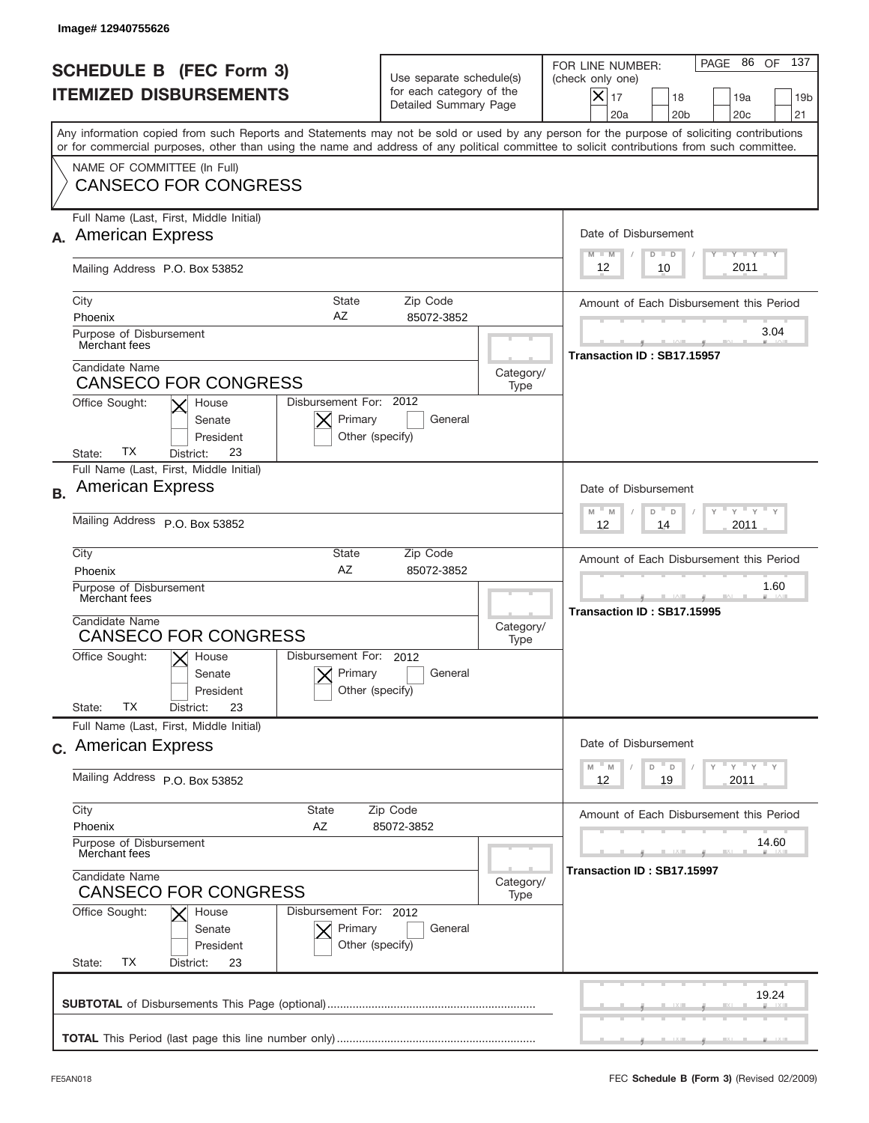|           | Image# 12940755626                                                                                                                                                                                                                                                                      |                                                                               |           |                                                                                                                                                                   |
|-----------|-----------------------------------------------------------------------------------------------------------------------------------------------------------------------------------------------------------------------------------------------------------------------------------------|-------------------------------------------------------------------------------|-----------|-------------------------------------------------------------------------------------------------------------------------------------------------------------------|
|           | <b>SCHEDULE B (FEC Form 3)</b><br><b>ITEMIZED DISBURSEMENTS</b>                                                                                                                                                                                                                         | Use separate schedule(s)<br>for each category of the<br>Detailed Summary Page |           | 137<br>PAGE 86<br>OF<br>FOR LINE NUMBER:<br>(check only one)<br>$\times$<br>17<br>18<br>19a<br>19 <sub>b</sub><br>20 <sub>b</sub><br>20 <sub>c</sub><br>21<br>20a |
|           | Any information copied from such Reports and Statements may not be sold or used by any person for the purpose of soliciting contributions<br>or for commercial purposes, other than using the name and address of any political committee to solicit contributions from such committee. |                                                                               |           |                                                                                                                                                                   |
|           | NAME OF COMMITTEE (In Full)<br><b>CANSECO FOR CONGRESS</b>                                                                                                                                                                                                                              |                                                                               |           |                                                                                                                                                                   |
|           | Full Name (Last, First, Middle Initial)                                                                                                                                                                                                                                                 |                                                                               |           |                                                                                                                                                                   |
|           | <b>American Express</b>                                                                                                                                                                                                                                                                 | Date of Disbursement                                                          |           |                                                                                                                                                                   |
|           | Mailing Address P.O. Box 53852                                                                                                                                                                                                                                                          |                                                                               |           | $T$ $Y$ $T$ $Y$ $T$ $Y$<br>$M - M$<br>$D$ $D$<br>2011<br>12<br>10                                                                                                 |
|           | City<br>State                                                                                                                                                                                                                                                                           | Zip Code                                                                      |           | Amount of Each Disbursement this Period                                                                                                                           |
|           | AZ<br>Phoenix                                                                                                                                                                                                                                                                           | 85072-3852                                                                    |           | 3.04                                                                                                                                                              |
|           | Purpose of Disbursement<br>Merchant fees                                                                                                                                                                                                                                                |                                                                               |           | Transaction ID: SB17.15957                                                                                                                                        |
|           | Candidate Name<br><b>CANSECO FOR CONGRESS</b>                                                                                                                                                                                                                                           |                                                                               | Category/ |                                                                                                                                                                   |
|           | Disbursement For: 2012<br>Office Sought:<br>House<br>Primary<br>Senate<br>Other (specify)<br>President<br>ТX<br>23<br>State:<br>District:                                                                                                                                               | Type<br>General                                                               |           |                                                                                                                                                                   |
| <b>B.</b> | Full Name (Last, First, Middle Initial)<br><b>American Express</b>                                                                                                                                                                                                                      |                                                                               |           | Date of Disbursement                                                                                                                                              |
|           | Mailing Address P.O. Box 53852                                                                                                                                                                                                                                                          |                                                                               |           | $M - M$<br>≡ γ ≡ γ =<br>D<br>D<br>2011<br>12<br>14                                                                                                                |
|           | City<br>State<br>AZ                                                                                                                                                                                                                                                                     | Zip Code                                                                      |           | Amount of Each Disbursement this Period                                                                                                                           |
|           | 85072-3852<br>Phoenix<br>Purpose of Disbursement<br>Merchant fees                                                                                                                                                                                                                       |                                                                               |           | 1.60<br>Transaction ID: SB17.15995                                                                                                                                |
|           | Candidate Name<br><b>CANSECO FOR CONGRESS</b>                                                                                                                                                                                                                                           |                                                                               |           |                                                                                                                                                                   |
|           | Type<br>Disbursement For: 2012<br>Office Sought:<br>$\mathsf{X}$ House<br>Primary<br>General<br>Senate<br>Other (specify)<br>President                                                                                                                                                  |                                                                               |           |                                                                                                                                                                   |
|           | ТX<br>23<br>State:<br>District:<br>Full Name (Last, First, Middle Initial)                                                                                                                                                                                                              |                                                                               |           |                                                                                                                                                                   |
|           | c. American Express                                                                                                                                                                                                                                                                     |                                                                               |           | Date of Disbursement<br>ү " ү " ү " ү<br>M<br>M<br>D                                                                                                              |
|           | Mailing Address P.O. Box 53852                                                                                                                                                                                                                                                          |                                                                               |           | D<br>2011<br>12<br>19                                                                                                                                             |
|           | City<br><b>State</b>                                                                                                                                                                                                                                                                    | Zip Code                                                                      |           | Amount of Each Disbursement this Period                                                                                                                           |
|           | Phoenix<br>AZ<br>85072-3852<br>Purpose of Disbursement<br>Merchant fees                                                                                                                                                                                                                 |                                                                               |           | 14.60                                                                                                                                                             |
|           | Candidate Name<br><b>CANSECO FOR CONGRESS</b>                                                                                                                                                                                                                                           |                                                                               |           | Transaction ID: SB17.15997                                                                                                                                        |
|           | Office Sought:<br>Disbursement For: 2012<br>House<br>Primary<br>Senate<br>Other (specify)<br>President<br>ТX<br>State:<br>District:<br>23                                                                                                                                               | General                                                                       | Type      |                                                                                                                                                                   |
|           |                                                                                                                                                                                                                                                                                         |                                                                               |           | 19.24                                                                                                                                                             |
|           |                                                                                                                                                                                                                                                                                         |                                                                               |           |                                                                                                                                                                   |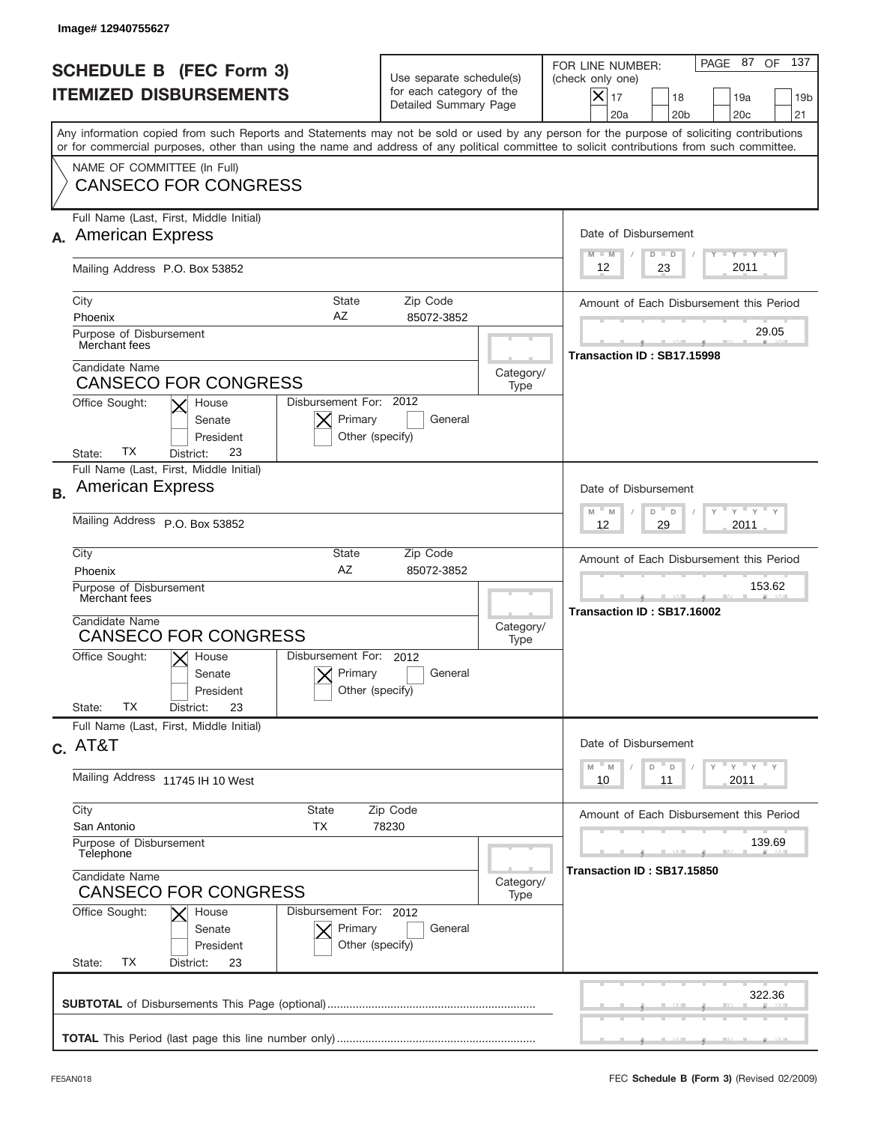|           | Image# 12940755627                                                                                                                                                                                                                                                                      |                                                                               |                   |                                                                                                                                                                   |
|-----------|-----------------------------------------------------------------------------------------------------------------------------------------------------------------------------------------------------------------------------------------------------------------------------------------|-------------------------------------------------------------------------------|-------------------|-------------------------------------------------------------------------------------------------------------------------------------------------------------------|
|           | <b>SCHEDULE B (FEC Form 3)</b><br><b>ITEMIZED DISBURSEMENTS</b>                                                                                                                                                                                                                         | Use separate schedule(s)<br>for each category of the<br>Detailed Summary Page |                   | 137<br>PAGE 87<br>OF<br>FOR LINE NUMBER:<br>(check only one)<br>$\times$<br>17<br>18<br>19a<br>19 <sub>b</sub><br>20a<br>20 <sub>b</sub><br>20 <sub>c</sub><br>21 |
|           | Any information copied from such Reports and Statements may not be sold or used by any person for the purpose of soliciting contributions<br>or for commercial purposes, other than using the name and address of any political committee to solicit contributions from such committee. |                                                                               |                   |                                                                                                                                                                   |
|           | NAME OF COMMITTEE (In Full)<br><b>CANSECO FOR CONGRESS</b>                                                                                                                                                                                                                              |                                                                               |                   |                                                                                                                                                                   |
|           | Full Name (Last, First, Middle Initial)<br><b>American Express</b>                                                                                                                                                                                                                      |                                                                               |                   | Date of Disbursement<br>$T$ $Y$ $T$ $Y$ $T$ $Y$<br>$M - M$<br>$D$ $D$                                                                                             |
|           | Mailing Address P.O. Box 53852                                                                                                                                                                                                                                                          | 2011<br>12<br>23                                                              |                   |                                                                                                                                                                   |
|           | City<br>State<br>AZ<br>Phoenix<br>Purpose of Disbursement                                                                                                                                                                                                                               | Zip Code<br>85072-3852                                                        |                   | Amount of Each Disbursement this Period<br>29.05                                                                                                                  |
|           | Merchant fees<br>Candidate Name                                                                                                                                                                                                                                                         |                                                                               |                   | Transaction ID: SB17.15998                                                                                                                                        |
|           | <b>CANSECO FOR CONGRESS</b><br>Disbursement For: 2012<br>Office Sought:<br>House                                                                                                                                                                                                        |                                                                               | Category/<br>Type |                                                                                                                                                                   |
|           | Primary<br>Senate<br>President<br>Other (specify)<br>ТX<br>23<br>State:<br>District:                                                                                                                                                                                                    | General                                                                       |                   |                                                                                                                                                                   |
| <b>B.</b> | Full Name (Last, First, Middle Initial)<br><b>American Express</b>                                                                                                                                                                                                                      |                                                                               |                   | Date of Disbursement                                                                                                                                              |
|           | Mailing Address P.O. Box 53852                                                                                                                                                                                                                                                          | $M - M$<br>≡ γ ≡ γ ≡<br>D<br>D<br>2011<br>12<br>29                            |                   |                                                                                                                                                                   |
|           | City<br>State<br>AZ<br>Phoenix                                                                                                                                                                                                                                                          | Zip Code<br>85072-3852                                                        |                   |                                                                                                                                                                   |
|           | Purpose of Disbursement<br>Merchant fees<br>Candidate Name                                                                                                                                                                                                                              |                                                                               |                   | 153.62<br>Transaction ID: SB17.16002                                                                                                                              |
|           | <b>CANSECO FOR CONGRESS</b>                                                                                                                                                                                                                                                             | Category/<br>Type                                                             |                   |                                                                                                                                                                   |
|           | Disbursement For: 2012<br>Office Sought:<br>$X$ House<br>Primary<br>Senate<br>Other (specify)<br>President<br><b>TX</b><br>23<br>State:<br>District:                                                                                                                                    | General                                                                       |                   |                                                                                                                                                                   |
|           | Full Name (Last, First, Middle Initial)                                                                                                                                                                                                                                                 |                                                                               |                   |                                                                                                                                                                   |
|           | $c.$ AT&T                                                                                                                                                                                                                                                                               |                                                                               |                   | Date of Disbursement<br>≡ γ ≡ γ ≡ γ<br>M<br>M<br>D<br>D                                                                                                           |
|           | Mailing Address 11745 IH 10 West                                                                                                                                                                                                                                                        |                                                                               |                   | 2011<br>10<br>11                                                                                                                                                  |
|           | City<br>State<br>San Antonio<br>ТX                                                                                                                                                                                                                                                      | Zip Code<br>78230                                                             |                   | Amount of Each Disbursement this Period                                                                                                                           |
|           | Purpose of Disbursement<br>Telephone<br>Candidate Name                                                                                                                                                                                                                                  |                                                                               |                   | 139.69<br>Transaction ID: SB17.15850                                                                                                                              |
|           | <b>CANSECO FOR CONGRESS</b><br>Disbursement For: 2012                                                                                                                                                                                                                                   |                                                                               |                   |                                                                                                                                                                   |
|           | Office Sought:<br>House<br>Primary<br>Senate<br>Other (specify)<br>President<br>ТX<br>State:<br>District:<br>23                                                                                                                                                                         | General                                                                       |                   |                                                                                                                                                                   |
|           |                                                                                                                                                                                                                                                                                         |                                                                               |                   | 322.36                                                                                                                                                            |
|           |                                                                                                                                                                                                                                                                                         |                                                                               |                   |                                                                                                                                                                   |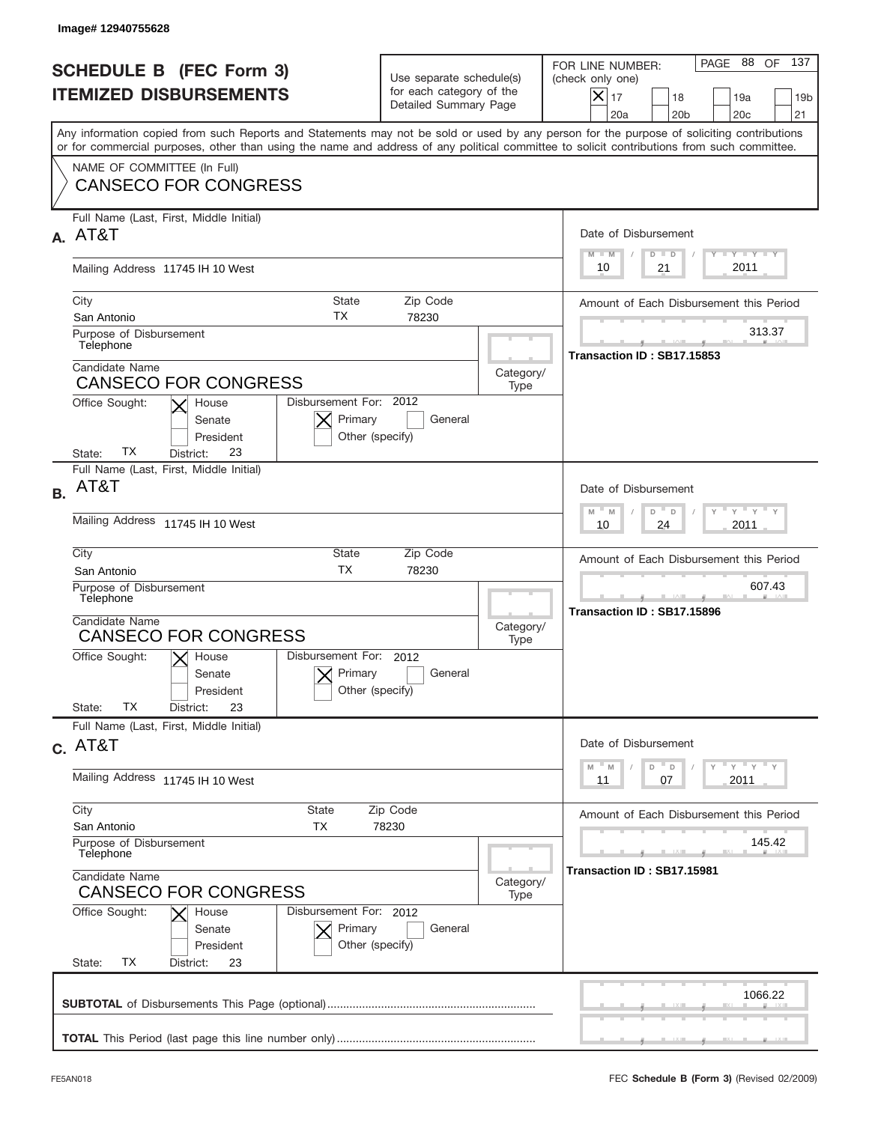|           | Image#12940755628                                                                                                                                                                                                                                                                                                                                        |                                                                               |                   |                                                                                                                                                              |
|-----------|----------------------------------------------------------------------------------------------------------------------------------------------------------------------------------------------------------------------------------------------------------------------------------------------------------------------------------------------------------|-------------------------------------------------------------------------------|-------------------|--------------------------------------------------------------------------------------------------------------------------------------------------------------|
|           | <b>SCHEDULE B (FEC Form 3)</b><br><b>ITEMIZED DISBURSEMENTS</b>                                                                                                                                                                                                                                                                                          | Use separate schedule(s)<br>for each category of the<br>Detailed Summary Page |                   | 137<br>PAGE 88<br>OF<br>FOR LINE NUMBER:<br>(check only one)<br>$X _{17}$<br>18<br>19a<br>19 <sub>b</sub><br>21<br>20a<br>20 <sub>b</sub><br>20 <sub>c</sub> |
|           | Any information copied from such Reports and Statements may not be sold or used by any person for the purpose of soliciting contributions<br>or for commercial purposes, other than using the name and address of any political committee to solicit contributions from such committee.                                                                  |                                                                               |                   |                                                                                                                                                              |
|           | NAME OF COMMITTEE (In Full)<br><b>CANSECO FOR CONGRESS</b>                                                                                                                                                                                                                                                                                               |                                                                               |                   |                                                                                                                                                              |
| А.        | Full Name (Last, First, Middle Initial)<br>AT&T                                                                                                                                                                                                                                                                                                          |                                                                               |                   | Date of Disbursement<br><b>THEY THEY</b><br>$M - M$<br>$D$ $D$                                                                                               |
|           | Mailing Address 11745 IH 10 West                                                                                                                                                                                                                                                                                                                         | 2011<br>10<br>21                                                              |                   |                                                                                                                                                              |
|           | City<br>State<br>ТX<br>San Antonio<br>Purpose of Disbursement<br>Telephone                                                                                                                                                                                                                                                                               | Zip Code<br>78230                                                             |                   | Amount of Each Disbursement this Period<br>313.37                                                                                                            |
|           | Candidate Name<br><b>CANSECO FOR CONGRESS</b><br>Disbursement For: 2012<br>Office Sought:<br>House                                                                                                                                                                                                                                                       |                                                                               | Category/<br>Type | Transaction ID: SB17.15853                                                                                                                                   |
|           | Primary<br>Senate<br>President<br>Other (specify)<br>ТX<br>23<br>State:<br>District:                                                                                                                                                                                                                                                                     | General                                                                       |                   |                                                                                                                                                              |
| <b>B.</b> | Full Name (Last, First, Middle Initial)<br>AT&T                                                                                                                                                                                                                                                                                                          |                                                                               |                   | Date of Disbursement<br>$\cdots$ $\gamma$ $\cdots$ $\gamma$ $\cdots$ $\gamma$                                                                                |
|           | Mailing Address 11745 IH 10 West                                                                                                                                                                                                                                                                                                                         |                                                                               |                   | $D$ $D$<br>$M - M$<br>2011<br>10<br>24                                                                                                                       |
|           | City<br>State<br>Zip Code<br><b>TX</b><br>San Antonio<br>78230<br>Purpose of Disbursement<br>Telephone<br>Candidate Name<br>Category/<br><b>CANSECO FOR CONGRESS</b><br>Type<br>Disbursement For: 2012<br>Office Sought:<br>$\mathsf{X}$ House<br>Primary<br>General<br>Senate<br>Other (specify)<br>President<br><b>TX</b><br>23<br>State:<br>District: |                                                                               |                   | Amount of Each Disbursement this Period                                                                                                                      |
|           |                                                                                                                                                                                                                                                                                                                                                          |                                                                               |                   | 607.43<br>Transaction ID: SB17.15896                                                                                                                         |
|           |                                                                                                                                                                                                                                                                                                                                                          |                                                                               |                   |                                                                                                                                                              |
|           | Full Name (Last, First, Middle Initial)<br>$c.$ AT&T                                                                                                                                                                                                                                                                                                     |                                                                               |                   | Date of Disbursement                                                                                                                                         |
|           | Mailing Address 11745 IH 10 West                                                                                                                                                                                                                                                                                                                         |                                                                               |                   | ү " ү " ү " ү<br>$-M$<br>M<br>D<br>$\mathsf D$<br>2011<br>11<br>07                                                                                           |
|           | City<br>State<br>Zip Code<br>San Antonio<br>ТX<br>78230                                                                                                                                                                                                                                                                                                  |                                                                               |                   | Amount of Each Disbursement this Period                                                                                                                      |
|           | Purpose of Disbursement<br>Telephone                                                                                                                                                                                                                                                                                                                     |                                                                               |                   | 145.42<br>Transaction ID: SB17.15981                                                                                                                         |
|           | Candidate Name<br><b>CANSECO FOR CONGRESS</b><br>Office Sought:<br>Disbursement For: 2012<br>House                                                                                                                                                                                                                                                       |                                                                               | Category/<br>Type |                                                                                                                                                              |
|           | Primary<br>Senate<br>President<br>ТX<br>State:<br>District:<br>23                                                                                                                                                                                                                                                                                        | General<br>Other (specify)                                                    |                   |                                                                                                                                                              |
|           |                                                                                                                                                                                                                                                                                                                                                          |                                                                               |                   | 1066.22                                                                                                                                                      |
|           |                                                                                                                                                                                                                                                                                                                                                          |                                                                               |                   |                                                                                                                                                              |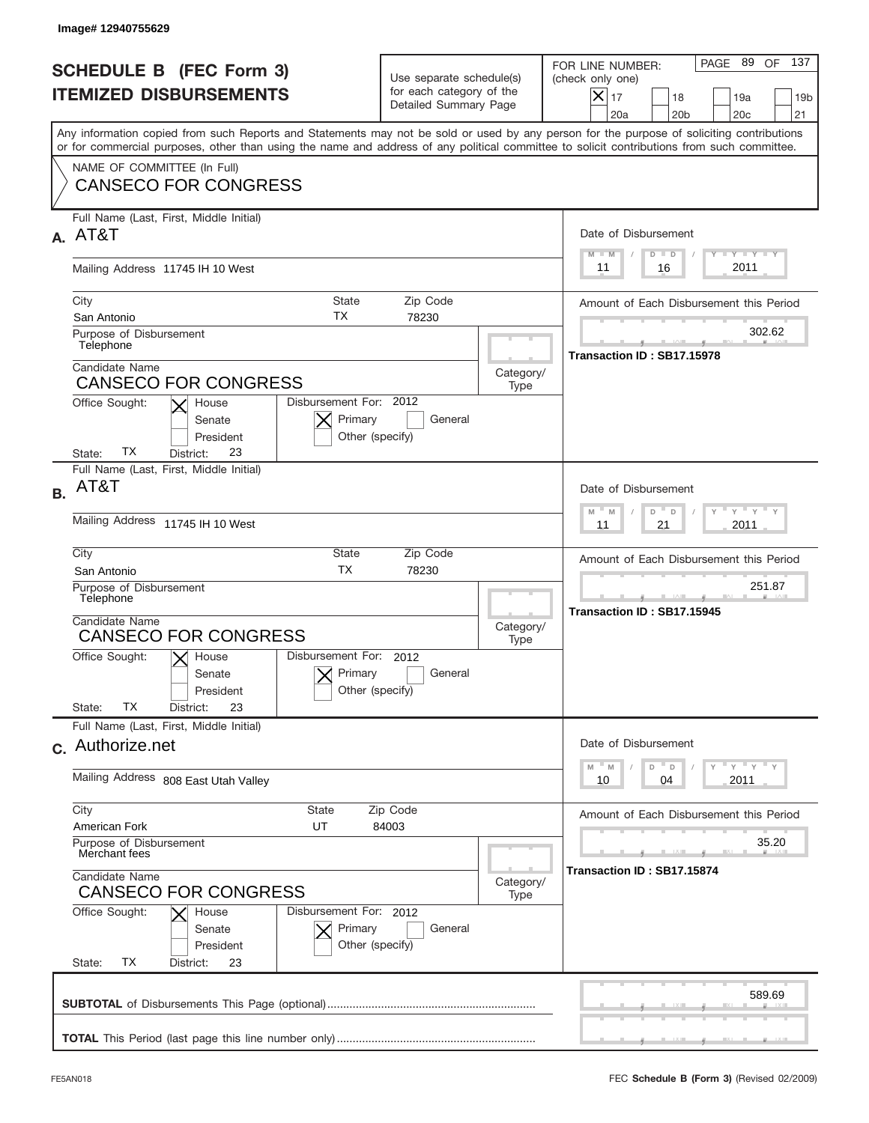|           | Image# 12940755629                                                                                                                                                                                                                                                                      |                                                                               |                   |                                                                                                                                                              |  |
|-----------|-----------------------------------------------------------------------------------------------------------------------------------------------------------------------------------------------------------------------------------------------------------------------------------------|-------------------------------------------------------------------------------|-------------------|--------------------------------------------------------------------------------------------------------------------------------------------------------------|--|
|           | <b>SCHEDULE B (FEC Form 3)</b><br><b>ITEMIZED DISBURSEMENTS</b>                                                                                                                                                                                                                         | Use separate schedule(s)<br>for each category of the<br>Detailed Summary Page |                   | 137<br>PAGE 89<br>OF<br>FOR LINE NUMBER:<br>(check only one)<br>$X _{17}$<br>18<br>19a<br>19 <sub>b</sub><br>21<br>20a<br>20 <sub>b</sub><br>20 <sub>c</sub> |  |
|           | Any information copied from such Reports and Statements may not be sold or used by any person for the purpose of soliciting contributions<br>or for commercial purposes, other than using the name and address of any political committee to solicit contributions from such committee. |                                                                               |                   |                                                                                                                                                              |  |
|           | NAME OF COMMITTEE (In Full)<br><b>CANSECO FOR CONGRESS</b>                                                                                                                                                                                                                              |                                                                               |                   |                                                                                                                                                              |  |
| А.        | Full Name (Last, First, Middle Initial)<br>AT&T                                                                                                                                                                                                                                         |                                                                               |                   | Date of Disbursement<br><b>THEY THEY</b><br>$M - M$<br>$D$ $D$                                                                                               |  |
|           | Mailing Address 11745 IH 10 West                                                                                                                                                                                                                                                        |                                                                               |                   | 2011<br>16<br>11                                                                                                                                             |  |
|           | City<br>State<br><b>TX</b><br>San Antonio<br>Purpose of Disbursement<br>Telephone                                                                                                                                                                                                       | Zip Code<br>78230                                                             |                   | Amount of Each Disbursement this Period<br>302.62                                                                                                            |  |
|           | Candidate Name<br><b>CANSECO FOR CONGRESS</b><br>Disbursement For: 2012<br>Office Sought:<br>House                                                                                                                                                                                      |                                                                               | Category/<br>Type | Transaction ID: SB17.15978                                                                                                                                   |  |
|           | Primary<br>Senate<br>President<br>Other (specify)<br>ТX<br>23<br>State:<br>District:                                                                                                                                                                                                    | General                                                                       |                   |                                                                                                                                                              |  |
| <b>B.</b> | Full Name (Last, First, Middle Initial)<br>AT&T                                                                                                                                                                                                                                         |                                                                               |                   | Date of Disbursement<br>$\cdots$ $\gamma$ $\cdots$ $\gamma$ $\cdots$ $\gamma$<br>$M - M$<br>D<br>$\Box$                                                      |  |
|           | Mailing Address 11745 IH 10 West                                                                                                                                                                                                                                                        |                                                                               |                   | 2011<br>11<br>21                                                                                                                                             |  |
|           | City<br>State<br><b>TX</b><br>San Antonio                                                                                                                                                                                                                                               | Zip Code<br>78230                                                             |                   |                                                                                                                                                              |  |
|           | Purpose of Disbursement<br>Telephone<br>Candidate Name                                                                                                                                                                                                                                  |                                                                               |                   | 251.87<br>Transaction ID: SB17.15945                                                                                                                         |  |
|           | <b>CANSECO FOR CONGRESS</b><br>Disbursement For: 2012                                                                                                                                                                                                                                   |                                                                               |                   |                                                                                                                                                              |  |
|           | Office Sought:<br>$\mathsf{X}$ House<br>Primary<br>Senate<br>Other (specify)<br>President<br>ТX<br>23<br>State:<br>District:                                                                                                                                                            | General                                                                       |                   |                                                                                                                                                              |  |
|           | Full Name (Last, First, Middle Initial)<br>c. Authorize.net                                                                                                                                                                                                                             |                                                                               |                   | Date of Disbursement                                                                                                                                         |  |
|           | Mailing Address 808 East Utah Valley                                                                                                                                                                                                                                                    |                                                                               |                   | ү " ү " ү " ү<br>$-M$<br>D<br>M<br>$\mathsf D$<br>2011<br>10<br>04                                                                                           |  |
|           | City<br>State<br>Zip Code<br>American Fork<br>UT<br>84003                                                                                                                                                                                                                               |                                                                               |                   | Amount of Each Disbursement this Period                                                                                                                      |  |
|           | Purpose of Disbursement<br>Merchant fees                                                                                                                                                                                                                                                |                                                                               |                   | 35.20                                                                                                                                                        |  |
|           | Candidate Name<br>Category/<br><b>CANSECO FOR CONGRESS</b><br>Type<br>Office Sought:<br>Disbursement For: 2012<br>House<br>Primary<br>General<br>Senate<br>Other (specify)<br>President<br>ТX<br>State:<br>District:<br>23                                                              |                                                                               |                   | Transaction ID: SB17.15874                                                                                                                                   |  |
|           |                                                                                                                                                                                                                                                                                         |                                                                               |                   |                                                                                                                                                              |  |
|           |                                                                                                                                                                                                                                                                                         |                                                                               |                   | 589.69                                                                                                                                                       |  |
|           |                                                                                                                                                                                                                                                                                         |                                                                               |                   |                                                                                                                                                              |  |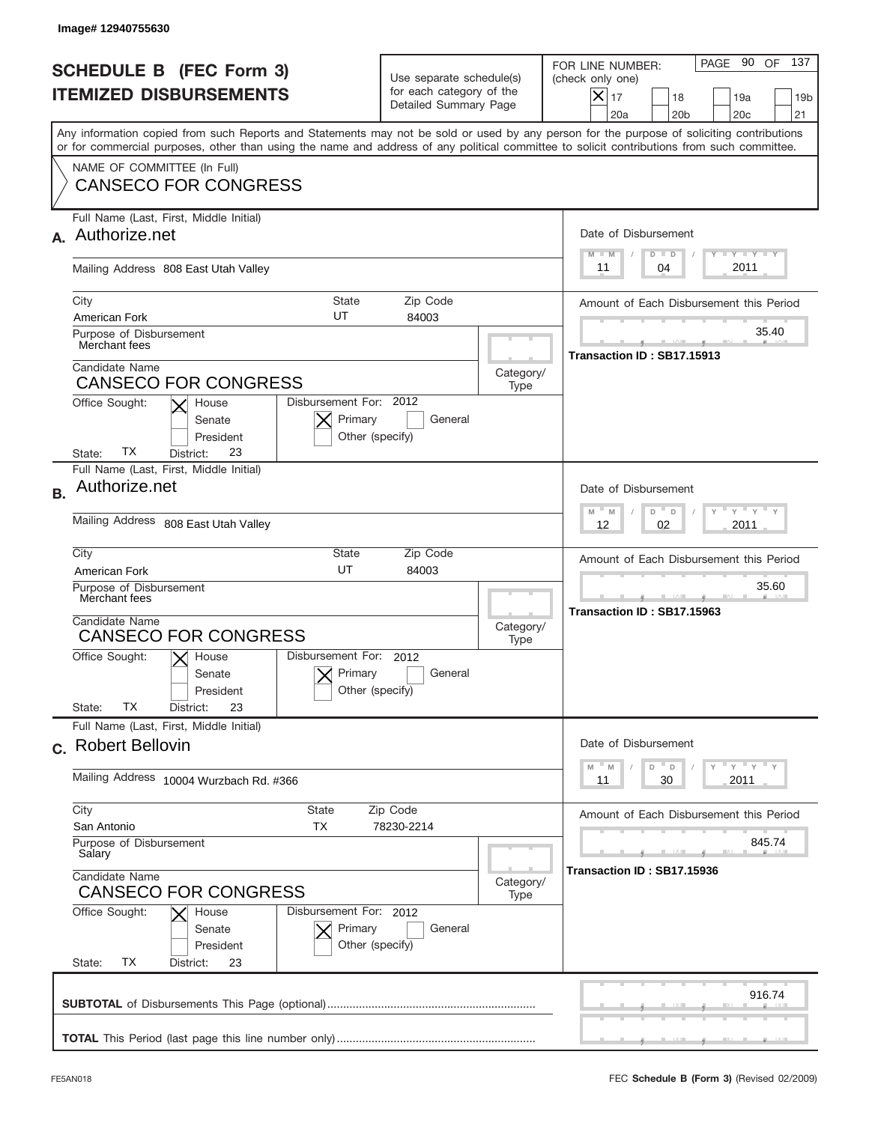| Image# 12940755630                                                                                                         |                                                                                                                                                                                                                                                                                         |                                         |                                                                                                                                                                   |  |  |
|----------------------------------------------------------------------------------------------------------------------------|-----------------------------------------------------------------------------------------------------------------------------------------------------------------------------------------------------------------------------------------------------------------------------------------|-----------------------------------------|-------------------------------------------------------------------------------------------------------------------------------------------------------------------|--|--|
| <b>SCHEDULE B (FEC Form 3)</b><br><b>ITEMIZED DISBURSEMENTS</b>                                                            | Use separate schedule(s)<br>for each category of the<br>Detailed Summary Page                                                                                                                                                                                                           |                                         | 137<br>PAGE 90<br>OF<br>FOR LINE NUMBER:<br>(check only one)<br>$\times$<br>17<br>18<br>19a<br>19 <sub>b</sub><br>20a<br>20 <sub>b</sub><br>20 <sub>c</sub><br>21 |  |  |
|                                                                                                                            | Any information copied from such Reports and Statements may not be sold or used by any person for the purpose of soliciting contributions<br>or for commercial purposes, other than using the name and address of any political committee to solicit contributions from such committee. |                                         |                                                                                                                                                                   |  |  |
| NAME OF COMMITTEE (In Full)<br><b>CANSECO FOR CONGRESS</b>                                                                 |                                                                                                                                                                                                                                                                                         |                                         |                                                                                                                                                                   |  |  |
| Full Name (Last, First, Middle Initial)                                                                                    |                                                                                                                                                                                                                                                                                         |                                         |                                                                                                                                                                   |  |  |
| Authorize.net                                                                                                              |                                                                                                                                                                                                                                                                                         |                                         | Date of Disbursement<br>$T - Y$ $T - Y$ $T - Y$<br>$M - M$<br>$D$ $D$                                                                                             |  |  |
| Mailing Address 808 East Utah Valley                                                                                       |                                                                                                                                                                                                                                                                                         |                                         | 2011<br>04<br>11                                                                                                                                                  |  |  |
| City<br><b>State</b><br>UT<br>American Fork                                                                                | Zip Code<br>84003                                                                                                                                                                                                                                                                       |                                         | Amount of Each Disbursement this Period                                                                                                                           |  |  |
| Purpose of Disbursement<br>Merchant fees                                                                                   |                                                                                                                                                                                                                                                                                         |                                         | 35.40<br>Transaction ID: SB17.15913                                                                                                                               |  |  |
| Candidate Name<br><b>CANSECO FOR CONGRESS</b>                                                                              |                                                                                                                                                                                                                                                                                         | Category/<br>Type                       |                                                                                                                                                                   |  |  |
| Disbursement For: 2012<br>Office Sought:<br>House<br>Primary<br>Senate<br>President<br>ТX<br>23<br>State:<br>District:     | General<br>Other (specify)                                                                                                                                                                                                                                                              |                                         |                                                                                                                                                                   |  |  |
| Full Name (Last, First, Middle Initial)<br>Authorize.net<br><b>B.</b>                                                      |                                                                                                                                                                                                                                                                                         |                                         | Date of Disbursement                                                                                                                                              |  |  |
| Mailing Address 808 East Utah Valley                                                                                       | $M - M$<br>≡ γ ≡ γ ≡<br>D<br>$\Box$<br>2011<br>12<br>02                                                                                                                                                                                                                                 |                                         |                                                                                                                                                                   |  |  |
| City<br>State<br>UT<br>American Fork                                                                                       |                                                                                                                                                                                                                                                                                         | Amount of Each Disbursement this Period |                                                                                                                                                                   |  |  |
| Purpose of Disbursement<br>Merchant fees                                                                                   |                                                                                                                                                                                                                                                                                         |                                         | 35.60<br>Transaction ID: SB17.15963                                                                                                                               |  |  |
| <b>CANSECO FOR CONGRESS</b>                                                                                                | Candidate Name<br>Category/<br>Type                                                                                                                                                                                                                                                     |                                         |                                                                                                                                                                   |  |  |
| Disbursement For: 2012<br>Office Sought:<br>$X$ House<br>Primary<br>Senate<br>President<br>ТX<br>State:<br>23<br>District: | General<br>Other (specify)                                                                                                                                                                                                                                                              |                                         |                                                                                                                                                                   |  |  |
| Full Name (Last, First, Middle Initial)                                                                                    |                                                                                                                                                                                                                                                                                         |                                         |                                                                                                                                                                   |  |  |
| c. Robert Bellovin                                                                                                         |                                                                                                                                                                                                                                                                                         |                                         | Date of Disbursement                                                                                                                                              |  |  |
| Mailing Address 10004 Wurzbach Rd. #366                                                                                    |                                                                                                                                                                                                                                                                                         |                                         | ≡ү ≡ү ≡ү<br>$-M$<br>D<br>M<br>D<br>2011<br>11<br>30                                                                                                               |  |  |
| City<br>State<br><b>TX</b><br>San Antonio                                                                                  | Zip Code<br>78230-2214                                                                                                                                                                                                                                                                  |                                         | Amount of Each Disbursement this Period                                                                                                                           |  |  |
| Purpose of Disbursement<br>Salary                                                                                          |                                                                                                                                                                                                                                                                                         |                                         | 845.74                                                                                                                                                            |  |  |
| Candidate Name<br><b>CANSECO FOR CONGRESS</b>                                                                              |                                                                                                                                                                                                                                                                                         | Category/<br>Type                       | Transaction ID: SB17.15936                                                                                                                                        |  |  |
| Office Sought:<br>House<br>Senate<br>President<br>ТX<br>State:<br>District:<br>23                                          | Disbursement For: 2012<br>Primary<br>General<br>Other (specify)                                                                                                                                                                                                                         |                                         |                                                                                                                                                                   |  |  |
|                                                                                                                            |                                                                                                                                                                                                                                                                                         |                                         | 916.74                                                                                                                                                            |  |  |
|                                                                                                                            |                                                                                                                                                                                                                                                                                         |                                         |                                                                                                                                                                   |  |  |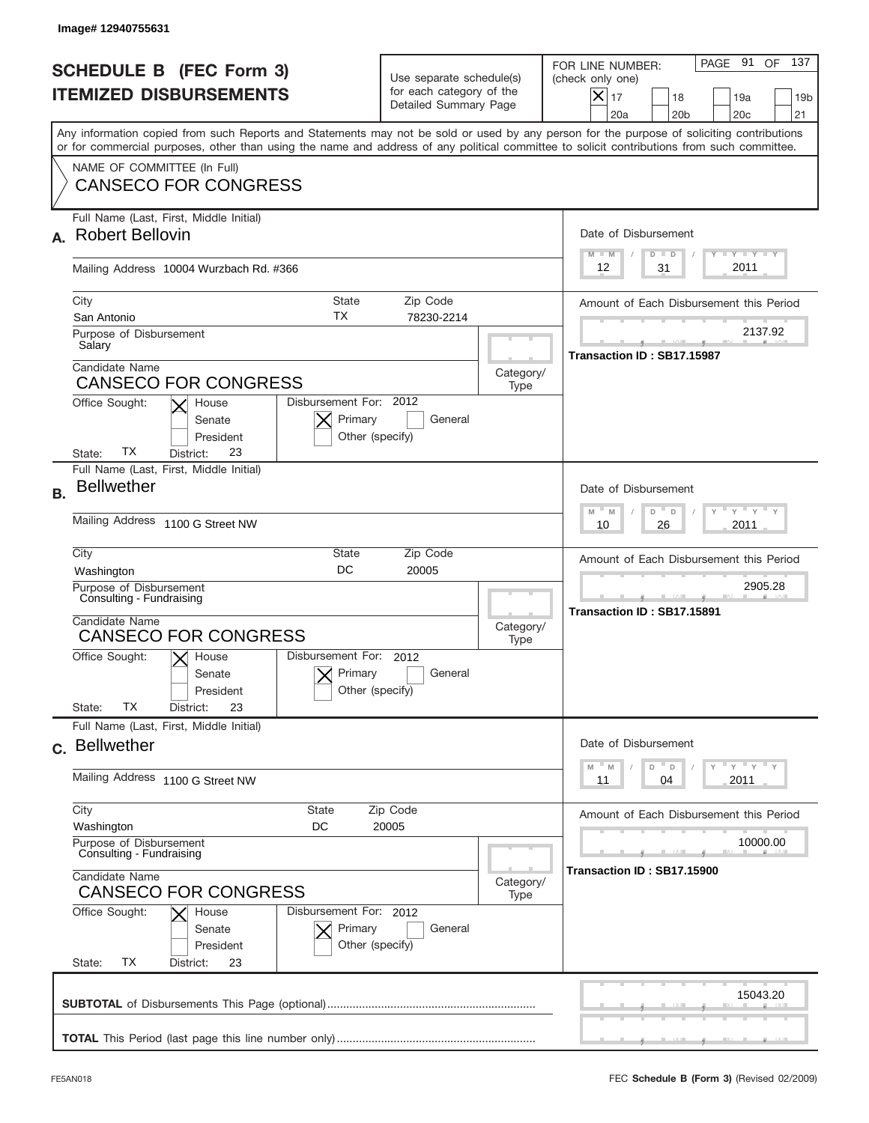|           | Image#12940755631                                                                                                                                                                                                                                                                                          |                                                                               |                   |                                                                                                                                                                   |
|-----------|------------------------------------------------------------------------------------------------------------------------------------------------------------------------------------------------------------------------------------------------------------------------------------------------------------|-------------------------------------------------------------------------------|-------------------|-------------------------------------------------------------------------------------------------------------------------------------------------------------------|
|           | <b>SCHEDULE B (FEC Form 3)</b><br><b>ITEMIZED DISBURSEMENTS</b>                                                                                                                                                                                                                                            | Use separate schedule(s)<br>for each category of the<br>Detailed Summary Page |                   | 137<br>PAGE 91<br>OF<br>FOR LINE NUMBER:<br>(check only one)<br>$\times$<br>17<br>18<br>19a<br>19 <sub>b</sub><br>20a<br>20 <sub>b</sub><br>20 <sub>c</sub><br>21 |
|           | Any information copied from such Reports and Statements may not be sold or used by any person for the purpose of soliciting contributions<br>or for commercial purposes, other than using the name and address of any political committee to solicit contributions from such committee.                    |                                                                               |                   |                                                                                                                                                                   |
|           | NAME OF COMMITTEE (In Full)<br><b>CANSECO FOR CONGRESS</b>                                                                                                                                                                                                                                                 |                                                                               |                   |                                                                                                                                                                   |
|           | Full Name (Last, First, Middle Initial)<br><b>Robert Bellovin</b>                                                                                                                                                                                                                                          |                                                                               |                   | Date of Disbursement<br>$T$ $Y$ $T$ $Y$ $T$ $Y$<br>$M - M$<br>$D$ $D$                                                                                             |
|           | Mailing Address 10004 Wurzbach Rd. #366                                                                                                                                                                                                                                                                    |                                                                               |                   | 2011<br>31<br>12                                                                                                                                                  |
|           | City<br><b>State</b><br>TX<br>San Antonio<br>Purpose of Disbursement<br>Salary                                                                                                                                                                                                                             | Zip Code<br>78230-2214                                                        |                   | Amount of Each Disbursement this Period<br>2137.92<br>Transaction ID: SB17.15987                                                                                  |
|           | Candidate Name<br><b>CANSECO FOR CONGRESS</b><br>Disbursement For: 2012<br>Office Sought:<br>House<br>Primary<br>Senate<br>President<br>Other (specify)                                                                                                                                                    |                                                                               |                   |                                                                                                                                                                   |
| <b>B.</b> | ТX<br>23<br>State:<br>District:<br>Full Name (Last, First, Middle Initial)<br><b>Bellwether</b><br>Mailing Address 1100 G Street NW                                                                                                                                                                        |                                                                               |                   | Date of Disbursement<br>$M - M$<br>≡ γ ≡ γ =<br>D<br>D<br>2011<br>10<br>26                                                                                        |
|           | City<br>State<br><b>DC</b><br>Washington<br>Purpose of Disbursement<br>Consulting - Fundraising<br>Candidate Name<br><b>CANSECO FOR CONGRESS</b><br>Disbursement For: 2012<br>Office Sought:<br>$\mathsf{X}$ House<br>Primary<br>Senate<br>Other (specify)<br>President<br>ТX<br>23<br>State:<br>District: | Zip Code<br>20005<br>General                                                  | Category/<br>Type | Amount of Each Disbursement this Period<br>2905.28<br>Transaction ID: SB17.15891                                                                                  |
|           | Full Name (Last, First, Middle Initial)<br>c. Bellwether                                                                                                                                                                                                                                                   |                                                                               |                   | Date of Disbursement<br>≡ γ ≡ γ ≡ γ<br>$-M$<br>D<br>M<br>D                                                                                                        |
|           | Mailing Address 1100 G Street NW                                                                                                                                                                                                                                                                           |                                                                               |                   | 2011<br>11<br>04                                                                                                                                                  |
|           | City<br><b>State</b><br>Washington<br>DC<br>Purpose of Disbursement<br>Consulting - Fundraising<br>Candidate Name<br><b>CANSECO FOR CONGRESS</b><br>Office Sought:<br>Disbursement For: 2012<br>House<br>Primary<br>Senate<br>Other (specify)<br>President<br>ТX<br>State:<br>District:<br>23              | Zip Code<br>20005<br>General                                                  | Category/<br>Type | Amount of Each Disbursement this Period<br>10000.00<br>Transaction ID: SB17.15900                                                                                 |
|           |                                                                                                                                                                                                                                                                                                            |                                                                               |                   | 15043.20                                                                                                                                                          |
|           |                                                                                                                                                                                                                                                                                                            |                                                                               |                   |                                                                                                                                                                   |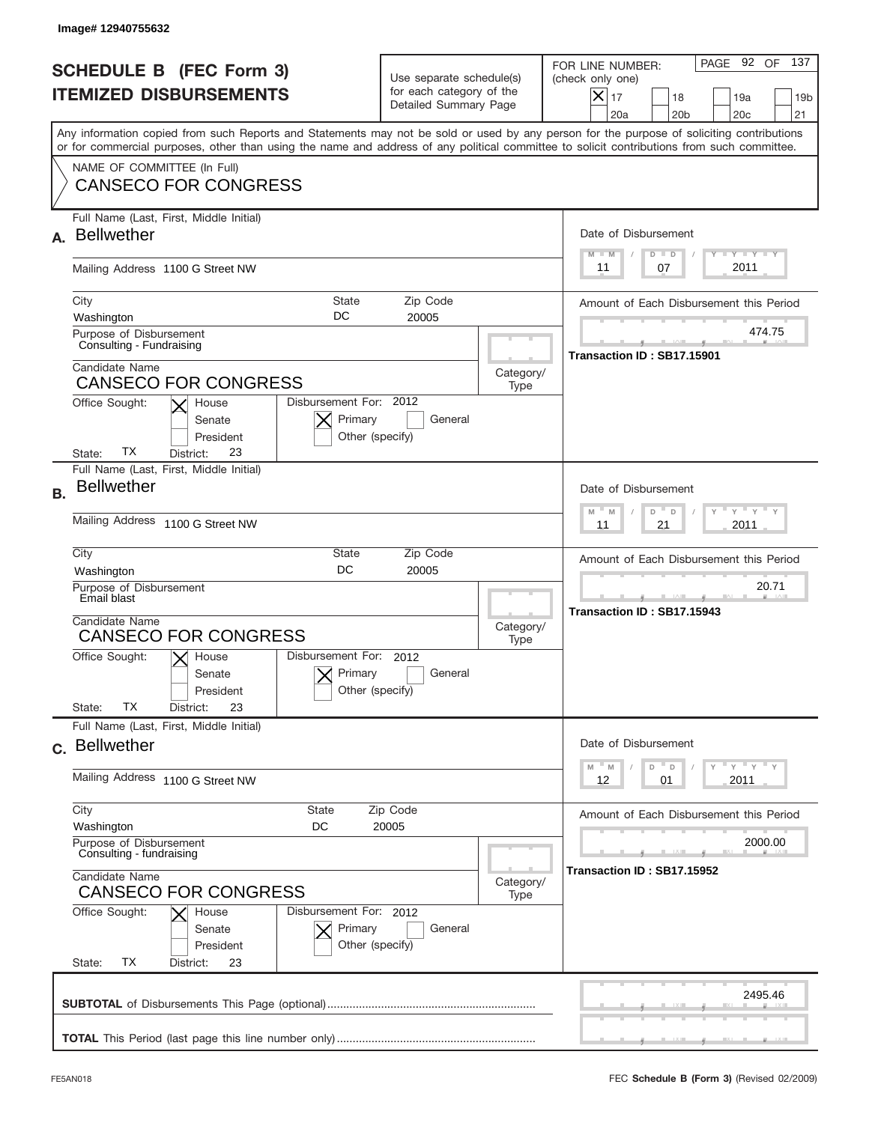| Image# 12940755632                                                                                                                                                                                                                                                                      |                                                                               |                                       |                                                                                                                                                                |
|-----------------------------------------------------------------------------------------------------------------------------------------------------------------------------------------------------------------------------------------------------------------------------------------|-------------------------------------------------------------------------------|---------------------------------------|----------------------------------------------------------------------------------------------------------------------------------------------------------------|
| <b>SCHEDULE B (FEC Form 3)</b><br><b>ITEMIZED DISBURSEMENTS</b>                                                                                                                                                                                                                         | Use separate schedule(s)<br>for each category of the<br>Detailed Summary Page |                                       | 137<br>PAGE 92 OF<br>FOR LINE NUMBER:<br>(check only one)<br>$\times$<br>17<br>18<br>19a<br>19 <sub>b</sub><br>20a<br>20 <sub>b</sub><br>20 <sub>c</sub><br>21 |
| Any information copied from such Reports and Statements may not be sold or used by any person for the purpose of soliciting contributions<br>or for commercial purposes, other than using the name and address of any political committee to solicit contributions from such committee. |                                                                               |                                       |                                                                                                                                                                |
| NAME OF COMMITTEE (In Full)<br><b>CANSECO FOR CONGRESS</b>                                                                                                                                                                                                                              |                                                                               |                                       |                                                                                                                                                                |
| Full Name (Last, First, Middle Initial)<br><b>Bellwether</b><br>А.                                                                                                                                                                                                                      |                                                                               |                                       | Date of Disbursement<br>$T$ $Y$ $T$ $Y$ $T$ $Y$                                                                                                                |
| Mailing Address 1100 G Street NW                                                                                                                                                                                                                                                        |                                                                               |                                       | $M - M$<br>$D$ $D$<br>2011<br>07<br>11                                                                                                                         |
| City<br>State<br>DC<br>Washington<br>Purpose of Disbursement<br>Consulting - Fundraising                                                                                                                                                                                                | Zip Code<br>20005                                                             |                                       | Amount of Each Disbursement this Period<br>474.75                                                                                                              |
| Candidate Name<br><b>CANSECO FOR CONGRESS</b><br>Office Sought:<br>House                                                                                                                                                                                                                | Disbursement For: 2012                                                        | Category/<br>Type                     | Transaction ID: SB17.15901                                                                                                                                     |
| Senate<br>President<br>ТX<br>23<br>State:<br>District:                                                                                                                                                                                                                                  | Primary<br>General<br>Other (specify)                                         |                                       |                                                                                                                                                                |
| Full Name (Last, First, Middle Initial)<br><b>Bellwether</b><br><b>B.</b>                                                                                                                                                                                                               |                                                                               |                                       | Date of Disbursement<br>$M - M$<br>≡ γ ≡ γ ≡<br>D<br>D                                                                                                         |
| Mailing Address 1100 G Street NW                                                                                                                                                                                                                                                        |                                                                               |                                       | 2011<br>11<br>21                                                                                                                                               |
| City<br>Washington                                                                                                                                                                                                                                                                      | State<br>Zip Code<br>DC<br>20005                                              |                                       |                                                                                                                                                                |
| Purpose of Disbursement<br>Email blast<br>Candidate Name<br><b>CANSECO FOR CONGRESS</b>                                                                                                                                                                                                 | Category/                                                                     | 20.71<br>Transaction ID: SB17.15943   |                                                                                                                                                                |
| Office Sought:<br>$X$ House<br>Senate<br>President<br>ТX<br>23<br>State:<br>District:                                                                                                                                                                                                   | Disbursement For: 2012<br>Primary<br>General<br>Other (specify)               | Type                                  |                                                                                                                                                                |
| Full Name (Last, First, Middle Initial)<br>c. Bellwether                                                                                                                                                                                                                                |                                                                               |                                       | Date of Disbursement                                                                                                                                           |
| Mailing Address 1100 G Street NW                                                                                                                                                                                                                                                        |                                                                               |                                       | ≡ γ ≡ γ ≡ γ<br>M<br>M<br>D<br>D<br>2011<br>12<br>01                                                                                                            |
| City<br>State<br>Washington<br>DC                                                                                                                                                                                                                                                       | Zip Code<br>20005                                                             |                                       | Amount of Each Disbursement this Period                                                                                                                        |
| Purpose of Disbursement<br>Consulting - fundraising<br>Candidate Name                                                                                                                                                                                                                   | Category/                                                                     | 2000.00<br>Transaction ID: SB17.15952 |                                                                                                                                                                |
| <b>CANSECO FOR CONGRESS</b><br>Office Sought:<br>Disbursement For: 2012<br>House<br>Senate<br>President<br>ТX<br>State:<br>District:<br>23                                                                                                                                              | Primary<br>General<br>Other (specify)                                         | Type                                  |                                                                                                                                                                |
|                                                                                                                                                                                                                                                                                         |                                                                               |                                       | 2495.46                                                                                                                                                        |
|                                                                                                                                                                                                                                                                                         |                                                                               |                                       |                                                                                                                                                                |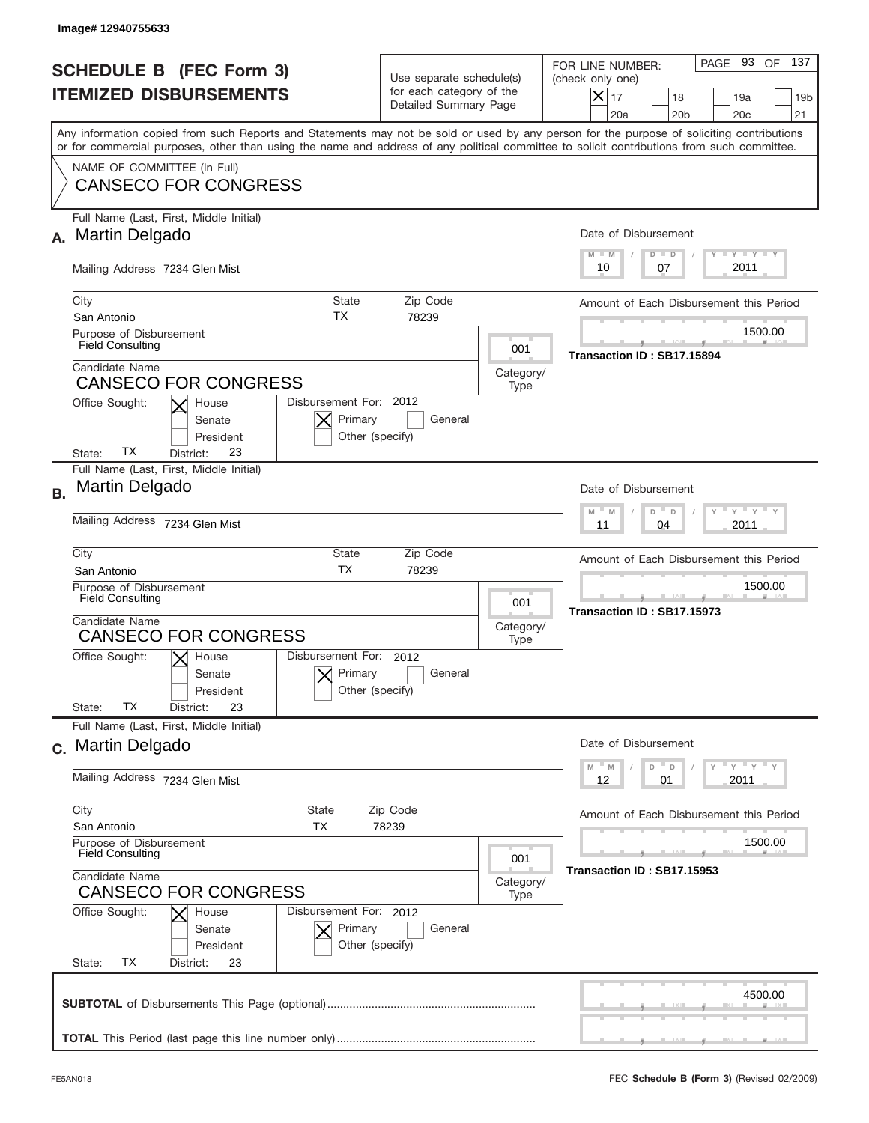|                                                                 | Image#12940755633                                                                                                                                                                                                                                                                       |                                                                               |                   |                                                                                                                                                                   |
|-----------------------------------------------------------------|-----------------------------------------------------------------------------------------------------------------------------------------------------------------------------------------------------------------------------------------------------------------------------------------|-------------------------------------------------------------------------------|-------------------|-------------------------------------------------------------------------------------------------------------------------------------------------------------------|
| <b>SCHEDULE B (FEC Form 3)</b><br><b>ITEMIZED DISBURSEMENTS</b> |                                                                                                                                                                                                                                                                                         | Use separate schedule(s)<br>for each category of the<br>Detailed Summary Page |                   | 137<br>PAGE 93<br>OF<br>FOR LINE NUMBER:<br>(check only one)<br>$\times$<br>17<br>18<br>19a<br>19 <sub>b</sub><br>20a<br>20 <sub>b</sub><br>20 <sub>c</sub><br>21 |
|                                                                 | Any information copied from such Reports and Statements may not be sold or used by any person for the purpose of soliciting contributions<br>or for commercial purposes, other than using the name and address of any political committee to solicit contributions from such committee. |                                                                               |                   |                                                                                                                                                                   |
|                                                                 | NAME OF COMMITTEE (In Full)<br><b>CANSECO FOR CONGRESS</b>                                                                                                                                                                                                                              |                                                                               |                   |                                                                                                                                                                   |
| А.                                                              | Full Name (Last, First, Middle Initial)<br>Martin Delgado                                                                                                                                                                                                                               |                                                                               |                   | Date of Disbursement<br>$T$ $Y$ $T$ $Y$ $T$ $Y$<br>$M - M$<br>$D$ $D$                                                                                             |
|                                                                 | Mailing Address 7234 Glen Mist                                                                                                                                                                                                                                                          |                                                                               |                   | 2011<br>07<br>10                                                                                                                                                  |
|                                                                 | City<br>State<br>ТX<br>San Antonio                                                                                                                                                                                                                                                      | Zip Code<br>78239                                                             |                   | Amount of Each Disbursement this Period                                                                                                                           |
|                                                                 | Purpose of Disbursement<br><b>Field Consulting</b>                                                                                                                                                                                                                                      |                                                                               | 001               | 1500.00<br>Transaction ID: SB17.15894                                                                                                                             |
|                                                                 | Candidate Name<br><b>CANSECO FOR CONGRESS</b>                                                                                                                                                                                                                                           |                                                                               | Category/<br>Type |                                                                                                                                                                   |
|                                                                 | Disbursement For: 2012<br>Office Sought:<br>House<br>Primary<br>Senate<br>President<br>Other (specify)<br>ТX<br>23<br>State:<br>District:                                                                                                                                               | General                                                                       |                   |                                                                                                                                                                   |
| <b>B.</b>                                                       | Full Name (Last, First, Middle Initial)<br>Martin Delgado                                                                                                                                                                                                                               |                                                                               |                   | Date of Disbursement                                                                                                                                              |
|                                                                 | Mailing Address 7234 Glen Mist                                                                                                                                                                                                                                                          |                                                                               |                   | ≡ γ ≡ γ ≡<br>$M - M$<br>D<br>$\Box$<br>2011<br>11<br>04                                                                                                           |
|                                                                 | City<br>State<br>Zip Code<br><b>TX</b><br>78239<br>San Antonio<br>Purpose of Disbursement<br><b>Field Consulting</b><br>001<br>Candidate Name<br>Category/                                                                                                                              |                                                                               |                   | Amount of Each Disbursement this Period                                                                                                                           |
|                                                                 |                                                                                                                                                                                                                                                                                         |                                                                               |                   | 1500.00<br>Transaction ID: SB17.15973                                                                                                                             |
|                                                                 | <b>CANSECO FOR CONGRESS</b><br>Disbursement For: 2012<br>Office Sought:<br>$X$ House                                                                                                                                                                                                    |                                                                               | Type              |                                                                                                                                                                   |
|                                                                 | Primary<br>Senate<br>Other (specify)<br>President<br>ТX<br>23<br>State:<br>District:                                                                                                                                                                                                    | General                                                                       |                   |                                                                                                                                                                   |
|                                                                 | Full Name (Last, First, Middle Initial)<br>c. Martin Delgado                                                                                                                                                                                                                            |                                                                               |                   | Date of Disbursement                                                                                                                                              |
|                                                                 | Mailing Address 7234 Glen Mist                                                                                                                                                                                                                                                          |                                                                               |                   | ≡ γ ≡ γ ≡ γ<br>M<br>M<br>D<br>D<br>2011<br>12<br>01                                                                                                               |
|                                                                 | City<br>State<br>San Antonio<br>ТX                                                                                                                                                                                                                                                      | Zip Code<br>78239                                                             |                   | Amount of Each Disbursement this Period                                                                                                                           |
|                                                                 | Purpose of Disbursement<br><b>Field Consulting</b>                                                                                                                                                                                                                                      |                                                                               | 001               | 1500.00                                                                                                                                                           |
|                                                                 | Candidate Name<br><b>CANSECO FOR CONGRESS</b>                                                                                                                                                                                                                                           |                                                                               |                   | Transaction ID: SB17.15953                                                                                                                                        |
|                                                                 | Office Sought:<br>House<br>Primary<br>Senate<br>President<br>ТX<br>State:<br>District:<br>23                                                                                                                                                                                            | Type<br>Disbursement For: 2012<br>General<br>Other (specify)                  |                   |                                                                                                                                                                   |
|                                                                 |                                                                                                                                                                                                                                                                                         |                                                                               |                   | 4500.00                                                                                                                                                           |
|                                                                 |                                                                                                                                                                                                                                                                                         |                                                                               |                   |                                                                                                                                                                   |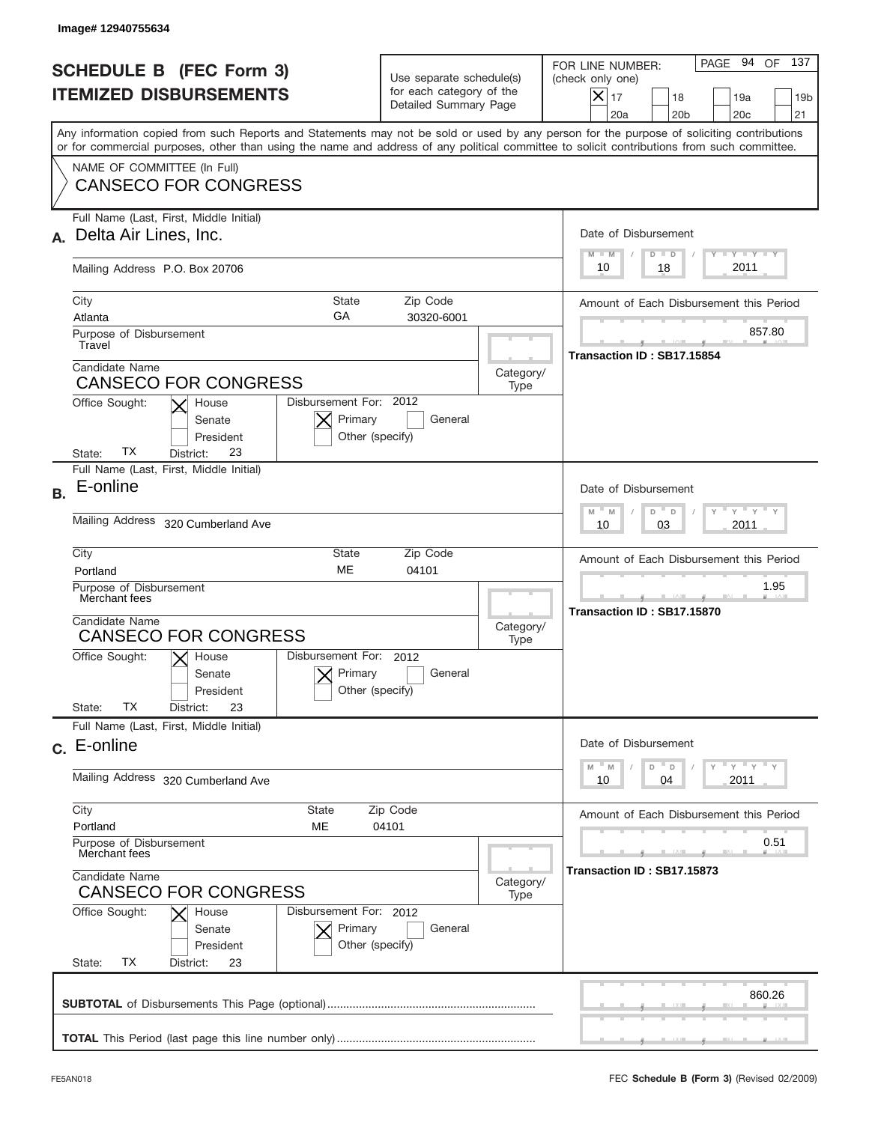|           | Image#12940755634                                                                                                                                                                                                                                                                                                      |                                                                               |                   |                                                                                                                                                           |
|-----------|------------------------------------------------------------------------------------------------------------------------------------------------------------------------------------------------------------------------------------------------------------------------------------------------------------------------|-------------------------------------------------------------------------------|-------------------|-----------------------------------------------------------------------------------------------------------------------------------------------------------|
|           | <b>SCHEDULE B (FEC Form 3)</b><br><b>ITEMIZED DISBURSEMENTS</b>                                                                                                                                                                                                                                                        | Use separate schedule(s)<br>for each category of the<br>Detailed Summary Page |                   | PAGE 94 OF<br>137<br>FOR LINE NUMBER:<br>(check only one)<br>$X _{17}$<br>18<br>19a<br>19 <sub>b</sub><br>20 <sub>b</sub><br>20 <sub>c</sub><br>21<br>20a |
|           | Any information copied from such Reports and Statements may not be sold or used by any person for the purpose of soliciting contributions<br>or for commercial purposes, other than using the name and address of any political committee to solicit contributions from such committee.<br>NAME OF COMMITTEE (In Full) |                                                                               |                   |                                                                                                                                                           |
|           | <b>CANSECO FOR CONGRESS</b>                                                                                                                                                                                                                                                                                            |                                                                               |                   |                                                                                                                                                           |
|           | Full Name (Last, First, Middle Initial)<br>Delta Air Lines, Inc.                                                                                                                                                                                                                                                       |                                                                               |                   | Date of Disbursement<br>Y TY TY TY<br>$D$ $D$<br>$M - M$                                                                                                  |
|           | Mailing Address P.O. Box 20706                                                                                                                                                                                                                                                                                         |                                                                               |                   | 2011<br>10<br>18                                                                                                                                          |
|           | City<br>State<br>GA<br>Atlanta                                                                                                                                                                                                                                                                                         | Zip Code<br>30320-6001                                                        |                   | Amount of Each Disbursement this Period                                                                                                                   |
|           | Purpose of Disbursement<br>Travel                                                                                                                                                                                                                                                                                      |                                                                               |                   | 857.80<br>Transaction ID: SB17.15854                                                                                                                      |
|           | Candidate Name<br><b>CANSECO FOR CONGRESS</b>                                                                                                                                                                                                                                                                          |                                                                               | Category/<br>Type |                                                                                                                                                           |
|           | Disbursement For: 2012<br>Office Sought:<br>House<br>Primary<br>Senate<br>President<br>Other (specify)<br>ТX<br>23<br>State:<br>District:                                                                                                                                                                              | General                                                                       |                   |                                                                                                                                                           |
| <b>B.</b> | Full Name (Last, First, Middle Initial)<br>E-online                                                                                                                                                                                                                                                                    |                                                                               |                   | Date of Disbursement<br>$\frac{1}{2}$ $\frac{1}{2}$ $\frac{1}{2}$ $\frac{1}{2}$ $\frac{1}{2}$ $\frac{1}{2}$ $\frac{1}{2}$ $\frac{1}{2}$<br>$-$ M          |
|           | <b>Mailing Address</b><br>320 Cumberland Ave                                                                                                                                                                                                                                                                           | M<br>D<br>$\Box$<br>2011<br>10<br>03                                          |                   |                                                                                                                                                           |
|           | City<br>Zip Code<br>State<br>ME<br>04101<br>Portland<br>Purpose of Disbursement<br>Merchant fees<br>Candidate Name<br>Category/<br><b>CANSECO FOR CONGRESS</b><br>Type                                                                                                                                                 |                                                                               |                   | Amount of Each Disbursement this Period                                                                                                                   |
|           |                                                                                                                                                                                                                                                                                                                        |                                                                               |                   | 1.95<br>Transaction ID: SB17.15870                                                                                                                        |
|           | Disbursement For: 2012<br>Office Sought:<br>$\mathsf{X}$ House<br>Primary<br>Senate<br>Other (specify)<br>President<br>TX<br>State:<br>23<br>District:                                                                                                                                                                 | General                                                                       |                   |                                                                                                                                                           |
|           | Full Name (Last, First, Middle Initial)<br>c. E-online                                                                                                                                                                                                                                                                 |                                                                               |                   | Date of Disbursement                                                                                                                                      |
|           | Mailing Address<br>320 Cumberland Ave                                                                                                                                                                                                                                                                                  |                                                                               |                   | $\gamma$ = $\gamma$ = $\gamma$ = $\gamma$<br>$-M$<br>D<br>M<br>D<br>2011<br>10<br>04                                                                      |
|           | City<br>State<br>Zip Code<br>Portland<br>ME<br>04101<br>Purpose of Disbursement<br>Merchant fees<br>Candidate Name<br>Category/<br><b>CANSECO FOR CONGRESS</b><br>Type                                                                                                                                                 |                                                                               |                   | Amount of Each Disbursement this Period                                                                                                                   |
|           |                                                                                                                                                                                                                                                                                                                        |                                                                               |                   | 0.51<br>Transaction ID: SB17.15873                                                                                                                        |
|           | Office Sought:<br>Disbursement For: 2012<br>House<br>Primary<br>Senate<br>President<br>Other (specify)<br>TX<br>State:<br>District:<br>23                                                                                                                                                                              | General                                                                       |                   |                                                                                                                                                           |
|           |                                                                                                                                                                                                                                                                                                                        |                                                                               |                   | 860.26                                                                                                                                                    |
|           |                                                                                                                                                                                                                                                                                                                        |                                                                               |                   |                                                                                                                                                           |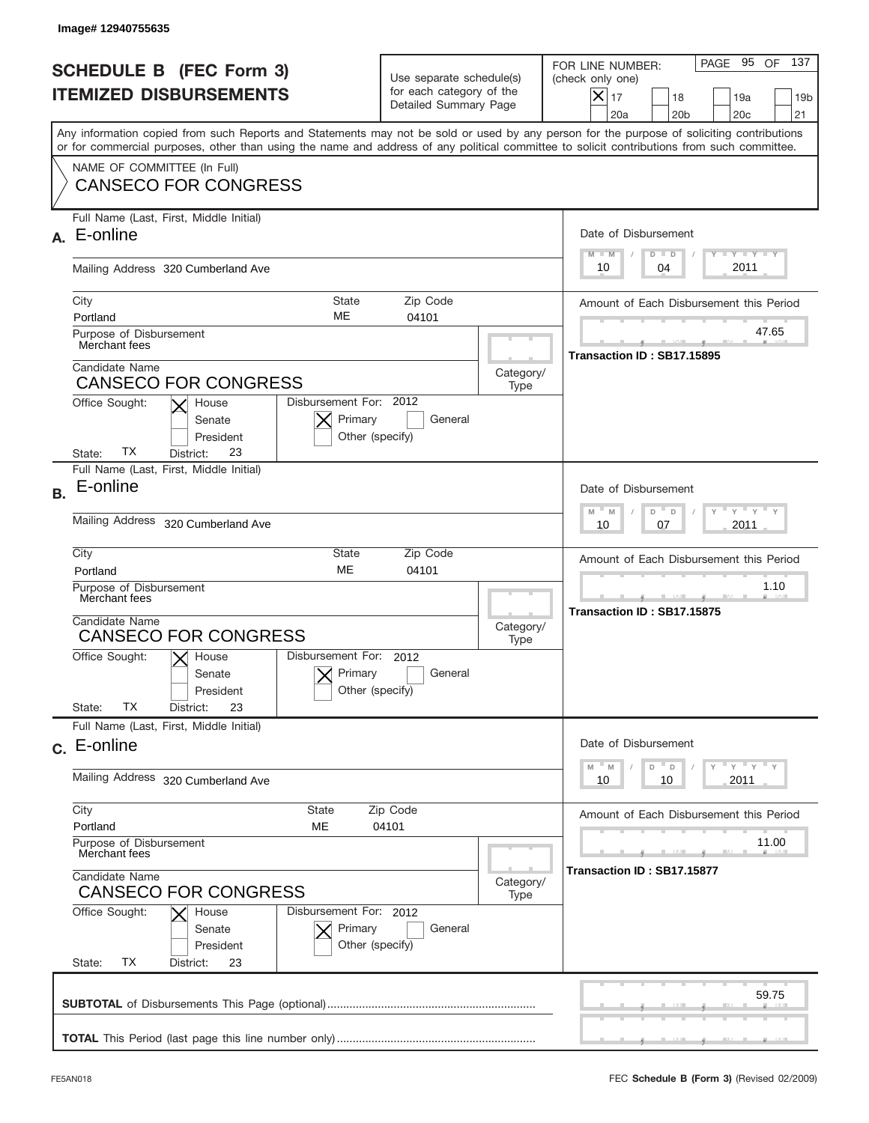|           | Image# 12940755635                                                                                                                                                                                                                                                                      |                                                                               |                   |                                                                                                                                                                   |
|-----------|-----------------------------------------------------------------------------------------------------------------------------------------------------------------------------------------------------------------------------------------------------------------------------------------|-------------------------------------------------------------------------------|-------------------|-------------------------------------------------------------------------------------------------------------------------------------------------------------------|
|           | <b>SCHEDULE B (FEC Form 3)</b><br><b>ITEMIZED DISBURSEMENTS</b>                                                                                                                                                                                                                         | Use separate schedule(s)<br>for each category of the<br>Detailed Summary Page |                   | 137<br>PAGE 95<br>OF<br>FOR LINE NUMBER:<br>(check only one)<br>$\times$<br>17<br>18<br>19a<br>19 <sub>b</sub><br>20a<br>20 <sub>b</sub><br>20 <sub>c</sub><br>21 |
|           | Any information copied from such Reports and Statements may not be sold or used by any person for the purpose of soliciting contributions<br>or for commercial purposes, other than using the name and address of any political committee to solicit contributions from such committee. |                                                                               |                   |                                                                                                                                                                   |
|           | NAME OF COMMITTEE (In Full)<br><b>CANSECO FOR CONGRESS</b>                                                                                                                                                                                                                              |                                                                               |                   |                                                                                                                                                                   |
| А.        | Full Name (Last, First, Middle Initial)<br>E-online                                                                                                                                                                                                                                     |                                                                               |                   | Date of Disbursement<br>$T$ $Y$ $T$ $Y$ $T$ $Y$<br>$M - M$<br>$D$ $D$                                                                                             |
|           | Mailing Address 320 Cumberland Ave                                                                                                                                                                                                                                                      |                                                                               |                   | 2011<br>10<br>04                                                                                                                                                  |
|           | City<br>State<br>ME<br>Portland                                                                                                                                                                                                                                                         | Amount of Each Disbursement this Period                                       |                   |                                                                                                                                                                   |
|           | Purpose of Disbursement<br>Merchant fees                                                                                                                                                                                                                                                |                                                                               |                   | 47.65<br>Transaction ID: SB17.15895                                                                                                                               |
|           | Candidate Name<br><b>CANSECO FOR CONGRESS</b><br>Disbursement For: 2012                                                                                                                                                                                                                 |                                                                               | Category/<br>Type |                                                                                                                                                                   |
|           | Office Sought:<br>House<br>Primary<br>Senate<br>President<br>Other (specify)<br>ТX<br>23<br>State:<br>District:                                                                                                                                                                         | General                                                                       |                   |                                                                                                                                                                   |
| <b>B.</b> | Full Name (Last, First, Middle Initial)<br>E-online                                                                                                                                                                                                                                     |                                                                               |                   | Date of Disbursement                                                                                                                                              |
|           | <b>Mailing Address</b><br>320 Cumberland Ave                                                                                                                                                                                                                                            | $M - M$<br>≡ γ ≡ γ ≡<br>D<br>D<br>2011<br>10<br>07                            |                   |                                                                                                                                                                   |
|           | City<br>State<br><b>ME</b><br>Portland                                                                                                                                                                                                                                                  | Amount of Each Disbursement this Period                                       |                   |                                                                                                                                                                   |
|           | Purpose of Disbursement<br>Merchant fees<br>Candidate Name                                                                                                                                                                                                                              |                                                                               |                   | 1.10<br>Transaction ID: SB17.15875                                                                                                                                |
|           | <b>CANSECO FOR CONGRESS</b>                                                                                                                                                                                                                                                             | Disbursement For: 2012<br>$X$ House                                           |                   |                                                                                                                                                                   |
|           | Office Sought:<br>Primary<br>Senate<br>Other (specify)<br>President<br><b>TX</b><br>State:<br>23<br>District:                                                                                                                                                                           | General                                                                       |                   |                                                                                                                                                                   |
|           | Full Name (Last, First, Middle Initial)                                                                                                                                                                                                                                                 |                                                                               |                   |                                                                                                                                                                   |
|           | c. E-online                                                                                                                                                                                                                                                                             |                                                                               |                   | Date of Disbursement<br>≡ γ ≡ γ ≡ γ<br>M<br>M<br>D<br>D                                                                                                           |
|           | Mailing Address 320 Cumberland Ave                                                                                                                                                                                                                                                      |                                                                               |                   | 2011<br>10<br>10                                                                                                                                                  |
|           | City<br>State<br>Portland<br>МE                                                                                                                                                                                                                                                         | Zip Code<br>04101                                                             |                   | Amount of Each Disbursement this Period                                                                                                                           |
|           | Purpose of Disbursement<br>Merchant fees<br>Candidate Name<br>Category/<br><b>CANSECO FOR CONGRESS</b><br>Disbursement For: 2012                                                                                                                                                        |                                                                               |                   | 11.00<br>Transaction ID: SB17.15877                                                                                                                               |
|           |                                                                                                                                                                                                                                                                                         |                                                                               |                   |                                                                                                                                                                   |
|           | Office Sought:<br>House<br>Primary<br>Senate<br>Other (specify)<br>President<br>ТX<br>State:<br>District:<br>23                                                                                                                                                                         | General                                                                       |                   |                                                                                                                                                                   |
|           |                                                                                                                                                                                                                                                                                         |                                                                               |                   | 59.75                                                                                                                                                             |
|           |                                                                                                                                                                                                                                                                                         |                                                                               |                   |                                                                                                                                                                   |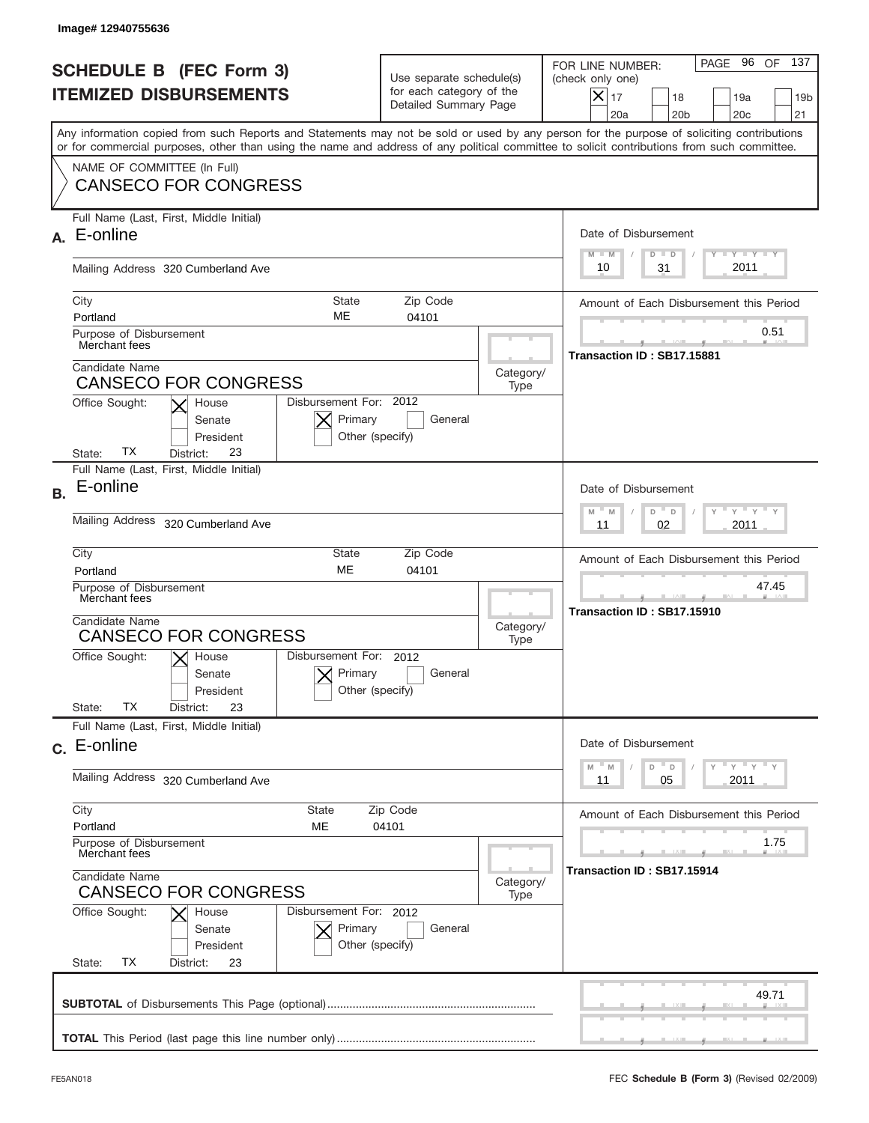|           | Image# 12940755636                                                                                                                                                                                                                                                                      |                                                                               |                   |                                                                                                                                                                   |
|-----------|-----------------------------------------------------------------------------------------------------------------------------------------------------------------------------------------------------------------------------------------------------------------------------------------|-------------------------------------------------------------------------------|-------------------|-------------------------------------------------------------------------------------------------------------------------------------------------------------------|
|           | <b>SCHEDULE B (FEC Form 3)</b><br><b>ITEMIZED DISBURSEMENTS</b>                                                                                                                                                                                                                         | Use separate schedule(s)<br>for each category of the<br>Detailed Summary Page |                   | 137<br>PAGE 96<br>OF<br>FOR LINE NUMBER:<br>(check only one)<br>$\times$<br>17<br>18<br>19a<br>19 <sub>b</sub><br>20a<br>20 <sub>b</sub><br>20 <sub>c</sub><br>21 |
|           | Any information copied from such Reports and Statements may not be sold or used by any person for the purpose of soliciting contributions<br>or for commercial purposes, other than using the name and address of any political committee to solicit contributions from such committee. |                                                                               |                   |                                                                                                                                                                   |
|           | NAME OF COMMITTEE (In Full)<br><b>CANSECO FOR CONGRESS</b>                                                                                                                                                                                                                              |                                                                               |                   |                                                                                                                                                                   |
| А.        | Full Name (Last, First, Middle Initial)<br>E-online                                                                                                                                                                                                                                     |                                                                               |                   | Date of Disbursement<br>$T$ $Y$ $T$ $Y$ $T$ $Y$<br>$M - M$<br>$D$ $D$                                                                                             |
|           | Mailing Address 320 Cumberland Ave                                                                                                                                                                                                                                                      |                                                                               |                   | 2011<br>10<br>31                                                                                                                                                  |
|           | City<br>State<br>ME<br>Portland                                                                                                                                                                                                                                                         | Amount of Each Disbursement this Period                                       |                   |                                                                                                                                                                   |
|           | Purpose of Disbursement<br>Merchant fees                                                                                                                                                                                                                                                |                                                                               |                   | 0.51<br>Transaction ID: SB17.15881                                                                                                                                |
|           | Candidate Name<br><b>CANSECO FOR CONGRESS</b><br>Disbursement For: 2012                                                                                                                                                                                                                 |                                                                               | Category/<br>Type |                                                                                                                                                                   |
|           | Office Sought:<br>House<br>Primary<br>Senate<br>President<br>Other (specify)<br>ТX<br>23<br>State:<br>District:                                                                                                                                                                         | General                                                                       |                   |                                                                                                                                                                   |
| <b>B.</b> | Full Name (Last, First, Middle Initial)<br>E-online                                                                                                                                                                                                                                     |                                                                               |                   | Date of Disbursement                                                                                                                                              |
|           | <b>Mailing Address</b><br>320 Cumberland Ave                                                                                                                                                                                                                                            |                                                                               |                   | $M - M$<br>D<br>≡ γ ≡ γ ≡<br>$\Box$<br>2011<br>11<br>02                                                                                                           |
|           | City<br>State<br>Zip Code<br><b>ME</b><br>04101<br>Portland                                                                                                                                                                                                                             |                                                                               |                   | Amount of Each Disbursement this Period                                                                                                                           |
|           | Purpose of Disbursement<br>Merchant fees<br>Candidate Name                                                                                                                                                                                                                              |                                                                               |                   | 47.45<br>Transaction ID: SB17.15910                                                                                                                               |
|           | <b>CANSECO FOR CONGRESS</b><br>Disbursement For: 2012                                                                                                                                                                                                                                   |                                                                               | Category/<br>Type |                                                                                                                                                                   |
|           | Office Sought:<br>$X$ House<br>Primary<br>Senate<br>Other (specify)<br>President<br><b>TX</b><br>State:<br>23<br>District:                                                                                                                                                              | General                                                                       |                   |                                                                                                                                                                   |
|           | Full Name (Last, First, Middle Initial)                                                                                                                                                                                                                                                 |                                                                               |                   |                                                                                                                                                                   |
|           | c. E-online                                                                                                                                                                                                                                                                             |                                                                               |                   | Date of Disbursement<br>≡ү ≡ү ≡ү<br>$-M$<br>D<br>M<br>D                                                                                                           |
|           | Mailing Address 320 Cumberland Ave                                                                                                                                                                                                                                                      |                                                                               |                   | 2011<br>11<br>05                                                                                                                                                  |
|           | City<br>State<br>Portland<br>MЕ                                                                                                                                                                                                                                                         | Zip Code<br>04101                                                             |                   | Amount of Each Disbursement this Period                                                                                                                           |
|           | Purpose of Disbursement<br>Merchant fees<br>Candidate Name<br>Category/<br><b>CANSECO FOR CONGRESS</b><br>Disbursement For: 2012                                                                                                                                                        |                                                                               |                   | 1.75<br>Transaction ID: SB17.15914                                                                                                                                |
|           |                                                                                                                                                                                                                                                                                         |                                                                               |                   |                                                                                                                                                                   |
|           | Office Sought:<br>House<br>Primary<br>Senate<br>Other (specify)<br>President<br>ТX<br>State:<br>District:<br>23                                                                                                                                                                         | General                                                                       |                   |                                                                                                                                                                   |
|           |                                                                                                                                                                                                                                                                                         |                                                                               |                   | 49.71                                                                                                                                                             |
|           |                                                                                                                                                                                                                                                                                         |                                                                               |                   |                                                                                                                                                                   |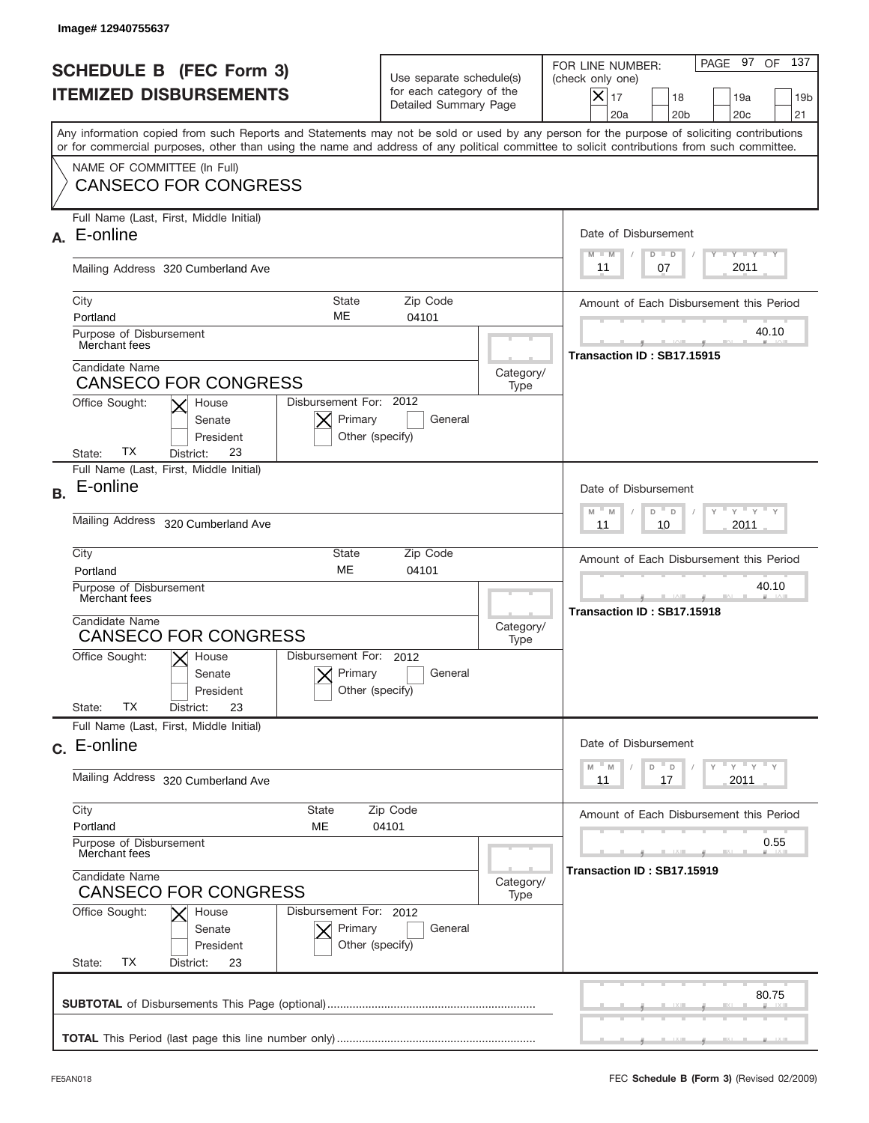|           | Image# 12940755637                                                                                                                                                                                                                                                                      |                                                                               |                   |                                                                                                                                                                                 |
|-----------|-----------------------------------------------------------------------------------------------------------------------------------------------------------------------------------------------------------------------------------------------------------------------------------------|-------------------------------------------------------------------------------|-------------------|---------------------------------------------------------------------------------------------------------------------------------------------------------------------------------|
|           | <b>SCHEDULE B (FEC Form 3)</b><br><b>ITEMIZED DISBURSEMENTS</b>                                                                                                                                                                                                                         | Use separate schedule(s)<br>for each category of the<br>Detailed Summary Page |                   | 137<br>PAGE 97<br>OF<br>FOR LINE NUMBER:<br>(check only one)<br>$\vert\mathsf{X}\vert$<br>17<br>18<br>19a<br>19 <sub>b</sub><br>21<br>20a<br>20 <sub>b</sub><br>20 <sub>c</sub> |
|           | Any information copied from such Reports and Statements may not be sold or used by any person for the purpose of soliciting contributions<br>or for commercial purposes, other than using the name and address of any political committee to solicit contributions from such committee. |                                                                               |                   |                                                                                                                                                                                 |
|           | NAME OF COMMITTEE (In Full)<br><b>CANSECO FOR CONGRESS</b>                                                                                                                                                                                                                              |                                                                               |                   |                                                                                                                                                                                 |
| А.        | Full Name (Last, First, Middle Initial)<br>E-online                                                                                                                                                                                                                                     |                                                                               |                   | Date of Disbursement<br><b>THEY THEY</b><br>$M - M$<br>$D$ $D$                                                                                                                  |
|           | Mailing Address 320 Cumberland Ave                                                                                                                                                                                                                                                      | 2011<br>07<br>11                                                              |                   |                                                                                                                                                                                 |
|           | City<br><b>State</b><br>ME<br>Portland<br>Purpose of Disbursement                                                                                                                                                                                                                       | Zip Code<br>04101                                                             |                   | Amount of Each Disbursement this Period<br>40.10                                                                                                                                |
|           | Merchant fees<br>Candidate Name<br>Category/<br><b>CANSECO FOR CONGRESS</b><br>Type                                                                                                                                                                                                     |                                                                               |                   | Transaction ID: SB17.15915                                                                                                                                                      |
|           | Disbursement For: 2012<br>Office Sought:<br>House<br>Primary<br>Senate<br>President<br>ТX<br>23<br>State:<br>District:                                                                                                                                                                  | General<br>Other (specify)                                                    |                   |                                                                                                                                                                                 |
| <b>B.</b> | Full Name (Last, First, Middle Initial)<br>E-online                                                                                                                                                                                                                                     |                                                                               |                   | Date of Disbursement<br>$\cdots$ $\gamma$ $\cdots$ $\gamma$ $\cdots$ $\gamma$<br>$M$ <sup>-</sup><br>D<br>M<br>$\Box$                                                           |
|           | <b>Mailing Address</b><br>320 Cumberland Ave                                                                                                                                                                                                                                            | 2011<br>11<br>10                                                              |                   |                                                                                                                                                                                 |
|           | City<br>State<br><b>ME</b><br>Portland                                                                                                                                                                                                                                                  | Amount of Each Disbursement this Period                                       |                   |                                                                                                                                                                                 |
|           | Purpose of Disbursement<br>Merchant fees<br>Candidate Name<br><b>CANSECO FOR CONGRESS</b>                                                                                                                                                                                               |                                                                               |                   | 40.10<br>Transaction ID: SB17.15918                                                                                                                                             |
|           | Disbursement For: 2012<br>Office Sought:<br>$\mathsf{X}$ House<br>Primary<br>Senate<br>President<br>ТX<br>23<br>State:<br>District:                                                                                                                                                     | General<br>Other (specify)                                                    |                   |                                                                                                                                                                                 |
|           | Full Name (Last, First, Middle Initial)<br>c. E-online                                                                                                                                                                                                                                  |                                                                               |                   | Date of Disbursement                                                                                                                                                            |
|           | Mailing Address 320 Cumberland Ave                                                                                                                                                                                                                                                      |                                                                               |                   | $\gamma$ = $\gamma$ = $\gamma$ = $\gamma$<br>$-M$<br>D<br>D<br>2011<br>11<br>17                                                                                                 |
|           | City<br>State<br>Portland<br>MЕ                                                                                                                                                                                                                                                         | Zip Code<br>04101                                                             |                   | Amount of Each Disbursement this Period                                                                                                                                         |
|           | Purpose of Disbursement<br>Merchant fees<br>Candidate Name                                                                                                                                                                                                                              |                                                                               |                   | 0.55<br>Transaction ID: SB17.15919                                                                                                                                              |
|           | <b>CANSECO FOR CONGRESS</b><br>Office Sought:<br>Disbursement For: 2012<br>House<br>Primary<br>Senate<br>President<br>ТX<br>State:<br>District:<br>23                                                                                                                                   | General<br>Other (specify)                                                    | Category/<br>Type |                                                                                                                                                                                 |
|           |                                                                                                                                                                                                                                                                                         |                                                                               |                   | 80.75                                                                                                                                                                           |
|           |                                                                                                                                                                                                                                                                                         |                                                                               |                   |                                                                                                                                                                                 |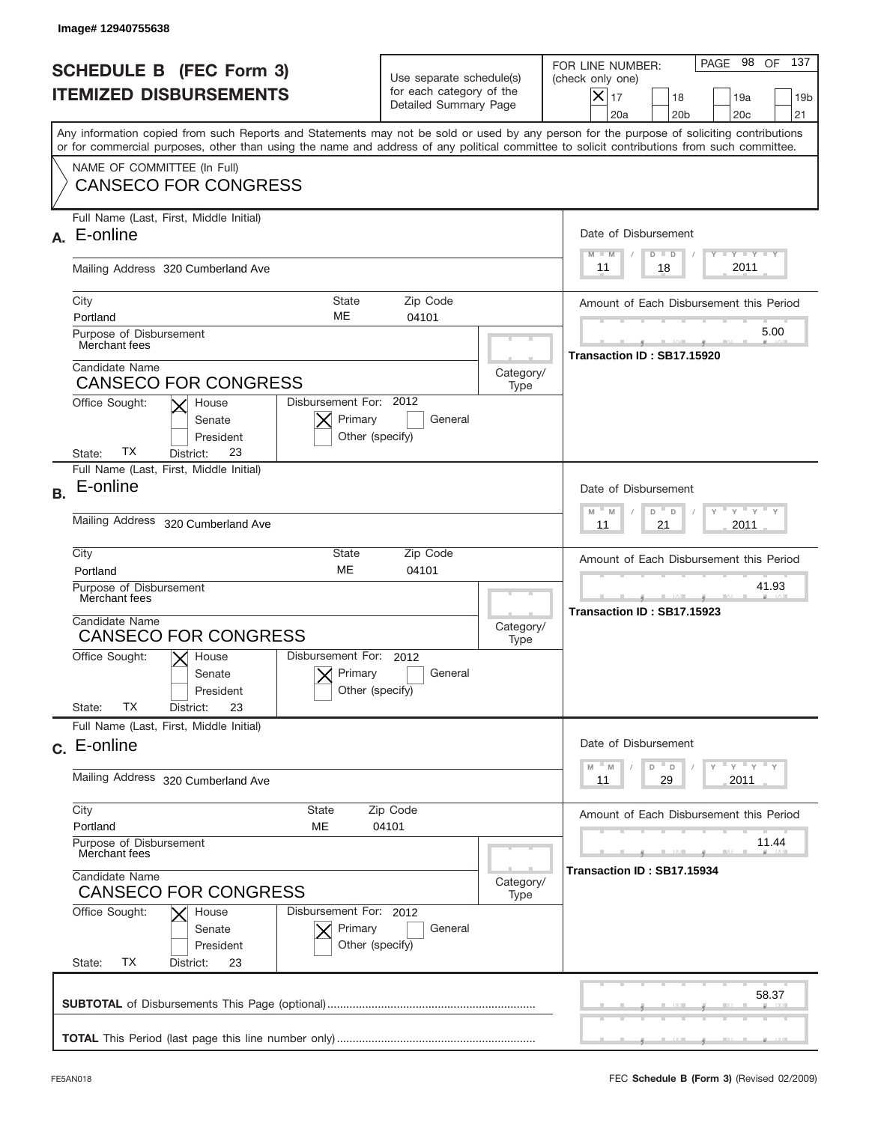|                                                                 | Image#12940755638                                                                                                                                                                                                                                                                       |                                                                               |                                         |                                                                                                                                                                   |
|-----------------------------------------------------------------|-----------------------------------------------------------------------------------------------------------------------------------------------------------------------------------------------------------------------------------------------------------------------------------------|-------------------------------------------------------------------------------|-----------------------------------------|-------------------------------------------------------------------------------------------------------------------------------------------------------------------|
| <b>SCHEDULE B (FEC Form 3)</b><br><b>ITEMIZED DISBURSEMENTS</b> |                                                                                                                                                                                                                                                                                         | Use separate schedule(s)<br>for each category of the<br>Detailed Summary Page |                                         | 137<br>PAGE 98<br>OF<br>FOR LINE NUMBER:<br>(check only one)<br>$\times$<br>17<br>18<br>19a<br>19 <sub>b</sub><br>20a<br>20 <sub>b</sub><br>20 <sub>c</sub><br>21 |
|                                                                 | Any information copied from such Reports and Statements may not be sold or used by any person for the purpose of soliciting contributions<br>or for commercial purposes, other than using the name and address of any political committee to solicit contributions from such committee. |                                                                               |                                         |                                                                                                                                                                   |
|                                                                 | NAME OF COMMITTEE (In Full)<br><b>CANSECO FOR CONGRESS</b>                                                                                                                                                                                                                              |                                                                               |                                         |                                                                                                                                                                   |
| А.                                                              | Full Name (Last, First, Middle Initial)<br>E-online                                                                                                                                                                                                                                     |                                                                               |                                         | Date of Disbursement<br><b>TAYLY LY</b><br>$M - M$<br>$D$ $D$                                                                                                     |
|                                                                 | Mailing Address 320 Cumberland Ave                                                                                                                                                                                                                                                      | 2011<br>18<br>11                                                              |                                         |                                                                                                                                                                   |
|                                                                 | City<br>State<br>ME<br>Portland                                                                                                                                                                                                                                                         | Zip Code<br>04101                                                             |                                         | Amount of Each Disbursement this Period                                                                                                                           |
|                                                                 | Purpose of Disbursement<br>Merchant fees                                                                                                                                                                                                                                                |                                                                               |                                         | 5.00<br>Transaction ID: SB17.15920                                                                                                                                |
|                                                                 | Candidate Name<br><b>CANSECO FOR CONGRESS</b>                                                                                                                                                                                                                                           |                                                                               | Category/<br>Type                       |                                                                                                                                                                   |
|                                                                 | Disbursement For: 2012<br>Office Sought:<br>House<br>Primary<br>Senate<br>President<br>Other (specify)<br>ТX<br>23<br>State:<br>District:                                                                                                                                               | General                                                                       |                                         |                                                                                                                                                                   |
| <b>B.</b>                                                       | Full Name (Last, First, Middle Initial)<br>E-online                                                                                                                                                                                                                                     |                                                                               |                                         | Date of Disbursement                                                                                                                                              |
|                                                                 | <b>Mailing Address</b><br>320 Cumberland Ave                                                                                                                                                                                                                                            | $M - M$<br>≡ γ ≡ γ ≡<br>D<br>D<br>2011<br>11<br>21                            |                                         |                                                                                                                                                                   |
|                                                                 | City<br>State<br><b>ME</b><br>Portland                                                                                                                                                                                                                                                  |                                                                               | Amount of Each Disbursement this Period |                                                                                                                                                                   |
|                                                                 | Purpose of Disbursement<br>Merchant fees<br>Candidate Name                                                                                                                                                                                                                              |                                                                               |                                         | 41.93<br>Transaction ID: SB17.15923                                                                                                                               |
|                                                                 | <b>CANSECO FOR CONGRESS</b><br>Disbursement For: 2012<br>$X$ House                                                                                                                                                                                                                      |                                                                               |                                         |                                                                                                                                                                   |
|                                                                 | Office Sought:<br>Primary<br>Senate<br>Other (specify)<br>President<br><b>TX</b><br>State:<br>23<br>District:                                                                                                                                                                           | General                                                                       |                                         |                                                                                                                                                                   |
|                                                                 | Full Name (Last, First, Middle Initial)                                                                                                                                                                                                                                                 |                                                                               |                                         |                                                                                                                                                                   |
|                                                                 | c. E-online                                                                                                                                                                                                                                                                             |                                                                               |                                         | Date of Disbursement<br>≡ γ ≡ γ ≡ γ<br>$-M$<br>D<br>M<br>D                                                                                                        |
|                                                                 | Mailing Address 320 Cumberland Ave                                                                                                                                                                                                                                                      |                                                                               |                                         | 2011<br>11<br>29                                                                                                                                                  |
|                                                                 | City<br>State<br>Portland<br>МE                                                                                                                                                                                                                                                         | Zip Code<br>04101                                                             |                                         | Amount of Each Disbursement this Period                                                                                                                           |
|                                                                 | Purpose of Disbursement<br>Merchant fees                                                                                                                                                                                                                                                |                                                                               |                                         | 11.44<br>Transaction ID: SB17.15934                                                                                                                               |
|                                                                 | Candidate Name<br><b>CANSECO FOR CONGRESS</b><br>Disbursement For: 2012                                                                                                                                                                                                                 |                                                                               |                                         |                                                                                                                                                                   |
|                                                                 | Office Sought:<br>House<br>Primary<br>Senate<br>Other (specify)<br>President<br>ТX<br>State:<br>District:<br>23                                                                                                                                                                         | General                                                                       |                                         |                                                                                                                                                                   |
|                                                                 |                                                                                                                                                                                                                                                                                         |                                                                               |                                         | 58.37                                                                                                                                                             |
|                                                                 |                                                                                                                                                                                                                                                                                         |                                                                               |                                         |                                                                                                                                                                   |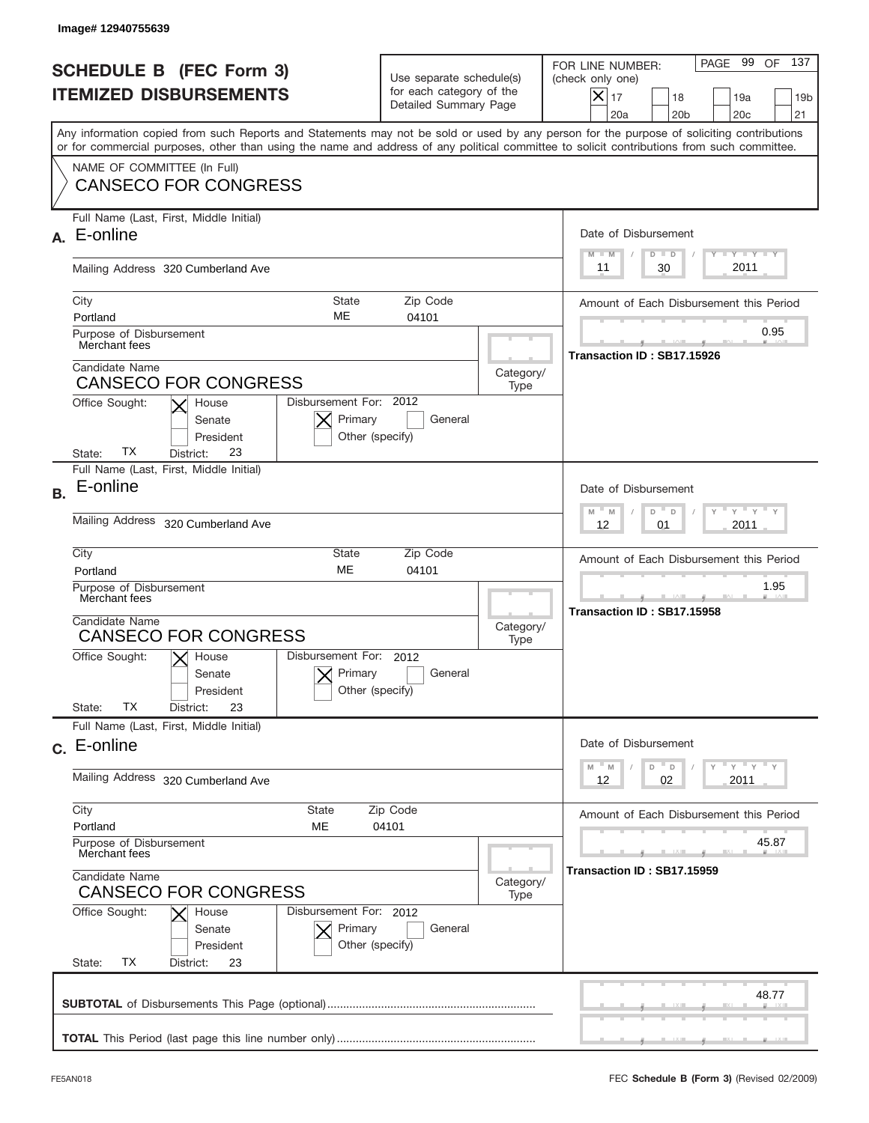|           | Image# 12940755639                                                                                                                                                                                                                                                                      |                                                                               |                                         |                                                                                                                                                                   |
|-----------|-----------------------------------------------------------------------------------------------------------------------------------------------------------------------------------------------------------------------------------------------------------------------------------------|-------------------------------------------------------------------------------|-----------------------------------------|-------------------------------------------------------------------------------------------------------------------------------------------------------------------|
|           | <b>SCHEDULE B (FEC Form 3)</b><br><b>ITEMIZED DISBURSEMENTS</b>                                                                                                                                                                                                                         | Use separate schedule(s)<br>for each category of the<br>Detailed Summary Page |                                         | 137<br>PAGE 99<br>OF<br>FOR LINE NUMBER:<br>(check only one)<br>$\times$<br>17<br>18<br>19a<br>19 <sub>b</sub><br>20a<br>20 <sub>b</sub><br>20 <sub>c</sub><br>21 |
|           | Any information copied from such Reports and Statements may not be sold or used by any person for the purpose of soliciting contributions<br>or for commercial purposes, other than using the name and address of any political committee to solicit contributions from such committee. |                                                                               |                                         |                                                                                                                                                                   |
|           | NAME OF COMMITTEE (In Full)<br><b>CANSECO FOR CONGRESS</b>                                                                                                                                                                                                                              |                                                                               |                                         |                                                                                                                                                                   |
| А.        | Full Name (Last, First, Middle Initial)<br>E-online                                                                                                                                                                                                                                     |                                                                               |                                         | Date of Disbursement<br><b>TAYLY LY</b><br>$M - M$<br>$D$ $D$                                                                                                     |
|           | Mailing Address 320 Cumberland Ave                                                                                                                                                                                                                                                      | 30<br>2011<br>11                                                              |                                         |                                                                                                                                                                   |
|           | City<br>State<br>ME<br>Portland                                                                                                                                                                                                                                                         | Zip Code<br>04101                                                             |                                         | Amount of Each Disbursement this Period                                                                                                                           |
|           | Purpose of Disbursement<br>Merchant fees                                                                                                                                                                                                                                                |                                                                               |                                         | 0.95<br>Transaction ID: SB17.15926                                                                                                                                |
|           | Candidate Name<br><b>CANSECO FOR CONGRESS</b>                                                                                                                                                                                                                                           |                                                                               | Category/<br>Type                       |                                                                                                                                                                   |
|           | Disbursement For: 2012<br>Office Sought:<br>House<br>Primary<br>Senate<br>President<br>Other (specify)<br>ТX<br>23<br>State:<br>District:                                                                                                                                               | General                                                                       |                                         |                                                                                                                                                                   |
| <b>B.</b> | Full Name (Last, First, Middle Initial)<br>E-online                                                                                                                                                                                                                                     |                                                                               |                                         | Date of Disbursement<br>$M - M$<br>≡ γ ≡ γ ≡                                                                                                                      |
|           | <b>Mailing Address</b><br>320 Cumberland Ave                                                                                                                                                                                                                                            | D<br>$\Box$<br>2011<br>12<br>01                                               |                                         |                                                                                                                                                                   |
|           | City<br>State<br><b>ME</b><br>Portland                                                                                                                                                                                                                                                  |                                                                               | Amount of Each Disbursement this Period |                                                                                                                                                                   |
|           | Purpose of Disbursement<br>Merchant fees<br>Candidate Name                                                                                                                                                                                                                              |                                                                               |                                         | 1.95<br>Transaction ID: SB17.15958                                                                                                                                |
|           | <b>CANSECO FOR CONGRESS</b><br>Disbursement For: 2012                                                                                                                                                                                                                                   |                                                                               |                                         |                                                                                                                                                                   |
|           | Office Sought:<br>$X$ House<br>Primary<br>Senate<br>Other (specify)<br>President<br><b>TX</b><br>State:<br>23<br>District:                                                                                                                                                              | General                                                                       |                                         |                                                                                                                                                                   |
|           | Full Name (Last, First, Middle Initial)                                                                                                                                                                                                                                                 |                                                                               |                                         |                                                                                                                                                                   |
|           | c. E-online                                                                                                                                                                                                                                                                             |                                                                               |                                         | Date of Disbursement<br>≡ү ≡ү ≡ү<br>$-M$<br>D<br>M<br>D                                                                                                           |
|           | Mailing Address 320 Cumberland Ave                                                                                                                                                                                                                                                      |                                                                               |                                         | 2011<br>12<br>02                                                                                                                                                  |
|           | City<br>State<br>Portland<br>МE                                                                                                                                                                                                                                                         | Zip Code<br>04101                                                             |                                         | Amount of Each Disbursement this Period                                                                                                                           |
|           | Purpose of Disbursement<br>Merchant fees                                                                                                                                                                                                                                                |                                                                               |                                         | 45.87<br>Transaction ID: SB17.15959                                                                                                                               |
|           | Candidate Name<br>Category/<br><b>CANSECO FOR CONGRESS</b>                                                                                                                                                                                                                              |                                                                               |                                         |                                                                                                                                                                   |
|           | Office Sought:<br>Disbursement For: 2012<br>House<br>Primary<br>Senate<br>Other (specify)<br>President<br>ТX<br>State:<br>District:<br>23                                                                                                                                               | General                                                                       |                                         |                                                                                                                                                                   |
|           |                                                                                                                                                                                                                                                                                         |                                                                               |                                         | 48.77                                                                                                                                                             |
|           |                                                                                                                                                                                                                                                                                         |                                                                               |                                         |                                                                                                                                                                   |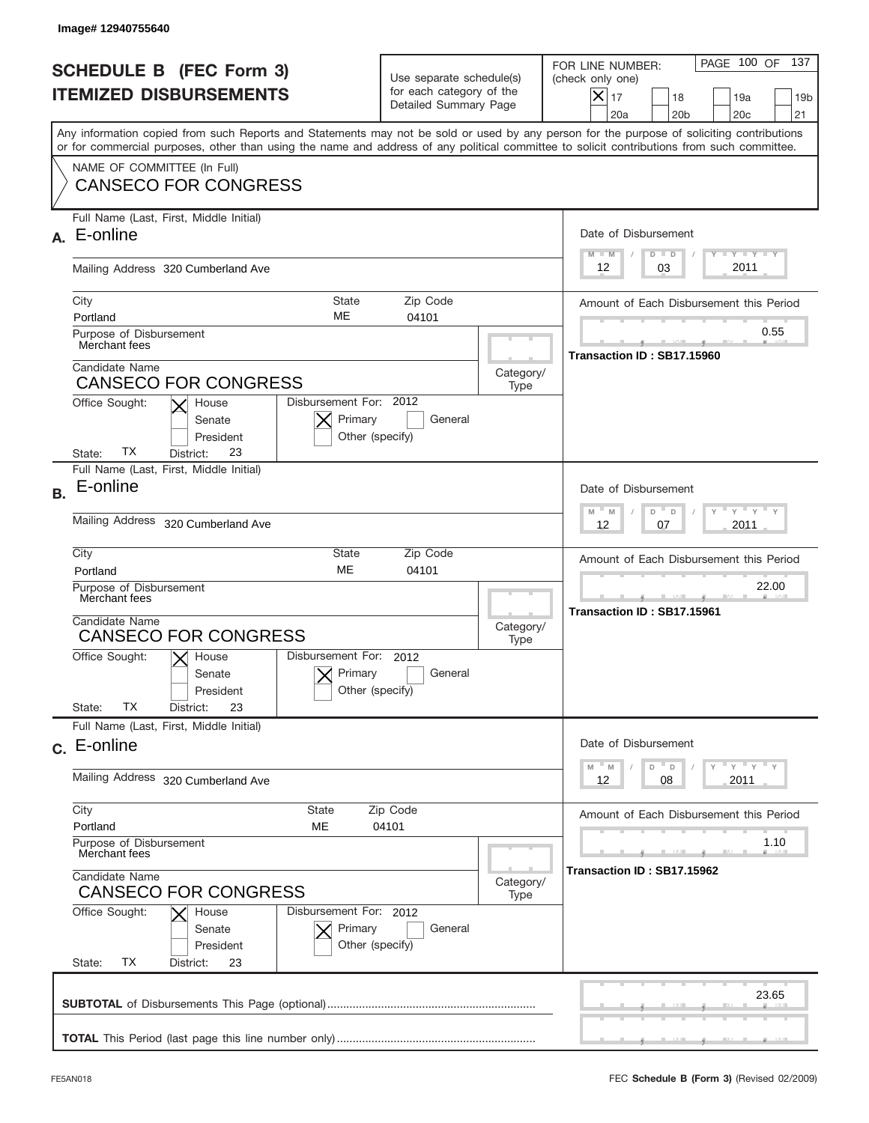|                                                                 | Image# 12940755640                                                                                                                                                                                                                                                                      |                                                                               |                   |                                                                                                                                                                 |
|-----------------------------------------------------------------|-----------------------------------------------------------------------------------------------------------------------------------------------------------------------------------------------------------------------------------------------------------------------------------------|-------------------------------------------------------------------------------|-------------------|-----------------------------------------------------------------------------------------------------------------------------------------------------------------|
| <b>SCHEDULE B (FEC Form 3)</b><br><b>ITEMIZED DISBURSEMENTS</b> |                                                                                                                                                                                                                                                                                         | Use separate schedule(s)<br>for each category of the<br>Detailed Summary Page |                   | PAGE 100 OF<br>137<br>FOR LINE NUMBER:<br>(check only one)<br>$\times$<br>17<br>18<br>19a<br>19 <sub>b</sub><br>20a<br>20 <sub>b</sub><br>20 <sub>c</sub><br>21 |
|                                                                 | Any information copied from such Reports and Statements may not be sold or used by any person for the purpose of soliciting contributions<br>or for commercial purposes, other than using the name and address of any political committee to solicit contributions from such committee. |                                                                               |                   |                                                                                                                                                                 |
|                                                                 | NAME OF COMMITTEE (In Full)<br><b>CANSECO FOR CONGRESS</b>                                                                                                                                                                                                                              |                                                                               |                   |                                                                                                                                                                 |
| А.                                                              | Full Name (Last, First, Middle Initial)<br>E-online                                                                                                                                                                                                                                     |                                                                               |                   | Date of Disbursement<br>$T$ $Y$ $T$ $Y$ $T$ $Y$<br>$M - M$<br>$D$ $D$                                                                                           |
|                                                                 | Mailing Address 320 Cumberland Ave                                                                                                                                                                                                                                                      | 03<br>2011<br>12                                                              |                   |                                                                                                                                                                 |
|                                                                 | City<br>State<br>ME<br>Portland                                                                                                                                                                                                                                                         | Zip Code<br>04101                                                             |                   | Amount of Each Disbursement this Period                                                                                                                         |
|                                                                 | Purpose of Disbursement<br>Merchant fees                                                                                                                                                                                                                                                |                                                                               |                   | 0.55<br>Transaction ID: SB17.15960                                                                                                                              |
|                                                                 | Candidate Name<br><b>CANSECO FOR CONGRESS</b>                                                                                                                                                                                                                                           |                                                                               | Category/<br>Type |                                                                                                                                                                 |
|                                                                 | Disbursement For: 2012<br>Office Sought:<br>House<br>Primary<br>Senate<br>President<br>Other (specify)<br>ТX<br>23<br>State:<br>District:                                                                                                                                               | General                                                                       |                   |                                                                                                                                                                 |
| <b>B.</b>                                                       | Full Name (Last, First, Middle Initial)<br>E-online                                                                                                                                                                                                                                     |                                                                               |                   | Date of Disbursement                                                                                                                                            |
|                                                                 | <b>Mailing Address</b><br>320 Cumberland Ave                                                                                                                                                                                                                                            | $M - M$<br>≡ γ ≡ γ ≡<br>D<br>$\Box$<br>2011<br>12<br>07                       |                   |                                                                                                                                                                 |
|                                                                 | City<br>State<br><b>ME</b><br>Portland                                                                                                                                                                                                                                                  | Amount of Each Disbursement this Period                                       |                   |                                                                                                                                                                 |
|                                                                 | Purpose of Disbursement<br>Merchant fees<br>Candidate Name                                                                                                                                                                                                                              |                                                                               |                   | 22.00<br>Transaction ID: SB17.15961                                                                                                                             |
|                                                                 | <b>CANSECO FOR CONGRESS</b>                                                                                                                                                                                                                                                             |                                                                               |                   |                                                                                                                                                                 |
|                                                                 | Disbursement For: 2012<br>Office Sought:<br>$X$ House<br>Primary<br>Senate<br>Other (specify)<br>President<br><b>TX</b><br>State:<br>23<br>District:                                                                                                                                    | General                                                                       |                   |                                                                                                                                                                 |
|                                                                 | Full Name (Last, First, Middle Initial)                                                                                                                                                                                                                                                 |                                                                               |                   |                                                                                                                                                                 |
|                                                                 | c. E-online                                                                                                                                                                                                                                                                             |                                                                               |                   | Date of Disbursement<br>≡ү ≡ү ≡ү<br>$-M$<br>D<br>M<br>D                                                                                                         |
|                                                                 | Mailing Address 320 Cumberland Ave                                                                                                                                                                                                                                                      | 2011<br>12<br>08                                                              |                   |                                                                                                                                                                 |
|                                                                 | City<br>State<br>Portland<br>МE                                                                                                                                                                                                                                                         | Zip Code<br>04101                                                             |                   | Amount of Each Disbursement this Period                                                                                                                         |
|                                                                 | Purpose of Disbursement<br>Merchant fees<br>Candidate Name                                                                                                                                                                                                                              |                                                                               |                   | 1.10<br>Transaction ID: SB17.15962                                                                                                                              |
|                                                                 | <b>CANSECO FOR CONGRESS</b><br>Office Sought:<br>Disbursement For: 2012                                                                                                                                                                                                                 |                                                                               |                   |                                                                                                                                                                 |
|                                                                 | House<br>Primary<br>Senate<br>Other (specify)<br>President<br>ТX<br>State:<br>District:<br>23                                                                                                                                                                                           | General                                                                       |                   |                                                                                                                                                                 |
|                                                                 |                                                                                                                                                                                                                                                                                         |                                                                               |                   | 23.65                                                                                                                                                           |
|                                                                 |                                                                                                                                                                                                                                                                                         |                                                                               |                   |                                                                                                                                                                 |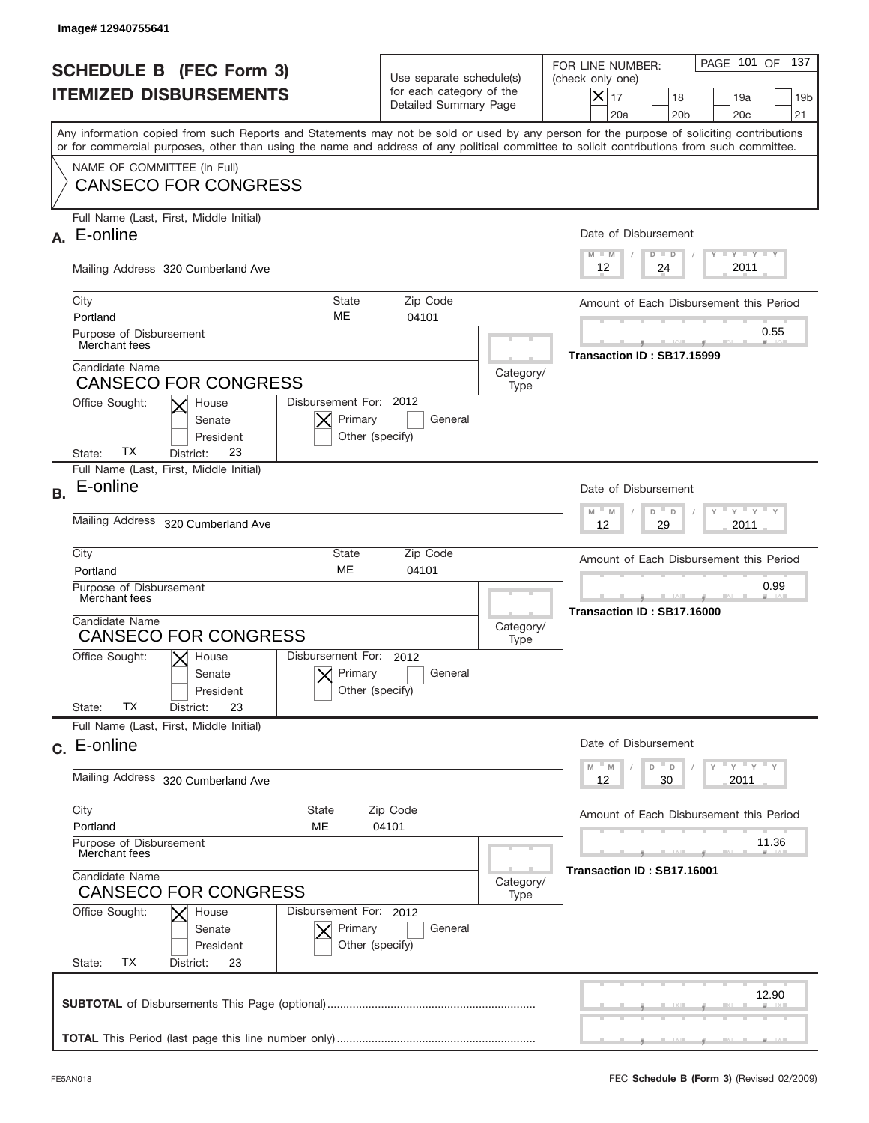|           | Image# 12940755641                                                                                                                                                                                                                                                                      |                                                                               |                   |                                                                                                                                                            |
|-----------|-----------------------------------------------------------------------------------------------------------------------------------------------------------------------------------------------------------------------------------------------------------------------------------------|-------------------------------------------------------------------------------|-------------------|------------------------------------------------------------------------------------------------------------------------------------------------------------|
|           | <b>SCHEDULE B (FEC Form 3)</b><br><b>ITEMIZED DISBURSEMENTS</b>                                                                                                                                                                                                                         | Use separate schedule(s)<br>for each category of the<br>Detailed Summary Page |                   | 137<br>PAGE 101 OF<br>FOR LINE NUMBER:<br>(check only one)<br>$X _{17}$<br>18<br>19a<br>19 <sub>b</sub><br>21<br>20a<br>20 <sub>b</sub><br>20 <sub>c</sub> |
|           | Any information copied from such Reports and Statements may not be sold or used by any person for the purpose of soliciting contributions<br>or for commercial purposes, other than using the name and address of any political committee to solicit contributions from such committee. |                                                                               |                   |                                                                                                                                                            |
|           | NAME OF COMMITTEE (In Full)<br><b>CANSECO FOR CONGRESS</b>                                                                                                                                                                                                                              |                                                                               |                   |                                                                                                                                                            |
| А.        | Full Name (Last, First, Middle Initial)<br>E-online                                                                                                                                                                                                                                     |                                                                               |                   | Date of Disbursement<br><b>TAYLY LY</b><br>$M - M$<br>$D$ $D$                                                                                              |
|           | Mailing Address 320 Cumberland Ave                                                                                                                                                                                                                                                      | 2011<br>24<br>12                                                              |                   |                                                                                                                                                            |
|           | City<br>State<br>ME<br>Portland<br>Purpose of Disbursement<br>Merchant fees                                                                                                                                                                                                             | Zip Code<br>04101                                                             |                   | Amount of Each Disbursement this Period<br>0.55                                                                                                            |
|           | Candidate Name<br><b>CANSECO FOR CONGRESS</b><br>Disbursement For: 2012<br>Office Sought:<br>House<br>Primary<br>Senate                                                                                                                                                                 | General                                                                       | Category/<br>Type | Transaction ID: SB17.15999                                                                                                                                 |
| <b>B.</b> | President<br>Other (specify)<br>ТX<br>23<br>State:<br>District:<br>Full Name (Last, First, Middle Initial)<br>E-online<br><b>Mailing Address</b><br>320 Cumberland Ave                                                                                                                  |                                                                               |                   | Date of Disbursement<br>$-\gamma + \gamma -$<br>D<br>$M - M$<br>D<br>2011<br>12<br>29                                                                      |
|           | City<br>State<br><b>ME</b><br>Portland<br>Purpose of Disbursement<br>Merchant fees<br>Candidate Name<br><b>CANSECO FOR CONGRESS</b><br>Disbursement For: 2012<br>Office Sought:<br>$X$ House<br>Primary<br>Senate<br>Other (specify)<br>President<br><b>TX</b>                          | Zip Code<br>04101<br>General                                                  | Category/<br>Type | Amount of Each Disbursement this Period<br>0.99<br>Transaction ID: SB17.16000                                                                              |
|           | State:<br>23<br>District:<br>Full Name (Last, First, Middle Initial)<br>c. E-online<br>Mailing Address 320 Cumberland Ave                                                                                                                                                               |                                                                               |                   | Date of Disbursement<br>ү " ү " ү " ү<br>$-M$<br>M<br>D<br>D<br>12<br>2011<br>30                                                                           |
|           | City<br>State<br>Portland<br>ME<br>Purpose of Disbursement<br>Merchant fees<br>Candidate Name<br><b>CANSECO FOR CONGRESS</b><br>Office Sought:<br>Disbursement For: 2012<br>House<br>Primary<br>Senate<br>Other (specify)<br>President<br>ТX<br>State:<br>District:<br>23               | Zip Code<br>04101<br>General                                                  | Category/<br>Type | Amount of Each Disbursement this Period<br>11.36<br>Transaction ID: SB17.16001                                                                             |
|           |                                                                                                                                                                                                                                                                                         |                                                                               |                   | 12.90                                                                                                                                                      |
|           |                                                                                                                                                                                                                                                                                         |                                                                               |                   |                                                                                                                                                            |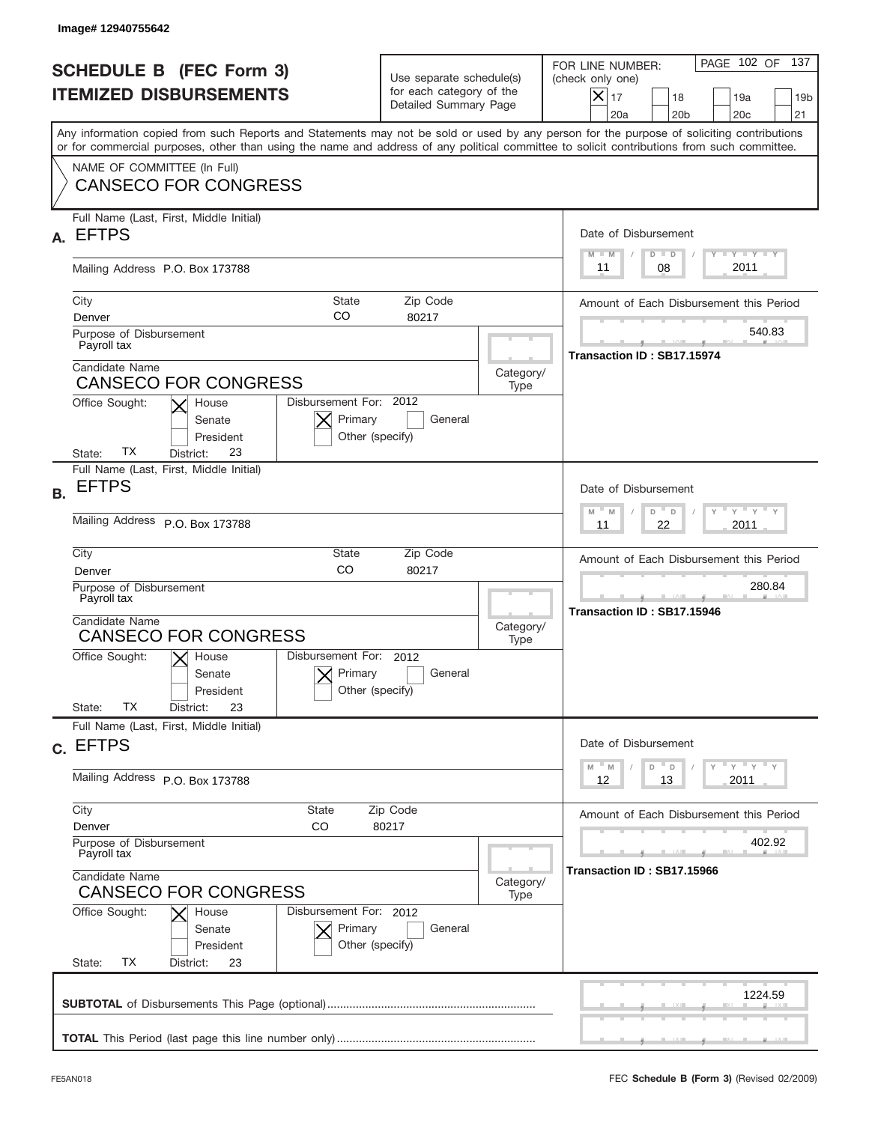|           | Image# 12940755642                                                                                                                                                                                                                                                                      |                                                                               |                   |                                                                                                                                                            |
|-----------|-----------------------------------------------------------------------------------------------------------------------------------------------------------------------------------------------------------------------------------------------------------------------------------------|-------------------------------------------------------------------------------|-------------------|------------------------------------------------------------------------------------------------------------------------------------------------------------|
|           | <b>SCHEDULE B (FEC Form 3)</b><br><b>ITEMIZED DISBURSEMENTS</b>                                                                                                                                                                                                                         | Use separate schedule(s)<br>for each category of the<br>Detailed Summary Page |                   | PAGE 102 OF<br>137<br>FOR LINE NUMBER:<br>(check only one)<br>$X _{17}$<br>18<br>19a<br>19 <sub>b</sub><br>21<br>20a<br>20 <sub>b</sub><br>20 <sub>c</sub> |
|           | Any information copied from such Reports and Statements may not be sold or used by any person for the purpose of soliciting contributions<br>or for commercial purposes, other than using the name and address of any political committee to solicit contributions from such committee. |                                                                               |                   |                                                                                                                                                            |
|           | NAME OF COMMITTEE (In Full)<br><b>CANSECO FOR CONGRESS</b>                                                                                                                                                                                                                              |                                                                               |                   |                                                                                                                                                            |
| А.        | Full Name (Last, First, Middle Initial)<br><b>EFTPS</b>                                                                                                                                                                                                                                 |                                                                               |                   | Date of Disbursement<br><b>THEY THEY</b><br>$M - M$<br>$D$ $D$                                                                                             |
|           | Mailing Address P.O. Box 173788                                                                                                                                                                                                                                                         | 2011<br>08<br>11                                                              |                   |                                                                                                                                                            |
|           | City<br><b>State</b><br>CO<br>Denver<br>Purpose of Disbursement                                                                                                                                                                                                                         | Zip Code<br>80217                                                             |                   | Amount of Each Disbursement this Period<br>540.83                                                                                                          |
|           | Payroll tax<br>Candidate Name<br><b>CANSECO FOR CONGRESS</b>                                                                                                                                                                                                                            |                                                                               | Category/<br>Type | Transaction ID: SB17.15974                                                                                                                                 |
|           | Disbursement For: 2012<br>Office Sought:<br>House<br>Primary<br>Senate<br>Other (specify)<br>President<br>ТX<br>23<br>State:<br>District:                                                                                                                                               | General                                                                       |                   |                                                                                                                                                            |
| <b>B.</b> | Full Name (Last, First, Middle Initial)<br><b>EFTPS</b>                                                                                                                                                                                                                                 |                                                                               |                   | Date of Disbursement<br>$\cdots$ $\gamma$ $\cdots$ $\gamma$ $\cdots$ $\gamma$<br>$D$ $D$<br>$M - M$                                                        |
|           | Mailing Address P.O. Box 173788                                                                                                                                                                                                                                                         | 2011<br>11<br>22                                                              |                   |                                                                                                                                                            |
|           | City<br>State<br>CO<br>Denver                                                                                                                                                                                                                                                           | Amount of Each Disbursement this Period                                       |                   |                                                                                                                                                            |
|           | Purpose of Disbursement<br>Payroll tax<br>Candidate Name<br><b>CANSECO FOR CONGRESS</b>                                                                                                                                                                                                 |                                                                               |                   | 280.84<br>Transaction ID: SB17.15946                                                                                                                       |
|           | Disbursement For: 2012<br>Office Sought:<br>$\mathsf{X}$ House<br>Primary<br>Senate<br>Other (specify)<br>President<br><b>TX</b><br>State:<br>23<br>District:                                                                                                                           | General                                                                       |                   |                                                                                                                                                            |
|           | Full Name (Last, First, Middle Initial)<br>c. EFTPS                                                                                                                                                                                                                                     |                                                                               |                   | Date of Disbursement                                                                                                                                       |
|           | Mailing Address P.O. Box 173788                                                                                                                                                                                                                                                         |                                                                               |                   | $\gamma$ = $\gamma$ = $\gamma$ = $\gamma$<br>$-M$<br>M<br>D<br>D<br>12<br>2011<br>13                                                                       |
|           | City<br>State<br>Denver<br>CO                                                                                                                                                                                                                                                           | Zip Code<br>80217                                                             |                   | Amount of Each Disbursement this Period                                                                                                                    |
|           | Purpose of Disbursement<br>Payroll tax<br>Candidate Name                                                                                                                                                                                                                                |                                                                               |                   | 402.92<br>Transaction ID: SB17.15966                                                                                                                       |
|           | <b>CANSECO FOR CONGRESS</b><br>Office Sought:<br>Disbursement For: 2012<br>House<br>Primary<br>Senate<br>Other (specify)<br>President<br>ТX<br>State:<br>District:<br>23                                                                                                                | General                                                                       | Category/<br>Type |                                                                                                                                                            |
|           |                                                                                                                                                                                                                                                                                         |                                                                               |                   | 1224.59                                                                                                                                                    |
|           |                                                                                                                                                                                                                                                                                         |                                                                               |                   |                                                                                                                                                            |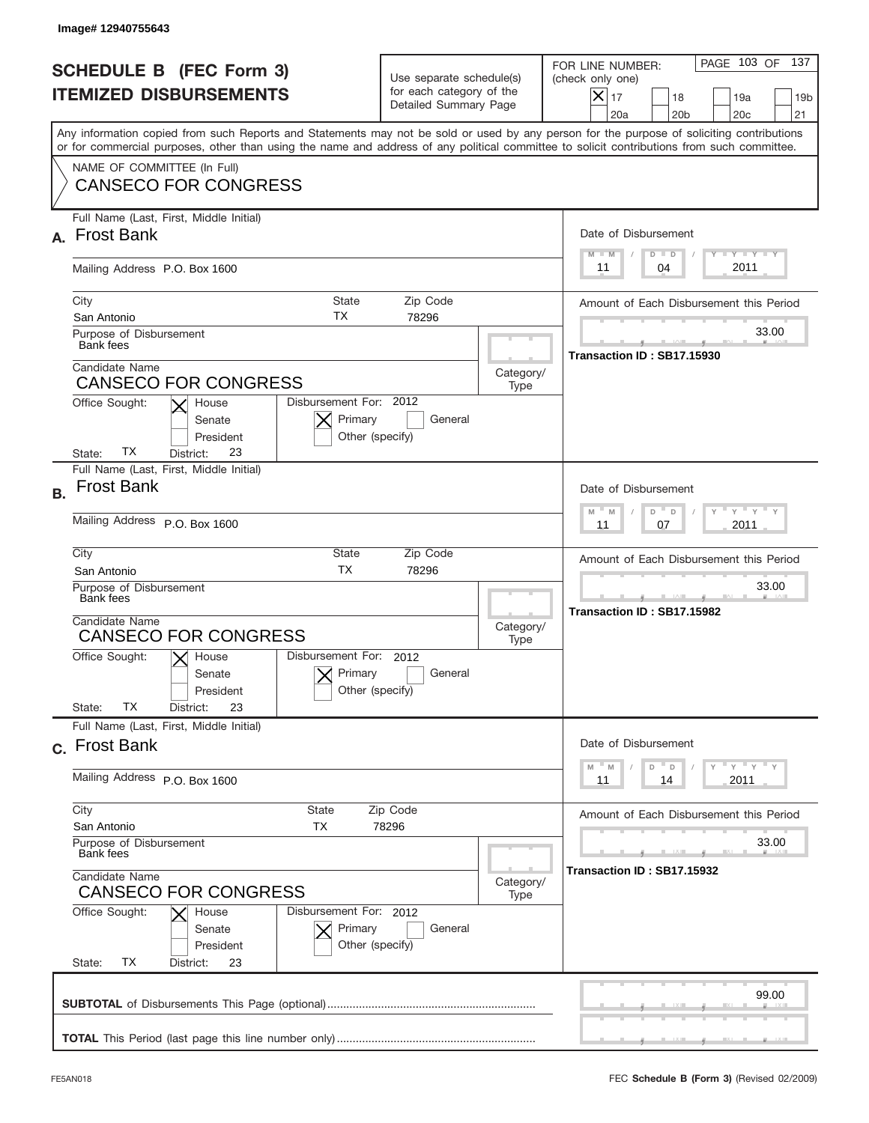|           | Image# 12940755643                                                                                                                                                                                                                                                                           |                                                                               |                   |                                                                                                                                                            |
|-----------|----------------------------------------------------------------------------------------------------------------------------------------------------------------------------------------------------------------------------------------------------------------------------------------------|-------------------------------------------------------------------------------|-------------------|------------------------------------------------------------------------------------------------------------------------------------------------------------|
|           | <b>SCHEDULE B (FEC Form 3)</b><br><b>ITEMIZED DISBURSEMENTS</b>                                                                                                                                                                                                                              | Use separate schedule(s)<br>for each category of the<br>Detailed Summary Page |                   | PAGE 103 OF<br>137<br>FOR LINE NUMBER:<br>(check only one)<br>$X _{17}$<br>18<br>19a<br>19 <sub>b</sub><br>21<br>20a<br>20 <sub>b</sub><br>20 <sub>c</sub> |
|           | Any information copied from such Reports and Statements may not be sold or used by any person for the purpose of soliciting contributions<br>or for commercial purposes, other than using the name and address of any political committee to solicit contributions from such committee.      |                                                                               |                   |                                                                                                                                                            |
|           | NAME OF COMMITTEE (In Full)<br><b>CANSECO FOR CONGRESS</b>                                                                                                                                                                                                                                   |                                                                               |                   |                                                                                                                                                            |
|           | Full Name (Last, First, Middle Initial)<br><b>Frost Bank</b>                                                                                                                                                                                                                                 |                                                                               |                   | Date of Disbursement<br><b>TAYLY LY</b><br>$M - M$<br>$D$ $D$                                                                                              |
|           | Mailing Address P.O. Box 1600                                                                                                                                                                                                                                                                | 2011<br>04<br>11                                                              |                   |                                                                                                                                                            |
|           | City<br><b>State</b><br>ТX<br>San Antonio<br>Purpose of Disbursement<br><b>Bank</b> fees                                                                                                                                                                                                     | Zip Code<br>78296                                                             |                   | Amount of Each Disbursement this Period<br>33.00                                                                                                           |
|           | Candidate Name<br>Category/<br><b>CANSECO FOR CONGRESS</b><br>Type<br>Disbursement For: 2012<br>Office Sought:<br>House<br>Primary<br>General<br>Senate                                                                                                                                      |                                                                               |                   | Transaction ID: SB17.15930                                                                                                                                 |
| <b>B.</b> | President<br>Other (specify)<br>ТX<br>23<br>State:<br>District:<br>Full Name (Last, First, Middle Initial)<br><b>Frost Bank</b><br>Mailing Address P.O. Box 1600                                                                                                                             |                                                                               |                   | Date of Disbursement<br>$\cdots$ $\gamma$ $\cdots$ $\gamma$ $\cdots$ $\gamma$<br>$M - M$<br>D<br>$\Box$<br>2011<br>11<br>07                                |
|           | City<br>State<br><b>TX</b><br>San Antonio<br>Purpose of Disbursement<br>Bank fees<br>Candidate Name<br><b>CANSECO FOR CONGRESS</b><br>Disbursement For: 2012<br>Office Sought:<br>$\mathsf{X}$ House<br>Primary<br>Senate<br>Other (specify)<br>President<br>ТX<br>23<br>State:<br>District: | Zip Code<br>78296<br>General                                                  | Category/<br>Type | Amount of Each Disbursement this Period<br>33.00<br>Transaction ID: SB17.15982                                                                             |
|           | Full Name (Last, First, Middle Initial)<br>c. Frost Bank<br>Mailing Address P.O. Box 1600                                                                                                                                                                                                    |                                                                               |                   | Date of Disbursement<br>ү " ү " ү " ү<br>$-M$<br>M<br>D<br>$\Box$<br>2011<br>11<br>14                                                                      |
|           | City<br>State<br>San Antonio<br>ТX<br>Purpose of Disbursement<br><b>Bank</b> fees<br>Candidate Name<br><b>CANSECO FOR CONGRESS</b><br>Office Sought:<br>Disbursement For: 2012<br>House<br>Primary<br>Senate                                                                                 | Zip Code<br>78296<br>General                                                  | Category/<br>Type | Amount of Each Disbursement this Period<br>33.00<br>Transaction ID: SB17.15932                                                                             |
|           | Other (specify)<br>President<br>ТX<br>State:<br>District:<br>23                                                                                                                                                                                                                              |                                                                               |                   | 99.00                                                                                                                                                      |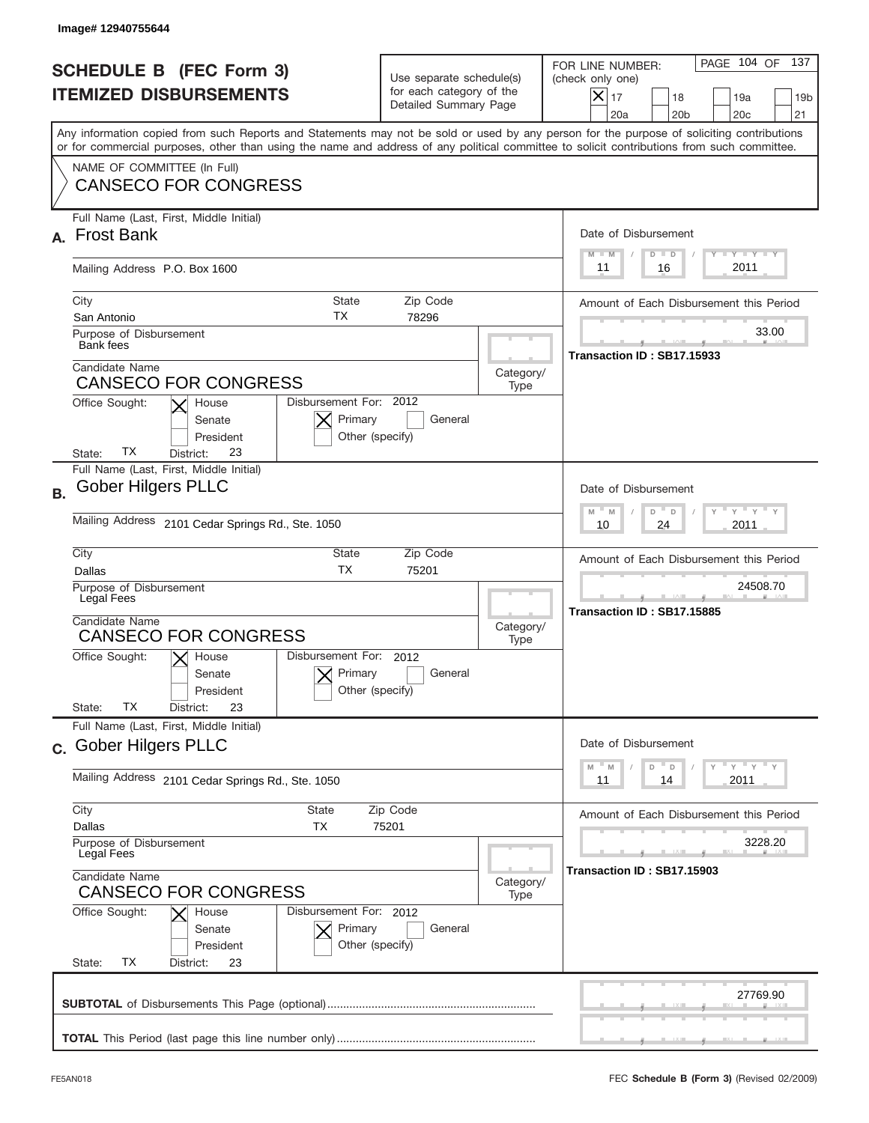|           | Image# 12940755644                                                                                                                                                                                                                                                                      |                                                                               |                   |                                                                                                                                                                 |
|-----------|-----------------------------------------------------------------------------------------------------------------------------------------------------------------------------------------------------------------------------------------------------------------------------------------|-------------------------------------------------------------------------------|-------------------|-----------------------------------------------------------------------------------------------------------------------------------------------------------------|
|           | <b>SCHEDULE B (FEC Form 3)</b><br><b>ITEMIZED DISBURSEMENTS</b>                                                                                                                                                                                                                         | Use separate schedule(s)<br>for each category of the<br>Detailed Summary Page |                   | PAGE 104 OF<br>137<br>FOR LINE NUMBER:<br>(check only one)<br>$\times$<br>17<br>18<br>19a<br>19 <sub>b</sub><br>20 <sub>b</sub><br>20 <sub>c</sub><br>21<br>20a |
|           | Any information copied from such Reports and Statements may not be sold or used by any person for the purpose of soliciting contributions<br>or for commercial purposes, other than using the name and address of any political committee to solicit contributions from such committee. |                                                                               |                   |                                                                                                                                                                 |
|           | NAME OF COMMITTEE (In Full)<br><b>CANSECO FOR CONGRESS</b>                                                                                                                                                                                                                              |                                                                               |                   |                                                                                                                                                                 |
| А.        | Full Name (Last, First, Middle Initial)<br><b>Frost Bank</b>                                                                                                                                                                                                                            |                                                                               |                   | Date of Disbursement<br>$T$ $Y$ $T$ $Y$ $T$ $Y$<br>$M - M$<br>$D$ $D$                                                                                           |
|           | Mailing Address P.O. Box 1600                                                                                                                                                                                                                                                           | 2011<br>16<br>11                                                              |                   |                                                                                                                                                                 |
|           | City<br><b>State</b><br>ТX<br>San Antonio                                                                                                                                                                                                                                               | Zip Code<br>78296                                                             |                   | Amount of Each Disbursement this Period                                                                                                                         |
|           | Purpose of Disbursement<br><b>Bank</b> fees<br>Candidate Name                                                                                                                                                                                                                           |                                                                               |                   | 33.00<br>Transaction ID: SB17.15933                                                                                                                             |
|           | <b>CANSECO FOR CONGRESS</b><br>Disbursement For: 2012<br>Office Sought:<br>House                                                                                                                                                                                                        |                                                                               | Category/<br>Type |                                                                                                                                                                 |
|           | Primary<br>General<br>Senate<br>Other (specify)<br>President<br>ТX<br>23<br>State:<br>District:                                                                                                                                                                                         |                                                                               |                   |                                                                                                                                                                 |
| <b>B.</b> | Full Name (Last, First, Middle Initial)<br><b>Gober Hilgers PLLC</b>                                                                                                                                                                                                                    |                                                                               |                   | Date of Disbursement                                                                                                                                            |
|           | Mailing Address 2101 Cedar Springs Rd., Ste. 1050                                                                                                                                                                                                                                       | $M - M$<br>≡ γ ≡ γ =<br>D<br>D<br>2011<br>10<br>24                            |                   |                                                                                                                                                                 |
|           | City<br>State<br>Zip Code<br><b>TX</b><br>75201<br>Dallas                                                                                                                                                                                                                               |                                                                               |                   | Amount of Each Disbursement this Period                                                                                                                         |
|           | Purpose of Disbursement<br>Legal Fees                                                                                                                                                                                                                                                   |                                                                               |                   | 24508.70<br>Transaction ID: SB17.15885                                                                                                                          |
|           | Candidate Name<br>Category/<br><b>CANSECO FOR CONGRESS</b><br>Type                                                                                                                                                                                                                      |                                                                               |                   |                                                                                                                                                                 |
|           | Disbursement For: 2012<br>Office Sought:<br>$\mathsf{X}$ House<br>Primary<br>Senate<br>Other (specify)<br>President<br>ТX<br>23                                                                                                                                                         |                                                                               |                   |                                                                                                                                                                 |
|           | State:<br>District:<br>Full Name (Last, First, Middle Initial)                                                                                                                                                                                                                          |                                                                               |                   |                                                                                                                                                                 |
|           | c. Gober Hilgers PLLC                                                                                                                                                                                                                                                                   |                                                                               |                   | Date of Disbursement<br>≡ γ ≡ γ ≡ γ<br>$-M$<br>M<br>D<br>D                                                                                                      |
|           | Mailing Address 2101 Cedar Springs Rd., Ste. 1050                                                                                                                                                                                                                                       | 2011<br>11<br>14                                                              |                   |                                                                                                                                                                 |
|           | City<br><b>State</b><br>Dallas<br>TX                                                                                                                                                                                                                                                    | Zip Code<br>75201                                                             |                   | Amount of Each Disbursement this Period                                                                                                                         |
|           | Purpose of Disbursement<br>Legal Fees                                                                                                                                                                                                                                                   |                                                                               |                   | 3228.20<br>Transaction ID: SB17.15903                                                                                                                           |
|           | Candidate Name<br><b>CANSECO FOR CONGRESS</b>                                                                                                                                                                                                                                           |                                                                               |                   |                                                                                                                                                                 |
|           | Office Sought:<br>Disbursement For: 2012<br>House<br>Primary<br>Senate<br>President<br>Other (specify)<br>ТX<br>State:<br>District:<br>23                                                                                                                                               | General                                                                       |                   |                                                                                                                                                                 |
|           |                                                                                                                                                                                                                                                                                         |                                                                               |                   | 27769.90                                                                                                                                                        |
|           |                                                                                                                                                                                                                                                                                         |                                                                               |                   |                                                                                                                                                                 |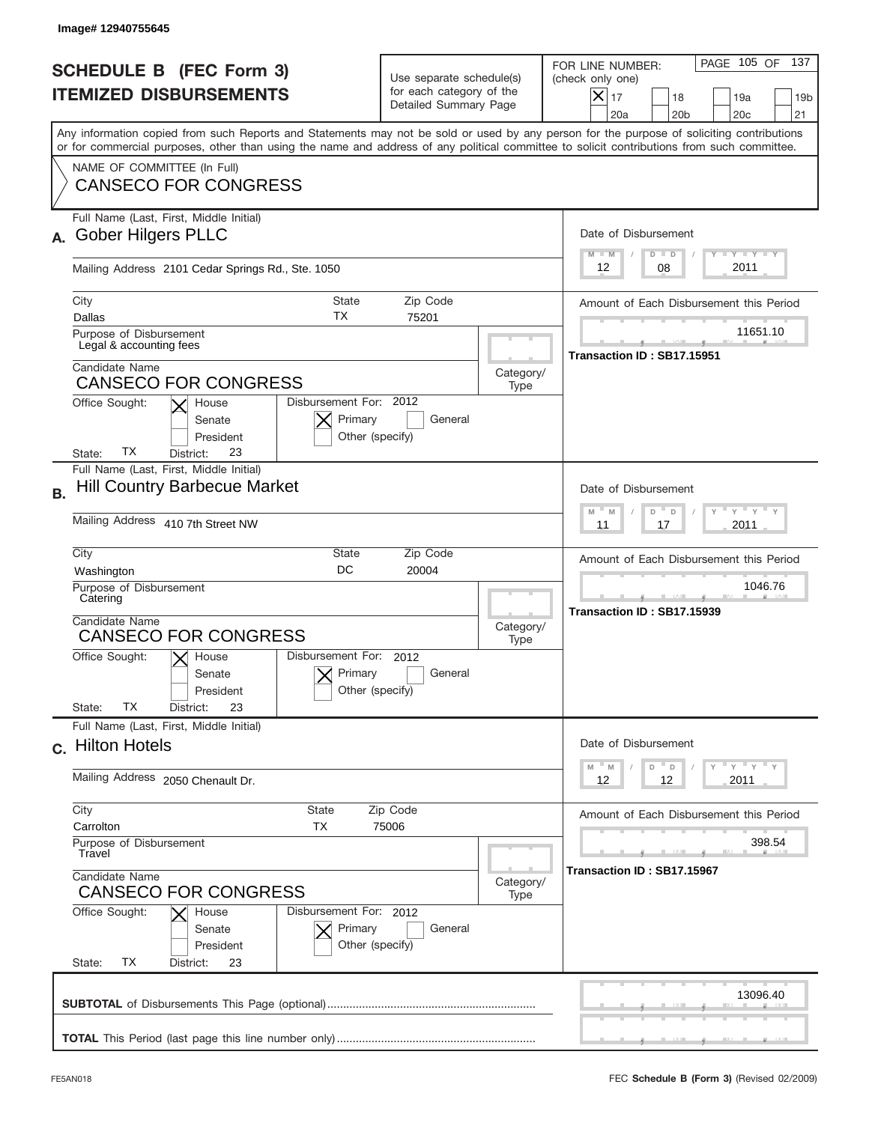|                                                                 | Image# 12940755645                                                                                                                                                                                                                                                                                                                                                                           |                                                                               |                   |                                                                                                                                                                                                  |
|-----------------------------------------------------------------|----------------------------------------------------------------------------------------------------------------------------------------------------------------------------------------------------------------------------------------------------------------------------------------------------------------------------------------------------------------------------------------------|-------------------------------------------------------------------------------|-------------------|--------------------------------------------------------------------------------------------------------------------------------------------------------------------------------------------------|
| <b>SCHEDULE B (FEC Form 3)</b><br><b>ITEMIZED DISBURSEMENTS</b> |                                                                                                                                                                                                                                                                                                                                                                                              | Use separate schedule(s)<br>for each category of the<br>Detailed Summary Page |                   | PAGE 105 OF<br>137<br>FOR LINE NUMBER:<br>(check only one)<br>$ \mathsf{X} _{17}$<br>18<br>19a<br>19 <sub>b</sub><br>20a<br>20 <sub>b</sub><br>20 <sub>c</sub><br>21                             |
|                                                                 | Any information copied from such Reports and Statements may not be sold or used by any person for the purpose of soliciting contributions<br>or for commercial purposes, other than using the name and address of any political committee to solicit contributions from such committee.<br>NAME OF COMMITTEE (In Full)<br><b>CANSECO FOR CONGRESS</b>                                        |                                                                               |                   |                                                                                                                                                                                                  |
| А.                                                              | Full Name (Last, First, Middle Initial)<br><b>Gober Hilgers PLLC</b><br>Mailing Address 2101 Cedar Springs Rd., Ste. 1050                                                                                                                                                                                                                                                                    |                                                                               |                   | Date of Disbursement<br>Y TY TY TY<br>$D$ $D$<br>$M - M$<br>2011<br>08<br>12                                                                                                                     |
|                                                                 | City<br><b>State</b><br>ТX<br>Dallas<br>Purpose of Disbursement<br>Legal & accounting fees<br>Candidate Name<br><b>CANSECO FOR CONGRESS</b><br>Disbursement For: 2012<br>Office Sought:<br>House<br>Primary<br>Senate<br>President<br>Other (specify)<br>ТX<br>23<br>State:<br>District:                                                                                                     | Zip Code<br>75201<br>General                                                  | Category/<br>Type | Amount of Each Disbursement this Period<br>11651.10<br>Transaction ID: SB17.15951                                                                                                                |
| <b>B.</b>                                                       | Full Name (Last, First, Middle Initial)<br><b>Hill Country Barbecue Market</b><br>Mailing Address 410 7th Street NW<br>City<br>State<br>DC<br>Washington<br>Purpose of Disbursement<br>Catering<br>Candidate Name<br><b>CANSECO FOR CONGRESS</b><br>Disbursement For:<br>Office Sought:<br>$X$ House<br>Primary<br>Senate<br>Other (specify)<br>President<br>TX<br>State:<br>23<br>District: | Zip Code<br>20004<br>2012<br>General                                          | Category/<br>Type | Date of Disbursement<br>ү – ү – ү –<br>$-M$<br>M<br>D<br>D<br>2011<br>11<br>17<br>Amount of Each Disbursement this Period<br>1046.76<br>Transaction ID: SB17.15939                               |
|                                                                 | Full Name (Last, First, Middle Initial)<br>c. Hilton Hotels<br>Mailing Address 2050 Chenault Dr.<br>City<br>State<br>Carrolton<br>ТX<br>Purpose of Disbursement<br>Travel<br>Candidate Name<br><b>CANSECO FOR CONGRESS</b><br>Office Sought:<br>Disbursement For: 2012<br>House<br>Primary<br>Senate<br>Other (specify)<br>President<br>ТX<br>State:<br>District:<br>23                      | Zip Code<br>75006<br>General                                                  | Category/<br>Type | Date of Disbursement<br>$\gamma$ = $\gamma$ = $\gamma$ = $\gamma$<br>$- M$<br>D<br>M<br>D<br>2011<br>12<br>12<br>Amount of Each Disbursement this Period<br>398.54<br>Transaction ID: SB17.15967 |
|                                                                 |                                                                                                                                                                                                                                                                                                                                                                                              |                                                                               |                   | 13096.40                                                                                                                                                                                         |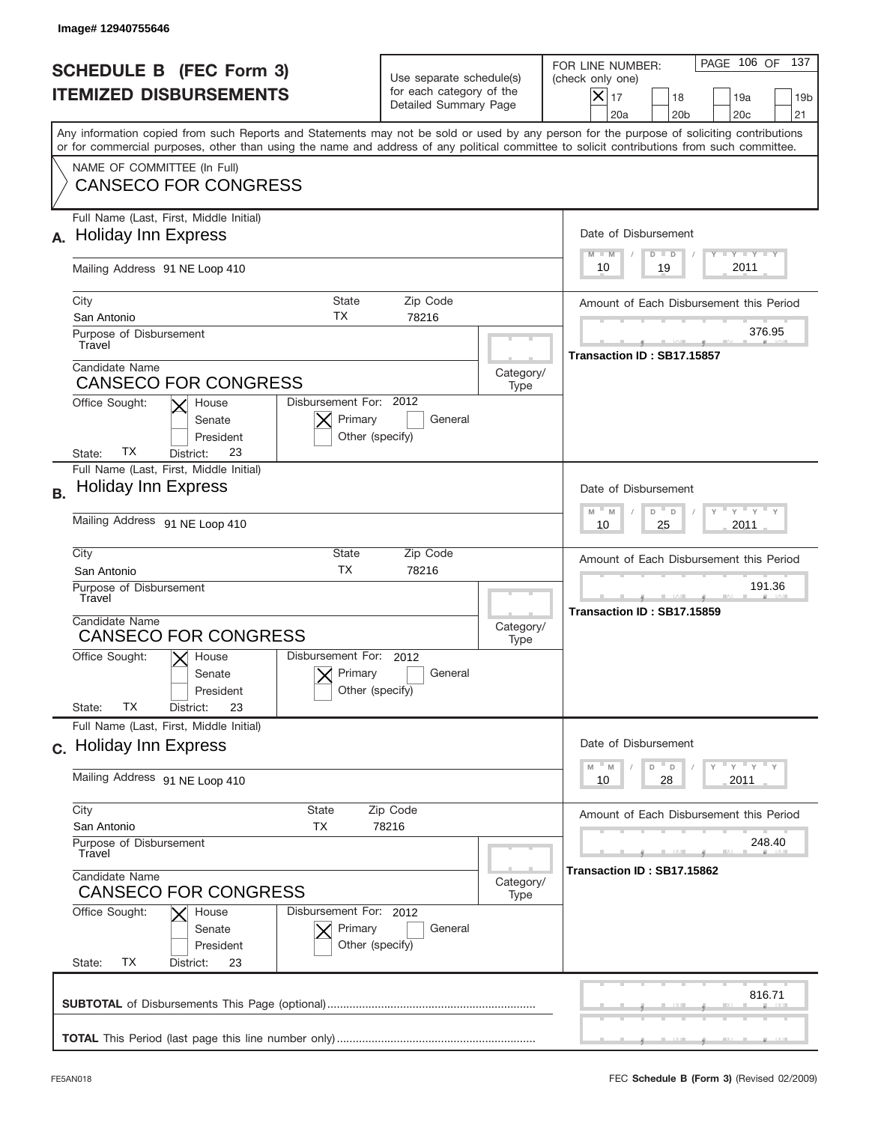|           | Image#12940755646                                                                                                                                                                                                                                                                       |                                                                               |                   |                                                                                                                                                                 |
|-----------|-----------------------------------------------------------------------------------------------------------------------------------------------------------------------------------------------------------------------------------------------------------------------------------------|-------------------------------------------------------------------------------|-------------------|-----------------------------------------------------------------------------------------------------------------------------------------------------------------|
|           | <b>SCHEDULE B (FEC Form 3)</b><br><b>ITEMIZED DISBURSEMENTS</b>                                                                                                                                                                                                                         | Use separate schedule(s)<br>for each category of the<br>Detailed Summary Page |                   | PAGE 106 OF<br>137<br>FOR LINE NUMBER:<br>(check only one)<br>$\times$<br>17<br>18<br>19a<br>19 <sub>b</sub><br>20 <sub>b</sub><br>20 <sub>c</sub><br>21<br>20a |
|           | Any information copied from such Reports and Statements may not be sold or used by any person for the purpose of soliciting contributions<br>or for commercial purposes, other than using the name and address of any political committee to solicit contributions from such committee. |                                                                               |                   |                                                                                                                                                                 |
|           | NAME OF COMMITTEE (In Full)<br><b>CANSECO FOR CONGRESS</b>                                                                                                                                                                                                                              |                                                                               |                   |                                                                                                                                                                 |
|           | Full Name (Last, First, Middle Initial)<br><b>Holiday Inn Express</b>                                                                                                                                                                                                                   |                                                                               |                   | Date of Disbursement<br>$T$ $Y$ $T$ $Y$ $T$ $Y$<br>$M - M$<br>$D$ $D$                                                                                           |
|           | Mailing Address 91 NE Loop 410                                                                                                                                                                                                                                                          |                                                                               |                   | 2011<br>19<br>10                                                                                                                                                |
|           | City<br>State<br>ТX<br>San Antonio                                                                                                                                                                                                                                                      | Zip Code<br>78216                                                             |                   | Amount of Each Disbursement this Period                                                                                                                         |
|           | Purpose of Disbursement<br>Travel                                                                                                                                                                                                                                                       |                                                                               |                   | 376.95<br>Transaction ID: SB17.15857                                                                                                                            |
|           | Candidate Name<br><b>CANSECO FOR CONGRESS</b><br>Disbursement For: 2012                                                                                                                                                                                                                 |                                                                               | Category/<br>Type |                                                                                                                                                                 |
|           | Office Sought:<br>House<br>Primary<br>Senate<br>Other (specify)<br>President<br>ТX<br>23<br>District:<br>State:                                                                                                                                                                         | General                                                                       |                   |                                                                                                                                                                 |
| <b>B.</b> | Full Name (Last, First, Middle Initial)<br><b>Holiday Inn Express</b>                                                                                                                                                                                                                   |                                                                               |                   | Date of Disbursement<br>$M - M$<br>≡ γ ≡ γ =<br>D                                                                                                               |
|           | Mailing Address 91 NE Loop 410                                                                                                                                                                                                                                                          | D<br>2011<br>10<br>25                                                         |                   |                                                                                                                                                                 |
|           | City<br>State<br>Zip Code<br><b>TX</b><br>78216<br>San Antonio<br>Purpose of Disbursement<br>Travel                                                                                                                                                                                     |                                                                               |                   | Amount of Each Disbursement this Period<br>191.36                                                                                                               |
|           | Candidate Name<br><b>CANSECO FOR CONGRESS</b>                                                                                                                                                                                                                                           |                                                                               |                   | Transaction ID: SB17.15859                                                                                                                                      |
|           | Disbursement For: 2012<br>Office Sought:<br>$\mathsf{X}$ House<br>Primary<br>Senate<br>Other (specify)<br>President<br>ТX                                                                                                                                                               |                                                                               |                   |                                                                                                                                                                 |
|           | State:<br>23<br>District:<br>Full Name (Last, First, Middle Initial)                                                                                                                                                                                                                    |                                                                               |                   |                                                                                                                                                                 |
|           | c. Holiday Inn Express                                                                                                                                                                                                                                                                  |                                                                               |                   | Date of Disbursement<br>ү " ү " ү " ү<br>$- M$<br>D<br>M<br>D                                                                                                   |
|           | Mailing Address 91 NE Loop 410                                                                                                                                                                                                                                                          | 2011<br>10<br>28                                                              |                   |                                                                                                                                                                 |
|           | City<br><b>State</b><br>Zip Code<br>San Antonio<br>TX<br>78216<br>Purpose of Disbursement<br>Travel                                                                                                                                                                                     |                                                                               |                   | Amount of Each Disbursement this Period<br>248.40                                                                                                               |
|           | Candidate Name<br><b>CANSECO FOR CONGRESS</b>                                                                                                                                                                                                                                           |                                                                               |                   | Transaction ID: SB17.15862                                                                                                                                      |
|           | Office Sought:<br>Disbursement For: 2012<br>House<br>Primary<br>Senate<br>President<br>Other (specify)<br>ТX<br>State:<br>District:<br>23                                                                                                                                               | General                                                                       |                   |                                                                                                                                                                 |
|           |                                                                                                                                                                                                                                                                                         |                                                                               |                   | 816.71                                                                                                                                                          |
|           |                                                                                                                                                                                                                                                                                         |                                                                               |                   |                                                                                                                                                                 |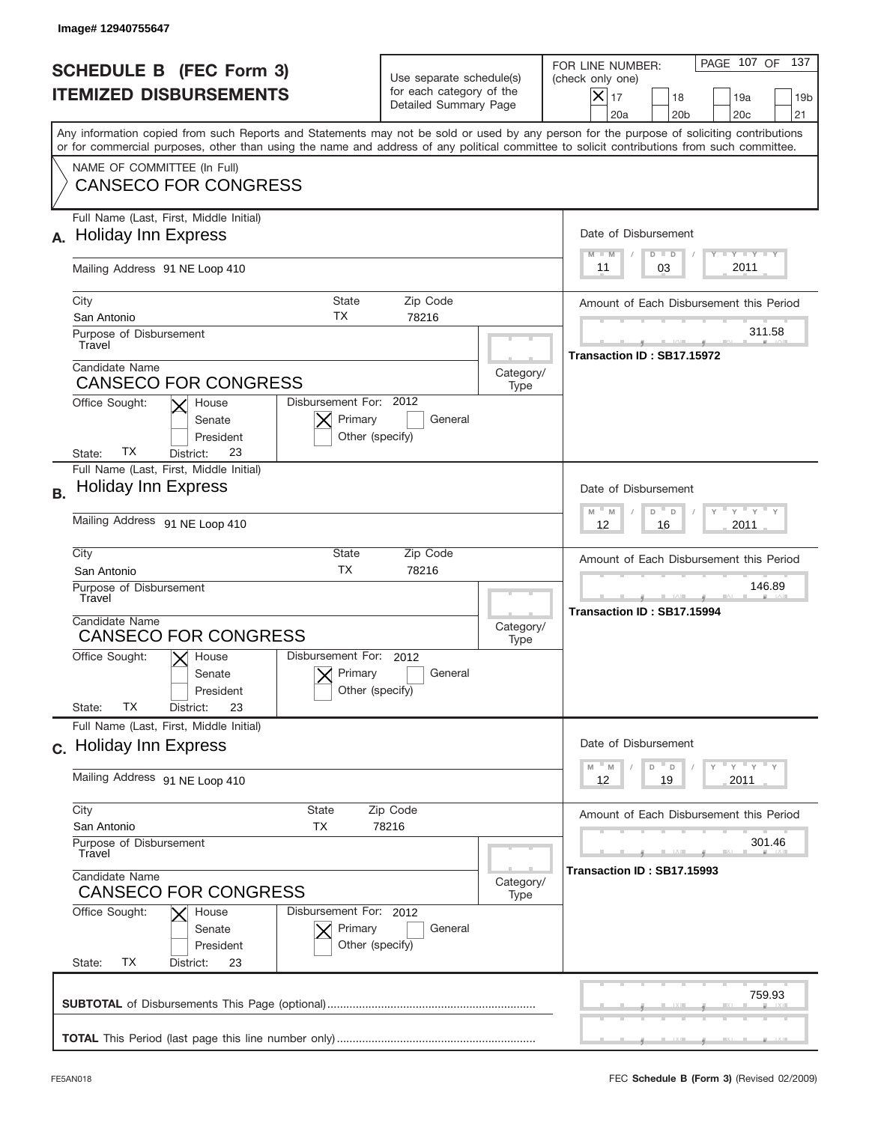|                                                                 | Image# 12940755647                                                                                                                                                                                                                                                                      |                                                                               |                   |                                                                                                                                                                 |
|-----------------------------------------------------------------|-----------------------------------------------------------------------------------------------------------------------------------------------------------------------------------------------------------------------------------------------------------------------------------------|-------------------------------------------------------------------------------|-------------------|-----------------------------------------------------------------------------------------------------------------------------------------------------------------|
| <b>SCHEDULE B (FEC Form 3)</b><br><b>ITEMIZED DISBURSEMENTS</b> |                                                                                                                                                                                                                                                                                         | Use separate schedule(s)<br>for each category of the<br>Detailed Summary Page |                   | PAGE 107 OF<br>137<br>FOR LINE NUMBER:<br>(check only one)<br>$\times$<br>17<br>18<br>19a<br>19 <sub>b</sub><br>20 <sub>b</sub><br>20 <sub>c</sub><br>21<br>20a |
|                                                                 | Any information copied from such Reports and Statements may not be sold or used by any person for the purpose of soliciting contributions<br>or for commercial purposes, other than using the name and address of any political committee to solicit contributions from such committee. |                                                                               |                   |                                                                                                                                                                 |
|                                                                 | NAME OF COMMITTEE (In Full)<br><b>CANSECO FOR CONGRESS</b>                                                                                                                                                                                                                              |                                                                               |                   |                                                                                                                                                                 |
|                                                                 | Full Name (Last, First, Middle Initial)<br><b>Holiday Inn Express</b>                                                                                                                                                                                                                   |                                                                               |                   | Date of Disbursement<br>$T - Y - T - Y - T - Y$<br>$M - M$<br>$D$ $D$                                                                                           |
|                                                                 | Mailing Address 91 NE Loop 410                                                                                                                                                                                                                                                          |                                                                               |                   | 2011<br>03<br>11                                                                                                                                                |
|                                                                 | City<br>State<br>ТX<br>San Antonio                                                                                                                                                                                                                                                      | Zip Code<br>78216                                                             |                   | Amount of Each Disbursement this Period<br>311.58                                                                                                               |
|                                                                 | Purpose of Disbursement<br>Travel<br>Candidate Name                                                                                                                                                                                                                                     |                                                                               |                   | Transaction ID: SB17.15972                                                                                                                                      |
|                                                                 | Category/<br><b>CANSECO FOR CONGRESS</b><br>Type<br>Disbursement For: 2012<br>Office Sought:<br>House<br>Primary<br>General<br>Senate<br>Other (specify)<br>President<br>ТX<br>23<br>District:<br>State:                                                                                |                                                                               |                   |                                                                                                                                                                 |
| <b>B.</b>                                                       | Full Name (Last, First, Middle Initial)<br><b>Holiday Inn Express</b>                                                                                                                                                                                                                   |                                                                               |                   | Date of Disbursement<br>$M - M$<br>≡ γ ≡ γ =<br>D<br>D                                                                                                          |
|                                                                 | Mailing Address 91 NE Loop 410                                                                                                                                                                                                                                                          | 2011<br>12<br>16                                                              |                   |                                                                                                                                                                 |
|                                                                 | City<br>State<br>Zip Code<br><b>TX</b><br>78216<br>San Antonio<br>Purpose of Disbursement<br>Travel                                                                                                                                                                                     |                                                                               |                   | Amount of Each Disbursement this Period<br>146.89<br>Transaction ID: SB17.15994                                                                                 |
|                                                                 | Candidate Name<br><b>CANSECO FOR CONGRESS</b><br>Disbursement For: 2012<br>Office Sought:<br>$\mathsf{X}$ House<br>Primary<br>Senate<br>Other (specify)<br>President<br>ТX<br>State:<br>23<br>District:                                                                                 | General                                                                       | Category/<br>Type |                                                                                                                                                                 |
|                                                                 | Full Name (Last, First, Middle Initial)<br>c. Holiday Inn Express                                                                                                                                                                                                                       |                                                                               |                   | Date of Disbursement                                                                                                                                            |
|                                                                 | Mailing Address 91 NE Loop 410                                                                                                                                                                                                                                                          |                                                                               |                   | ү " ү " ү " ү<br>$- M$<br>M<br>D<br>D<br>2011<br>12<br>19                                                                                                       |
|                                                                 | City<br><b>State</b><br>Zip Code<br>San Antonio<br>TX<br>78216<br>Purpose of Disbursement<br>Travel                                                                                                                                                                                     |                                                                               |                   | Amount of Each Disbursement this Period<br>301.46                                                                                                               |
|                                                                 | Candidate Name<br><b>CANSECO FOR CONGRESS</b>                                                                                                                                                                                                                                           |                                                                               |                   | Transaction ID: SB17.15993                                                                                                                                      |
|                                                                 | Office Sought:<br>Disbursement For: 2012<br>House<br>Primary<br>Senate<br>President<br>Other (specify)<br>ТX<br>State:<br>District:<br>23                                                                                                                                               | General                                                                       |                   |                                                                                                                                                                 |
|                                                                 |                                                                                                                                                                                                                                                                                         |                                                                               |                   | 759.93                                                                                                                                                          |
|                                                                 |                                                                                                                                                                                                                                                                                         |                                                                               |                   |                                                                                                                                                                 |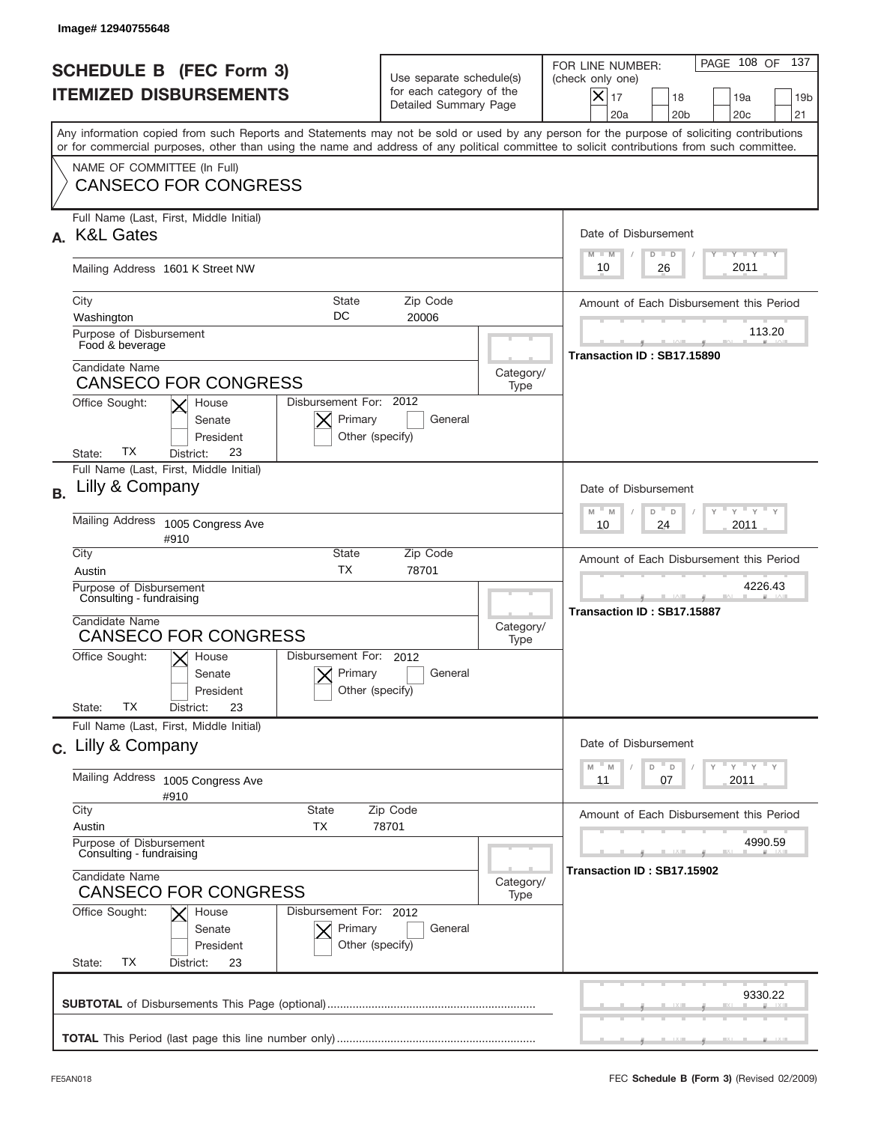|           | lmage# 12940755648                                                                                                                                                                                                                                                                      |                                                                               |                   |                                                                                                                                                                 |
|-----------|-----------------------------------------------------------------------------------------------------------------------------------------------------------------------------------------------------------------------------------------------------------------------------------------|-------------------------------------------------------------------------------|-------------------|-----------------------------------------------------------------------------------------------------------------------------------------------------------------|
|           | <b>SCHEDULE B (FEC Form 3)</b><br><b>ITEMIZED DISBURSEMENTS</b>                                                                                                                                                                                                                         | Use separate schedule(s)<br>for each category of the<br>Detailed Summary Page |                   | PAGE 108 OF<br>137<br>FOR LINE NUMBER:<br>(check only one)<br>$\times$<br>17<br>18<br>19a<br>19 <sub>b</sub><br>20a<br>20 <sub>b</sub><br>20 <sub>c</sub><br>21 |
|           | Any information copied from such Reports and Statements may not be sold or used by any person for the purpose of soliciting contributions<br>or for commercial purposes, other than using the name and address of any political committee to solicit contributions from such committee. |                                                                               |                   |                                                                                                                                                                 |
|           | NAME OF COMMITTEE (In Full)<br><b>CANSECO FOR CONGRESS</b>                                                                                                                                                                                                                              |                                                                               |                   |                                                                                                                                                                 |
|           | Full Name (Last, First, Middle Initial)<br><b>K&amp;L Gates</b>                                                                                                                                                                                                                         |                                                                               |                   | Date of Disbursement<br>$T$ $Y$ $T$ $Y$ $T$ $Y$<br>$M - M$<br>$D$ $D$                                                                                           |
|           | Mailing Address 1601 K Street NW                                                                                                                                                                                                                                                        | 2011<br>10<br>26                                                              |                   |                                                                                                                                                                 |
|           | City<br><b>State</b><br>DC<br>Washington                                                                                                                                                                                                                                                | Zip Code<br>20006                                                             |                   | Amount of Each Disbursement this Period                                                                                                                         |
|           | Purpose of Disbursement<br>Food & beverage                                                                                                                                                                                                                                              |                                                                               |                   | 113.20<br>Transaction ID: SB17.15890                                                                                                                            |
|           | Candidate Name<br><b>CANSECO FOR CONGRESS</b>                                                                                                                                                                                                                                           |                                                                               | Category/<br>Type |                                                                                                                                                                 |
|           | Disbursement For: 2012<br>Office Sought:<br>House<br>Primary<br>Senate<br>President<br>Other (specify)<br>ТX<br>23<br>State:<br>District:                                                                                                                                               | General                                                                       |                   |                                                                                                                                                                 |
| <b>B.</b> | Full Name (Last, First, Middle Initial)<br>Lilly & Company                                                                                                                                                                                                                              |                                                                               |                   | Date of Disbursement                                                                                                                                            |
|           | Mailing Address 1005 Congress Ave<br>#910                                                                                                                                                                                                                                               | $M - M$<br>$\vdash$ $\gamma$ $\vdash$ $\gamma$<br>D<br>D<br>2011<br>10<br>24  |                   |                                                                                                                                                                 |
|           | City<br>State<br><b>TX</b><br>Austin                                                                                                                                                                                                                                                    | Amount of Each Disbursement this Period                                       |                   |                                                                                                                                                                 |
|           | Purpose of Disbursement<br>Consulting - fundraising                                                                                                                                                                                                                                     |                                                                               |                   | 4226.43<br>Transaction ID: SB17.15887                                                                                                                           |
|           | Candidate Name<br><b>CANSECO FOR CONGRESS</b>                                                                                                                                                                                                                                           | Category/<br>Type                                                             |                   |                                                                                                                                                                 |
|           | Disbursement For: 2012<br>Office Sought:<br>$\mathsf{X}$ House<br>Primary<br>Senate<br>Other (specify)<br>President<br>ТX<br>23<br>State:<br>District:                                                                                                                                  | General                                                                       |                   |                                                                                                                                                                 |
|           | Full Name (Last, First, Middle Initial)<br>c. Lilly & Company                                                                                                                                                                                                                           |                                                                               |                   | Date of Disbursement                                                                                                                                            |
|           | <b>Mailing Address</b><br>1005 Congress Ave<br>#910                                                                                                                                                                                                                                     |                                                                               |                   | ≡ γ ≡ γ ≡ γ<br>$-M$<br>M<br>D<br>D<br>2011<br>11<br>07                                                                                                          |
|           | City<br><b>State</b><br>Austin<br>TX                                                                                                                                                                                                                                                    | Zip Code<br>78701                                                             |                   | Amount of Each Disbursement this Period                                                                                                                         |
|           | Purpose of Disbursement<br>Consulting - fundraising                                                                                                                                                                                                                                     |                                                                               |                   | 4990.59<br>Transaction ID: SB17.15902                                                                                                                           |
|           | Candidate Name<br><b>CANSECO FOR CONGRESS</b>                                                                                                                                                                                                                                           |                                                                               |                   |                                                                                                                                                                 |
|           | Office Sought:<br>Disbursement For: 2012<br>House<br>Primary<br>General<br>Senate<br>President<br>Other (specify)<br>ТX<br>State:<br>District:<br>23                                                                                                                                    |                                                                               |                   |                                                                                                                                                                 |
|           |                                                                                                                                                                                                                                                                                         |                                                                               |                   | 9330.22                                                                                                                                                         |
|           |                                                                                                                                                                                                                                                                                         |                                                                               |                   |                                                                                                                                                                 |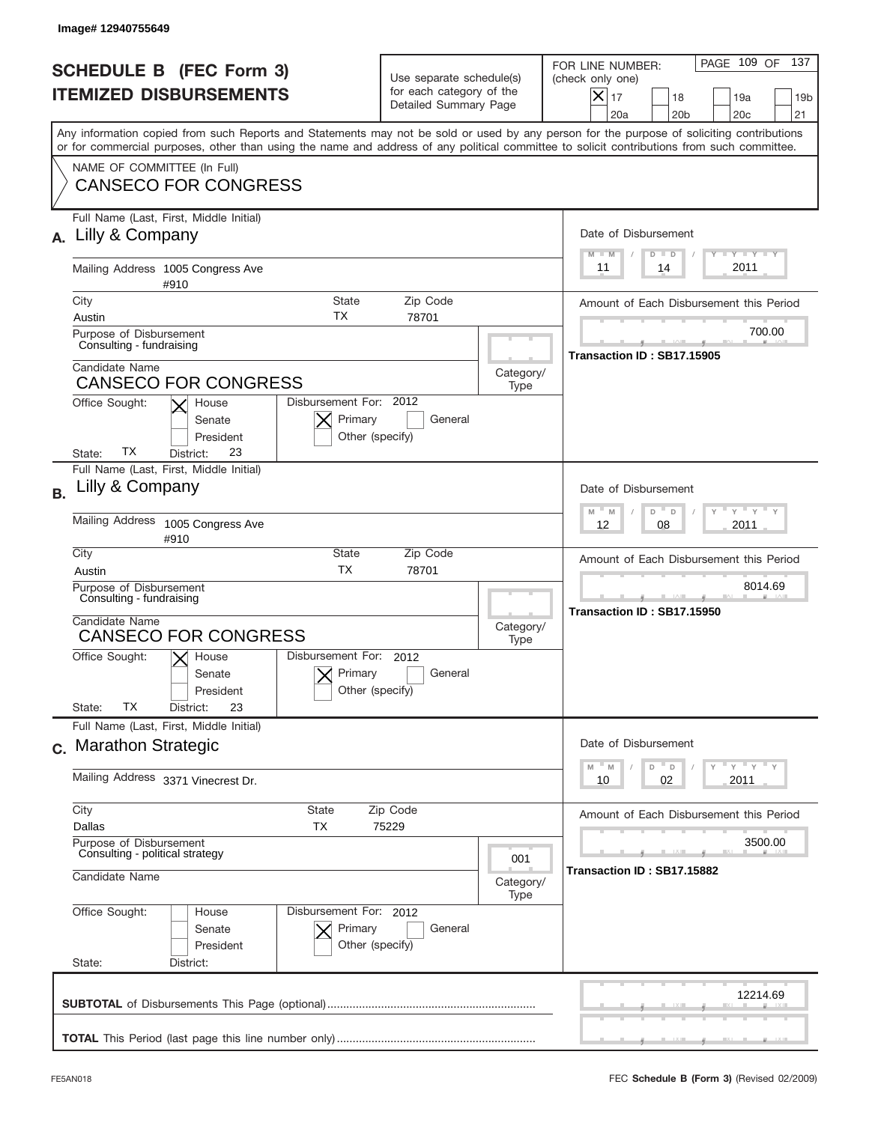|           | Image# 12940755649                                                                                                                                                                                                                                                                      |                                                      |                                                                               |                                                                                                                                                                 |
|-----------|-----------------------------------------------------------------------------------------------------------------------------------------------------------------------------------------------------------------------------------------------------------------------------------------|------------------------------------------------------|-------------------------------------------------------------------------------|-----------------------------------------------------------------------------------------------------------------------------------------------------------------|
|           | <b>SCHEDULE B (FEC Form 3)</b><br><b>ITEMIZED DISBURSEMENTS</b>                                                                                                                                                                                                                         |                                                      | Use separate schedule(s)<br>for each category of the<br>Detailed Summary Page | PAGE 109 OF<br>137<br>FOR LINE NUMBER:<br>(check only one)<br>$\times$<br>17<br>18<br>19a<br>19 <sub>b</sub><br>20a<br>20 <sub>b</sub><br>20 <sub>c</sub><br>21 |
|           | Any information copied from such Reports and Statements may not be sold or used by any person for the purpose of soliciting contributions<br>or for commercial purposes, other than using the name and address of any political committee to solicit contributions from such committee. |                                                      |                                                                               |                                                                                                                                                                 |
|           | NAME OF COMMITTEE (In Full)<br><b>CANSECO FOR CONGRESS</b>                                                                                                                                                                                                                              |                                                      |                                                                               |                                                                                                                                                                 |
|           | Full Name (Last, First, Middle Initial)<br>Lilly & Company                                                                                                                                                                                                                              |                                                      |                                                                               | Date of Disbursement<br>$T - Y$ $T - Y$ $T - Y$                                                                                                                 |
|           | Mailing Address 1005 Congress Ave<br>#910                                                                                                                                                                                                                                               |                                                      |                                                                               | $M - M$<br>$D$ $D$<br>2011<br>11<br>14                                                                                                                          |
|           | City<br><b>State</b><br>ТX                                                                                                                                                                                                                                                              | Zip Code                                             |                                                                               | Amount of Each Disbursement this Period                                                                                                                         |
|           | Austin<br>Purpose of Disbursement<br>Consulting - fundraising                                                                                                                                                                                                                           | 78701                                                |                                                                               | 700.00<br>Transaction ID: SB17.15905                                                                                                                            |
|           | Candidate Name<br><b>CANSECO FOR CONGRESS</b>                                                                                                                                                                                                                                           |                                                      | Category/<br>Type                                                             |                                                                                                                                                                 |
|           | Office Sought:<br>House<br>Senate<br>President<br>ТX<br>23<br>State:<br>District:                                                                                                                                                                                                       | Disbursement For: 2012<br>Primary<br>Other (specify) | General                                                                       |                                                                                                                                                                 |
| <b>B.</b> | Full Name (Last, First, Middle Initial)<br>Lilly & Company                                                                                                                                                                                                                              |                                                      |                                                                               | Date of Disbursement                                                                                                                                            |
|           | Mailing Address 1005 Congress Ave<br>#910                                                                                                                                                                                                                                               |                                                      |                                                                               | $M - M$<br>$Y = Y$<br>D<br>$\Box$<br>2011<br>12<br>08                                                                                                           |
|           | City<br><b>State</b><br><b>TX</b><br>Austin                                                                                                                                                                                                                                             | Zip Code<br>78701                                    |                                                                               | Amount of Each Disbursement this Period                                                                                                                         |
|           | Purpose of Disbursement<br>Consulting - fundraising                                                                                                                                                                                                                                     |                                                      |                                                                               | 8014.69<br>Transaction ID: SB17.15950                                                                                                                           |
|           | Candidate Name<br><b>CANSECO FOR CONGRESS</b>                                                                                                                                                                                                                                           |                                                      | Category/<br>Type                                                             |                                                                                                                                                                 |
|           | Disbursement For:<br>Office Sought:<br>$X$ House<br>Senate<br>President                                                                                                                                                                                                                 | 2012<br>Primary<br>Other (specify)                   | General                                                                       |                                                                                                                                                                 |
|           | ТX<br>State:<br>23<br>District:<br>Full Name (Last, First, Middle Initial)                                                                                                                                                                                                              |                                                      |                                                                               |                                                                                                                                                                 |
|           | c. Marathon Strategic                                                                                                                                                                                                                                                                   |                                                      |                                                                               | Date of Disbursement<br>≡ γ ≡ γ ≡ γ<br>M<br>D<br>M<br>D                                                                                                         |
|           | Mailing Address 3371 Vinecrest Dr.                                                                                                                                                                                                                                                      |                                                      |                                                                               | 02<br>2011<br>10                                                                                                                                                |
|           | City<br><b>State</b><br>Dallas<br>ТX                                                                                                                                                                                                                                                    | Zip Code<br>75229                                    |                                                                               | Amount of Each Disbursement this Period                                                                                                                         |
|           | Purpose of Disbursement<br>Consulting - political strategy                                                                                                                                                                                                                              |                                                      | 001                                                                           | 3500.00<br>Transaction ID: SB17.15882                                                                                                                           |
|           | Candidate Name                                                                                                                                                                                                                                                                          |                                                      | Category/<br>Type                                                             |                                                                                                                                                                 |
|           | Office Sought:<br>House<br>Senate<br>President<br>State:<br>District:                                                                                                                                                                                                                   | Disbursement For: 2012<br>Primary<br>Other (specify) | General                                                                       |                                                                                                                                                                 |
|           |                                                                                                                                                                                                                                                                                         |                                                      |                                                                               | 12214.69                                                                                                                                                        |
|           |                                                                                                                                                                                                                                                                                         |                                                      |                                                                               |                                                                                                                                                                 |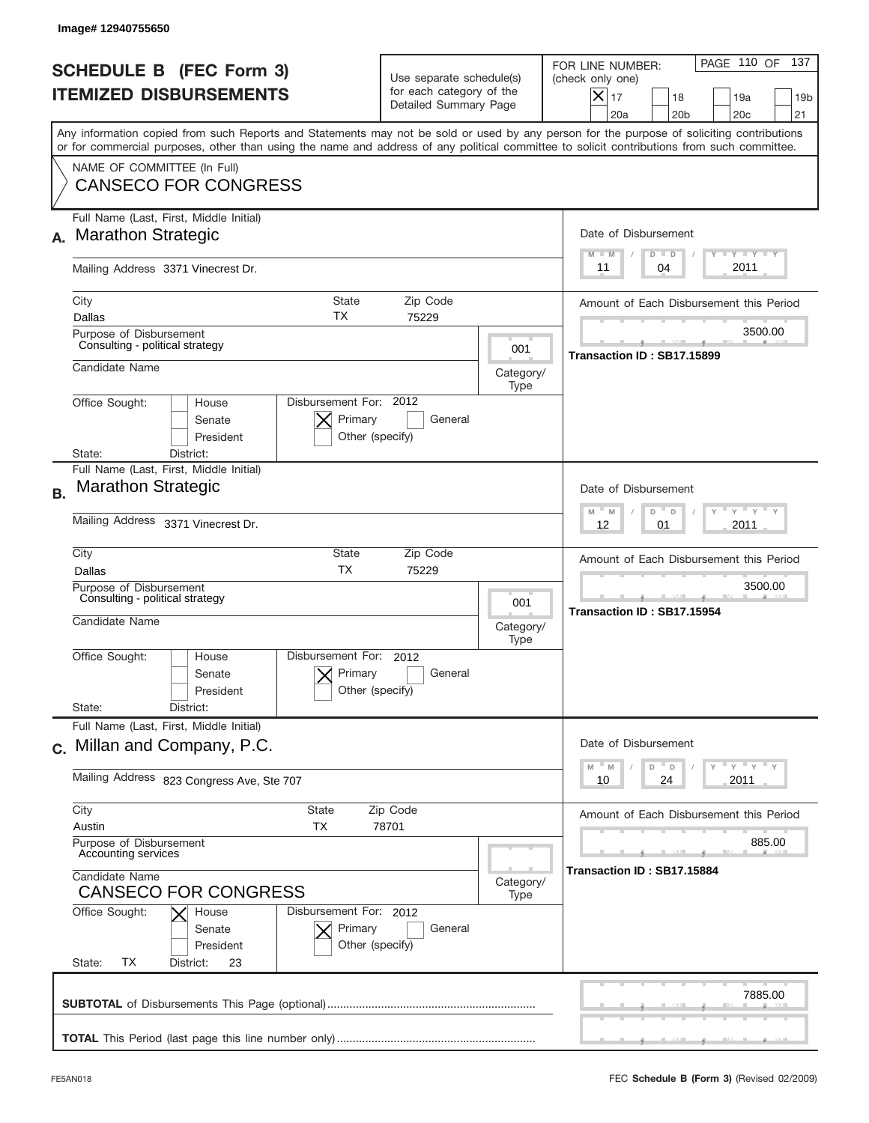|           | Image# 12940755650                                                                                                                                                                                                                                                                                                     |                                                                               |                          |                                                                                                                                                       |
|-----------|------------------------------------------------------------------------------------------------------------------------------------------------------------------------------------------------------------------------------------------------------------------------------------------------------------------------|-------------------------------------------------------------------------------|--------------------------|-------------------------------------------------------------------------------------------------------------------------------------------------------|
|           | <b>SCHEDULE B (FEC Form 3)</b><br><b>ITEMIZED DISBURSEMENTS</b>                                                                                                                                                                                                                                                        | Use separate schedule(s)<br>for each category of the<br>Detailed Summary Page |                          | PAGE 110 OF 137<br>FOR LINE NUMBER:<br>(check only one)<br>$ \mathsf{X} _{17}$<br>18<br>19a<br>19 <sub>b</sub><br>20a<br>20 <sub>b</sub><br>20c<br>21 |
|           | Any information copied from such Reports and Statements may not be sold or used by any person for the purpose of soliciting contributions<br>or for commercial purposes, other than using the name and address of any political committee to solicit contributions from such committee.<br>NAME OF COMMITTEE (In Full) |                                                                               |                          |                                                                                                                                                       |
|           | <b>CANSECO FOR CONGRESS</b><br>Full Name (Last, First, Middle Initial)                                                                                                                                                                                                                                                 |                                                                               |                          |                                                                                                                                                       |
| А.        | <b>Marathon Strategic</b>                                                                                                                                                                                                                                                                                              |                                                                               |                          | Date of Disbursement<br>Y TY TY TY<br>$D$ $D$<br>$M - M$<br>2011<br>04                                                                                |
|           | Mailing Address 3371 Vinecrest Dr.<br>City<br><b>State</b>                                                                                                                                                                                                                                                             | Zip Code                                                                      |                          | 11<br>Amount of Each Disbursement this Period                                                                                                         |
|           | ТX<br>Dallas<br>Purpose of Disbursement<br>Consulting - political strategy                                                                                                                                                                                                                                             | 75229                                                                         |                          | 3500.00                                                                                                                                               |
|           | Candidate Name                                                                                                                                                                                                                                                                                                         |                                                                               | 001<br>Category/<br>Type | Transaction ID: SB17.15899                                                                                                                            |
|           | Disbursement For: 2012<br>Office Sought:<br>House<br>Primary<br>Senate<br>President<br>Other (specify)<br>State:<br>District:                                                                                                                                                                                          | General                                                                       |                          |                                                                                                                                                       |
| <b>B.</b> | Full Name (Last, First, Middle Initial)<br><b>Marathon Strategic</b>                                                                                                                                                                                                                                                   |                                                                               |                          | Date of Disbursement<br>ү – ү – ү –<br>$-$ M<br>M<br>D<br>$\mathsf D$                                                                                 |
|           | Mailing Address 3371 Vinecrest Dr.<br>City<br>State                                                                                                                                                                                                                                                                    | Zip Code                                                                      |                          | 2011<br>12<br>01                                                                                                                                      |
|           | <b>TX</b><br>Dallas<br>Purpose of Disbursement                                                                                                                                                                                                                                                                         | 75229                                                                         |                          | Amount of Each Disbursement this Period<br>3500.00                                                                                                    |
|           | Consulting - political strategy<br>Candidate Name                                                                                                                                                                                                                                                                      |                                                                               | 001<br>Category/<br>Type | Transaction ID: SB17.15954                                                                                                                            |
|           | Disbursement For:<br>Office Sought:<br>House<br>Primary<br>Senate<br>Other (specify)<br>President<br>State:<br>District:                                                                                                                                                                                               | 2012<br>General                                                               |                          |                                                                                                                                                       |
|           | Full Name (Last, First, Middle Initial)<br>c. Millan and Company, P.C.                                                                                                                                                                                                                                                 |                                                                               |                          | Date of Disbursement                                                                                                                                  |
|           | Mailing Address 823 Congress Ave, Ste 707                                                                                                                                                                                                                                                                              |                                                                               |                          | $\gamma$ = $\gamma$ = $\gamma$ = $\gamma$<br>D<br>M<br>M<br>D<br>2011<br>10<br>24                                                                     |
|           | City<br>State<br>Austin<br>ТX<br>Purpose of Disbursement                                                                                                                                                                                                                                                               | Zip Code<br>78701                                                             |                          | Amount of Each Disbursement this Period<br>885.00                                                                                                     |
|           | Accounting services<br>Candidate Name<br><b>CANSECO FOR CONGRESS</b>                                                                                                                                                                                                                                                   |                                                                               | Category/<br>Type        | Transaction ID: SB17.15884                                                                                                                            |
|           | Office Sought:<br>Disbursement For: 2012<br>House<br>Primary<br>Senate<br>Other (specify)<br>President<br>ТX<br>State:<br>District:<br>23                                                                                                                                                                              | General                                                                       |                          |                                                                                                                                                       |
|           |                                                                                                                                                                                                                                                                                                                        |                                                                               |                          | 7885.00                                                                                                                                               |
|           |                                                                                                                                                                                                                                                                                                                        |                                                                               |                          |                                                                                                                                                       |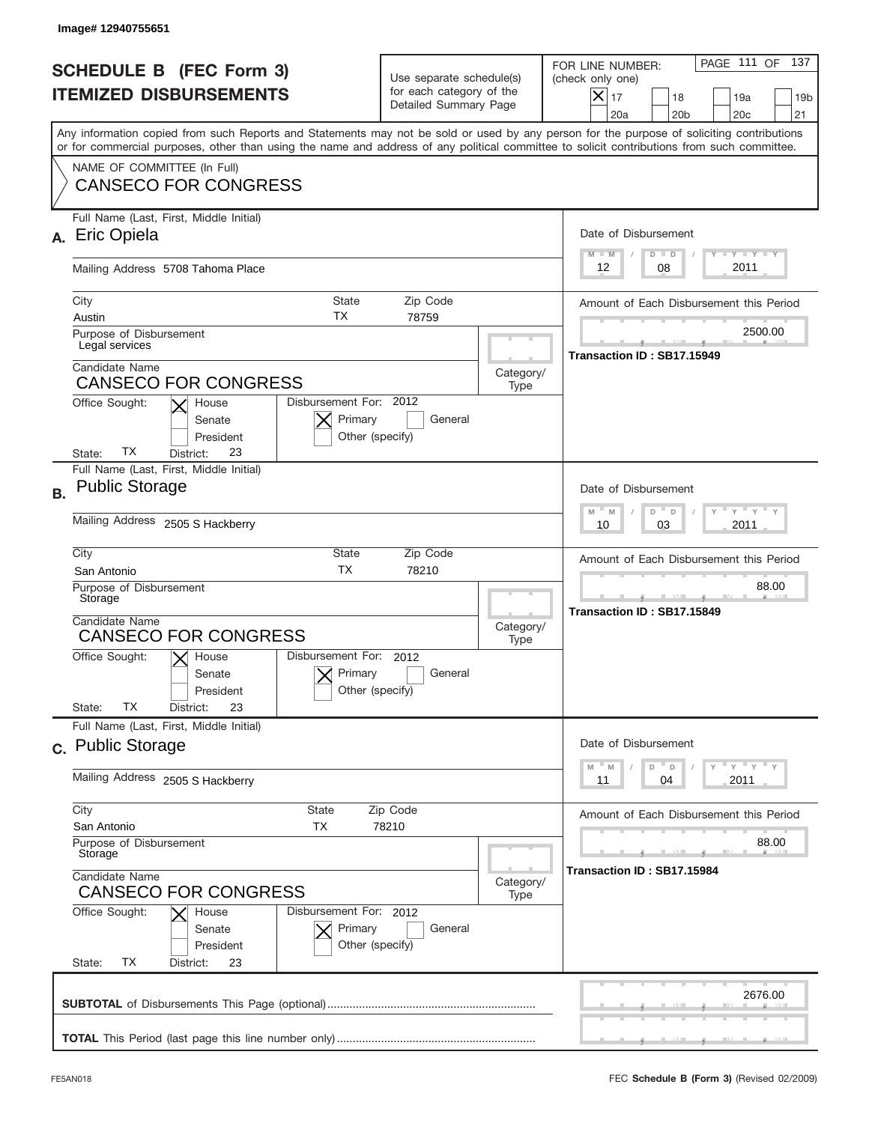|           | Image#12940755651                                                                                                                                                                                                                                                                       |                                                                               |                   |                                                                                                                                                            |
|-----------|-----------------------------------------------------------------------------------------------------------------------------------------------------------------------------------------------------------------------------------------------------------------------------------------|-------------------------------------------------------------------------------|-------------------|------------------------------------------------------------------------------------------------------------------------------------------------------------|
|           | <b>SCHEDULE B (FEC Form 3)</b><br><b>ITEMIZED DISBURSEMENTS</b>                                                                                                                                                                                                                         | Use separate schedule(s)<br>for each category of the<br>Detailed Summary Page |                   | PAGE 111 OF<br>137<br>FOR LINE NUMBER:<br>(check only one)<br>$X _{17}$<br>18<br>19a<br>19 <sub>b</sub><br>21<br>20a<br>20 <sub>b</sub><br>20 <sub>c</sub> |
|           | Any information copied from such Reports and Statements may not be sold or used by any person for the purpose of soliciting contributions<br>or for commercial purposes, other than using the name and address of any political committee to solicit contributions from such committee. |                                                                               |                   |                                                                                                                                                            |
|           | NAME OF COMMITTEE (In Full)<br><b>CANSECO FOR CONGRESS</b>                                                                                                                                                                                                                              |                                                                               |                   |                                                                                                                                                            |
|           | Full Name (Last, First, Middle Initial)<br>Eric Opiela                                                                                                                                                                                                                                  |                                                                               |                   | Date of Disbursement<br><b>TANK TANK</b><br>$M - M$<br>$D$ $D$                                                                                             |
|           | Mailing Address 5708 Tahoma Place                                                                                                                                                                                                                                                       |                                                                               |                   | 2011<br>08<br>12                                                                                                                                           |
|           | City<br><b>State</b><br>ТX<br>Austin<br>Purpose of Disbursement<br>Legal services                                                                                                                                                                                                       | Zip Code<br>78759                                                             |                   | Amount of Each Disbursement this Period<br>2500.00                                                                                                         |
|           | Candidate Name<br><b>CANSECO FOR CONGRESS</b><br>Disbursement For: 2012<br>Office Sought:<br>House<br>Primary<br>Senate<br>President<br>Other (specify)<br>ТX<br>23                                                                                                                     | General                                                                       | Category/<br>Type | Transaction ID: SB17.15949                                                                                                                                 |
| <b>B.</b> | State:<br>District:<br>Full Name (Last, First, Middle Initial)<br><b>Public Storage</b><br>Mailing Address 2505 S Hackberry                                                                                                                                                             |                                                                               |                   | Date of Disbursement<br>$\cdots$ $\gamma$ $\cdots$ $\gamma$ $\cdots$ $\gamma$<br>$D$ $D$<br>$M - M$<br>2011<br>10<br>03                                    |
|           | City<br><b>State</b><br><b>TX</b><br>San Antonio<br>Purpose of Disbursement<br>Storage<br>Candidate Name<br><b>CANSECO FOR CONGRESS</b><br>Disbursement For: 2012<br>Office Sought:<br>$\mathsf{X}$ House<br>Primary<br>Senate<br>Other (specify)<br>President                          | Zip Code<br>78210<br>General                                                  | Category/<br>Type | Amount of Each Disbursement this Period<br>88.00<br>Transaction ID: SB17.15849                                                                             |
|           | ТX<br>State:<br>23<br>District:<br>Full Name (Last, First, Middle Initial)                                                                                                                                                                                                              |                                                                               |                   | Date of Disbursement                                                                                                                                       |
|           | c. Public Storage<br>Mailing Address 2505 S Hackberry                                                                                                                                                                                                                                   |                                                                               |                   | $\gamma$ = $\gamma$ = $\gamma$ = $\gamma$<br>$-M$<br>D<br>M<br>D<br>2011<br>11<br>04                                                                       |
|           | City<br><b>State</b><br>San Antonio<br>ТX<br>Purpose of Disbursement<br>Storage<br>Candidate Name                                                                                                                                                                                       | Zip Code<br>78210                                                             |                   | Amount of Each Disbursement this Period<br>88.00<br>Transaction ID: SB17.15984                                                                             |
|           | <b>CANSECO FOR CONGRESS</b><br>Office Sought:<br>Disbursement For: 2012<br>House<br>Primary<br>Senate<br>Other (specify)<br>President<br>ТX<br>State:<br>District:<br>23                                                                                                                | General                                                                       | Category/<br>Type |                                                                                                                                                            |
|           |                                                                                                                                                                                                                                                                                         |                                                                               |                   | 2676.00                                                                                                                                                    |
|           |                                                                                                                                                                                                                                                                                         |                                                                               |                   |                                                                                                                                                            |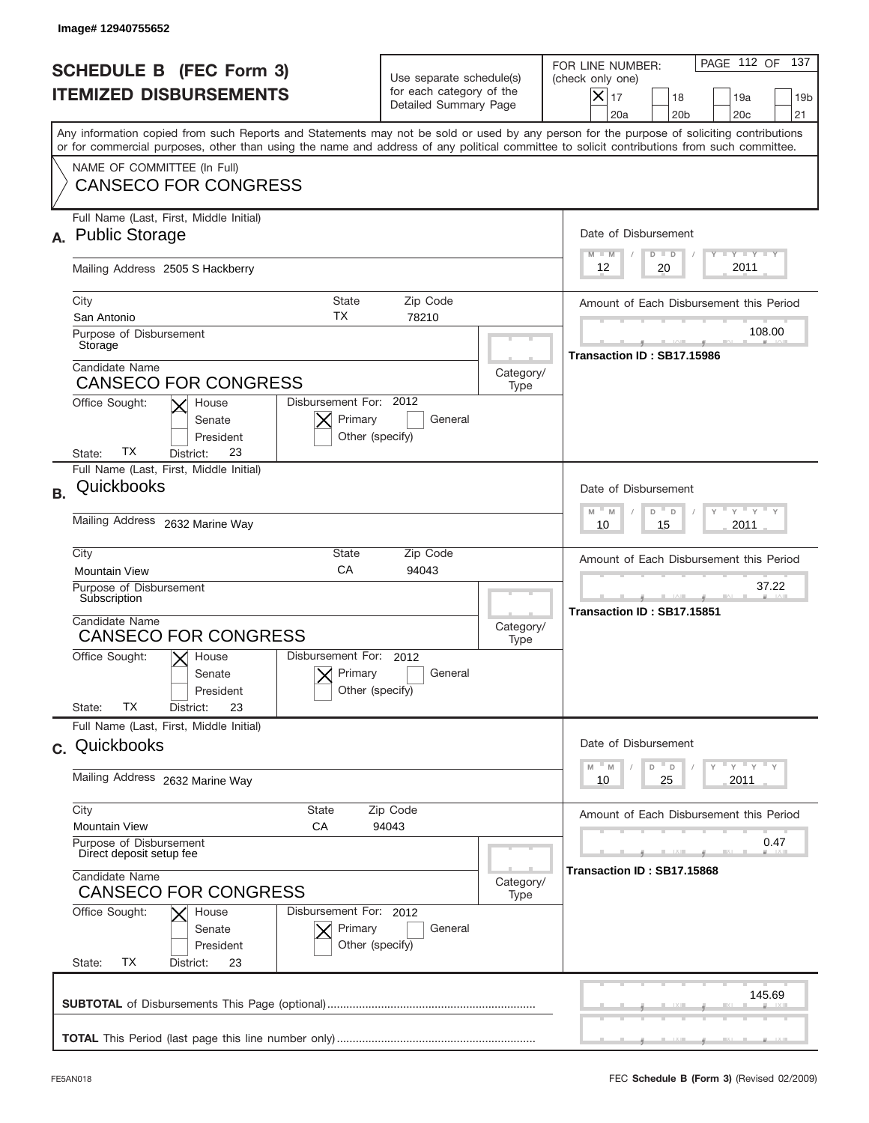|           | Image# 12940755652                                                                                                                                                                                                                                                                      |                                                                               |                   |                                                                                                                                                                 |
|-----------|-----------------------------------------------------------------------------------------------------------------------------------------------------------------------------------------------------------------------------------------------------------------------------------------|-------------------------------------------------------------------------------|-------------------|-----------------------------------------------------------------------------------------------------------------------------------------------------------------|
|           | <b>SCHEDULE B (FEC Form 3)</b><br><b>ITEMIZED DISBURSEMENTS</b>                                                                                                                                                                                                                         | Use separate schedule(s)<br>for each category of the<br>Detailed Summary Page |                   | PAGE 112 OF<br>137<br>FOR LINE NUMBER:<br>(check only one)<br>$\times$<br>17<br>18<br>19a<br>19 <sub>b</sub><br>20a<br>20 <sub>b</sub><br>20 <sub>c</sub><br>21 |
|           | Any information copied from such Reports and Statements may not be sold or used by any person for the purpose of soliciting contributions<br>or for commercial purposes, other than using the name and address of any political committee to solicit contributions from such committee. |                                                                               |                   |                                                                                                                                                                 |
|           | NAME OF COMMITTEE (In Full)<br><b>CANSECO FOR CONGRESS</b>                                                                                                                                                                                                                              |                                                                               |                   |                                                                                                                                                                 |
|           | Full Name (Last, First, Middle Initial)<br><b>Public Storage</b>                                                                                                                                                                                                                        |                                                                               |                   | Date of Disbursement<br>$T - Y$ $T - Y$ $T - Y$<br>$M - M$<br>$D$ $D$                                                                                           |
|           | Mailing Address 2505 S Hackberry                                                                                                                                                                                                                                                        |                                                                               |                   | 2011<br>12<br>20                                                                                                                                                |
|           | City<br><b>State</b><br>ТX<br>San Antonio<br>Purpose of Disbursement                                                                                                                                                                                                                    | Zip Code<br>78210                                                             |                   | Amount of Each Disbursement this Period<br>108.00                                                                                                               |
|           | Storage<br>Candidate Name<br><b>CANSECO FOR CONGRESS</b>                                                                                                                                                                                                                                |                                                                               | Category/<br>Type | Transaction ID: SB17.15986                                                                                                                                      |
|           | Disbursement For: 2012<br>Office Sought:<br>House<br>Primary<br>Senate<br>President<br>Other (specify)<br>ТX<br>23<br>State:<br>District:                                                                                                                                               | General                                                                       |                   |                                                                                                                                                                 |
| <b>B.</b> | Full Name (Last, First, Middle Initial)<br>Quickbooks                                                                                                                                                                                                                                   |                                                                               |                   | Date of Disbursement<br>$M - M$<br>≡ γ ≡ γ ≡<br>D<br>D                                                                                                          |
|           | Mailing Address 2632 Marine Way                                                                                                                                                                                                                                                         |                                                                               |                   | 2011<br>10<br>15                                                                                                                                                |
|           | City<br><b>State</b><br>CA<br><b>Mountain View</b><br>Purpose of Disbursement<br>Subscription                                                                                                                                                                                           | Zip Code<br>94043                                                             |                   | Amount of Each Disbursement this Period<br>37.22                                                                                                                |
|           | Candidate Name<br><b>CANSECO FOR CONGRESS</b>                                                                                                                                                                                                                                           |                                                                               | Category/<br>Type | Transaction ID: SB17.15851                                                                                                                                      |
|           | Disbursement For: 2012<br>Office Sought:<br>$X$ House<br>Primary<br>Senate<br>Other (specify)<br>President<br>ТX<br>23<br>State:<br>District:                                                                                                                                           | General                                                                       |                   |                                                                                                                                                                 |
|           | Full Name (Last, First, Middle Initial)<br>c. Quickbooks                                                                                                                                                                                                                                |                                                                               |                   | Date of Disbursement                                                                                                                                            |
|           | Mailing Address 2632 Marine Way                                                                                                                                                                                                                                                         |                                                                               |                   | $-\gamma + \gamma + \gamma$<br>M<br>M<br>D<br>D<br>2011<br>10<br>25                                                                                             |
|           | City<br><b>State</b><br><b>Mountain View</b><br>СA<br>Purpose of Disbursement                                                                                                                                                                                                           | Zip Code<br>94043                                                             |                   | Amount of Each Disbursement this Period<br>0.47                                                                                                                 |
|           | Direct deposit setup fee<br>Candidate Name<br><b>CANSECO FOR CONGRESS</b>                                                                                                                                                                                                               |                                                                               | Category/<br>Type | Transaction ID: SB17.15868                                                                                                                                      |
|           | Office Sought:<br>Disbursement For: 2012<br>House<br>Primary<br>Senate<br>Other (specify)<br>President<br>ТX<br>State:<br>District:<br>23                                                                                                                                               | General                                                                       |                   |                                                                                                                                                                 |
|           |                                                                                                                                                                                                                                                                                         |                                                                               |                   | 145.69                                                                                                                                                          |
|           |                                                                                                                                                                                                                                                                                         |                                                                               |                   |                                                                                                                                                                 |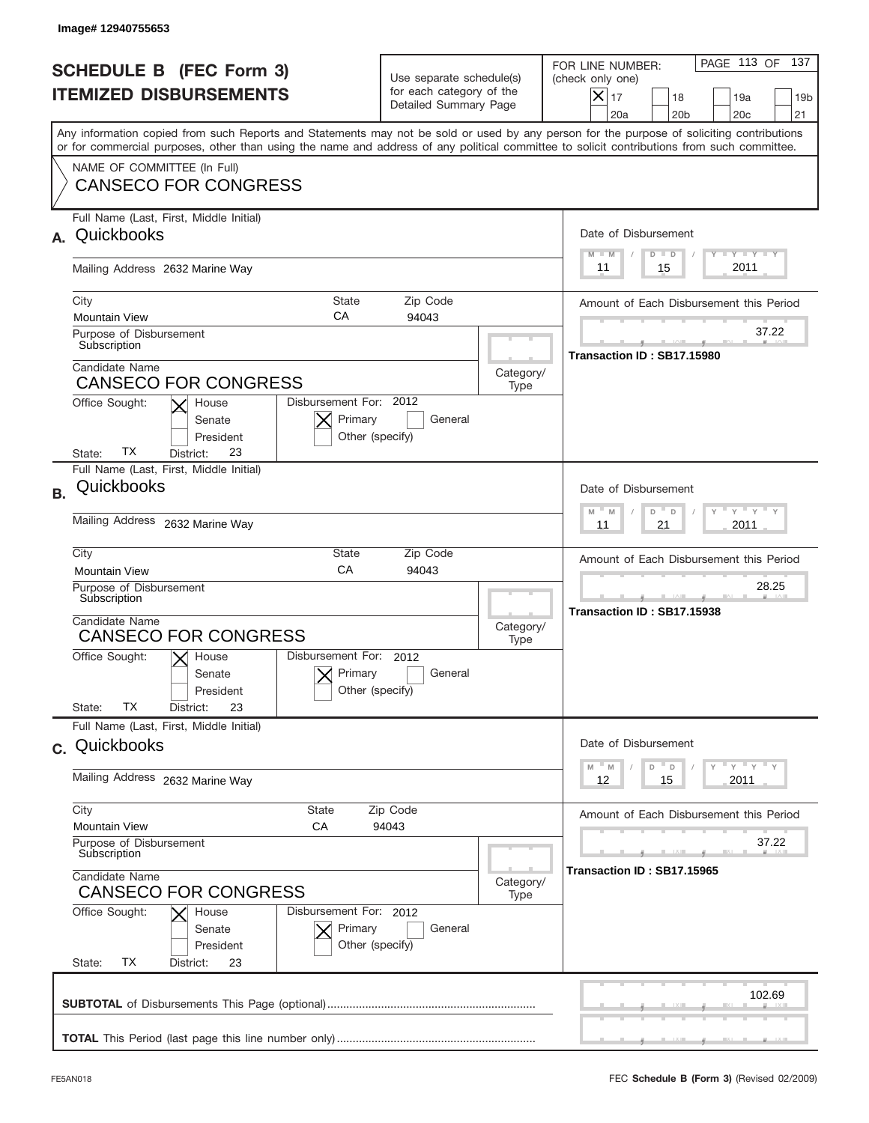|              | Image# 12940755653                                                                                                                                                                                                                                                                      |                                                                               |                   |                                                                                                                                                            |
|--------------|-----------------------------------------------------------------------------------------------------------------------------------------------------------------------------------------------------------------------------------------------------------------------------------------|-------------------------------------------------------------------------------|-------------------|------------------------------------------------------------------------------------------------------------------------------------------------------------|
|              | <b>SCHEDULE B (FEC Form 3)</b><br><b>ITEMIZED DISBURSEMENTS</b>                                                                                                                                                                                                                         | Use separate schedule(s)<br>for each category of the<br>Detailed Summary Page |                   | PAGE 113 OF<br>137<br>FOR LINE NUMBER:<br>(check only one)<br>$X _{17}$<br>18<br>19a<br>19 <sub>b</sub><br>20 <sub>b</sub><br>20 <sub>c</sub><br>21<br>20a |
|              | Any information copied from such Reports and Statements may not be sold or used by any person for the purpose of soliciting contributions<br>or for commercial purposes, other than using the name and address of any political committee to solicit contributions from such committee. |                                                                               |                   |                                                                                                                                                            |
|              | NAME OF COMMITTEE (In Full)<br><b>CANSECO FOR CONGRESS</b>                                                                                                                                                                                                                              |                                                                               |                   |                                                                                                                                                            |
| $\mathbf{A}$ | Full Name (Last, First, Middle Initial)<br>Quickbooks                                                                                                                                                                                                                                   |                                                                               |                   | Date of Disbursement<br><b>TANK TANK</b><br>$M - M$<br>$D$ $D$                                                                                             |
|              | Mailing Address 2632 Marine Way                                                                                                                                                                                                                                                         |                                                                               |                   | 2011<br>15<br>11                                                                                                                                           |
|              | City<br><b>State</b><br>CA<br><b>Mountain View</b><br>Purpose of Disbursement                                                                                                                                                                                                           | Zip Code<br>94043                                                             |                   | Amount of Each Disbursement this Period<br>37.22                                                                                                           |
|              | Subscription<br>Candidate Name<br><b>CANSECO FOR CONGRESS</b>                                                                                                                                                                                                                           |                                                                               | Category/<br>Type | Transaction ID: SB17.15980                                                                                                                                 |
|              | Disbursement For: 2012<br>Office Sought:<br>House<br>Primary<br>Senate<br>President<br>Other (specify)<br>ТX<br>23<br>State:<br>District:                                                                                                                                               | General                                                                       |                   |                                                                                                                                                            |
| <b>B.</b>    | Full Name (Last, First, Middle Initial)<br>Quickbooks                                                                                                                                                                                                                                   |                                                                               |                   | Date of Disbursement                                                                                                                                       |
|              | Mailing Address 2632 Marine Way                                                                                                                                                                                                                                                         |                                                                               |                   | $-$ M<br>≡ γ ≡ γ ≡<br>M<br>D<br>D<br>2011<br>11<br>21                                                                                                      |
|              | City<br>State<br>CA<br><b>Mountain View</b>                                                                                                                                                                                                                                             | Zip Code<br>94043                                                             |                   | Amount of Each Disbursement this Period                                                                                                                    |
|              | Purpose of Disbursement<br>Subscription<br>Candidate Name<br><b>CANSECO FOR CONGRESS</b>                                                                                                                                                                                                |                                                                               | Category/<br>Type | 28.25<br>Transaction ID: SB17.15938                                                                                                                        |
|              | Disbursement For:<br>Office Sought:<br>$X$ House<br>Primary<br>Senate<br>Other (specify)<br>President<br>ТX<br>23<br>State:<br>District:                                                                                                                                                | 2012<br>General                                                               |                   |                                                                                                                                                            |
|              | Full Name (Last, First, Middle Initial)<br>c. Quickbooks                                                                                                                                                                                                                                |                                                                               |                   | Date of Disbursement                                                                                                                                       |
|              | Mailing Address 2632 Marine Way                                                                                                                                                                                                                                                         |                                                                               |                   | ≡ү ≡ү ≡ү<br>M<br>D<br>M<br>D<br>2011<br>12<br>15                                                                                                           |
|              | City<br>State<br><b>Mountain View</b><br>СA                                                                                                                                                                                                                                             | Zip Code<br>94043                                                             |                   | Amount of Each Disbursement this Period                                                                                                                    |
|              | Purpose of Disbursement<br>Subscription<br>Candidate Name                                                                                                                                                                                                                               |                                                                               | Category/         | 37.22<br>Transaction ID: SB17.15965                                                                                                                        |
|              | <b>CANSECO FOR CONGRESS</b><br>Office Sought:<br>Disbursement For: 2012<br>House<br>Primary<br>Senate<br>Other (specify)<br>President<br>ТX<br>State:<br>District:<br>23                                                                                                                | General                                                                       | Type              |                                                                                                                                                            |
|              |                                                                                                                                                                                                                                                                                         |                                                                               |                   | 102.69                                                                                                                                                     |
|              |                                                                                                                                                                                                                                                                                         |                                                                               |                   |                                                                                                                                                            |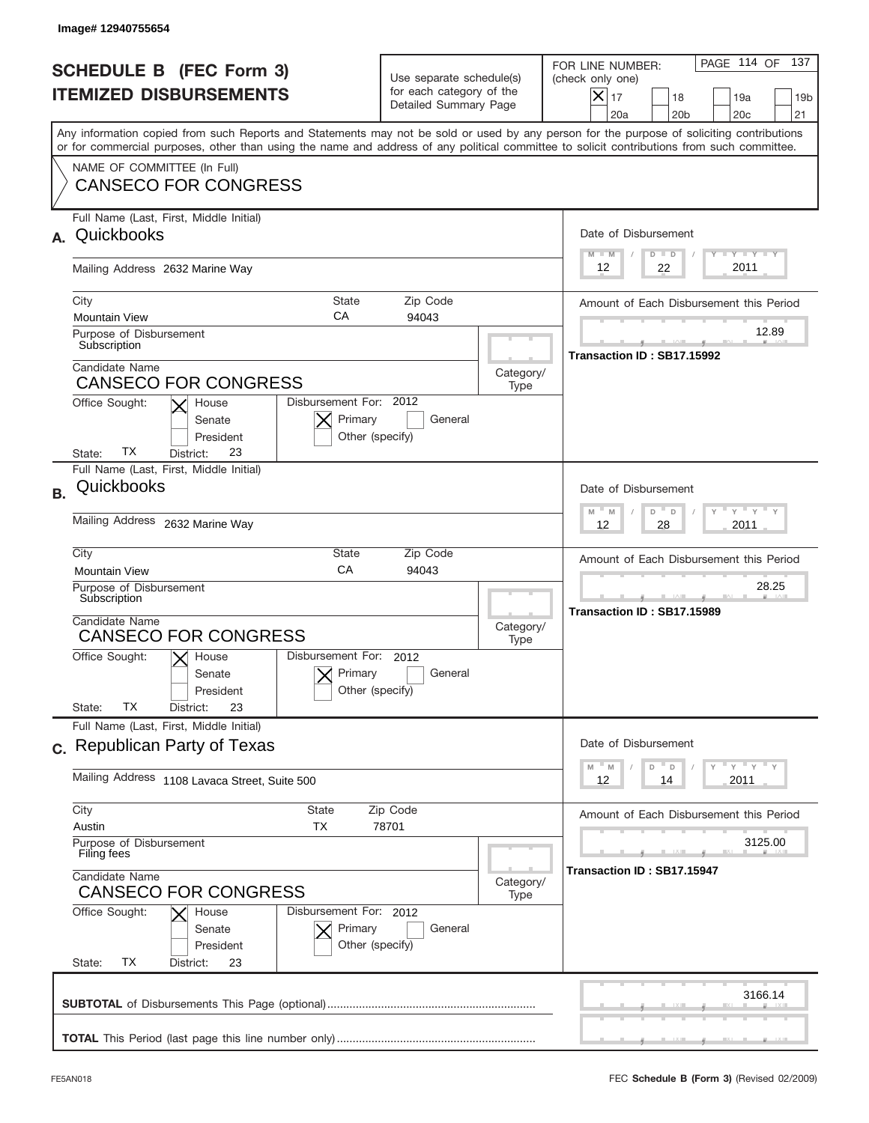|           | Image# 12940755654                                                                                                                                                                                                                                                                      |                                                                               |                   |                                                                                                                                                                 |
|-----------|-----------------------------------------------------------------------------------------------------------------------------------------------------------------------------------------------------------------------------------------------------------------------------------------|-------------------------------------------------------------------------------|-------------------|-----------------------------------------------------------------------------------------------------------------------------------------------------------------|
|           | <b>SCHEDULE B (FEC Form 3)</b><br><b>ITEMIZED DISBURSEMENTS</b>                                                                                                                                                                                                                         | Use separate schedule(s)<br>for each category of the<br>Detailed Summary Page |                   | PAGE 114 OF<br>137<br>FOR LINE NUMBER:<br>(check only one)<br>$\times$<br>17<br>18<br>19a<br>19 <sub>b</sub><br>20a<br>20 <sub>b</sub><br>20 <sub>c</sub><br>21 |
|           | Any information copied from such Reports and Statements may not be sold or used by any person for the purpose of soliciting contributions<br>or for commercial purposes, other than using the name and address of any political committee to solicit contributions from such committee. |                                                                               |                   |                                                                                                                                                                 |
|           | NAME OF COMMITTEE (In Full)<br><b>CANSECO FOR CONGRESS</b>                                                                                                                                                                                                                              |                                                                               |                   |                                                                                                                                                                 |
| А.        | Full Name (Last, First, Middle Initial)<br>Quickbooks                                                                                                                                                                                                                                   |                                                                               |                   | Date of Disbursement<br>$T$ $Y$ $T$ $Y$ $T$ $Y$<br>$M - M$<br>$D$ $D$                                                                                           |
|           | Mailing Address 2632 Marine Way                                                                                                                                                                                                                                                         |                                                                               |                   | 2011<br>12<br>22                                                                                                                                                |
|           | City<br><b>State</b><br>CA<br><b>Mountain View</b>                                                                                                                                                                                                                                      | Zip Code<br>94043                                                             |                   | Amount of Each Disbursement this Period<br>12.89                                                                                                                |
|           | Purpose of Disbursement<br>Subscription                                                                                                                                                                                                                                                 |                                                                               |                   | Transaction ID: SB17.15992                                                                                                                                      |
|           | Candidate Name<br><b>CANSECO FOR CONGRESS</b>                                                                                                                                                                                                                                           |                                                                               | Category/<br>Type |                                                                                                                                                                 |
|           | Disbursement For: 2012<br>Office Sought:<br>House<br>Primary<br>Senate<br>President<br>Other (specify)<br>ТX<br>23<br>State:<br>District:                                                                                                                                               | General                                                                       |                   |                                                                                                                                                                 |
| <b>B.</b> | Full Name (Last, First, Middle Initial)<br>Quickbooks                                                                                                                                                                                                                                   |                                                                               |                   | Date of Disbursement                                                                                                                                            |
|           | Mailing Address 2632 Marine Way                                                                                                                                                                                                                                                         |                                                                               |                   | $M - M$<br>≡ γ ≡ γ ≡<br>D<br>$\Box$<br>2011<br>12<br>28                                                                                                         |
|           | City<br><b>State</b><br>CA<br><b>Mountain View</b>                                                                                                                                                                                                                                      | Zip Code<br>94043                                                             |                   | Amount of Each Disbursement this Period                                                                                                                         |
|           | Purpose of Disbursement<br>Subscription                                                                                                                                                                                                                                                 |                                                                               |                   | 28.25<br>Transaction ID: SB17.15989                                                                                                                             |
|           | Candidate Name<br><b>CANSECO FOR CONGRESS</b>                                                                                                                                                                                                                                           |                                                                               | Category/<br>Type |                                                                                                                                                                 |
|           | Disbursement For: 2012<br>Office Sought:<br>$\mathsf{X}$ House<br>Primary<br>Senate<br>Other (specify)<br>President<br>ТX<br>State:<br>23                                                                                                                                               | General                                                                       |                   |                                                                                                                                                                 |
|           | District:<br>Full Name (Last, First, Middle Initial)                                                                                                                                                                                                                                    |                                                                               |                   |                                                                                                                                                                 |
|           | c. Republican Party of Texas                                                                                                                                                                                                                                                            |                                                                               |                   | Date of Disbursement<br>≡ γ ≡ γ ≡ γ<br>M<br>M<br>D<br>D                                                                                                         |
|           | Mailing Address 1108 Lavaca Street, Suite 500                                                                                                                                                                                                                                           |                                                                               |                   | 2011<br>12<br>14                                                                                                                                                |
|           | City<br><b>State</b><br><b>TX</b><br>Austin                                                                                                                                                                                                                                             | Zip Code<br>78701                                                             |                   | Amount of Each Disbursement this Period                                                                                                                         |
|           | Purpose of Disbursement<br>Filing fees                                                                                                                                                                                                                                                  |                                                                               |                   | 3125.00<br>Transaction ID: SB17.15947                                                                                                                           |
|           | Candidate Name<br><b>CANSECO FOR CONGRESS</b>                                                                                                                                                                                                                                           |                                                                               | Category/<br>Type |                                                                                                                                                                 |
|           | Office Sought:<br>Disbursement For: 2012<br>House<br>Primary<br>Senate<br>Other (specify)<br>President<br>ТX<br>State:<br>District:<br>23                                                                                                                                               | General                                                                       |                   |                                                                                                                                                                 |
|           |                                                                                                                                                                                                                                                                                         |                                                                               |                   | 3166.14                                                                                                                                                         |
|           |                                                                                                                                                                                                                                                                                         |                                                                               |                   |                                                                                                                                                                 |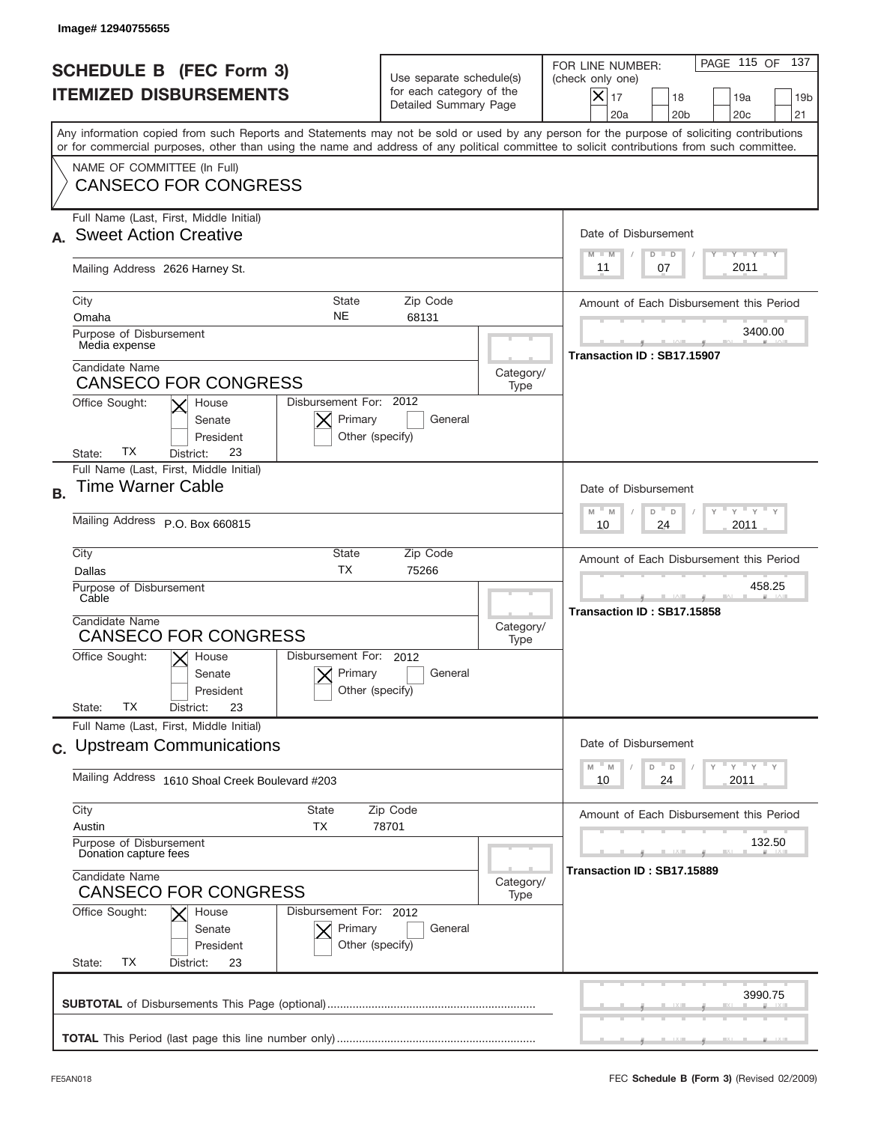| Image# 12940755655                                                                                                                                                                                                                                                                                                                                    |                                                                                      |                   |                                                                                                                                                                  |
|-------------------------------------------------------------------------------------------------------------------------------------------------------------------------------------------------------------------------------------------------------------------------------------------------------------------------------------------------------|--------------------------------------------------------------------------------------|-------------------|------------------------------------------------------------------------------------------------------------------------------------------------------------------|
| <b>SCHEDULE B (FEC Form 3)</b><br><b>ITEMIZED DISBURSEMENTS</b>                                                                                                                                                                                                                                                                                       | Use separate schedule(s)<br>for each category of the<br>Detailed Summary Page        |                   | PAGE 115 OF 137<br>FOR LINE NUMBER:<br>(check only one)<br>$X _{17}$<br>18<br>19a<br>19 <sub>b</sub><br>20a<br>20 <sub>b</sub><br>20c<br>21                      |
| Any information copied from such Reports and Statements may not be sold or used by any person for the purpose of soliciting contributions<br>or for commercial purposes, other than using the name and address of any political committee to solicit contributions from such committee.<br>NAME OF COMMITTEE (In Full)<br><b>CANSECO FOR CONGRESS</b> |                                                                                      |                   |                                                                                                                                                                  |
| Full Name (Last, First, Middle Initial)<br><b>Sweet Action Creative</b><br>Mailing Address 2626 Harney St.<br>City<br><b>State</b><br><b>NE</b><br>Omaha<br>Purpose of Disbursement<br>Media expense                                                                                                                                                  | Zip Code<br>68131                                                                    |                   | Date of Disbursement<br>Y TY TY TY<br>$M - M$<br>$D$ $D$<br>2011<br>11<br>07<br>Amount of Each Disbursement this Period<br>3400.00<br>Transaction ID: SB17.15907 |
| Candidate Name<br><b>CANSECO FOR CONGRESS</b><br>Office Sought:<br>House<br>Senate<br>President<br>ТX<br>23<br>District:<br>State:                                                                                                                                                                                                                    | Disbursement For: 2012<br>Primary<br>General<br>Other (specify)                      | Category/<br>Type |                                                                                                                                                                  |
| Full Name (Last, First, Middle Initial)<br><b>Time Warner Cable</b><br><b>B.</b><br>Mailing Address P.O. Box 660815                                                                                                                                                                                                                                   |                                                                                      |                   | Date of Disbursement<br>ү " ү " ү " ү<br>$M - M$<br>D "<br>D<br>2011<br>10<br>24                                                                                 |
| City<br><b>State</b><br><b>TX</b><br>Dallas<br>Purpose of Disbursement<br>Cable<br>Candidate Name<br><b>CANSECO FOR CONGRESS</b><br>Office Sought:<br>$\vert\mathsf{X}\vert$ House<br>Senate                                                                                                                                                          | Zip Code<br>75266<br>Disbursement For: 2012<br>Primary<br>General                    | Category/<br>Type | Amount of Each Disbursement this Period<br>458.25<br>Transaction ID: SB17.15858                                                                                  |
| President<br>ТX<br>23<br>State:<br>District:<br>Full Name (Last, First, Middle Initial)<br>c. Upstream Communications<br>Mailing Address 1610 Shoal Creek Boulevard #203                                                                                                                                                                              | Other (specify)                                                                      |                   | Date of Disbursement<br>$\gamma$ = $\gamma$ = $\gamma$ = $\gamma$<br>D<br>M<br>M<br>D<br>2011<br>10<br>24                                                        |
| City<br><b>State</b><br><b>TX</b><br>Austin<br>Purpose of Disbursement<br>Donation capture fees<br>Candidate Name<br><b>CANSECO FOR CONGRESS</b><br>Office Sought:<br>House<br>Senate<br>President<br>State:<br>ТX<br>District:<br>23                                                                                                                 | Zip Code<br>78701<br>Disbursement For: 2012<br>Primary<br>General<br>Other (specify) | Category/<br>Type | Amount of Each Disbursement this Period<br>132.50<br>Transaction ID : SB17.15889                                                                                 |
|                                                                                                                                                                                                                                                                                                                                                       |                                                                                      |                   | 3990.75                                                                                                                                                          |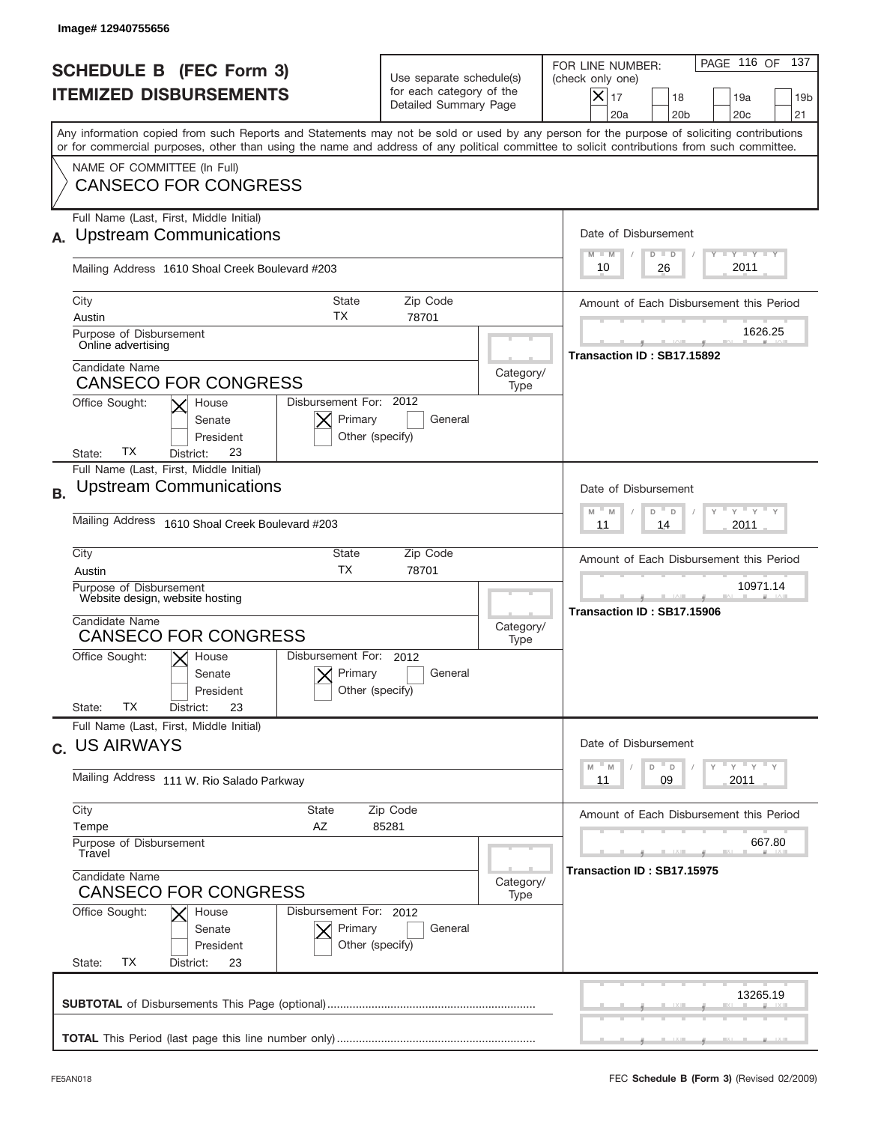|           | Image# 12940755656                                                                                                                                                                                                                                                                                                     |                                                                               |                   |                                                                                                                                                            |
|-----------|------------------------------------------------------------------------------------------------------------------------------------------------------------------------------------------------------------------------------------------------------------------------------------------------------------------------|-------------------------------------------------------------------------------|-------------------|------------------------------------------------------------------------------------------------------------------------------------------------------------|
|           | <b>SCHEDULE B (FEC Form 3)</b><br><b>ITEMIZED DISBURSEMENTS</b>                                                                                                                                                                                                                                                        | Use separate schedule(s)<br>for each category of the<br>Detailed Summary Page |                   | PAGE 116 OF<br>137<br>FOR LINE NUMBER:<br>(check only one)<br>$X _{17}$<br>18<br>19a<br>19 <sub>b</sub><br>20a<br>20 <sub>b</sub><br>20 <sub>c</sub><br>21 |
|           | Any information copied from such Reports and Statements may not be sold or used by any person for the purpose of soliciting contributions<br>or for commercial purposes, other than using the name and address of any political committee to solicit contributions from such committee.<br>NAME OF COMMITTEE (In Full) |                                                                               |                   |                                                                                                                                                            |
|           | <b>CANSECO FOR CONGRESS</b><br>Full Name (Last, First, Middle Initial)<br><b>Upstream Communications</b>                                                                                                                                                                                                               |                                                                               |                   | Date of Disbursement                                                                                                                                       |
|           | Mailing Address 1610 Shoal Creek Boulevard #203                                                                                                                                                                                                                                                                        |                                                                               |                   | $T - Y$ $T - Y$ $T - Y$<br>$M - M$<br>$D$ $D$<br>2011<br>10<br>26                                                                                          |
|           | City<br><b>State</b><br>ТX<br>Austin<br>Purpose of Disbursement                                                                                                                                                                                                                                                        | Zip Code<br>78701                                                             |                   | Amount of Each Disbursement this Period<br>1626.25                                                                                                         |
|           | Online advertising<br>Candidate Name<br><b>CANSECO FOR CONGRESS</b>                                                                                                                                                                                                                                                    |                                                                               | Category/<br>Type | Transaction ID: SB17.15892                                                                                                                                 |
|           | Disbursement For: 2012<br>Office Sought:<br>House<br>Primary<br>Senate<br>President<br>Other (specify)<br>ТX<br>23<br>State:<br>District:                                                                                                                                                                              | General                                                                       |                   |                                                                                                                                                            |
| <b>B.</b> | Full Name (Last, First, Middle Initial)<br><b>Upstream Communications</b>                                                                                                                                                                                                                                              |                                                                               |                   | Date of Disbursement<br>≡ γ ≡ γ.<br>$M - M$<br>D<br>D                                                                                                      |
|           | Mailing Address 1610 Shoal Creek Boulevard #203                                                                                                                                                                                                                                                                        |                                                                               |                   | 2011<br>11<br>14                                                                                                                                           |
|           | City<br>State<br><b>TX</b><br>Austin<br>Purpose of Disbursement<br>Website design, website hosting                                                                                                                                                                                                                     | Zip Code<br>78701                                                             |                   | Amount of Each Disbursement this Period<br>10971.14                                                                                                        |
|           | Candidate Name<br><b>CANSECO FOR CONGRESS</b><br>Disbursement For: 2012<br>Office Sought:<br>$\vert\bm{\times}\vert$ House                                                                                                                                                                                             |                                                                               | Category/<br>Type | Transaction ID: SB17.15906                                                                                                                                 |
|           | Primary<br>Senate<br>Other (specify)<br>President<br>ТX<br>23<br>State:<br>District:                                                                                                                                                                                                                                   | General                                                                       |                   |                                                                                                                                                            |
|           | Full Name (Last, First, Middle Initial)<br>c. US AIRWAYS                                                                                                                                                                                                                                                               |                                                                               |                   | Date of Disbursement<br>ү " ү " ү " ү<br>$- M$<br>D<br>M<br>D                                                                                              |
|           | Mailing Address 111 W. Rio Salado Parkway                                                                                                                                                                                                                                                                              |                                                                               |                   | 2011<br>11<br>09                                                                                                                                           |
|           | City<br>State<br>Tempe<br>AZ<br>Purpose of Disbursement<br>Travel                                                                                                                                                                                                                                                      | Zip Code<br>85281                                                             |                   | Amount of Each Disbursement this Period<br>667.80                                                                                                          |
|           | Candidate Name<br><b>CANSECO FOR CONGRESS</b><br>Office Sought:<br>Disbursement For: 2012<br>House                                                                                                                                                                                                                     |                                                                               | Category/<br>Type | Transaction ID: SB17.15975                                                                                                                                 |
|           | Primary<br>Senate<br>Other (specify)<br>President<br>State:<br>ТX<br>District:<br>23                                                                                                                                                                                                                                   | General                                                                       |                   |                                                                                                                                                            |
|           |                                                                                                                                                                                                                                                                                                                        |                                                                               |                   | 13265.19                                                                                                                                                   |
|           |                                                                                                                                                                                                                                                                                                                        |                                                                               |                   |                                                                                                                                                            |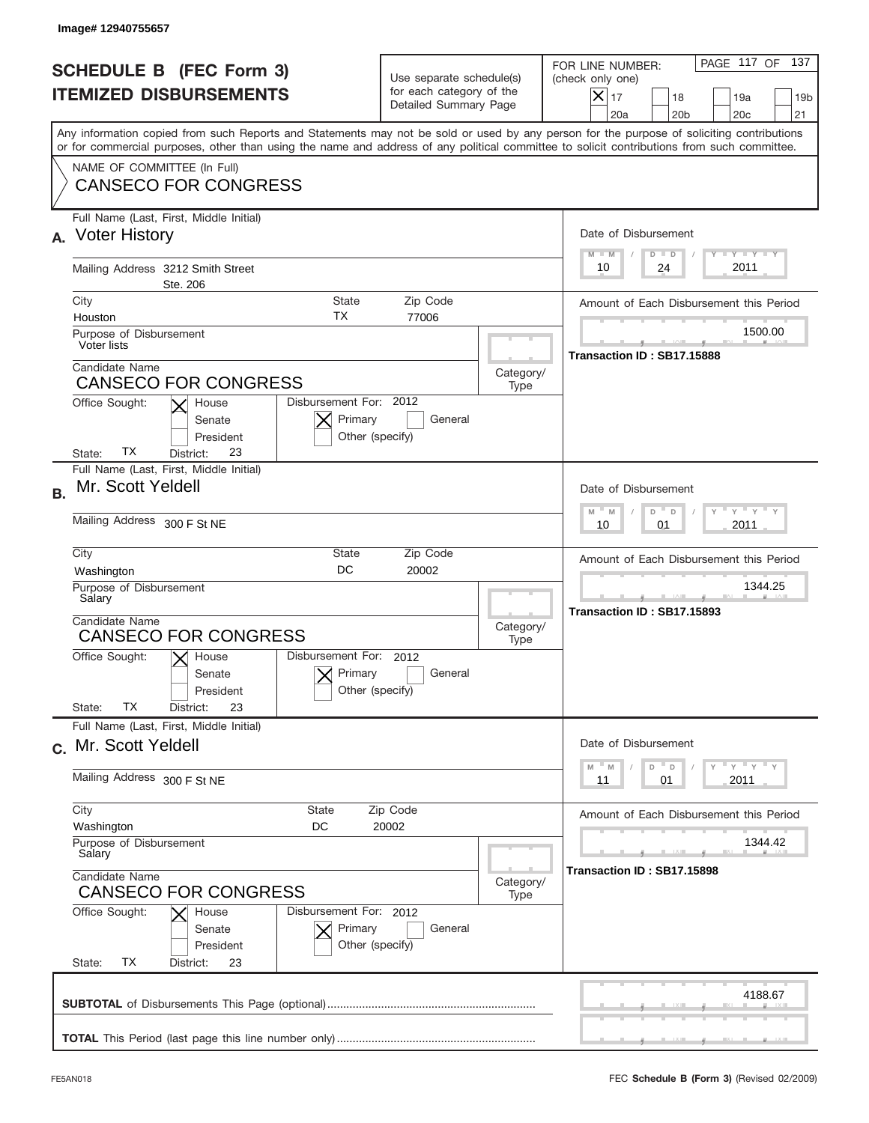|           | Image# 12940755657                                                                                                                                                                                                                                                                      |                                                                               |                   |                                                                                                                                                                 |
|-----------|-----------------------------------------------------------------------------------------------------------------------------------------------------------------------------------------------------------------------------------------------------------------------------------------|-------------------------------------------------------------------------------|-------------------|-----------------------------------------------------------------------------------------------------------------------------------------------------------------|
|           | <b>SCHEDULE B (FEC Form 3)</b><br><b>ITEMIZED DISBURSEMENTS</b>                                                                                                                                                                                                                         | Use separate schedule(s)<br>for each category of the<br>Detailed Summary Page |                   | PAGE 117 OF<br>137<br>FOR LINE NUMBER:<br>(check only one)<br>$\times$<br>17<br>18<br>19a<br>19 <sub>b</sub><br>20a<br>20 <sub>b</sub><br>20 <sub>c</sub><br>21 |
|           | Any information copied from such Reports and Statements may not be sold or used by any person for the purpose of soliciting contributions<br>or for commercial purposes, other than using the name and address of any political committee to solicit contributions from such committee. |                                                                               |                   |                                                                                                                                                                 |
|           | NAME OF COMMITTEE (In Full)<br><b>CANSECO FOR CONGRESS</b>                                                                                                                                                                                                                              |                                                                               |                   |                                                                                                                                                                 |
| А.        | Full Name (Last, First, Middle Initial)<br><b>Voter History</b>                                                                                                                                                                                                                         |                                                                               |                   | Date of Disbursement<br><b>TANK TANK</b><br>$M - M$<br>$D$ $D$                                                                                                  |
|           | Mailing Address 3212 Smith Street<br>Ste. 206                                                                                                                                                                                                                                           |                                                                               |                   | 2011<br>10<br>24                                                                                                                                                |
|           | City<br>State                                                                                                                                                                                                                                                                           | Zip Code                                                                      |                   | Amount of Each Disbursement this Period                                                                                                                         |
|           | ТX<br>Houston<br>Purpose of Disbursement<br>Voter lists                                                                                                                                                                                                                                 | 77006                                                                         |                   | 1500.00<br>Transaction ID: SB17.15888                                                                                                                           |
|           | Candidate Name<br><b>CANSECO FOR CONGRESS</b>                                                                                                                                                                                                                                           |                                                                               | Category/<br>Type |                                                                                                                                                                 |
|           | Disbursement For: 2012<br>Office Sought:<br>House<br>Primary<br>Senate<br>President<br>Other (specify)<br>ТX<br>23<br>State:<br>District:                                                                                                                                               | General                                                                       |                   |                                                                                                                                                                 |
| <b>B.</b> | Full Name (Last, First, Middle Initial)<br>Mr. Scott Yeldell                                                                                                                                                                                                                            |                                                                               |                   | Date of Disbursement                                                                                                                                            |
|           | Mailing Address 300 F St NE                                                                                                                                                                                                                                                             |                                                                               |                   | $M - M$<br>≡ γ ≡ γ ≡ γ<br>D<br>$\Box$<br>2011<br>10<br>01                                                                                                       |
|           | City<br>State<br>DC<br>Washington                                                                                                                                                                                                                                                       | Zip Code<br>20002                                                             |                   | Amount of Each Disbursement this Period                                                                                                                         |
|           | Purpose of Disbursement<br>Salary                                                                                                                                                                                                                                                       |                                                                               |                   | 1344.25<br>Transaction ID: SB17.15893                                                                                                                           |
|           | Candidate Name<br><b>CANSECO FOR CONGRESS</b>                                                                                                                                                                                                                                           | Category/<br>Type                                                             |                   |                                                                                                                                                                 |
|           | Disbursement For: 2012<br>Office Sought:<br>$\mathsf{X}$ House<br>Primary<br>Senate<br>Other (specify)<br>President                                                                                                                                                                     | General                                                                       |                   |                                                                                                                                                                 |
|           | ТX<br>State:<br>23<br>District:                                                                                                                                                                                                                                                         |                                                                               |                   |                                                                                                                                                                 |
|           | Full Name (Last, First, Middle Initial)<br>c. Mr. Scott Yeldell                                                                                                                                                                                                                         |                                                                               |                   | Date of Disbursement                                                                                                                                            |
|           | Mailing Address 300 F St NE                                                                                                                                                                                                                                                             |                                                                               |                   | ≡ү ≡ү ≡ү<br>M<br>D<br>M<br>D<br>2011<br>11<br>01                                                                                                                |
|           | City<br>State<br>Washington                                                                                                                                                                                                                                                             | Zip Code                                                                      |                   | Amount of Each Disbursement this Period                                                                                                                         |
|           | DC<br>Purpose of Disbursement<br>Salary                                                                                                                                                                                                                                                 | 20002                                                                         |                   | 1344.42                                                                                                                                                         |
|           | Candidate Name<br><b>CANSECO FOR CONGRESS</b>                                                                                                                                                                                                                                           |                                                                               | Category/<br>Type | Transaction ID: SB17.15898                                                                                                                                      |
|           | Office Sought:<br>Disbursement For: 2012<br>House<br>Primary<br>Senate<br>President<br>Other (specify)<br>ТX<br>State:<br>District:<br>23                                                                                                                                               | General                                                                       |                   |                                                                                                                                                                 |
|           |                                                                                                                                                                                                                                                                                         |                                                                               |                   | 4188.67                                                                                                                                                         |
|           |                                                                                                                                                                                                                                                                                         |                                                                               |                   |                                                                                                                                                                 |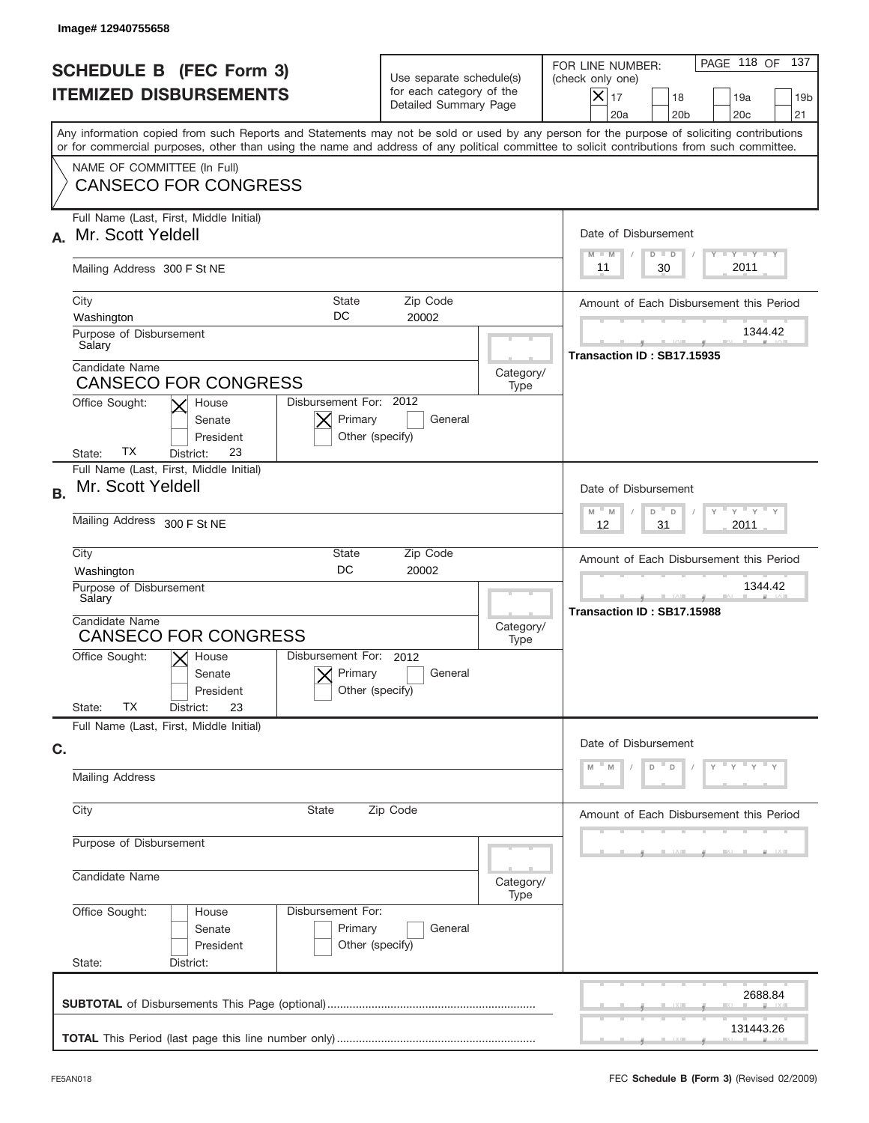| Image#12940755658                                                                                                                                                                                                                                                                       |                                                                               |                   |                                                                                                                                                            |
|-----------------------------------------------------------------------------------------------------------------------------------------------------------------------------------------------------------------------------------------------------------------------------------------|-------------------------------------------------------------------------------|-------------------|------------------------------------------------------------------------------------------------------------------------------------------------------------|
| <b>SCHEDULE B (FEC Form 3)</b><br><b>ITEMIZED DISBURSEMENTS</b>                                                                                                                                                                                                                         | Use separate schedule(s)<br>for each category of the<br>Detailed Summary Page |                   | PAGE 118 OF<br>137<br>FOR LINE NUMBER:<br>(check only one)<br>$X _{17}$<br>18<br>19a<br>19 <sub>b</sub><br>21<br>20a<br>20 <sub>b</sub><br>20 <sub>c</sub> |
| Any information copied from such Reports and Statements may not be sold or used by any person for the purpose of soliciting contributions<br>or for commercial purposes, other than using the name and address of any political committee to solicit contributions from such committee. |                                                                               |                   |                                                                                                                                                            |
| NAME OF COMMITTEE (In Full)<br><b>CANSECO FOR CONGRESS</b>                                                                                                                                                                                                                              |                                                                               |                   |                                                                                                                                                            |
| Full Name (Last, First, Middle Initial)<br>Mr. Scott Yeldell<br>А.                                                                                                                                                                                                                      |                                                                               |                   | Date of Disbursement<br><b>THEY THEY</b><br>$M - M$<br>$D$ $D$                                                                                             |
| Mailing Address 300 F St NE                                                                                                                                                                                                                                                             |                                                                               |                   | 2011<br>30<br>11                                                                                                                                           |
| City<br><b>State</b><br>DC<br>Washington<br>Purpose of Disbursement                                                                                                                                                                                                                     | Zip Code<br>20002                                                             |                   | Amount of Each Disbursement this Period<br>1344.42                                                                                                         |
| Salary<br>Candidate Name<br><b>CANSECO FOR CONGRESS</b><br>Disbursement For: 2012<br>Office Sought:<br>House                                                                                                                                                                            |                                                                               | Category/<br>Type | Transaction ID: SB17.15935                                                                                                                                 |
| Primary<br>Senate<br>President<br>ТX<br>23<br>District:<br>State:                                                                                                                                                                                                                       | General<br>Other (specify)                                                    |                   |                                                                                                                                                            |
| Full Name (Last, First, Middle Initial)<br>Mr. Scott Yeldell<br><b>B.</b>                                                                                                                                                                                                               |                                                                               |                   | Date of Disbursement<br>$\cdots$ $\gamma$ $\cdots$ $\gamma$ $\cdots$ $\gamma$<br>$M - M$<br>D                                                              |
| Mailing Address 300 F St NE                                                                                                                                                                                                                                                             |                                                                               |                   | D<br>31<br>2011<br>12                                                                                                                                      |
| City<br>State<br><b>DC</b><br>Washington                                                                                                                                                                                                                                                | Zip Code<br>20002                                                             |                   | Amount of Each Disbursement this Period                                                                                                                    |
| Purpose of Disbursement<br>Salary<br>Candidate Name                                                                                                                                                                                                                                     |                                                                               | Category/         | 1344.42<br>Transaction ID: SB17.15988                                                                                                                      |
| <b>CANSECO FOR CONGRESS</b><br>Disbursement For: 2012<br>Office Sought:<br>$\mathsf{X}$ House<br>Primary<br>Senate<br>President<br>ТX<br>State:<br>23<br>District:                                                                                                                      | General<br>Other (specify)                                                    | Type              |                                                                                                                                                            |
| Full Name (Last, First, Middle Initial)<br>C.                                                                                                                                                                                                                                           |                                                                               |                   | Date of Disbursement                                                                                                                                       |
| <b>Mailing Address</b>                                                                                                                                                                                                                                                                  |                                                                               |                   | $-Y$<br>Y                                                                                                                                                  |
| City<br>State                                                                                                                                                                                                                                                                           | Zip Code                                                                      |                   | Amount of Each Disbursement this Period                                                                                                                    |
| Purpose of Disbursement                                                                                                                                                                                                                                                                 |                                                                               |                   |                                                                                                                                                            |
| Candidate Name                                                                                                                                                                                                                                                                          |                                                                               | Category/<br>Type |                                                                                                                                                            |
| Office Sought:<br>Disbursement For:<br>House<br>Primary<br>Senate<br>President<br>State:<br>District:                                                                                                                                                                                   | General<br>Other (specify)                                                    |                   |                                                                                                                                                            |
|                                                                                                                                                                                                                                                                                         |                                                                               |                   | 2688.84                                                                                                                                                    |
|                                                                                                                                                                                                                                                                                         |                                                                               |                   | 131443.26                                                                                                                                                  |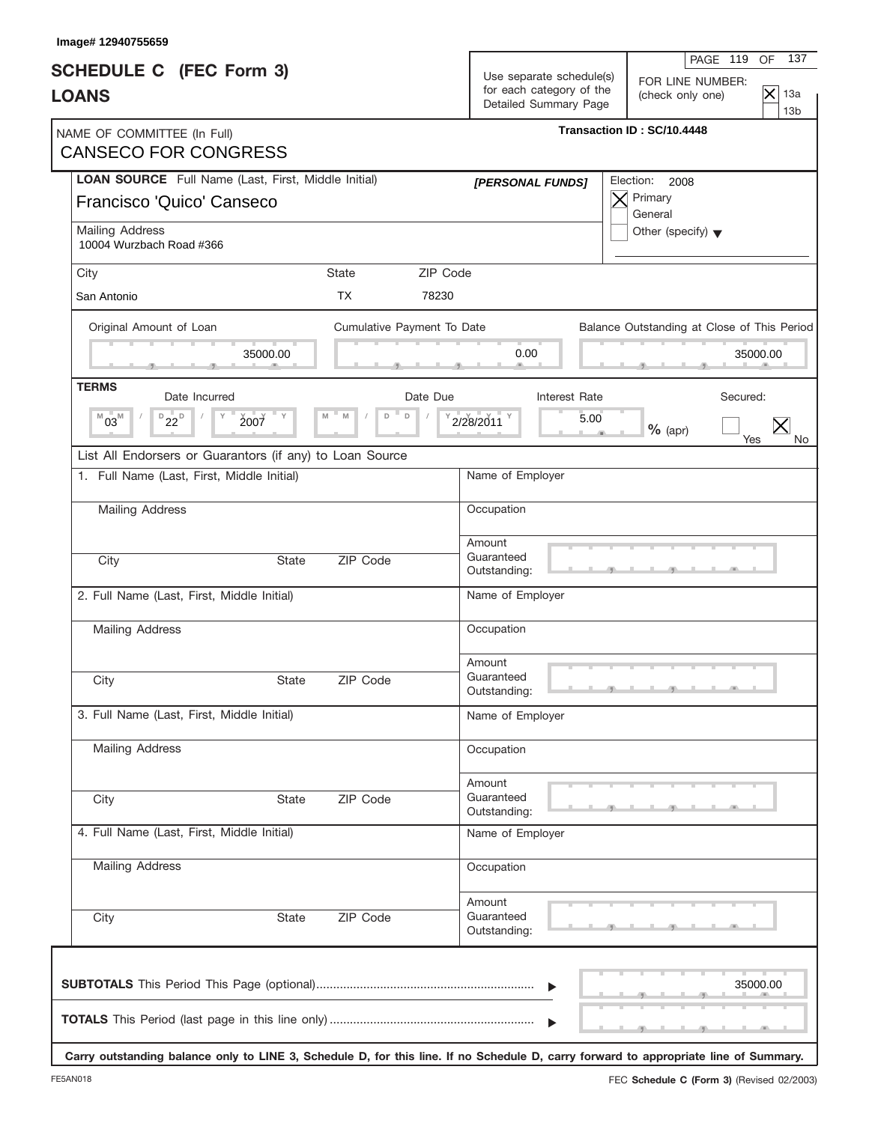| Image# 12940755659                                                                                                                   |                            |                                                                               | 137<br>PAGE 119<br>OF                                                            |
|--------------------------------------------------------------------------------------------------------------------------------------|----------------------------|-------------------------------------------------------------------------------|----------------------------------------------------------------------------------|
| <b>SCHEDULE C</b> (FEC Form 3)<br><b>LOANS</b>                                                                                       |                            | Use separate schedule(s)<br>for each category of the<br>Detailed Summary Page | FOR LINE NUMBER:<br>$ \mathsf{x} $<br>13a<br>(check only one)<br>13 <sub>b</sub> |
| NAME OF COMMITTEE (In Full)<br><b>CANSECO FOR CONGRESS</b>                                                                           |                            |                                                                               | Transaction ID: SC/10.4448                                                       |
| LOAN SOURCE Full Name (Last, First, Middle Initial)<br>Francisco 'Quico' Canseco                                                     |                            | [PERSONAL FUNDS]                                                              | Election:<br>2008<br>Primary<br>$\times$<br>General                              |
| Mailing Address<br>10004 Wurzbach Road #366                                                                                          |                            |                                                                               | Other (specify) $\blacktriangledown$                                             |
| City                                                                                                                                 | ZIP Code<br>State          |                                                                               |                                                                                  |
| San Antonio                                                                                                                          | <b>TX</b><br>78230         |                                                                               |                                                                                  |
| Original Amount of Loan                                                                                                              | Cumulative Payment To Date |                                                                               | Balance Outstanding at Close of This Period                                      |
| 35000.00                                                                                                                             |                            | 0.00                                                                          | 35000.00                                                                         |
| <b>TERMS</b><br>Date Incurred                                                                                                        | Date Due                   | Interest Rate                                                                 | Secured:                                                                         |
| $D_{22}D$<br>$M_{03}$<br>2007                                                                                                        | $\mathsf D$<br>M<br>D      | 5.00<br>2/28/2011                                                             | $\times$<br>$%$ (apr)<br>Yes                                                     |
| List All Endorsers or Guarantors (if any) to Loan Source                                                                             |                            |                                                                               |                                                                                  |
| 1. Full Name (Last, First, Middle Initial)                                                                                           |                            | Name of Employer                                                              |                                                                                  |
| Mailing Address                                                                                                                      |                            | Occupation                                                                    |                                                                                  |
| City                                                                                                                                 | ZIP Code<br><b>State</b>   | Amount<br>Guaranteed<br>Outstanding:                                          |                                                                                  |
| 2. Full Name (Last, First, Middle Initial)                                                                                           |                            | Name of Employer                                                              |                                                                                  |
| Mailing Address                                                                                                                      |                            | Occupation                                                                    |                                                                                  |
| City                                                                                                                                 | ZIP Code<br>State          | Amount<br>Guaranteed<br>Outstanding:                                          |                                                                                  |
| 3. Full Name (Last, First, Middle Initial)                                                                                           |                            | Name of Employer                                                              |                                                                                  |
| Mailing Address                                                                                                                      |                            | Occupation                                                                    |                                                                                  |
| City                                                                                                                                 | ZIP Code<br><b>State</b>   | Amount<br>Guaranteed<br>Outstanding:                                          |                                                                                  |
| 4. Full Name (Last, First, Middle Initial)                                                                                           |                            | Name of Employer                                                              |                                                                                  |
| <b>Mailing Address</b>                                                                                                               |                            | Occupation                                                                    |                                                                                  |
| City                                                                                                                                 | ZIP Code<br>State          | Amount<br>Guaranteed<br>Outstanding:                                          |                                                                                  |
|                                                                                                                                      |                            | $\blacktriangleright$                                                         | 35000.00                                                                         |
| Carry outstanding balance only to LINE 3, Schedule D, for this line. If no Schedule D, carry forward to appropriate line of Summary. |                            | $\blacktriangleright$                                                         |                                                                                  |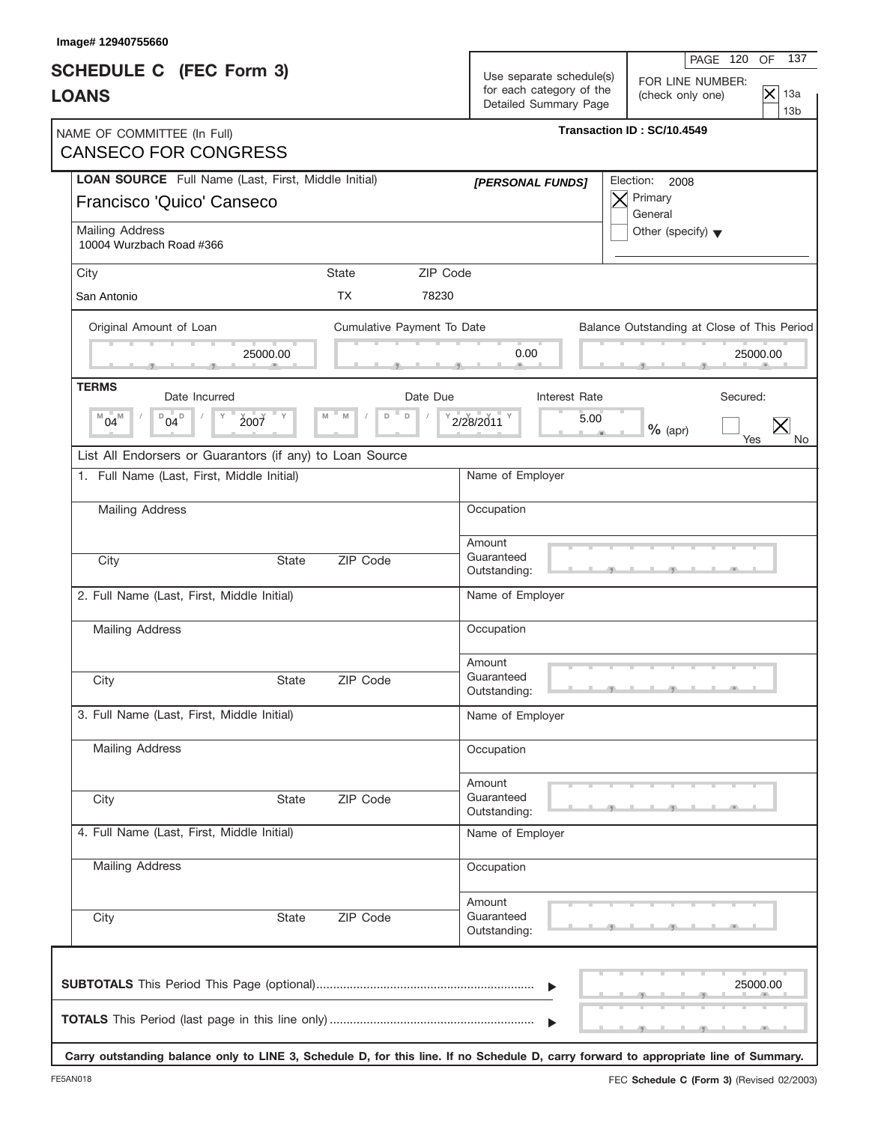| Image# 12940755660                                                               |              |                            |          |                                                                               | 137                                                                                                                                  |
|----------------------------------------------------------------------------------|--------------|----------------------------|----------|-------------------------------------------------------------------------------|--------------------------------------------------------------------------------------------------------------------------------------|
| <b>SCHEDULE C</b> (FEC Form 3)<br><b>LOANS</b>                                   |              |                            |          | Use separate schedule(s)<br>for each category of the<br>Detailed Summary Page | PAGE 120<br>OF<br>FOR LINE NUMBER:<br>$ \mathsf{x} $<br>13a<br>(check only one)<br>13 <sub>b</sub>                                   |
| NAME OF COMMITTEE (In Full)<br><b>CANSECO FOR CONGRESS</b>                       |              |                            |          |                                                                               | Transaction ID: SC/10.4549                                                                                                           |
| LOAN SOURCE Full Name (Last, First, Middle Initial)<br>Francisco 'Quico' Canseco |              |                            |          | [PERSONAL FUNDS]                                                              | Election:<br>2008<br>Primary<br>$\times$<br>General                                                                                  |
| Mailing Address<br>10004 Wurzbach Road #366                                      |              |                            |          |                                                                               | Other (specify) $\blacktriangledown$                                                                                                 |
| City                                                                             |              | State                      | ZIP Code |                                                                               |                                                                                                                                      |
| San Antonio                                                                      |              | <b>TX</b>                  | 78230    |                                                                               |                                                                                                                                      |
| Original Amount of Loan                                                          |              | Cumulative Payment To Date |          |                                                                               | Balance Outstanding at Close of This Period                                                                                          |
|                                                                                  | 25000.00     |                            |          | 0.00                                                                          | 25000.00                                                                                                                             |
| <b>TERMS</b><br>Date Incurred                                                    |              |                            | Date Due | Interest Rate                                                                 | Secured:                                                                                                                             |
| $D_{04}D$<br>$^{M}04^{M}$<br>2007                                                |              | $\mathsf D$<br>M<br>D      |          | 5.00<br>2/28/2011                                                             | $\times$<br>$%$ (apr)<br>Yes                                                                                                         |
| List All Endorsers or Guarantors (if any) to Loan Source                         |              |                            |          |                                                                               |                                                                                                                                      |
| 1. Full Name (Last, First, Middle Initial)                                       |              |                            |          | Name of Employer                                                              |                                                                                                                                      |
| Mailing Address                                                                  |              |                            |          | Occupation                                                                    |                                                                                                                                      |
| City                                                                             | <b>State</b> | ZIP Code                   |          | Amount<br>Guaranteed<br>Outstanding:                                          |                                                                                                                                      |
| 2. Full Name (Last, First, Middle Initial)                                       |              |                            |          | Name of Employer                                                              |                                                                                                                                      |
| Mailing Address                                                                  |              |                            |          | Occupation                                                                    |                                                                                                                                      |
| City                                                                             | State        | ZIP Code                   |          | Amount<br>Guaranteed<br>Outstanding:                                          |                                                                                                                                      |
| 3. Full Name (Last, First, Middle Initial)                                       |              |                            |          | Name of Employer                                                              |                                                                                                                                      |
| Mailing Address                                                                  |              |                            |          | Occupation                                                                    |                                                                                                                                      |
| City                                                                             | <b>State</b> | ZIP Code                   |          | Amount<br>Guaranteed<br>Outstanding:                                          |                                                                                                                                      |
| 4. Full Name (Last, First, Middle Initial)                                       |              |                            |          | Name of Employer                                                              |                                                                                                                                      |
| <b>Mailing Address</b>                                                           |              |                            |          | Occupation                                                                    |                                                                                                                                      |
| City                                                                             | State        | ZIP Code                   |          | Amount<br>Guaranteed<br>Outstanding:                                          |                                                                                                                                      |
|                                                                                  |              |                            |          | $\blacktriangleright$                                                         | 25000.00                                                                                                                             |
|                                                                                  |              |                            |          | $\blacktriangleright$                                                         | Carry outstanding balance only to LINE 3, Schedule D, for this line. If no Schedule D, carry forward to appropriate line of Summary. |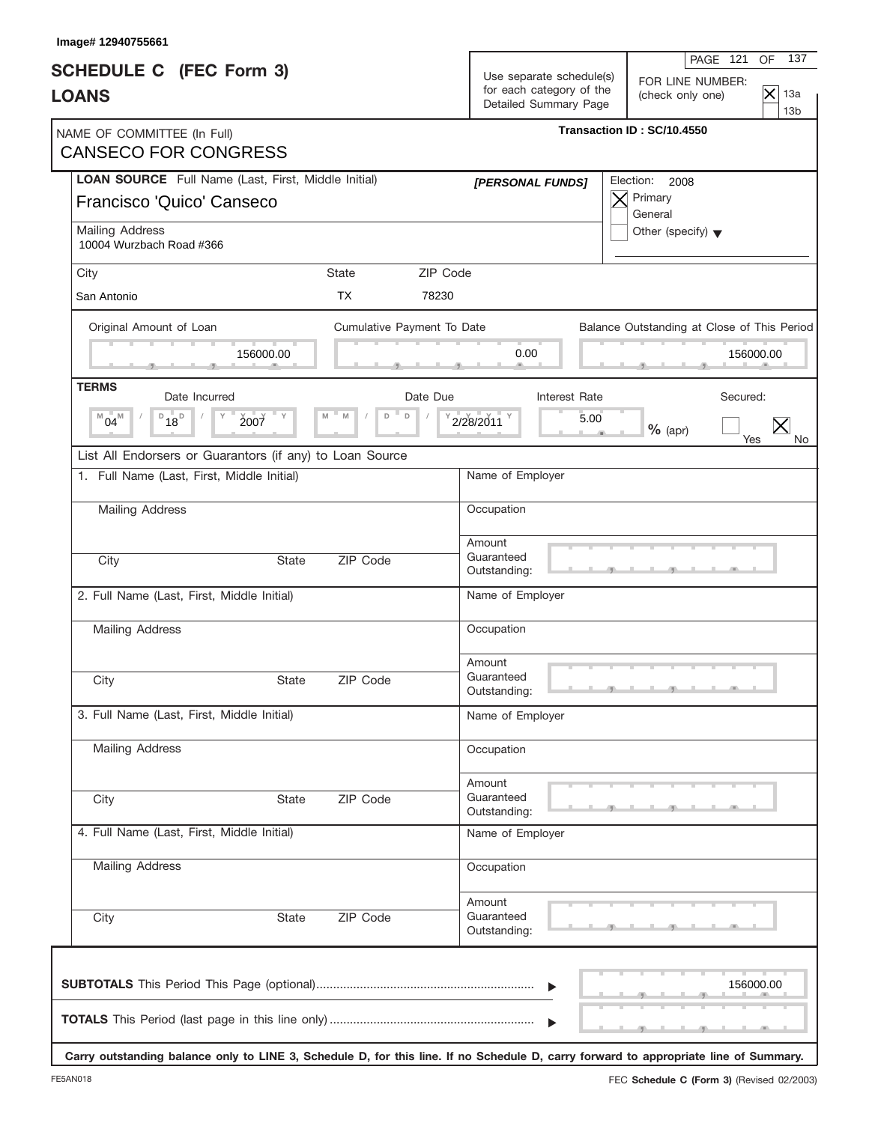| Image# 12940755661                                                               |              |                            |          |                                                                               | 137<br>PAGE 121<br><b>OF</b>                                                                                                         |
|----------------------------------------------------------------------------------|--------------|----------------------------|----------|-------------------------------------------------------------------------------|--------------------------------------------------------------------------------------------------------------------------------------|
| <b>SCHEDULE C</b> (FEC Form 3)<br><b>LOANS</b>                                   |              |                            |          | Use separate schedule(s)<br>for each category of the<br>Detailed Summary Page | FOR LINE NUMBER:<br>$ \mathsf{x} $<br>13a<br>(check only one)<br>13 <sub>b</sub>                                                     |
| NAME OF COMMITTEE (In Full)<br><b>CANSECO FOR CONGRESS</b>                       |              |                            |          |                                                                               | Transaction ID: SC/10.4550                                                                                                           |
| LOAN SOURCE Full Name (Last, First, Middle Initial)<br>Francisco 'Quico' Canseco |              |                            |          | [PERSONAL FUNDS]                                                              | Election:<br>2008<br>Primary<br>$\times$<br>General                                                                                  |
| Mailing Address<br>10004 Wurzbach Road #366                                      |              |                            |          |                                                                               | Other (specify) $\blacktriangledown$                                                                                                 |
| City                                                                             |              | State                      | ZIP Code |                                                                               |                                                                                                                                      |
| San Antonio                                                                      |              | <b>TX</b>                  | 78230    |                                                                               |                                                                                                                                      |
| Original Amount of Loan                                                          |              | Cumulative Payment To Date |          |                                                                               | Balance Outstanding at Close of This Period                                                                                          |
|                                                                                  | 156000.00    |                            |          | 0.00                                                                          | 156000.00                                                                                                                            |
| <b>TERMS</b><br>Date Incurred                                                    |              |                            | Date Due | Interest Rate                                                                 | Secured:                                                                                                                             |
| $\n  D$ <sub>18</sub> $\n  D$<br>$^{M}04^{M}$<br>2007                            |              | $\mathsf D$<br>M<br>D      |          | 5.00<br>2/28/2011                                                             | $\times$<br>$%$ (apr)<br>Yes                                                                                                         |
| List All Endorsers or Guarantors (if any) to Loan Source                         |              |                            |          |                                                                               |                                                                                                                                      |
| 1. Full Name (Last, First, Middle Initial)                                       |              |                            |          | Name of Employer                                                              |                                                                                                                                      |
| Mailing Address                                                                  |              |                            |          | Occupation                                                                    |                                                                                                                                      |
| City                                                                             | <b>State</b> | ZIP Code                   |          | Amount<br>Guaranteed<br>Outstanding:                                          |                                                                                                                                      |
| 2. Full Name (Last, First, Middle Initial)                                       |              |                            |          | Name of Employer                                                              |                                                                                                                                      |
| <b>Mailing Address</b>                                                           |              |                            |          | Occupation                                                                    |                                                                                                                                      |
| City                                                                             | State        | ZIP Code                   |          | Amount<br>Guaranteed<br>Outstanding:                                          |                                                                                                                                      |
| 3. Full Name (Last, First, Middle Initial)                                       |              |                            |          | Name of Employer                                                              |                                                                                                                                      |
| Mailing Address                                                                  |              |                            |          | Occupation                                                                    |                                                                                                                                      |
| City                                                                             | <b>State</b> | ZIP Code                   |          | Amount<br>Guaranteed<br>Outstanding:                                          |                                                                                                                                      |
| 4. Full Name (Last, First, Middle Initial)                                       |              |                            |          | Name of Employer                                                              |                                                                                                                                      |
| <b>Mailing Address</b>                                                           |              |                            |          | Occupation                                                                    |                                                                                                                                      |
| City                                                                             | State        | ZIP Code                   |          | Amount<br>Guaranteed<br>Outstanding:                                          |                                                                                                                                      |
|                                                                                  |              |                            |          | $\blacktriangleright$                                                         | 156000.00                                                                                                                            |
|                                                                                  |              |                            |          | $\blacktriangleright$                                                         | Carry outstanding balance only to LINE 3, Schedule D, for this line. If no Schedule D, carry forward to appropriate line of Summary. |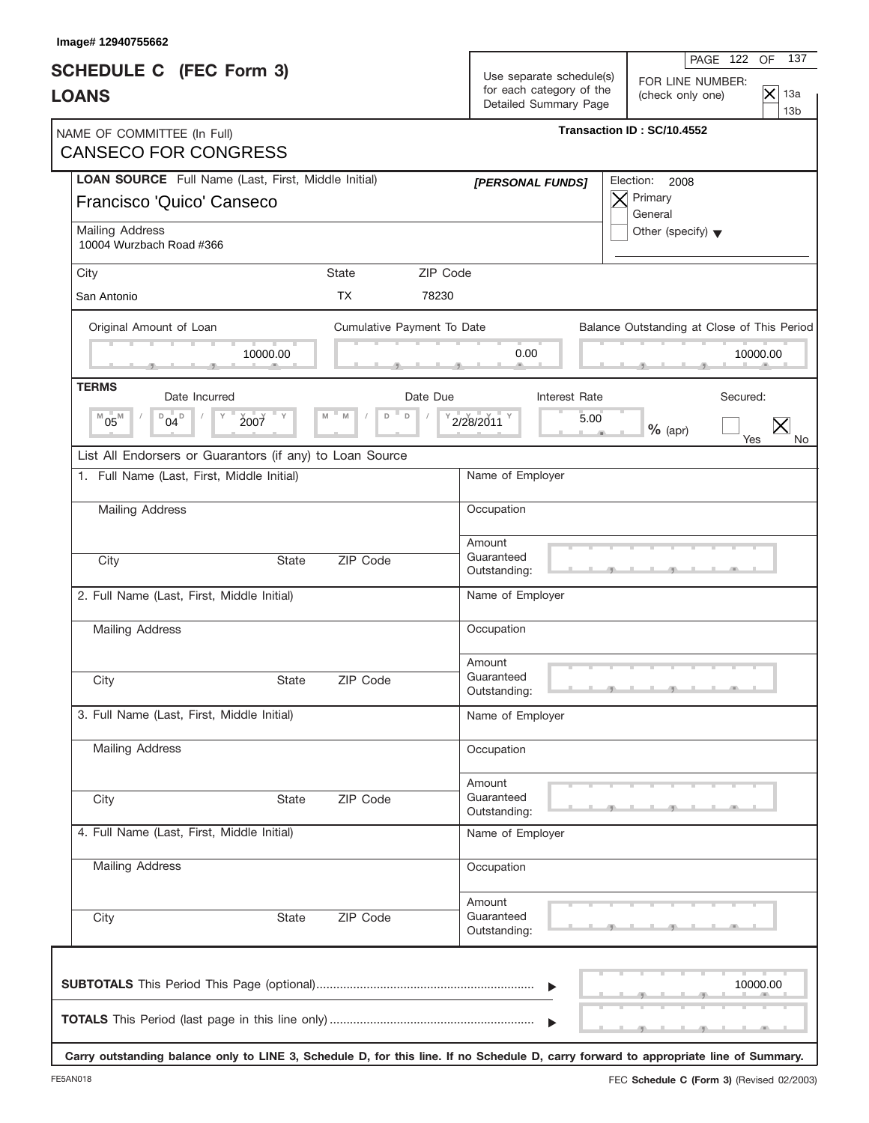| Image# 12940755662                                                               |              |                            |          |                                                                               |                                                                                                                                      |
|----------------------------------------------------------------------------------|--------------|----------------------------|----------|-------------------------------------------------------------------------------|--------------------------------------------------------------------------------------------------------------------------------------|
| <b>SCHEDULE C</b> (FEC Form 3)<br><b>LOANS</b>                                   |              |                            |          | Use separate schedule(s)<br>for each category of the<br>Detailed Summary Page | 137<br>PAGE 122<br>OF.<br>FOR LINE NUMBER:<br>$ \mathsf{x} $<br>13a<br>(check only one)<br>13 <sub>b</sub>                           |
| NAME OF COMMITTEE (In Full)<br><b>CANSECO FOR CONGRESS</b>                       |              |                            |          |                                                                               | Transaction ID: SC/10.4552                                                                                                           |
| LOAN SOURCE Full Name (Last, First, Middle Initial)<br>Francisco 'Quico' Canseco |              |                            |          | [PERSONAL FUNDS]                                                              | Election:<br>2008<br>Primary<br>$\bm{\times}$<br>General                                                                             |
| Mailing Address<br>10004 Wurzbach Road #366                                      |              |                            |          |                                                                               | Other (specify) $\blacktriangledown$                                                                                                 |
| City                                                                             |              | State                      | ZIP Code |                                                                               |                                                                                                                                      |
| San Antonio                                                                      |              | <b>TX</b>                  | 78230    |                                                                               |                                                                                                                                      |
| Original Amount of Loan                                                          |              | Cumulative Payment To Date |          |                                                                               | Balance Outstanding at Close of This Period                                                                                          |
|                                                                                  | 10000.00     |                            |          | 0.00                                                                          | 10000.00                                                                                                                             |
| <b>TERMS</b><br>Date Incurred                                                    |              |                            | Date Due | Interest Rate                                                                 | Secured:                                                                                                                             |
| $D_{04}D$<br>$05^{\rm M}$<br>Υ<br>M                                              | 2007         | $\mathsf D$<br>M<br>D      |          | 2/28/2011<br>5.00                                                             | $\times$<br>$%$ (apr)<br>Yes                                                                                                         |
| List All Endorsers or Guarantors (if any) to Loan Source                         |              |                            |          |                                                                               |                                                                                                                                      |
| 1. Full Name (Last, First, Middle Initial)                                       |              |                            |          | Name of Employer                                                              |                                                                                                                                      |
| Mailing Address                                                                  |              |                            |          | Occupation                                                                    |                                                                                                                                      |
| City                                                                             | <b>State</b> | ZIP Code                   |          | Amount<br>Guaranteed<br>Outstanding:                                          |                                                                                                                                      |
| 2. Full Name (Last, First, Middle Initial)                                       |              |                            |          | Name of Employer                                                              |                                                                                                                                      |
| <b>Mailing Address</b>                                                           |              |                            |          | Occupation                                                                    |                                                                                                                                      |
| City                                                                             | State        | ZIP Code                   |          | Amount<br>Guaranteed<br>Outstanding:                                          |                                                                                                                                      |
| 3. Full Name (Last, First, Middle Initial)                                       |              |                            |          | Name of Employer                                                              |                                                                                                                                      |
| <b>Mailing Address</b>                                                           |              |                            |          | Occupation                                                                    |                                                                                                                                      |
| City                                                                             | <b>State</b> | ZIP Code                   |          | Amount<br>Guaranteed<br>Outstanding:                                          |                                                                                                                                      |
| 4. Full Name (Last, First, Middle Initial)                                       |              |                            |          | Name of Employer                                                              |                                                                                                                                      |
| Mailing Address                                                                  |              |                            |          | Occupation                                                                    |                                                                                                                                      |
| City                                                                             | State        | ZIP Code                   |          | Amount<br>Guaranteed<br>Outstanding:                                          |                                                                                                                                      |
|                                                                                  |              |                            |          | $\blacktriangleright$                                                         | 10000.00                                                                                                                             |
|                                                                                  |              |                            |          |                                                                               | Carry outstanding balance only to LINE 3, Schedule D, for this line. If no Schedule D, carry forward to appropriate line of Summary. |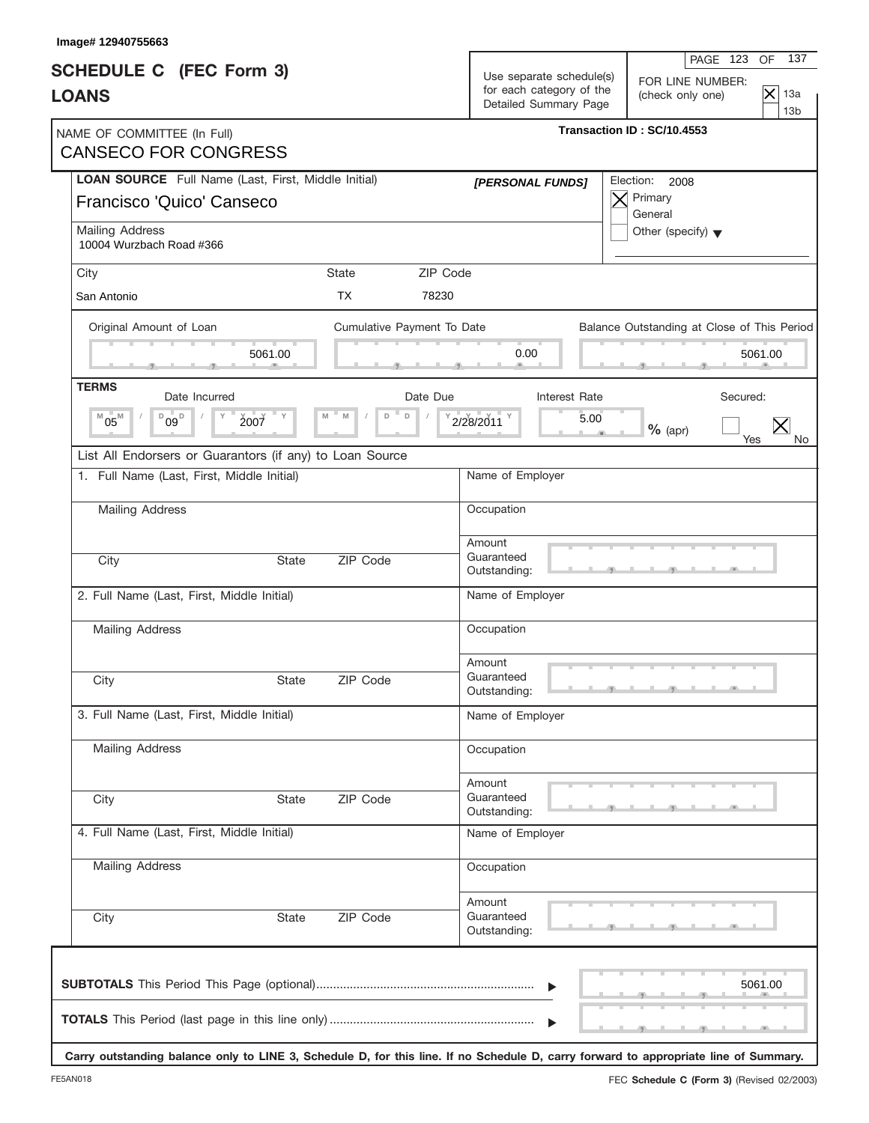| Image# 12940755663                                                               |              |                            |                                                                               |                                                                                                                                      |
|----------------------------------------------------------------------------------|--------------|----------------------------|-------------------------------------------------------------------------------|--------------------------------------------------------------------------------------------------------------------------------------|
| <b>SCHEDULE C</b> (FEC Form 3)<br><b>LOANS</b>                                   |              |                            | Use separate schedule(s)<br>for each category of the<br>Detailed Summary Page | 137<br>PAGE 123<br>OF<br>FOR LINE NUMBER:<br>$ \mathsf{x} $<br>13a<br>(check only one)<br>13 <sub>b</sub>                            |
| NAME OF COMMITTEE (In Full)<br><b>CANSECO FOR CONGRESS</b>                       |              |                            |                                                                               | Transaction ID: SC/10.4553                                                                                                           |
| LOAN SOURCE Full Name (Last, First, Middle Initial)<br>Francisco 'Quico' Canseco |              |                            | [PERSONAL FUNDS]                                                              | Election:<br>2008<br>Primary<br>$\bm{\times}$<br>General                                                                             |
| Mailing Address<br>10004 Wurzbach Road #366                                      |              |                            |                                                                               | Other (specify) $\blacktriangledown$                                                                                                 |
| City                                                                             |              | State                      | ZIP Code                                                                      |                                                                                                                                      |
| San Antonio                                                                      |              | <b>TX</b>                  | 78230                                                                         |                                                                                                                                      |
| Original Amount of Loan                                                          |              | Cumulative Payment To Date |                                                                               | Balance Outstanding at Close of This Period                                                                                          |
|                                                                                  | 5061.00      |                            | 0.00                                                                          | 5061.00                                                                                                                              |
| <b>TERMS</b><br>Date Incurred                                                    |              | Date Due                   | Interest Rate                                                                 | Secured:                                                                                                                             |
| $05^{\rm M}$<br>$^{\text{D}}$ 09 $^{\text{D}}$<br>Υ<br>M                         | 2007         | $\mathsf D$<br>M<br>D      | 2/28/2011                                                                     | 5.00<br>$\times$<br>$%$ (apr)<br>Yes                                                                                                 |
| List All Endorsers or Guarantors (if any) to Loan Source                         |              |                            |                                                                               |                                                                                                                                      |
| 1. Full Name (Last, First, Middle Initial)                                       |              |                            | Name of Employer                                                              |                                                                                                                                      |
| Mailing Address                                                                  |              |                            | Occupation                                                                    |                                                                                                                                      |
| City                                                                             | <b>State</b> | ZIP Code                   | Amount<br>Guaranteed<br>Outstanding:                                          |                                                                                                                                      |
| 2. Full Name (Last, First, Middle Initial)                                       |              |                            | Name of Employer                                                              |                                                                                                                                      |
| <b>Mailing Address</b>                                                           |              |                            | Occupation                                                                    |                                                                                                                                      |
| City                                                                             | State        | ZIP Code                   | Amount<br>Guaranteed<br>Outstanding:                                          |                                                                                                                                      |
| 3. Full Name (Last, First, Middle Initial)                                       |              |                            | Name of Employer                                                              |                                                                                                                                      |
| <b>Mailing Address</b>                                                           |              |                            | Occupation                                                                    |                                                                                                                                      |
| City                                                                             | <b>State</b> | ZIP Code                   | Amount<br>Guaranteed<br>Outstanding:                                          |                                                                                                                                      |
| 4. Full Name (Last, First, Middle Initial)                                       |              |                            | Name of Employer                                                              |                                                                                                                                      |
| Mailing Address                                                                  |              |                            | Occupation                                                                    |                                                                                                                                      |
| City                                                                             | State        | ZIP Code                   | Amount<br>Guaranteed<br>Outstanding:                                          |                                                                                                                                      |
|                                                                                  |              |                            | $\blacktriangleright$                                                         | 5061.00                                                                                                                              |
|                                                                                  |              |                            |                                                                               | Carry outstanding balance only to LINE 3, Schedule D, for this line. If no Schedule D, carry forward to appropriate line of Summary. |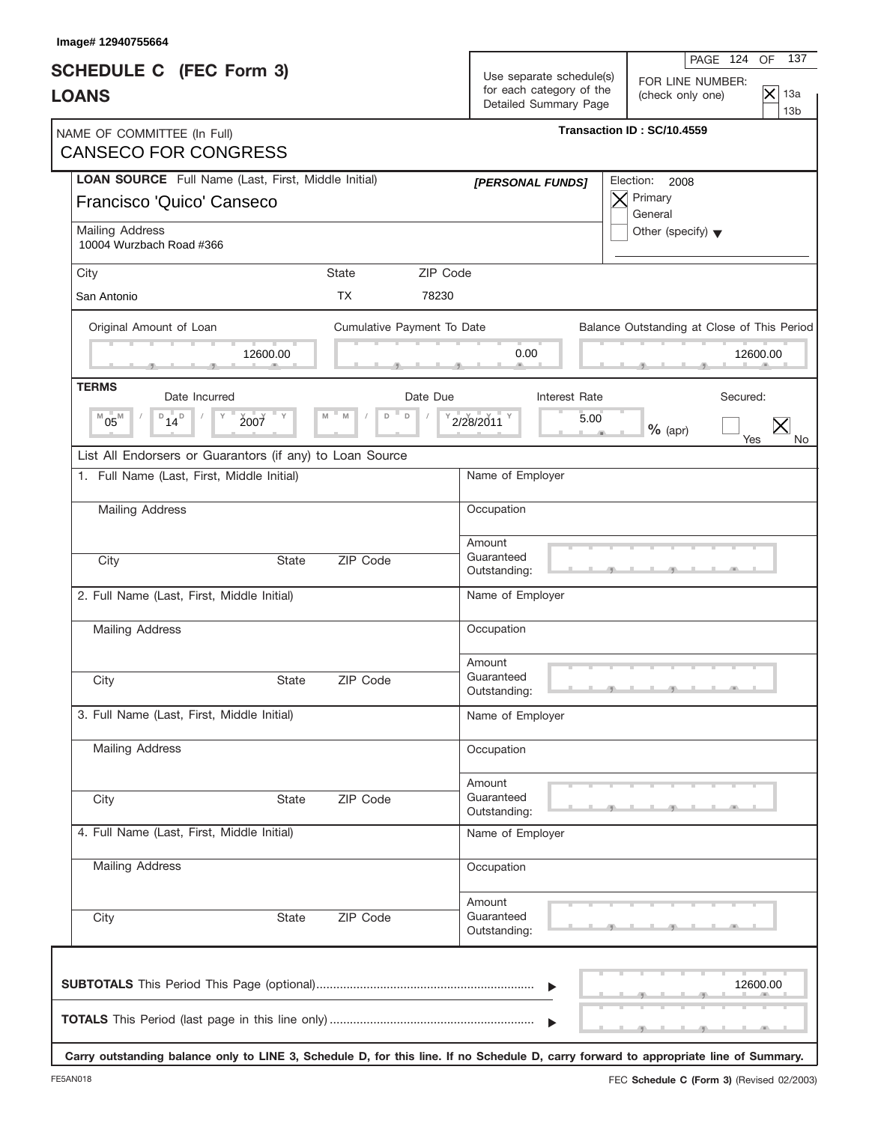| 137<br>PAGE 124 OF<br>Use separate schedule(s)<br>FOR LINE NUMBER:<br>$\mathsf{\times}$<br>13a<br>(check only one)<br>13 <sub>b</sub> |
|---------------------------------------------------------------------------------------------------------------------------------------|
| Transaction ID: SC/10.4559                                                                                                            |
| Election:<br>2008<br>Primary<br>X<br>General                                                                                          |
| Other (specify) $\blacktriangledown$                                                                                                  |
|                                                                                                                                       |
|                                                                                                                                       |
| Balance Outstanding at Close of This Period                                                                                           |
| 12600.00                                                                                                                              |
| Secured:                                                                                                                              |
| $%$ (apr)<br>Yes<br>No.                                                                                                               |
|                                                                                                                                       |
|                                                                                                                                       |
|                                                                                                                                       |
|                                                                                                                                       |
|                                                                                                                                       |
|                                                                                                                                       |
|                                                                                                                                       |
|                                                                                                                                       |
|                                                                                                                                       |
|                                                                                                                                       |
|                                                                                                                                       |
|                                                                                                                                       |
|                                                                                                                                       |
| 12600.00                                                                                                                              |
| Carry outstanding balance only to LINE 3, Schedule D, for this line. If no Schedule D, carry forward to appropriate line of Summary.  |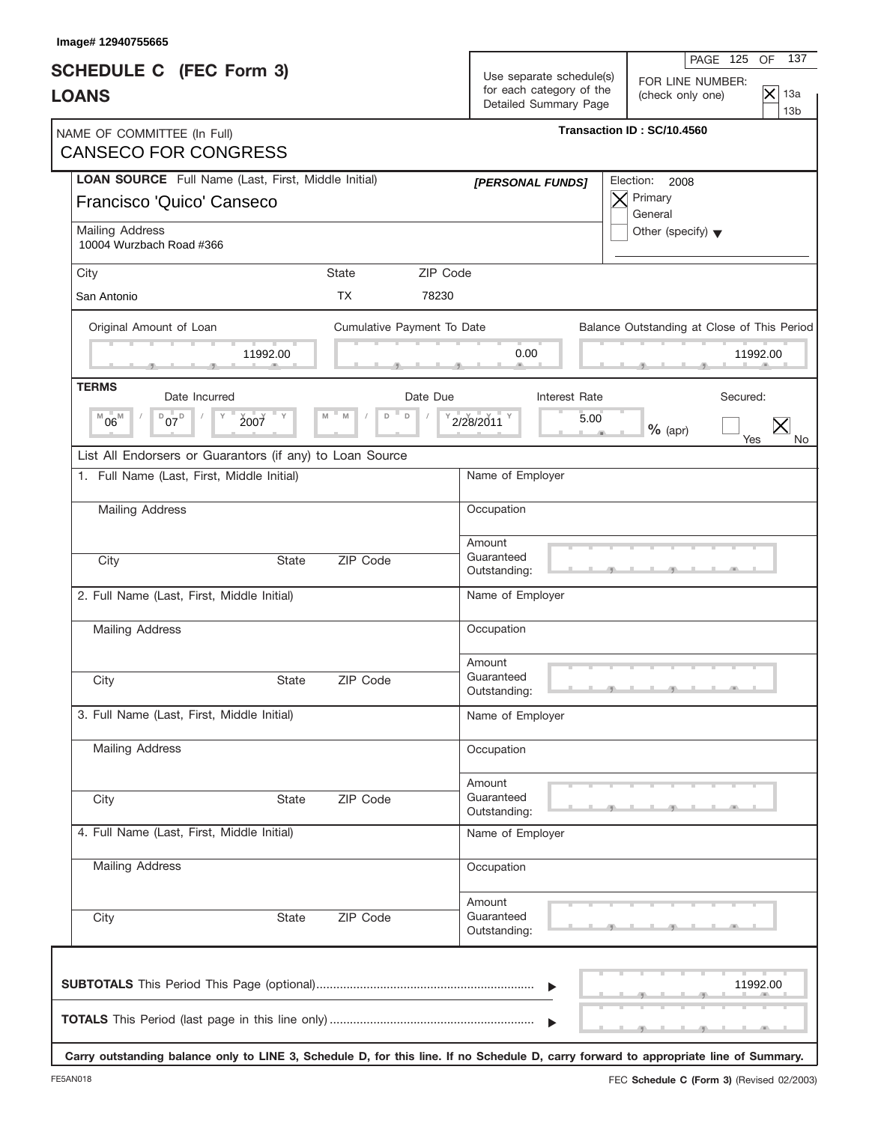| Image# 12940755665                                                                                                                   |                            |                                                                               |                                                                                                            |
|--------------------------------------------------------------------------------------------------------------------------------------|----------------------------|-------------------------------------------------------------------------------|------------------------------------------------------------------------------------------------------------|
| <b>SCHEDULE C</b> (FEC Form 3)<br><b>LOANS</b>                                                                                       |                            | Use separate schedule(s)<br>for each category of the<br>Detailed Summary Page | 137<br>PAGE 125<br>OF.<br>FOR LINE NUMBER:<br>$ \mathsf{x} $<br>13a<br>(check only one)<br>13 <sub>b</sub> |
| NAME OF COMMITTEE (In Full)<br><b>CANSECO FOR CONGRESS</b>                                                                           |                            |                                                                               | Transaction ID: SC/10.4560                                                                                 |
| LOAN SOURCE Full Name (Last, First, Middle Initial)<br>Francisco 'Quico' Canseco                                                     |                            | [PERSONAL FUNDS]                                                              | Election:<br>2008<br>Primary<br>$\bm{\times}$<br>General                                                   |
| Mailing Address<br>10004 Wurzbach Road #366                                                                                          |                            |                                                                               | Other (specify) $\blacktriangledown$                                                                       |
| City                                                                                                                                 | ZIP Code<br>State          |                                                                               |                                                                                                            |
| San Antonio                                                                                                                          | <b>TX</b><br>78230         |                                                                               |                                                                                                            |
| Original Amount of Loan                                                                                                              | Cumulative Payment To Date |                                                                               | Balance Outstanding at Close of This Period                                                                |
| 11992.00                                                                                                                             |                            | 0.00                                                                          | 11992.00                                                                                                   |
| <b>TERMS</b><br>Date Incurred                                                                                                        | Date Due                   | Interest Rate                                                                 | Secured:                                                                                                   |
| $D_{07}D_{07}$<br>$06^{\rm M}$<br>Υ<br>2007<br>M                                                                                     | $\mathsf D$<br>M<br>D      | 2/28/2011<br>5.00                                                             | $\times$<br>$%$ (apr)<br>Yes                                                                               |
| List All Endorsers or Guarantors (if any) to Loan Source                                                                             |                            |                                                                               |                                                                                                            |
| 1. Full Name (Last, First, Middle Initial)                                                                                           |                            | Name of Employer                                                              |                                                                                                            |
| <b>Mailing Address</b>                                                                                                               |                            | Occupation                                                                    |                                                                                                            |
| City                                                                                                                                 | ZIP Code<br><b>State</b>   | Amount<br>Guaranteed<br>Outstanding:                                          |                                                                                                            |
| 2. Full Name (Last, First, Middle Initial)                                                                                           |                            | Name of Employer                                                              |                                                                                                            |
| <b>Mailing Address</b>                                                                                                               |                            | Occupation                                                                    |                                                                                                            |
| City                                                                                                                                 | ZIP Code<br>State          | Amount<br>Guaranteed<br>Outstanding:                                          |                                                                                                            |
| 3. Full Name (Last, First, Middle Initial)                                                                                           |                            | Name of Employer                                                              |                                                                                                            |
| <b>Mailing Address</b>                                                                                                               |                            | Occupation                                                                    |                                                                                                            |
| City                                                                                                                                 | ZIP Code<br><b>State</b>   | Amount<br>Guaranteed<br>Outstanding:                                          |                                                                                                            |
| 4. Full Name (Last, First, Middle Initial)                                                                                           |                            | Name of Employer                                                              |                                                                                                            |
| Mailing Address                                                                                                                      |                            | Occupation                                                                    |                                                                                                            |
| City                                                                                                                                 | ZIP Code<br>State          | Amount<br>Guaranteed<br>Outstanding:                                          |                                                                                                            |
|                                                                                                                                      |                            | $\blacktriangleright$                                                         | 11992.00                                                                                                   |
| Carry outstanding balance only to LINE 3, Schedule D, for this line. If no Schedule D, carry forward to appropriate line of Summary. |                            |                                                                               |                                                                                                            |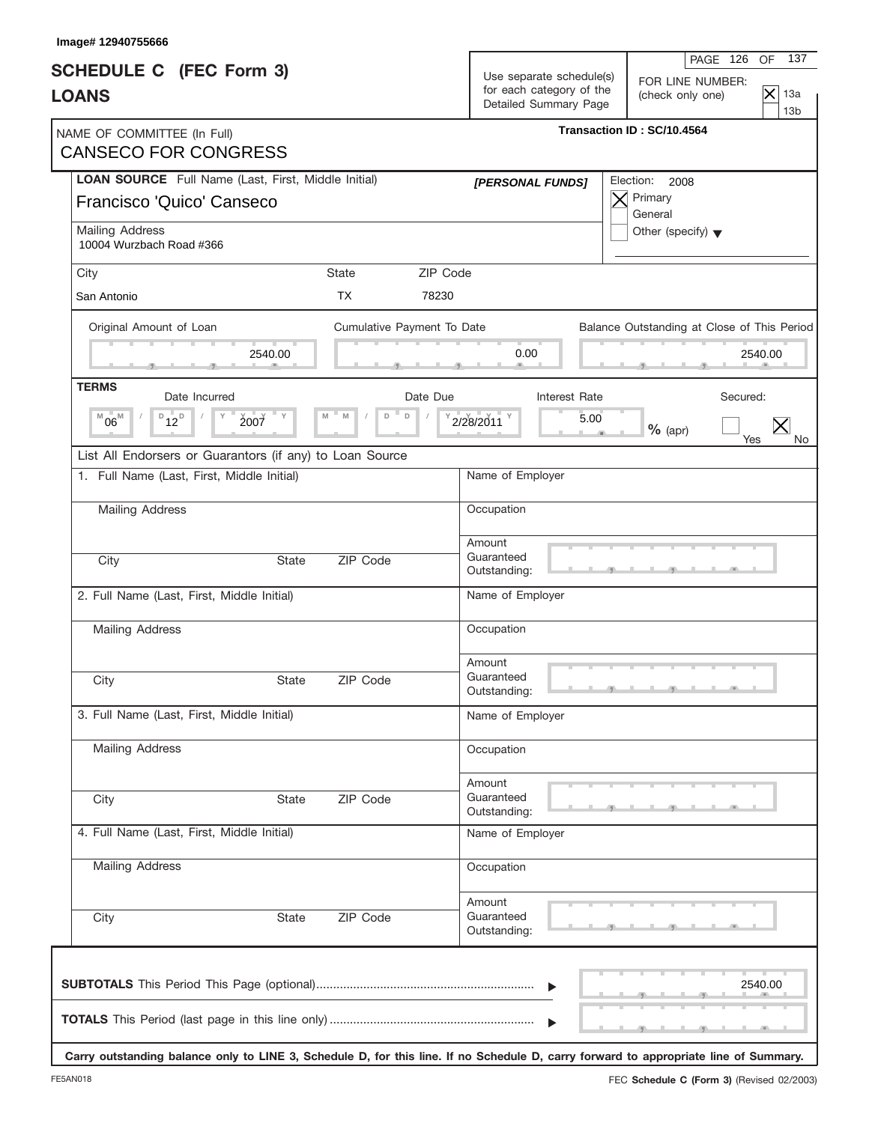| 137<br>PAGE 126<br>OF<br>Use separate schedule(s)<br>FOR LINE NUMBER:<br>for each category of the<br>$\mathsf{\times}$<br>13a<br>(check only one)<br>Detailed Summary Page<br>13 <sub>b</sub><br>Transaction ID: SC/10.4564<br>Election: 2008<br>[PERSONAL FUNDS]<br>Primary<br>General<br>Other (specify) $\blacktriangledown$<br>Cumulative Payment To Date<br>Balance Outstanding at Close of This Period<br>0.00<br>2540.00<br>Interest Rate<br>Secured:<br>2/28/2011<br>5.00<br>$%$ (apr) |
|------------------------------------------------------------------------------------------------------------------------------------------------------------------------------------------------------------------------------------------------------------------------------------------------------------------------------------------------------------------------------------------------------------------------------------------------------------------------------------------------|
|                                                                                                                                                                                                                                                                                                                                                                                                                                                                                                |
|                                                                                                                                                                                                                                                                                                                                                                                                                                                                                                |
|                                                                                                                                                                                                                                                                                                                                                                                                                                                                                                |
|                                                                                                                                                                                                                                                                                                                                                                                                                                                                                                |
|                                                                                                                                                                                                                                                                                                                                                                                                                                                                                                |
|                                                                                                                                                                                                                                                                                                                                                                                                                                                                                                |
|                                                                                                                                                                                                                                                                                                                                                                                                                                                                                                |
|                                                                                                                                                                                                                                                                                                                                                                                                                                                                                                |
|                                                                                                                                                                                                                                                                                                                                                                                                                                                                                                |
|                                                                                                                                                                                                                                                                                                                                                                                                                                                                                                |
|                                                                                                                                                                                                                                                                                                                                                                                                                                                                                                |
| Yes<br>No.                                                                                                                                                                                                                                                                                                                                                                                                                                                                                     |
|                                                                                                                                                                                                                                                                                                                                                                                                                                                                                                |
| Name of Employer                                                                                                                                                                                                                                                                                                                                                                                                                                                                               |
| Occupation                                                                                                                                                                                                                                                                                                                                                                                                                                                                                     |
| Amount                                                                                                                                                                                                                                                                                                                                                                                                                                                                                         |
| Guaranteed<br>Outstanding:                                                                                                                                                                                                                                                                                                                                                                                                                                                                     |
| Name of Employer                                                                                                                                                                                                                                                                                                                                                                                                                                                                               |
| Occupation                                                                                                                                                                                                                                                                                                                                                                                                                                                                                     |
| Amount                                                                                                                                                                                                                                                                                                                                                                                                                                                                                         |
| Guaranteed<br>Outstanding:                                                                                                                                                                                                                                                                                                                                                                                                                                                                     |
| Name of Employer                                                                                                                                                                                                                                                                                                                                                                                                                                                                               |
| Occupation                                                                                                                                                                                                                                                                                                                                                                                                                                                                                     |
| Amount                                                                                                                                                                                                                                                                                                                                                                                                                                                                                         |
| Guaranteed<br>Outstanding:                                                                                                                                                                                                                                                                                                                                                                                                                                                                     |
| Name of Employer                                                                                                                                                                                                                                                                                                                                                                                                                                                                               |
| Occupation                                                                                                                                                                                                                                                                                                                                                                                                                                                                                     |
| Amount<br>Guaranteed<br>Outstanding:                                                                                                                                                                                                                                                                                                                                                                                                                                                           |
|                                                                                                                                                                                                                                                                                                                                                                                                                                                                                                |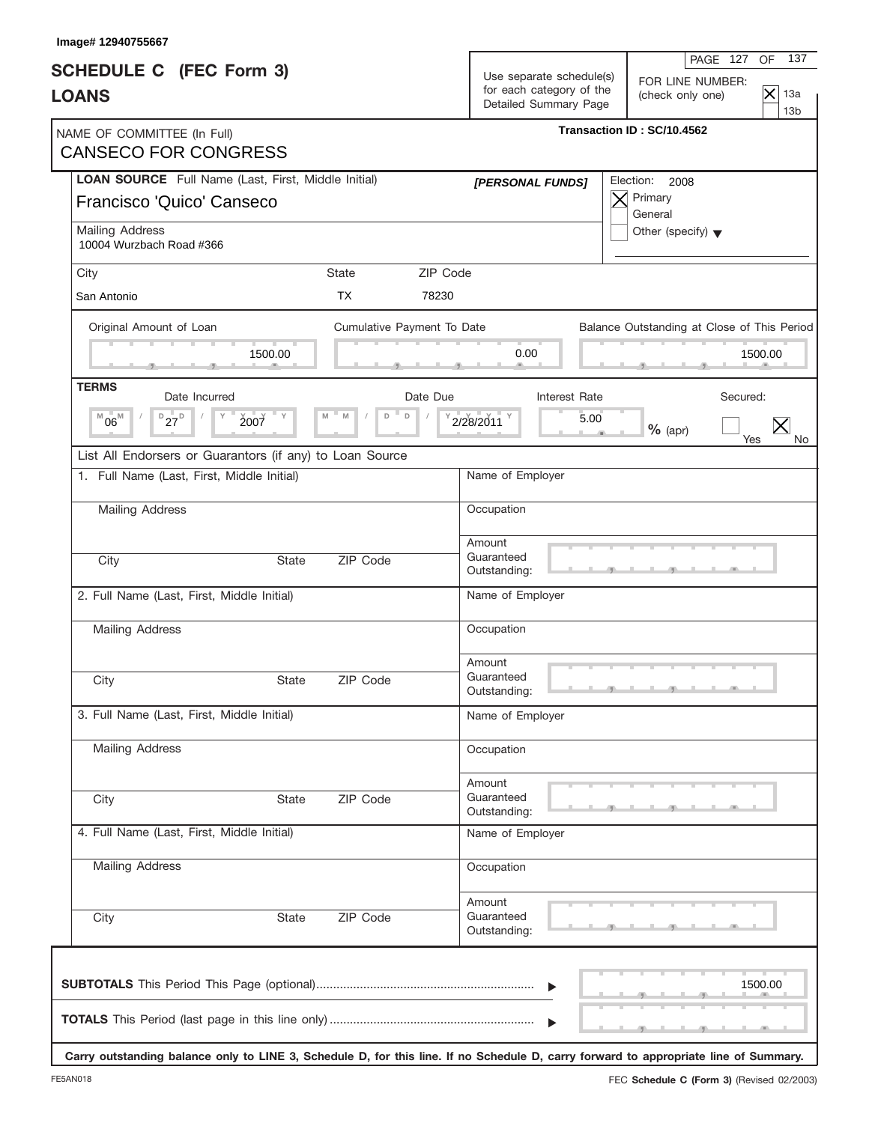| Image# 12940755667                                                               |              |                            |          |                                                                               | 137<br>PAGE 127<br>OF.                                                                                                               |
|----------------------------------------------------------------------------------|--------------|----------------------------|----------|-------------------------------------------------------------------------------|--------------------------------------------------------------------------------------------------------------------------------------|
| <b>SCHEDULE C</b> (FEC Form 3)<br><b>LOANS</b>                                   |              |                            |          | Use separate schedule(s)<br>for each category of the<br>Detailed Summary Page | FOR LINE NUMBER:<br>$ \mathsf{x} $<br>13a<br>(check only one)<br>13 <sub>b</sub>                                                     |
| NAME OF COMMITTEE (In Full)<br><b>CANSECO FOR CONGRESS</b>                       |              |                            |          |                                                                               | Transaction ID: SC/10.4562                                                                                                           |
| LOAN SOURCE Full Name (Last, First, Middle Initial)<br>Francisco 'Quico' Canseco |              |                            |          | [PERSONAL FUNDS]                                                              | Election:<br>2008<br>Primary<br>$\times$<br>General                                                                                  |
| Mailing Address<br>10004 Wurzbach Road #366                                      |              |                            |          |                                                                               | Other (specify) $\blacktriangledown$                                                                                                 |
| City                                                                             |              | <b>State</b>               | ZIP Code |                                                                               |                                                                                                                                      |
| San Antonio                                                                      |              | <b>TX</b>                  | 78230    |                                                                               |                                                                                                                                      |
| Original Amount of Loan                                                          |              | Cumulative Payment To Date |          |                                                                               | Balance Outstanding at Close of This Period                                                                                          |
|                                                                                  | 1500.00      |                            |          | 0.00                                                                          | 1500.00                                                                                                                              |
| <b>TERMS</b><br>Date Incurred                                                    |              |                            | Date Due | Interest Rate                                                                 | Secured:                                                                                                                             |
| $D_{27}D$<br>$^{M}06^{M}$<br>2007                                                |              | $\mathsf D$<br>M<br>D      |          | 5.00<br>2/28/2011                                                             | $\times$<br>$%$ (apr)<br>Yes                                                                                                         |
| List All Endorsers or Guarantors (if any) to Loan Source                         |              |                            |          |                                                                               |                                                                                                                                      |
| 1. Full Name (Last, First, Middle Initial)                                       |              |                            |          | Name of Employer                                                              |                                                                                                                                      |
| <b>Mailing Address</b>                                                           |              |                            |          | Occupation                                                                    |                                                                                                                                      |
| City                                                                             | <b>State</b> | ZIP Code                   |          | Amount<br>Guaranteed<br>Outstanding:                                          |                                                                                                                                      |
| 2. Full Name (Last, First, Middle Initial)                                       |              |                            |          | Name of Employer                                                              |                                                                                                                                      |
| <b>Mailing Address</b>                                                           |              |                            |          | Occupation                                                                    |                                                                                                                                      |
| City                                                                             | State        | ZIP Code                   |          | Amount<br>Guaranteed<br>Outstanding:                                          |                                                                                                                                      |
| 3. Full Name (Last, First, Middle Initial)                                       |              |                            |          | Name of Employer                                                              |                                                                                                                                      |
| Mailing Address                                                                  |              |                            |          | Occupation                                                                    |                                                                                                                                      |
| City                                                                             | <b>State</b> | ZIP Code                   |          | Amount<br>Guaranteed<br>Outstanding:                                          |                                                                                                                                      |
| 4. Full Name (Last, First, Middle Initial)                                       |              |                            |          | Name of Employer                                                              |                                                                                                                                      |
| <b>Mailing Address</b>                                                           |              |                            |          | Occupation                                                                    |                                                                                                                                      |
| City                                                                             | State        | ZIP Code                   |          | Amount<br>Guaranteed<br>Outstanding:                                          |                                                                                                                                      |
|                                                                                  |              |                            |          | $\blacktriangleright$                                                         | 1500.00                                                                                                                              |
|                                                                                  |              |                            |          | $\blacktriangleright$                                                         | Carry outstanding balance only to LINE 3, Schedule D, for this line. If no Schedule D, carry forward to appropriate line of Summary. |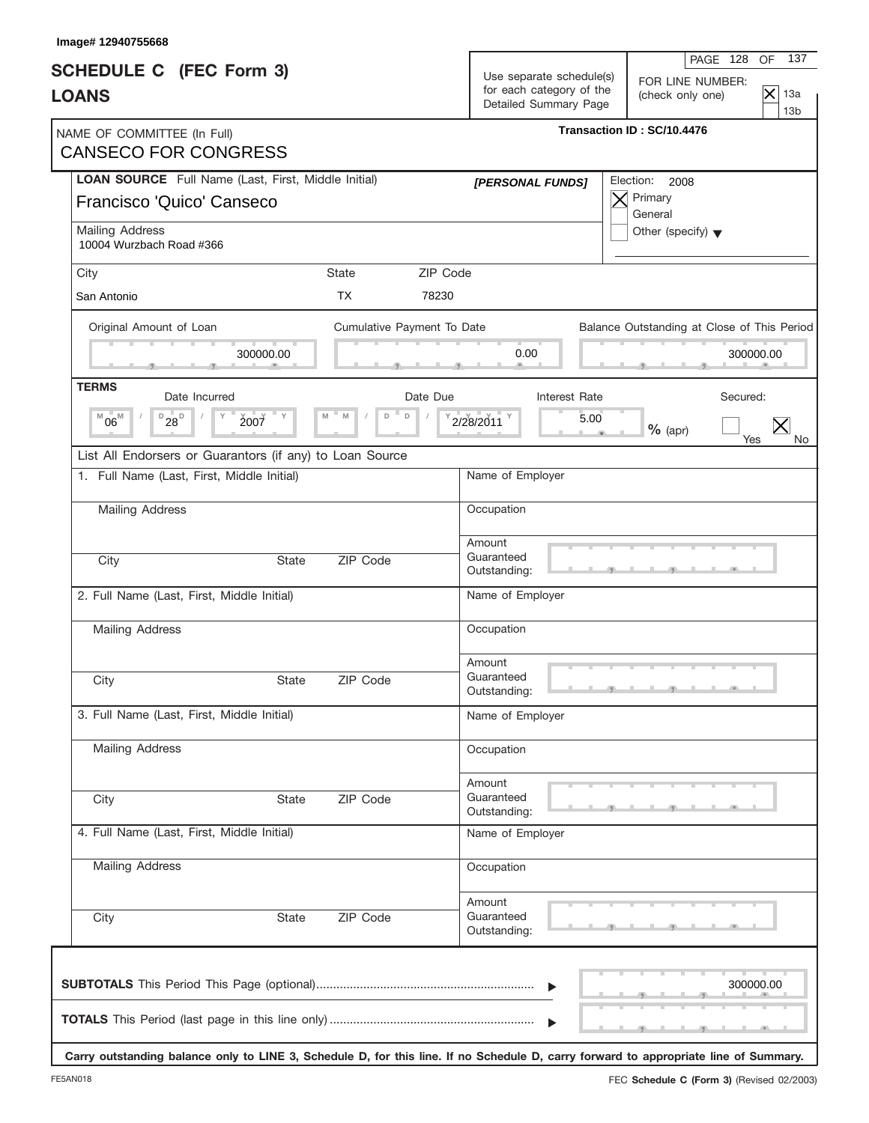| Image# 12940755668                                                                                                                   |                            |                                                                               |                                                                                                                  |
|--------------------------------------------------------------------------------------------------------------------------------------|----------------------------|-------------------------------------------------------------------------------|------------------------------------------------------------------------------------------------------------------|
| <b>SCHEDULE C</b> (FEC Form 3)<br><b>LOANS</b>                                                                                       |                            | Use separate schedule(s)<br>for each category of the<br>Detailed Summary Page | 137<br>PAGE 128<br><b>OF</b><br>FOR LINE NUMBER:<br>$ \mathsf{x} $<br>13a<br>(check only one)<br>13 <sub>b</sub> |
| NAME OF COMMITTEE (In Full)<br><b>CANSECO FOR CONGRESS</b>                                                                           |                            |                                                                               | Transaction ID: SC/10.4476                                                                                       |
| LOAN SOURCE Full Name (Last, First, Middle Initial)<br>Francisco 'Quico' Canseco                                                     |                            | [PERSONAL FUNDS]                                                              | Election:<br>2008<br>Primary<br>$\bm{\times}$<br>General                                                         |
| Mailing Address<br>10004 Wurzbach Road #366                                                                                          |                            |                                                                               | Other (specify) $\blacktriangledown$                                                                             |
| City                                                                                                                                 | ZIP Code<br>State          |                                                                               |                                                                                                                  |
| San Antonio                                                                                                                          | <b>TX</b><br>78230         |                                                                               |                                                                                                                  |
| Original Amount of Loan                                                                                                              | Cumulative Payment To Date |                                                                               | Balance Outstanding at Close of This Period                                                                      |
| 300000.00                                                                                                                            |                            | 0.00                                                                          | 300000.00                                                                                                        |
| <b>TERMS</b><br>Date Incurred                                                                                                        | Date Due                   | Interest Rate                                                                 | Secured:                                                                                                         |
| $D_{28}$<br>$06^{\rm M}$<br>Υ<br>2007<br>M                                                                                           | $\mathsf D$<br>M<br>D      | 2/28/2011<br>5.00                                                             | $\times$<br>$%$ (apr)<br>Yes                                                                                     |
| List All Endorsers or Guarantors (if any) to Loan Source                                                                             |                            |                                                                               |                                                                                                                  |
| 1. Full Name (Last, First, Middle Initial)                                                                                           |                            | Name of Employer                                                              |                                                                                                                  |
| <b>Mailing Address</b>                                                                                                               |                            | Occupation                                                                    |                                                                                                                  |
| City                                                                                                                                 | ZIP Code<br><b>State</b>   | Amount<br>Guaranteed<br>Outstanding:                                          |                                                                                                                  |
| 2. Full Name (Last, First, Middle Initial)                                                                                           |                            | Name of Employer                                                              |                                                                                                                  |
| <b>Mailing Address</b>                                                                                                               |                            | Occupation                                                                    |                                                                                                                  |
| City                                                                                                                                 | ZIP Code<br>State          | Amount<br>Guaranteed<br>Outstanding:                                          |                                                                                                                  |
| 3. Full Name (Last, First, Middle Initial)                                                                                           |                            | Name of Employer                                                              |                                                                                                                  |
| <b>Mailing Address</b>                                                                                                               |                            | Occupation                                                                    |                                                                                                                  |
| City                                                                                                                                 | ZIP Code<br><b>State</b>   | Amount<br>Guaranteed<br>Outstanding:                                          |                                                                                                                  |
| 4. Full Name (Last, First, Middle Initial)                                                                                           |                            | Name of Employer                                                              |                                                                                                                  |
| Mailing Address                                                                                                                      |                            | Occupation                                                                    |                                                                                                                  |
| City                                                                                                                                 | ZIP Code<br>State          | Amount<br>Guaranteed<br>Outstanding:                                          |                                                                                                                  |
|                                                                                                                                      |                            | $\blacktriangleright$                                                         | 300000.00                                                                                                        |
| Carry outstanding balance only to LINE 3, Schedule D, for this line. If no Schedule D, carry forward to appropriate line of Summary. |                            |                                                                               |                                                                                                                  |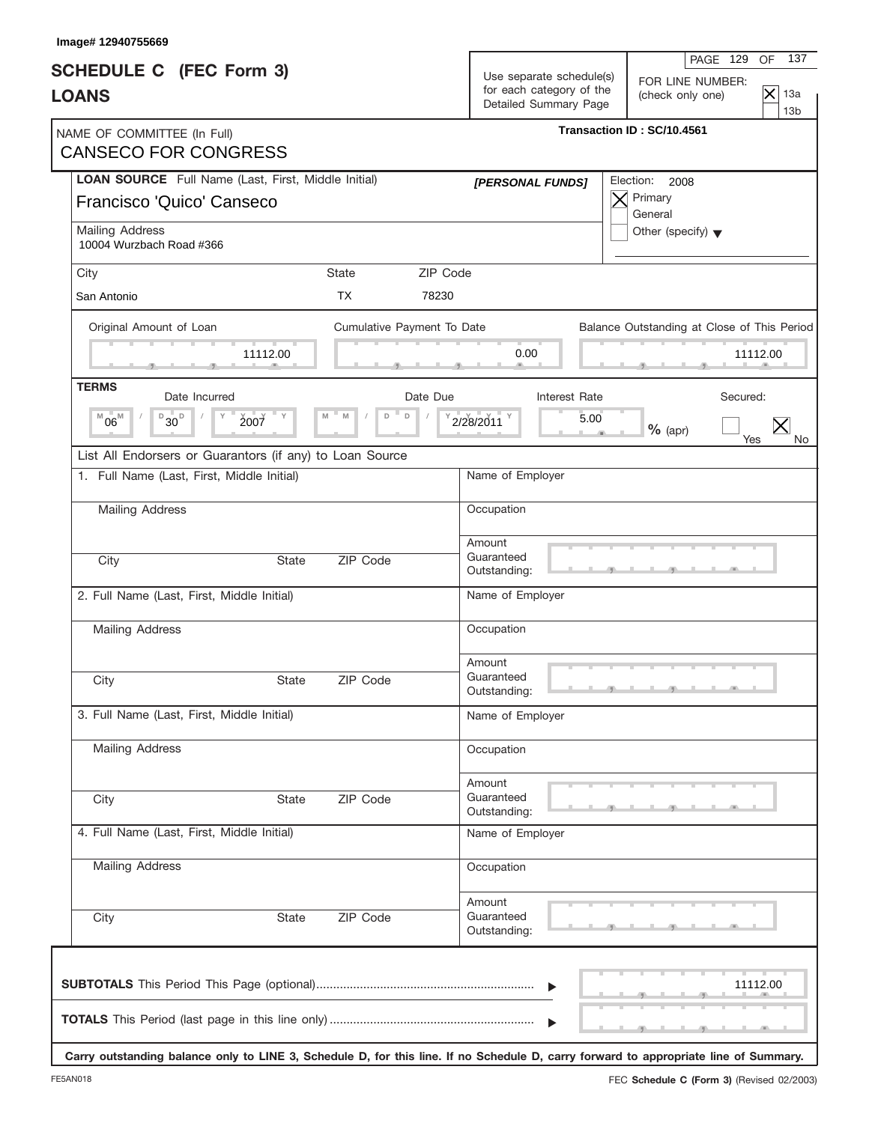| Image# 12940755669                                                      |              |                            |          |                                                      |                                                                                                                                      |
|-------------------------------------------------------------------------|--------------|----------------------------|----------|------------------------------------------------------|--------------------------------------------------------------------------------------------------------------------------------------|
| <b>SCHEDULE C</b> (FEC Form 3)<br><b>LOANS</b>                          |              |                            |          | Use separate schedule(s)<br>for each category of the | 137<br>PAGE 129<br>OF<br>FOR LINE NUMBER:<br>$\mathsf{\times}$<br>13a<br>(check only one)                                            |
|                                                                         |              |                            |          | Detailed Summary Page                                | 13 <sub>b</sub>                                                                                                                      |
| NAME OF COMMITTEE (In Full)<br><b>CANSECO FOR CONGRESS</b>              |              |                            |          |                                                      | Transaction ID: SC/10.4561                                                                                                           |
| LOAN SOURCE Full Name (Last, First, Middle Initial)                     |              |                            |          | [PERSONAL FUNDS]                                     | Election: 2008                                                                                                                       |
| Francisco 'Quico' Canseco                                               |              |                            |          |                                                      | Primary<br>General                                                                                                                   |
| Mailing Address<br>10004 Wurzbach Road #366                             |              |                            |          |                                                      | Other (specify) $\blacktriangledown$                                                                                                 |
| City                                                                    |              | <b>State</b>               | ZIP Code |                                                      |                                                                                                                                      |
| San Antonio                                                             |              | <b>TX</b>                  | 78230    |                                                      |                                                                                                                                      |
| Original Amount of Loan                                                 |              | Cumulative Payment To Date |          |                                                      | Balance Outstanding at Close of This Period                                                                                          |
| m                                                                       | 11112.00     |                            |          | 0.00                                                 | 11112.00                                                                                                                             |
| <b>TERMS</b><br>Date Incurred                                           |              |                            | Date Due | <b>Interest Rate</b>                                 | Secured:                                                                                                                             |
| $\mathbb{L}$ , D<br>$06^{\rm M}$<br>$\overline{1}$ 30 <sup>-</sup><br>M | 2007         | M<br>M<br>D<br>$\Box$      |          | 2/28/2011<br>5.00                                    | $%$ (apr)<br>Yes<br>No.                                                                                                              |
| List All Endorsers or Guarantors (if any) to Loan Source                |              |                            |          |                                                      |                                                                                                                                      |
| 1. Full Name (Last, First, Middle Initial)                              |              |                            |          | Name of Employer                                     |                                                                                                                                      |
| Mailing Address                                                         |              |                            |          | Occupation                                           |                                                                                                                                      |
|                                                                         |              |                            |          | Amount                                               |                                                                                                                                      |
| City                                                                    | <b>State</b> | ZIP Code                   |          | Guaranteed<br>Outstanding:                           |                                                                                                                                      |
| 2. Full Name (Last, First, Middle Initial)                              |              |                            |          | Name of Employer                                     |                                                                                                                                      |
| <b>Mailing Address</b>                                                  |              |                            |          | Occupation                                           |                                                                                                                                      |
|                                                                         |              |                            |          | Amount                                               |                                                                                                                                      |
| City                                                                    | State        | ZIP Code                   |          | Guaranteed<br>Outstanding:                           |                                                                                                                                      |
| 3. Full Name (Last, First, Middle Initial)                              |              |                            |          | Name of Employer                                     |                                                                                                                                      |
| <b>Mailing Address</b>                                                  |              |                            |          | Occupation                                           |                                                                                                                                      |
|                                                                         |              |                            |          | Amount                                               |                                                                                                                                      |
| City                                                                    | <b>State</b> | ZIP Code                   |          | Guaranteed<br>Outstanding:                           |                                                                                                                                      |
| 4. Full Name (Last, First, Middle Initial)                              |              |                            |          | Name of Employer                                     |                                                                                                                                      |
| Mailing Address                                                         |              |                            |          | Occupation                                           |                                                                                                                                      |
|                                                                         |              |                            |          | Amount                                               |                                                                                                                                      |
| City                                                                    | State        | ZIP Code                   |          | Guaranteed<br>Outstanding:                           |                                                                                                                                      |
|                                                                         |              |                            |          |                                                      | 11112.00                                                                                                                             |
|                                                                         |              |                            |          |                                                      |                                                                                                                                      |
|                                                                         |              |                            |          |                                                      | Carry outstanding balance only to LINE 3, Schedule D, for this line. If no Schedule D, carry forward to appropriate line of Summary. |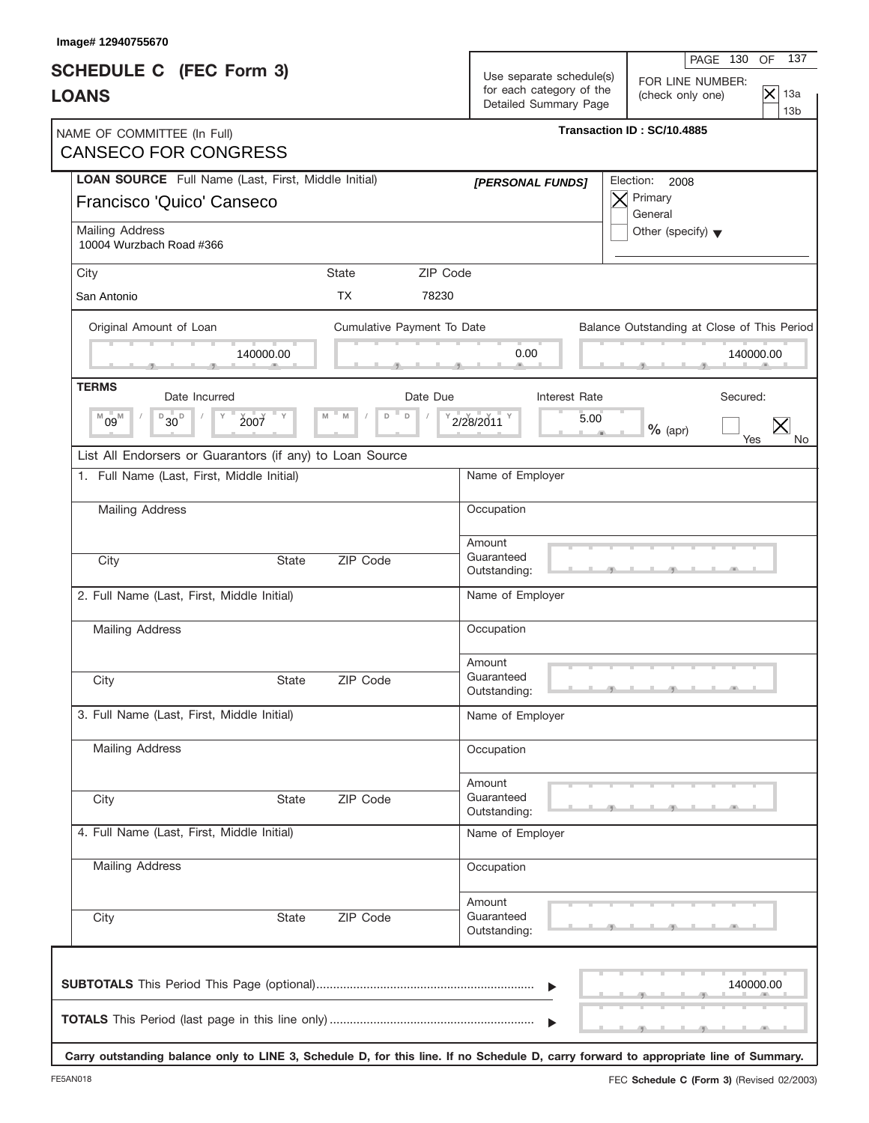| Image# 12940755670                                                                                                                   |                            |                                                                               |                                                                                                                  |
|--------------------------------------------------------------------------------------------------------------------------------------|----------------------------|-------------------------------------------------------------------------------|------------------------------------------------------------------------------------------------------------------|
| <b>SCHEDULE C</b> (FEC Form 3)<br><b>LOANS</b>                                                                                       |                            | Use separate schedule(s)<br>for each category of the<br>Detailed Summary Page | 137<br>PAGE 130<br><b>OF</b><br>FOR LINE NUMBER:<br>$ \mathsf{x} $<br>13a<br>(check only one)<br>13 <sub>b</sub> |
| NAME OF COMMITTEE (In Full)<br><b>CANSECO FOR CONGRESS</b>                                                                           |                            |                                                                               | Transaction ID: SC/10.4885                                                                                       |
| LOAN SOURCE Full Name (Last, First, Middle Initial)<br>Francisco 'Quico' Canseco                                                     |                            | [PERSONAL FUNDS]                                                              | Election:<br>2008<br>Primary<br>$\bm{\times}$<br>General                                                         |
| Mailing Address<br>10004 Wurzbach Road #366                                                                                          |                            |                                                                               | Other (specify) $\blacktriangledown$                                                                             |
| City                                                                                                                                 | ZIP Code<br>State          |                                                                               |                                                                                                                  |
| San Antonio                                                                                                                          | <b>TX</b><br>78230         |                                                                               |                                                                                                                  |
| Original Amount of Loan                                                                                                              | Cumulative Payment To Date |                                                                               | Balance Outstanding at Close of This Period                                                                      |
| 140000.00                                                                                                                            |                            | 0.00                                                                          | 140000.00                                                                                                        |
| <b>TERMS</b><br>Date Incurred                                                                                                        | Date Due                   | Interest Rate                                                                 | Secured:                                                                                                         |
| $B_{30}$<br>$09^{\mathbb{M}}$<br>Υ<br>2007<br>M                                                                                      | $\mathsf D$<br>M<br>D      | 2/28/2011<br>5.00                                                             | $\times$<br>$%$ (apr)<br>Yes                                                                                     |
| List All Endorsers or Guarantors (if any) to Loan Source                                                                             |                            |                                                                               |                                                                                                                  |
| 1. Full Name (Last, First, Middle Initial)                                                                                           |                            | Name of Employer                                                              |                                                                                                                  |
| <b>Mailing Address</b>                                                                                                               |                            | Occupation                                                                    |                                                                                                                  |
| City<br><b>State</b>                                                                                                                 | ZIP Code                   | Amount<br>Guaranteed<br>Outstanding:                                          |                                                                                                                  |
| 2. Full Name (Last, First, Middle Initial)                                                                                           |                            | Name of Employer                                                              |                                                                                                                  |
| <b>Mailing Address</b>                                                                                                               |                            | Occupation                                                                    |                                                                                                                  |
| City<br>State                                                                                                                        | ZIP Code                   | Amount<br>Guaranteed<br>Outstanding:                                          |                                                                                                                  |
| 3. Full Name (Last, First, Middle Initial)                                                                                           |                            | Name of Employer                                                              |                                                                                                                  |
| <b>Mailing Address</b>                                                                                                               |                            | Occupation                                                                    |                                                                                                                  |
| City<br><b>State</b>                                                                                                                 | ZIP Code                   | Amount<br>Guaranteed<br>Outstanding:                                          |                                                                                                                  |
| 4. Full Name (Last, First, Middle Initial)                                                                                           |                            | Name of Employer                                                              |                                                                                                                  |
| Mailing Address                                                                                                                      |                            | Occupation                                                                    |                                                                                                                  |
| City<br>State                                                                                                                        | ZIP Code                   | Amount<br>Guaranteed<br>Outstanding:                                          |                                                                                                                  |
|                                                                                                                                      |                            | $\blacktriangleright$                                                         | 140000.00                                                                                                        |
| Carry outstanding balance only to LINE 3, Schedule D, for this line. If no Schedule D, carry forward to appropriate line of Summary. |                            |                                                                               |                                                                                                                  |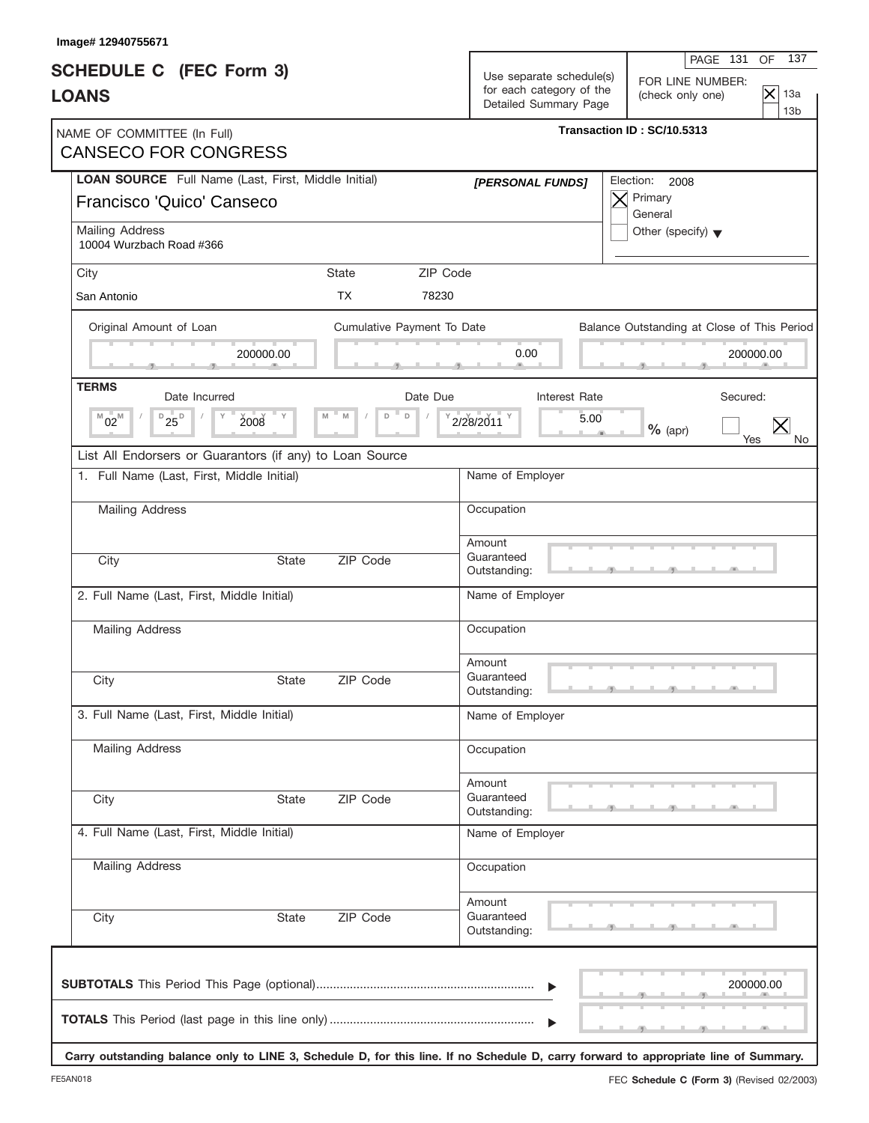| Image# 12940755671                                                               |              |                            |          |                                                                               | 137<br>PAGE 131<br><b>OF</b>                                                                                                         |
|----------------------------------------------------------------------------------|--------------|----------------------------|----------|-------------------------------------------------------------------------------|--------------------------------------------------------------------------------------------------------------------------------------|
| <b>SCHEDULE C</b> (FEC Form 3)<br><b>LOANS</b>                                   |              |                            |          | Use separate schedule(s)<br>for each category of the<br>Detailed Summary Page | FOR LINE NUMBER:<br>$ \mathsf{x} $<br>13a<br>(check only one)<br>13 <sub>b</sub>                                                     |
| NAME OF COMMITTEE (In Full)<br><b>CANSECO FOR CONGRESS</b>                       |              |                            |          |                                                                               | Transaction ID: SC/10.5313                                                                                                           |
| LOAN SOURCE Full Name (Last, First, Middle Initial)<br>Francisco 'Quico' Canseco |              |                            |          | [PERSONAL FUNDS]                                                              | Election:<br>2008<br>Primary<br>$\times$<br>General                                                                                  |
| Mailing Address<br>10004 Wurzbach Road #366                                      |              |                            |          |                                                                               | Other (specify) $\blacktriangledown$                                                                                                 |
| City                                                                             |              | <b>State</b>               | ZIP Code |                                                                               |                                                                                                                                      |
| San Antonio                                                                      |              | <b>TX</b>                  | 78230    |                                                                               |                                                                                                                                      |
| Original Amount of Loan                                                          |              | Cumulative Payment To Date |          |                                                                               | Balance Outstanding at Close of This Period                                                                                          |
|                                                                                  | 200000.00    |                            |          | 0.00                                                                          | 200000.00                                                                                                                            |
| <b>TERMS</b><br>Date Incurred                                                    |              |                            | Date Due | Interest Rate                                                                 | Secured:                                                                                                                             |
| $D_{25}D_{D}$<br>$^{M}02^{M}$<br>2008                                            | = Y          | $\mathsf D$<br>M<br>D      |          | 5.00<br>2/28/2011                                                             | $\times$<br>$%$ (apr)<br>Yes                                                                                                         |
| List All Endorsers or Guarantors (if any) to Loan Source                         |              |                            |          |                                                                               |                                                                                                                                      |
| 1. Full Name (Last, First, Middle Initial)                                       |              |                            |          | Name of Employer                                                              |                                                                                                                                      |
| <b>Mailing Address</b>                                                           |              |                            |          | Occupation                                                                    |                                                                                                                                      |
| City                                                                             | <b>State</b> | ZIP Code                   |          | Amount<br>Guaranteed<br>Outstanding:                                          |                                                                                                                                      |
| 2. Full Name (Last, First, Middle Initial)                                       |              |                            |          | Name of Employer                                                              |                                                                                                                                      |
| <b>Mailing Address</b>                                                           |              |                            |          | Occupation                                                                    |                                                                                                                                      |
| City                                                                             | State        | ZIP Code                   |          | Amount<br>Guaranteed<br>Outstanding:                                          |                                                                                                                                      |
| 3. Full Name (Last, First, Middle Initial)                                       |              |                            |          | Name of Employer                                                              |                                                                                                                                      |
| Mailing Address                                                                  |              |                            |          | Occupation                                                                    |                                                                                                                                      |
| City                                                                             | <b>State</b> | ZIP Code                   |          | Amount<br>Guaranteed<br>Outstanding:                                          |                                                                                                                                      |
| 4. Full Name (Last, First, Middle Initial)                                       |              |                            |          | Name of Employer                                                              |                                                                                                                                      |
| <b>Mailing Address</b>                                                           |              |                            |          | Occupation                                                                    |                                                                                                                                      |
| City                                                                             | State        | ZIP Code                   |          | Amount<br>Guaranteed<br>Outstanding:                                          |                                                                                                                                      |
|                                                                                  |              |                            |          | $\blacktriangleright$                                                         | 200000.00                                                                                                                            |
|                                                                                  |              |                            |          | $\blacktriangleright$                                                         | Carry outstanding balance only to LINE 3, Schedule D, for this line. If no Schedule D, carry forward to appropriate line of Summary. |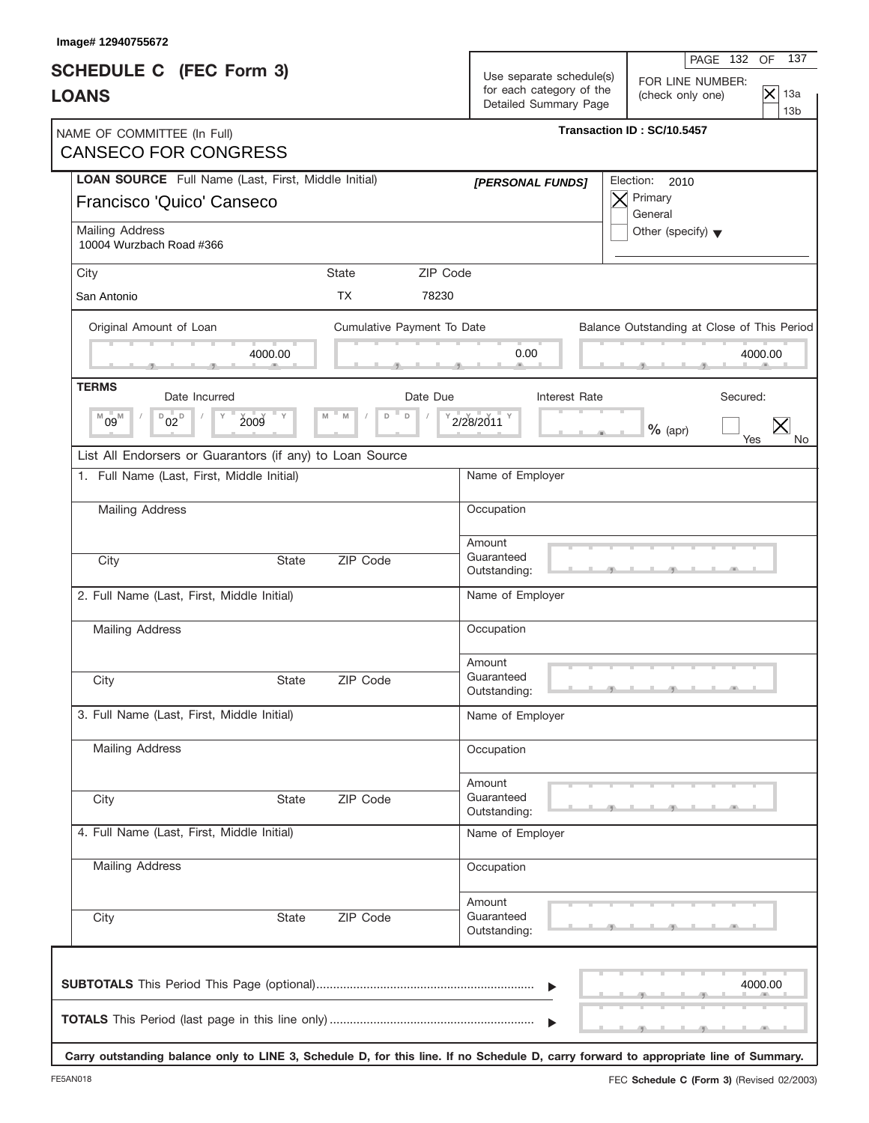| Image# 12940755672                                                                                                                   |              |                            |                                                                               |                                                          |                                                              |
|--------------------------------------------------------------------------------------------------------------------------------------|--------------|----------------------------|-------------------------------------------------------------------------------|----------------------------------------------------------|--------------------------------------------------------------|
| <b>SCHEDULE C</b> (FEC Form 3)<br><b>LOANS</b>                                                                                       |              |                            | Use separate schedule(s)<br>for each category of the<br>Detailed Summary Page | PAGE 132<br>FOR LINE NUMBER:<br>(check only one)         | 137<br><b>OF</b><br>$ \mathsf{x} $<br>13a<br>13 <sub>b</sub> |
| NAME OF COMMITTEE (In Full)<br><b>CANSECO FOR CONGRESS</b>                                                                           |              |                            |                                                                               | Transaction ID: SC/10.5457                               |                                                              |
| LOAN SOURCE Full Name (Last, First, Middle Initial)<br>Francisco 'Quico' Canseco                                                     |              |                            | [PERSONAL FUNDS]                                                              | Election:<br>2010<br>Primary<br>$\bm{\times}$<br>General |                                                              |
| Mailing Address<br>10004 Wurzbach Road #366                                                                                          |              |                            |                                                                               | Other (specify) $\blacktriangledown$                     |                                                              |
| City                                                                                                                                 |              | State                      | ZIP Code                                                                      |                                                          |                                                              |
| San Antonio                                                                                                                          |              | <b>TX</b>                  | 78230                                                                         |                                                          |                                                              |
| Original Amount of Loan                                                                                                              |              | Cumulative Payment To Date |                                                                               | Balance Outstanding at Close of This Period              |                                                              |
|                                                                                                                                      | 4000.00      |                            | 0.00                                                                          |                                                          | 4000.00                                                      |
| <b>TERMS</b><br>Date Incurred                                                                                                        |              | Date Due                   | Interest Rate                                                                 |                                                          | Secured:                                                     |
| $D_{02}$<br>$09^{\mathbb{M}}$<br>Υ<br>M                                                                                              | " Y<br>2009  | $\mathsf D$<br>M<br>D      | 2/28/2011                                                                     | $%$ (apr)                                                | $\times$<br>Yes                                              |
| List All Endorsers or Guarantors (if any) to Loan Source                                                                             |              |                            |                                                                               |                                                          |                                                              |
| 1. Full Name (Last, First, Middle Initial)                                                                                           |              |                            | Name of Employer                                                              |                                                          |                                                              |
| <b>Mailing Address</b>                                                                                                               |              |                            | Occupation                                                                    |                                                          |                                                              |
| City                                                                                                                                 | <b>State</b> | ZIP Code                   | Amount<br>Guaranteed<br>Outstanding:                                          |                                                          |                                                              |
| 2. Full Name (Last, First, Middle Initial)                                                                                           |              |                            | Name of Employer                                                              |                                                          |                                                              |
| <b>Mailing Address</b>                                                                                                               |              |                            | Occupation                                                                    |                                                          |                                                              |
| City                                                                                                                                 | State        | ZIP Code                   | Amount<br>Guaranteed<br>Outstanding:                                          |                                                          |                                                              |
| 3. Full Name (Last, First, Middle Initial)                                                                                           |              |                            | Name of Employer                                                              |                                                          |                                                              |
| <b>Mailing Address</b>                                                                                                               |              |                            | Occupation                                                                    |                                                          |                                                              |
| City                                                                                                                                 | <b>State</b> | ZIP Code                   | Amount<br>Guaranteed<br>Outstanding:                                          |                                                          |                                                              |
| 4. Full Name (Last, First, Middle Initial)                                                                                           |              |                            | Name of Employer                                                              |                                                          |                                                              |
| Mailing Address                                                                                                                      |              |                            | Occupation                                                                    |                                                          |                                                              |
| City                                                                                                                                 | State        | ZIP Code                   | Amount<br>Guaranteed<br>Outstanding:                                          |                                                          |                                                              |
|                                                                                                                                      |              |                            | $\blacktriangleright$                                                         |                                                          | 4000.00                                                      |
| Carry outstanding balance only to LINE 3, Schedule D, for this line. If no Schedule D, carry forward to appropriate line of Summary. |              |                            |                                                                               |                                                          |                                                              |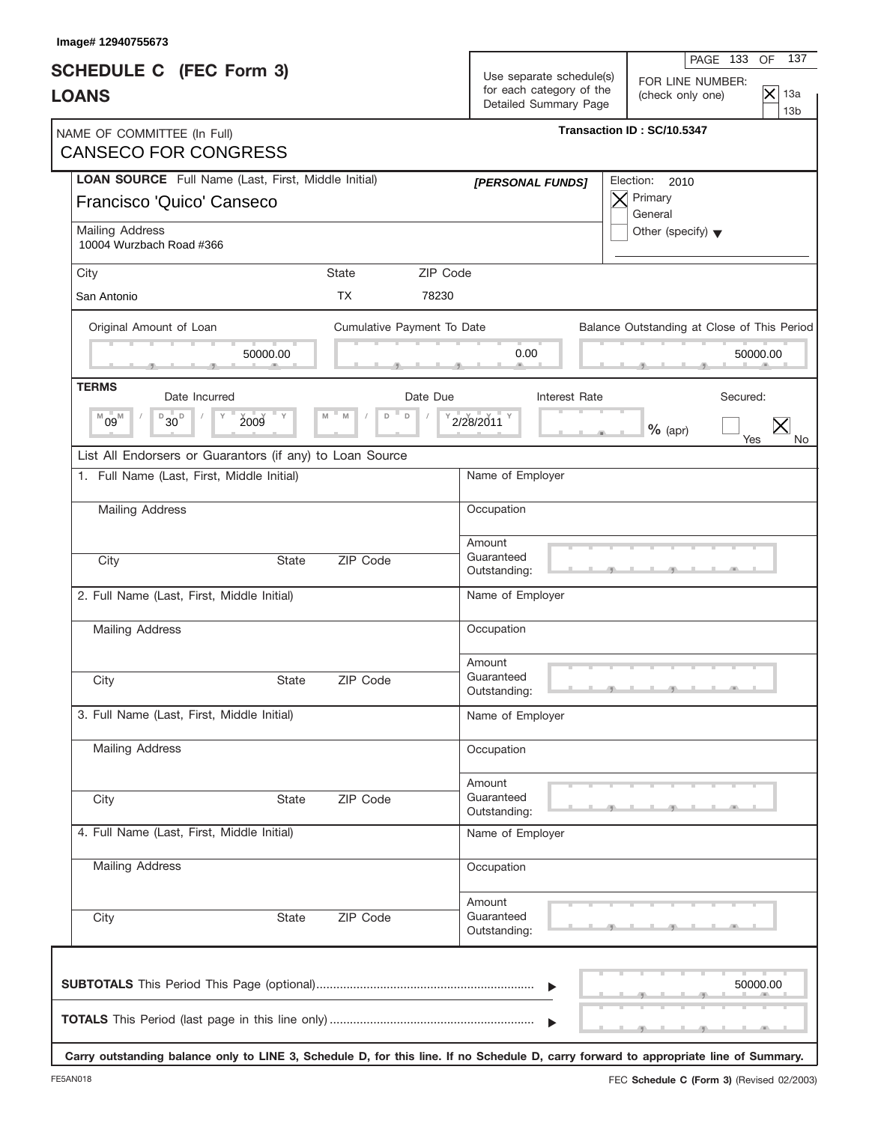| Image# 12940755673                                                               |              |                            |                                                                               |                                                                                                                  |                                                                                                                                      |
|----------------------------------------------------------------------------------|--------------|----------------------------|-------------------------------------------------------------------------------|------------------------------------------------------------------------------------------------------------------|--------------------------------------------------------------------------------------------------------------------------------------|
| <b>SCHEDULE C</b> (FEC Form 3)<br><b>LOANS</b>                                   |              |                            | Use separate schedule(s)<br>for each category of the<br>Detailed Summary Page | 137<br>PAGE 133<br><b>OF</b><br>FOR LINE NUMBER:<br>$ \mathsf{x} $<br>13a<br>(check only one)<br>13 <sub>b</sub> |                                                                                                                                      |
| NAME OF COMMITTEE (In Full)<br><b>CANSECO FOR CONGRESS</b>                       |              |                            |                                                                               |                                                                                                                  | Transaction ID: SC/10.5347                                                                                                           |
| LOAN SOURCE Full Name (Last, First, Middle Initial)<br>Francisco 'Quico' Canseco |              |                            |                                                                               | [PERSONAL FUNDS]                                                                                                 | Election:<br>2010<br>Primary<br>$\times$<br>General                                                                                  |
| Mailing Address<br>10004 Wurzbach Road #366                                      |              |                            |                                                                               |                                                                                                                  | Other (specify) $\blacktriangledown$                                                                                                 |
| City                                                                             |              | <b>State</b>               | ZIP Code                                                                      |                                                                                                                  |                                                                                                                                      |
| San Antonio                                                                      |              | <b>TX</b>                  | 78230                                                                         |                                                                                                                  |                                                                                                                                      |
| Original Amount of Loan                                                          |              | Cumulative Payment To Date |                                                                               |                                                                                                                  | Balance Outstanding at Close of This Period                                                                                          |
|                                                                                  | 50000.00     |                            |                                                                               | 0.00                                                                                                             | 50000.00                                                                                                                             |
| <b>TERMS</b><br>Date Incurred                                                    |              |                            | Date Due                                                                      | <b>Interest Rate</b>                                                                                             | Secured:                                                                                                                             |
| $D_{30}$<br>$^{M}09^{M}$                                                         | 2009<br>" Y  | $\mathsf D$<br>M<br>D      |                                                                               | 2/28/2011                                                                                                        | $\times$<br>$%$ (apr)<br>Yes                                                                                                         |
| List All Endorsers or Guarantors (if any) to Loan Source                         |              |                            |                                                                               |                                                                                                                  |                                                                                                                                      |
| 1. Full Name (Last, First, Middle Initial)                                       |              |                            |                                                                               | Name of Employer                                                                                                 |                                                                                                                                      |
| <b>Mailing Address</b>                                                           |              |                            |                                                                               | Occupation                                                                                                       |                                                                                                                                      |
|                                                                                  |              |                            |                                                                               | Amount                                                                                                           |                                                                                                                                      |
| City                                                                             | <b>State</b> | ZIP Code                   |                                                                               | Guaranteed<br>Outstanding:                                                                                       |                                                                                                                                      |
| 2. Full Name (Last, First, Middle Initial)                                       |              |                            |                                                                               | Name of Employer                                                                                                 |                                                                                                                                      |
| <b>Mailing Address</b>                                                           |              |                            |                                                                               | Occupation                                                                                                       |                                                                                                                                      |
| City                                                                             | State        | ZIP Code                   |                                                                               | Amount<br>Guaranteed<br>Outstanding:                                                                             |                                                                                                                                      |
| 3. Full Name (Last, First, Middle Initial)                                       |              |                            |                                                                               | Name of Employer                                                                                                 |                                                                                                                                      |
| Mailing Address                                                                  |              |                            |                                                                               | Occupation                                                                                                       |                                                                                                                                      |
|                                                                                  |              |                            |                                                                               |                                                                                                                  |                                                                                                                                      |
| City                                                                             | <b>State</b> | ZIP Code                   |                                                                               | Amount<br>Guaranteed<br>Outstanding:                                                                             |                                                                                                                                      |
| 4. Full Name (Last, First, Middle Initial)                                       |              |                            |                                                                               | Name of Employer                                                                                                 |                                                                                                                                      |
| <b>Mailing Address</b>                                                           |              |                            |                                                                               | Occupation                                                                                                       |                                                                                                                                      |
| City                                                                             | State        | ZIP Code                   |                                                                               | Amount<br>Guaranteed<br>Outstanding:                                                                             |                                                                                                                                      |
|                                                                                  |              |                            |                                                                               | $\blacktriangleright$                                                                                            | 50000.00                                                                                                                             |
|                                                                                  |              |                            |                                                                               | $\blacktriangleright$                                                                                            | Carry outstanding balance only to LINE 3, Schedule D, for this line. If no Schedule D, carry forward to appropriate line of Summary. |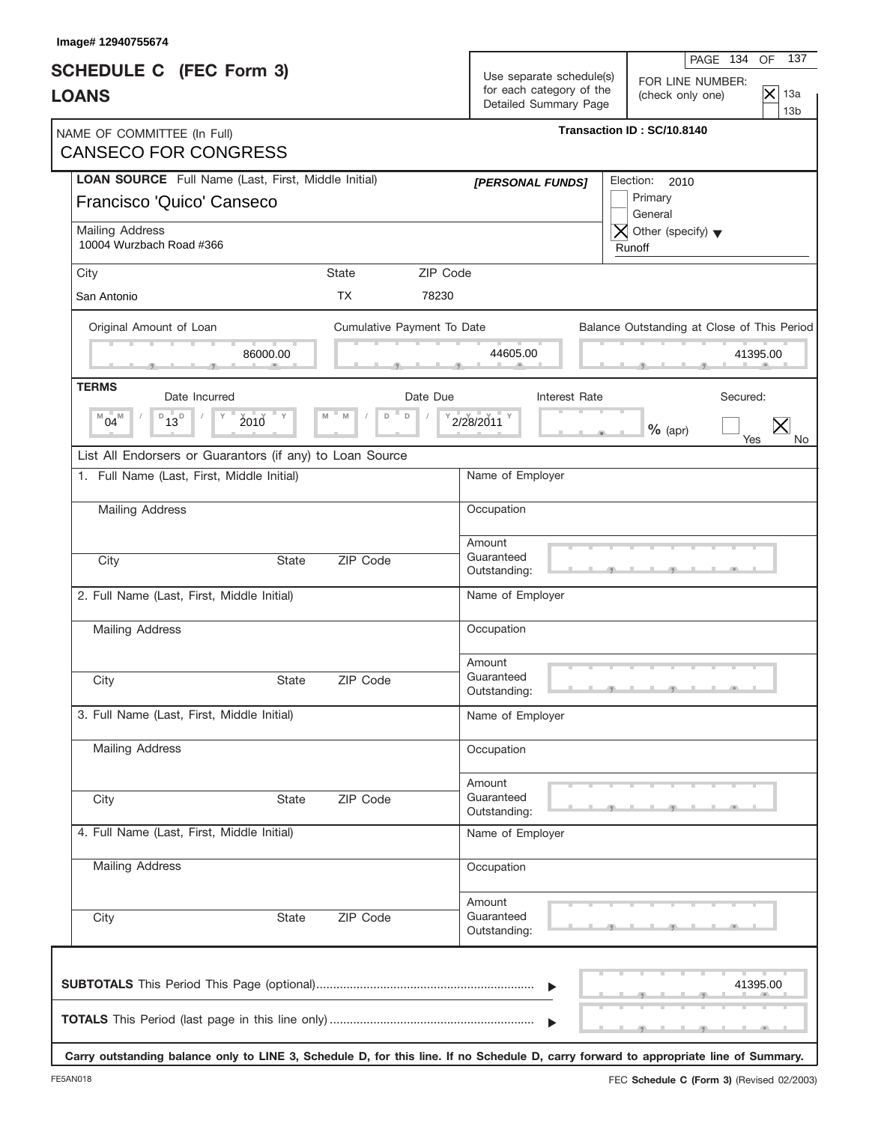| Image# 12940755674                                                                      |              |                            |          |                                                                               |                                                                                                                                      |  |  |  |
|-----------------------------------------------------------------------------------------|--------------|----------------------------|----------|-------------------------------------------------------------------------------|--------------------------------------------------------------------------------------------------------------------------------------|--|--|--|
| <b>SCHEDULE C</b> (FEC Form 3)<br><b>LOANS</b>                                          |              |                            |          | Use separate schedule(s)<br>for each category of the<br>Detailed Summary Page | 137<br>PAGE 134 OF<br>FOR LINE NUMBER:<br>$\mathsf{\times}$<br>13a<br>(check only one)                                               |  |  |  |
| NAME OF COMMITTEE (In Full)<br><b>CANSECO FOR CONGRESS</b>                              |              |                            |          | 13 <sub>b</sub><br>Transaction ID: SC/10.8140                                 |                                                                                                                                      |  |  |  |
| <b>LOAN SOURCE</b> Full Name (Last, First, Middle Initial)<br>Francisco 'Quico' Canseco |              |                            |          | [PERSONAL FUNDS]                                                              | Election: 2010<br>Primary<br>General                                                                                                 |  |  |  |
| Mailing Address<br>10004 Wurzbach Road #366                                             |              |                            |          |                                                                               | $\overline{X}$ Other (specify) $\blacktriangledown$<br>Runoff                                                                        |  |  |  |
| City                                                                                    |              | <b>State</b>               | ZIP Code |                                                                               |                                                                                                                                      |  |  |  |
| San Antonio                                                                             |              | <b>TX</b>                  | 78230    |                                                                               |                                                                                                                                      |  |  |  |
| Original Amount of Loan                                                                 |              | Cumulative Payment To Date |          |                                                                               | Balance Outstanding at Close of This Period                                                                                          |  |  |  |
|                                                                                         | 86000.00     |                            |          | 44605.00                                                                      | 41395.00                                                                                                                             |  |  |  |
| <b>TERMS</b><br>Date Incurred                                                           |              |                            | Date Due | Interest Rate                                                                 | Secured:                                                                                                                             |  |  |  |
| $D_{13}D$<br>$04^{\mathbb{M}}$<br>M                                                     | $2010$ $V$   | M<br>M<br>D<br>$\Box$      |          | 2/28/2011 <sup>Y</sup>                                                        | $%$ (apr)<br>Yes<br>No.                                                                                                              |  |  |  |
| List All Endorsers or Guarantors (if any) to Loan Source                                |              |                            |          |                                                                               |                                                                                                                                      |  |  |  |
| 1. Full Name (Last, First, Middle Initial)                                              |              |                            |          | Name of Employer                                                              |                                                                                                                                      |  |  |  |
| Mailing Address                                                                         |              |                            |          | Occupation                                                                    |                                                                                                                                      |  |  |  |
| City                                                                                    | <b>State</b> | ZIP Code                   |          | Amount<br>Guaranteed<br>Outstanding:                                          |                                                                                                                                      |  |  |  |
| 2. Full Name (Last, First, Middle Initial)                                              |              |                            |          | Name of Employer                                                              |                                                                                                                                      |  |  |  |
| <b>Mailing Address</b>                                                                  |              |                            |          | Occupation                                                                    |                                                                                                                                      |  |  |  |
| City                                                                                    | State        | ZIP Code                   |          | Amount<br>Guaranteed<br>Outstanding:                                          |                                                                                                                                      |  |  |  |
| 3. Full Name (Last, First, Middle Initial)                                              |              |                            |          | Name of Employer                                                              |                                                                                                                                      |  |  |  |
| Mailing Address                                                                         |              |                            |          | Occupation                                                                    |                                                                                                                                      |  |  |  |
| City                                                                                    | <b>State</b> | ZIP Code                   |          | Amount<br>Guaranteed<br>Outstanding:                                          |                                                                                                                                      |  |  |  |
| 4. Full Name (Last, First, Middle Initial)                                              |              |                            |          | Name of Employer                                                              |                                                                                                                                      |  |  |  |
| Mailing Address                                                                         |              |                            |          | Occupation                                                                    |                                                                                                                                      |  |  |  |
| City                                                                                    | State        | ZIP Code                   |          | Amount<br>Guaranteed<br>Outstanding:                                          |                                                                                                                                      |  |  |  |
|                                                                                         |              |                            |          |                                                                               | 41395.00                                                                                                                             |  |  |  |
|                                                                                         |              |                            |          |                                                                               | Carry outstanding balance only to LINE 3, Schedule D, for this line. If no Schedule D, carry forward to appropriate line of Summary. |  |  |  |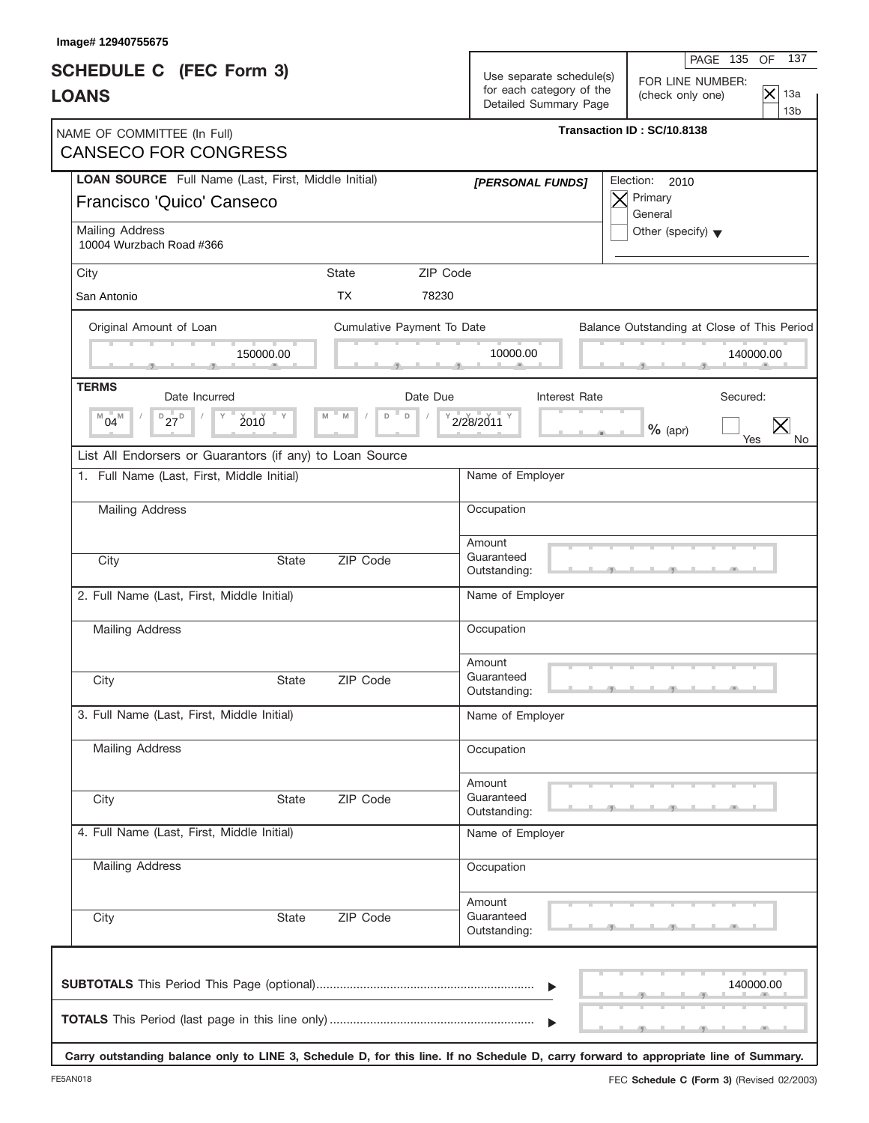| Image# 12940755675                                                                                                                   |              |                            |                                      |                                                                               |                                                                                                                  |  |
|--------------------------------------------------------------------------------------------------------------------------------------|--------------|----------------------------|--------------------------------------|-------------------------------------------------------------------------------|------------------------------------------------------------------------------------------------------------------|--|
| <b>SCHEDULE C</b> (FEC Form 3)<br><b>LOANS</b>                                                                                       |              |                            |                                      | Use separate schedule(s)<br>for each category of the<br>Detailed Summary Page | 137<br>PAGE 135<br><b>OF</b><br>FOR LINE NUMBER:<br>$ \mathsf{x} $<br>13a<br>(check only one)<br>13 <sub>b</sub> |  |
| NAME OF COMMITTEE (In Full)<br><b>CANSECO FOR CONGRESS</b>                                                                           |              |                            |                                      |                                                                               | Transaction ID: SC/10.8138                                                                                       |  |
| LOAN SOURCE Full Name (Last, First, Middle Initial)<br>Francisco 'Quico' Canseco                                                     |              |                            | [PERSONAL FUNDS]                     |                                                                               | Election:<br>2010<br>Primary<br>$\times$<br>General                                                              |  |
| Mailing Address<br>10004 Wurzbach Road #366                                                                                          |              |                            |                                      |                                                                               | Other (specify) $\blacktriangledown$                                                                             |  |
| City                                                                                                                                 |              | <b>State</b>               | ZIP Code                             |                                                                               |                                                                                                                  |  |
| San Antonio                                                                                                                          |              | <b>TX</b>                  | 78230                                |                                                                               |                                                                                                                  |  |
| Original Amount of Loan                                                                                                              |              | Cumulative Payment To Date |                                      |                                                                               | Balance Outstanding at Close of This Period                                                                      |  |
|                                                                                                                                      | 150000.00    |                            | 10000.00                             |                                                                               | 140000.00                                                                                                        |  |
| <b>TERMS</b><br>Date Incurred                                                                                                        |              | Date Due                   |                                      | Interest Rate                                                                 | Secured:                                                                                                         |  |
| $D_{27}D$<br>$^{M}04^{M}$                                                                                                            | 2010         | $\mathsf D$<br>M<br>D      | 2/28/2011                            |                                                                               | $\times$<br>$%$ (apr)<br>Yes                                                                                     |  |
| List All Endorsers or Guarantors (if any) to Loan Source                                                                             |              |                            |                                      |                                                                               |                                                                                                                  |  |
| 1. Full Name (Last, First, Middle Initial)                                                                                           |              |                            | Name of Employer                     |                                                                               |                                                                                                                  |  |
| <b>Mailing Address</b>                                                                                                               |              |                            | Occupation                           |                                                                               |                                                                                                                  |  |
| City                                                                                                                                 | <b>State</b> | ZIP Code                   | Amount<br>Guaranteed<br>Outstanding: |                                                                               |                                                                                                                  |  |
| 2. Full Name (Last, First, Middle Initial)                                                                                           |              |                            | Name of Employer                     |                                                                               |                                                                                                                  |  |
| Mailing Address                                                                                                                      |              |                            | Occupation                           |                                                                               |                                                                                                                  |  |
| City                                                                                                                                 | State        | ZIP Code                   | Amount<br>Guaranteed<br>Outstanding: |                                                                               |                                                                                                                  |  |
| 3. Full Name (Last, First, Middle Initial)                                                                                           |              |                            | Name of Employer                     |                                                                               |                                                                                                                  |  |
| Mailing Address                                                                                                                      |              |                            | Occupation                           |                                                                               |                                                                                                                  |  |
| City                                                                                                                                 | <b>State</b> | ZIP Code                   | Amount<br>Guaranteed<br>Outstanding: |                                                                               |                                                                                                                  |  |
| 4. Full Name (Last, First, Middle Initial)                                                                                           |              |                            | Name of Employer                     |                                                                               |                                                                                                                  |  |
| <b>Mailing Address</b>                                                                                                               |              |                            | Occupation                           |                                                                               |                                                                                                                  |  |
| City                                                                                                                                 | State        | ZIP Code                   | Amount<br>Guaranteed<br>Outstanding: |                                                                               |                                                                                                                  |  |
|                                                                                                                                      |              |                            |                                      | $\blacktriangleright$                                                         | 140000.00                                                                                                        |  |
| Carry outstanding balance only to LINE 3, Schedule D, for this line. If no Schedule D, carry forward to appropriate line of Summary. |              |                            |                                      | $\blacktriangleright$                                                         |                                                                                                                  |  |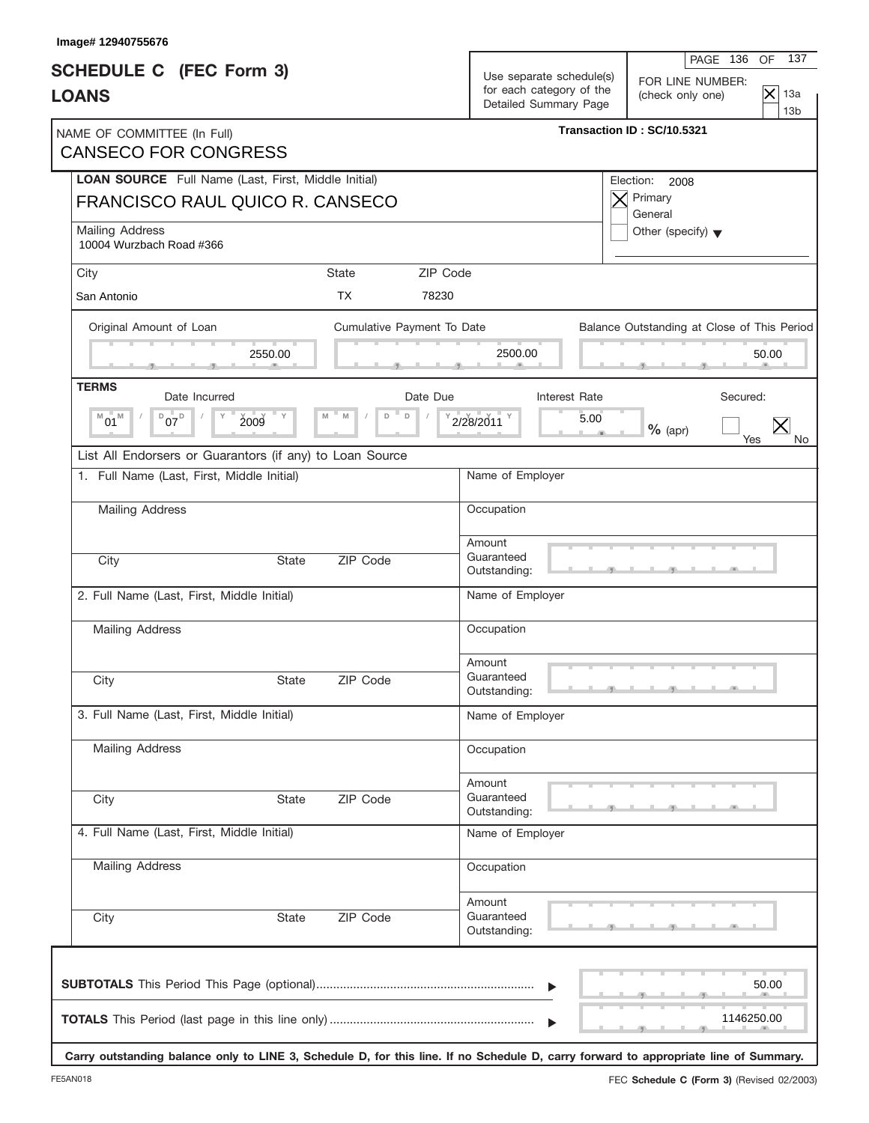| Image# 12940755676                                                                            |                            |                                                                                                                                                                                            |  |  |  |
|-----------------------------------------------------------------------------------------------|----------------------------|--------------------------------------------------------------------------------------------------------------------------------------------------------------------------------------------|--|--|--|
| <b>SCHEDULE C</b> (FEC Form 3)<br><b>LOANS</b>                                                |                            | 137<br>PAGE 136<br>OF<br>Use separate schedule(s)<br>FOR LINE NUMBER:<br>for each category of the<br>$ \mathsf{x} $<br>13a<br>(check only one)<br>Detailed Summary Page<br>13 <sub>b</sub> |  |  |  |
| NAME OF COMMITTEE (In Full)<br><b>CANSECO FOR CONGRESS</b>                                    |                            | Transaction ID: SC/10.5321                                                                                                                                                                 |  |  |  |
| <b>LOAN SOURCE</b> Full Name (Last, First, Middle Initial)<br>FRANCISCO RAUL QUICO R. CANSECO |                            | Election:<br>2008<br>Primary                                                                                                                                                               |  |  |  |
| <b>Mailing Address</b><br>10004 Wurzbach Road #366                                            |                            | General<br>Other (specify) $\blacktriangledown$                                                                                                                                            |  |  |  |
| City                                                                                          | <b>State</b>               | ZIP Code                                                                                                                                                                                   |  |  |  |
| San Antonio                                                                                   | <b>TX</b><br>78230         |                                                                                                                                                                                            |  |  |  |
| Original Amount of Loan                                                                       | Cumulative Payment To Date | Balance Outstanding at Close of This Period                                                                                                                                                |  |  |  |
| 2550.00                                                                                       |                            | 2500.00<br>50.00                                                                                                                                                                           |  |  |  |
| <b>TERMS</b><br>Date Incurred                                                                 | Date Due                   | Interest Rate<br>Secured:                                                                                                                                                                  |  |  |  |
| $D_{07}D_{07}$<br>$^{\mathbb{M}}$ 01 $^{\mathbb{M}}$<br>2009<br>$ \vee$                       | M<br>D<br>$\Box$           | 2/28/2011<br>5.00<br>$%$ (apr)<br>Yes<br>No.                                                                                                                                               |  |  |  |
| List All Endorsers or Guarantors (if any) to Loan Source                                      |                            |                                                                                                                                                                                            |  |  |  |
| 1. Full Name (Last, First, Middle Initial)                                                    |                            | Name of Employer                                                                                                                                                                           |  |  |  |
| Mailing Address                                                                               |                            | Occupation                                                                                                                                                                                 |  |  |  |
|                                                                                               |                            | Amount                                                                                                                                                                                     |  |  |  |
| City<br><b>State</b>                                                                          | ZIP Code                   | Guaranteed<br>Outstanding:                                                                                                                                                                 |  |  |  |
| 2. Full Name (Last, First, Middle Initial)                                                    |                            | Name of Employer                                                                                                                                                                           |  |  |  |
| Mailing Address                                                                               |                            | Occupation                                                                                                                                                                                 |  |  |  |
|                                                                                               |                            | Amount                                                                                                                                                                                     |  |  |  |
| City<br>State                                                                                 | ZIP Code                   | Guaranteed<br>Outstanding:                                                                                                                                                                 |  |  |  |
| 3. Full Name (Last, First, Middle Initial)                                                    |                            | Name of Employer                                                                                                                                                                           |  |  |  |
| Mailing Address                                                                               |                            | Occupation                                                                                                                                                                                 |  |  |  |
| City<br>State                                                                                 | ZIP Code                   | Amount<br>Guaranteed<br>Outstanding:                                                                                                                                                       |  |  |  |
| 4. Full Name (Last, First, Middle Initial)                                                    |                            | Name of Employer                                                                                                                                                                           |  |  |  |
| Mailing Address                                                                               |                            | Occupation                                                                                                                                                                                 |  |  |  |
| City<br>State                                                                                 | ZIP Code                   | Amount<br>Guaranteed<br>Outstanding:                                                                                                                                                       |  |  |  |
|                                                                                               |                            | 50.00<br>$\blacktriangleright$<br>1146250.00                                                                                                                                               |  |  |  |